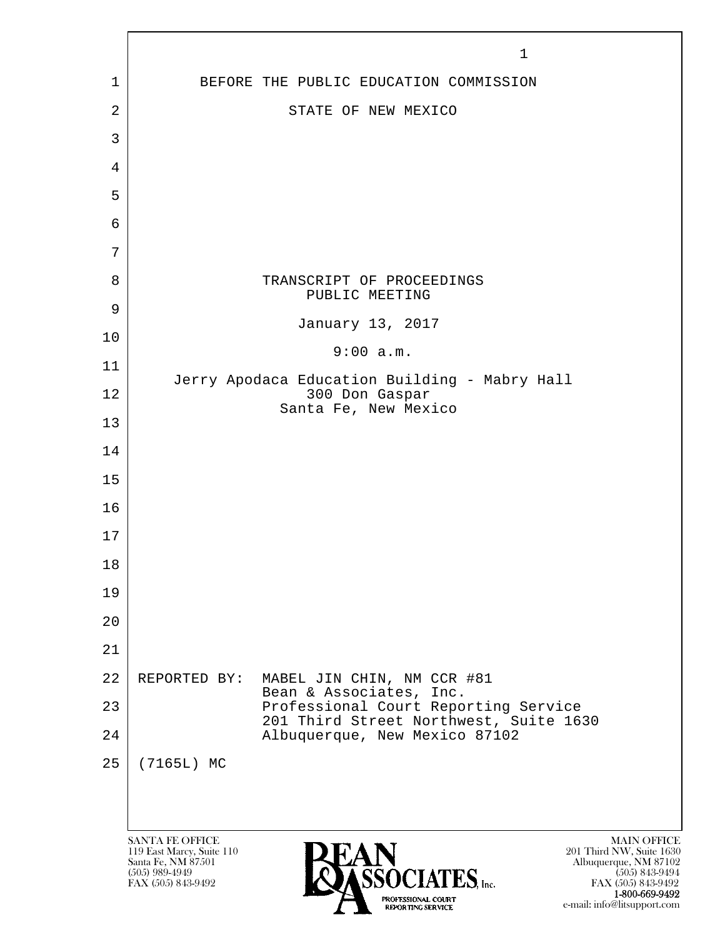|        | $\mathbf 1$                                                                                                                                                                                                                                                                        |
|--------|------------------------------------------------------------------------------------------------------------------------------------------------------------------------------------------------------------------------------------------------------------------------------------|
| 1      | BEFORE THE PUBLIC EDUCATION COMMISSION                                                                                                                                                                                                                                             |
| 2      | STATE OF NEW MEXICO                                                                                                                                                                                                                                                                |
| 3      |                                                                                                                                                                                                                                                                                    |
| 4      |                                                                                                                                                                                                                                                                                    |
| 5      |                                                                                                                                                                                                                                                                                    |
| 6      |                                                                                                                                                                                                                                                                                    |
| 7      |                                                                                                                                                                                                                                                                                    |
| 8      | TRANSCRIPT OF PROCEEDINGS                                                                                                                                                                                                                                                          |
| 9      | PUBLIC MEETING                                                                                                                                                                                                                                                                     |
| 10     | January 13, 2017                                                                                                                                                                                                                                                                   |
| 11     | 9:00 a.m.                                                                                                                                                                                                                                                                          |
| 12     | Jerry Apodaca Education Building - Mabry Hall<br>300 Don Gaspar                                                                                                                                                                                                                    |
| 13     | Santa Fe, New Mexico                                                                                                                                                                                                                                                               |
| 14     |                                                                                                                                                                                                                                                                                    |
| 15     |                                                                                                                                                                                                                                                                                    |
| 16     |                                                                                                                                                                                                                                                                                    |
| 17     |                                                                                                                                                                                                                                                                                    |
| $1\,8$ |                                                                                                                                                                                                                                                                                    |
| 19     |                                                                                                                                                                                                                                                                                    |
| 20     |                                                                                                                                                                                                                                                                                    |
| 21     |                                                                                                                                                                                                                                                                                    |
| 22     | REPORTED BY:<br>MABEL JIN CHIN, NM CCR #81                                                                                                                                                                                                                                         |
| 23     | Bean & Associates, Inc.<br>Professional Court Reporting Service                                                                                                                                                                                                                    |
| 24     | 201 Third Street Northwest, Suite 1630<br>Albuquerque, New Mexico 87102                                                                                                                                                                                                            |
| 25     | (7165L) MC                                                                                                                                                                                                                                                                         |
|        |                                                                                                                                                                                                                                                                                    |
|        |                                                                                                                                                                                                                                                                                    |
|        | <b>SANTA FE OFFICE</b><br><b>MAIN OFFICE</b><br>201 Third NW, Suite 1630<br>119 East Marcy, Suite 110<br>Santa Fe, NM 87501<br>Albuquerque, NM 87102<br>$(505)$ 989-4949<br>$(505)$ 843-9494<br><b>CIATES</b> , Inc.<br>FAX (505) 843-9492<br>FAX (505) 843-9492<br>1-800-669-9492 |

e-mail: info@litsupport.com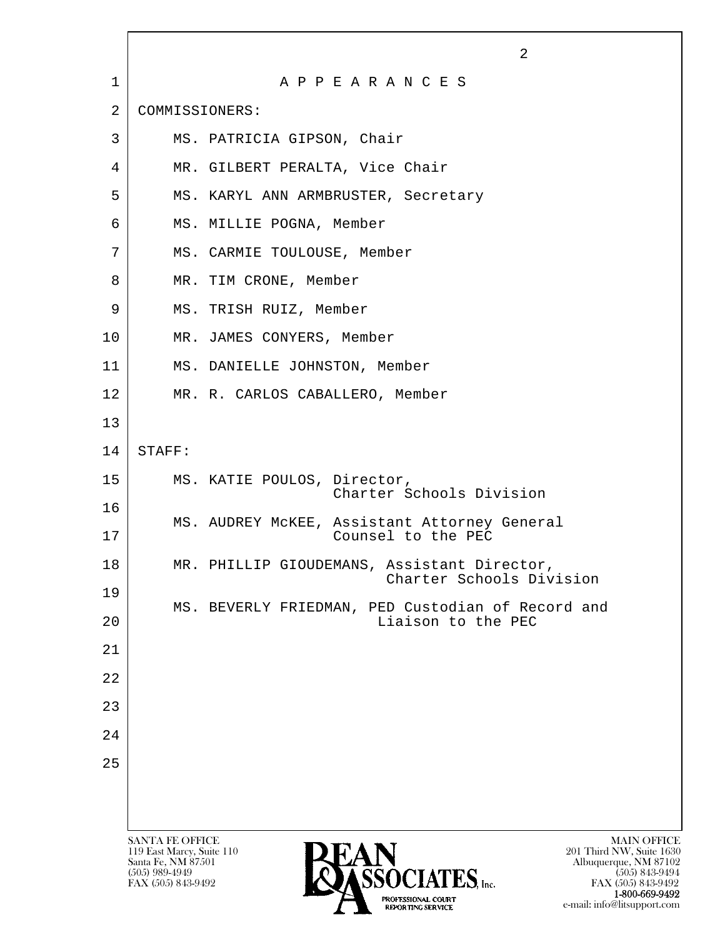|    |                                                 | 2                                                                           |
|----|-------------------------------------------------|-----------------------------------------------------------------------------|
| 1  |                                                 | A P P E A R A N C E S                                                       |
| 2  | COMMISSIONERS:                                  |                                                                             |
| 3  |                                                 | MS. PATRICIA GIPSON, Chair                                                  |
| 4  |                                                 | MR. GILBERT PERALTA, Vice Chair                                             |
| 5  |                                                 | MS. KARYL ANN ARMBRUSTER, Secretary                                         |
| 6  |                                                 | MS. MILLIE POGNA, Member                                                    |
| 7  |                                                 | MS. CARMIE TOULOUSE, Member                                                 |
| 8  |                                                 | MR. TIM CRONE, Member                                                       |
| 9  |                                                 | MS. TRISH RUIZ, Member                                                      |
| 10 |                                                 | MR. JAMES CONYERS, Member                                                   |
| 11 |                                                 | MS. DANIELLE JOHNSTON, Member                                               |
| 12 |                                                 | MR. R. CARLOS CABALLERO, Member                                             |
| 13 |                                                 |                                                                             |
| 14 | STAFF:                                          |                                                                             |
| 15 |                                                 | MS. KATIE POULOS, Director,<br>Charter Schools Division                     |
| 16 |                                                 | MS. AUDREY MCKEE, Assistant Attorney General                                |
| 17 |                                                 | Counsel to the PEC                                                          |
| 18 |                                                 | MR. PHILLIP GIOUDEMANS, Assistant Director,<br>Charter Schools Division     |
| 19 |                                                 | MS. BEVERLY FRIEDMAN, PED Custodian of Record and                           |
| 20 |                                                 | Liaison to the PEC                                                          |
| 21 |                                                 |                                                                             |
| 22 |                                                 |                                                                             |
| 23 |                                                 |                                                                             |
| 24 |                                                 |                                                                             |
| 25 |                                                 |                                                                             |
|    |                                                 |                                                                             |
|    | <b>SANTA FE OFFICE</b>                          | <b>MAIN OFFICE</b>                                                          |
|    | 119 East Marcy, Suite 110<br>Santa Fe, NM 87501 | 201 Third NW, Suite 1630<br>Albuquerque, NM 87102                           |
|    | $(505)$ 989-4949<br>FAX (505) 843-9492          | SSOCIATES. Inc.<br>$(505)$ 843-9494<br>FAX (505) 843-9492<br>1.000 CCO 0100 |

 $\overline{\phantom{a}}$ 

**1-800-669-9492**<br> **EXALTERIONAL CN BT** e-mail: info@litsupport.com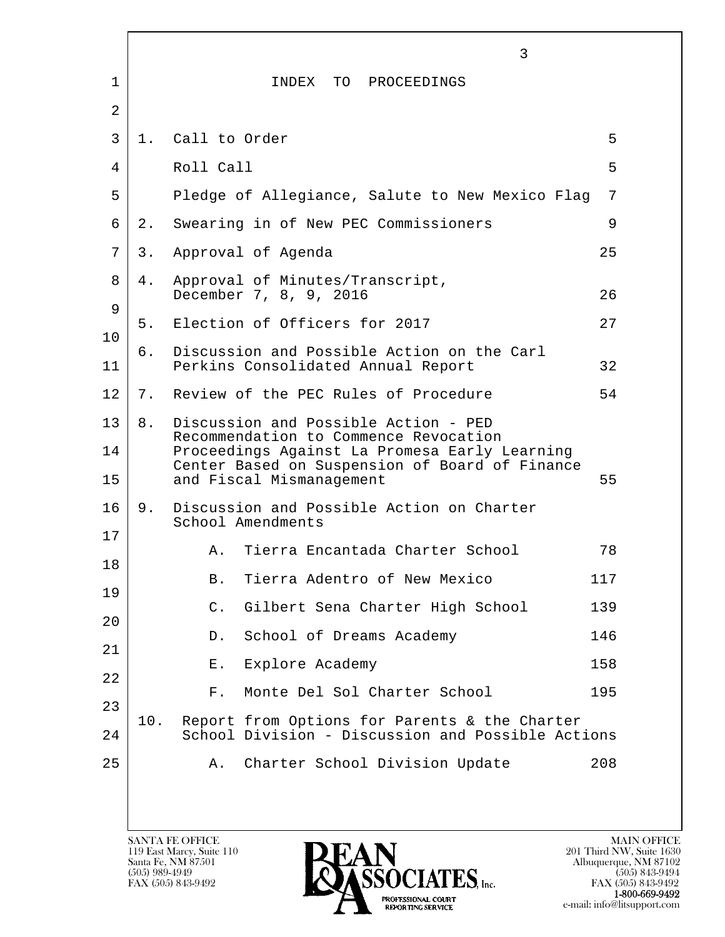|                |     |                  | 3                                                                                                                                                                                                            |     |
|----------------|-----|------------------|--------------------------------------------------------------------------------------------------------------------------------------------------------------------------------------------------------------|-----|
| $\mathbf{1}$   |     |                  | INDEX TO PROCEEDINGS                                                                                                                                                                                         |     |
| $\overline{2}$ |     |                  |                                                                                                                                                                                                              |     |
| 3              |     | 1. Call to Order |                                                                                                                                                                                                              | 5   |
| 4              |     | Roll Call        |                                                                                                                                                                                                              | 5   |
| 5              |     |                  | Pledge of Allegiance, Salute to New Mexico Flag                                                                                                                                                              | 7   |
| 6              | 2.  |                  | Swearing in of New PEC Commissioners                                                                                                                                                                         | 9   |
| 7              | 3.  |                  | Approval of Agenda                                                                                                                                                                                           | 25  |
| 8<br>9         | 4.  |                  | Approval of Minutes/Transcript,<br>December 7, 8, 9, 2016                                                                                                                                                    | 26  |
| 10             | 5.  |                  | Election of Officers for 2017                                                                                                                                                                                | 27  |
| 11             | б.  |                  | Discussion and Possible Action on the Carl<br>Perkins Consolidated Annual Report                                                                                                                             | 32  |
| 12             | 7.  |                  | Review of the PEC Rules of Procedure                                                                                                                                                                         | 54  |
| 13<br>14<br>15 | 8.  |                  | Discussion and Possible Action - PED<br>Recommendation to Commence Revocation<br>Proceedings Against La Promesa Early Learning<br>Center Based on Suspension of Board of Finance<br>and Fiscal Mismanagement | 55  |
| 16             | 9.  |                  | Discussion and Possible Action on Charter<br>School Amendments                                                                                                                                               |     |
| 17             |     | Α.               | Tierra Encantada Charter School                                                                                                                                                                              | 78  |
| 18             |     | <b>B</b> .       | Tierra Adentro of New Mexico                                                                                                                                                                                 | 117 |
| 19             |     | $\mathsf{C}$ .   | Gilbert Sena Charter High School                                                                                                                                                                             | 139 |
| 20<br>21       |     | D.               | School of Dreams Academy                                                                                                                                                                                     | 146 |
| 22             |     | Ε.               | Explore Academy                                                                                                                                                                                              | 158 |
| 23             |     | $F$ .            | Monte Del Sol Charter School                                                                                                                                                                                 | 195 |
| 24             | 10. |                  | Report from Options for Parents & the Charter<br>School Division - Discussion and Possible Actions                                                                                                           |     |
| 25             |     | Α.               | Charter School Division Update                                                                                                                                                                               | 208 |
|                |     |                  |                                                                                                                                                                                                              |     |

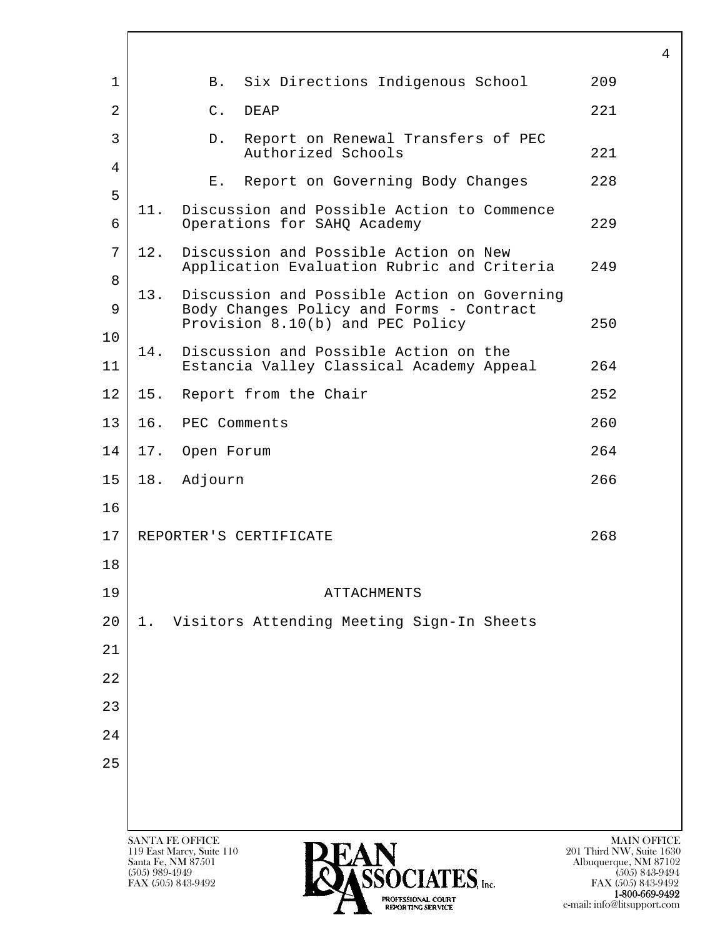|                |                                      |                                                                                                                                                            | 4                                                                                                                 |
|----------------|--------------------------------------|------------------------------------------------------------------------------------------------------------------------------------------------------------|-------------------------------------------------------------------------------------------------------------------|
| $\mathbf{1}$   |                                      | Six Directions Indigenous School<br><b>B</b> .                                                                                                             | 209                                                                                                               |
| $\overline{2}$ |                                      | $C$ .<br><b>DEAP</b>                                                                                                                                       | 221                                                                                                               |
| 3              |                                      | Report on Renewal Transfers of PEC<br>D.<br>Authorized Schools                                                                                             | 221                                                                                                               |
| $\overline{4}$ |                                      | Report on Governing Body Changes<br>E.                                                                                                                     | 228                                                                                                               |
| 5              | 11.                                  | Discussion and Possible Action to Commence                                                                                                                 |                                                                                                                   |
| 6              |                                      | Operations for SAHQ Academy                                                                                                                                | 229                                                                                                               |
| 7<br>8         | 12.                                  | Discussion and Possible Action on New<br>Application Evaluation Rubric and Criteria                                                                        | 249                                                                                                               |
| 9              | 13.                                  | Discussion and Possible Action on Governing<br>Body Changes Policy and Forms - Contract<br>Provision 8.10(b) and PEC Policy                                | 250                                                                                                               |
| 10<br>11       | 14.                                  | Discussion and Possible Action on the<br>Estancia Valley Classical Academy Appeal                                                                          | 264                                                                                                               |
| 12             | 15.                                  | Report from the Chair                                                                                                                                      | 252                                                                                                               |
| 13             | 16.                                  | PEC Comments                                                                                                                                               | 260                                                                                                               |
| 14             | 17.                                  | Open Forum                                                                                                                                                 | 264                                                                                                               |
| 15             |                                      | 18. Adjourn                                                                                                                                                | 266                                                                                                               |
| 16             |                                      |                                                                                                                                                            |                                                                                                                   |
| 17             |                                      | REPORTER'S CERTIFICATE                                                                                                                                     | 268                                                                                                               |
| 18             |                                      |                                                                                                                                                            |                                                                                                                   |
| 19             |                                      | <b>ATTACHMENTS</b>                                                                                                                                         |                                                                                                                   |
| 20             | 1.                                   | Visitors Attending Meeting Sign-In Sheets                                                                                                                  |                                                                                                                   |
| 21             |                                      |                                                                                                                                                            |                                                                                                                   |
| 22             |                                      |                                                                                                                                                            |                                                                                                                   |
| 23             |                                      |                                                                                                                                                            |                                                                                                                   |
| 24             |                                      |                                                                                                                                                            |                                                                                                                   |
| 25             |                                      |                                                                                                                                                            |                                                                                                                   |
|                |                                      |                                                                                                                                                            |                                                                                                                   |
|                | Santa Fe, NM 87501<br>(505) 989-4949 | SANTA FE OFFICE<br>119 East Marcy, Suite 110<br>$\widehat{\textbf{S}}\widehat{\textbf{S}}\widehat{\textbf{O}}\textbf{CIATES}$ , Inc.<br>FAX (505) 843-9492 | <b>MAIN OFFICE</b><br>201 Third NW, Suite 1630<br>Albuquerque, NM 87102<br>$(505)$ 843-9494<br>FAX (505) 843-9492 |

**1-800-669-9492**<br> **EXALTERIONAL CN BT** e-mail: info@litsupport.com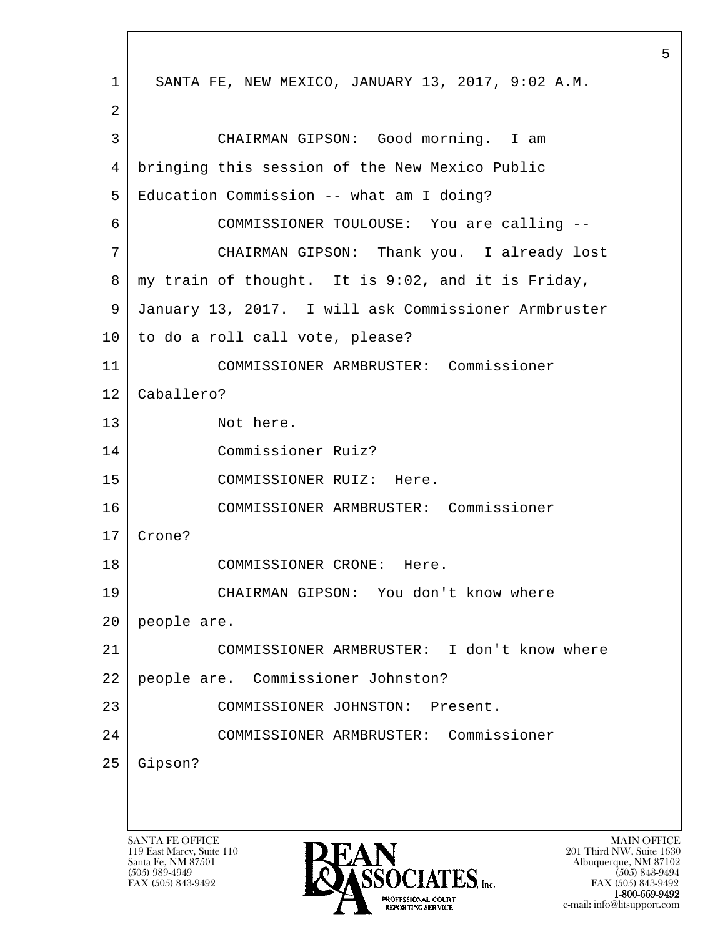l  $\overline{\phantom{a}}$ SANTA FE OFFICE MAIN OFFICE MAIN OFFICE MAIN OFFICE MAIN OFFICE 119 East Marcy, Suite 110<br>Santa Fe, NM 87501 1 SANTA FE, NEW MEXICO, JANUARY 13, 2017, 9:02 A.M. 2 3 CHAIRMAN GIPSON: Good morning. I am 4 bringing this session of the New Mexico Public 5 Education Commission -- what am I doing? 6 COMMISSIONER TOULOUSE: You are calling -- 7 CHAIRMAN GIPSON: Thank you. I already lost 8 my train of thought. It is 9:02, and it is Friday, 9 January 13, 2017. I will ask Commissioner Armbruster 10 to do a roll call vote, please? 11 COMMISSIONER ARMBRUSTER: Commissioner 12 Caballero? 13 Not here. 14 Commissioner Ruiz? 15 COMMISSIONER RUIZ: Here. 16 COMMISSIONER ARMBRUSTER: Commissioner 17 Crone? 18 COMMISSIONER CRONE: Here. 19 CHAIRMAN GIPSON: You don't know where 20 people are. 21 COMMISSIONER ARMBRUSTER: I don't know where 22 people are. Commissioner Johnston? 23 COMMISSIONER JOHNSTON: Present. 24 COMMISSIONER ARMBRUSTER: Commissioner 25 Gipson?



 $FAX (505) 843-9492$ <br>1-800-669-9492 e-mail: info@litsupport.com<br>REPORTING SERVICE e-mail: info@litsupport.com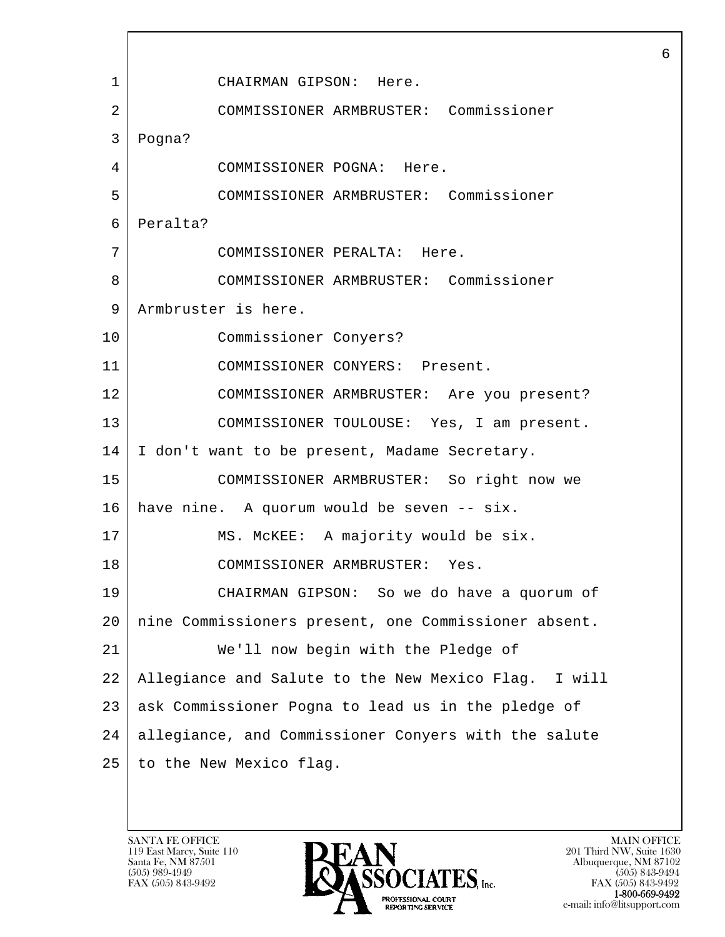l  $\overline{\phantom{a}}$  1 CHAIRMAN GIPSON: Here. 2 COMMISSIONER ARMBRUSTER: Commissioner 3 Pogna? 4 COMMISSIONER POGNA: Here. 5 COMMISSIONER ARMBRUSTER: Commissioner 6 Peralta? 7 COMMISSIONER PERALTA: Here. 8 COMMISSIONER ARMBRUSTER: Commissioner 9 Armbruster is here. 10 Commissioner Conyers? 11 COMMISSIONER CONYERS: Present. 12 COMMISSIONER ARMBRUSTER: Are you present? 13 COMMISSIONER TOULOUSE: Yes, I am present. 14 I don't want to be present, Madame Secretary. 15 COMMISSIONER ARMBRUSTER: So right now we  $16$  have nine. A quorum would be seven  $-$  six. 17 | MS. McKEE: A majority would be six. 18 COMMISSIONER ARMBRUSTER: Yes. 19 CHAIRMAN GIPSON: So we do have a quorum of 20 nine Commissioners present, one Commissioner absent. 21 We'll now begin with the Pledge of 22 Allegiance and Salute to the New Mexico Flag. I will 23 ask Commissioner Pogna to lead us in the pledge of 24 allegiance, and Commissioner Conyers with the salute 25 to the New Mexico flag.

119 East Marcy, Suite 110<br>Santa Fe, NM 87501

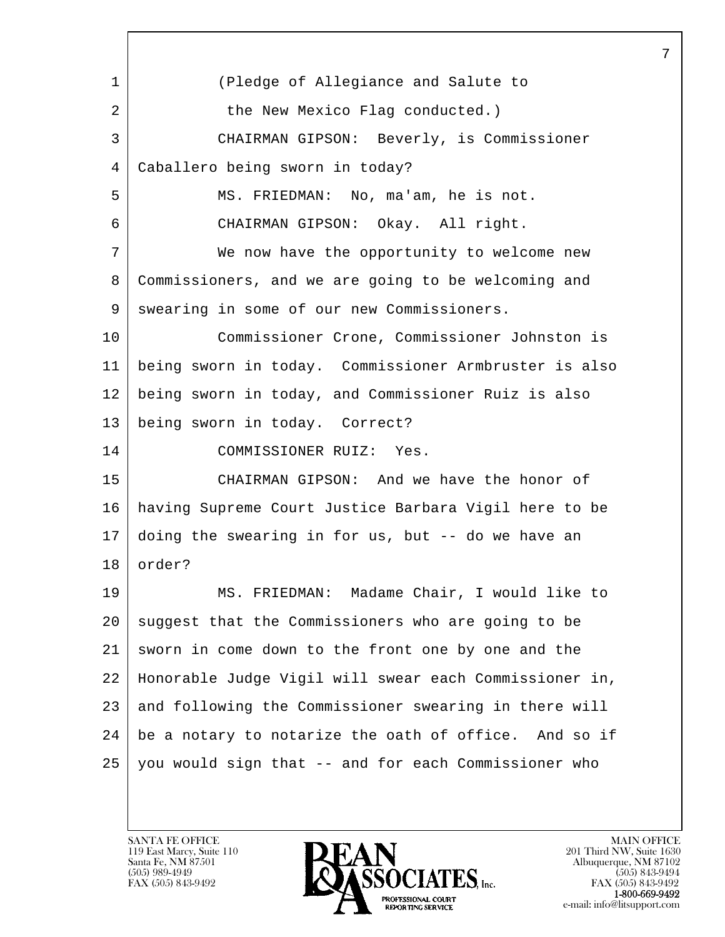l  $\overline{\phantom{a}}$  1 (Pledge of Allegiance and Salute to 2 the New Mexico Flag conducted.) 3 CHAIRMAN GIPSON: Beverly, is Commissioner 4 Caballero being sworn in today? 5 MS. FRIEDMAN: No, ma'am, he is not. 6 CHAIRMAN GIPSON: Okay. All right. 7 We now have the opportunity to welcome new 8 Commissioners, and we are going to be welcoming and 9 swearing in some of our new Commissioners. 10 Commissioner Crone, Commissioner Johnston is 11 being sworn in today. Commissioner Armbruster is also 12 being sworn in today, and Commissioner Ruiz is also 13 being sworn in today. Correct? 14 COMMISSIONER RUIZ: Yes. 15 CHAIRMAN GIPSON: And we have the honor of 16 having Supreme Court Justice Barbara Vigil here to be 17 doing the swearing in for us, but -- do we have an 18 order? 19 MS. FRIEDMAN: Madame Chair, I would like to 20 suggest that the Commissioners who are going to be 21 sworn in come down to the front one by one and the 22 Honorable Judge Vigil will swear each Commissioner in, 23 and following the Commissioner swearing in there will  $24$  be a notary to notarize the oath of office. And so if 25 you would sign that -- and for each Commissioner who

119 East Marcy, Suite 110<br>Santa Fe, NM 87501

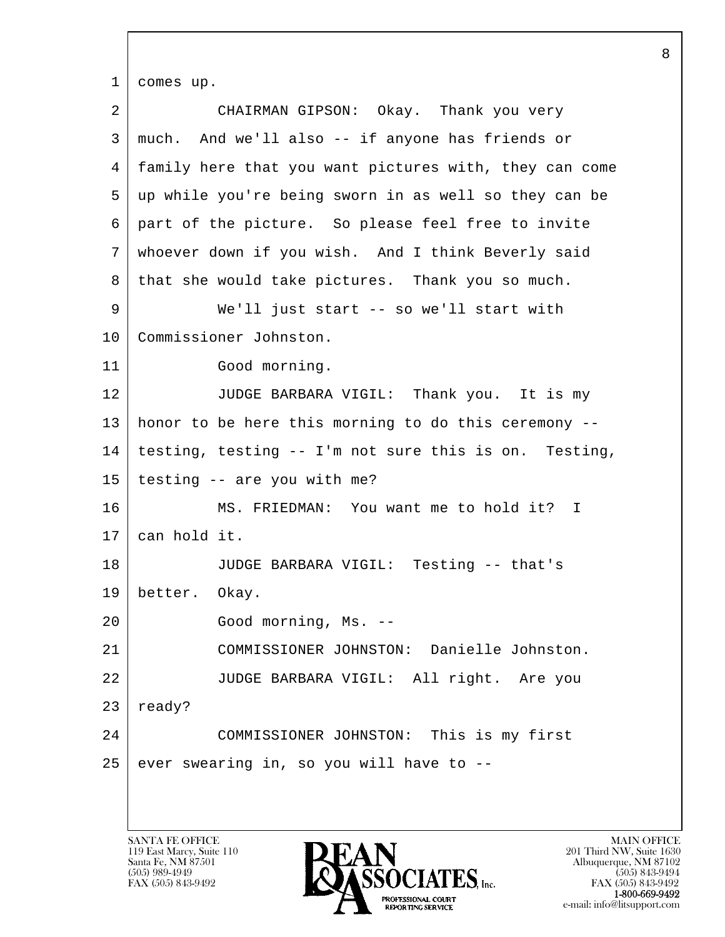l  $\overline{\phantom{a}}$  1 comes up. 2 CHAIRMAN GIPSON: Okay. Thank you very 3 much. And we'll also -- if anyone has friends or 4 family here that you want pictures with, they can come 5 up while you're being sworn in as well so they can be 6 part of the picture. So please feel free to invite 7 whoever down if you wish. And I think Beverly said 8 | that she would take pictures. Thank you so much. 9 We'll just start -- so we'll start with 10 | Commissioner Johnston. 11 Good morning. 12 JUDGE BARBARA VIGIL: Thank you. It is my 13 honor to be here this morning to do this ceremony -- 14 testing, testing -- I'm not sure this is on. Testing,  $15$  | testing  $-$  are you with me? 16 | MS. FRIEDMAN: You want me to hold it? I 17 can hold it. 18 JUDGE BARBARA VIGIL: Testing -- that's 19 better. Okay. 20 Good morning, Ms. --21 COMMISSIONER JOHNSTON: Danielle Johnston. 22 JUDGE BARBARA VIGIL: All right. Are you  $23$  ready? 24 COMMISSIONER JOHNSTON: This is my first  $25$  ever swearing in, so you will have to  $-$ 

119 East Marcy, Suite 110<br>Santa Fe, NM 87501

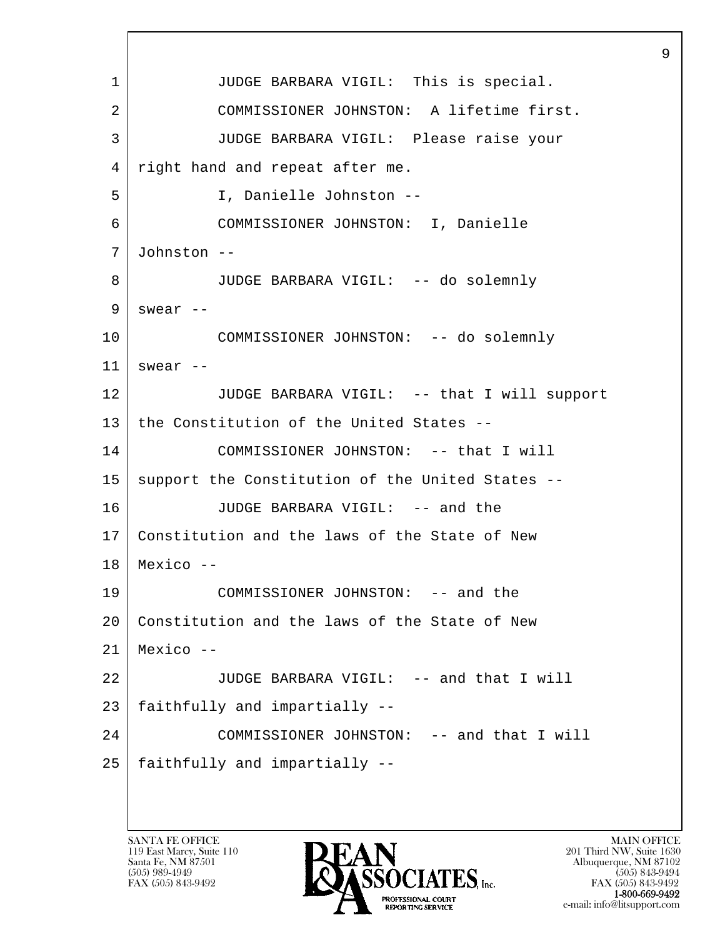l  $\overline{\phantom{a}}$  1 JUDGE BARBARA VIGIL: This is special. 2 COMMISSIONER JOHNSTON: A lifetime first. 3 JUDGE BARBARA VIGIL: Please raise your 4 right hand and repeat after me. 5 I, Danielle Johnston -- 6 COMMISSIONER JOHNSTON: I, Danielle 7 Johnston -- 8 JUDGE BARBARA VIGIL: -- do solemnly  $9$  swear  $-$ 10 COMMISSIONER JOHNSTON: -- do solemnly  $11$  swear  $-$ 12 JUDGE BARBARA VIGIL: -- that I will support 13 the Constitution of the United States --14 COMMISSIONER JOHNSTON: -- that I will 15 | support the Constitution of the United States --16 JUDGE BARBARA VIGIL: -- and the 17 Constitution and the laws of the State of New  $18$  Mexico  $-$ 19 COMMISSIONER JOHNSTON: -- and the 20 Constitution and the laws of the State of New  $21$  Mexico --22 JUDGE BARBARA VIGIL: -- and that I will 23 | faithfully and impartially --24 COMMISSIONER JOHNSTON: -- and that I will  $25$  faithfully and impartially  $-$ 

119 East Marcy, Suite 110<br>Santa Fe, NM 87501



FAX (505) 843-9492<br>1-800-669-9492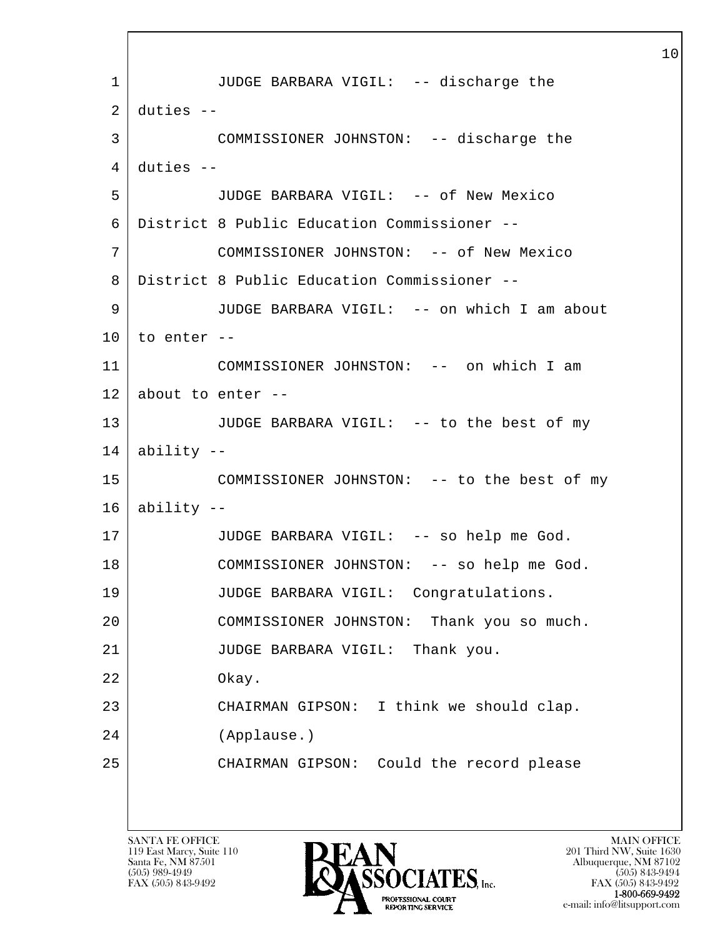l  $\overline{\phantom{a}}$  1 JUDGE BARBARA VIGIL: -- discharge the  $2$  duties  $-$  3 COMMISSIONER JOHNSTON: -- discharge the  $4$  duties  $-$  5 JUDGE BARBARA VIGIL: -- of New Mexico 6 District 8 Public Education Commissioner -- 7 COMMISSIONER JOHNSTON: -- of New Mexico 8 District 8 Public Education Commissioner -- 9 JUDGE BARBARA VIGIL: -- on which I am about  $10$  to enter --11 COMMISSIONER JOHNSTON: -- on which I am  $12$  about to enter  $-$ 13 JUDGE BARBARA VIGIL: -- to the best of my  $14$  | ability --15 COMMISSIONER JOHNSTON: -- to the best of my  $16$  ability  $-$ 17 JUDGE BARBARA VIGIL: -- so help me God. 18 COMMISSIONER JOHNSTON: -- so help me God. 19 JUDGE BARBARA VIGIL: Congratulations. 20 COMMISSIONER JOHNSTON: Thank you so much. 21 JUDGE BARBARA VIGIL: Thank you. 22 Okay. 23 CHAIRMAN GIPSON: I think we should clap. 24 (Applause.) 25 CHAIRMAN GIPSON: Could the record please

119 East Marcy, Suite 110<br>Santa Fe, NM 87501

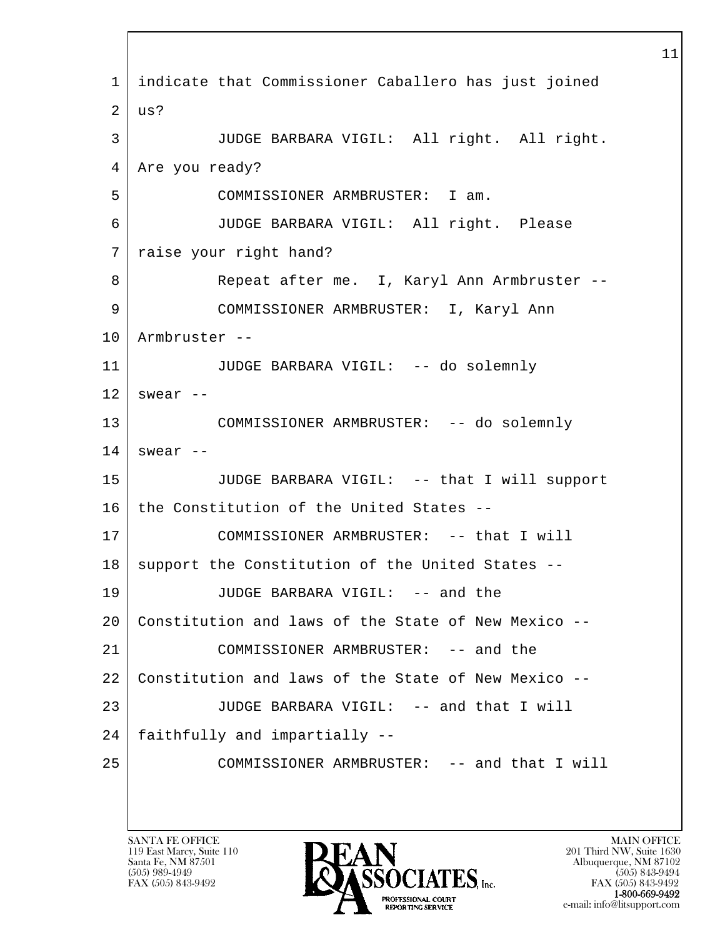l  $\overline{\phantom{a}}$  1 indicate that Commissioner Caballero has just joined  $2 \mid \text{us?}$  3 JUDGE BARBARA VIGIL: All right. All right. 4 | Are you ready? 5 COMMISSIONER ARMBRUSTER: I am. 6 JUDGE BARBARA VIGIL: All right. Please 7 raise your right hand? 8 Repeat after me. I, Karyl Ann Armbruster -- 9 COMMISSIONER ARMBRUSTER: I, Karyl Ann 10 Armbruster -- 11 JUDGE BARBARA VIGIL: -- do solemnly  $12$  swear  $-$ 13 COMMISSIONER ARMBRUSTER: -- do solemnly  $14$  swear  $-$ 15 JUDGE BARBARA VIGIL: -- that I will support 16 the Constitution of the United States --17 COMMISSIONER ARMBRUSTER: -- that I will 18 | support the Constitution of the United States --19 JUDGE BARBARA VIGIL: -- and the 20 Constitution and laws of the State of New Mexico -- 21 COMMISSIONER ARMBRUSTER: -- and the 22 Constitution and laws of the State of New Mexico -- 23 JUDGE BARBARA VIGIL: -- and that I will 24 | faithfully and impartially --25 COMMISSIONER ARMBRUSTER: -- and that I will

119 East Marcy, Suite 110<br>Santa Fe, NM 87501

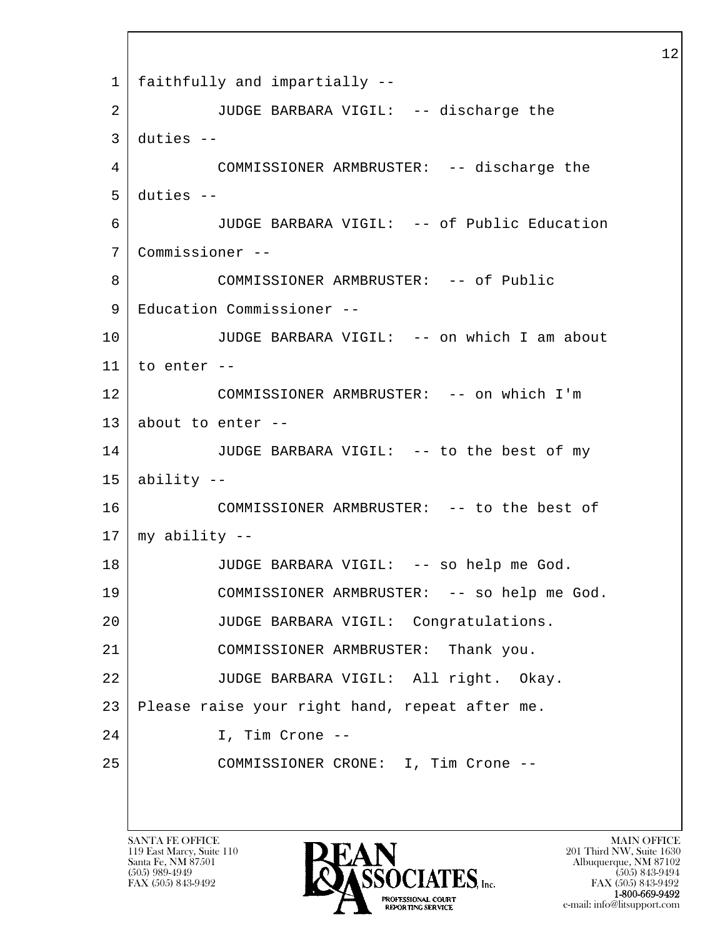l  $\overline{\phantom{a}}$  1 faithfully and impartially -- 2 JUDGE BARBARA VIGIL: -- discharge the  $3$  duties  $-$  4 COMMISSIONER ARMBRUSTER: -- discharge the  $5$  duties  $-$  6 JUDGE BARBARA VIGIL: -- of Public Education 7 Commissioner -- 8 COMMISSIONER ARMBRUSTER: -- of Public 9 Education Commissioner -- 10 JUDGE BARBARA VIGIL: -- on which I am about  $11$  to enter  $-$ 12 COMMISSIONER ARMBRUSTER: -- on which I'm 13 about to enter  $-$ 14 JUDGE BARBARA VIGIL: -- to the best of my  $15$  ability --16 COMMISSIONER ARMBRUSTER: -- to the best of 17 my ability -- 18 JUDGE BARBARA VIGIL: -- so help me God. 19 COMMISSIONER ARMBRUSTER: -- so help me God. 20 JUDGE BARBARA VIGIL: Congratulations. 21 COMMISSIONER ARMBRUSTER: Thank you. 22 JUDGE BARBARA VIGIL: All right. Okay. 23 Please raise your right hand, repeat after me. 24 I, Tim Crone -- 25 COMMISSIONER CRONE: I, Tim Crone --

119 East Marcy, Suite 110<br>Santa Fe, NM 87501

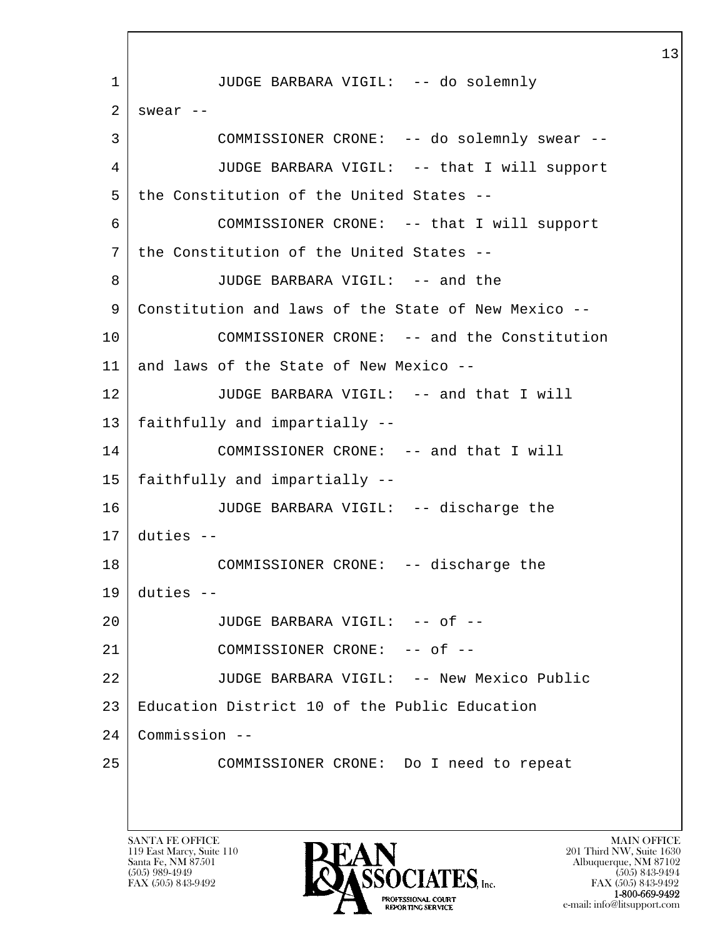l  $\overline{\phantom{a}}$  1 JUDGE BARBARA VIGIL: -- do solemnly  $2$  swear  $-$  3 COMMISSIONER CRONE: -- do solemnly swear -- 4 JUDGE BARBARA VIGIL: -- that I will support 5 the Constitution of the United States -- 6 COMMISSIONER CRONE: -- that I will support 7 the Constitution of the United States -- 8 JUDGE BARBARA VIGIL: -- and the 9 Constitution and laws of the State of New Mexico -- 10 COMMISSIONER CRONE: -- and the Constitution 11 and laws of the State of New Mexico --12 JUDGE BARBARA VIGIL: -- and that I will 13 faithfully and impartially -- 14 COMMISSIONER CRONE: -- and that I will 15 faithfully and impartially -- 16 JUDGE BARBARA VIGIL: -- discharge the  $17$  duties  $-$ 18 COMMISSIONER CRONE: -- discharge the  $19$  duties  $-$ 20 | JUDGE BARBARA VIGIL: -- of --21 COMMISSIONER CRONE: -- of --22 JUDGE BARBARA VIGIL: -- New Mexico Public 23 Education District 10 of the Public Education 24 Commission -- 25 COMMISSIONER CRONE: Do I need to repeat

119 East Marcy, Suite 110<br>Santa Fe, NM 87501

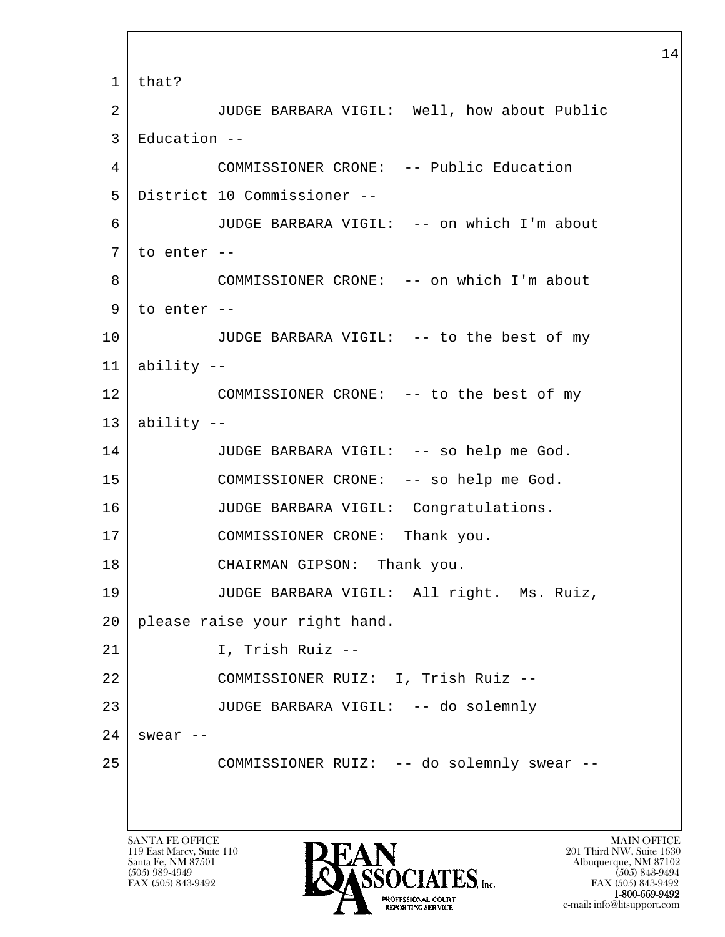l  $\overline{\phantom{a}}$  1 that? 2 JUDGE BARBARA VIGIL: Well, how about Public 3 Education -- 4 COMMISSIONER CRONE: -- Public Education 5 District 10 Commissioner -- 6 JUDGE BARBARA VIGIL: -- on which I'm about  $7$  to enter  $-$  8 COMMISSIONER CRONE: -- on which I'm about  $9$  to enter  $-$ 10 JUDGE BARBARA VIGIL: -- to the best of my  $11$  ability  $-$ 12 COMMISSIONER CRONE: -- to the best of my  $13$  ability  $-$ 14 JUDGE BARBARA VIGIL: -- so help me God. 15 COMMISSIONER CRONE: -- so help me God. 16 JUDGE BARBARA VIGIL: Congratulations. 17 COMMISSIONER CRONE: Thank you. 18 CHAIRMAN GIPSON: Thank you. 19 JUDGE BARBARA VIGIL: All right. Ms. Ruiz, 20 please raise your right hand. 21 I, Trish Ruiz -- 22 COMMISSIONER RUIZ: I, Trish Ruiz -- 23 JUDGE BARBARA VIGIL: -- do solemnly  $24$  swear --25 COMMISSIONER RUIZ: -- do solemnly swear --

119 East Marcy, Suite 110<br>Santa Fe, NM 87501



FAX (505) 843-9492<br>**1-800-669-9492** e-mail: info@litsupport.com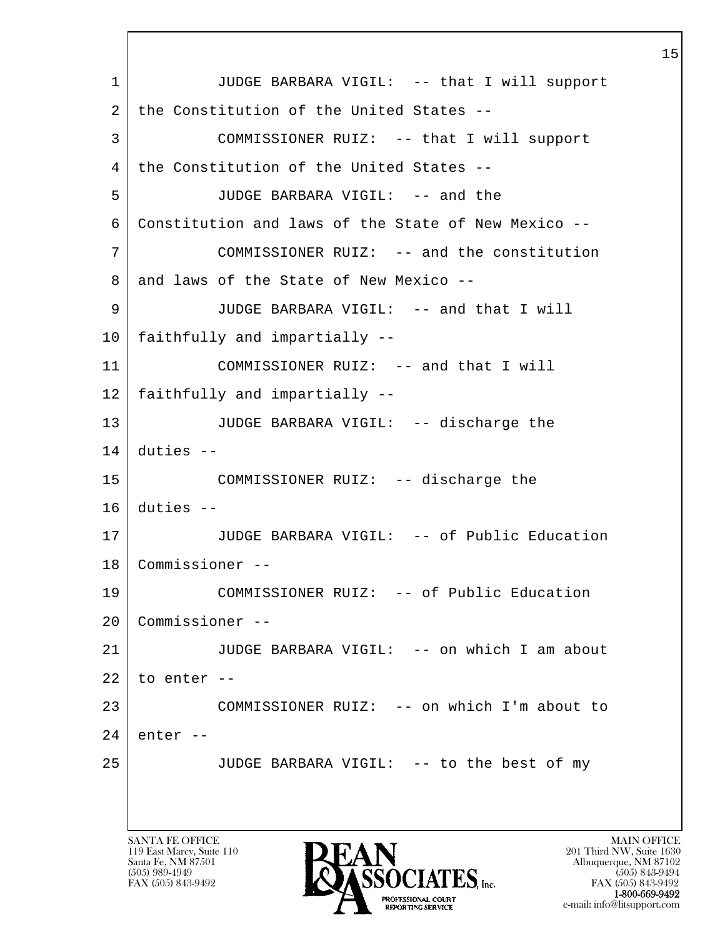l  $\overline{\phantom{a}}$ 1 | JUDGE BARBARA VIGIL: -- that I will support 2 the Constitution of the United States -- 3 COMMISSIONER RUIZ: -- that I will support 4 | the Constitution of the United States -- 5 JUDGE BARBARA VIGIL: -- and the 6 Constitution and laws of the State of New Mexico -- 7 COMMISSIONER RUIZ: -- and the constitution  $8$  and laws of the State of New Mexico -- 9 JUDGE BARBARA VIGIL: -- and that I will 10 faithfully and impartially -- 11 | COMMISSIONER RUIZ: -- and that I will 12 faithfully and impartially -- 13 JUDGE BARBARA VIGIL: -- discharge the 14 duties -- 15 COMMISSIONER RUIZ: -- discharge the  $16$  duties  $-$ 17 JUDGE BARBARA VIGIL: -- of Public Education 18 Commissioner -- 19 COMMISSIONER RUIZ: -- of Public Education 20 Commissioner -- 21 JUDGE BARBARA VIGIL: -- on which I am about  $22$  to enter  $-$ 23 COMMISSIONER RUIZ: -- on which I'm about to  $24$  enter  $-$ 25 JUDGE BARBARA VIGIL: -- to the best of my

119 East Marcy, Suite 110<br>Santa Fe, NM 87501



FAX (505) 843-9492<br>1-800-669-9492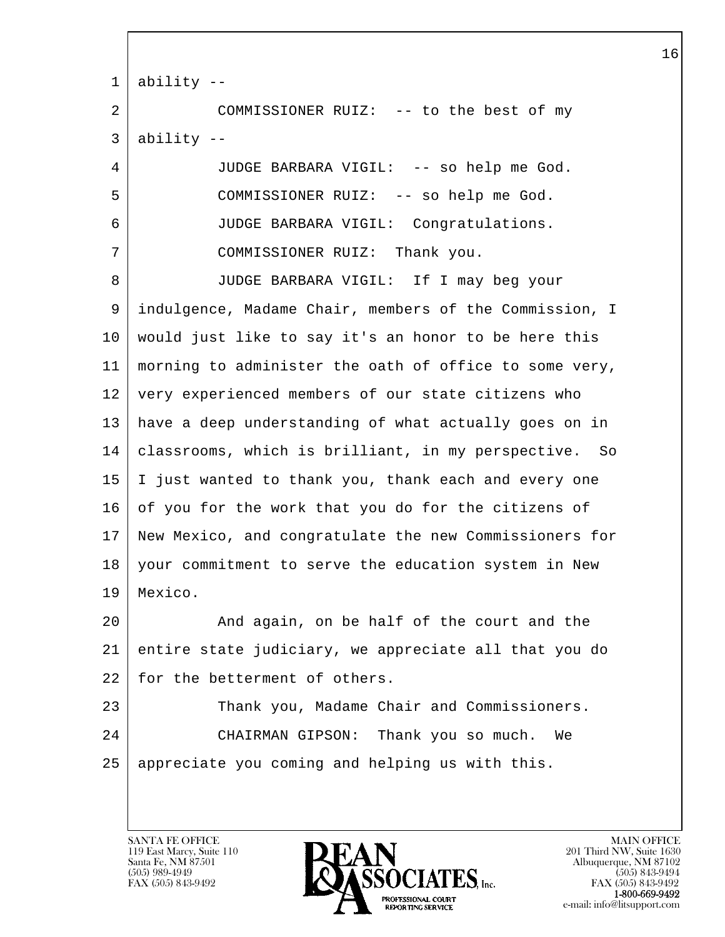| 1  | ability --                                             |
|----|--------------------------------------------------------|
| 2  | COMMISSIONER RUIZ: -- to the best of my                |
| 3  | ability --                                             |
| 4  | JUDGE BARBARA VIGIL: -- so help me God.                |
| 5  | COMMISSIONER RUIZ: -- so help me God.                  |
| 6  | JUDGE BARBARA VIGIL: Congratulations.                  |
| 7  | COMMISSIONER RUIZ: Thank you.                          |
| 8  | JUDGE BARBARA VIGIL: If I may beg your                 |
| 9  | indulgence, Madame Chair, members of the Commission, I |
| 10 | would just like to say it's an honor to be here this   |
| 11 | morning to administer the oath of office to some very, |
| 12 | very experienced members of our state citizens who     |
| 13 | have a deep understanding of what actually goes on in  |
| 14 | classrooms, which is brilliant, in my perspective. So  |
| 15 | I just wanted to thank you, thank each and every one   |
| 16 | of you for the work that you do for the citizens of    |
| 17 | New Mexico, and congratulate the new Commissioners for |
| 18 | your commitment to serve the education system in New   |
| 19 | Mexico.                                                |
| 20 | And again, on be half of the court and the             |
| 21 | entire state judiciary, we appreciate all that you do  |
| 22 | for the betterment of others.                          |
| 23 | Thank you, Madame Chair and Commissioners.             |
| 24 | CHAIRMAN GIPSON: Thank you so much.<br>We              |
| 25 | appreciate you coming and helping us with this.        |
|    |                                                        |

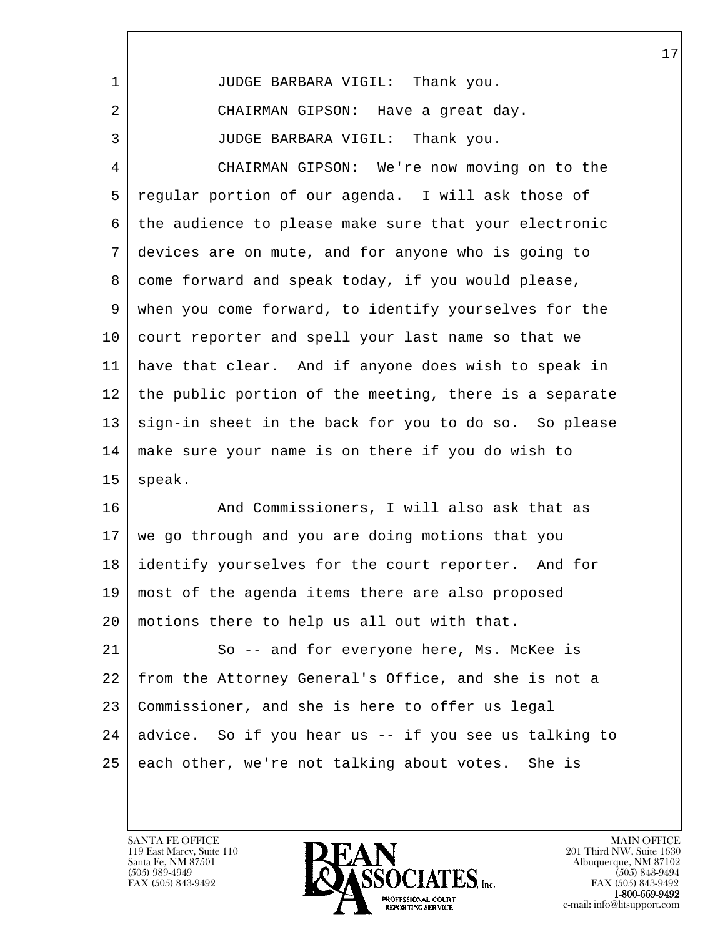| 1              | JUDGE BARBARA VIGIL: Thank you.                        |
|----------------|--------------------------------------------------------|
| 2              | CHAIRMAN GIPSON: Have a great day.                     |
| 3              | JUDGE BARBARA VIGIL: Thank you.                        |
| $\overline{4}$ | CHAIRMAN GIPSON: We're now moving on to the            |
| 5              | regular portion of our agenda. I will ask those of     |
| 6              | the audience to please make sure that your electronic  |
| 7              | devices are on mute, and for anyone who is going to    |
| 8              | come forward and speak today, if you would please,     |
| 9              | when you come forward, to identify yourselves for the  |
| $10 \,$        | court reporter and spell your last name so that we     |
| 11             | have that clear. And if anyone does wish to speak in   |
| 12             | the public portion of the meeting, there is a separate |
| 13             | sign-in sheet in the back for you to do so. So please  |
| 14             | make sure your name is on there if you do wish to      |
| 15             | speak.                                                 |
| 16             | And Commissioners, I will also ask that as             |
| 17             | we go through and you are doing motions that you       |
| 18             | identify yourselves for the court reporter. And for    |
| 19             | most of the agenda items there are also proposed       |
| 20             | motions there to help us all out with that.            |
| 21             | So -- and for everyone here, Ms. McKee is              |
| 22             | from the Attorney General's Office, and she is not a   |
| 23             | Commissioner, and she is here to offer us legal        |
| 24             | advice. So if you hear us -- if you see us talking to  |
| 25             | each other, we're not talking about votes. She is      |
|                |                                                        |

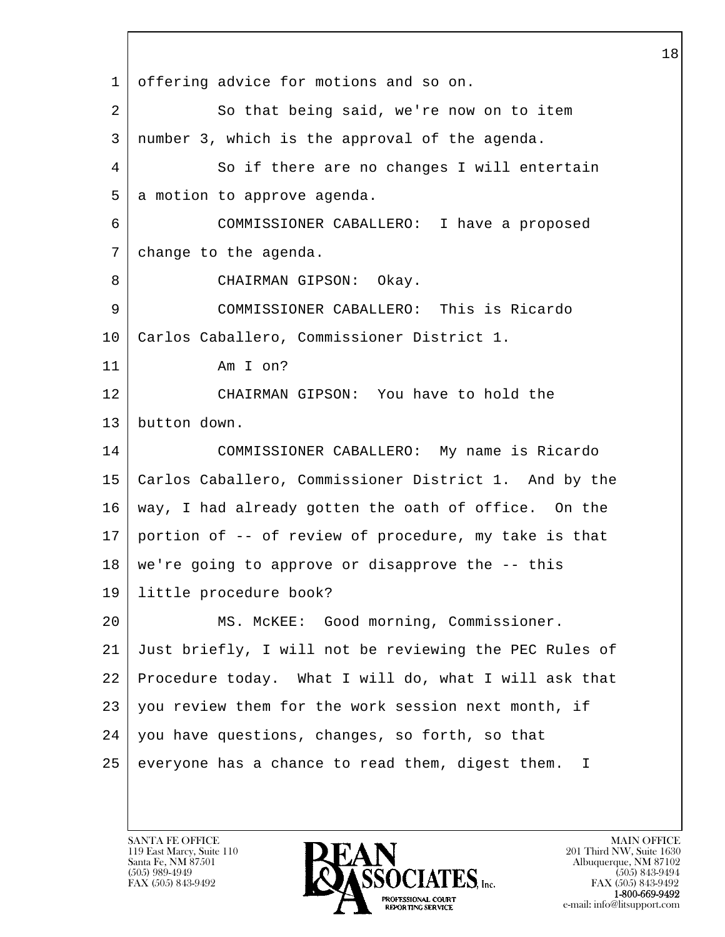l  $\overline{\phantom{a}}$  1 offering advice for motions and so on. 2 So that being said, we're now on to item 3 number 3, which is the approval of the agenda. 4 So if there are no changes I will entertain 5 a motion to approve agenda. 6 COMMISSIONER CABALLERO: I have a proposed 7 change to the agenda. 8 CHAIRMAN GIPSON: Okay. 9 COMMISSIONER CABALLERO: This is Ricardo 10 Carlos Caballero, Commissioner District 1. 11 Am I on? 12 CHAIRMAN GIPSON: You have to hold the 13 button down. 14 COMMISSIONER CABALLERO: My name is Ricardo 15 Carlos Caballero, Commissioner District 1. And by the 16 way, I had already gotten the oath of office. On the 17 portion of -- of review of procedure, my take is that 18 we're going to approve or disapprove the -- this 19 little procedure book? 20 MS. McKEE: Good morning, Commissioner. 21 Just briefly, I will not be reviewing the PEC Rules of 22 Procedure today. What I will do, what I will ask that 23 you review them for the work session next month, if 24 | you have questions, changes, so forth, so that  $25$  everyone has a chance to read them, digest them. I

119 East Marcy, Suite 110<br>Santa Fe, NM 87501

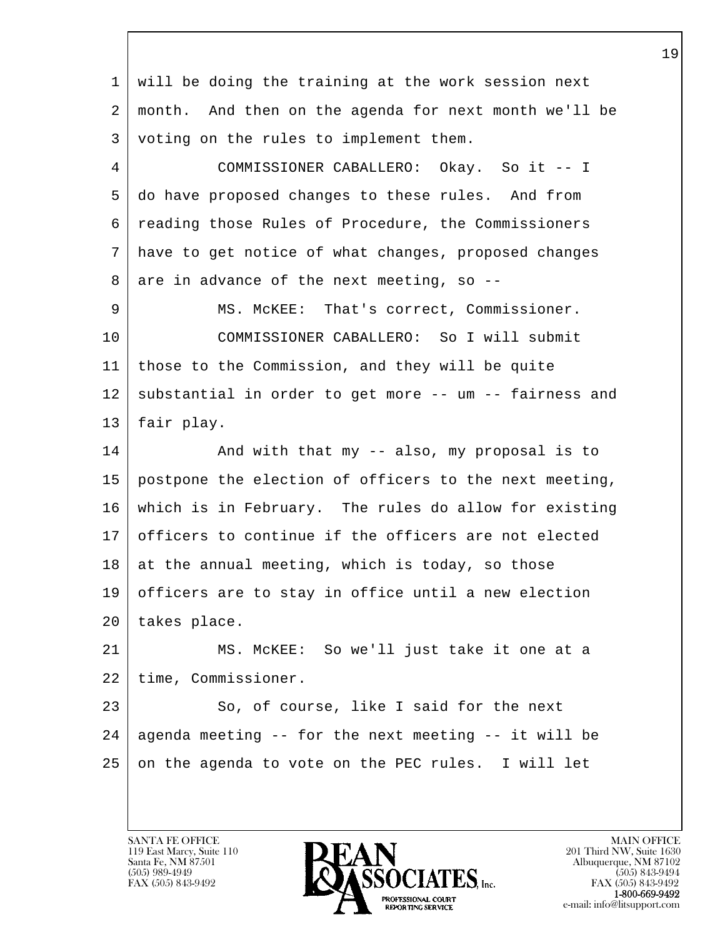l  $\overline{\phantom{a}}$  1 will be doing the training at the work session next 2 month. And then on the agenda for next month we'll be 3 voting on the rules to implement them. 4 COMMISSIONER CABALLERO: Okay. So it -- I 5 do have proposed changes to these rules. And from 6 reading those Rules of Procedure, the Commissioners 7 have to get notice of what changes, proposed changes  $8$  are in advance of the next meeting, so --9 | MS. McKEE: That's correct, Commissioner. 10 COMMISSIONER CABALLERO: So I will submit 11 those to the Commission, and they will be quite 12 | substantial in order to get more -- um -- fairness and 13 fair play. 14 And with that my -- also, my proposal is to 15 postpone the election of officers to the next meeting, 16 which is in February. The rules do allow for existing 17 officers to continue if the officers are not elected  $18$  at the annual meeting, which is today, so those 19 officers are to stay in office until a new election 20 takes place. 21 MS. McKEE: So we'll just take it one at a 22 time, Commissioner. 23 So, of course, like I said for the next  $24$  agenda meeting -- for the next meeting -- it will be  $25$  on the agenda to vote on the PEC rules. I will let

119 East Marcy, Suite 110<br>Santa Fe, NM 87501

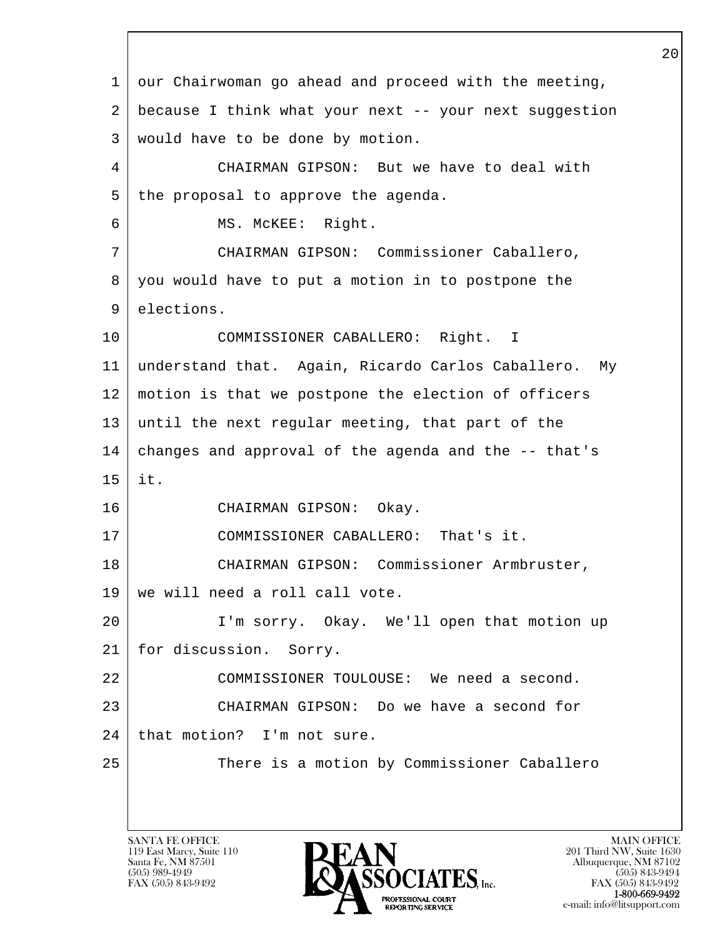l  $\overline{\phantom{a}}$  1 our Chairwoman go ahead and proceed with the meeting, 2 because I think what your next -- your next suggestion 3 would have to be done by motion. 4 CHAIRMAN GIPSON: But we have to deal with 5 | the proposal to approve the agenda. 6 MS. McKEE: Right. 7 CHAIRMAN GIPSON: Commissioner Caballero, 8 you would have to put a motion in to postpone the 9 elections. 10 COMMISSIONER CABALLERO: Right. I 11 understand that. Again, Ricardo Carlos Caballero. My 12 motion is that we postpone the election of officers 13 until the next regular meeting, that part of the 14 changes and approval of the agenda and the -- that's 15 it. 16 CHAIRMAN GIPSON: Okay. 17 | COMMISSIONER CABALLERO: That's it. 18 | CHAIRMAN GIPSON: Commissioner Armbruster, 19 we will need a roll call vote. 20 I'm sorry. Okay. We'll open that motion up 21 for discussion. Sorry. 22 COMMISSIONER TOULOUSE: We need a second. 23 CHAIRMAN GIPSON: Do we have a second for 24 | that motion? I'm not sure. 25 | There is a motion by Commissioner Caballero

119 East Marcy, Suite 110<br>Santa Fe, NM 87501

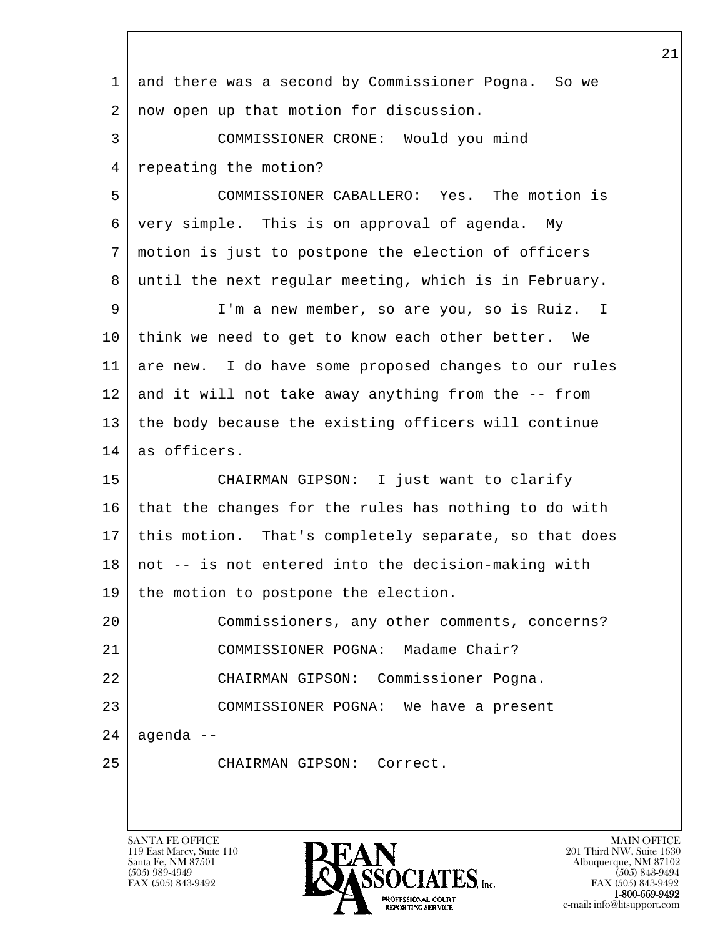| $\mathbf{1}$ | and there was a second by Commissioner Pogna. So we   |
|--------------|-------------------------------------------------------|
| 2            | now open up that motion for discussion.               |
| 3            | COMMISSIONER CRONE: Would you mind                    |
| 4            | repeating the motion?                                 |
| 5            | COMMISSIONER CABALLERO: Yes. The motion is            |
| 6            | very simple. This is on approval of agenda. My        |
| 7            | motion is just to postpone the election of officers   |
| 8            | until the next regular meeting, which is in February. |
| 9            | I'm a new member, so are you, so is Ruiz. I           |
| 10           | think we need to get to know each other better. We    |
| 11           | are new. I do have some proposed changes to our rules |
| 12           | and it will not take away anything from the -- from   |
| 13           | the body because the existing officers will continue  |
| 14           | as officers.                                          |
| 15           | CHAIRMAN GIPSON: I just want to clarify               |
| 16           | that the changes for the rules has nothing to do with |
| 17           | this motion. That's completely separate, so that does |
| 18           | not -- is not entered into the decision-making with   |
| 19           | the motion to postpone the election.                  |
| 20           | Commissioners, any other comments, concerns?          |
| 21           | COMMISSIONER POGNA: Madame Chair?                     |
| 22           | CHAIRMAN GIPSON: Commissioner Pogna.                  |
| 23           | COMMISSIONER POGNA: We have a present                 |
| 24           | agenda --                                             |
| 25           | CHAIRMAN GIPSON: Correct.                             |
|              |                                                       |

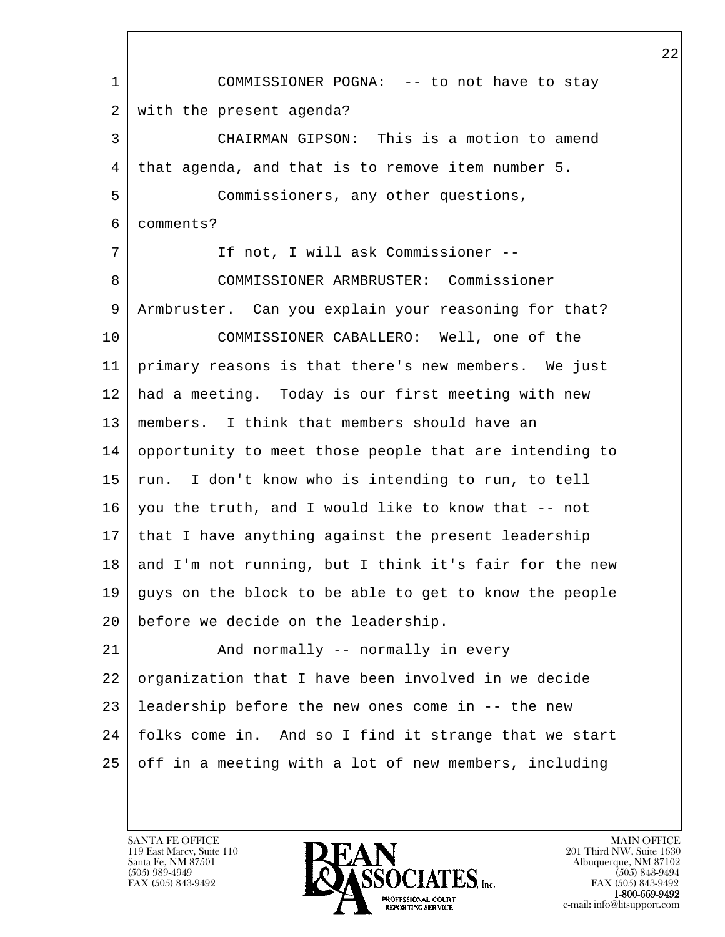l  $\overline{\phantom{a}}$  1 COMMISSIONER POGNA: -- to not have to stay 2 with the present agenda? 3 CHAIRMAN GIPSON: This is a motion to amend 4 that agenda, and that is to remove item number 5. 5 Commissioners, any other questions, 6 comments? 7 | If not, I will ask Commissioner -- 8 COMMISSIONER ARMBRUSTER: Commissioner 9 Armbruster. Can you explain your reasoning for that? 10 COMMISSIONER CABALLERO: Well, one of the 11 primary reasons is that there's new members. We just 12 had a meeting. Today is our first meeting with new 13 members. I think that members should have an 14 opportunity to meet those people that are intending to 15 | run. I don't know who is intending to run, to tell  $16$  you the truth, and I would like to know that  $-$  not  $17$  | that I have anything against the present leadership  $18$  and I'm not running, but I think it's fair for the new 19 quys on the block to be able to get to know the people 20 before we decide on the leadership. 21 | And normally -- normally in every 22 organization that I have been involved in we decide 23 leadership before the new ones come in -- the new 24 folks come in. And so I find it strange that we start 25 off in a meeting with a lot of new members, including

119 East Marcy, Suite 110<br>Santa Fe, NM 87501

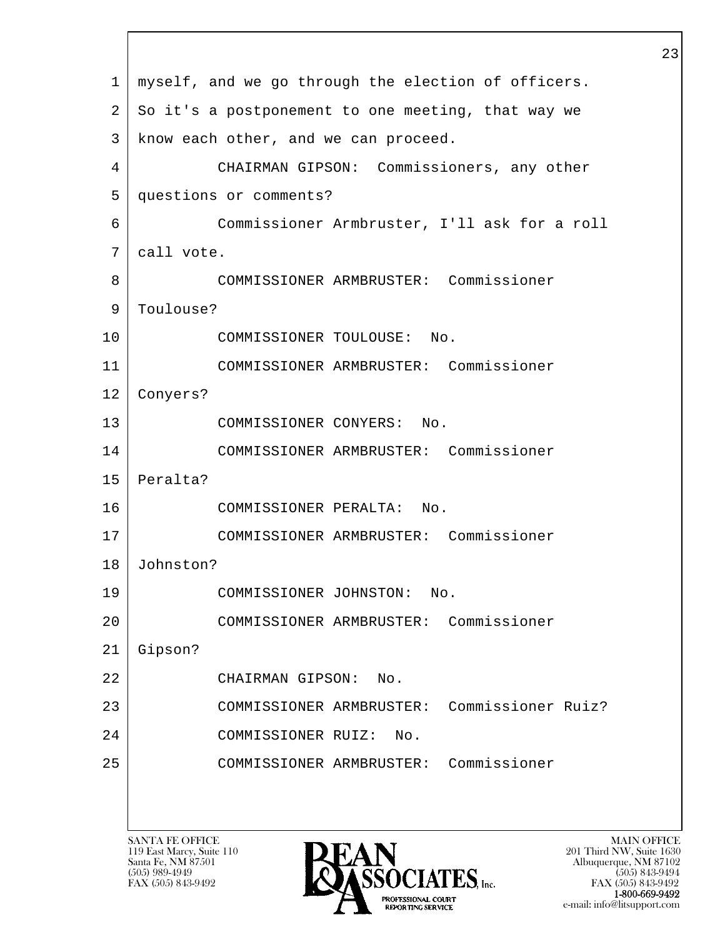l  $\overline{\phantom{a}}$  1 myself, and we go through the election of officers. 2 So it's a postponement to one meeting, that way we 3 | know each other, and we can proceed. 4 CHAIRMAN GIPSON: Commissioners, any other 5 questions or comments? 6 Commissioner Armbruster, I'll ask for a roll 7 call vote. 8 COMMISSIONER ARMBRUSTER: Commissioner 9 | Toulouse? 10 COMMISSIONER TOULOUSE: No. 11 COMMISSIONER ARMBRUSTER: Commissioner 12 Conyers? 13 COMMISSIONER CONYERS: No. 14 COMMISSIONER ARMBRUSTER: Commissioner 15 Peralta? 16 COMMISSIONER PERALTA: No. 17 COMMISSIONER ARMBRUSTER: Commissioner 18 Johnston? 19 COMMISSIONER JOHNSTON: No. 20 COMMISSIONER ARMBRUSTER: Commissioner 21 Gipson? 22 CHAIRMAN GIPSON: No. 23 COMMISSIONER ARMBRUSTER: Commissioner Ruiz? 24 COMMISSIONER RUIZ: No. 25 COMMISSIONER ARMBRUSTER: Commissioner

119 East Marcy, Suite 110<br>Santa Fe, NM 87501



FAX (505) 843-9492 FAX (505) 843-9492 **EXECUTE EXECUTE:**<br>REPORTING SERVICE e-mail: info@litsupport.com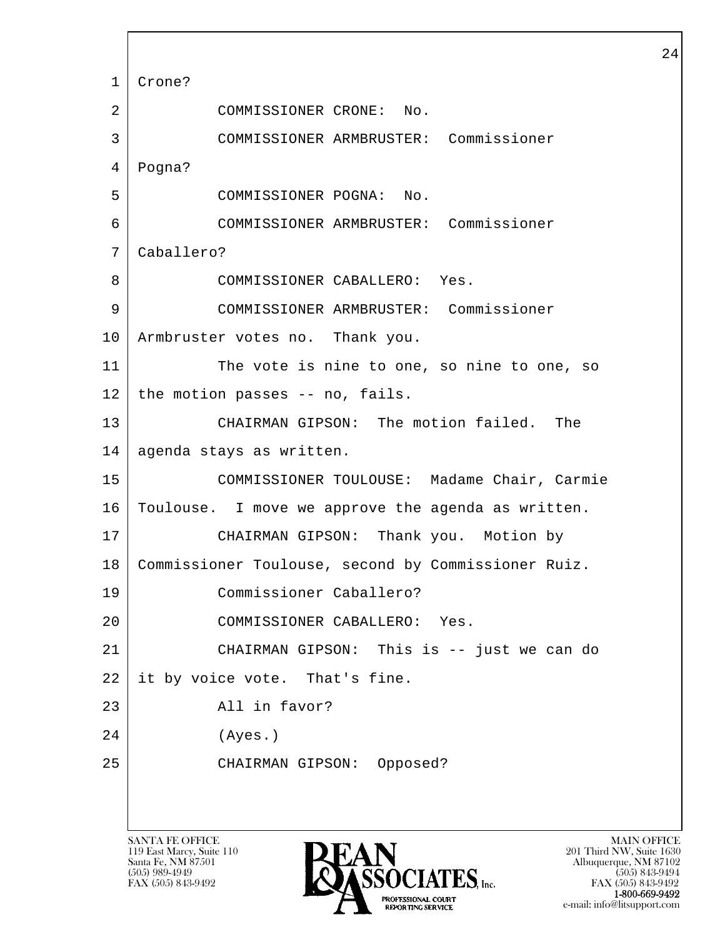l  $\overline{\phantom{a}}$  1 Crone? 2 COMMISSIONER CRONE: No. 3 COMMISSIONER ARMBRUSTER: Commissioner 4 Pogna? 5 COMMISSIONER POGNA: No. 6 COMMISSIONER ARMBRUSTER: Commissioner 7 Caballero? 8 COMMISSIONER CABALLERO: Yes. 9 COMMISSIONER ARMBRUSTER: Commissioner 10 Armbruster votes no. Thank you. 11 The vote is nine to one, so nine to one, so  $12$  the motion passes -- no, fails. 13 CHAIRMAN GIPSON: The motion failed. The 14 agenda stays as written. 15 COMMISSIONER TOULOUSE: Madame Chair, Carmie 16 | Toulouse. I move we approve the agenda as written. 17 CHAIRMAN GIPSON: Thank you. Motion by 18 Commissioner Toulouse, second by Commissioner Ruiz. 19 Commissioner Caballero? 20 COMMISSIONER CABALLERO: Yes. 21 CHAIRMAN GIPSON: This is -- just we can do 22 it by voice vote. That's fine. 23 All in favor? 24 (Ayes.) 25 CHAIRMAN GIPSON: Opposed?

119 East Marcy, Suite 110<br>Santa Fe, NM 87501



FAX (505) 843-9492 FAX (505) 843-9492 e-mail: info@litsupport.com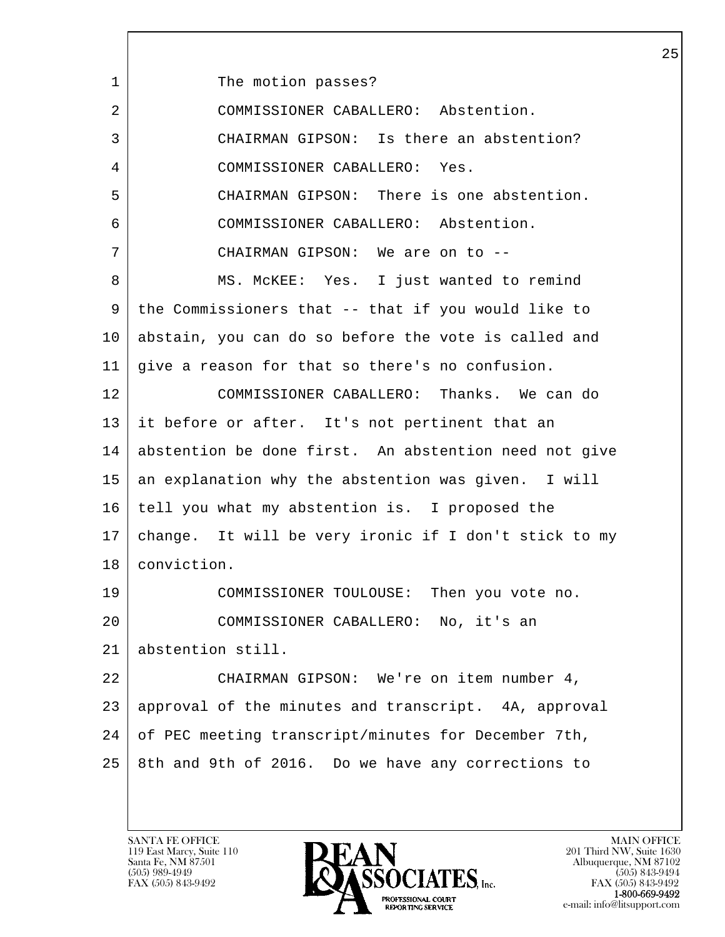| 1  | The motion passes?                                    |
|----|-------------------------------------------------------|
| 2  | COMMISSIONER CABALLERO: Abstention.                   |
| 3  | CHAIRMAN GIPSON: Is there an abstention?              |
| 4  | COMMISSIONER CABALLERO: Yes.                          |
| 5  | CHAIRMAN GIPSON: There is one abstention.             |
| 6  | COMMISSIONER CABALLERO: Abstention.                   |
| 7  | CHAIRMAN GIPSON: We are on to --                      |
| 8  | MS. MCKEE: Yes. I just wanted to remind               |
| 9  | the Commissioners that -- that if you would like to   |
| 10 | abstain, you can do so before the vote is called and  |
| 11 | give a reason for that so there's no confusion.       |
| 12 | COMMISSIONER CABALLERO: Thanks. We can do             |
| 13 | it before or after. It's not pertinent that an        |
| 14 | abstention be done first. An abstention need not give |
| 15 | an explanation why the abstention was given. I will   |
| 16 | tell you what my abstention is. I proposed the        |
| 17 | change. It will be very ironic if I don't stick to my |
| 18 | conviction.                                           |
| 19 | COMMISSIONER TOULOUSE: Then you vote no.              |
| 20 | COMMISSIONER CABALLERO: No, it's an                   |
| 21 | abstention still.                                     |
| 22 | CHAIRMAN GIPSON: We're on item number 4,              |
| 23 | approval of the minutes and transcript. 4A, approval  |
| 24 | of PEC meeting transcript/minutes for December 7th,   |
| 25 | 8th and 9th of 2016. Do we have any corrections to    |

 $\lceil$ 

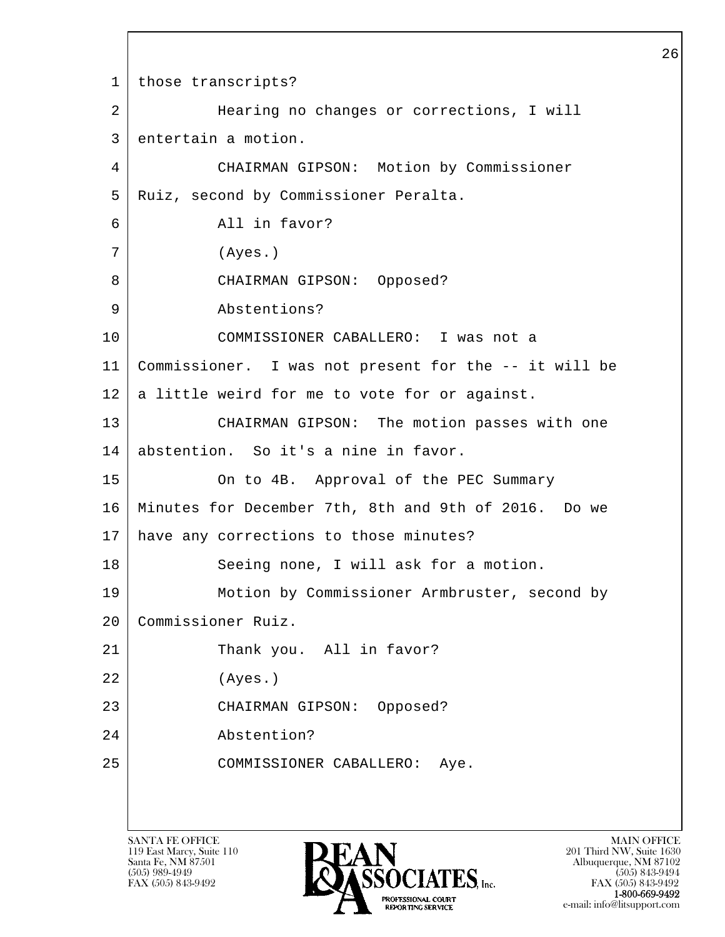l  $\overline{\phantom{a}}$  1 those transcripts? 2 | Hearing no changes or corrections, I will 3 entertain a motion. 4 CHAIRMAN GIPSON: Motion by Commissioner 5 Ruiz, second by Commissioner Peralta. 6 All in favor? 7 (Ayes.) 8 | CHAIRMAN GIPSON: Opposed? 9 Abstentions? 10 COMMISSIONER CABALLERO: I was not a 11 Commissioner. I was not present for the -- it will be 12 | a little weird for me to vote for or against. 13 CHAIRMAN GIPSON: The motion passes with one 14 abstention. So it's a nine in favor. 15 On to 4B. Approval of the PEC Summary 16 Minutes for December 7th, 8th and 9th of 2016. Do we 17 have any corrections to those minutes? 18 Seeing none, I will ask for a motion. 19 Motion by Commissioner Armbruster, second by 20 Commissioner Ruiz. 21 Thank you. All in favor? 22 (Ayes.) 23 CHAIRMAN GIPSON: Opposed? 24 Abstention? 25 COMMISSIONER CABALLERO: Aye.

119 East Marcy, Suite 110<br>Santa Fe, NM 87501



FAX (505) 843-9492 FAX (505) 843-9492 e-mail: info@litsupport.com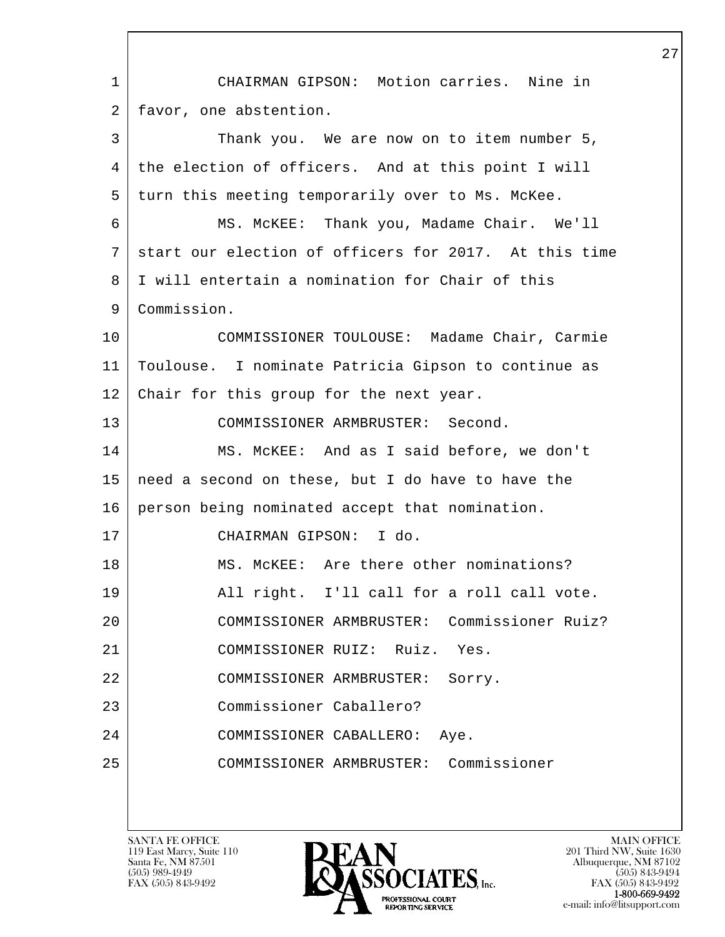l  $\overline{\phantom{a}}$  1 CHAIRMAN GIPSON: Motion carries. Nine in 2 favor, one abstention. 3 Thank you. We are now on to item number 5, 4 the election of officers. And at this point I will 5 turn this meeting temporarily over to Ms. McKee. 6 MS. McKEE: Thank you, Madame Chair. We'll 7 start our election of officers for 2017. At this time 8 I will entertain a nomination for Chair of this 9 Commission. 10 COMMISSIONER TOULOUSE: Madame Chair, Carmie 11 Toulouse. I nominate Patricia Gipson to continue as 12 Chair for this group for the next year. 13 COMMISSIONER ARMBRUSTER: Second. 14 MS. McKEE: And as I said before, we don't 15 need a second on these, but I do have to have the 16 person being nominated accept that nomination. 17 CHAIRMAN GIPSON: I do. 18 MS. McKEE: Are there other nominations? 19 All right. I'll call for a roll call vote. 20 COMMISSIONER ARMBRUSTER: Commissioner Ruiz? 21 COMMISSIONER RUIZ: Ruiz. Yes. 22 COMMISSIONER ARMBRUSTER: Sorry. 23 Commissioner Caballero? 24 COMMISSIONER CABALLERO: Aye. 25 COMMISSIONER ARMBRUSTER: Commissioner

119 East Marcy, Suite 110<br>Santa Fe, NM 87501



FAX (505) 843-9492 FAX (505) 843-9492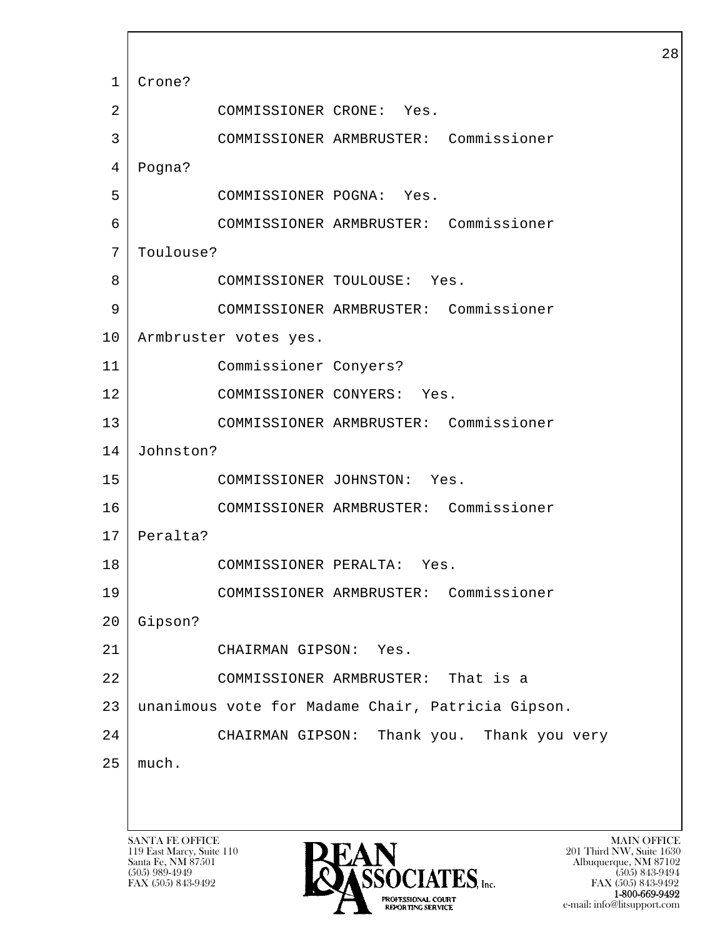l  $\overline{\phantom{a}}$ SANTA FE OFFICE MAIN OFFICE MAIN OFFICE MAIN OFFICE MAIN OFFICE 1 Crone? 2 COMMISSIONER CRONE: Yes. 3 COMMISSIONER ARMBRUSTER: Commissioner 4 Pogna? 5 COMMISSIONER POGNA: Yes. 6 COMMISSIONER ARMBRUSTER: Commissioner 7 Toulouse? 8 COMMISSIONER TOULOUSE: Yes. 9 COMMISSIONER ARMBRUSTER: Commissioner 10 | Armbruster votes yes. 11 Commissioner Conyers? 12 COMMISSIONER CONYERS: Yes. 13 COMMISSIONER ARMBRUSTER: Commissioner 14 Johnston? 15 COMMISSIONER JOHNSTON: Yes. 16 COMMISSIONER ARMBRUSTER: Commissioner 17 | Peralta? 18 COMMISSIONER PERALTA: Yes. 19 COMMISSIONER ARMBRUSTER: Commissioner 20 Gipson? 21 CHAIRMAN GIPSON: Yes. 22 COMMISSIONER ARMBRUSTER: That is a 23 unanimous vote for Madame Chair, Patricia Gipson. 24 CHAIRMAN GIPSON: Thank you. Thank you very  $25$  | much.

119 East Marcy, Suite 110<br>Santa Fe, NM 87501

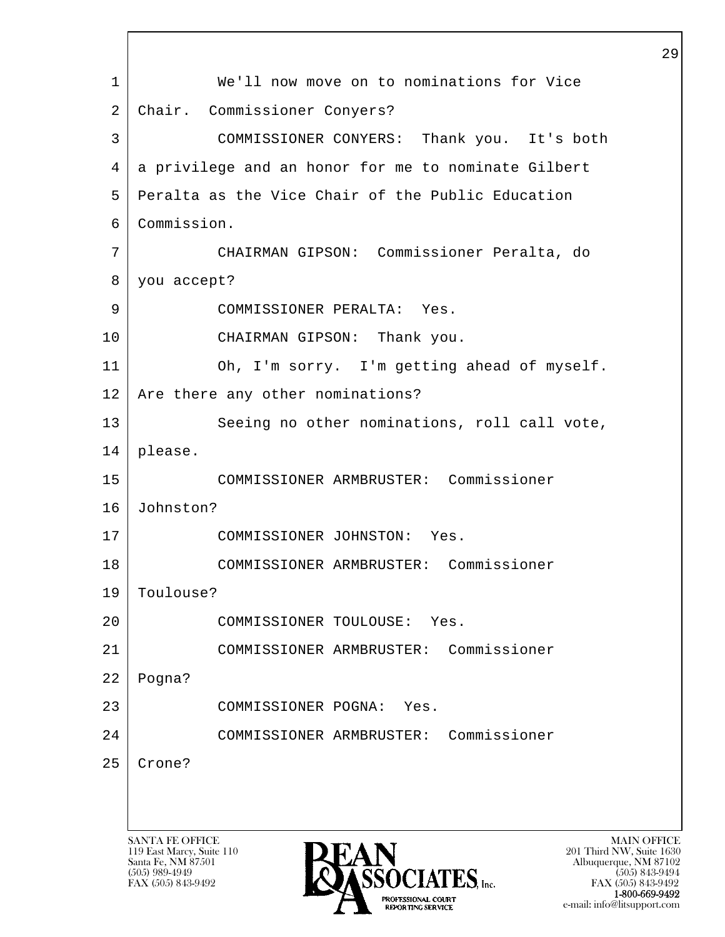l  $\overline{\phantom{a}}$ SANTA FE OFFICE MAIN OFFICE MAIN OFFICE MAIN OFFICE MAIN OFFICE 119 East Marcy, Suite 110<br>Santa Fe, NM 87501 Santa Fe, NM 87501 Albuquerque, NM 87102 1 We'll now move on to nominations for Vice 2 Chair. Commissioner Conyers? 3 COMMISSIONER CONYERS: Thank you. It's both 4 a privilege and an honor for me to nominate Gilbert 5 Peralta as the Vice Chair of the Public Education 6 Commission. 7 CHAIRMAN GIPSON: Commissioner Peralta, do 8 you accept? 9 COMMISSIONER PERALTA: Yes. 10 CHAIRMAN GIPSON: Thank you. 11 Oh, I'm sorry. I'm getting ahead of myself. 12 | Are there any other nominations? 13 Seeing no other nominations, roll call vote, 14 please. 15 COMMISSIONER ARMBRUSTER: Commissioner 16 Johnston? 17 COMMISSIONER JOHNSTON: Yes. 18 COMMISSIONER ARMBRUSTER: Commissioner 19 Toulouse? 20 COMMISSIONER TOULOUSE: Yes. 21 COMMISSIONER ARMBRUSTER: Commissioner 22 Pogna? 23 COMMISSIONER POGNA: Yes. 24 COMMISSIONER ARMBRUSTER: Commissioner 25 Crone?



FAX (505) 843-9492 FAX (505) 843-9492 1-800-669-9492<br>PROFESSIONAL COURT **EXECUTE EXECUTE:**<br>REPORTING SERVICE e-mail: info@litsupport.com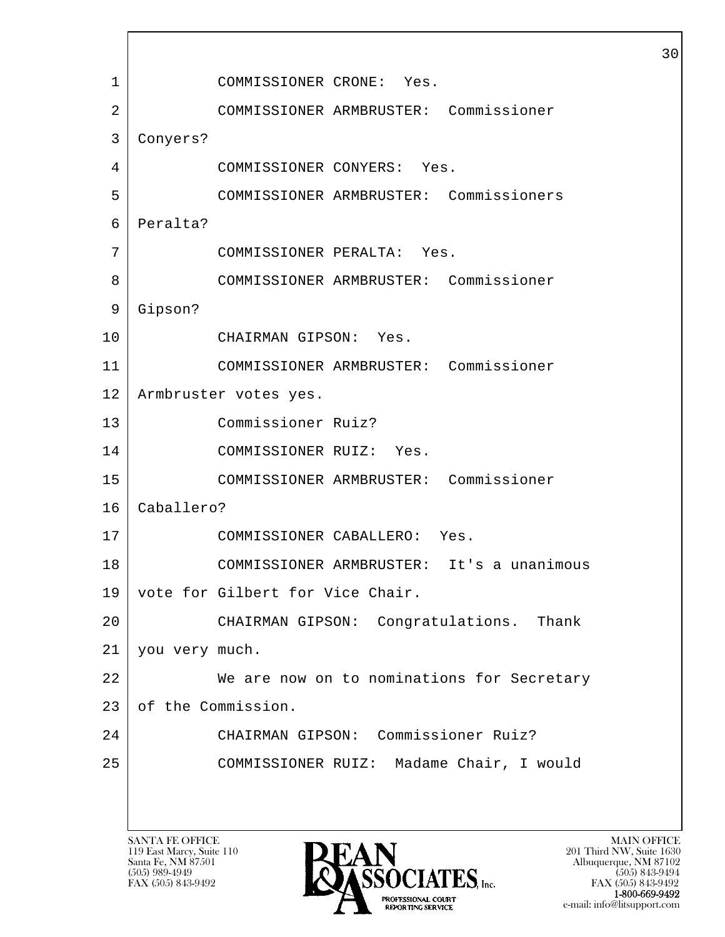l  $\overline{\phantom{a}}$  1 COMMISSIONER CRONE: Yes. 2 COMMISSIONER ARMBRUSTER: Commissioner 3 Conyers? 4 COMMISSIONER CONYERS: Yes. 5 COMMISSIONER ARMBRUSTER: Commissioners 6 Peralta? 7 COMMISSIONER PERALTA: Yes. 8 COMMISSIONER ARMBRUSTER: Commissioner 9 Gipson? 10 CHAIRMAN GIPSON: Yes. 11 COMMISSIONER ARMBRUSTER: Commissioner 12 Armbruster votes yes. 13 Commissioner Ruiz? 14 COMMISSIONER RUIZ: Yes. 15 COMMISSIONER ARMBRUSTER: Commissioner 16 Caballero? 17 COMMISSIONER CABALLERO: Yes. 18 COMMISSIONER ARMBRUSTER: It's a unanimous 19 | vote for Gilbert for Vice Chair. 20 CHAIRMAN GIPSON: Congratulations. Thank 21 you very much. 22 We are now on to nominations for Secretary 23 of the Commission. 24 CHAIRMAN GIPSON: Commissioner Ruiz? 25 COMMISSIONER RUIZ: Madame Chair, I would

119 East Marcy, Suite 110<br>Santa Fe, NM 87501

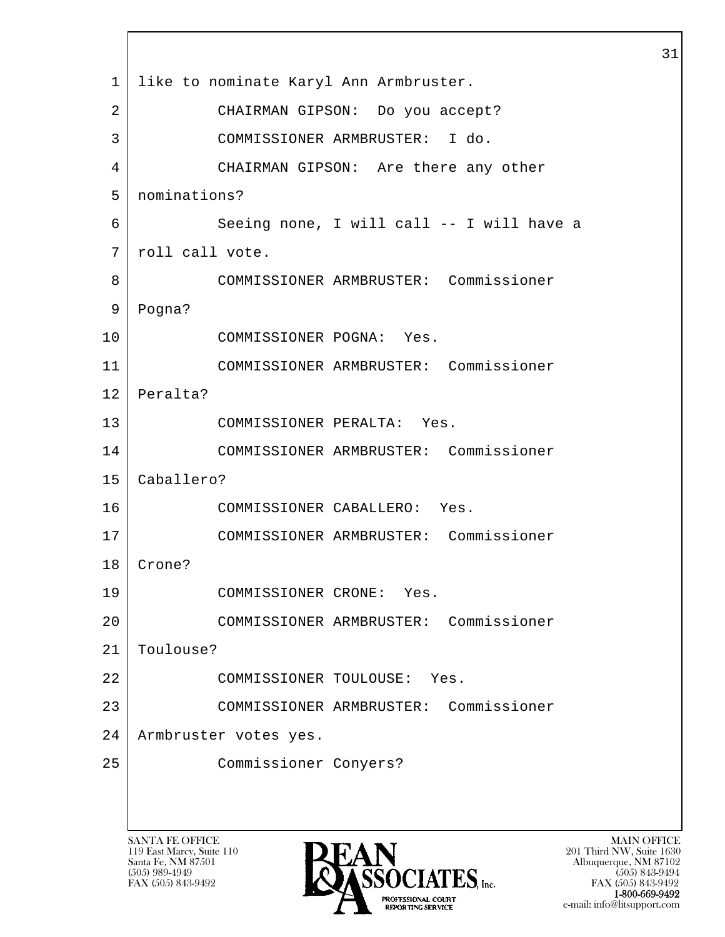l  $\overline{\phantom{a}}$  1 like to nominate Karyl Ann Armbruster. 2 CHAIRMAN GIPSON: Do you accept? 3 COMMISSIONER ARMBRUSTER: I do. 4 CHAIRMAN GIPSON: Are there any other 5 nominations? 6 Seeing none, I will call -- I will have a 7 roll call vote. 8 COMMISSIONER ARMBRUSTER: Commissioner 9 Pogna? 10 COMMISSIONER POGNA: Yes. 11 COMMISSIONER ARMBRUSTER: Commissioner 12 Peralta? 13 COMMISSIONER PERALTA: Yes. 14 COMMISSIONER ARMBRUSTER: Commissioner 15 Caballero? 16 COMMISSIONER CABALLERO: Yes. 17 COMMISSIONER ARMBRUSTER: Commissioner 18 Crone? 19 COMMISSIONER CRONE: Yes. 20 COMMISSIONER ARMBRUSTER: Commissioner 21 Toulouse? 22 COMMISSIONER TOULOUSE: Yes. 23 COMMISSIONER ARMBRUSTER: Commissioner 24 Armbruster votes yes. 25 Commissioner Conyers?

119 East Marcy, Suite 110<br>Santa Fe, NM 87501



FAX (505) 843-9492 FAX (505) 843-9492 1-800-669-9492<br>PROFESSIONAL COURT **EXPORTING SERVICE** e-mail: info@litsupport.com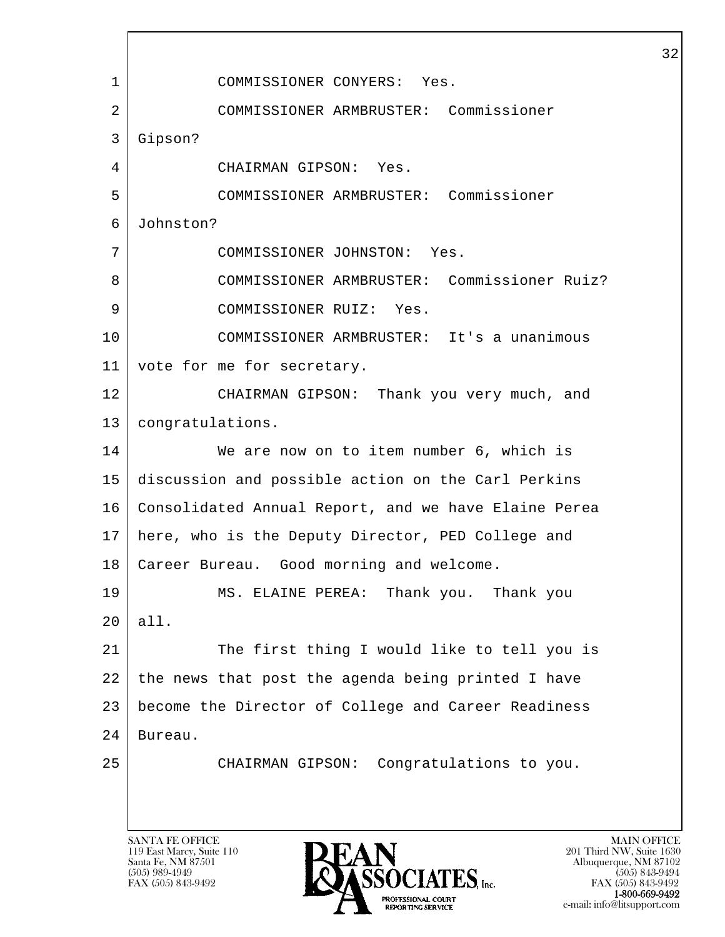l  $\overline{\phantom{a}}$  1 COMMISSIONER CONYERS: Yes. 2 COMMISSIONER ARMBRUSTER: Commissioner 3 Gipson? 4 CHAIRMAN GIPSON: Yes. 5 COMMISSIONER ARMBRUSTER: Commissioner 6 Johnston? 7 COMMISSIONER JOHNSTON: Yes. 8 COMMISSIONER ARMBRUSTER: Commissioner Ruiz? 9 COMMISSIONER RUIZ: Yes. 10 COMMISSIONER ARMBRUSTER: It's a unanimous 11 | vote for me for secretary. 12 CHAIRMAN GIPSON: Thank you very much, and 13 congratulations. 14 We are now on to item number 6, which is 15 discussion and possible action on the Carl Perkins 16 Consolidated Annual Report, and we have Elaine Perea 17 here, who is the Deputy Director, PED College and 18 Career Bureau. Good morning and welcome. 19 MS. ELAINE PEREA: Thank you. Thank you 20 all. 21 The first thing I would like to tell you is 22 the news that post the agenda being printed I have 23 become the Director of College and Career Readiness 24 Bureau. 25 CHAIRMAN GIPSON: Congratulations to you.

119 East Marcy, Suite 110<br>Santa Fe, NM 87501

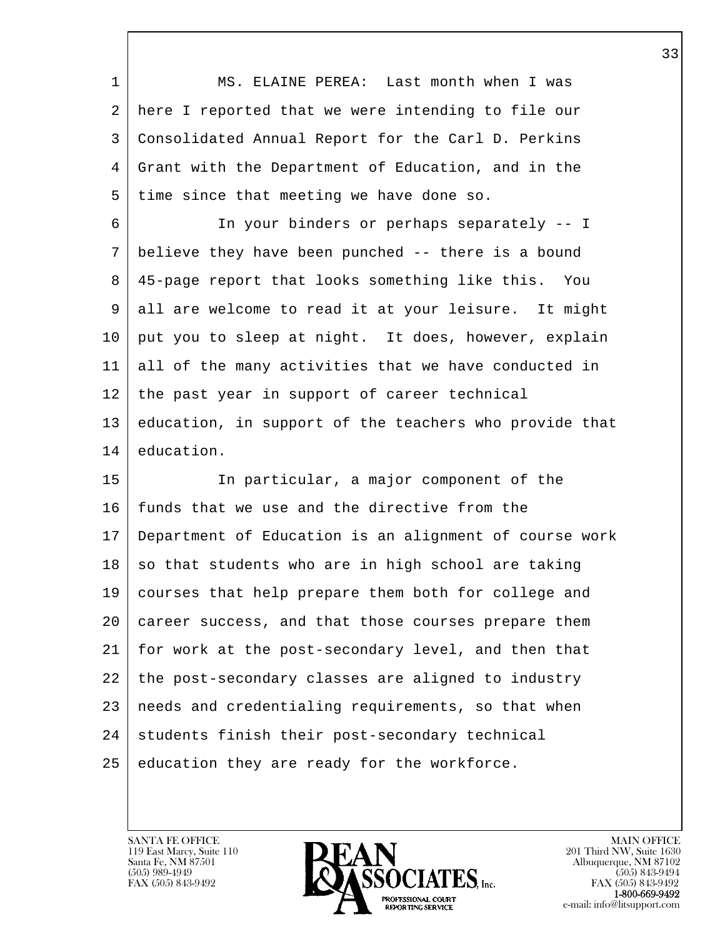| 1  | MS. ELAINE PEREA: Last month when I was                |
|----|--------------------------------------------------------|
| 2  | here I reported that we were intending to file our     |
| 3  | Consolidated Annual Report for the Carl D. Perkins     |
| 4  | Grant with the Department of Education, and in the     |
| 5  | time since that meeting we have done so.               |
| 6  | In your binders or perhaps separately -- I             |
| 7  | believe they have been punched -- there is a bound     |
| 8  | 45-page report that looks something like this.<br>You  |
| 9  | all are welcome to read it at your leisure. It might   |
| 10 | put you to sleep at night. It does, however, explain   |
| 11 | all of the many activities that we have conducted in   |
| 12 | the past year in support of career technical           |
| 13 | education, in support of the teachers who provide that |
| 14 | education.                                             |
| 15 | In particular, a major component of the                |
| 16 | funds that we use and the directive from the           |
| 17 | Department of Education is an alignment of course work |
| 18 | so that students who are in high school are taking     |
| 19 | courses that help prepare them both for college and    |
| 20 | career success, and that those courses prepare them    |
| 21 | for work at the post-secondary level, and then that    |
| 22 | the post-secondary classes are aligned to industry     |
| 23 | needs and credentialing requirements, so that when     |
| 24 | students finish their post-secondary technical         |
| 25 | education they are ready for the workforce.            |

 $\overline{\phantom{a}}$ 

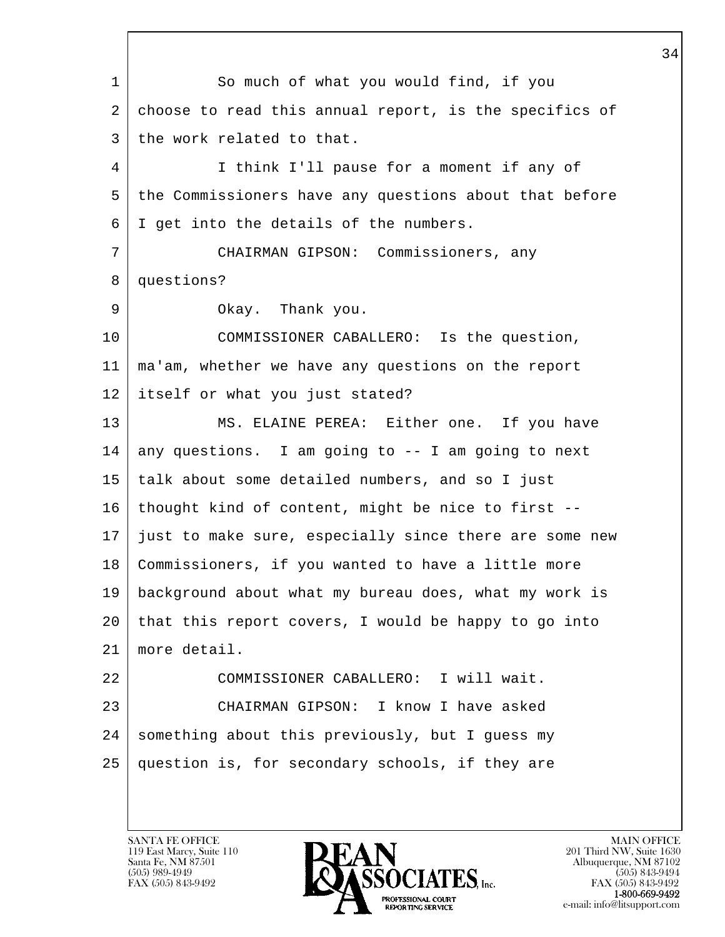l  $\overline{\phantom{a}}$  1 So much of what you would find, if you 2 choose to read this annual report, is the specifics of 3 the work related to that. 4 I think I'll pause for a moment if any of 5 the Commissioners have any questions about that before 6 I get into the details of the numbers. 7 CHAIRMAN GIPSON: Commissioners, any 8 questions? 9 Okay. Thank you. 10 COMMISSIONER CABALLERO: Is the question, 11 ma'am, whether we have any questions on the report 12 itself or what you just stated? 13 | MS. ELAINE PEREA: Either one. If you have  $14$  any questions. I am going to  $-$ - I am going to next 15 talk about some detailed numbers, and so I just 16 thought kind of content, might be nice to first -- 17 just to make sure, especially since there are some new 18 Commissioners, if you wanted to have a little more 19 background about what my bureau does, what my work is 20 that this report covers, I would be happy to go into 21 more detail. 22 COMMISSIONER CABALLERO: I will wait. 23 CHAIRMAN GIPSON: I know I have asked 24 | something about this previously, but I guess my 25 question is, for secondary schools, if they are

119 East Marcy, Suite 110<br>Santa Fe, NM 87501

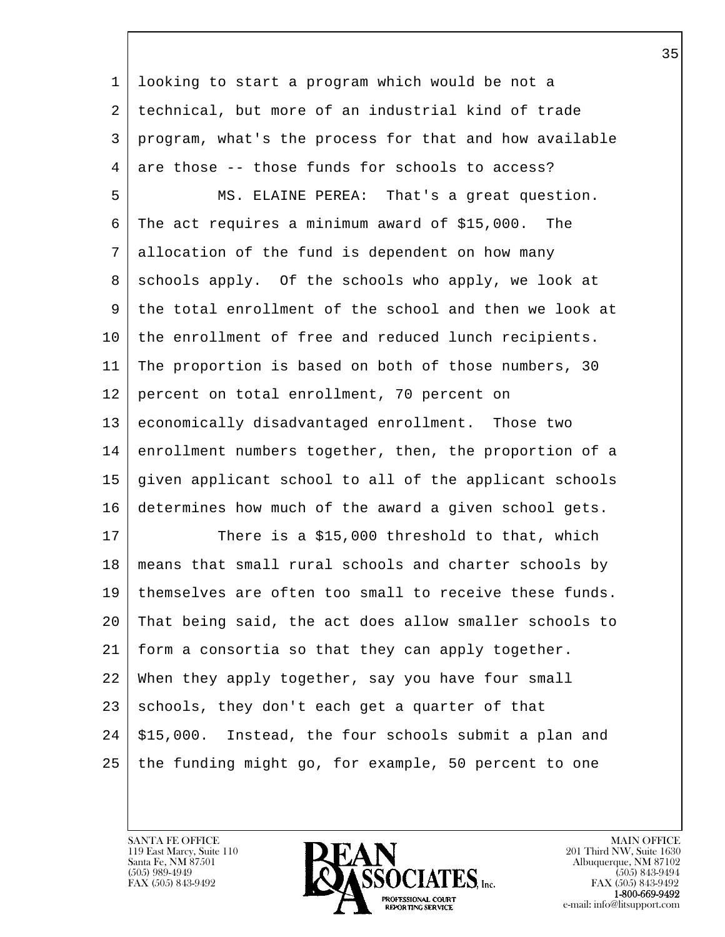l  $\overline{\phantom{a}}$  1 looking to start a program which would be not a 2 technical, but more of an industrial kind of trade 3 program, what's the process for that and how available 4 are those -- those funds for schools to access? 5 MS. ELAINE PEREA: That's a great question. 6 The act requires a minimum award of \$15,000. The 7 allocation of the fund is dependent on how many 8 | schools apply. Of the schools who apply, we look at 9 the total enrollment of the school and then we look at 10 | the enrollment of free and reduced lunch recipients. 11 The proportion is based on both of those numbers, 30 12 percent on total enrollment, 70 percent on 13 economically disadvantaged enrollment. Those two 14 enrollment numbers together, then, the proportion of a 15 given applicant school to all of the applicant schools 16 determines how much of the award a given school gets. 17 There is a \$15,000 threshold to that, which 18 means that small rural schools and charter schools by 19 themselves are often too small to receive these funds. 20 That being said, the act does allow smaller schools to 21 form a consortia so that they can apply together. 22 When they apply together, say you have four small  $23$  schools, they don't each get a quarter of that  $24$  \$15,000. Instead, the four schools submit a plan and 25 the funding might go, for example, 50 percent to one

119 East Marcy, Suite 110<br>Santa Fe, NM 87501

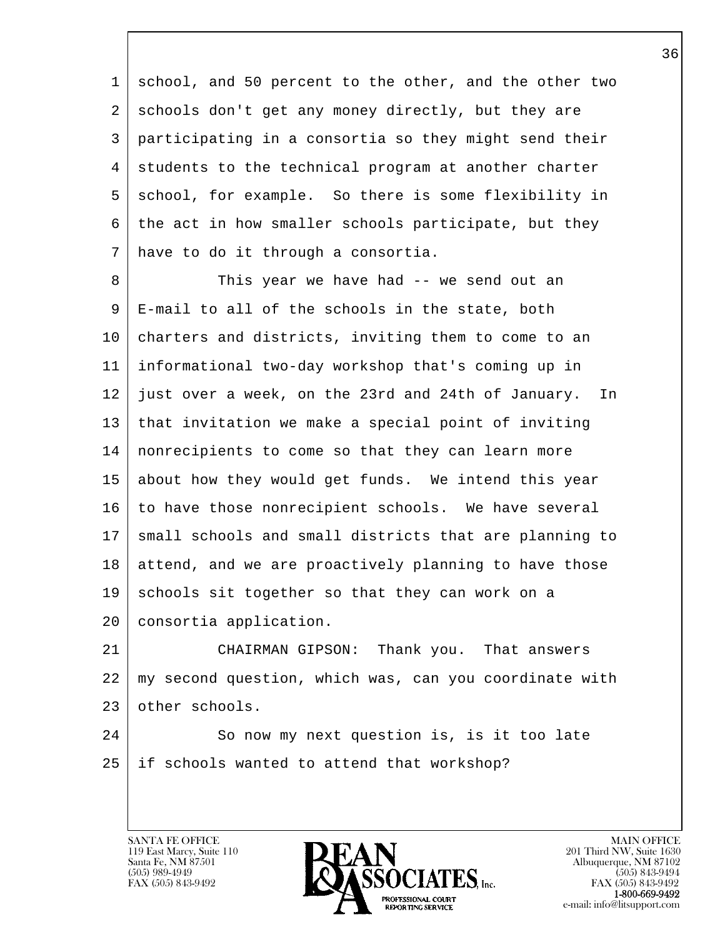1 school, and 50 percent to the other, and the other two 2 schools don't get any money directly, but they are 3 participating in a consortia so they might send their 4 | students to the technical program at another charter 5 school, for example. So there is some flexibility in 6 the act in how smaller schools participate, but they 7 have to do it through a consortia.

8 This year we have had -- we send out an 9 E-mail to all of the schools in the state, both 10 charters and districts, inviting them to come to an 11 informational two-day workshop that's coming up in 12 just over a week, on the 23rd and 24th of January. In 13 that invitation we make a special point of inviting 14 nonrecipients to come so that they can learn more 15 about how they would get funds. We intend this year 16 to have those nonrecipient schools. We have several 17 | small schools and small districts that are planning to 18 attend, and we are proactively planning to have those  $19$  schools sit together so that they can work on a 20 | consortia application.

21 CHAIRMAN GIPSON: Thank you. That answers 22 my second question, which was, can you coordinate with 23 other schools.

l 24 So now my next question is, is it too late 25 if schools wanted to attend that workshop?

119 East Marcy, Suite 110<br>Santa Fe, NM 87501

 $\overline{\phantom{a}}$ 

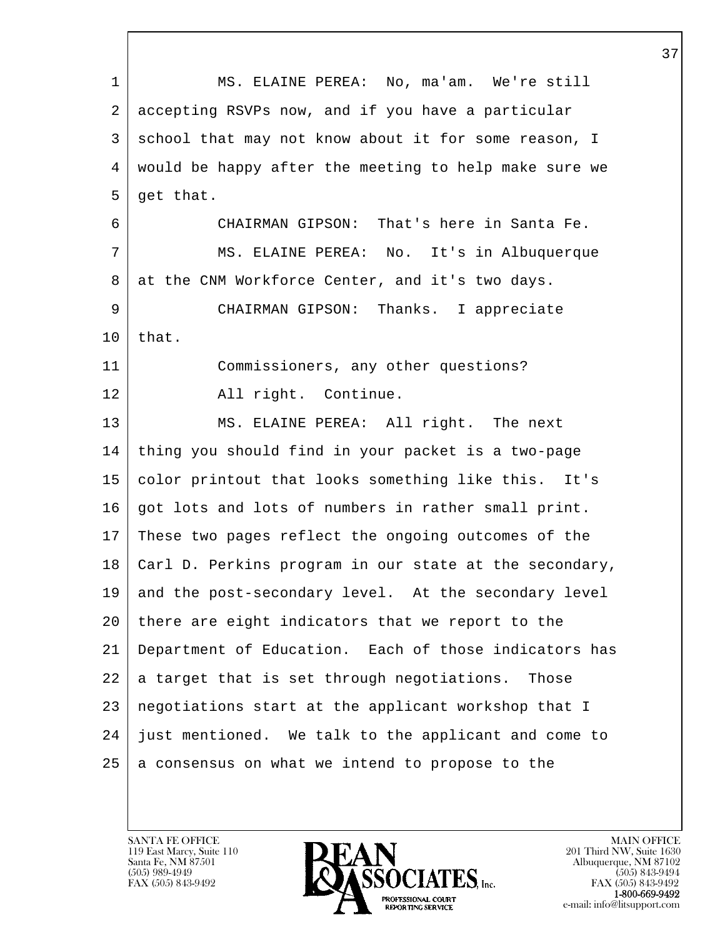| 1  | MS. ELAINE PEREA: No, ma'am. We're still               |
|----|--------------------------------------------------------|
| 2  | accepting RSVPs now, and if you have a particular      |
| 3  | school that may not know about it for some reason, I   |
| 4  | would be happy after the meeting to help make sure we  |
| 5  | get that.                                              |
| 6  | CHAIRMAN GIPSON: That's here in Santa Fe.              |
| 7  | MS. ELAINE PEREA: No. It's in Albuquerque              |
| 8  | at the CNM Workforce Center, and it's two days.        |
| 9  | CHAIRMAN GIPSON: Thanks. I appreciate                  |
| 10 | that.                                                  |
| 11 | Commissioners, any other questions?                    |
| 12 | All right. Continue.                                   |
| 13 | MS. ELAINE PEREA: All right. The next                  |
| 14 | thing you should find in your packet is a two-page     |
| 15 | color printout that looks something like this.<br>It's |
| 16 | got lots and lots of numbers in rather small print.    |
| 17 | These two pages reflect the ongoing outcomes of the    |
| 18 | Carl D. Perkins program in our state at the secondary, |
| 19 | and the post-secondary level. At the secondary level   |
| 20 | there are eight indicators that we report to the       |
| 21 | Department of Education. Each of those indicators has  |
| 22 | a target that is set through negotiations. Those       |
| 23 | negotiations start at the applicant workshop that I    |
| 24 | just mentioned. We talk to the applicant and come to   |
| 25 | a consensus on what we intend to propose to the        |
|    |                                                        |

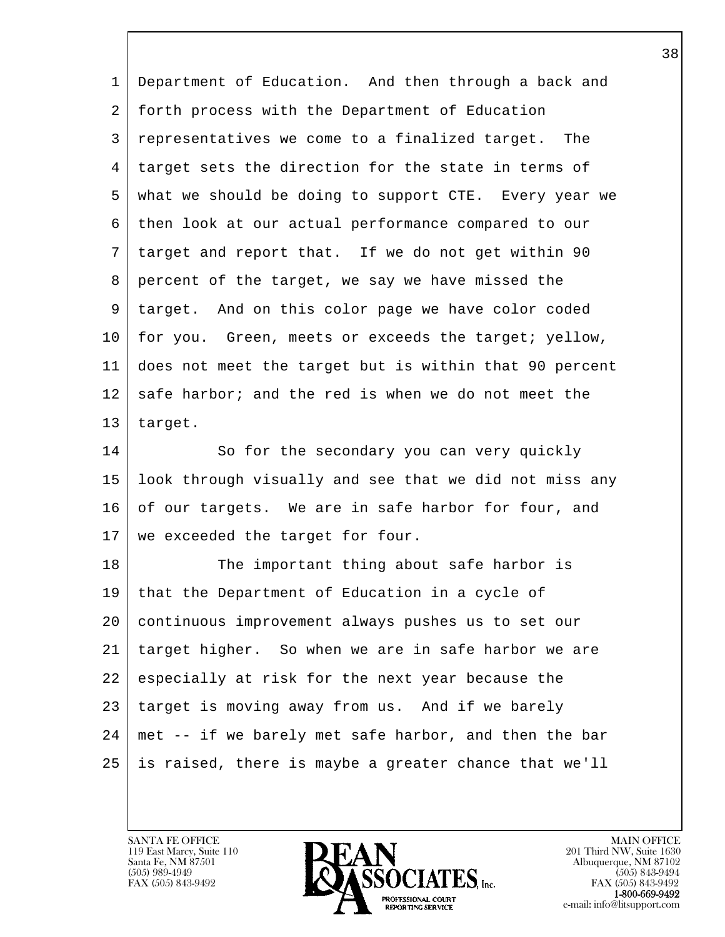| 1  | Department of Education. And then through a back and   |
|----|--------------------------------------------------------|
| 2  | forth process with the Department of Education         |
| 3  | representatives we come to a finalized target. The     |
| 4  | target sets the direction for the state in terms of    |
| 5  | what we should be doing to support CTE. Every year we  |
| 6  | then look at our actual performance compared to our    |
| 7  | target and report that. If we do not get within 90     |
| 8  | percent of the target, we say we have missed the       |
| 9  | target. And on this color page we have color coded     |
| 10 | for you. Green, meets or exceeds the target; yellow,   |
| 11 | does not meet the target but is within that 90 percent |
| 12 | safe harbor; and the red is when we do not meet the    |
| 13 | target.                                                |
| 14 | So for the secondary you can very quickly              |
| 15 | look through visually and see that we did not miss any |
| 16 | of our targets. We are in safe harbor for four, and    |
| 17 | we exceeded the target for four.                       |
| 18 | The important thing about safe harbor is               |
| 19 | that the Department of Education in a cycle of         |
| 20 | continuous improvement always pushes us to set our     |
| 21 | target higher. So when we are in safe harbor we are    |
| 22 | especially at risk for the next year because the       |
| 23 | target is moving away from us. And if we barely        |
| 24 | met -- if we barely met safe harbor, and then the bar  |
| 25 | is raised, there is maybe a greater chance that we'll  |
|    |                                                        |

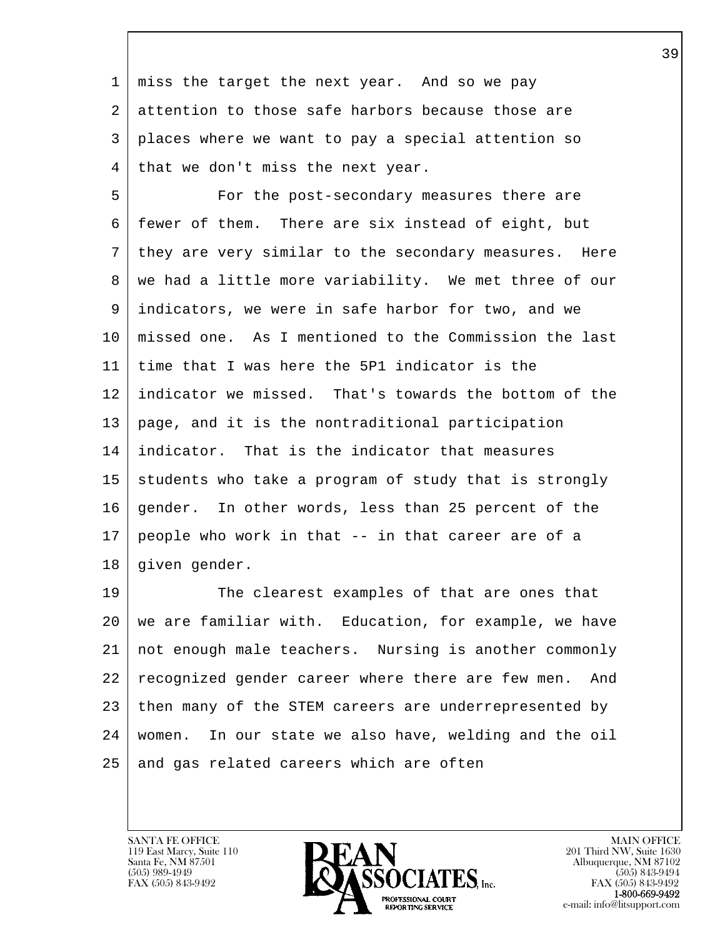1 miss the target the next year. And so we pay 2 attention to those safe harbors because those are 3 places where we want to pay a special attention so 4 | that we don't miss the next year.

 5 For the post-secondary measures there are 6 fewer of them. There are six instead of eight, but 7 they are very similar to the secondary measures. Here 8 | we had a little more variability. We met three of our 9 indicators, we were in safe harbor for two, and we 10 missed one. As I mentioned to the Commission the last 11 time that I was here the 5P1 indicator is the 12 indicator we missed. That's towards the bottom of the 13 page, and it is the nontraditional participation 14 indicator. That is the indicator that measures  $15$  students who take a program of study that is strongly 16 gender. In other words, less than 25 percent of the 17 people who work in that -- in that career are of a 18 | given gender.

l 19 The clearest examples of that are ones that 20 we are familiar with. Education, for example, we have 21 not enough male teachers. Nursing is another commonly 22 recognized gender career where there are few men. And 23 then many of the STEM careers are underrepresented by 24 women. In our state we also have, welding and the oil 25 and gas related careers which are often

119 East Marcy, Suite 110<br>Santa Fe, NM 87501

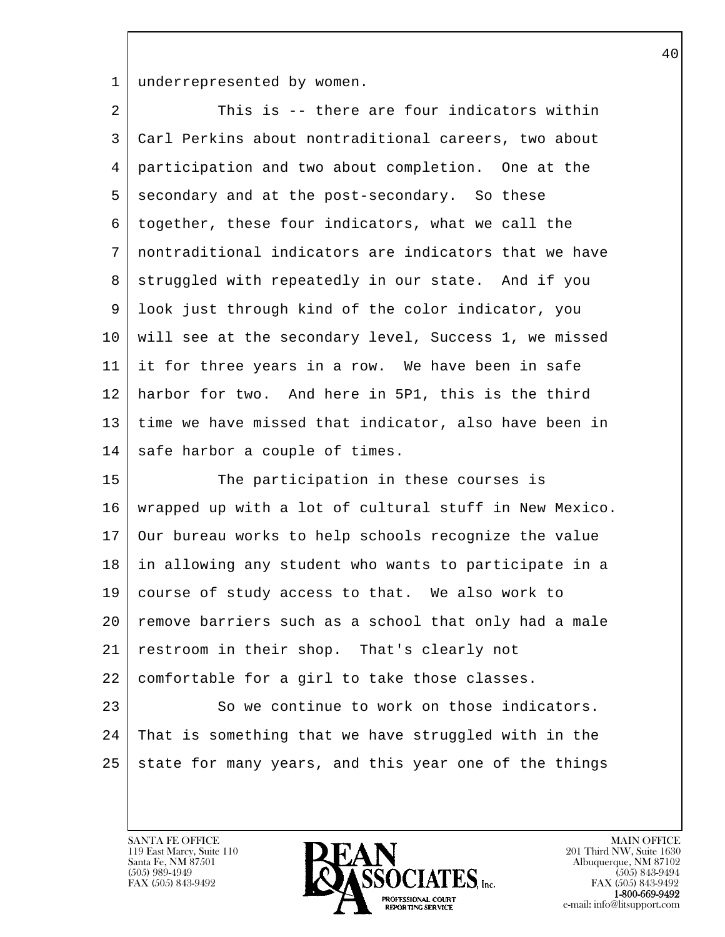1 underrepresented by women.

| 2  | This is -- there are four indicators within            |
|----|--------------------------------------------------------|
| 3  | Carl Perkins about nontraditional careers, two about   |
| 4  | participation and two about completion. One at the     |
| 5  | secondary and at the post-secondary. So these          |
| 6  | together, these four indicators, what we call the      |
| 7  | nontraditional indicators are indicators that we have  |
| 8  | struggled with repeatedly in our state. And if you     |
| 9  | look just through kind of the color indicator, you     |
| 10 | will see at the secondary level, Success 1, we missed  |
| 11 | it for three years in a row. We have been in safe      |
| 12 | harbor for two. And here in 5P1, this is the third     |
| 13 | time we have missed that indicator, also have been in  |
| 14 | safe harbor a couple of times.                         |
| 15 | The participation in these courses is                  |
| 16 | wrapped up with a lot of cultural stuff in New Mexico. |
| 17 | Our bureau works to help schools recognize the value   |
| 18 | in allowing any student who wants to participate in a  |
| 19 | course of study access to that. We also work to        |
| 20 | remove barriers such as a school that only had a male  |
| 21 | restroom in their shop. That's clearly not             |
| 22 | comfortable for a girl to take those classes.          |
| 23 | So we continue to work on those indicators.            |
| 24 | That is something that we have struggled with in the   |
| 25 | state for many years, and this year one of the things  |
|    |                                                        |

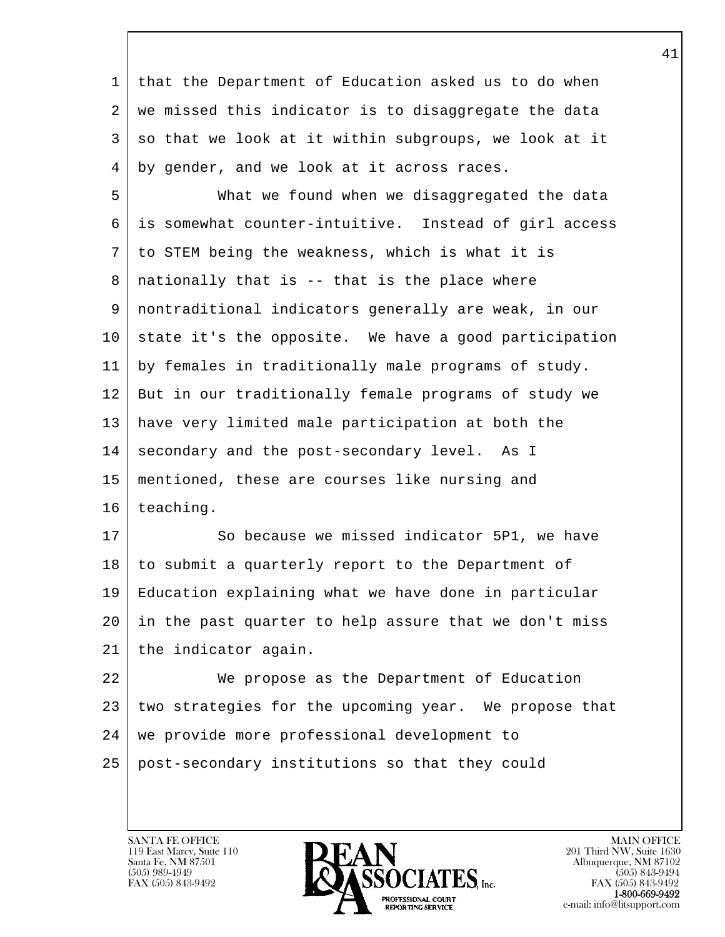1 that the Department of Education asked us to do when 2 | we missed this indicator is to disaggregate the data  $3$  so that we look at it within subgroups, we look at it 4 by gender, and we look at it across races.

 5 What we found when we disaggregated the data 6 is somewhat counter-intuitive. Instead of girl access 7 to STEM being the weakness, which is what it is  $8$  | nationally that is  $-$  that is the place where 9 nontraditional indicators generally are weak, in our 10 state it's the opposite. We have a good participation 11 by females in traditionally male programs of study. 12 But in our traditionally female programs of study we 13 have very limited male participation at both the 14 secondary and the post-secondary level. As I 15 mentioned, these are courses like nursing and 16 teaching.

17 So because we missed indicator 5P1, we have 18 | to submit a quarterly report to the Department of 19 Education explaining what we have done in particular 20 in the past quarter to help assure that we don't miss 21 the indicator again.

l 22 We propose as the Department of Education 23 two strategies for the upcoming year. We propose that 24 | we provide more professional development to 25 post-secondary institutions so that they could

119 East Marcy, Suite 110<br>Santa Fe, NM 87501

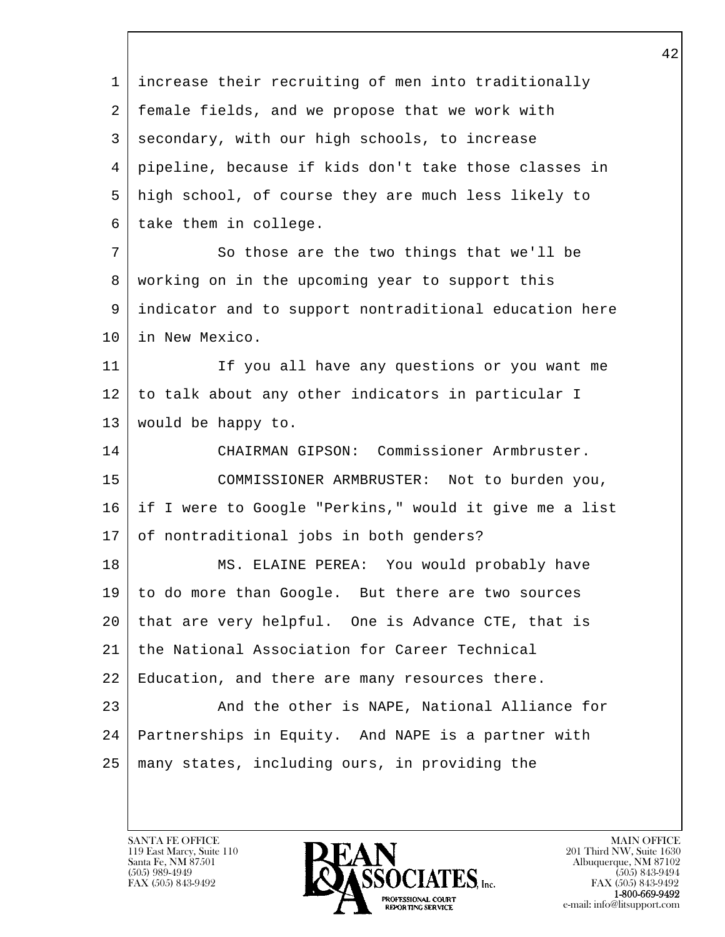l  $\overline{\phantom{a}}$  1 increase their recruiting of men into traditionally 2 female fields, and we propose that we work with 3 secondary, with our high schools, to increase 4 pipeline, because if kids don't take those classes in 5 high school, of course they are much less likely to  $6$  take them in college. 7 So those are the two things that we'll be 8 working on in the upcoming year to support this 9 indicator and to support nontraditional education here 10 in New Mexico. 11 If you all have any questions or you want me 12 to talk about any other indicators in particular I 13 would be happy to. 14 CHAIRMAN GIPSON: Commissioner Armbruster. 15 COMMISSIONER ARMBRUSTER: Not to burden you, 16 if I were to Google "Perkins," would it give me a list 17 of nontraditional jobs in both genders? 18 | MS. ELAINE PEREA: You would probably have 19 to do more than Google. But there are two sources 20 that are very helpful. One is Advance CTE, that is 21 the National Association for Career Technical 22 Education, and there are many resources there. 23 | And the other is NAPE, National Alliance for 24 Partnerships in Equity. And NAPE is a partner with 25 many states, including ours, in providing the

119 East Marcy, Suite 110<br>Santa Fe, NM 87501

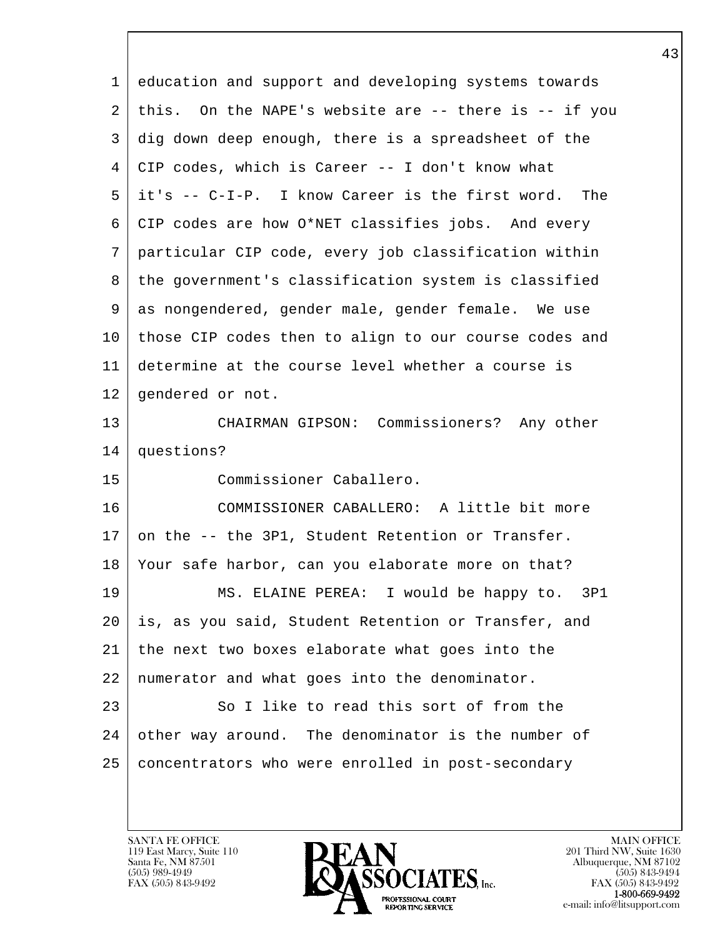| 1  | education and support and developing systems towards  |
|----|-------------------------------------------------------|
| 2  | this. On the NAPE's website are -- there is -- if you |
| 3  | dig down deep enough, there is a spreadsheet of the   |
| 4  | CIP codes, which is Career -- I don't know what       |
| 5  | it's -- C-I-P. I know Career is the first word. The   |
| 6  | CIP codes are how O*NET classifies jobs. And every    |
| 7  | particular CIP code, every job classification within  |
| 8  | the government's classification system is classified  |
| 9  | as nongendered, gender male, gender female. We use    |
| 10 | those CIP codes then to align to our course codes and |
| 11 | determine at the course level whether a course is     |
| 12 | gendered or not.                                      |
| 13 | CHAIRMAN GIPSON: Commissioners? Any other             |
| 14 | questions?                                            |
| 15 | Commissioner Caballero.                               |
| 16 | COMMISSIONER CABALLERO: A little bit more             |
| 17 | on the -- the 3P1, Student Retention or Transfer.     |
| 18 | Your safe harbor, can you elaborate more on that?     |
| 19 | MS. ELAINE PEREA: I would be happy to. 3P1            |
| 20 | is, as you said, Student Retention or Transfer, and   |
| 21 | the next two boxes elaborate what goes into the       |
| 22 | numerator and what goes into the denominator.         |
| 23 | So I like to read this sort of from the               |
| 24 | other way around. The denominator is the number of    |
| 25 | concentrators who were enrolled in post-secondary     |
|    |                                                       |

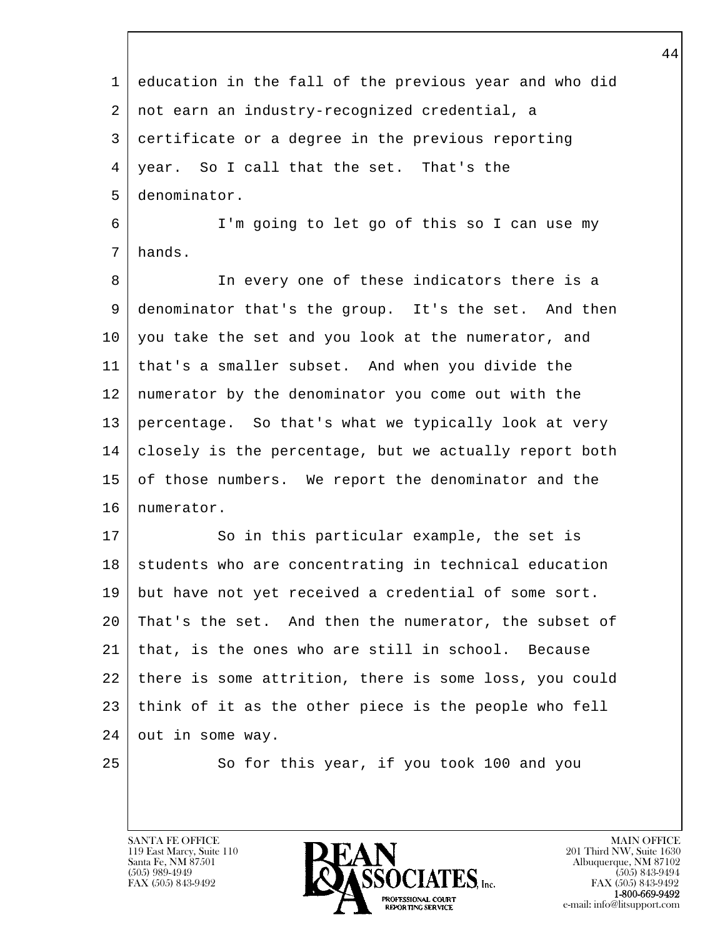l  $\overline{\phantom{a}}$  1 education in the fall of the previous year and who did 2 not earn an industry-recognized credential, a 3 certificate or a degree in the previous reporting 4 year. So I call that the set. That's the 5 denominator. 6 I'm going to let go of this so I can use my 7 hands. 8 In every one of these indicators there is a 9 denominator that's the group. It's the set. And then 10 you take the set and you look at the numerator, and 11 that's a smaller subset. And when you divide the 12 numerator by the denominator you come out with the 13 percentage. So that's what we typically look at very 14 closely is the percentage, but we actually report both 15 of those numbers. We report the denominator and the 16 | numerator. 17 So in this particular example, the set is 18 students who are concentrating in technical education 19 but have not yet received a credential of some sort. 20 That's the set. And then the numerator, the subset of 21 that, is the ones who are still in school. Because 22 there is some attrition, there is some loss, you could 23 think of it as the other piece is the people who fell 24 out in some way. 25 So for this year, if you took 100 and you

119 East Marcy, Suite 110<br>Santa Fe, NM 87501

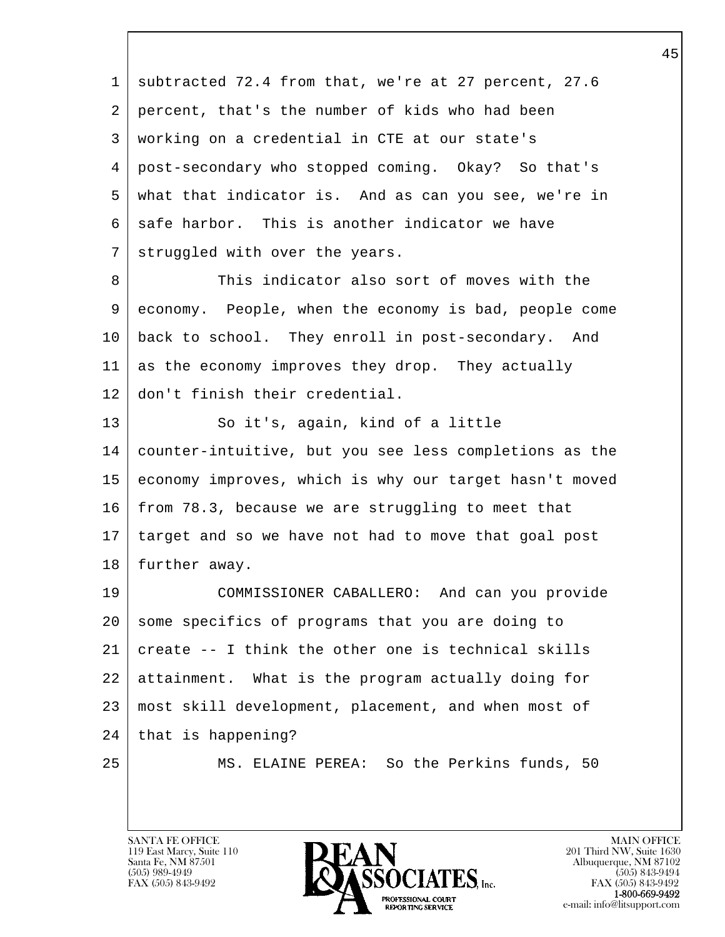l  $\overline{\phantom{a}}$  1 subtracted 72.4 from that, we're at 27 percent, 27.6 2 percent, that's the number of kids who had been 3 working on a credential in CTE at our state's 4 post-secondary who stopped coming. Okay? So that's 5 what that indicator is. And as can you see, we're in  $6 \mid$  safe harbor. This is another indicator we have 7 struggled with over the years. 8 This indicator also sort of moves with the 9 economy. People, when the economy is bad, people come 10 back to school. They enroll in post-secondary. And 11 as the economy improves they drop. They actually 12 don't finish their credential. 13 So it's, again, kind of a little 14 counter-intuitive, but you see less completions as the 15 economy improves, which is why our target hasn't moved 16 from 78.3, because we are struggling to meet that 17 target and so we have not had to move that goal post 18 | further away. 19 COMMISSIONER CABALLERO: And can you provide 20 some specifics of programs that you are doing to  $21$  create  $-$ - I think the other one is technical skills 22 attainment. What is the program actually doing for 23 most skill development, placement, and when most of 24 | that is happening? 25 MS. ELAINE PEREA: So the Perkins funds, 50

119 East Marcy, Suite 110<br>Santa Fe, NM 87501

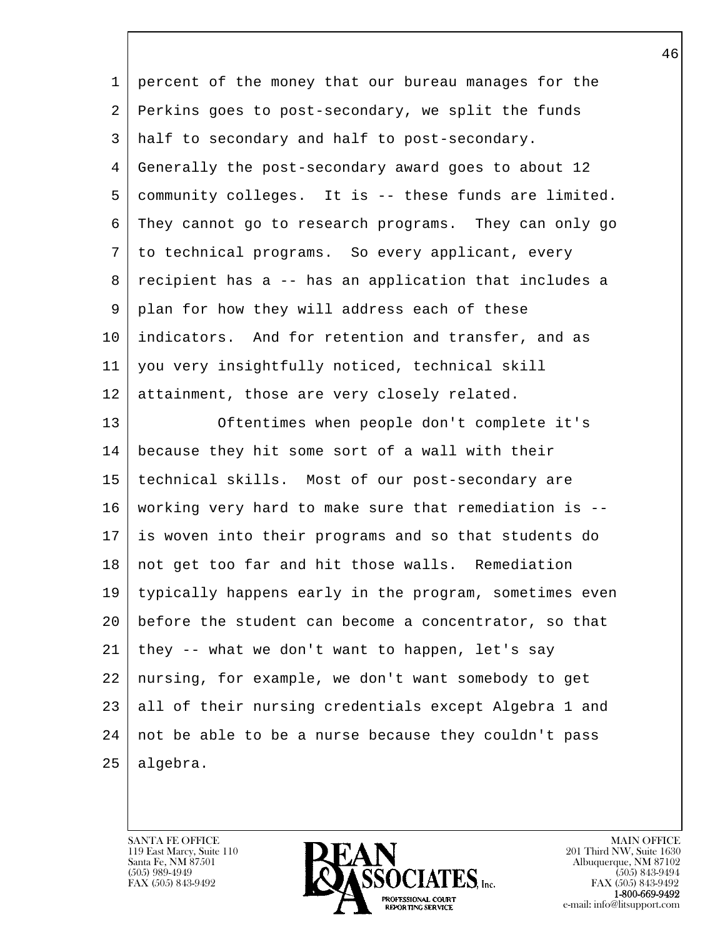| 1  | percent of the money that our bureau manages for the   |
|----|--------------------------------------------------------|
| 2  | Perkins goes to post-secondary, we split the funds     |
| 3  | half to secondary and half to post-secondary.          |
| 4  | Generally the post-secondary award goes to about 12    |
| 5  | community colleges. It is -- these funds are limited.  |
| 6  | They cannot go to research programs. They can only go  |
| 7  | to technical programs. So every applicant, every       |
| 8  | recipient has a -- has an application that includes a  |
| 9  | plan for how they will address each of these           |
| 10 | indicators. And for retention and transfer, and as     |
| 11 | you very insightfully noticed, technical skill         |
| 12 | attainment, those are very closely related.            |
| 13 | Oftentimes when people don't complete it's             |
| 14 | because they hit some sort of a wall with their        |
| 15 | technical skills. Most of our post-secondary are       |
| 16 | working very hard to make sure that remediation is --  |
| 17 | is woven into their programs and so that students do   |
| 18 | not get too far and hit those walls. Remediation       |
| 19 | typically happens early in the program, sometimes even |
| 20 | before the student can become a concentrator, so that  |
| 21 | they -- what we don't want to happen, let's say        |
| 22 | nursing, for example, we don't want somebody to get    |
| 23 | all of their nursing credentials except Algebra 1 and  |
| 24 | not be able to be a nurse because they couldn't pass   |
| 25 | algebra.                                               |
|    |                                                        |

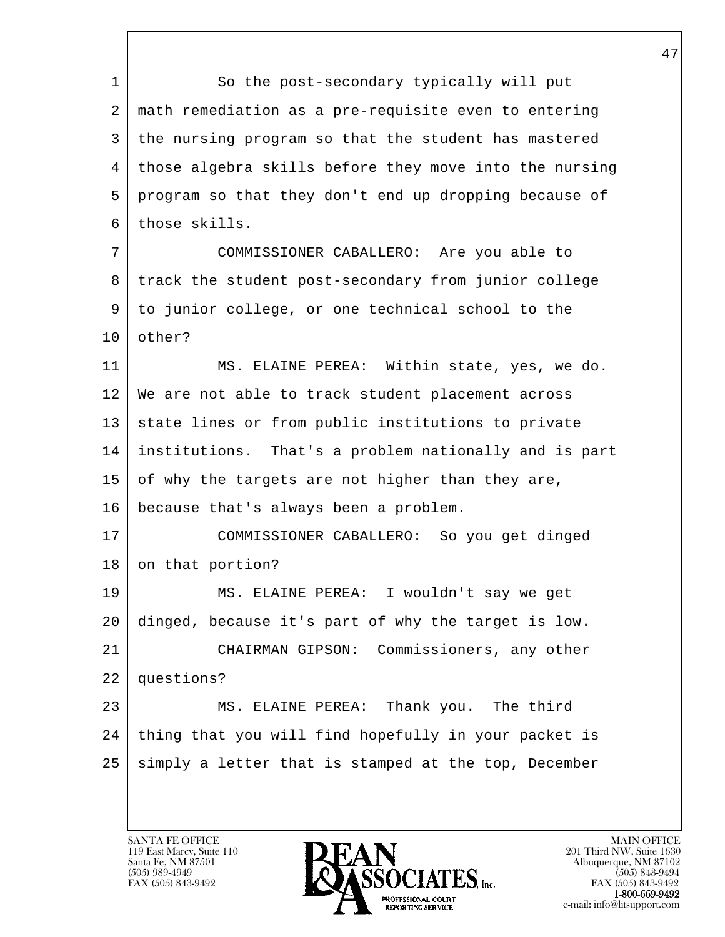l  $\overline{\phantom{a}}$ 1 So the post-secondary typically will put 2 math remediation as a pre-requisite even to entering 3 the nursing program so that the student has mastered 4 those algebra skills before they move into the nursing 5 program so that they don't end up dropping because of 6 those skills. 7 COMMISSIONER CABALLERO: Are you able to 8 track the student post-secondary from junior college 9 to junior college, or one technical school to the 10 other? 11 | MS. ELAINE PEREA: Within state, yes, we do. 12 We are not able to track student placement across 13 | state lines or from public institutions to private 14 institutions. That's a problem nationally and is part  $15$  of why the targets are not higher than they are, 16 because that's always been a problem. 17 COMMISSIONER CABALLERO: So you get dinged 18 on that portion? 19 MS. ELAINE PEREA: I wouldn't say we get 20 dinged, because it's part of why the target is low. 21 CHAIRMAN GIPSON: Commissioners, any other 22 questions? 23 MS. ELAINE PEREA: Thank you. The third 24 thing that you will find hopefully in your packet is 25 simply a letter that is stamped at the top, December

119 East Marcy, Suite 110<br>Santa Fe, NM 87501

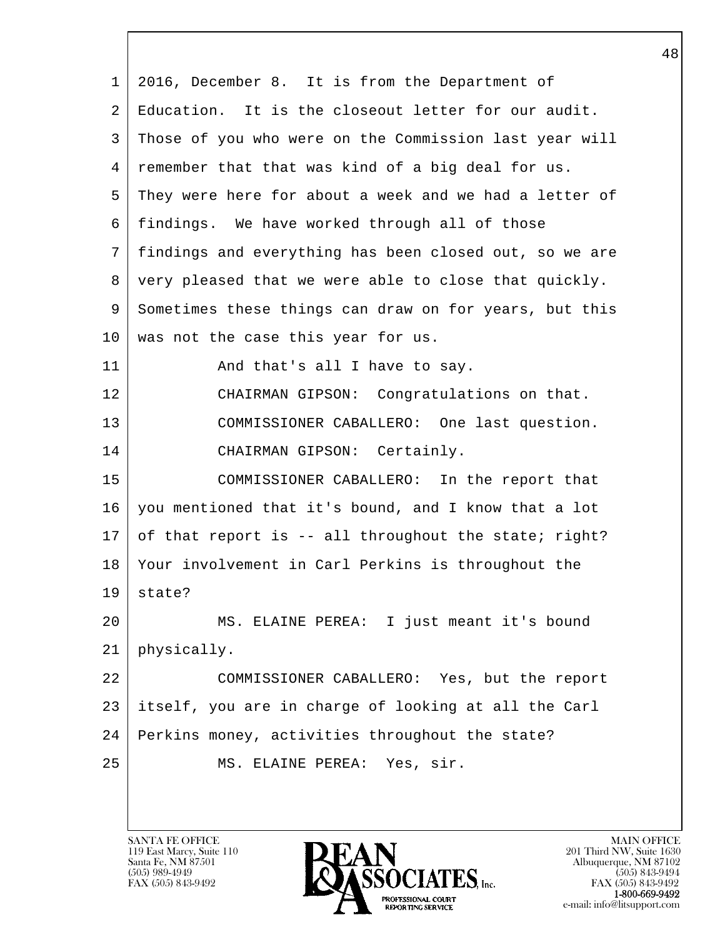l  $\overline{\phantom{a}}$  1 2016, December 8. It is from the Department of 2 Education. It is the closeout letter for our audit. 3 Those of you who were on the Commission last year will 4 remember that that was kind of a big deal for us. 5 They were here for about a week and we had a letter of 6 findings. We have worked through all of those 7 findings and everything has been closed out, so we are 8 | very pleased that we were able to close that quickly. 9 Sometimes these things can draw on for years, but this 10 | was not the case this year for us. 11 | And that's all I have to say. 12 | CHAIRMAN GIPSON: Congratulations on that. 13 | COMMISSIONER CABALLERO: One last question. 14 CHAIRMAN GIPSON: Certainly. 15 COMMISSIONER CABALLERO: In the report that 16 you mentioned that it's bound, and I know that a lot 17 of that report is -- all throughout the state; right? 18 Your involvement in Carl Perkins is throughout the  $19$  state? 20 MS. ELAINE PEREA: I just meant it's bound 21 physically. 22 COMMISSIONER CABALLERO: Yes, but the report 23 itself, you are in charge of looking at all the Carl 24 Perkins money, activities throughout the state? 25 MS. ELAINE PEREA: Yes, sir.

119 East Marcy, Suite 110<br>Santa Fe, NM 87501

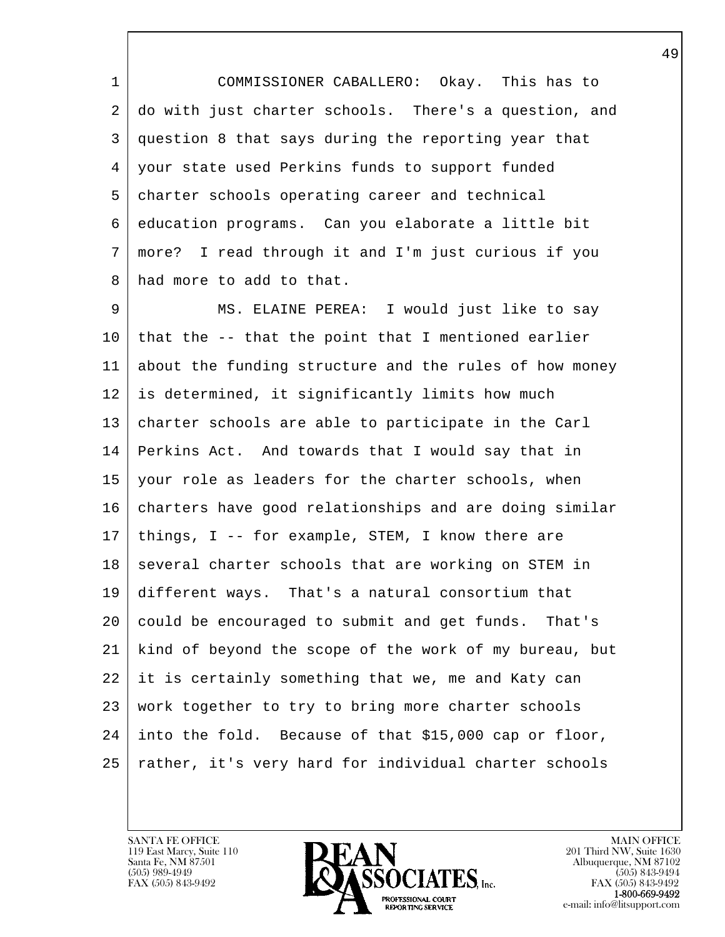1 COMMISSIONER CABALLERO: Okay. This has to 2 do with just charter schools. There's a question, and 3 question 8 that says during the reporting year that 4 your state used Perkins funds to support funded 5 charter schools operating career and technical 6 education programs. Can you elaborate a little bit 7 more? I read through it and I'm just curious if you 8 had more to add to that.

l 9 | MS. ELAINE PEREA: I would just like to say  $10$  that the  $-$  that the point that I mentioned earlier 11 about the funding structure and the rules of how money 12 is determined, it significantly limits how much 13 charter schools are able to participate in the Carl 14 Perkins Act. And towards that I would say that in 15 your role as leaders for the charter schools, when 16 charters have good relationships and are doing similar 17 things, I -- for example, STEM, I know there are 18 several charter schools that are working on STEM in 19 different ways. That's a natural consortium that 20 could be encouraged to submit and get funds. That's 21 kind of beyond the scope of the work of my bureau, but 22 it is certainly something that we, me and Katy can 23 work together to try to bring more charter schools 24 into the fold. Because of that \$15,000 cap or floor, 25 rather, it's very hard for individual charter schools

119 East Marcy, Suite 110<br>Santa Fe, NM 87501

 $\overline{\phantom{a}}$ 

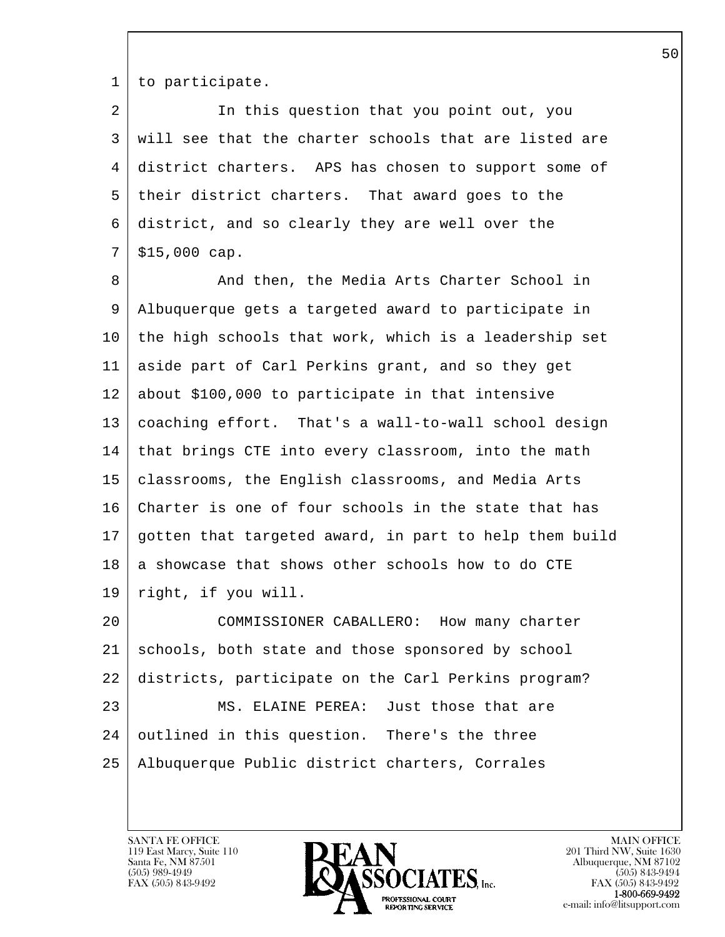1 to participate.

2 In this question that you point out, you 3 will see that the charter schools that are listed are 4 district charters. APS has chosen to support some of 5 their district charters. That award goes to the 6 district, and so clearly they are well over the  $7 | $15,000 \text{ cap.}$ 

8 And then, the Media Arts Charter School in 9 Albuquerque gets a targeted award to participate in 10 the high schools that work, which is a leadership set 11 aside part of Carl Perkins grant, and so they get 12 about \$100,000 to participate in that intensive 13 coaching effort. That's a wall-to-wall school design 14 | that brings CTE into every classroom, into the math 15 classrooms, the English classrooms, and Media Arts 16 Charter is one of four schools in the state that has 17 gotten that targeted award, in part to help them build  $18$  a showcase that shows other schools how to do CTE 19 right, if you will.

l 20 COMMISSIONER CABALLERO: How many charter 21 schools, both state and those sponsored by school 22 districts, participate on the Carl Perkins program? 23 MS. ELAINE PEREA: Just those that are 24 outlined in this question. There's the three 25 Albuquerque Public district charters, Corrales

119 East Marcy, Suite 110<br>Santa Fe, NM 87501

 $\overline{\phantom{a}}$ 

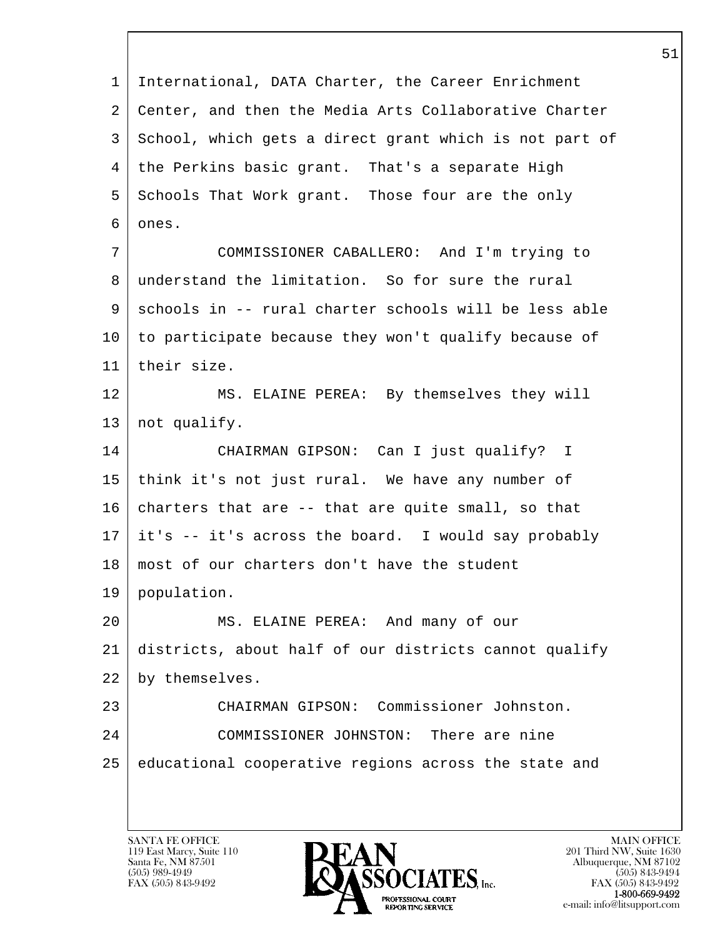l  $\overline{\phantom{a}}$  1 International, DATA Charter, the Career Enrichment 2 Center, and then the Media Arts Collaborative Charter 3 School, which gets a direct grant which is not part of 4 | the Perkins basic grant. That's a separate High 5 Schools That Work grant. Those four are the only 6 ones. 7 COMMISSIONER CABALLERO: And I'm trying to 8 understand the limitation. So for sure the rural 9 schools in -- rural charter schools will be less able 10 to participate because they won't qualify because of 11 their size. 12 MS. ELAINE PEREA: By themselves they will 13 | not qualify. 14 CHAIRMAN GIPSON: Can I just qualify? I 15 think it's not just rural. We have any number of  $16$  charters that are  $-$ - that are quite small, so that 17 it's -- it's across the board. I would say probably 18 most of our charters don't have the student 19 population. 20 MS. ELAINE PEREA: And many of our 21 districts, about half of our districts cannot qualify 22 by themselves. 23 CHAIRMAN GIPSON: Commissioner Johnston. 24 COMMISSIONER JOHNSTON: There are nine 25 educational cooperative regions across the state and

119 East Marcy, Suite 110<br>Santa Fe, NM 87501

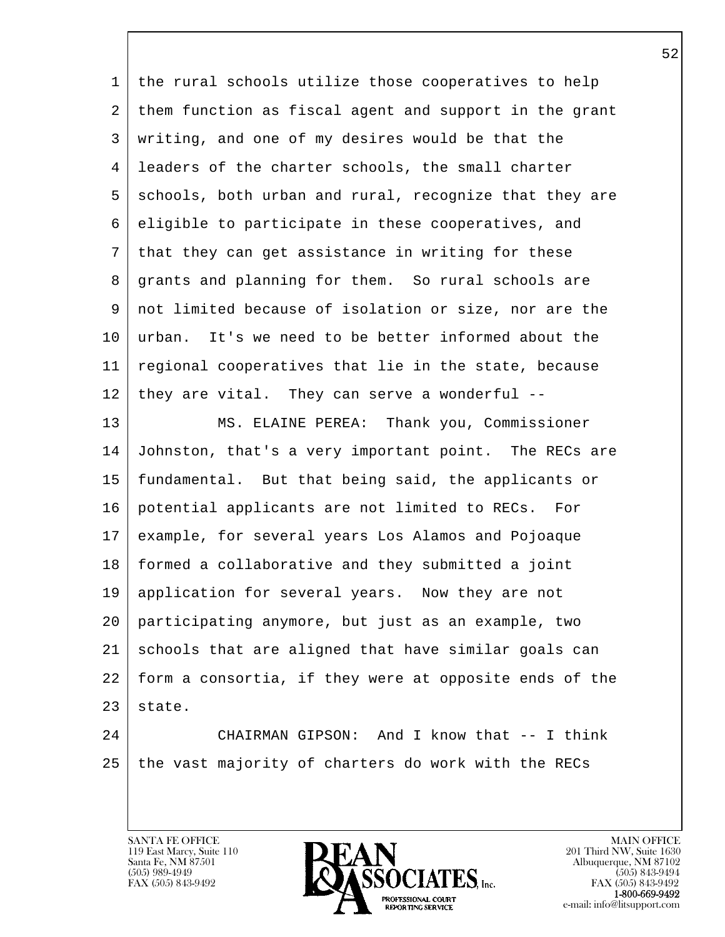| 1  | the rural schools utilize those cooperatives to help   |
|----|--------------------------------------------------------|
| 2  | them function as fiscal agent and support in the grant |
| 3  | writing, and one of my desires would be that the       |
| 4  | leaders of the charter schools, the small charter      |
| 5  | schools, both urban and rural, recognize that they are |
| 6  | eligible to participate in these cooperatives, and     |
| 7  | that they can get assistance in writing for these      |
| 8  | grants and planning for them. So rural schools are     |
| 9  | not limited because of isolation or size, nor are the  |
| 10 | urban. It's we need to be better informed about the    |
| 11 | regional cooperatives that lie in the state, because   |
| 12 | they are vital. They can serve a wonderful --          |
| 13 | MS. ELAINE PEREA: Thank you, Commissioner              |
| 14 | Johnston, that's a very important point. The RECs are  |
| 15 | fundamental. But that being said, the applicants or    |
| 16 | potential applicants are not limited to RECs.<br>For   |
| 17 | example, for several years Los Alamos and Pojoaque     |
| 18 | formed a collaborative and they submitted a joint      |
| 19 | application for several years. Now they are not        |
| 20 | participating anymore, but just as an example, two     |
| 21 | schools that are aligned that have similar goals can   |
| 22 | form a consortia, if they were at opposite ends of the |
| 23 | state.                                                 |
| 24 | CHAIRMAN GIPSON: And I know that -- I think            |

l  $\overline{\phantom{a}}$ 

 $25$  the vast majority of charters do work with the RECs

31XYTA FE OTTCL<br>119 East Marcy, Suite 110<br>Santa Fe, NM 87501<br>(505) 989-4949



201 Third NW, Suite 1630<br>Albuquerque, NM 87102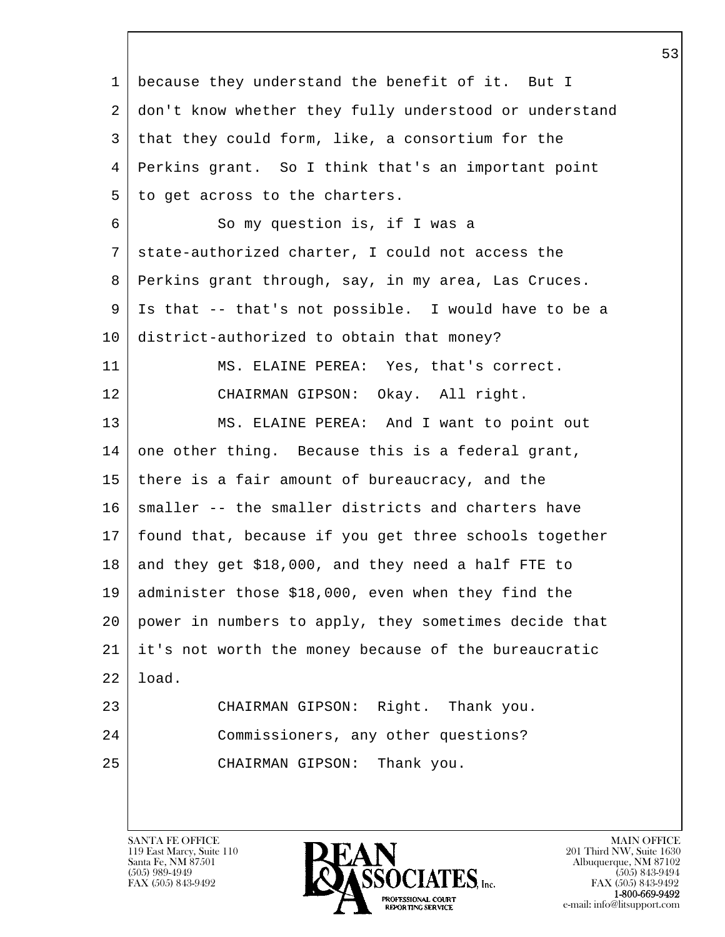l  $\overline{\phantom{a}}$  1 because they understand the benefit of it. But I 2 don't know whether they fully understood or understand 3 that they could form, like, a consortium for the 4 Perkins grant. So I think that's an important point  $5$  to get across to the charters. 6 So my question is, if I was a 7 state-authorized charter, I could not access the 8 Perkins grant through, say, in my area, Las Cruces. 9 Is that -- that's not possible. I would have to be a 10 district-authorized to obtain that money? 11 MS. ELAINE PEREA: Yes, that's correct. 12 CHAIRMAN GIPSON: Okay. All right. 13 | MS. ELAINE PEREA: And I want to point out 14 one other thing. Because this is a federal grant, 15 | there is a fair amount of bureaucracy, and the 16 | smaller -- the smaller districts and charters have 17 found that, because if you get three schools together  $18$  and they get \$18,000, and they need a half FTE to 19 administer those \$18,000, even when they find the 20 power in numbers to apply, they sometimes decide that 21 it's not worth the money because of the bureaucratic 22 load. 23 CHAIRMAN GIPSON: Right. Thank you. 24 Commissioners, any other questions? 25 CHAIRMAN GIPSON: Thank you.

119 East Marcy, Suite 110<br>Santa Fe, NM 87501

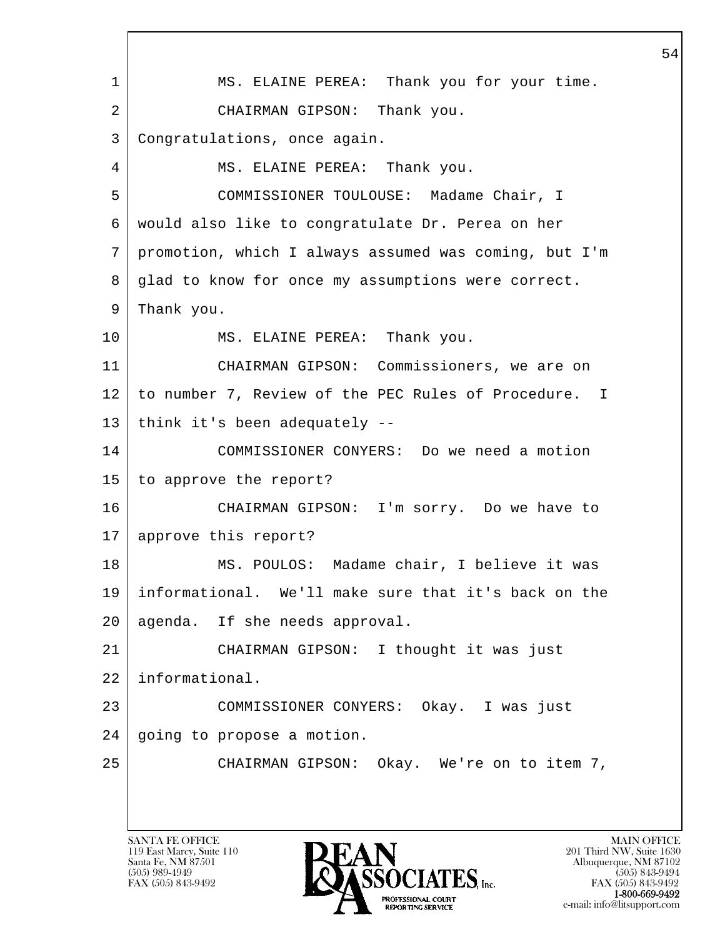l  $\overline{\phantom{a}}$ 1 | MS. ELAINE PEREA: Thank you for your time. 2 CHAIRMAN GIPSON: Thank you. 3 Congratulations, once again. 4 MS. ELAINE PEREA: Thank you. 5 COMMISSIONER TOULOUSE: Madame Chair, I 6 would also like to congratulate Dr. Perea on her 7 promotion, which I always assumed was coming, but I'm 8 glad to know for once my assumptions were correct. 9 Thank you. 10 MS. ELAINE PEREA: Thank you. 11 CHAIRMAN GIPSON: Commissioners, we are on 12 to number 7, Review of the PEC Rules of Procedure. I 13 | think it's been adequately --14 COMMISSIONER CONYERS: Do we need a motion 15 to approve the report? 16 CHAIRMAN GIPSON: I'm sorry. Do we have to 17 approve this report? 18 | MS. POULOS: Madame chair, I believe it was 19 informational. We'll make sure that it's back on the 20 agenda. If she needs approval. 21 CHAIRMAN GIPSON: I thought it was just 22 informational. 23 COMMISSIONER CONYERS: Okay. I was just 24 | going to propose a motion. 25 CHAIRMAN GIPSON: Okay. We're on to item 7,

119 East Marcy, Suite 110<br>Santa Fe, NM 87501

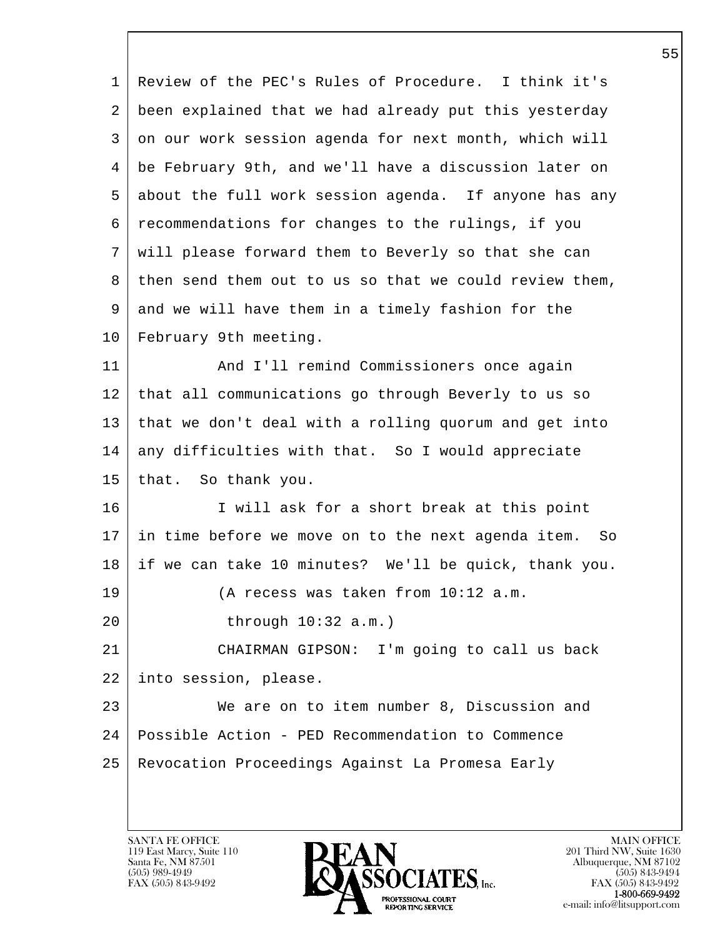l  $\overline{\phantom{a}}$  1 Review of the PEC's Rules of Procedure. I think it's 2 been explained that we had already put this yesterday 3 on our work session agenda for next month, which will 4 be February 9th, and we'll have a discussion later on 5 about the full work session agenda. If anyone has any 6 recommendations for changes to the rulings, if you 7 will please forward them to Beverly so that she can 8 then send them out to us so that we could review them, 9 and we will have them in a timely fashion for the 10 | February 9th meeting. 11 | And I'll remind Commissioners once again 12 that all communications go through Beverly to us so 13 that we don't deal with a rolling quorum and get into 14 any difficulties with that. So I would appreciate 15 | that. So thank you. 16 I will ask for a short break at this point 17 in time before we move on to the next agenda item. So 18 if we can take 10 minutes? We'll be quick, thank you. 19 (A recess was taken from 10:12 a.m. 20 through 10:32 a.m.) 21 CHAIRMAN GIPSON: I'm going to call us back 22 into session, please. 23 We are on to item number 8, Discussion and 24 Possible Action - PED Recommendation to Commence 25 Revocation Proceedings Against La Promesa Early

119 East Marcy, Suite 110<br>Santa Fe, NM 87501

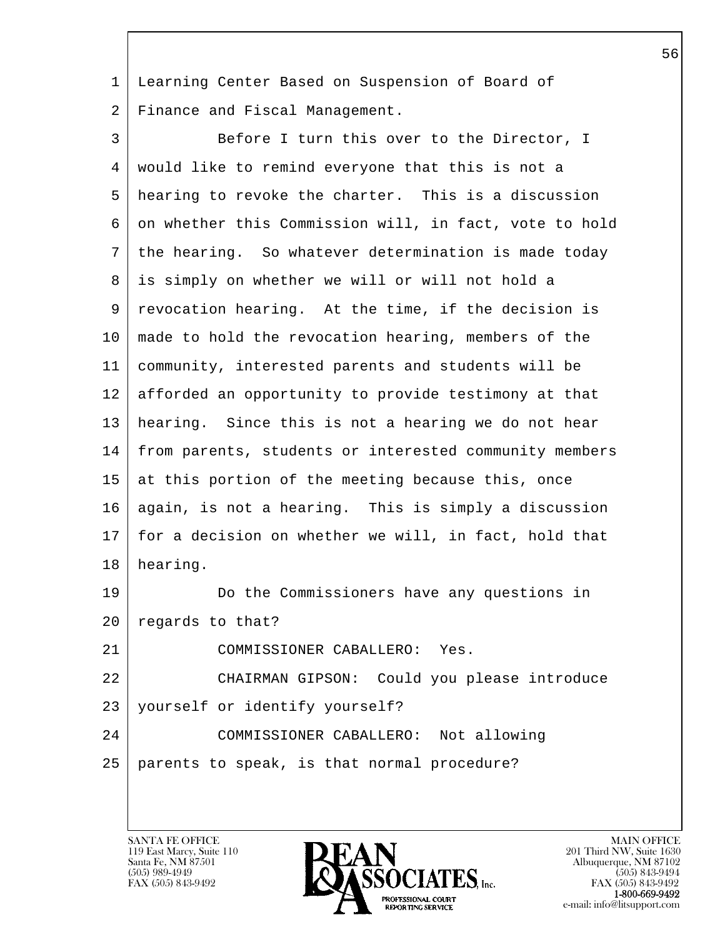1 Learning Center Based on Suspension of Board of 2 Finance and Fiscal Management.

3 Before I turn this over to the Director, I 4 would like to remind everyone that this is not a 5 hearing to revoke the charter. This is a discussion 6 on whether this Commission will, in fact, vote to hold 7 the hearing. So whatever determination is made today 8 is simply on whether we will or will not hold a 9 revocation hearing. At the time, if the decision is 10 | made to hold the revocation hearing, members of the 11 community, interested parents and students will be 12 afforded an opportunity to provide testimony at that 13 hearing. Since this is not a hearing we do not hear 14 from parents, students or interested community members 15 at this portion of the meeting because this, once 16 | again, is not a hearing. This is simply a discussion 17 for a decision on whether we will, in fact, hold that 18 hearing. 19 Do the Commissioners have any questions in 20 regards to that? 21 COMMISSIONER CABALLERO: Yes. 22 CHAIRMAN GIPSON: Could you please introduce 23 yourself or identify yourself?

l 24 COMMISSIONER CABALLERO: Not allowing 25 parents to speak, is that normal procedure?

119 East Marcy, Suite 110<br>Santa Fe, NM 87501

 $\overline{\phantom{a}}$ 

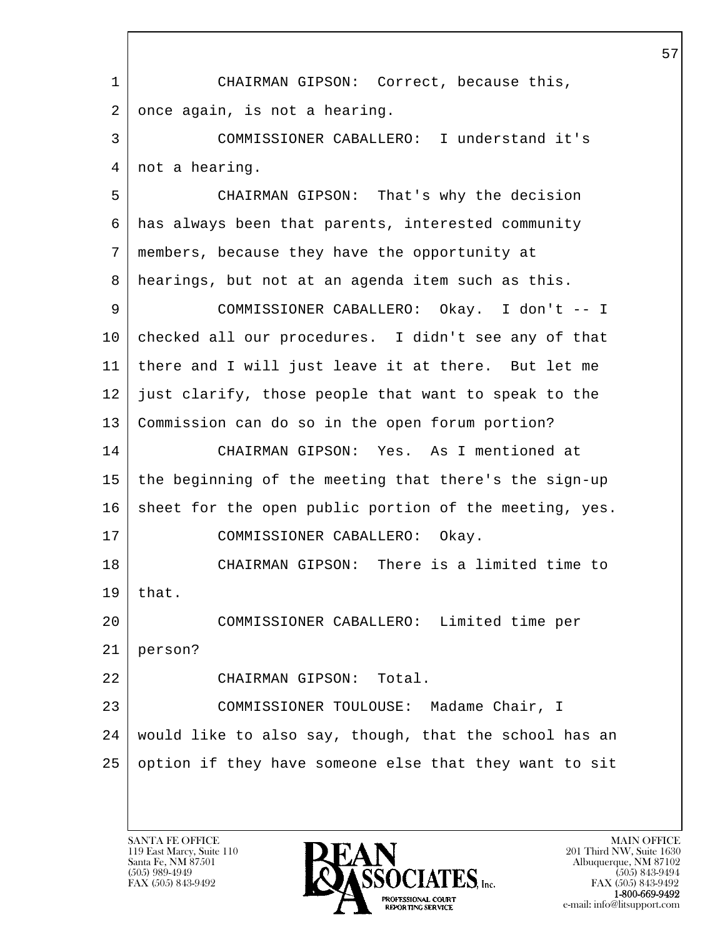l  $\overline{\phantom{a}}$  1 CHAIRMAN GIPSON: Correct, because this,  $2$  once again, is not a hearing. 3 COMMISSIONER CABALLERO: I understand it's 4 | not a hearing. 5 CHAIRMAN GIPSON: That's why the decision 6 has always been that parents, interested community 7 members, because they have the opportunity at 8 hearings, but not at an agenda item such as this. 9 COMMISSIONER CABALLERO: Okay. I don't -- I 10 checked all our procedures. I didn't see any of that 11 there and I will just leave it at there. But let me 12 just clarify, those people that want to speak to the 13 Commission can do so in the open forum portion? 14 CHAIRMAN GIPSON: Yes. As I mentioned at 15 the beginning of the meeting that there's the sign-up 16 sheet for the open public portion of the meeting, yes. 17 COMMISSIONER CABALLERO: Okay. 18 CHAIRMAN GIPSON: There is a limited time to  $19$  that. 20 COMMISSIONER CABALLERO: Limited time per 21 person? 22 CHAIRMAN GIPSON: Total. 23 COMMISSIONER TOULOUSE: Madame Chair, I 24 would like to also say, though, that the school has an 25 option if they have someone else that they want to sit

119 East Marcy, Suite 110<br>Santa Fe, NM 87501

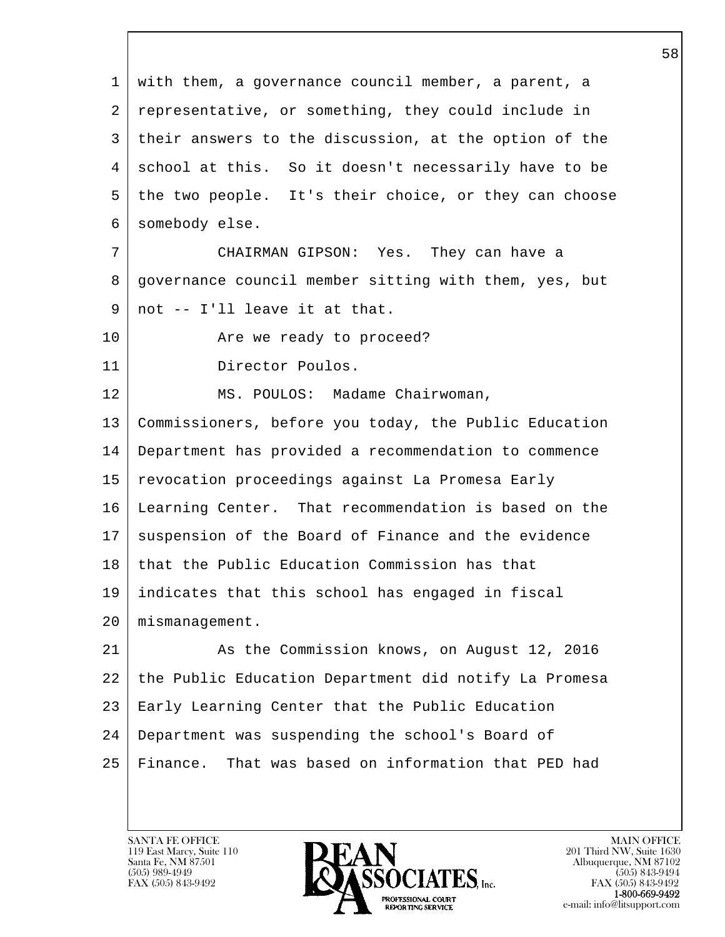l  $\overline{\phantom{a}}$  1 with them, a governance council member, a parent, a 2 representative, or something, they could include in 3 their answers to the discussion, at the option of the 4 school at this. So it doesn't necessarily have to be 5 the two people. It's their choice, or they can choose 6 somebody else. 7 CHAIRMAN GIPSON: Yes. They can have a 8 governance council member sitting with them, yes, but 9 not -- I'll leave it at that. 10 | The we ready to proceed? 11 Director Poulos. 12 | MS. POULOS: Madame Chairwoman, 13 Commissioners, before you today, the Public Education 14 Department has provided a recommendation to commence 15 revocation proceedings against La Promesa Early 16 Learning Center. That recommendation is based on the 17 | suspension of the Board of Finance and the evidence 18 that the Public Education Commission has that 19 indicates that this school has engaged in fiscal 20 mismanagement. 21 As the Commission knows, on August 12, 2016 22 the Public Education Department did notify La Promesa 23 Early Learning Center that the Public Education 24 Department was suspending the school's Board of 25 Finance. That was based on information that PED had

119 East Marcy, Suite 110<br>Santa Fe, NM 87501

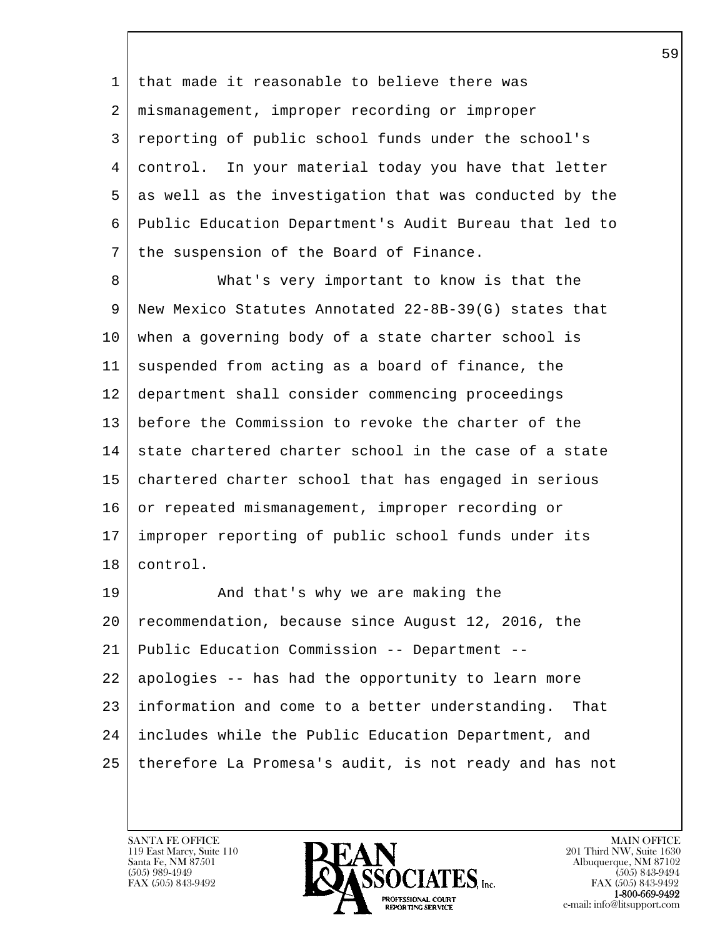1 that made it reasonable to believe there was 2 mismanagement, improper recording or improper 3 reporting of public school funds under the school's 4 control. In your material today you have that letter 5 as well as the investigation that was conducted by the 6 Public Education Department's Audit Bureau that led to 7 | the suspension of the Board of Finance.

 8 What's very important to know is that the 9 New Mexico Statutes Annotated 22-8B-39(G) states that 10 when a governing body of a state charter school is 11 suspended from acting as a board of finance, the 12 department shall consider commencing proceedings 13 before the Commission to revoke the charter of the 14 state chartered charter school in the case of a state 15 chartered charter school that has engaged in serious 16 or repeated mismanagement, improper recording or 17 improper reporting of public school funds under its 18 control.

l  $\overline{\phantom{a}}$ 19 And that's why we are making the 20 recommendation, because since August 12, 2016, the 21 Public Education Commission -- Department -- 22 apologies -- has had the opportunity to learn more 23 information and come to a better understanding. That 24 includes while the Public Education Department, and 25 therefore La Promesa's audit, is not ready and has not

119 East Marcy, Suite 110<br>Santa Fe, NM 87501

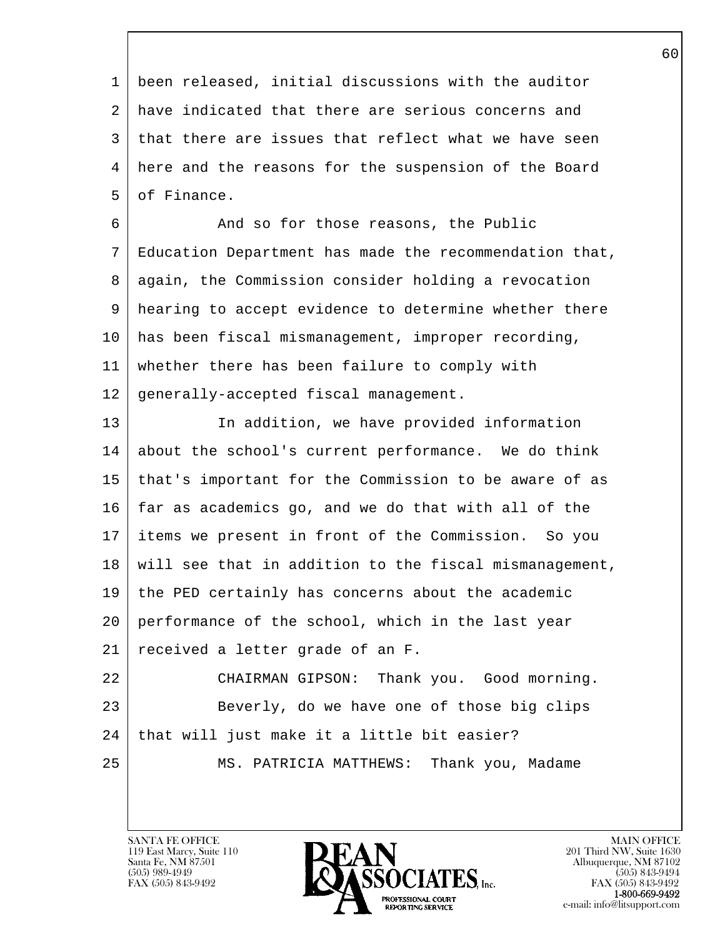1 been released, initial discussions with the auditor 2 have indicated that there are serious concerns and 3 that there are issues that reflect what we have seen 4 here and the reasons for the suspension of the Board 5 of Finance.

6 And so for those reasons, the Public 7 Education Department has made the recommendation that, 8 | again, the Commission consider holding a revocation 9 hearing to accept evidence to determine whether there 10 has been fiscal mismanagement, improper recording, 11 whether there has been failure to comply with 12 generally-accepted fiscal management.

13 | The addition, we have provided information 14 about the school's current performance. We do think 15 that's important for the Commission to be aware of as 16 far as academics go, and we do that with all of the 17 items we present in front of the Commission. So you 18 will see that in addition to the fiscal mismanagement, 19 the PED certainly has concerns about the academic 20 performance of the school, which in the last year 21 received a letter grade of an F. 22 CHAIRMAN GIPSON: Thank you. Good morning. 23 Beverly, do we have one of those big clips

 $24$  that will just make it a little bit easier?

25 MS. PATRICIA MATTHEWS: Thank you, Madame

119 East Marcy, Suite 110<br>Santa Fe, NM 87501

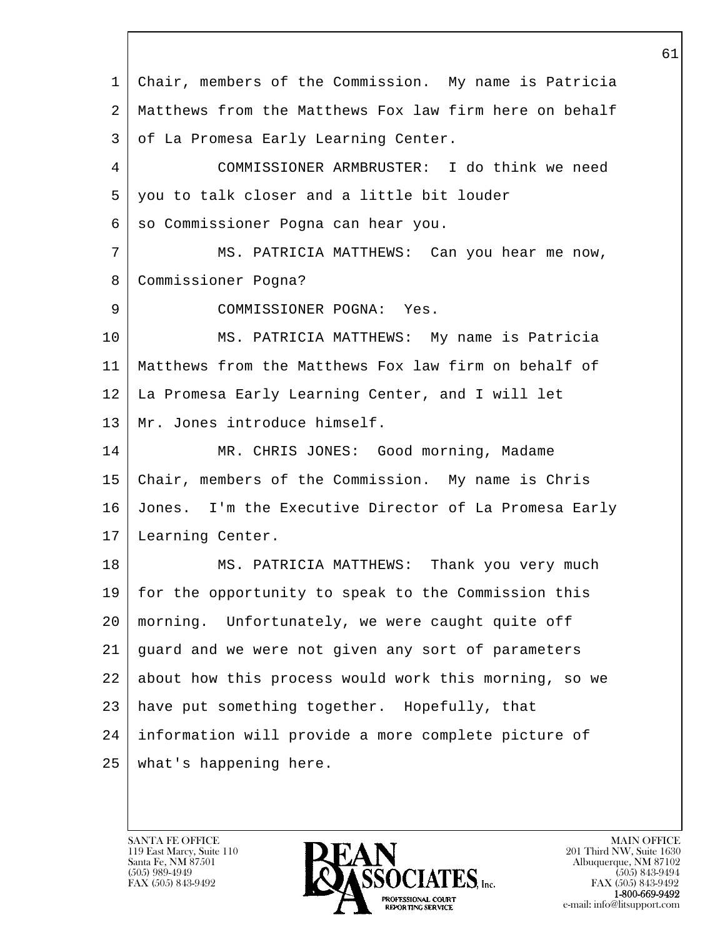l  $\overline{\phantom{a}}$  1 Chair, members of the Commission. My name is Patricia 2 Matthews from the Matthews Fox law firm here on behalf 3 | of La Promesa Early Learning Center. 4 COMMISSIONER ARMBRUSTER: I do think we need 5 you to talk closer and a little bit louder 6 | so Commissioner Pogna can hear you. 7 MS. PATRICIA MATTHEWS: Can you hear me now, 8 Commissioner Pogna? 9 COMMISSIONER POGNA: Yes. 10 MS. PATRICIA MATTHEWS: My name is Patricia 11 Matthews from the Matthews Fox law firm on behalf of 12 La Promesa Early Learning Center, and I will let 13 | Mr. Jones introduce himself. 14 MR. CHRIS JONES: Good morning, Madame 15 Chair, members of the Commission. My name is Chris 16 Jones. I'm the Executive Director of La Promesa Early 17 Learning Center. 18 | MS. PATRICIA MATTHEWS: Thank you very much 19 for the opportunity to speak to the Commission this 20 morning. Unfortunately, we were caught quite off 21 guard and we were not given any sort of parameters 22 about how this process would work this morning, so we 23 have put something together. Hopefully, that 24 information will provide a more complete picture of 25 what's happening here.

119 East Marcy, Suite 110<br>Santa Fe, NM 87501

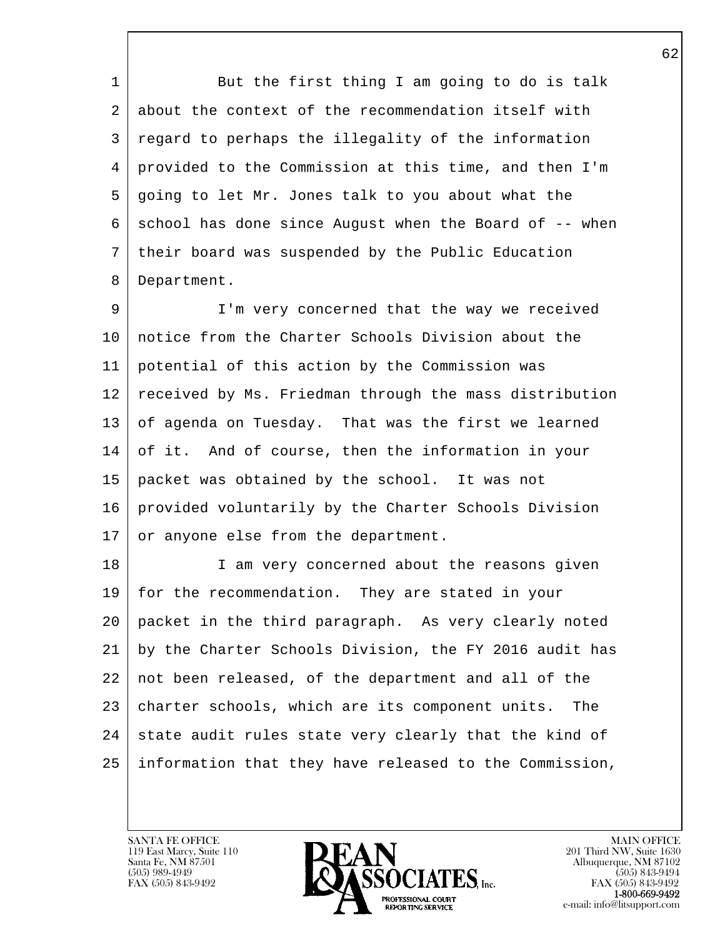1 But the first thing I am going to do is talk 2 about the context of the recommendation itself with 3 regard to perhaps the illegality of the information 4 provided to the Commission at this time, and then I'm 5 going to let Mr. Jones talk to you about what the  $6 \mid$  school has done since August when the Board of  $-$ - when 7 their board was suspended by the Public Education 8 Department.

9 I'm very concerned that the way we received 10 notice from the Charter Schools Division about the 11 potential of this action by the Commission was 12 received by Ms. Friedman through the mass distribution 13 of agenda on Tuesday. That was the first we learned 14 of it. And of course, then the information in your 15 packet was obtained by the school. It was not 16 provided voluntarily by the Charter Schools Division 17 or anyone else from the department.

l 18 | I am very concerned about the reasons given 19 for the recommendation. They are stated in your 20 packet in the third paragraph. As very clearly noted 21 by the Charter Schools Division, the FY 2016 audit has 22 not been released, of the department and all of the 23 | charter schools, which are its component units. The  $24$  state audit rules state very clearly that the kind of 25 information that they have released to the Commission,

119 East Marcy, Suite 110<br>Santa Fe, NM 87501

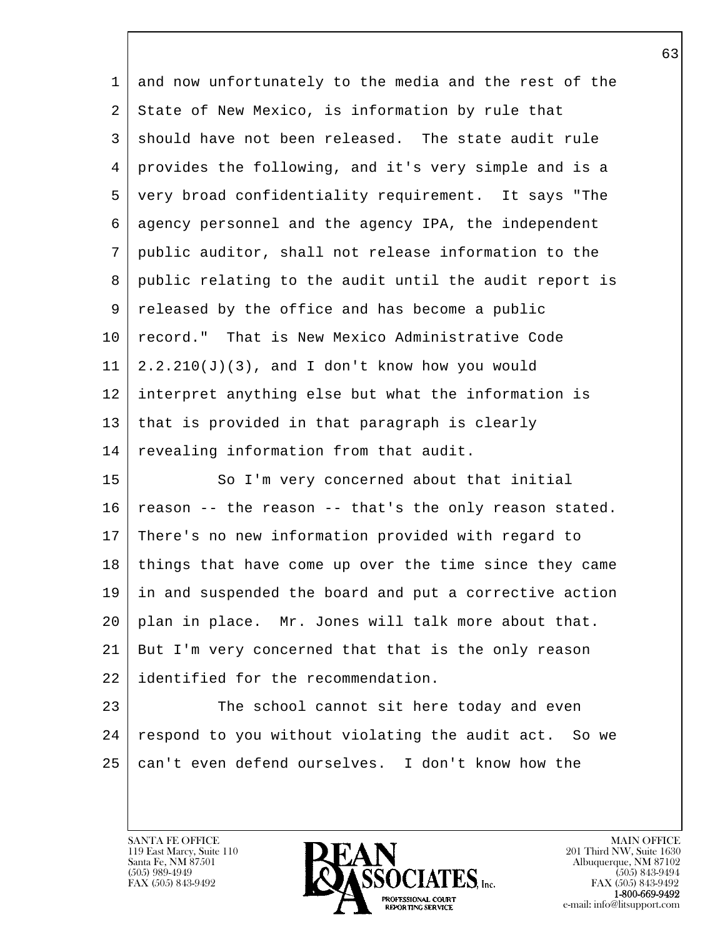| $\mathbf{1}$ | and now unfortunately to the media and the rest of the |
|--------------|--------------------------------------------------------|
| 2            | State of New Mexico, is information by rule that       |
| $\mathsf{3}$ | should have not been released. The state audit rule    |
| 4            | provides the following, and it's very simple and is a  |
| 5            | very broad confidentiality requirement. It says "The   |
| 6            | agency personnel and the agency IPA, the independent   |
| 7            | public auditor, shall not release information to the   |
| 8            | public relating to the audit until the audit report is |
| 9            | released by the office and has become a public         |
| $10 \,$      | record." That is New Mexico Administrative Code        |
| 11           | $2.2.210(J)(3)$ , and I don't know how you would       |
| 12           | interpret anything else but what the information is    |
| 13           | that is provided in that paragraph is clearly          |
| 14           | revealing information from that audit.                 |
| 15           | So I'm very concerned about that initial               |
| 16           | reason -- the reason -- that's the only reason stated. |
| 17           | There's no new information provided with regard to     |
| 18           | things that have come up over the time since they came |
| 19           | in and suspended the board and put a corrective action |
| 20           | plan in place. Mr. Jones will talk more about that.    |
| 21           | But I'm very concerned that that is the only reason    |
| 22           | identified for the recommendation.                     |
| 23           | The school cannot sit here today and even              |
| 24           | respond to you without violating the audit act. So we  |
| 25           | can't even defend ourselves. I don't know how the      |

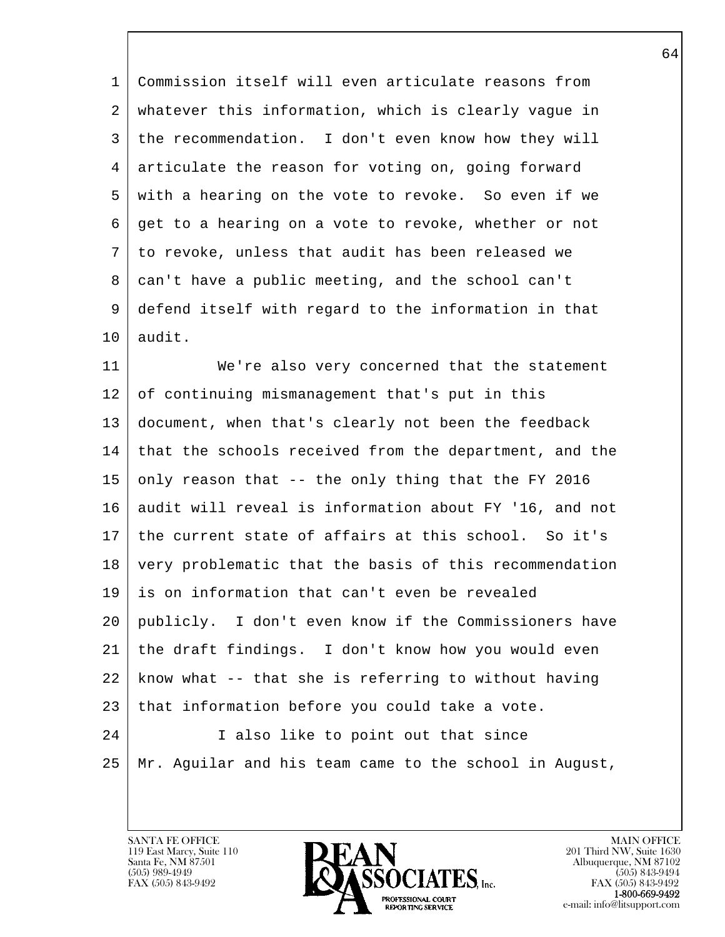1 Commission itself will even articulate reasons from 2 whatever this information, which is clearly vague in 3 the recommendation. I don't even know how they will 4 articulate the reason for voting on, going forward 5 with a hearing on the vote to revoke. So even if we 6 get to a hearing on a vote to revoke, whether or not 7 to revoke, unless that audit has been released we 8 can't have a public meeting, and the school can't 9 defend itself with regard to the information in that 10 audit.

11 We're also very concerned that the statement 12 of continuing mismanagement that's put in this 13 document, when that's clearly not been the feedback 14 that the schools received from the department, and the 15 only reason that -- the only thing that the FY 2016 16 audit will reveal is information about FY '16, and not 17 the current state of affairs at this school. So it's 18 very problematic that the basis of this recommendation 19 is on information that can't even be revealed 20 publicly. I don't even know if the Commissioners have 21 the draft findings. I don't know how you would even 22 know what -- that she is referring to without having  $23$  that information before you could take a vote. 24 I also like to point out that since

l  $\overline{\phantom{a}}$ 

25 Mr. Aguilar and his team came to the school in August,

119 East Marcy, Suite 110<br>Santa Fe, NM 87501

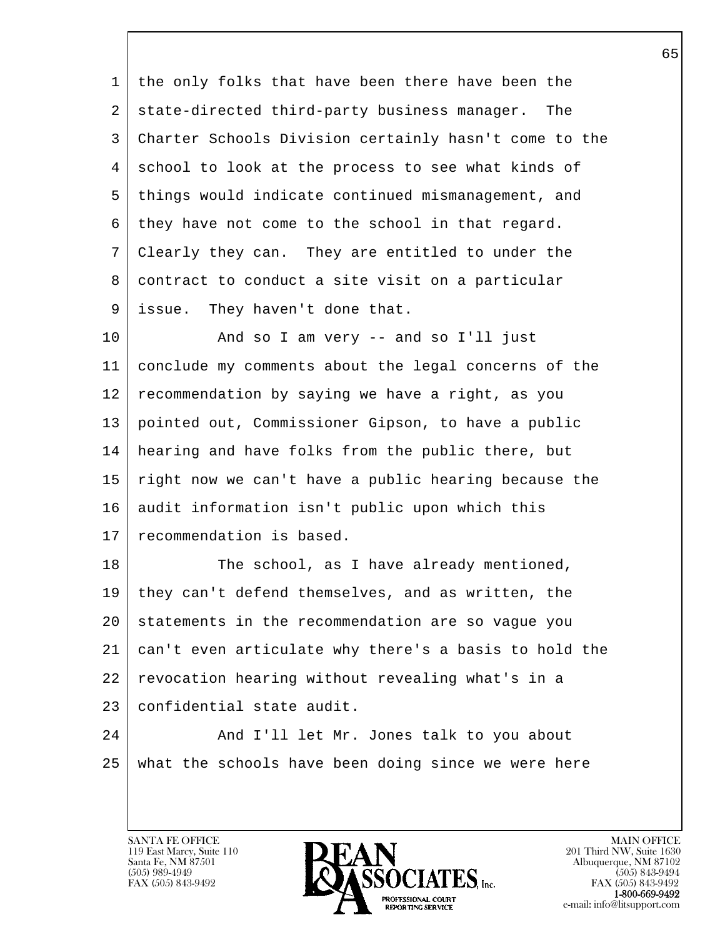1 the only folks that have been there have been the 2 state-directed third-party business manager. The 3 Charter Schools Division certainly hasn't come to the 4 school to look at the process to see what kinds of 5 things would indicate continued mismanagement, and 6 they have not come to the school in that regard. 7 Clearly they can. They are entitled to under the 8 contract to conduct a site visit on a particular 9 issue. They haven't done that.

10 | And so I am very -- and so I'll just 11 conclude my comments about the legal concerns of the 12 recommendation by saying we have a right, as you 13 pointed out, Commissioner Gipson, to have a public 14 hearing and have folks from the public there, but 15 right now we can't have a public hearing because the 16 audit information isn't public upon which this 17 recommendation is based.

18 The school, as I have already mentioned, 19 they can't defend themselves, and as written, the 20 statements in the recommendation are so vague you 21 can't even articulate why there's a basis to hold the 22 revocation hearing without revealing what's in a 23 confidential state audit.

l 24 | And I'll let Mr. Jones talk to you about 25 what the schools have been doing since we were here

119 East Marcy, Suite 110<br>Santa Fe, NM 87501

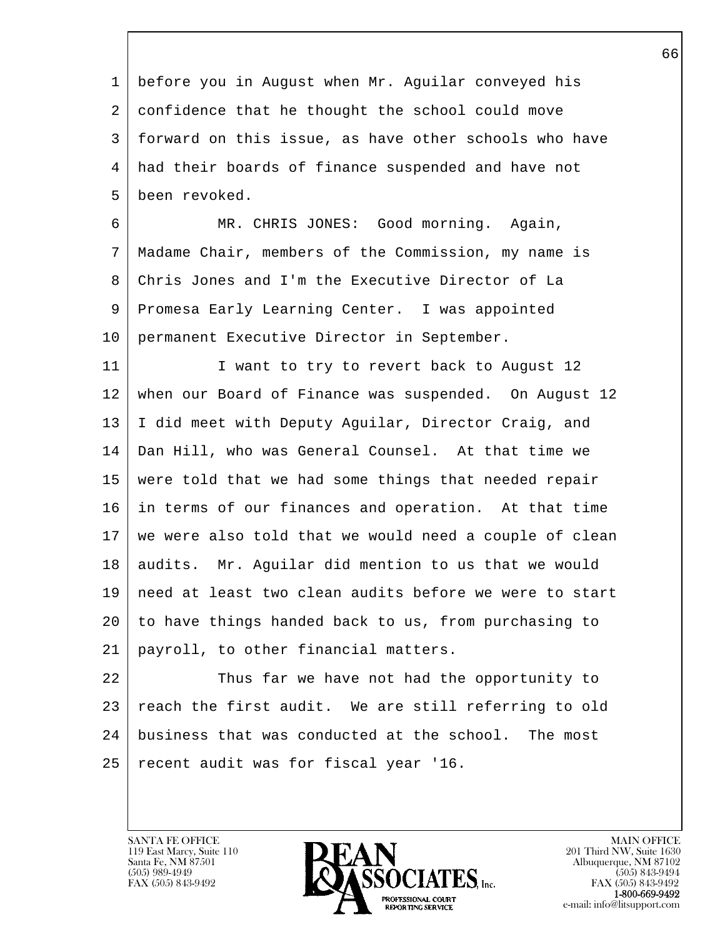1 before you in August when Mr. Aguilar conveyed his 2 confidence that he thought the school could move 3 forward on this issue, as have other schools who have 4 had their boards of finance suspended and have not 5 been revoked.

 6 MR. CHRIS JONES: Good morning. Again, 7 Madame Chair, members of the Commission, my name is 8 Chris Jones and I'm the Executive Director of La 9 Promesa Early Learning Center. I was appointed 10 permanent Executive Director in September.

11 | I want to try to revert back to August 12 12 when our Board of Finance was suspended. On August 12 13 I did meet with Deputy Aguilar, Director Craig, and 14 Dan Hill, who was General Counsel. At that time we 15 were told that we had some things that needed repair 16 in terms of our finances and operation. At that time 17 we were also told that we would need a couple of clean 18 | audits. Mr. Aguilar did mention to us that we would 19 need at least two clean audits before we were to start 20 to have things handed back to us, from purchasing to 21 payroll, to other financial matters.

l 22 Thus far we have not had the opportunity to 23  $\vert$  reach the first audit. We are still referring to old 24 business that was conducted at the school. The most 25 recent audit was for fiscal year '16.

119 East Marcy, Suite 110<br>Santa Fe, NM 87501

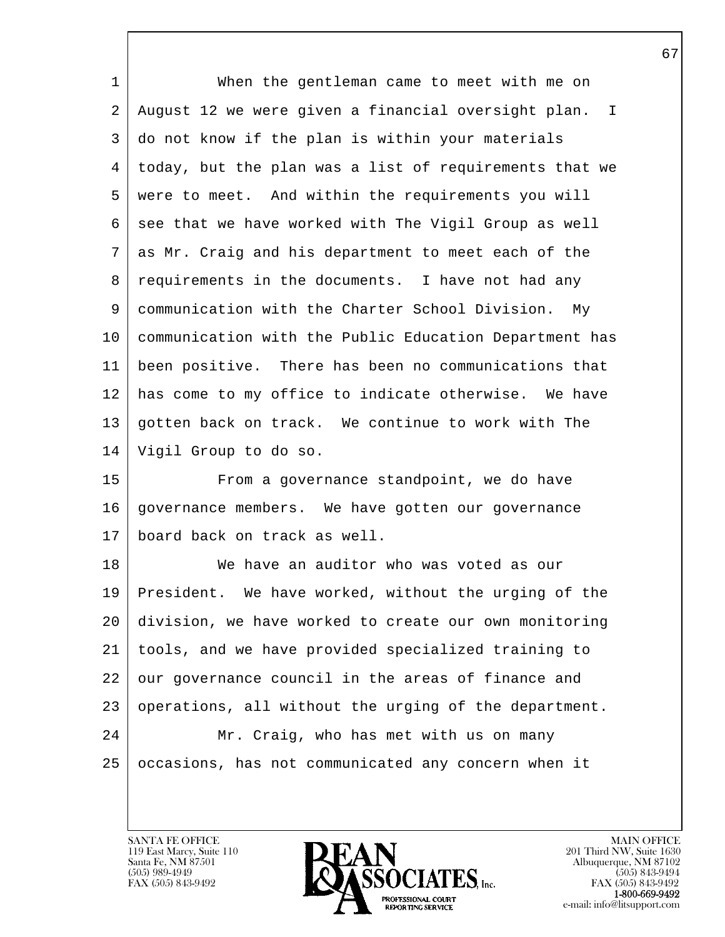| $\mathbf{1}$ | When the gentleman came to meet with me on               |
|--------------|----------------------------------------------------------|
| 2            | August 12 we were given a financial oversight plan.<br>I |
| 3            | do not know if the plan is within your materials         |
| 4            | today, but the plan was a list of requirements that we   |
| 5            | were to meet. And within the requirements you will       |
| 6            | see that we have worked with The Vigil Group as well     |
| 7            | as Mr. Craig and his department to meet each of the      |
| 8            | requirements in the documents. I have not had any        |
| 9            | communication with the Charter School Division. My       |
| 10           | communication with the Public Education Department has   |
| 11           | been positive. There has been no communications that     |
| 12           | has come to my office to indicate otherwise. We have     |
| 13           | gotten back on track. We continue to work with The       |
| 14           | Vigil Group to do so.                                    |
| 15           | From a governance standpoint, we do have                 |
| 16           | governance members. We have gotten our governance        |
| 17           | board back on track as well.                             |
| 18           | We have an auditor who was voted as our                  |
| 19           | President. We have worked, without the urging of the     |
| 20           | division, we have worked to create our own monitoring    |
| 21           | tools, and we have provided specialized training to      |
| 22           | our governance council in the areas of finance and       |
| 23           | operations, all without the urging of the department.    |
| 24           | Mr. Craig, who has met with us on many                   |
| 25           | occasions, has not communicated any concern when it      |
|              |                                                          |

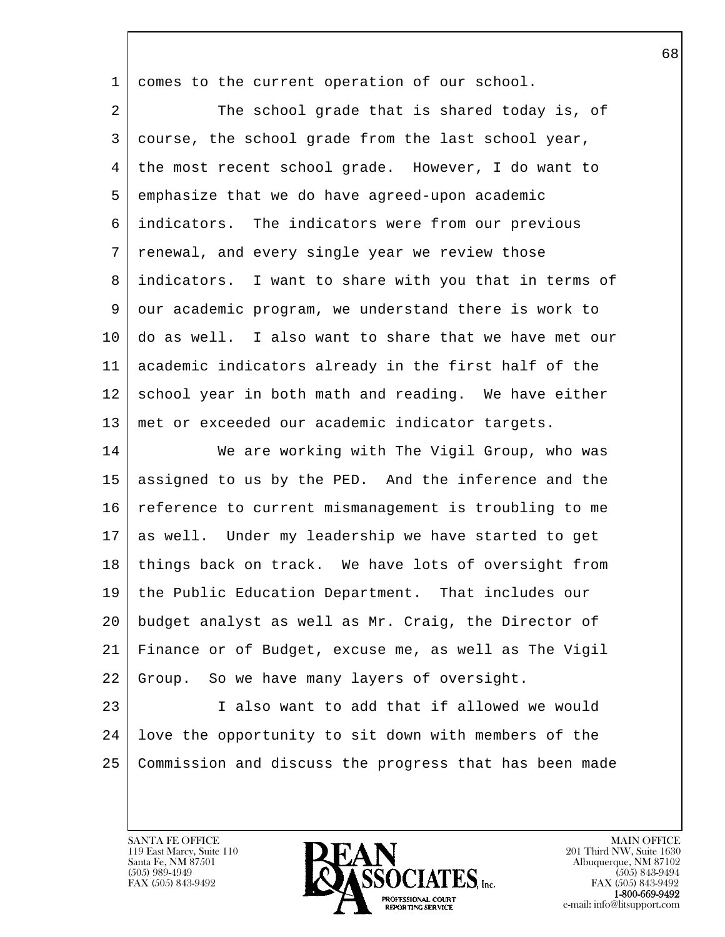1 comes to the current operation of our school.

2 The school grade that is shared today is, of 3 course, the school grade from the last school year, 4 the most recent school grade. However, I do want to 5 emphasize that we do have agreed-upon academic 6 indicators. The indicators were from our previous 7 renewal, and every single year we review those 8 indicators. I want to share with you that in terms of 9 our academic program, we understand there is work to 10 do as well. I also want to share that we have met our 11 academic indicators already in the first half of the 12 school year in both math and reading. We have either 13 met or exceeded our academic indicator targets.

14 We are working with The Vigil Group, who was 15 assigned to us by the PED. And the inference and the 16 reference to current mismanagement is troubling to me 17 as well. Under my leadership we have started to get 18 things back on track. We have lots of oversight from 19 the Public Education Department. That includes our 20 budget analyst as well as Mr. Craig, the Director of 21 Finance or of Budget, excuse me, as well as The Vigil 22 Group. So we have many layers of oversight.

l 23 I also want to add that if allowed we would 24 love the opportunity to sit down with members of the 25 Commission and discuss the progress that has been made

119 East Marcy, Suite 110<br>Santa Fe, NM 87501

 $\overline{\phantom{a}}$ 



FAX (505) 843-9492<br>**1-800-669-9492**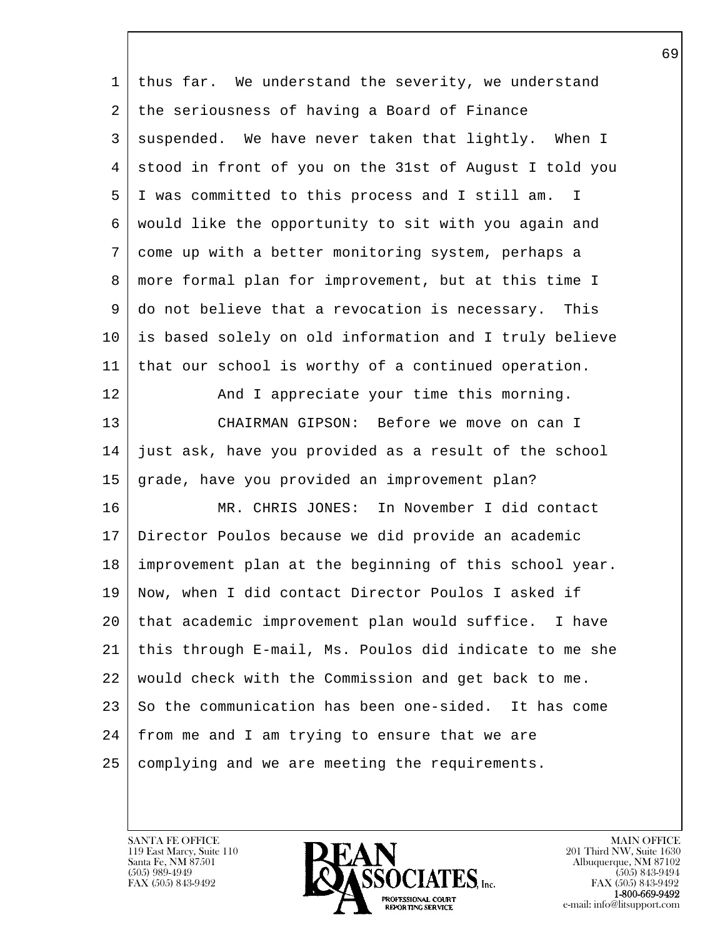| 1  | thus far. We understand the severity, we understand             |
|----|-----------------------------------------------------------------|
| 2  | the seriousness of having a Board of Finance                    |
| 3  | suspended. We have never taken that lightly. When I             |
| 4  | stood in front of you on the 31st of August I told you          |
| 5  | I was committed to this process and I still am.<br>$\mathbf{I}$ |
| 6  | would like the opportunity to sit with you again and            |
| 7  | come up with a better monitoring system, perhaps a              |
| 8  | more formal plan for improvement, but at this time I            |
| 9  | do not believe that a revocation is necessary. This             |
| 10 | is based solely on old information and I truly believe          |
| 11 | that our school is worthy of a continued operation.             |
| 12 | And I appreciate your time this morning.                        |
| 13 | CHAIRMAN GIPSON: Before we move on can I                        |
| 14 | just ask, have you provided as a result of the school           |
| 15 | grade, have you provided an improvement plan?                   |
| 16 | MR. CHRIS JONES: In November I did contact                      |
| 17 | Director Poulos because we did provide an academic              |
| 18 | improvement plan at the beginning of this school year.          |
| 19 | Now, when I did contact Director Poulos I asked if              |
| 20 | that academic improvement plan would suffice. I have            |
| 21 | this through E-mail, Ms. Poulos did indicate to me she          |
| 22 | would check with the Commission and get back to me.             |
| 23 | So the communication has been one-sided. It has come            |
| 24 | from me and I am trying to ensure that we are                   |
| 25 | complying and we are meeting the requirements.                  |
|    |                                                                 |

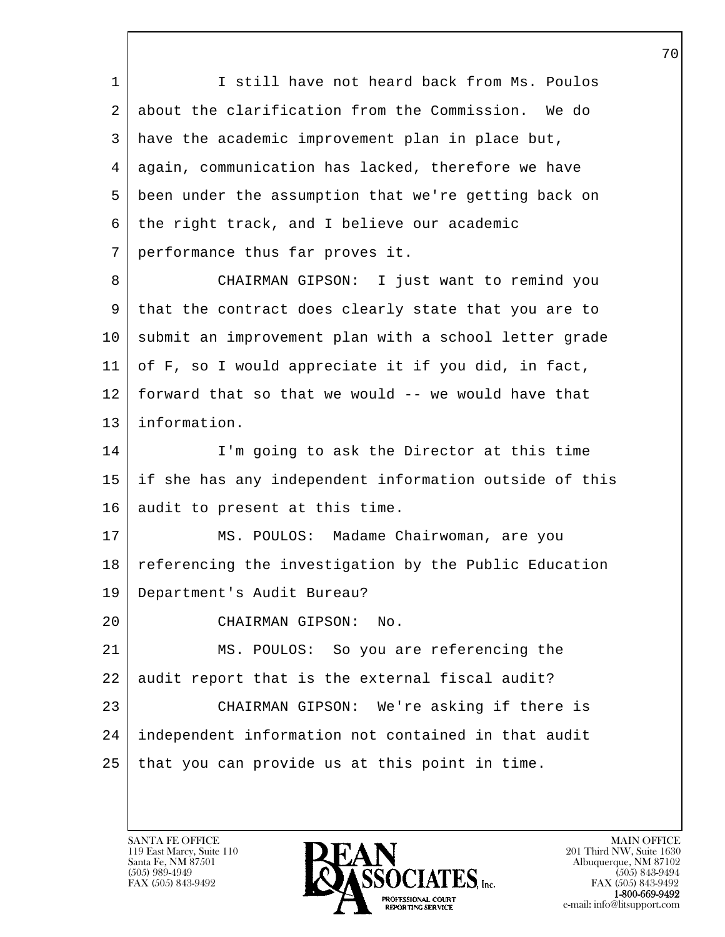1 I still have not heard back from Ms. Poulos 2 about the clarification from the Commission. We do 3 have the academic improvement plan in place but, 4 again, communication has lacked, therefore we have 5 been under the assumption that we're getting back on  $6$  the right track, and I believe our academic 7 performance thus far proves it.

 8 CHAIRMAN GIPSON: I just want to remind you 9 that the contract does clearly state that you are to 10 submit an improvement plan with a school letter grade 11 of F, so I would appreciate it if you did, in fact,  $12$  forward that so that we would  $-$ - we would have that 13 information.

14 I'm going to ask the Director at this time 15 if she has any independent information outside of this 16 audit to present at this time.

17 MS. POULOS: Madame Chairwoman, are you 18 referencing the investigation by the Public Education 19 Department's Audit Bureau?

20 CHAIRMAN GIPSON: No.

l 21 MS. POULOS: So you are referencing the 22 audit report that is the external fiscal audit? 23 CHAIRMAN GIPSON: We're asking if there is 24 independent information not contained in that audit  $25$  that you can provide us at this point in time.

119 East Marcy, Suite 110<br>Santa Fe, NM 87501

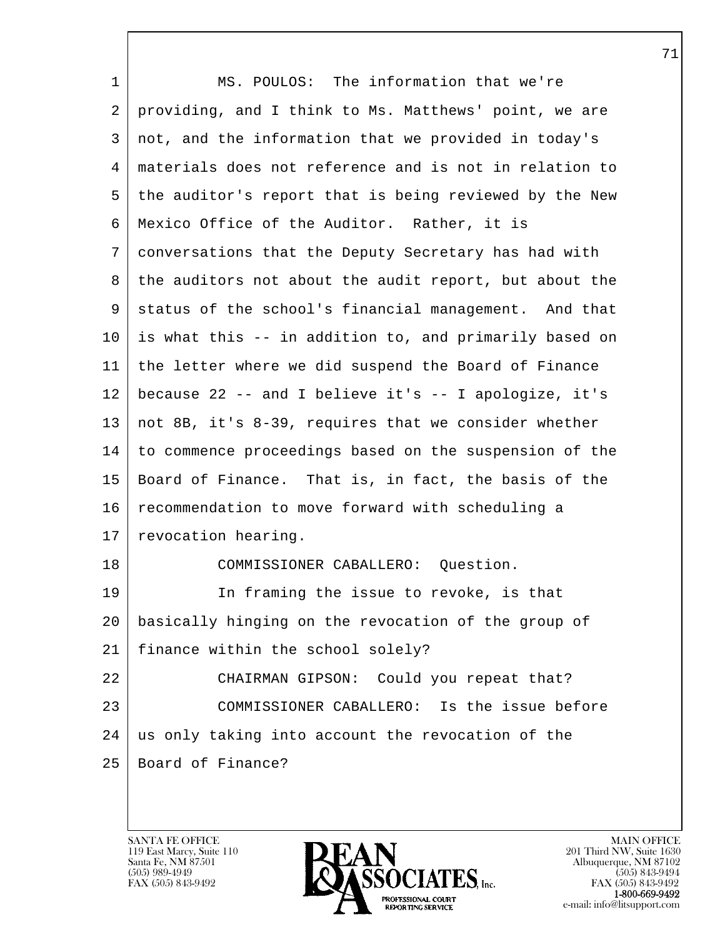| $\mathbf{1}$ | MS. POULOS: The information that we're                 |
|--------------|--------------------------------------------------------|
| 2            | providing, and I think to Ms. Matthews' point, we are  |
| 3            | not, and the information that we provided in today's   |
| 4            | materials does not reference and is not in relation to |
| 5            | the auditor's report that is being reviewed by the New |
| 6            | Mexico Office of the Auditor. Rather, it is            |
| 7            | conversations that the Deputy Secretary has had with   |
| 8            | the auditors not about the audit report, but about the |
| 9            | status of the school's financial management. And that  |
| 10           | is what this -- in addition to, and primarily based on |
| 11           | the letter where we did suspend the Board of Finance   |
| 12           | because 22 -- and I believe it's -- I apologize, it's  |
| 13           | not 8B, it's 8-39, requires that we consider whether   |
| 14           | to commence proceedings based on the suspension of the |
| 15           | Board of Finance. That is, in fact, the basis of the   |
| 16           | recommendation to move forward with scheduling a       |
| 17           | revocation hearing.                                    |
| 18           | COMMISSIONER CABALLERO: Question.                      |
| 19           | In framing the issue to revoke, is that                |
| 20           | basically hinging on the revocation of the group of    |
| 21           | finance within the school solely?                      |
| 22           | CHAIRMAN GIPSON: Could you repeat that?                |
| 23           | COMMISSIONER CABALLERO: Is the issue before            |
| 24           | us only taking into account the revocation of the      |
| 25           | Board of Finance?                                      |
|              |                                                        |

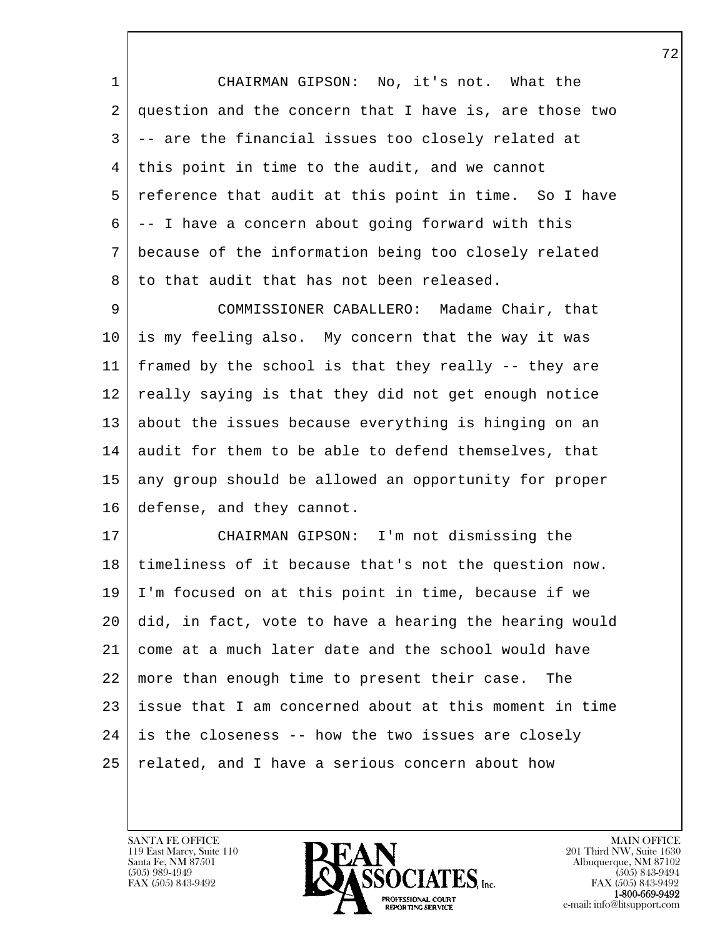1 CHAIRMAN GIPSON: No, it's not. What the 2 question and the concern that I have is, are those two 3 -- are the financial issues too closely related at 4 this point in time to the audit, and we cannot 5 reference that audit at this point in time. So I have 6 -- I have a concern about going forward with this 7 because of the information being too closely related 8 to that audit that has not been released.

9 COMMISSIONER CABALLERO: Madame Chair, that 10 is my feeling also. My concern that the way it was 11 framed by the school is that they really -- they are 12 really saying is that they did not get enough notice 13 about the issues because everything is hinging on an 14 audit for them to be able to defend themselves, that 15 any group should be allowed an opportunity for proper 16 defense, and they cannot.

l 17 CHAIRMAN GIPSON: I'm not dismissing the 18 timeliness of it because that's not the question now. 19 I'm focused on at this point in time, because if we 20 did, in fact, vote to have a hearing the hearing would 21 come at a much later date and the school would have 22 more than enough time to present their case. The 23 issue that I am concerned about at this moment in time  $24$  is the closeness -- how the two issues are closely 25 related, and I have a serious concern about how

119 East Marcy, Suite 110<br>Santa Fe, NM 87501

 $\overline{\phantom{a}}$ 



FAX (505) 843-9492<br>**1-800-669-9492**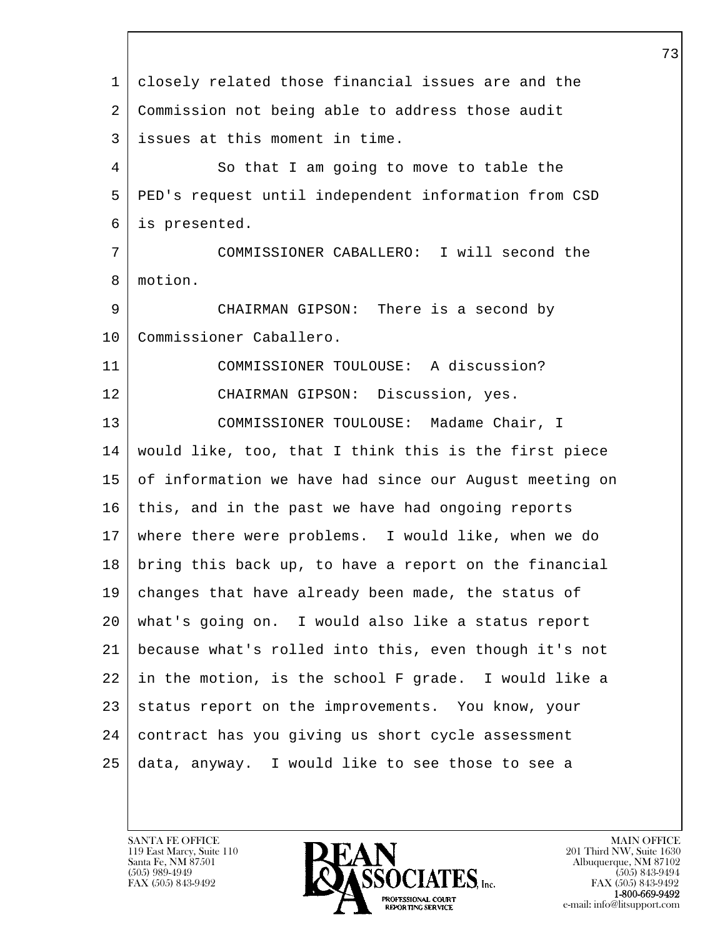l  $\overline{\phantom{a}}$  1 closely related those financial issues are and the 2 Commission not being able to address those audit 3 issues at this moment in time. 4 So that I am going to move to table the 5 PED's request until independent information from CSD 6 is presented. 7 COMMISSIONER CABALLERO: I will second the 8 motion. 9 CHAIRMAN GIPSON: There is a second by 10 | Commissioner Caballero. 11 COMMISSIONER TOULOUSE: A discussion? 12 CHAIRMAN GIPSON: Discussion, yes. 13 COMMISSIONER TOULOUSE: Madame Chair, I 14 would like, too, that I think this is the first piece 15 of information we have had since our August meeting on 16 this, and in the past we have had ongoing reports 17 where there were problems. I would like, when we do 18 bring this back up, to have a report on the financial 19 changes that have already been made, the status of 20 what's going on. I would also like a status report 21 because what's rolled into this, even though it's not 22 in the motion, is the school F grade. I would like a 23 status report on the improvements. You know, your 24 contract has you giving us short cycle assessment 25 data, anyway. I would like to see those to see a

119 East Marcy, Suite 110<br>Santa Fe, NM 87501

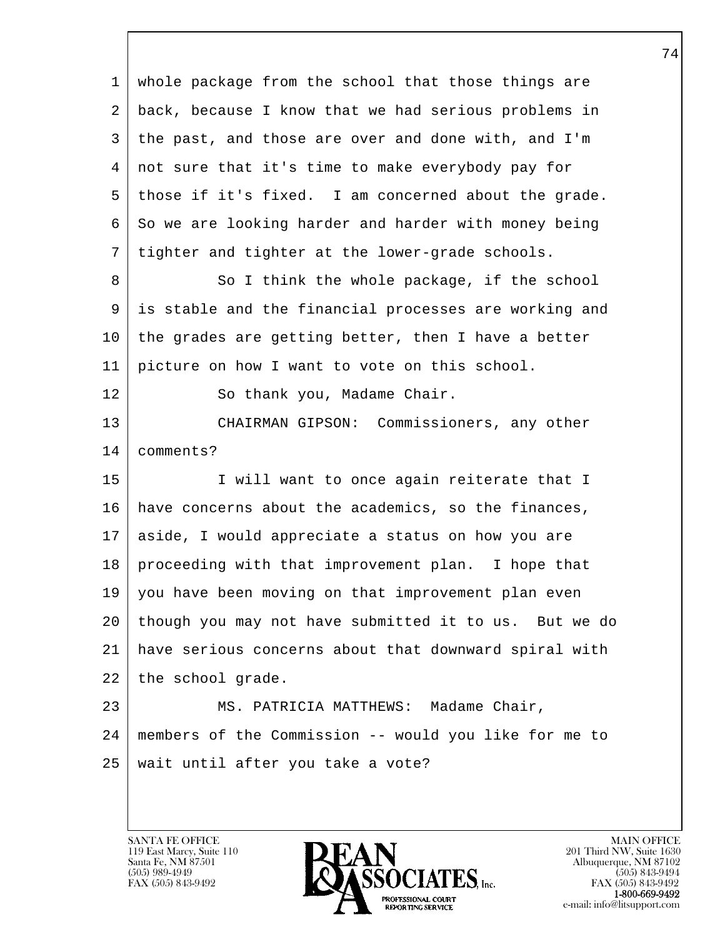l  $\overline{\phantom{a}}$  1 whole package from the school that those things are 2 back, because I know that we had serious problems in 3 the past, and those are over and done with, and I'm 4 not sure that it's time to make everybody pay for 5 those if it's fixed. I am concerned about the grade. 6 So we are looking harder and harder with money being 7 tighter and tighter at the lower-grade schools. 8 So I think the whole package, if the school 9 is stable and the financial processes are working and 10 the grades are getting better, then I have a better 11 picture on how I want to vote on this school. 12 So thank you, Madame Chair. 13 CHAIRMAN GIPSON: Commissioners, any other 14 comments? 15 | I will want to once again reiterate that I 16 have concerns about the academics, so the finances, 17 aside, I would appreciate a status on how you are 18 proceeding with that improvement plan. I hope that 19 you have been moving on that improvement plan even 20 though you may not have submitted it to us. But we do 21 have serious concerns about that downward spiral with 22 the school grade. 23 | MS. PATRICIA MATTHEWS: Madame Chair, 24 members of the Commission -- would you like for me to 25 | wait until after you take a vote?

119 East Marcy, Suite 110<br>Santa Fe, NM 87501

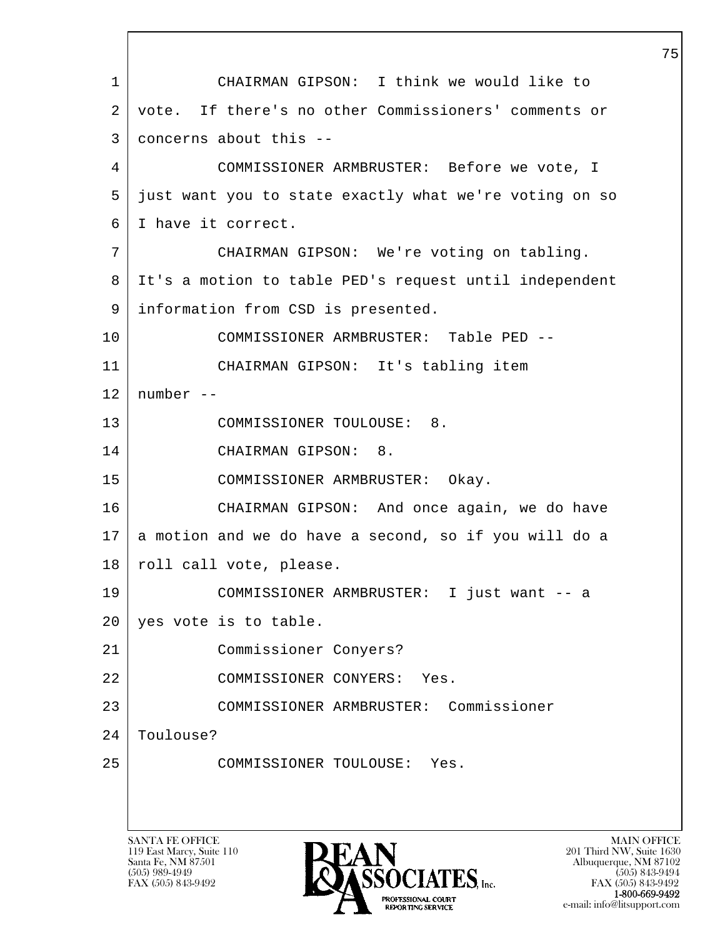l  $\overline{\phantom{a}}$ SANTA FE OFFICE MAIN OFFICE MAIN OFFICE MAIN OFFICE MAIN OFFICE 1 CHAIRMAN GIPSON: I think we would like to 2 vote. If there's no other Commissioners' comments or 3 concerns about this -- 4 COMMISSIONER ARMBRUSTER: Before we vote, I 5 just want you to state exactly what we're voting on so 6 I have it correct. 7 CHAIRMAN GIPSON: We're voting on tabling. 8 It's a motion to table PED's request until independent 9 information from CSD is presented. 10 COMMISSIONER ARMBRUSTER: Table PED -- 11 CHAIRMAN GIPSON: It's tabling item  $12$  | number --13 COMMISSIONER TOULOUSE: 8. 14 CHAIRMAN GIPSON: 8. 15 COMMISSIONER ARMBRUSTER: Okay. 16 CHAIRMAN GIPSON: And once again, we do have 17 a motion and we do have a second, so if you will do a 18 | roll call vote, please. 19 COMMISSIONER ARMBRUSTER: I just want -- a 20 yes vote is to table. 21 Commissioner Conyers? 22 COMMISSIONER CONYERS: Yes. 23 COMMISSIONER ARMBRUSTER: Commissioner 24 | Toulouse? 25 COMMISSIONER TOULOUSE: Yes.

119 East Marcy, Suite 110<br>Santa Fe, NM 87501



FAX (505) 843-9492<br>1-800-669-9492 e-mail: info@litsupport.com<br>REPORTING SERVICE e-mail: info@litsupport.com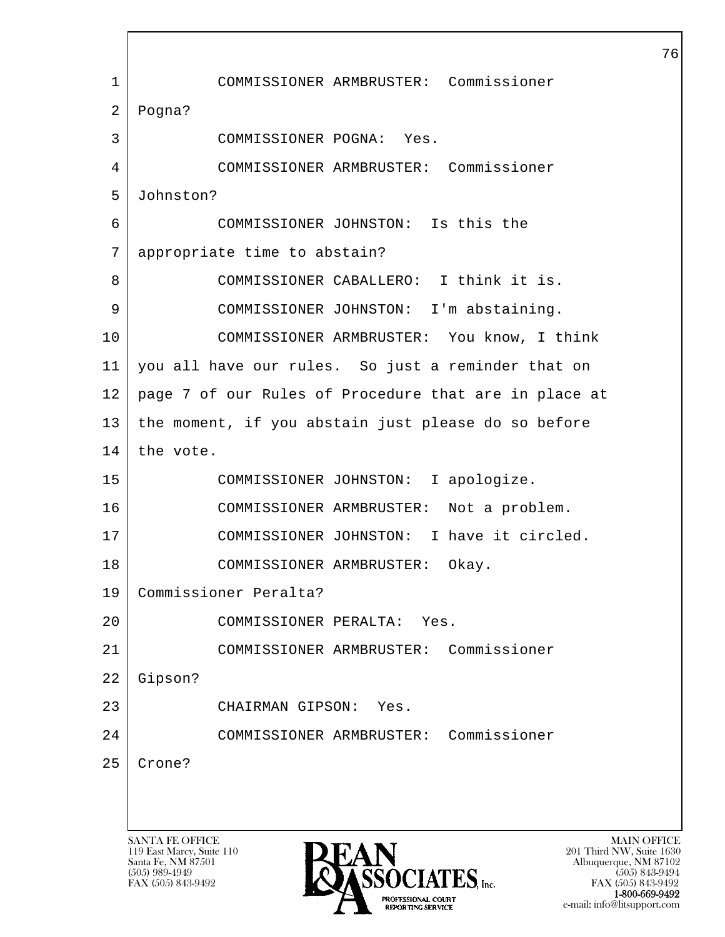l  $\overline{\phantom{a}}$ SANTA FE OFFICE MAIN OFFICE MAIN OFFICE MAIN OFFICE MAIN OFFICE 1 COMMISSIONER ARMBRUSTER: Commissioner 2 Pogna? 3 COMMISSIONER POGNA: Yes. 4 COMMISSIONER ARMBRUSTER: Commissioner 5 Johnston? 6 COMMISSIONER JOHNSTON: Is this the 7 appropriate time to abstain? 8 COMMISSIONER CABALLERO: I think it is. 9 COMMISSIONER JOHNSTON: I'm abstaining. 10 COMMISSIONER ARMBRUSTER: You know, I think 11 you all have our rules. So just a reminder that on 12 page 7 of our Rules of Procedure that are in place at 13 the moment, if you abstain just please do so before  $14$  the vote. 15 COMMISSIONER JOHNSTON: I apologize. 16 COMMISSIONER ARMBRUSTER: Not a problem. 17 | COMMISSIONER JOHNSTON: I have it circled. 18 COMMISSIONER ARMBRUSTER: Okay. 19 Commissioner Peralta? 20 COMMISSIONER PERALTA: Yes. 21 COMMISSIONER ARMBRUSTER: Commissioner 22 Gipson? 23 CHAIRMAN GIPSON: Yes. 24 COMMISSIONER ARMBRUSTER: Commissioner 25 Crone?

119 East Marcy, Suite 110<br>Santa Fe, NM 87501



FAX (505) 843-9492 FAX (505) 843-9492 1-800-669-9492<br>PROFESSIONAL COURT **EXECUTE EXECUTE:**<br>REPORTING SERVICE e-mail: info@litsupport.com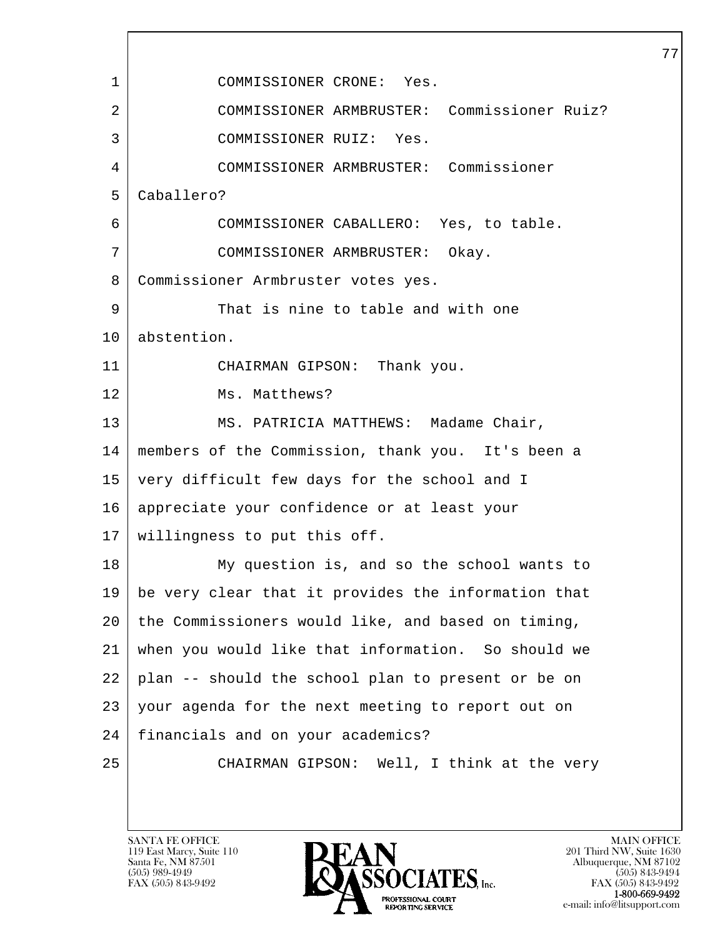l  $\overline{\phantom{a}}$ 1 COMMISSIONER CRONE: Yes. 2 COMMISSIONER ARMBRUSTER: Commissioner Ruiz? 3 COMMISSIONER RUIZ: Yes. 4 COMMISSIONER ARMBRUSTER: Commissioner 5 Caballero? 6 COMMISSIONER CABALLERO: Yes, to table. 7 COMMISSIONER ARMBRUSTER: Okay. 8 | Commissioner Armbruster votes yes. 9 That is nine to table and with one 10 abstention. 11 CHAIRMAN GIPSON: Thank you. 12 Ms. Matthews? 13 | MS. PATRICIA MATTHEWS: Madame Chair, 14 members of the Commission, thank you. It's been a 15 very difficult few days for the school and I 16 appreciate your confidence or at least your 17 willingness to put this off. 18 My question is, and so the school wants to 19 be very clear that it provides the information that 20 the Commissioners would like, and based on timing, 21 when you would like that information. So should we 22 plan -- should the school plan to present or be on 23 your agenda for the next meeting to report out on 24 financials and on your academics? 25 CHAIRMAN GIPSON: Well, I think at the very

119 East Marcy, Suite 110<br>Santa Fe, NM 87501

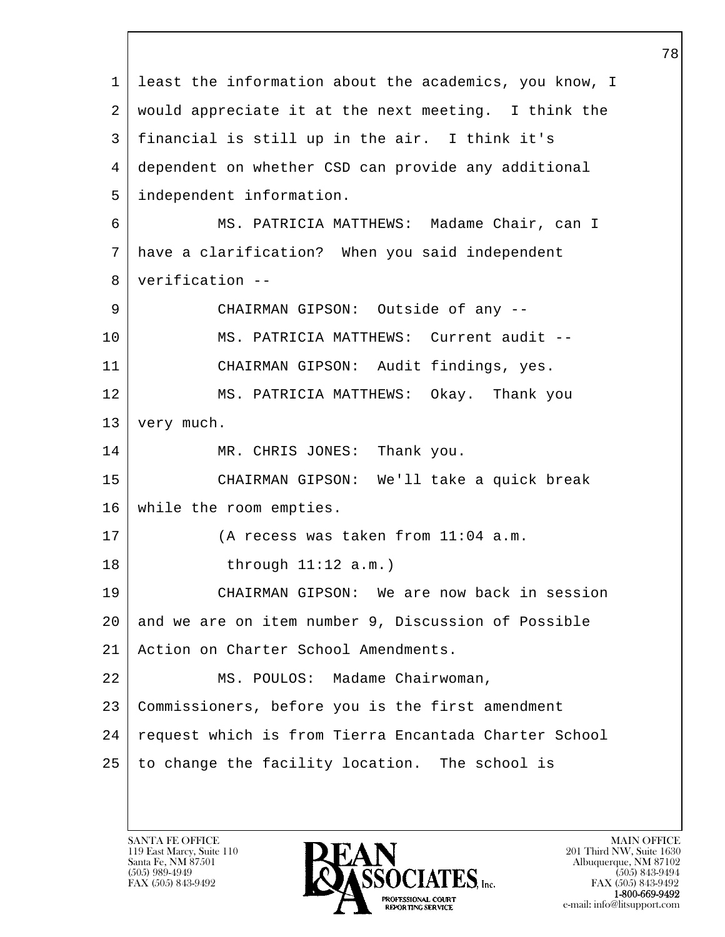l  $\overline{\phantom{a}}$  1 least the information about the academics, you know, I 2 would appreciate it at the next meeting. I think the 3 financial is still up in the air. I think it's 4 dependent on whether CSD can provide any additional 5 independent information. 6 MS. PATRICIA MATTHEWS: Madame Chair, can I 7 have a clarification? When you said independent 8 verification -- 9 CHAIRMAN GIPSON: Outside of any -- 10 | MS. PATRICIA MATTHEWS: Current audit --11 CHAIRMAN GIPSON: Audit findings, yes. 12 MS. PATRICIA MATTHEWS: Okay. Thank you 13 | very much. 14 MR. CHRIS JONES: Thank you. 15 CHAIRMAN GIPSON: We'll take a quick break 16 while the room empties. 17 (A recess was taken from 11:04 a.m. 18 through 11:12 a.m.) 19 CHAIRMAN GIPSON: We are now back in session 20 and we are on item number 9, Discussion of Possible 21 Action on Charter School Amendments. 22 | MS. POULOS: Madame Chairwoman, 23 Commissioners, before you is the first amendment 24 | request which is from Tierra Encantada Charter School 25 to change the facility location. The school is

119 East Marcy, Suite 110<br>Santa Fe, NM 87501

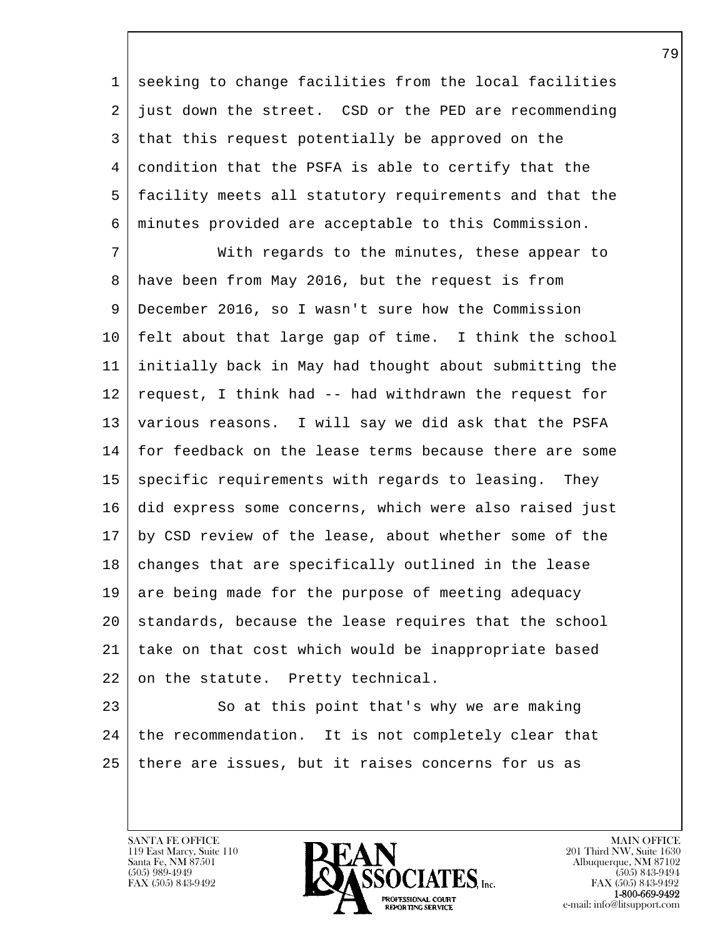1 seeking to change facilities from the local facilities 2 just down the street. CSD or the PED are recommending 3 that this request potentially be approved on the 4 condition that the PSFA is able to certify that the 5 facility meets all statutory requirements and that the 6 minutes provided are acceptable to this Commission.

 7 With regards to the minutes, these appear to 8 have been from May 2016, but the request is from 9 December 2016, so I wasn't sure how the Commission 10 felt about that large gap of time. I think the school 11 initially back in May had thought about submitting the 12 request, I think had -- had withdrawn the request for 13 various reasons. I will say we did ask that the PSFA 14 for feedback on the lease terms because there are some 15 | specific requirements with regards to leasing. They 16 did express some concerns, which were also raised just 17 by CSD review of the lease, about whether some of the 18 | changes that are specifically outlined in the lease 19 are being made for the purpose of meeting adequacy 20 standards, because the lease requires that the school 21 take on that cost which would be inappropriate based 22 on the statute. Pretty technical.

l 23 So at this point that's why we are making 24 | the recommendation. It is not completely clear that 25 there are issues, but it raises concerns for us as

119 East Marcy, Suite 110<br>Santa Fe, NM 87501

 $\overline{\phantom{a}}$ 

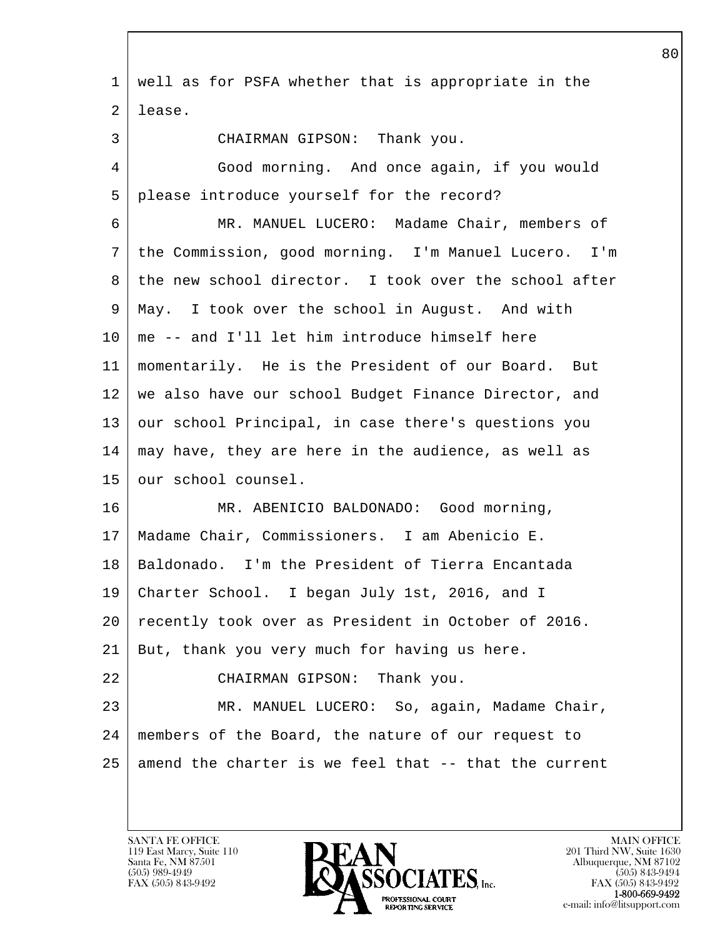l  $\overline{\phantom{a}}$  1 well as for PSFA whether that is appropriate in the 2 lease. 3 CHAIRMAN GIPSON: Thank you. 4 Good morning. And once again, if you would 5 please introduce yourself for the record? 6 MR. MANUEL LUCERO: Madame Chair, members of 7 the Commission, good morning. I'm Manuel Lucero. I'm 8 the new school director. I took over the school after 9 May. I took over the school in August. And with  $10$  | me -- and I'll let him introduce himself here 11 momentarily. He is the President of our Board. But 12 we also have our school Budget Finance Director, and 13 our school Principal, in case there's questions you 14 may have, they are here in the audience, as well as 15 | our school counsel. 16 | MR. ABENICIO BALDONADO: Good morning, 17 Madame Chair, Commissioners. I am Abenicio E. 18 Baldonado. I'm the President of Tierra Encantada 19 Charter School. I began July 1st, 2016, and I 20 recently took over as President in October of 2016. 21 But, thank you very much for having us here. 22 CHAIRMAN GIPSON: Thank you. 23 | MR. MANUEL LUCERO: So, again, Madame Chair, 24 members of the Board, the nature of our request to  $25$  amend the charter is we feel that  $-$  that the current

119 East Marcy, Suite 110<br>Santa Fe, NM 87501

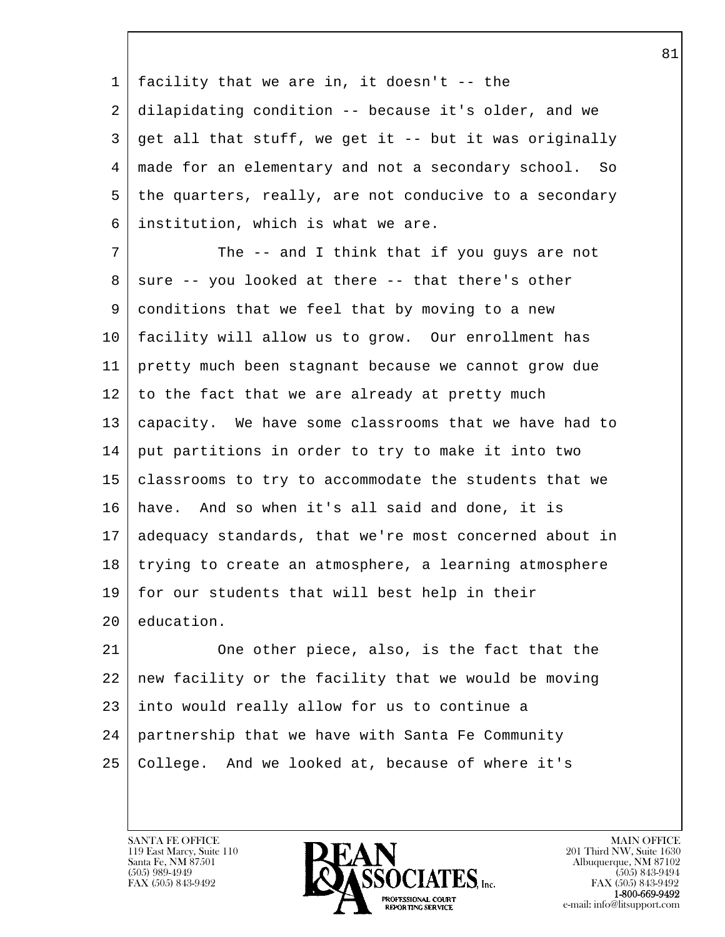1 facility that we are in, it doesn't -- the 2 dilapidating condition -- because it's older, and we  $3 \mid$  get all that stuff, we get it -- but it was originally 4 made for an elementary and not a secondary school. So 5 the quarters, really, are not conducive to a secondary 6 institution, which is what we are.

7 The -- and I think that if you guys are not  $8 \mid$  sure -- you looked at there -- that there's other 9 conditions that we feel that by moving to a new 10 facility will allow us to grow. Our enrollment has 11 pretty much been stagnant because we cannot grow due  $12$  to the fact that we are already at pretty much 13 capacity. We have some classrooms that we have had to 14 put partitions in order to try to make it into two 15 classrooms to try to accommodate the students that we 16 have. And so when it's all said and done, it is 17 adequacy standards, that we're most concerned about in 18 trying to create an atmosphere, a learning atmosphere 19 for our students that will best help in their 20 education.

l 21 One other piece, also, is the fact that the 22 new facility or the facility that we would be moving 23 into would really allow for us to continue a 24 partnership that we have with Santa Fe Community 25 College. And we looked at, because of where it's

119 East Marcy, Suite 110<br>Santa Fe, NM 87501

 $\overline{\phantom{a}}$ 

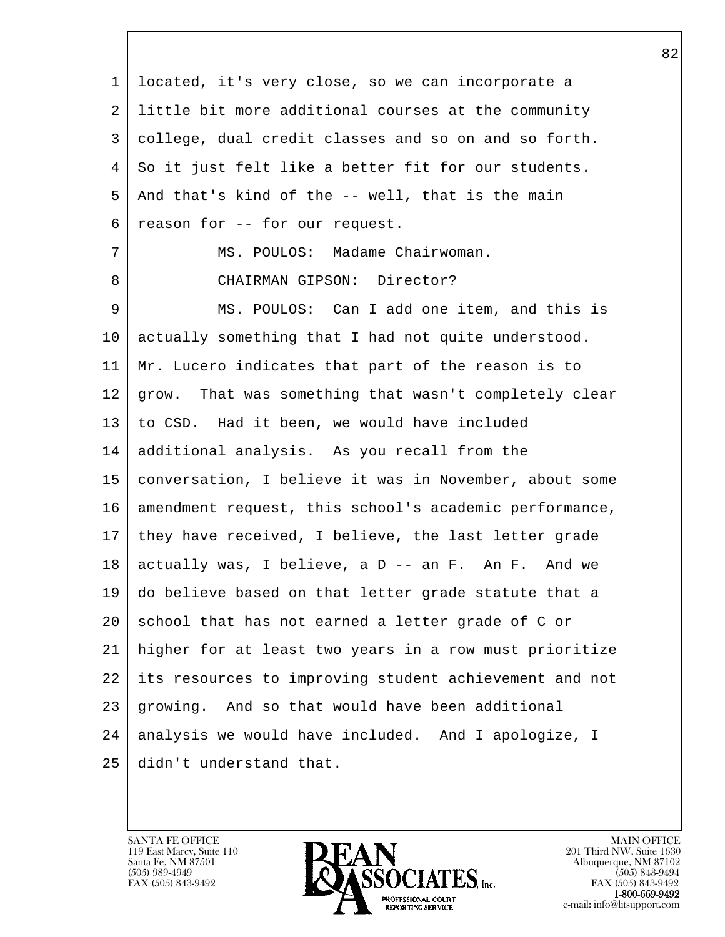l  $\overline{\phantom{a}}$  1 located, it's very close, so we can incorporate a 2 little bit more additional courses at the community 3 college, dual credit classes and so on and so forth. 4 So it just felt like a better fit for our students.  $5$  And that's kind of the  $-$ - well, that is the main 6 | reason for -- for our request. 7 MS. POULOS: Madame Chairwoman. 8 CHAIRMAN GIPSON: Director? 9 MS. POULOS: Can I add one item, and this is 10 actually something that I had not quite understood. 11 Mr. Lucero indicates that part of the reason is to 12 grow. That was something that wasn't completely clear 13 to CSD. Had it been, we would have included 14 additional analysis. As you recall from the 15 conversation, I believe it was in November, about some 16 amendment request, this school's academic performance, 17 they have received, I believe, the last letter grade  $18$  actually was, I believe, a D -- an F. An F. And we 19 do believe based on that letter grade statute that a 20 school that has not earned a letter grade of C or 21 higher for at least two years in a row must prioritize 22 its resources to improving student achievement and not 23 growing. And so that would have been additional 24 | analysis we would have included. And I apologize, I 25 didn't understand that.

119 East Marcy, Suite 110<br>Santa Fe, NM 87501

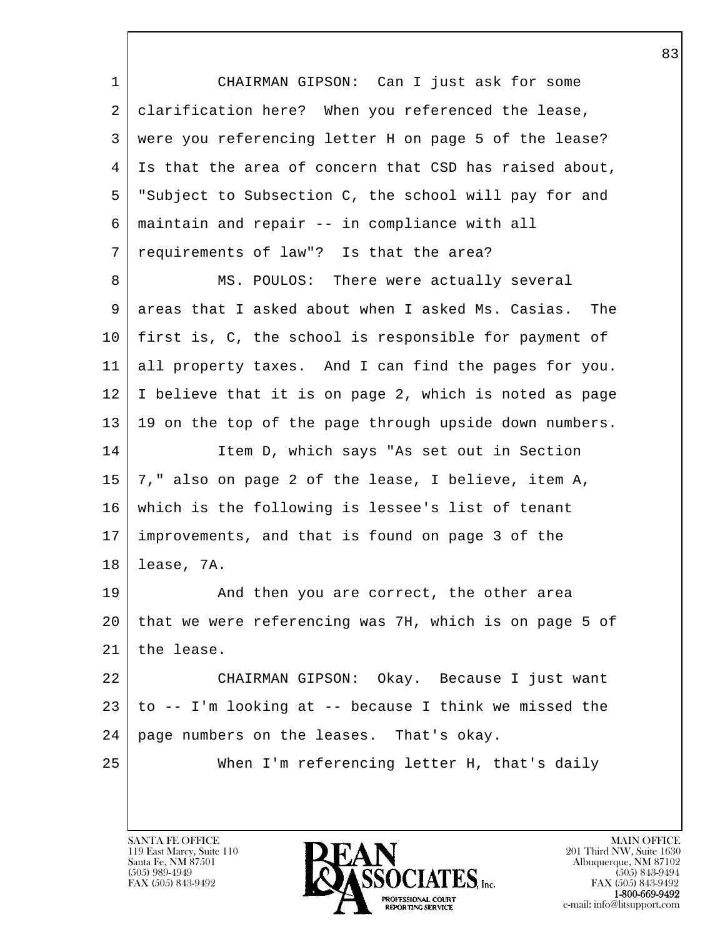l  $\overline{\phantom{a}}$  1 CHAIRMAN GIPSON: Can I just ask for some 2 | clarification here? When you referenced the lease, 3 were you referencing letter H on page 5 of the lease? 4 Is that the area of concern that CSD has raised about, 5 "Subject to Subsection C, the school will pay for and 6 maintain and repair -- in compliance with all 7 requirements of law"? Is that the area? 8 MS. POULOS: There were actually several 9 areas that I asked about when I asked Ms. Casias. The 10 first is, C, the school is responsible for payment of 11 all property taxes. And I can find the pages for you. 12 I believe that it is on page 2, which is noted as page 13 19 on the top of the page through upside down numbers. 14 | Item D, which says "As set out in Section 15 7," also on page 2 of the lease, I believe, item A, 16 which is the following is lessee's list of tenant 17 improvements, and that is found on page 3 of the 18 lease, 7A. 19 And then you are correct, the other area 20 that we were referencing was 7H, which is on page 5 of 21 the lease. 22 CHAIRMAN GIPSON: Okay. Because I just want  $23$  | to  $-$  I'm looking at  $-$  because I think we missed the 24 | page numbers on the leases. That's okay. 25 When I'm referencing letter H, that's daily

119 East Marcy, Suite 110<br>Santa Fe, NM 87501

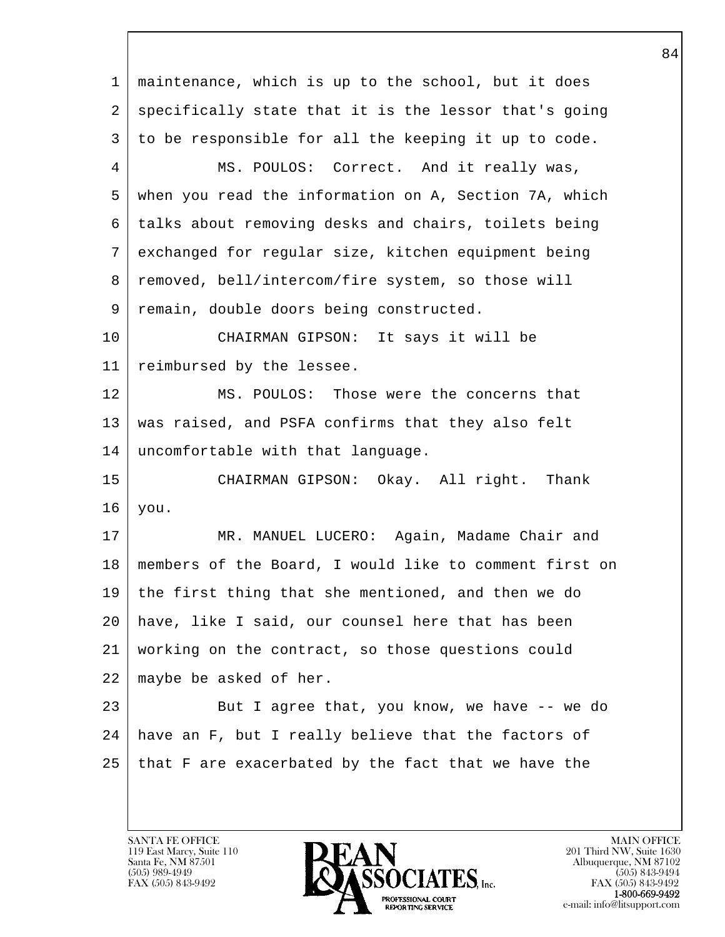| 1              | maintenance, which is up to the school, but it does    |
|----------------|--------------------------------------------------------|
| 2              | specifically state that it is the lessor that's going  |
| 3              | to be responsible for all the keeping it up to code.   |
| $\overline{4}$ | MS. POULOS: Correct. And it really was,                |
| 5              | when you read the information on A, Section 7A, which  |
| 6              | talks about removing desks and chairs, toilets being   |
| 7              | exchanged for regular size, kitchen equipment being    |
| 8              | removed, bell/intercom/fire system, so those will      |
| 9              | remain, double doors being constructed.                |
| 10             | CHAIRMAN GIPSON: It says it will be                    |
| 11             | reimbursed by the lessee.                              |
| 12             | MS. POULOS: Those were the concerns that               |
| 13             | was raised, and PSFA confirms that they also felt      |
| 14             | uncomfortable with that language.                      |
| 15             | CHAIRMAN GIPSON: Okay. All right. Thank                |
| 16             | you.                                                   |
| 17             | MR. MANUEL LUCERO: Again, Madame Chair and             |
| 18             | members of the Board, I would like to comment first on |
| 19             | the first thing that she mentioned, and then we do     |
| 20             | have, like I said, our counsel here that has been      |
| 21             | working on the contract, so those questions could      |
| 22             | maybe be asked of her.                                 |
| 23             | But I agree that, you know, we have -- we do           |
| 24             | have an F, but I really believe that the factors of    |
| 25             | that F are exacerbated by the fact that we have the    |
|                |                                                        |

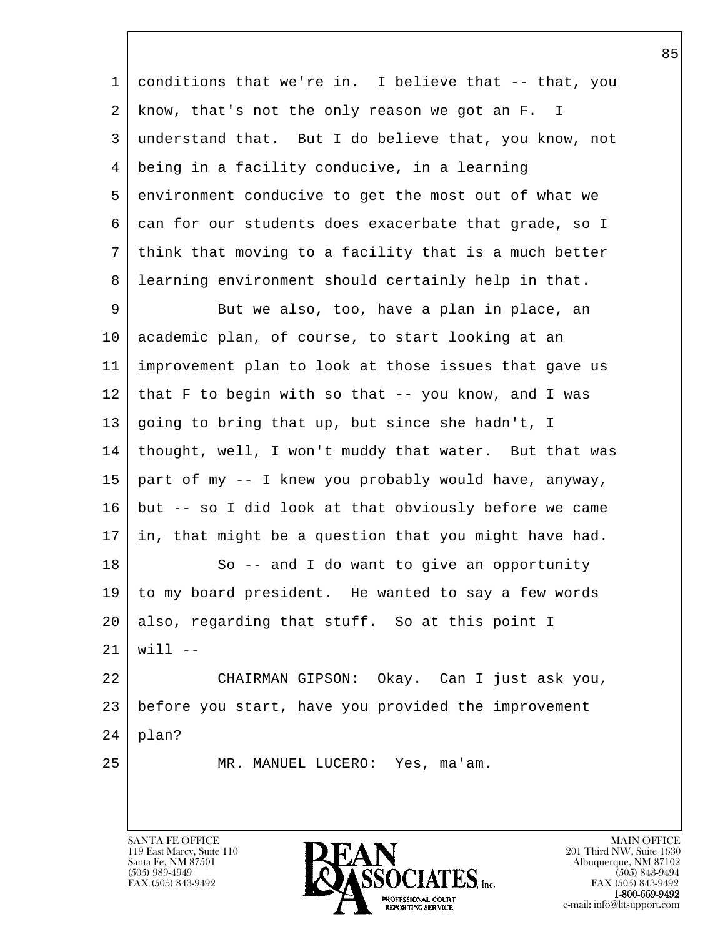l  $\overline{\phantom{a}}$  1 conditions that we're in. I believe that -- that, you 2 know, that's not the only reason we got an F. I 3 understand that. But I do believe that, you know, not 4 being in a facility conducive, in a learning 5 environment conducive to get the most out of what we 6 can for our students does exacerbate that grade, so I 7 think that moving to a facility that is a much better 8 learning environment should certainly help in that. 9 But we also, too, have a plan in place, an 10 academic plan, of course, to start looking at an 11 improvement plan to look at those issues that gave us 12 that F to begin with so that -- you know, and I was 13 going to bring that up, but since she hadn't, I 14 thought, well, I won't muddy that water. But that was 15 part of my -- I knew you probably would have, anyway, 16 but -- so I did look at that obviously before we came 17 in, that might be a question that you might have had. 18 | So -- and I do want to give an opportunity 19 to my board president. He wanted to say a few words  $20$  also, regarding that stuff. So at this point I  $21$  | will --22 CHAIRMAN GIPSON: Okay. Can I just ask you, 23 before you start, have you provided the improvement  $24$  | plan? 25 | MR. MANUEL LUCERO: Yes, ma'am.

119 East Marcy, Suite 110<br>Santa Fe, NM 87501

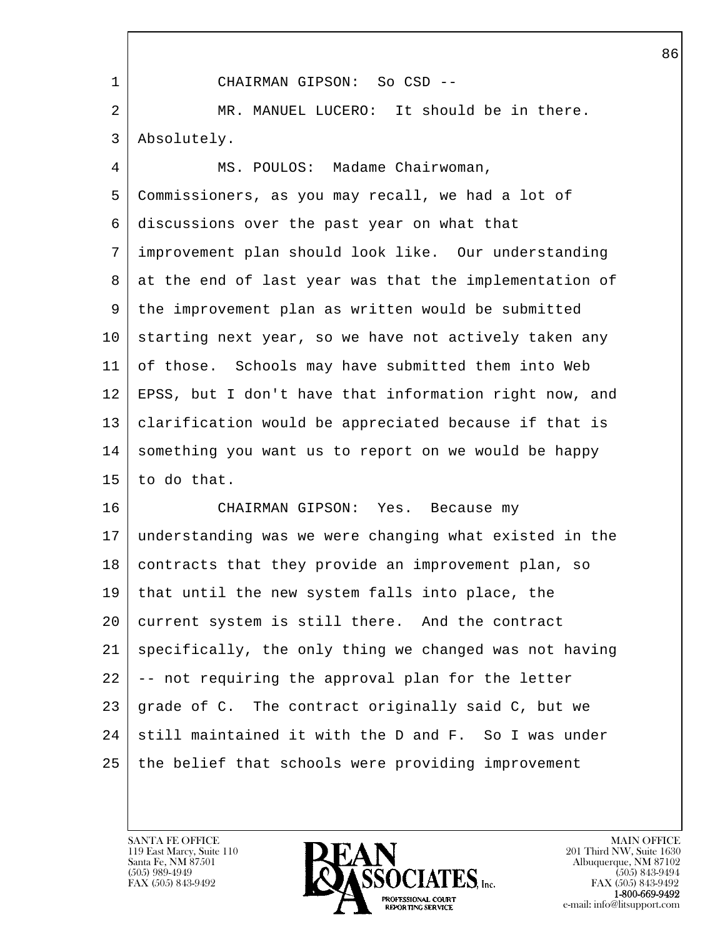l  $\overline{\phantom{a}}$  1 CHAIRMAN GIPSON: So CSD -- 2 MR. MANUEL LUCERO: It should be in there. 3 Absolutely. 4 MS. POULOS: Madame Chairwoman, 5 Commissioners, as you may recall, we had a lot of 6 discussions over the past year on what that 7 improvement plan should look like. Our understanding 8 at the end of last year was that the implementation of 9 the improvement plan as written would be submitted 10 starting next year, so we have not actively taken any 11 of those. Schools may have submitted them into Web 12 EPSS, but I don't have that information right now, and 13 clarification would be appreciated because if that is 14 something you want us to report on we would be happy 15 to do that. 16 CHAIRMAN GIPSON: Yes. Because my 17 understanding was we were changing what existed in the 18 | contracts that they provide an improvement plan, so 19 that until the new system falls into place, the 20 current system is still there. And the contract 21 specifically, the only thing we changed was not having  $22$   $\vert$  -- not requiring the approval plan for the letter 23 grade of C. The contract originally said C, but we 24 still maintained it with the D and F. So I was under 25 the belief that schools were providing improvement

119 East Marcy, Suite 110<br>Santa Fe, NM 87501

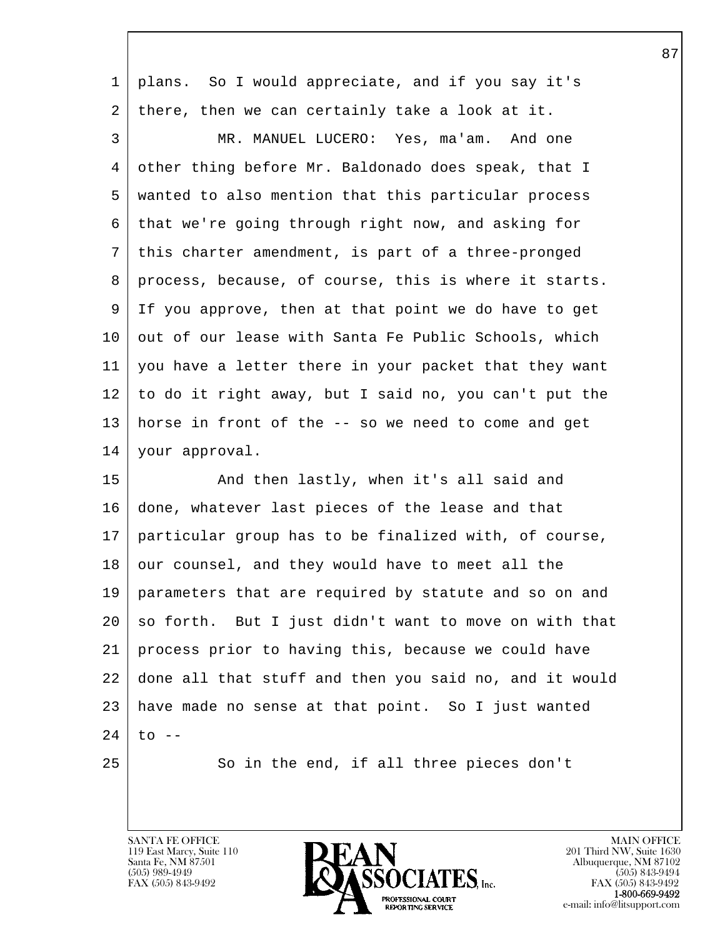| $\mathbf 1$ | plans. So I would appreciate, and if you say it's      |
|-------------|--------------------------------------------------------|
| 2           | there, then we can certainly take a look at it.        |
| 3           | MR. MANUEL LUCERO: Yes, ma'am. And one                 |
| 4           | other thing before Mr. Baldonado does speak, that I    |
| 5           | wanted to also mention that this particular process    |
| 6           | that we're going through right now, and asking for     |
| 7           | this charter amendment, is part of a three-pronged     |
| 8           | process, because, of course, this is where it starts.  |
| 9           | If you approve, then at that point we do have to get   |
| 10          | out of our lease with Santa Fe Public Schools, which   |
| 11          | you have a letter there in your packet that they want  |
| 12          | to do it right away, but I said no, you can't put the  |
| 13          | horse in front of the -- so we need to come and get    |
| 14          | your approval.                                         |
| 15          | And then lastly, when it's all said and                |
| 16          | done, whatever last pieces of the lease and that       |
| 17          | particular group has to be finalized with, of course,  |
| 18          | our counsel, and they would have to meet all the       |
| 19          | parameters that are required by statute and so on and  |
| 20          | so forth. But I just didn't want to move on with that  |
| 21          | process prior to having this, because we could have    |
| 22          | done all that stuff and then you said no, and it would |
| 23          | have made no sense at that point. So I just wanted     |
| 24          | $\circ$ --                                             |
| 25          | So in the end, if all three pieces don't               |
|             |                                                        |

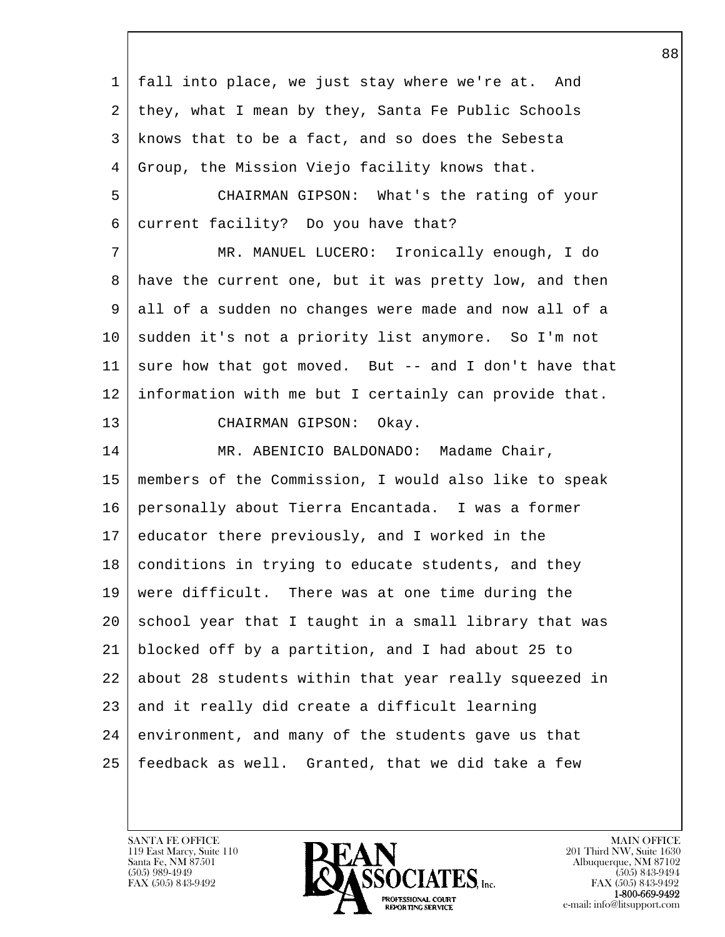l  $\overline{\phantom{a}}$  1 fall into place, we just stay where we're at. And 2 they, what I mean by they, Santa Fe Public Schools 3 knows that to be a fact, and so does the Sebesta 4 Group, the Mission Viejo facility knows that. 5 CHAIRMAN GIPSON: What's the rating of your 6 current facility? Do you have that? 7 MR. MANUEL LUCERO: Ironically enough, I do 8 have the current one, but it was pretty low, and then 9 all of a sudden no changes were made and now all of a 10 | sudden it's not a priority list anymore. So I'm not 11 sure how that got moved. But  $-$  and I don't have that 12 information with me but I certainly can provide that. 13 CHAIRMAN GIPSON: Okay. 14 | MR. ABENICIO BALDONADO: Madame Chair, 15 members of the Commission, I would also like to speak 16 personally about Tierra Encantada. I was a former 17 educator there previously, and I worked in the 18 | conditions in trying to educate students, and they 19 were difficult. There was at one time during the 20 school year that I taught in a small library that was 21 blocked off by a partition, and I had about 25 to 22 about 28 students within that year really squeezed in 23 and it really did create a difficult learning 24 environment, and many of the students gave us that 25 feedback as well. Granted, that we did take a few

119 East Marcy, Suite 110<br>Santa Fe, NM 87501

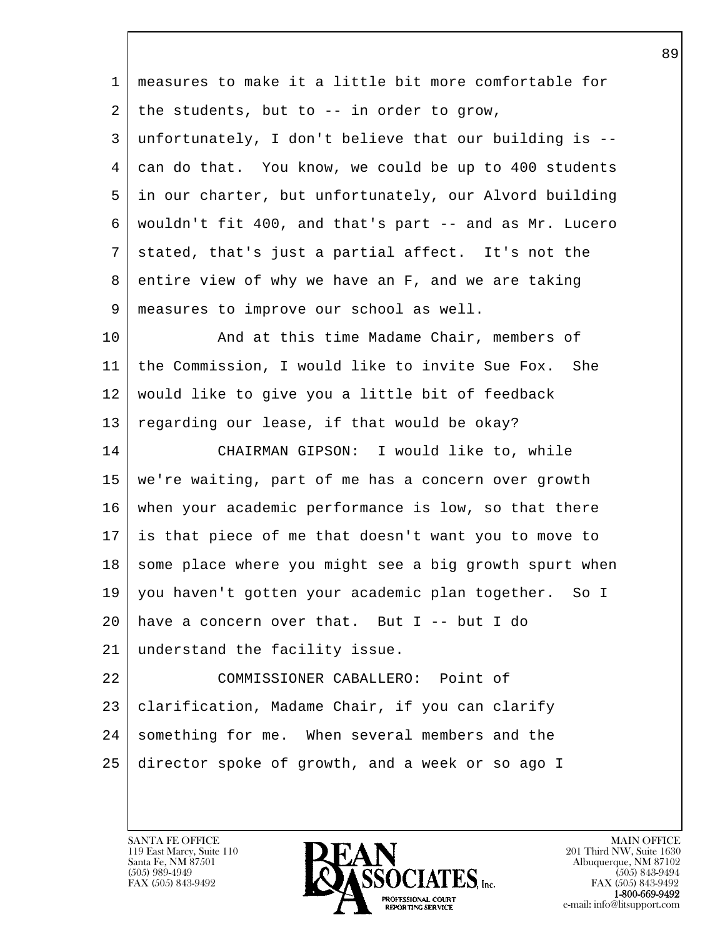l  $\overline{\phantom{a}}$  1 measures to make it a little bit more comfortable for  $2$  the students, but to  $-$  in order to grow, 3 unfortunately, I don't believe that our building is -- 4 can do that. You know, we could be up to 400 students 5 in our charter, but unfortunately, our Alvord building 6 wouldn't fit 400, and that's part -- and as Mr. Lucero 7 stated, that's just a partial affect. It's not the 8 entire view of why we have an F, and we are taking 9 measures to improve our school as well. 10 | And at this time Madame Chair, members of 11 the Commission, I would like to invite Sue Fox. She 12 would like to give you a little bit of feedback 13 regarding our lease, if that would be okay? 14 CHAIRMAN GIPSON: I would like to, while 15 we're waiting, part of me has a concern over growth 16 when your academic performance is low, so that there 17 is that piece of me that doesn't want you to move to 18 some place where you might see a big growth spurt when 19 you haven't gotten your academic plan together. So I  $20$  have a concern over that. But I -- but I do 21 understand the facility issue. 22 COMMISSIONER CABALLERO: Point of 23 | clarification, Madame Chair, if you can clarify 24 something for me. When several members and the 25 director spoke of growth, and a week or so ago I

119 East Marcy, Suite 110<br>Santa Fe, NM 87501

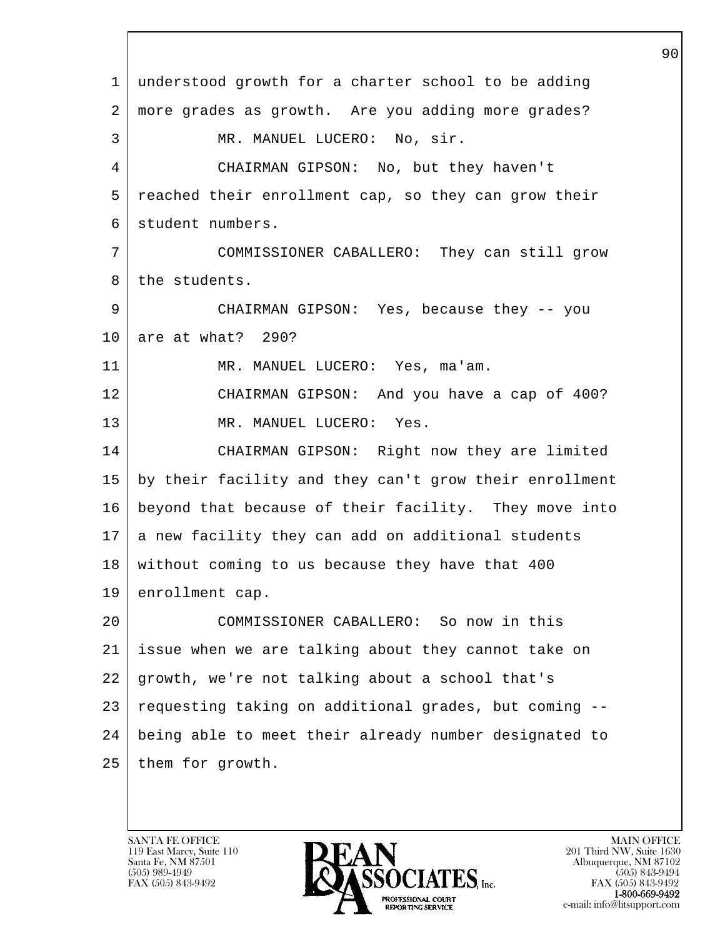l  $\overline{\phantom{a}}$  1 understood growth for a charter school to be adding 2 more grades as growth. Are you adding more grades? 3 MR. MANUEL LUCERO: No, sir. 4 CHAIRMAN GIPSON: No, but they haven't 5 reached their enrollment cap, so they can grow their 6 student numbers. 7 COMMISSIONER CABALLERO: They can still grow 8 the students. 9 CHAIRMAN GIPSON: Yes, because they -- you 10 are at what? 290? 11 MR. MANUEL LUCERO: Yes, ma'am. 12 CHAIRMAN GIPSON: And you have a cap of 400? 13 MR. MANUEL LUCERO: Yes. 14 CHAIRMAN GIPSON: Right now they are limited 15 by their facility and they can't grow their enrollment 16 beyond that because of their facility. They move into 17 a new facility they can add on additional students 18 without coming to us because they have that 400 19 enrollment cap. 20 COMMISSIONER CABALLERO: So now in this 21 issue when we are talking about they cannot take on 22 growth, we're not talking about a school that's 23 requesting taking on additional grades, but coming -- 24 being able to meet their already number designated to 25 them for growth.

119 East Marcy, Suite 110<br>Santa Fe, NM 87501

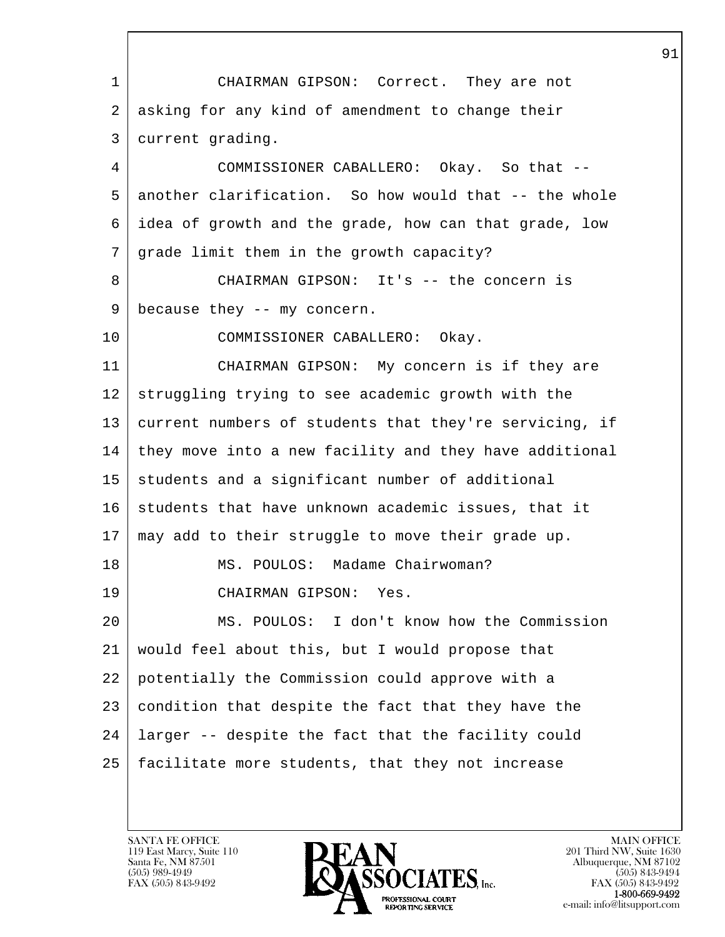| 1  | CHAIRMAN GIPSON: Correct. They are not                 |
|----|--------------------------------------------------------|
| 2  | asking for any kind of amendment to change their       |
| 3  | current grading.                                       |
| 4  | COMMISSIONER CABALLERO: Okay. So that --               |
| 5  | another clarification. So how would that -- the whole  |
| 6  | idea of growth and the grade, how can that grade, low  |
| 7  | grade limit them in the growth capacity?               |
| 8  | CHAIRMAN GIPSON: It's -- the concern is                |
| 9  | because they -- my concern.                            |
| 10 | COMMISSIONER CABALLERO: Okay.                          |
| 11 | CHAIRMAN GIPSON: My concern is if they are             |
| 12 | struggling trying to see academic growth with the      |
| 13 | current numbers of students that they're servicing, if |
| 14 | they move into a new facility and they have additional |
| 15 | students and a significant number of additional        |
| 16 | students that have unknown academic issues, that it    |
| 17 | may add to their struggle to move their grade up.      |
| 18 | MS. POULOS: Madame Chairwoman?                         |
| 19 | CHAIRMAN GIPSON:<br>Yes.                               |
| 20 | MS. POULOS: I don't know how the Commission            |
| 21 | would feel about this, but I would propose that        |
| 22 | potentially the Commission could approve with a        |
| 23 | condition that despite the fact that they have the     |
| 24 | larger -- despite the fact that the facility could     |
| 25 | facilitate more students, that they not increase       |
|    |                                                        |

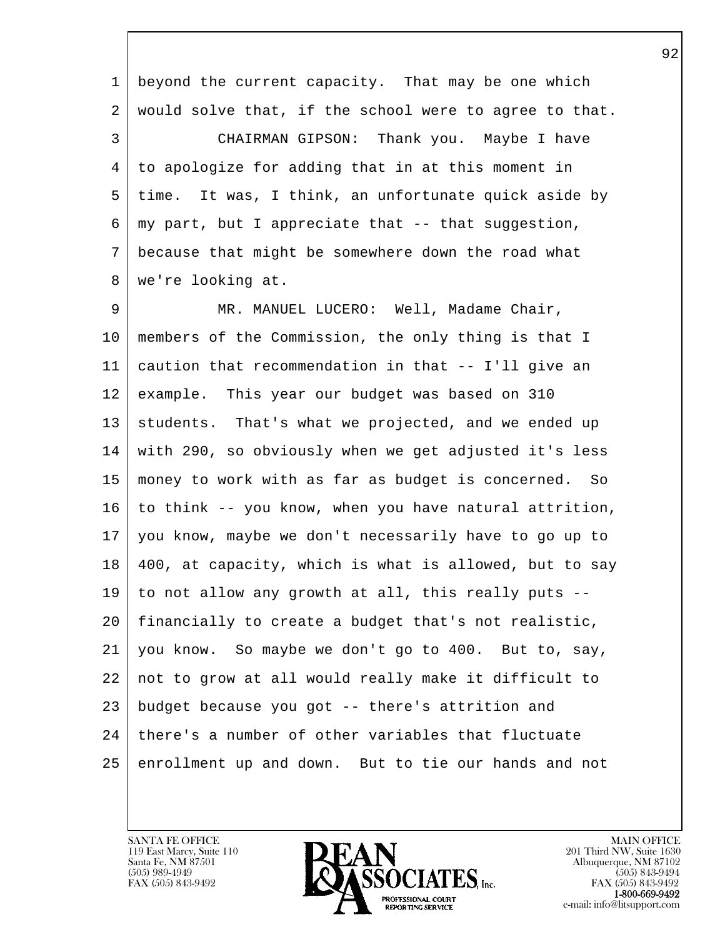l  $\overline{\phantom{a}}$  1 beyond the current capacity. That may be one which 2 would solve that, if the school were to agree to that. 3 CHAIRMAN GIPSON: Thank you. Maybe I have 4 to apologize for adding that in at this moment in 5 time. It was, I think, an unfortunate quick aside by  $6 \mid$  my part, but I appreciate that  $-$ - that suggestion, 7 because that might be somewhere down the road what 8 we're looking at. 9 MR. MANUEL LUCERO: Well, Madame Chair, 10 members of the Commission, the only thing is that I 11 caution that recommendation in that -- I'll give an 12 example. This year our budget was based on 310 13 students. That's what we projected, and we ended up 14 with 290, so obviously when we get adjusted it's less 15 money to work with as far as budget is concerned. So  $16$  to think -- you know, when you have natural attrition, 17 you know, maybe we don't necessarily have to go up to 18 400, at capacity, which is what is allowed, but to say 19 to not allow any growth at all, this really puts -- 20 financially to create a budget that's not realistic, 21 you know. So maybe we don't go to 400. But to, say, 22 not to grow at all would really make it difficult to 23 budget because you got -- there's attrition and  $24$  | there's a number of other variables that fluctuate 25 enrollment up and down. But to tie our hands and not

119 East Marcy, Suite 110<br>Santa Fe, NM 87501

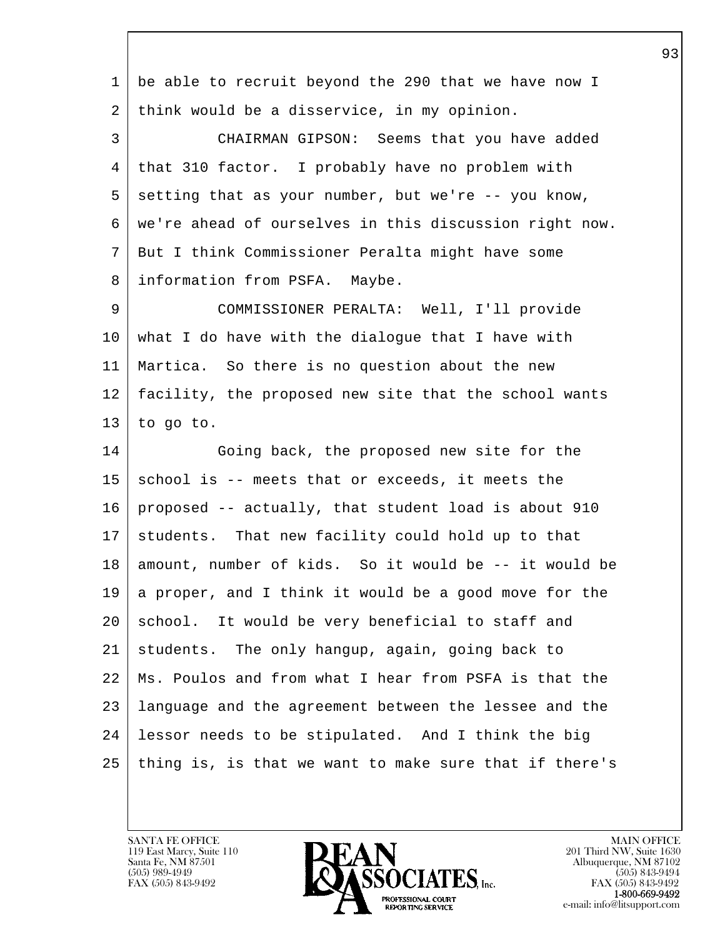| 1  | be able to recruit beyond the 290 that we have now I   |
|----|--------------------------------------------------------|
| 2  | think would be a disservice, in my opinion.            |
| 3  | CHAIRMAN GIPSON: Seems that you have added             |
| 4  | that 310 factor. I probably have no problem with       |
| 5  | setting that as your number, but we're -- you know,    |
| 6  | we're ahead of ourselves in this discussion right now. |
| 7  | But I think Commissioner Peralta might have some       |
| 8  | information from PSFA. Maybe.                          |
| 9  | COMMISSIONER PERALTA: Well, I'll provide               |
| 10 | what I do have with the dialogue that I have with      |
| 11 | Martica. So there is no question about the new         |
| 12 | facility, the proposed new site that the school wants  |
| 13 | to go to.                                              |
| 14 | Going back, the proposed new site for the              |
| 15 | school is -- meets that or exceeds, it meets the       |
| 16 | proposed -- actually, that student load is about 910   |
| 17 | students. That new facility could hold up to that      |
| 18 | amount, number of kids. So it would be -- it would be  |
| 19 | a proper, and I think it would be a good move for the  |
| 20 | school. It would be very beneficial to staff and       |
| 21 | students. The only hangup, again, going back to        |
| 22 | Ms. Poulos and from what I hear from PSFA is that the  |
| 23 | language and the agreement between the lessee and the  |
| 24 | lessor needs to be stipulated. And I think the big     |
| 25 | thing is, is that we want to make sure that if there's |
|    |                                                        |

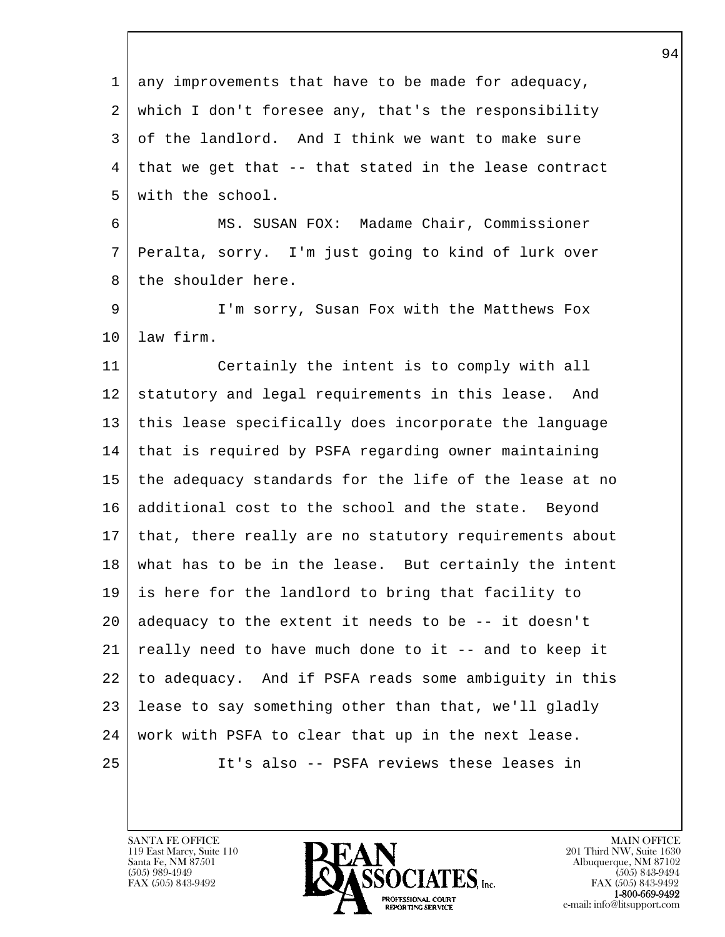l  $\overline{\phantom{a}}$  1 any improvements that have to be made for adequacy, 2 which I don't foresee any, that's the responsibility 3 of the landlord. And I think we want to make sure  $4$  that we get that  $-$ - that stated in the lease contract 5 with the school. 6 MS. SUSAN FOX: Madame Chair, Commissioner 7 Peralta, sorry. I'm just going to kind of lurk over 8 the shoulder here. 9 I'm sorry, Susan Fox with the Matthews Fox 10 law firm. 11 Certainly the intent is to comply with all 12 statutory and legal requirements in this lease. And 13 this lease specifically does incorporate the language 14 that is required by PSFA regarding owner maintaining 15 the adequacy standards for the life of the lease at no 16 additional cost to the school and the state. Beyond 17 that, there really are no statutory requirements about 18 what has to be in the lease. But certainly the intent 19 is here for the landlord to bring that facility to  $20$  adequacy to the extent it needs to be  $-$  it doesn't 21 really need to have much done to it -- and to keep it 22 to adequacy. And if PSFA reads some ambiguity in this 23 lease to say something other than that, we'll gladly 24 work with PSFA to clear that up in the next lease. 25 It's also -- PSFA reviews these leases in

119 East Marcy, Suite 110<br>Santa Fe, NM 87501

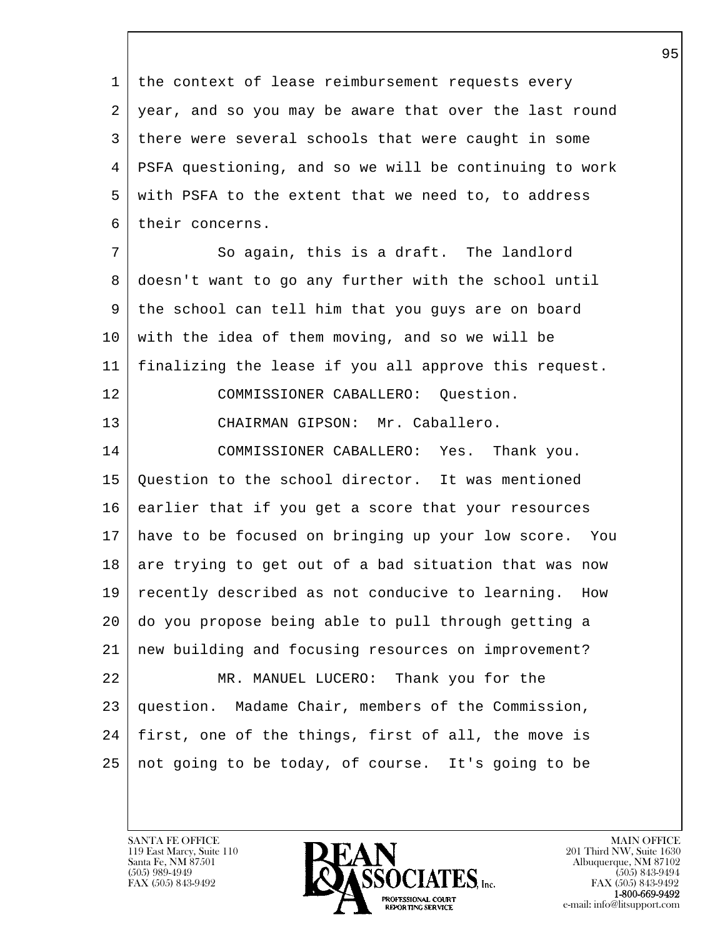1 the context of lease reimbursement requests every 2 year, and so you may be aware that over the last round 3 there were several schools that were caught in some 4 PSFA questioning, and so we will be continuing to work 5 with PSFA to the extent that we need to, to address 6 their concerns.

7 So again, this is a draft. The landlord 8 doesn't want to go any further with the school until 9 the school can tell him that you guys are on board 10 with the idea of them moving, and so we will be 11 finalizing the lease if you all approve this request. 12 COMMISSIONER CABALLERO: Question. 13 CHAIRMAN GIPSON: Mr. Caballero.

l 14 COMMISSIONER CABALLERO: Yes. Thank you. 15 Question to the school director. It was mentioned 16 earlier that if you get a score that your resources 17 have to be focused on bringing up your low score. You  $18$  are trying to get out of a bad situation that was now 19 recently described as not conducive to learning. How 20 do you propose being able to pull through getting a 21 new building and focusing resources on improvement? 22 MR. MANUEL LUCERO: Thank you for the 23 question. Madame Chair, members of the Commission, 24 | first, one of the things, first of all, the move is 25 not going to be today, of course. It's going to be

119 East Marcy, Suite 110<br>Santa Fe, NM 87501

 $\overline{\phantom{a}}$ 

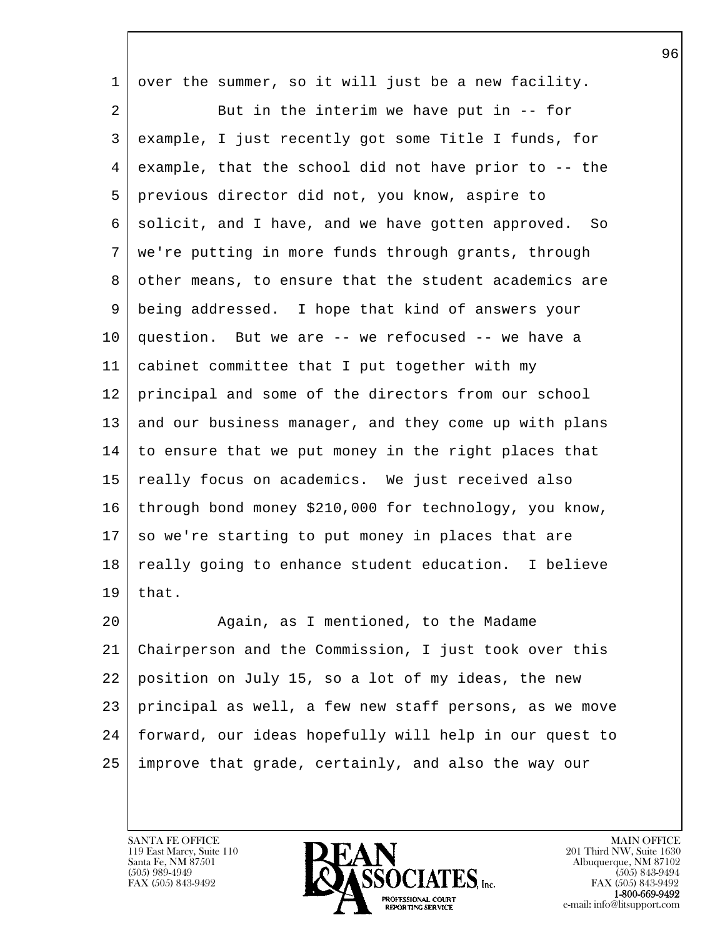| $\mathbf 1$ | over the summer, so it will just be a new facility.    |
|-------------|--------------------------------------------------------|
| 2           | But in the interim we have put in $-$ - for            |
| 3           | example, I just recently got some Title I funds, for   |
| 4           | example, that the school did not have prior to -- the  |
| 5           | previous director did not, you know, aspire to         |
| 6           | solicit, and I have, and we have gotten approved. So   |
| 7           | we're putting in more funds through grants, through    |
| 8           | other means, to ensure that the student academics are  |
| 9           | being addressed. I hope that kind of answers your      |
| 10          | question. But we are -- we refocused -- we have a      |
| 11          | cabinet committee that I put together with my          |
| 12          | principal and some of the directors from our school    |
| 13          | and our business manager, and they come up with plans  |
| 14          | to ensure that we put money in the right places that   |
| 15          | really focus on academics. We just received also       |
| 16          | through bond money \$210,000 for technology, you know, |
| 17          | so we're starting to put money in places that are      |
| 18          | really going to enhance student education. I believe   |
| 19          | that.                                                  |
| 20          | Again, as I mentioned, to the Madame                   |
| 21          | Chairperson and the Commission, I just took over this  |
| 22          | position on July 15, so a lot of my ideas, the new     |
| 23          | principal as well, a few new staff persons, as we move |
| 24          | forward, our ideas hopefully will help in our quest to |
| 25          | improve that grade, certainly, and also the way our    |
|             |                                                        |

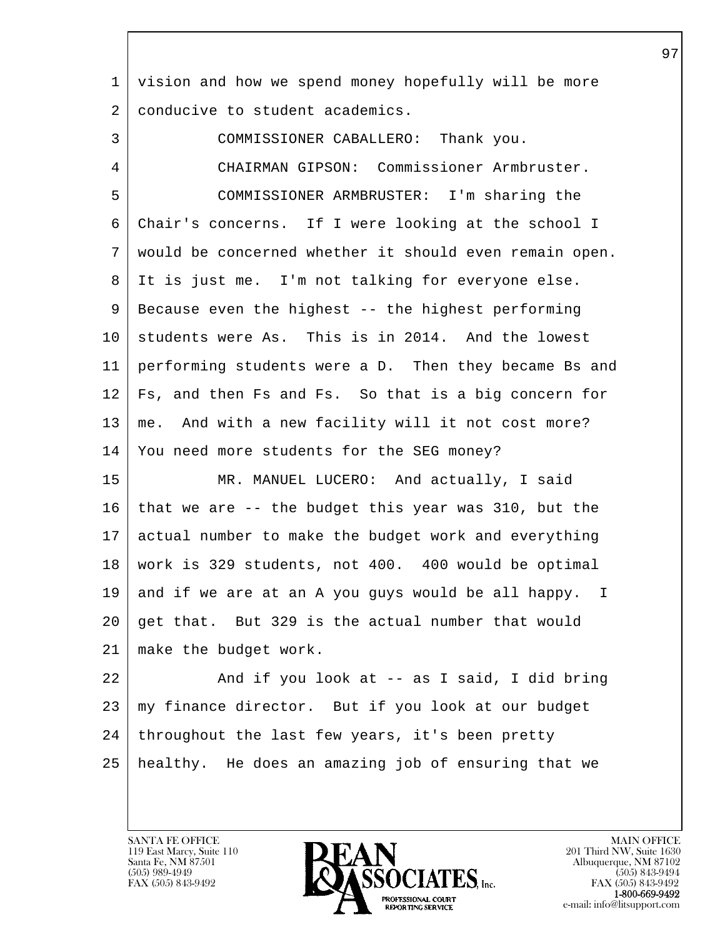| 1  | vision and how we spend money hopefully will be more   |
|----|--------------------------------------------------------|
| 2  | conducive to student academics.                        |
| 3  | COMMISSIONER CABALLERO: Thank you.                     |
| 4  | CHAIRMAN GIPSON: Commissioner Armbruster.              |
| 5  | COMMISSIONER ARMBRUSTER: I'm sharing the               |
| 6  | Chair's concerns. If I were looking at the school I    |
| 7  | would be concerned whether it should even remain open. |
| 8  | It is just me. I'm not talking for everyone else.      |
| 9  | Because even the highest -- the highest performing     |
| 10 | students were As. This is in 2014. And the lowest      |
| 11 | performing students were a D. Then they became Bs and  |
| 12 | Fs, and then Fs and Fs. So that is a big concern for   |
| 13 | me. And with a new facility will it not cost more?     |
| 14 | You need more students for the SEG money?              |
| 15 | MR. MANUEL LUCERO: And actually, I said                |
| 16 | that we are -- the budget this year was 310, but the   |
| 17 | actual number to make the budget work and everything   |
| 18 | work is 329 students, not 400. 400 would be optimal    |
| 19 | and if we are at an A you guys would be all happy. I   |
| 20 | get that. But 329 is the actual number that would      |
| 21 | make the budget work.                                  |
| 22 | And if you look at -- as I said, I did bring           |
| 23 | my finance director. But if you look at our budget     |
| 24 | throughout the last few years, it's been pretty        |
| 25 | healthy. He does an amazing job of ensuring that we    |

 $\overline{\phantom{a}}$ 

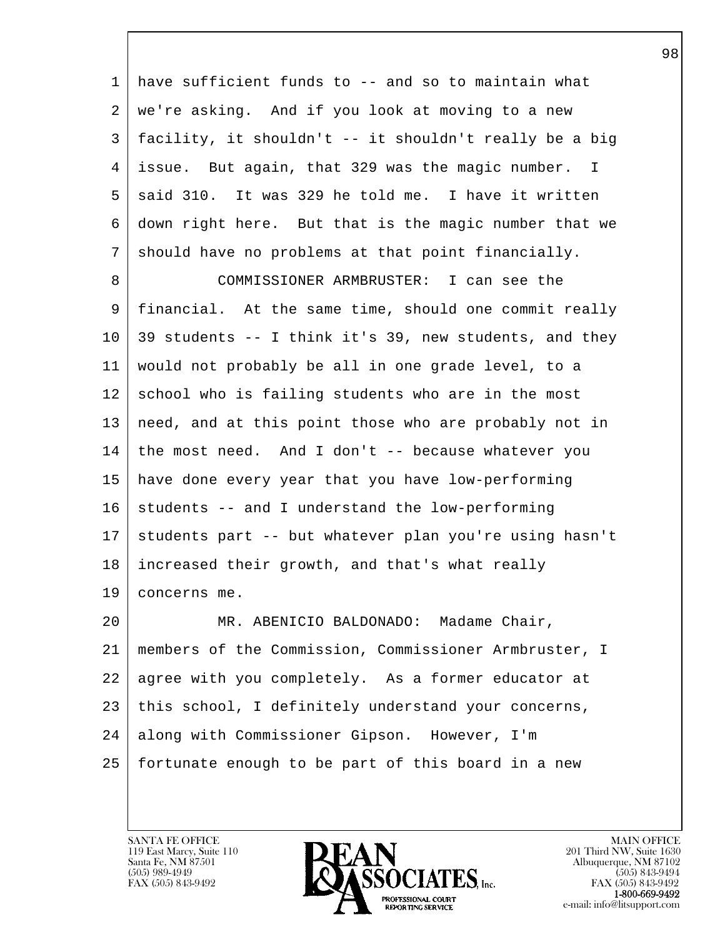| $\mathbf{1}$ | have sufficient funds to -- and so to maintain what    |
|--------------|--------------------------------------------------------|
| 2            | we're asking. And if you look at moving to a new       |
| 3            | facility, it shouldn't -- it shouldn't really be a big |
| 4            | issue. But again, that 329 was the magic number. I     |
| 5            | said 310. It was 329 he told me. I have it written     |
| 6            | down right here. But that is the magic number that we  |
| 7            | should have no problems at that point financially.     |
| 8            | COMMISSIONER ARMBRUSTER: I can see the                 |
| 9            | financial. At the same time, should one commit really  |
| 10           | 39 students -- I think it's 39, new students, and they |
| 11           | would not probably be all in one grade level, to a     |
| 12           | school who is failing students who are in the most     |
| 13           | need, and at this point those who are probably not in  |
| 14           | the most need. And I don't -- because whatever you     |
| 15           | have done every year that you have low-performing      |
| 16           | students -- and I understand the low-performing        |
| 17           | students part -- but whatever plan you're using hasn't |
| 18           | increased their growth, and that's what really         |
| 19           | concerns me.                                           |

l  $\overline{\phantom{a}}$ 20 | MR. ABENICIO BALDONADO: Madame Chair, 21 members of the Commission, Commissioner Armbruster, I 22 | agree with you completely. As a former educator at 23 | this school, I definitely understand your concerns, 24 along with Commissioner Gipson. However, I'm 25 fortunate enough to be part of this board in a new

119 East Marcy, Suite 110<br>Santa Fe, NM 87501

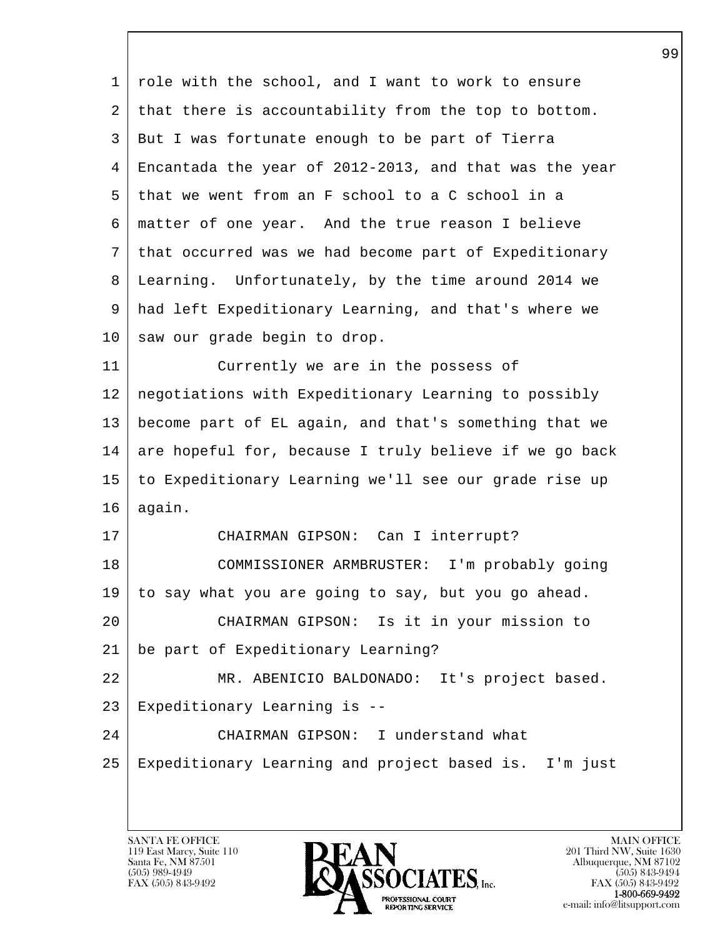| 1  | role with the school, and I want to work to ensure     |
|----|--------------------------------------------------------|
| 2  | that there is accountability from the top to bottom.   |
| 3  | But I was fortunate enough to be part of Tierra        |
| 4  | Encantada the year of 2012-2013, and that was the year |
| 5  | that we went from an F school to a C school in a       |
| 6  | matter of one year. And the true reason I believe      |
| 7  | that occurred was we had become part of Expeditionary  |
| 8  | Learning. Unfortunately, by the time around 2014 we    |
| 9  | had left Expeditionary Learning, and that's where we   |
| 10 | saw our grade begin to drop.                           |
| 11 | Currently we are in the possess of                     |
| 12 | negotiations with Expeditionary Learning to possibly   |
| 13 | become part of EL again, and that's something that we  |
| 14 | are hopeful for, because I truly believe if we go back |
| 15 | to Expeditionary Learning we'll see our grade rise up  |
| 16 | again.                                                 |
| 17 | CHAIRMAN GIPSON: Can I interrupt?                      |
| 18 | COMMISSIONER ARMBRUSTER: I'm probably going            |
| 19 | to say what you are going to say, but you go ahead.    |
| 20 | CHAIRMAN GIPSON: Is it in your mission to              |
| 21 | be part of Expeditionary Learning?                     |
| 22 | MR. ABENICIO BALDONADO: It's project based.            |
| 23 | Expeditionary Learning is --                           |
| 24 | CHAIRMAN GIPSON: I understand what                     |
| 25 | Expeditionary Learning and project based is. I'm just  |
|    |                                                        |

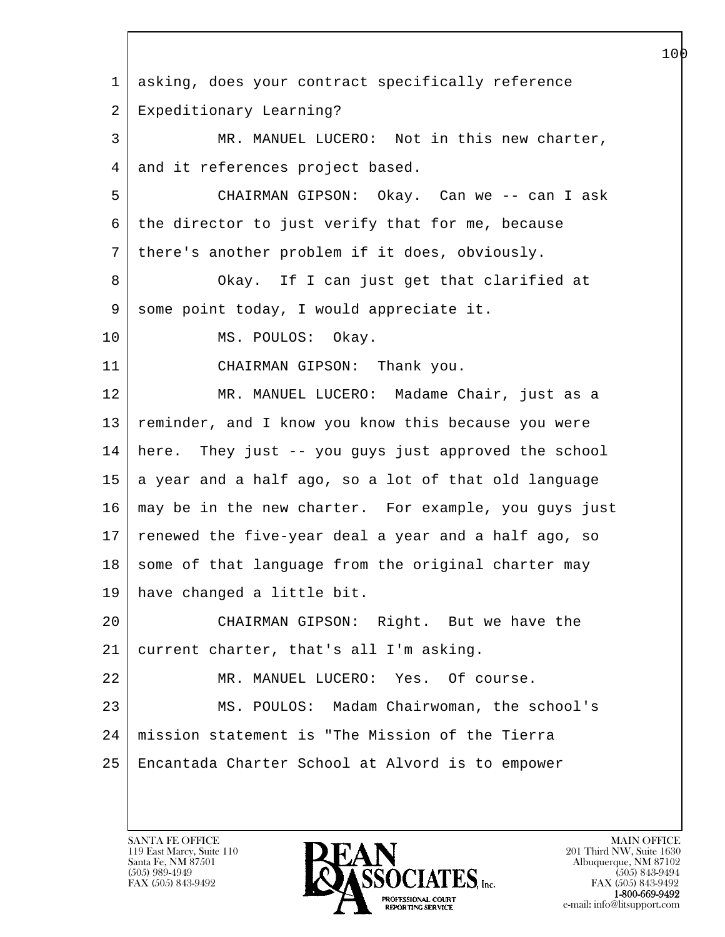l  $\overline{\phantom{a}}$  1 asking, does your contract specifically reference 2 Expeditionary Learning? 3 MR. MANUEL LUCERO: Not in this new charter, 4 and it references project based. 5 CHAIRMAN GIPSON: Okay. Can we -- can I ask 6 the director to just verify that for me, because 7 there's another problem if it does, obviously. 8 Okay. If I can just get that clarified at 9 | some point today, I would appreciate it. 10 | MS. POULOS: Okay. 11 CHAIRMAN GIPSON: Thank you. 12 | MR. MANUEL LUCERO: Madame Chair, just as a 13 | reminder, and I know you know this because you were 14 here. They just -- you guys just approved the school  $15$  a year and a half ago, so a lot of that old language 16 may be in the new charter. For example, you guys just 17 renewed the five-year deal a year and a half ago, so 18 | some of that language from the original charter may 19 have changed a little bit. 20 CHAIRMAN GIPSON: Right. But we have the 21 current charter, that's all I'm asking. 22 MR. MANUEL LUCERO: Yes. Of course. 23 MS. POULOS: Madam Chairwoman, the school's 24 mission statement is "The Mission of the Tierra 25 Encantada Charter School at Alvord is to empower

119 East Marcy, Suite 110<br>Santa Fe, NM 87501

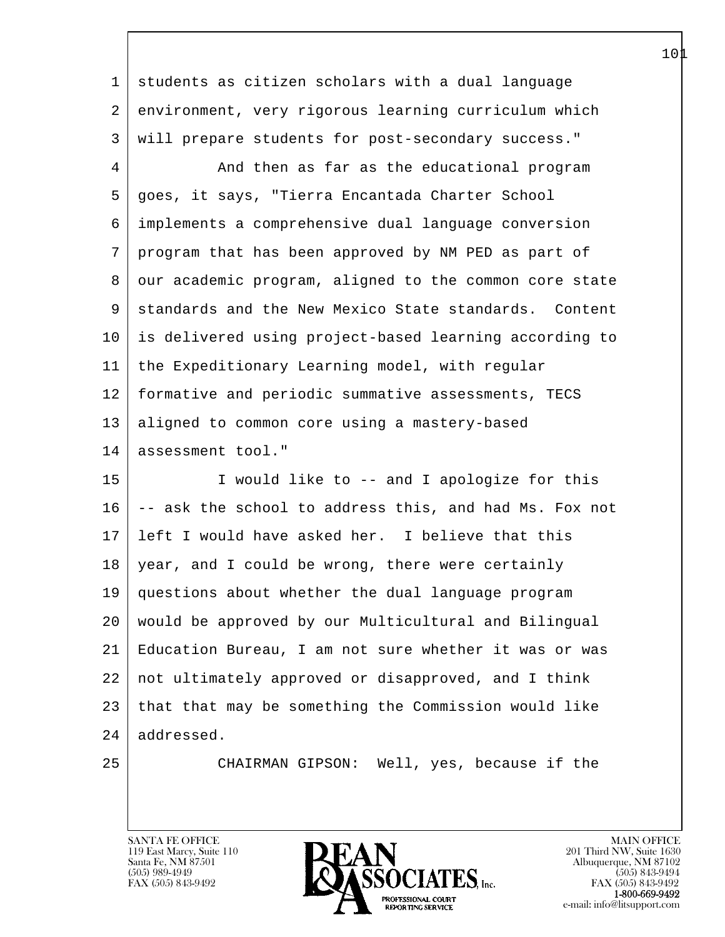| 1  | students as citizen scholars with a dual language      |
|----|--------------------------------------------------------|
| 2  | environment, very rigorous learning curriculum which   |
| 3  | will prepare students for post-secondary success."     |
| 4  | And then as far as the educational program             |
| 5  | goes, it says, "Tierra Encantada Charter School        |
| 6  | implements a comprehensive dual language conversion    |
| 7  | program that has been approved by NM PED as part of    |
| 8  | our academic program, aligned to the common core state |
| 9  | standards and the New Mexico State standards. Content  |
| 10 | is delivered using project-based learning according to |
| 11 | the Expeditionary Learning model, with regular         |
| 12 | formative and periodic summative assessments, TECS     |
| 13 | aligned to common core using a mastery-based           |
| 14 | assessment tool."                                      |
| 15 | I would like to -- and I apologize for this            |
| 16 | -- ask the school to address this, and had Ms. Fox not |
| 17 | left I would have asked her. I believe that this       |
| 18 | year, and I could be wrong, there were certainly       |
|    | 19   questions about whether the dual language program |
| 20 | would be approved by our Multicultural and Bilingual   |
| 21 | Education Bureau, I am not sure whether it was or was  |
| 22 | not ultimately approved or disapproved, and I think    |
| 23 | that that may be something the Commission would like   |
| 24 | addressed.                                             |
| 25 | CHAIRMAN GIPSON: Well, yes, because if the             |

 $\overline{\phantom{a}}$ 

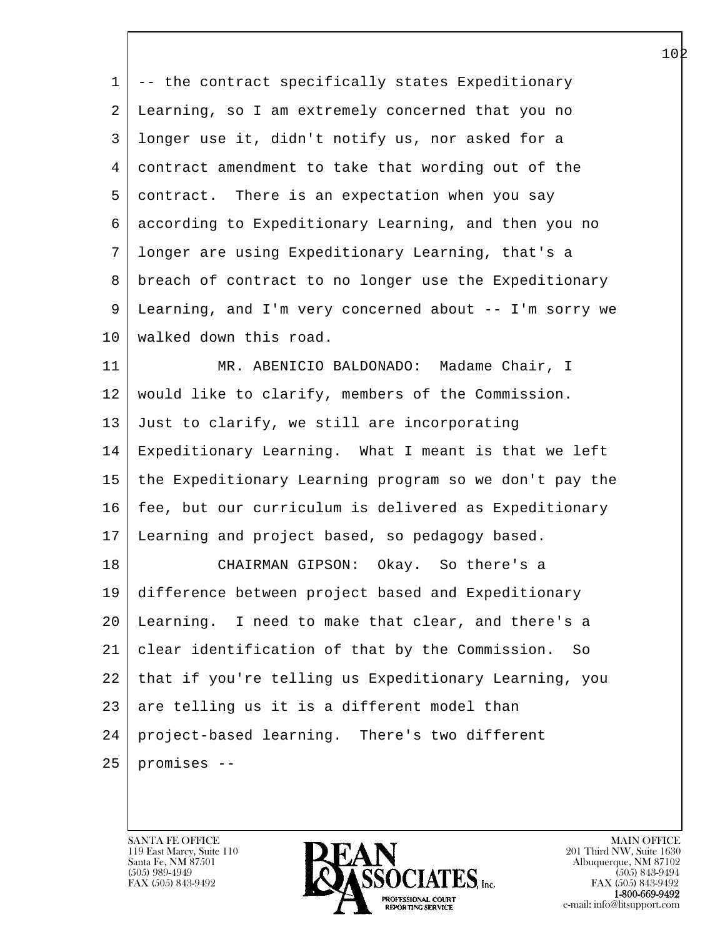1 -- the contract specifically states Expeditionary 2 Learning, so I am extremely concerned that you no 3 longer use it, didn't notify us, nor asked for a 4 contract amendment to take that wording out of the 5 contract. There is an expectation when you say 6 according to Expeditionary Learning, and then you no 7 longer are using Expeditionary Learning, that's a 8 breach of contract to no longer use the Expeditionary 9 Learning, and I'm very concerned about -- I'm sorry we 10 | walked down this road. 11 MR. ABENICIO BALDONADO: Madame Chair, I 12 would like to clarify, members of the Commission. 13 Just to clarify, we still are incorporating 14 Expeditionary Learning. What I meant is that we left 15 the Expeditionary Learning program so we don't pay the 16 fee, but our curriculum is delivered as Expeditionary 17 Learning and project based, so pedagogy based. 18 CHAIRMAN GIPSON: Okay. So there's a 19 difference between project based and Expeditionary 20 Learning. I need to make that clear, and there's a 21 clear identification of that by the Commission. So 22 that if you're telling us Expeditionary Learning, you

 $23$  are telling us it is a different model than 24 project-based learning. There's two different

l  $25$  promises  $-$ 

 $\overline{\phantom{a}}$ 

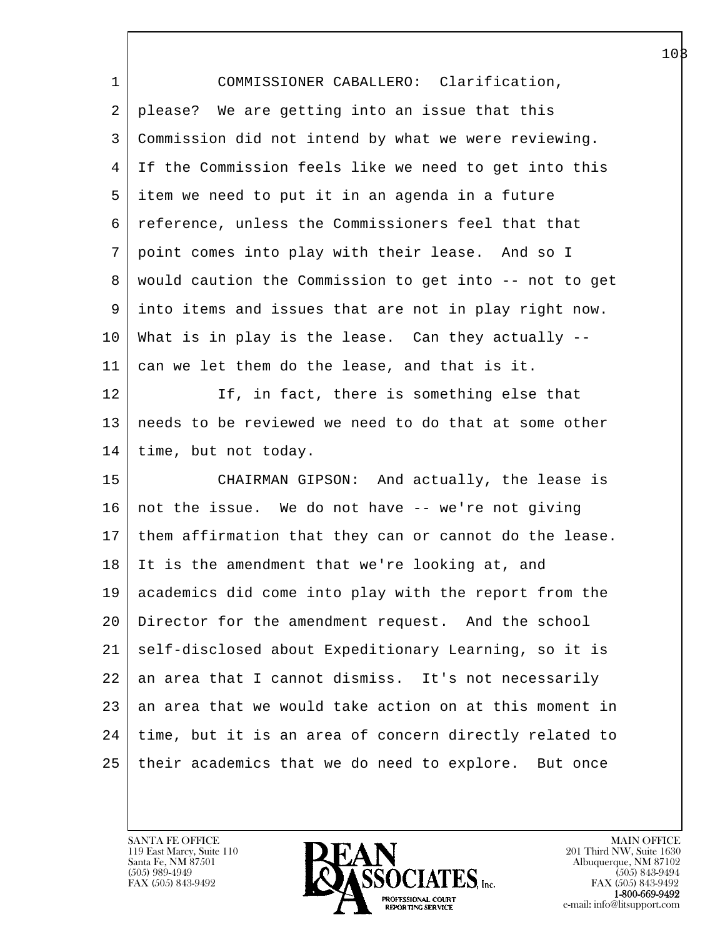| 1       | COMMISSIONER CABALLERO: Clarification,                   |
|---------|----------------------------------------------------------|
| 2       | please? We are getting into an issue that this           |
| 3       | Commission did not intend by what we were reviewing.     |
| 4       | If the Commission feels like we need to get into this    |
| 5       | item we need to put it in an agenda in a future          |
| 6       | reference, unless the Commissioners feel that that       |
| 7       | point comes into play with their lease. And so I         |
| 8       | would caution the Commission to get into -- not to get   |
| 9       | into items and issues that are not in play right now.    |
| 10      | What is in play is the lease. Can they actually --       |
| 11      | can we let them do the lease, and that is it.            |
| 12      | If, in fact, there is something else that                |
| 13      | needs to be reviewed we need to do that at some other    |
| 14      | time, but not today.                                     |
| 15      | CHAIRMAN GIPSON: And actually, the lease is              |
| 16      | not the issue. We do not have -- we're not giving        |
| 17      | them affirmation that they can or cannot do the lease.   |
| 18      | It is the amendment that we're looking at, and           |
|         | 19 academics did come into play with the report from the |
| $20 \,$ | Director for the amendment request. And the school       |
| 21      | self-disclosed about Expeditionary Learning, so it is    |
| 22      | an area that I cannot dismiss. It's not necessarily      |
| 23      | an area that we would take action on at this moment in   |
| 24      | time, but it is an area of concern directly related to   |
| 25      | their academics that we do need to explore. But once     |
|         |                                                          |

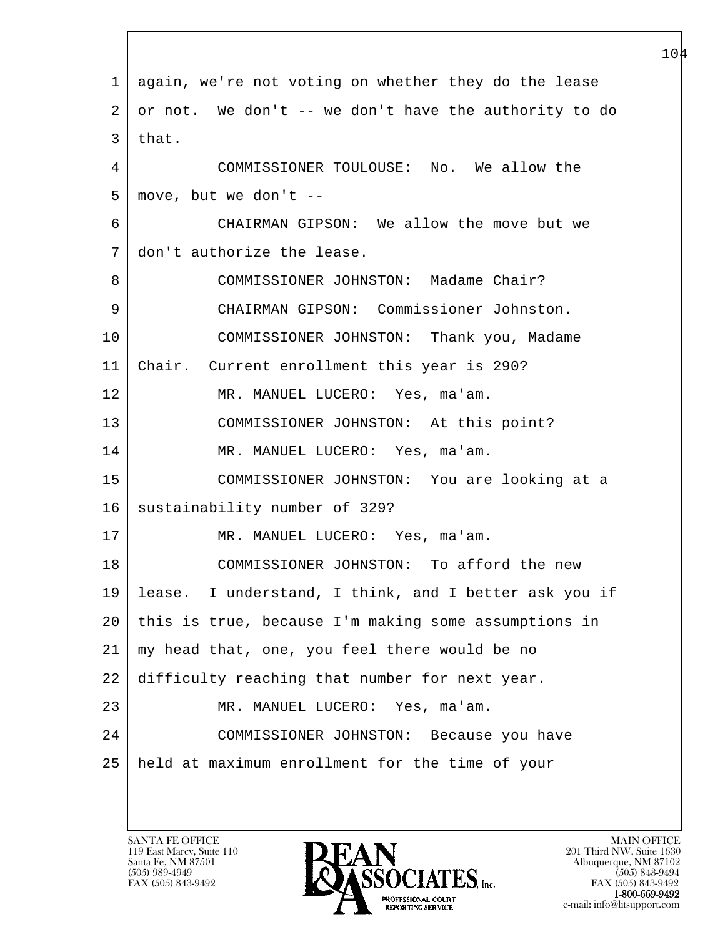| $\mathbf 1$ | again, we're not voting on whether they do the lease  |
|-------------|-------------------------------------------------------|
| 2           | or not. We don't -- we don't have the authority to do |
| 3           | that.                                                 |
| 4           | COMMISSIONER TOULOUSE: No. We allow the               |
| 5           | move, but we don't --                                 |
| 6           | CHAIRMAN GIPSON: We allow the move but we             |
| 7           | don't authorize the lease.                            |
| 8           | COMMISSIONER JOHNSTON: Madame Chair?                  |
| 9           | CHAIRMAN GIPSON: Commissioner Johnston.               |
| 10          | COMMISSIONER JOHNSTON: Thank you, Madame              |
| 11          | Chair. Current enrollment this year is 290?           |
| 12          | MR. MANUEL LUCERO: Yes, ma'am.                        |
| 13          | COMMISSIONER JOHNSTON: At this point?                 |
| 14          | MR. MANUEL LUCERO: Yes, ma'am.                        |
| 15          | COMMISSIONER JOHNSTON: You are looking at a           |
| 16          | sustainability number of 329?                         |
| 17          | MR. MANUEL LUCERO: Yes, ma'am.                        |
| 18          | COMMISSIONER JOHNSTON: To afford the new              |
| 19          | lease. I understand, I think, and I better ask you if |
| 20          | this is true, because I'm making some assumptions in  |
| 21          | my head that, one, you feel there would be no         |
| 22          | difficulty reaching that number for next year.        |
| 23          | MR. MANUEL LUCERO:<br>Yes, ma'am.                     |
| 24          | COMMISSIONER JOHNSTON: Because you have               |
| 25          | held at maximum enrollment for the time of your       |
|             |                                                       |

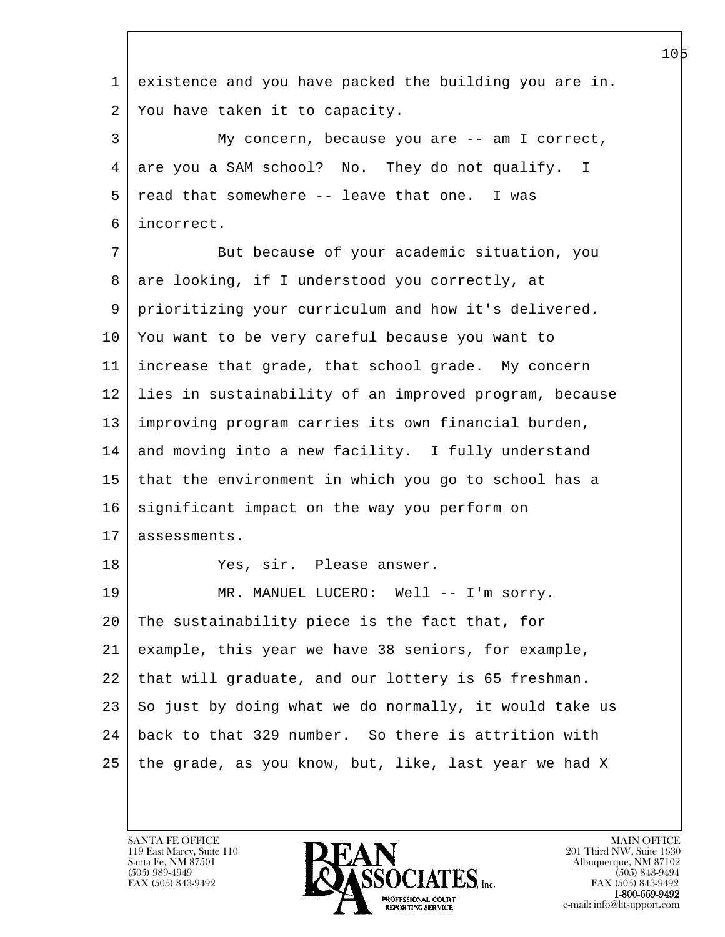l  $\overline{\phantom{a}}$  1 existence and you have packed the building you are in. 2 You have taken it to capacity. 3 My concern, because you are -- am I correct, 4 are you a SAM school? No. They do not qualify. I  $5$  read that somewhere  $-$ - leave that one. I was 6 incorrect. 7 But because of your academic situation, you 8 | are looking, if I understood you correctly, at 9 prioritizing your curriculum and how it's delivered. 10 You want to be very careful because you want to 11 increase that grade, that school grade. My concern 12 lies in sustainability of an improved program, because 13 improving program carries its own financial burden, 14 and moving into a new facility. I fully understand 15 that the environment in which you go to school has a  $16$  significant impact on the way you perform on 17 | assessments. 18 Yes, sir. Please answer. 19 | MR. MANUEL LUCERO: Well -- I'm sorry. 20 The sustainability piece is the fact that, for 21 example, this year we have 38 seniors, for example, 22 that will graduate, and our lottery is 65 freshman.  $23$  So just by doing what we do normally, it would take us 24 back to that 329 number. So there is attrition with 25 the grade, as you know, but, like, last year we had X

119 East Marcy, Suite 110<br>Santa Fe, NM 87501

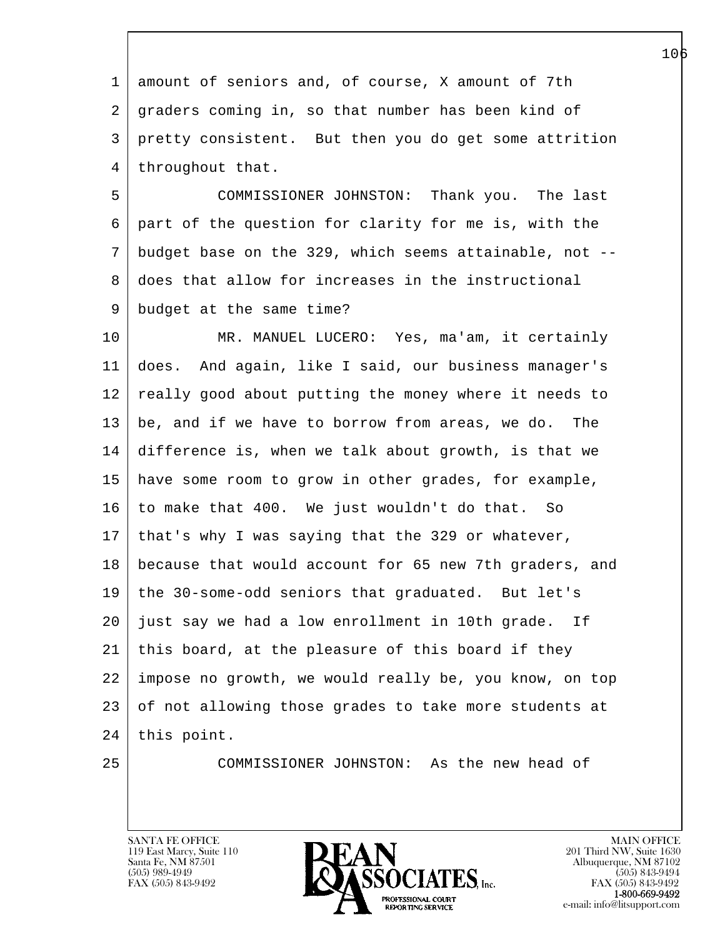1 amount of seniors and, of course, X amount of 7th 2 graders coming in, so that number has been kind of 3 pretty consistent. But then you do get some attrition 4 | throughout that.

 5 COMMISSIONER JOHNSTON: Thank you. The last 6 part of the question for clarity for me is, with the 7 budget base on the 329, which seems attainable, not -- 8 does that allow for increases in the instructional 9 budget at the same time?

10 MR. MANUEL LUCERO: Yes, ma'am, it certainly 11 does. And again, like I said, our business manager's 12 really good about putting the money where it needs to 13 be, and if we have to borrow from areas, we do. The 14 difference is, when we talk about growth, is that we 15 have some room to grow in other grades, for example, 16 to make that 400. We just wouldn't do that. So 17 that's why I was saying that the 329 or whatever, 18 because that would account for 65 new 7th graders, and 19 the 30-some-odd seniors that graduated. But let's 20 just say we had a low enrollment in 10th grade. If 21 this board, at the pleasure of this board if they 22 impose no growth, we would really be, you know, on top 23 of not allowing those grades to take more students at 24 | this point.

l  $\overline{\phantom{a}}$ 

25 COMMISSIONER JOHNSTON: As the new head of

119 East Marcy, Suite 110<br>Santa Fe, NM 87501

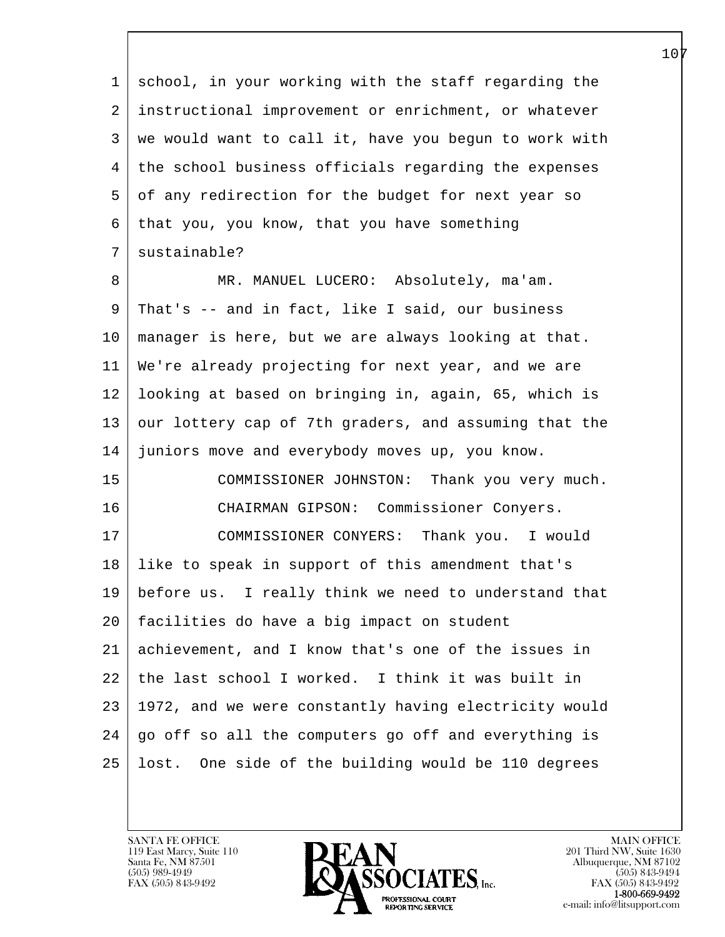l 1 school, in your working with the staff regarding the 2 instructional improvement or enrichment, or whatever 3 we would want to call it, have you begun to work with 4 the school business officials regarding the expenses 5 of any redirection for the budget for next year so 6 that you, you know, that you have something 7 | sustainable? 8 MR. MANUEL LUCERO: Absolutely, ma'am. 9 That's -- and in fact, like I said, our business 10 manager is here, but we are always looking at that. 11 We're already projecting for next year, and we are 12 looking at based on bringing in, again, 65, which is 13 our lottery cap of 7th graders, and assuming that the 14 juniors move and everybody moves up, you know. 15 COMMISSIONER JOHNSTON: Thank you very much. 16 CHAIRMAN GIPSON: Commissioner Conyers. 17 COMMISSIONER CONYERS: Thank you. I would 18 like to speak in support of this amendment that's 19 before us. I really think we need to understand that 20 facilities do have a big impact on student 21 achievement, and I know that's one of the issues in 22 the last school I worked. I think it was built in 23 1972, and we were constantly having electricity would 24 | go off so all the computers go off and everything is 25 lost. One side of the building would be 110 degrees

119 East Marcy, Suite 110<br>Santa Fe, NM 87501

 $\overline{\phantom{a}}$ 

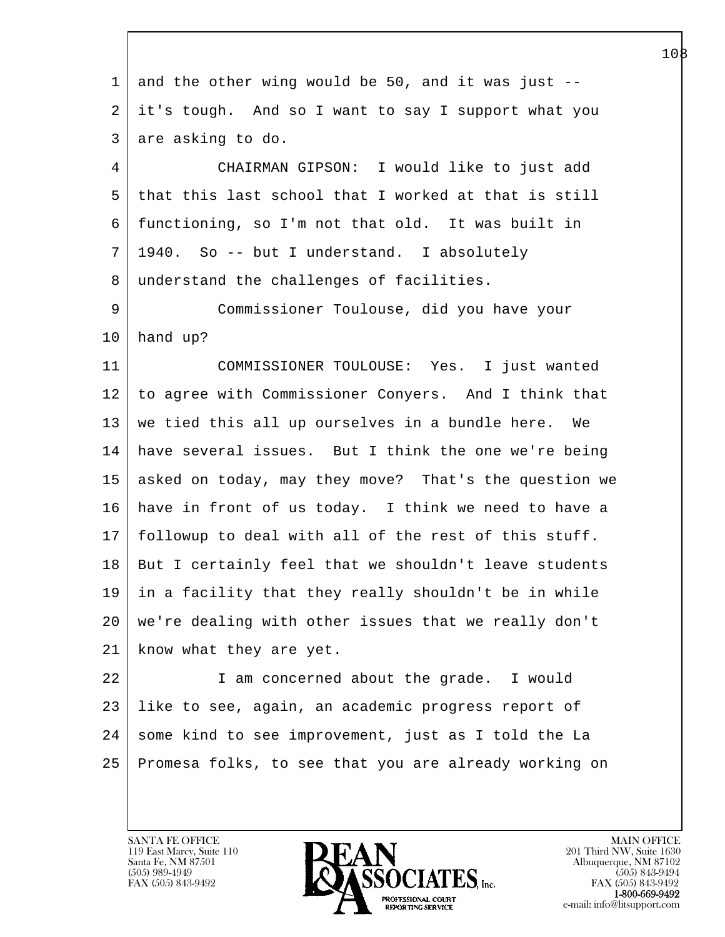| $\mathbf 1$ | and the other wing would be 50, and it was just $-$ - |
|-------------|-------------------------------------------------------|
| 2           | it's tough. And so I want to say I support what you   |
| 3           | are asking to do.                                     |
| 4           | CHAIRMAN GIPSON: I would like to just add             |
| 5           | that this last school that I worked at that is still  |
| 6           | functioning, so I'm not that old. It was built in     |
| 7           | 1940. So -- but I understand. I absolutely            |
| 8           | understand the challenges of facilities.              |
| 9           | Commissioner Toulouse, did you have your              |
| $10 \,$     | hand up?                                              |
| 11          | COMMISSIONER TOULOUSE: Yes. I just wanted             |
| 12          | to agree with Commissioner Conyers. And I think that  |
| 13          | we tied this all up ourselves in a bundle here. We    |
| 14          | have several issues. But I think the one we're being  |
| 15          | asked on today, may they move? That's the question we |
| 16          | have in front of us today. I think we need to have a  |
| 17          | followup to deal with all of the rest of this stuff.  |
| 18          | But I certainly feel that we shouldn't leave students |
| 19          | in a facility that they really shouldn't be in while  |
| $20 \,$     | we're dealing with other issues that we really don't  |
| 21          | know what they are yet.                               |
| 22          | I am concerned about the grade. I would               |
| 23          | like to see, again, an academic progress report of    |
| 24          | some kind to see improvement, just as I told the La   |
| 25          | Promesa folks, to see that you are already working on |
|             |                                                       |

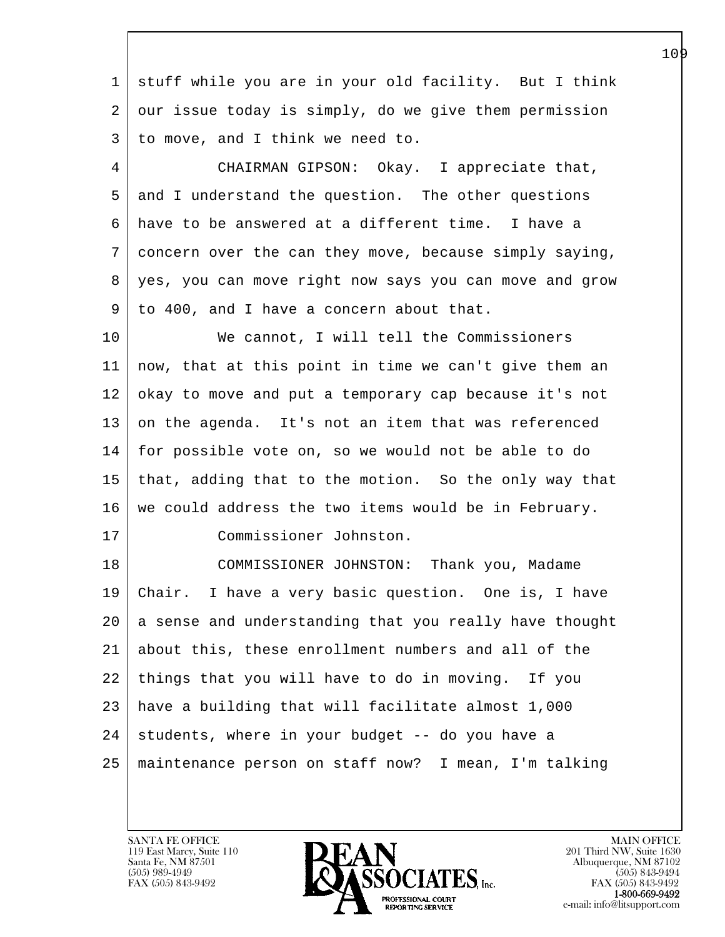l  $\overline{\phantom{a}}$  1 stuff while you are in your old facility. But I think 2 our issue today is simply, do we give them permission 3 to move, and I think we need to. 4 CHAIRMAN GIPSON: Okay. I appreciate that, 5 and I understand the question. The other questions 6 have to be answered at a different time. I have a 7 concern over the can they move, because simply saying, 8 yes, you can move right now says you can move and grow 9 to 400, and I have a concern about that. 10 | We cannot, I will tell the Commissioners 11 now, that at this point in time we can't give them an 12 okay to move and put a temporary cap because it's not 13 on the agenda. It's not an item that was referenced 14 for possible vote on, so we would not be able to do 15 that, adding that to the motion. So the only way that  $16$  we could address the two items would be in February. 17 Commissioner Johnston. 18 COMMISSIONER JOHNSTON: Thank you, Madame 19 Chair. I have a very basic question. One is, I have 20 a sense and understanding that you really have thought 21 about this, these enrollment numbers and all of the 22 things that you will have to do in moving. If you 23 have a building that will facilitate almost 1,000  $24$  students, where in your budget -- do you have a 25 maintenance person on staff now? I mean, I'm talking

119 East Marcy, Suite 110<br>Santa Fe, NM 87501

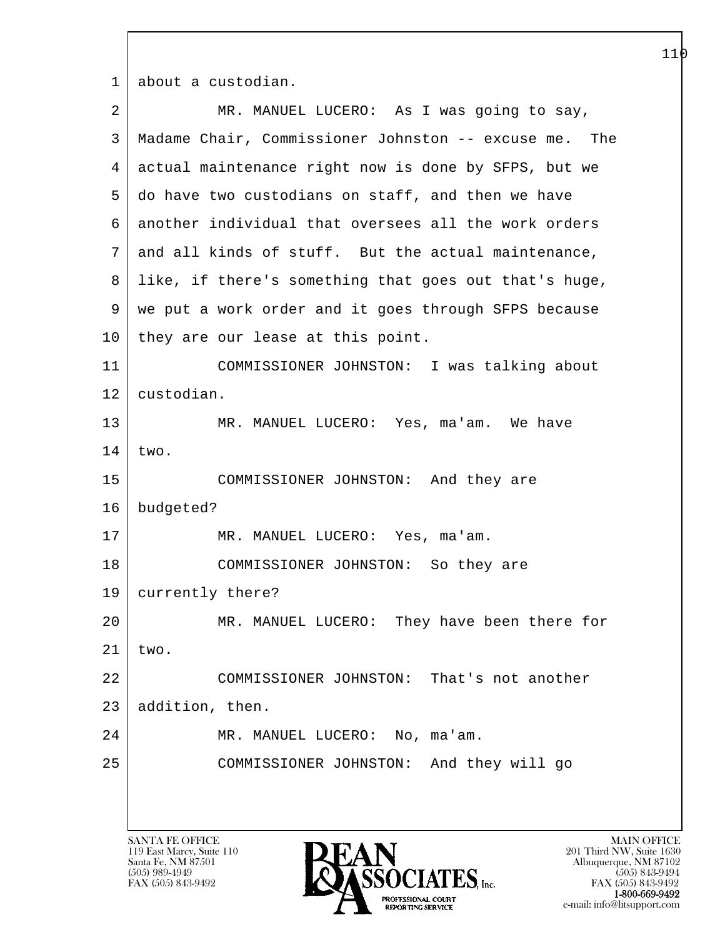1 about a custodian.

| $\overline{a}$ | MR. MANUEL LUCERO: As I was going to say,             |
|----------------|-------------------------------------------------------|
| 3              | Madame Chair, Commissioner Johnston -- excuse me. The |
| $\overline{4}$ | actual maintenance right now is done by SFPS, but we  |
| 5              | do have two custodians on staff, and then we have     |
| 6              | another individual that oversees all the work orders  |
| 7              | and all kinds of stuff. But the actual maintenance,   |
| 8              | like, if there's something that goes out that's huge, |
| 9              | we put a work order and it goes through SFPS because  |
| 10             | they are our lease at this point.                     |
| 11             | COMMISSIONER JOHNSTON: I was talking about            |
| 12             | custodian.                                            |
| 13             | MR. MANUEL LUCERO: Yes, ma'am. We have                |
| 14             | two.                                                  |
| 15             | COMMISSIONER JOHNSTON: And they are                   |
| 16             | budgeted?                                             |
| 17             | MR. MANUEL LUCERO: Yes, ma'am.                        |
| 18             | COMMISSIONER JOHNSTON: So they are                    |
| 19             | currently there?                                      |
| 20             | MR. MANUEL LUCERO: They have been there for           |
| 21             | two.                                                  |
| 22             | COMMISSIONER JOHNSTON: That's not another             |
| 23             | addition, then.                                       |
| 24             | MR. MANUEL LUCERO: No, ma'am.                         |
| 25             | COMMISSIONER JOHNSTON: And they will go               |
|                |                                                       |
|                |                                                       |

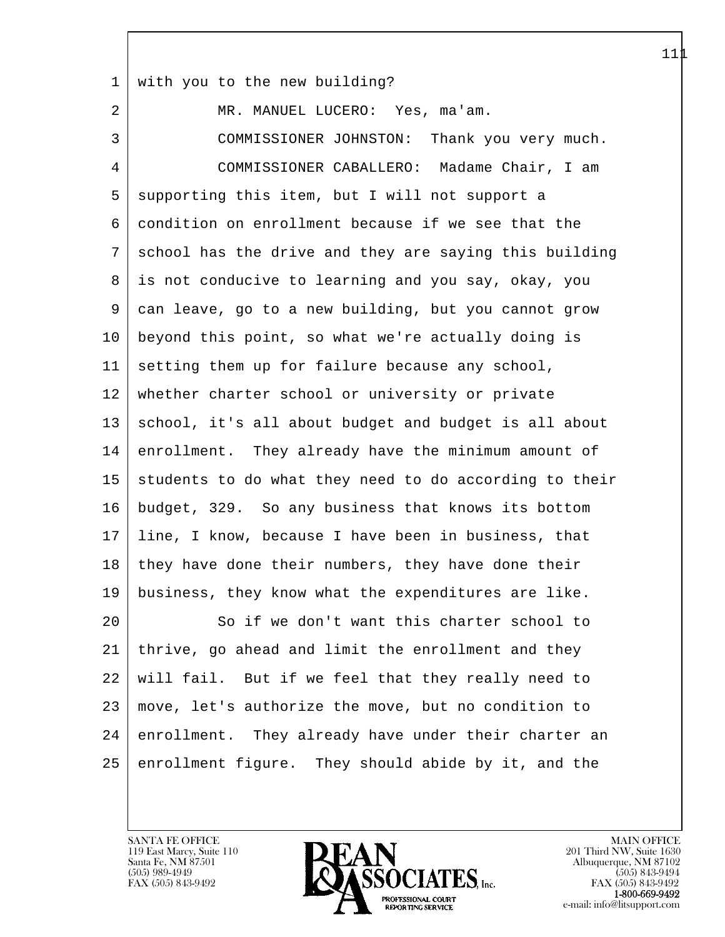1 with you to the new building?

l 2 | MR. MANUEL LUCERO: Yes, ma'am. 3 COMMISSIONER JOHNSTON: Thank you very much. 4 COMMISSIONER CABALLERO: Madame Chair, I am 5 supporting this item, but I will not support a 6 condition on enrollment because if we see that the 7 school has the drive and they are saying this building 8 is not conducive to learning and you say, okay, you 9 can leave, go to a new building, but you cannot grow 10 beyond this point, so what we're actually doing is  $11$  setting them up for failure because any school, 12 whether charter school or university or private 13 | school, it's all about budget and budget is all about 14 enrollment. They already have the minimum amount of 15 students to do what they need to do according to their 16 budget, 329. So any business that knows its bottom 17 line, I know, because I have been in business, that 18 | they have done their numbers, they have done their 19 business, they know what the expenditures are like. 20 So if we don't want this charter school to 21 thrive, go ahead and limit the enrollment and they 22 will fail. But if we feel that they really need to 23 move, let's authorize the move, but no condition to 24 enrollment. They already have under their charter an 25 enrollment figure. They should abide by it, and the

119 East Marcy, Suite 110<br>Santa Fe, NM 87501

 $\overline{\phantom{a}}$ 

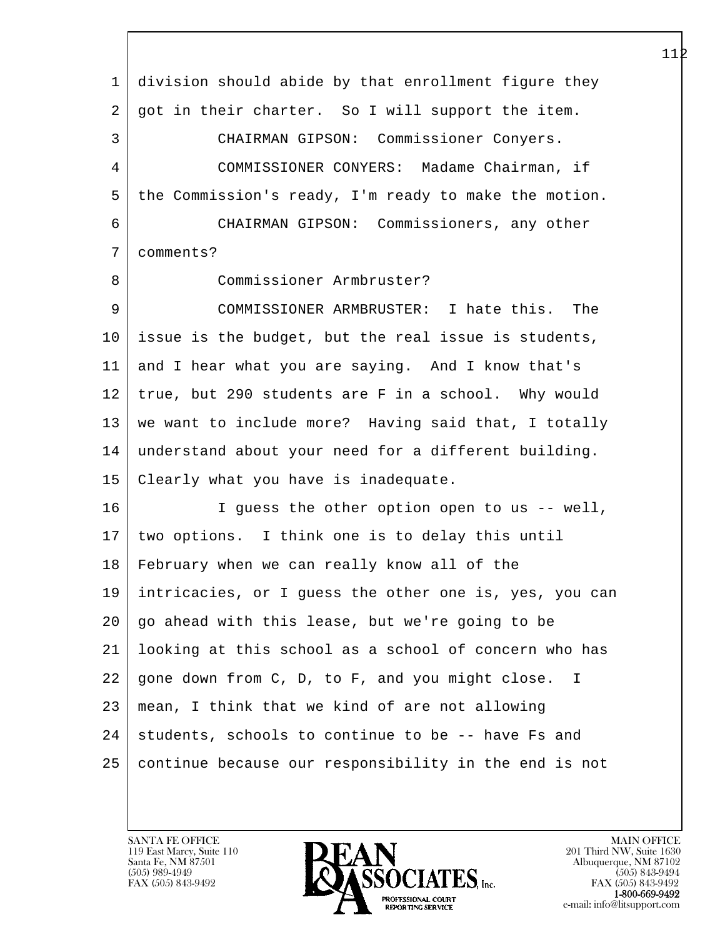| 1              | division should abide by that enrollment figure they   |
|----------------|--------------------------------------------------------|
| 2              | got in their charter. So I will support the item.      |
| 3              | CHAIRMAN GIPSON: Commissioner Conyers.                 |
| $\overline{4}$ | COMMISSIONER CONYERS: Madame Chairman, if              |
| 5              | the Commission's ready, I'm ready to make the motion.  |
| 6              | CHAIRMAN GIPSON: Commissioners, any other              |
| 7              | comments?                                              |
| 8              | Commissioner Armbruster?                               |
| 9              | COMMISSIONER ARMBRUSTER: I hate this. The              |
| 10             | issue is the budget, but the real issue is students,   |
| 11             | and I hear what you are saying. And I know that's      |
| 12             | true, but 290 students are F in a school. Why would    |
| 13             | we want to include more? Having said that, I totally   |
| 14             | understand about your need for a different building.   |
| 15             | Clearly what you have is inadequate.                   |
| 16             | I guess the other option open to us -- well,           |
| 17             | two options. I think one is to delay this until        |
| 18             | February when we can really know all of the            |
| 19             | intricacies, or I guess the other one is, yes, you can |
| 20             | go ahead with this lease, but we're going to be        |
| 21             | looking at this school as a school of concern who has  |
| 22             | gone down from C, D, to F, and you might close. I      |
| 23             | mean, I think that we kind of are not allowing         |
| 24             | students, schools to continue to be -- have Fs and     |
| 25             | continue because our responsibility in the end is not  |
|                |                                                        |

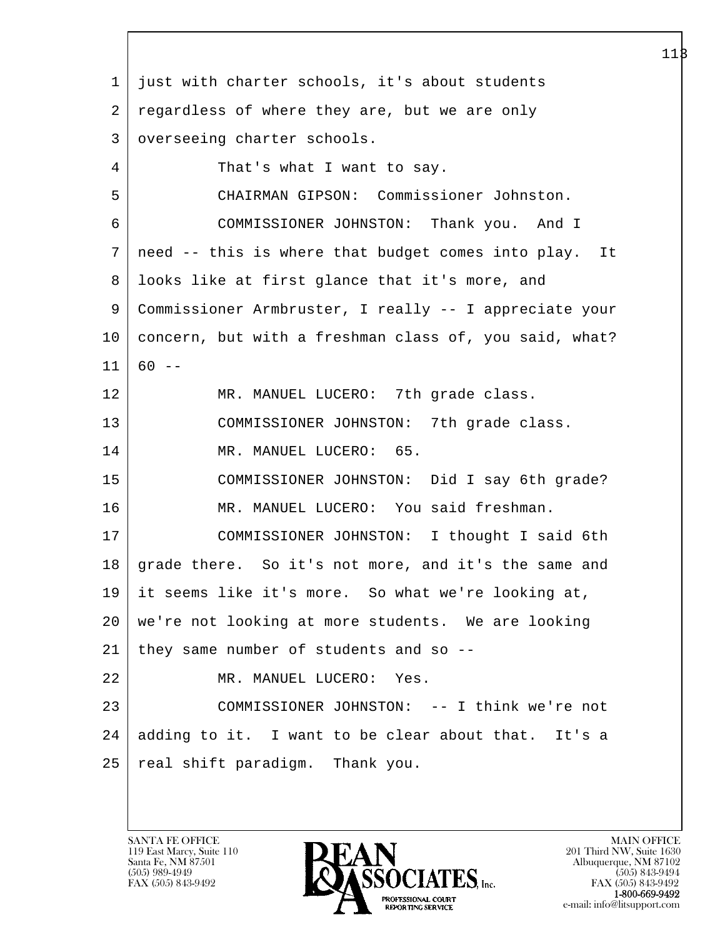l  $\overline{\phantom{a}}$  1 just with charter schools, it's about students 2 regardless of where they are, but we are only 3 | overseeing charter schools. 4 That's what I want to say. 5 CHAIRMAN GIPSON: Commissioner Johnston. 6 COMMISSIONER JOHNSTON: Thank you. And I 7 need -- this is where that budget comes into play. It 8 | looks like at first glance that it's more, and 9 Commissioner Armbruster, I really -- I appreciate your 10 concern, but with a freshman class of, you said, what?  $11 \mid 60 --$ 12 | MR. MANUEL LUCERO: 7th grade class. 13 COMMISSIONER JOHNSTON: 7th grade class. 14 MR. MANUEL LUCERO: 65. 15 COMMISSIONER JOHNSTON: Did I say 6th grade? 16 MR. MANUEL LUCERO: You said freshman. 17 COMMISSIONER JOHNSTON: I thought I said 6th 18 grade there. So it's not more, and it's the same and 19 it seems like it's more. So what we're looking at, 20 we're not looking at more students. We are looking  $21$  they same number of students and so  $-$ 22 MR. MANUEL LUCERO: Yes. 23 COMMISSIONER JOHNSTON: -- I think we're not 24 adding to it. I want to be clear about that. It's a 25 real shift paradigm. Thank you.

119 East Marcy, Suite 110<br>Santa Fe, NM 87501

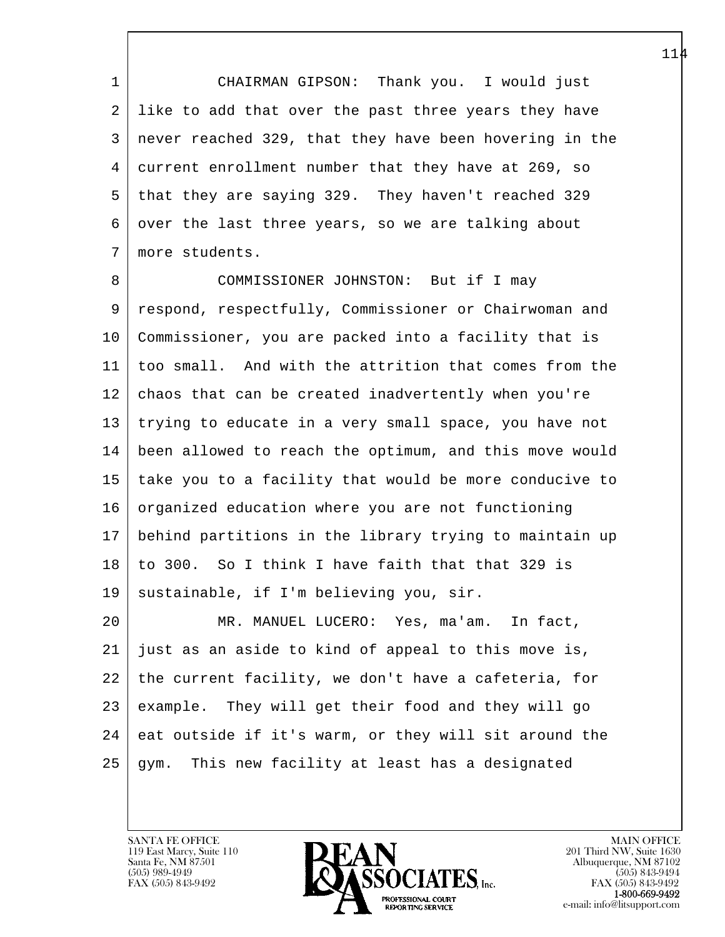1 CHAIRMAN GIPSON: Thank you. I would just 2 like to add that over the past three years they have 3 never reached 329, that they have been hovering in the 4 current enrollment number that they have at 269, so 5 that they are saying 329. They haven't reached 329 6 over the last three years, so we are talking about 7 more students.

8 COMMISSIONER JOHNSTON: But if I may 9 respond, respectfully, Commissioner or Chairwoman and 10 Commissioner, you are packed into a facility that is 11 too small. And with the attrition that comes from the 12 chaos that can be created inadvertently when you're 13 trying to educate in a very small space, you have not 14 been allowed to reach the optimum, and this move would 15 take you to a facility that would be more conducive to 16 organized education where you are not functioning 17 behind partitions in the library trying to maintain up 18 to 300. So I think I have faith that that 329 is 19 sustainable, if I'm believing you, sir.

l 20 MR. MANUEL LUCERO: Yes, ma'am. In fact, 21 just as an aside to kind of appeal to this move is, 22 the current facility, we don't have a cafeteria, for 23 example. They will get their food and they will go  $24$  eat outside if it's warm, or they will sit around the 25 gym. This new facility at least has a designated

119 East Marcy, Suite 110<br>Santa Fe, NM 87501

 $\overline{\phantom{a}}$ 

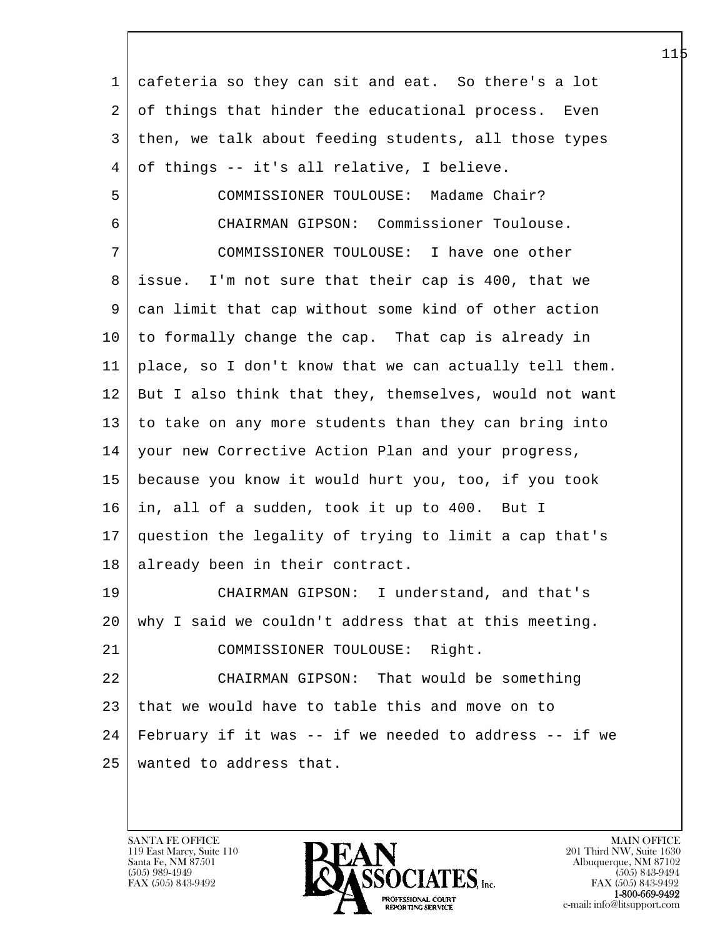| 1       | cafeteria so they can sit and eat. So there's a lot    |
|---------|--------------------------------------------------------|
| 2       | of things that hinder the educational process.<br>Even |
| 3       | then, we talk about feeding students, all those types  |
| 4       | of things -- it's all relative, I believe.             |
| 5       | COMMISSIONER TOULOUSE: Madame Chair?                   |
| 6       | CHAIRMAN GIPSON: Commissioner Toulouse.                |
| 7       | COMMISSIONER TOULOUSE: I have one other                |
| 8       | issue. I'm not sure that their cap is 400, that we     |
| 9       | can limit that cap without some kind of other action   |
| 10      | to formally change the cap. That cap is already in     |
| 11      | place, so I don't know that we can actually tell them. |
| 12      | But I also think that they, themselves, would not want |
| 13      | to take on any more students than they can bring into  |
| 14      | your new Corrective Action Plan and your progress,     |
| 15      | because you know it would hurt you, too, if you took   |
| 16      | in, all of a sudden, took it up to 400. But I          |
| 17      | question the legality of trying to limit a cap that's  |
| 18      | already been in their contract.                        |
| 19      | CHAIRMAN GIPSON: I understand, and that's              |
| $20 \,$ | why I said we couldn't address that at this meeting.   |
| 21      | COMMISSIONER TOULOUSE: Right.                          |
| 22      | CHAIRMAN GIPSON: That would be something               |
| 23      | that we would have to table this and move on to        |
| 24      | February if it was -- if we needed to address -- if we |
| 25      | wanted to address that.                                |
|         |                                                        |

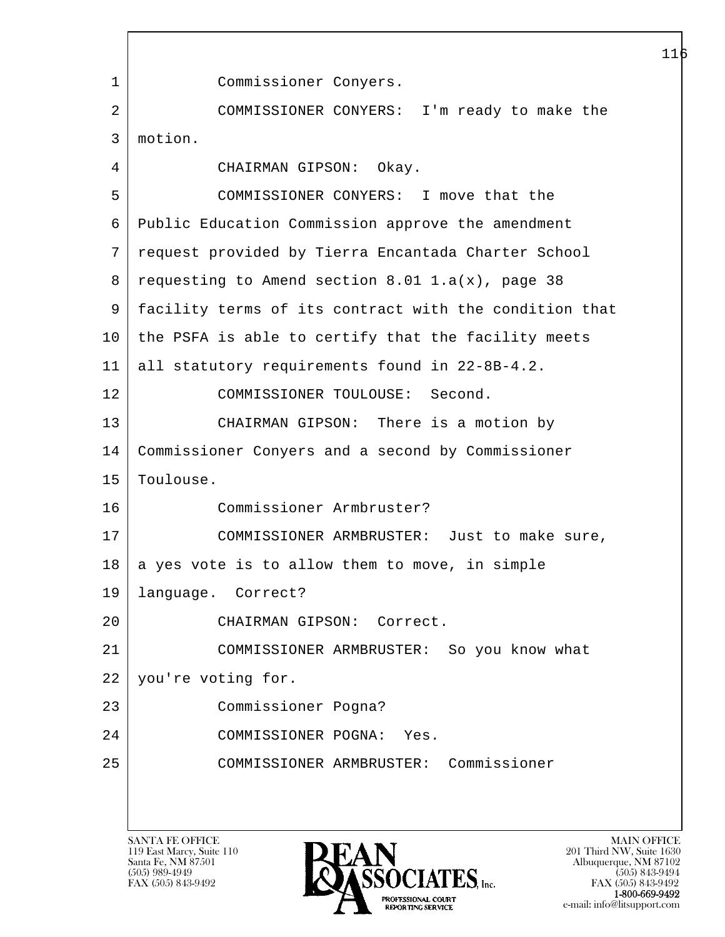l  $\overline{\phantom{a}}$ 116 1 Commissioner Conyers. 2 COMMISSIONER CONYERS: I'm ready to make the 3 motion. 4 CHAIRMAN GIPSON: Okay. 5 COMMISSIONER CONYERS: I move that the 6 Public Education Commission approve the amendment 7 request provided by Tierra Encantada Charter School  $8 \mid$  requesting to Amend section  $8.01 \cdot 1.a(x)$ , page 38 9 facility terms of its contract with the condition that 10 the PSFA is able to certify that the facility meets 11 all statutory requirements found in 22-8B-4.2. 12 COMMISSIONER TOULOUSE: Second. 13 CHAIRMAN GIPSON: There is a motion by 14 Commissioner Conyers and a second by Commissioner 15 | Toulouse. 16 Commissioner Armbruster? 17 COMMISSIONER ARMBRUSTER: Just to make sure,  $18$  a yes vote is to allow them to move, in simple 19 language. Correct? 20 CHAIRMAN GIPSON: Correct. 21 COMMISSIONER ARMBRUSTER: So you know what 22 you're voting for. 23 Commissioner Pogna? 24 COMMISSIONER POGNA: Yes. 25 COMMISSIONER ARMBRUSTER: Commissioner

119 East Marcy, Suite 110<br>Santa Fe, NM 87501



FAX (505) 843-9492 FAX (505) 843-9492 PROFESSIONAL COURT 1-800-669-9492 **EXECUTE EXECUTE:**<br>REPORTING SERVICE e-mail: info@litsupport.com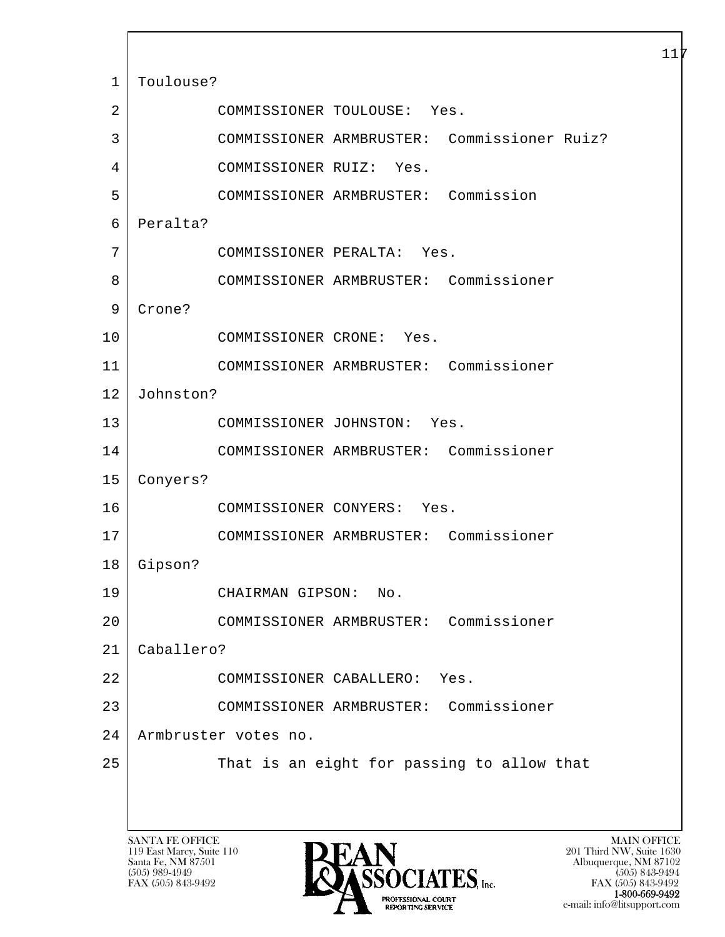l  $\overline{\phantom{a}}$ SANTA FE OFFICE MAIN OFFICE MAIN OFFICE MAIN OFFICE MAIN OFFICE 1 | Toulouse? 2 COMMISSIONER TOULOUSE: Yes. 3 COMMISSIONER ARMBRUSTER: Commissioner Ruiz? 4 COMMISSIONER RUIZ: Yes. 5 COMMISSIONER ARMBRUSTER: Commission 6 Peralta? 7 COMMISSIONER PERALTA: Yes. 8 COMMISSIONER ARMBRUSTER: Commissioner 9 Crone? 10 COMMISSIONER CRONE: Yes. 11 COMMISSIONER ARMBRUSTER: Commissioner 12 Johnston? 13 COMMISSIONER JOHNSTON: Yes. 14 COMMISSIONER ARMBRUSTER: Commissioner 15 Conyers? 16 COMMISSIONER CONYERS: Yes. 17 COMMISSIONER ARMBRUSTER: Commissioner 18 Gipson? 19 CHAIRMAN GIPSON: No. 20 COMMISSIONER ARMBRUSTER: Commissioner 21 Caballero? 22 COMMISSIONER CABALLERO: Yes. 23 COMMISSIONER ARMBRUSTER: Commissioner 24 Armbruster votes no. 25 That is an eight for passing to allow that

119 East Marcy, Suite 110<br>Santa Fe, NM 87501



FAX (505) 843-9492 FAX (505) 843-9492 PROFESSIONAL COURT  $\frac{1-800-669-9492}{1-800-669-9492}$ e-mail: info@litsupport.com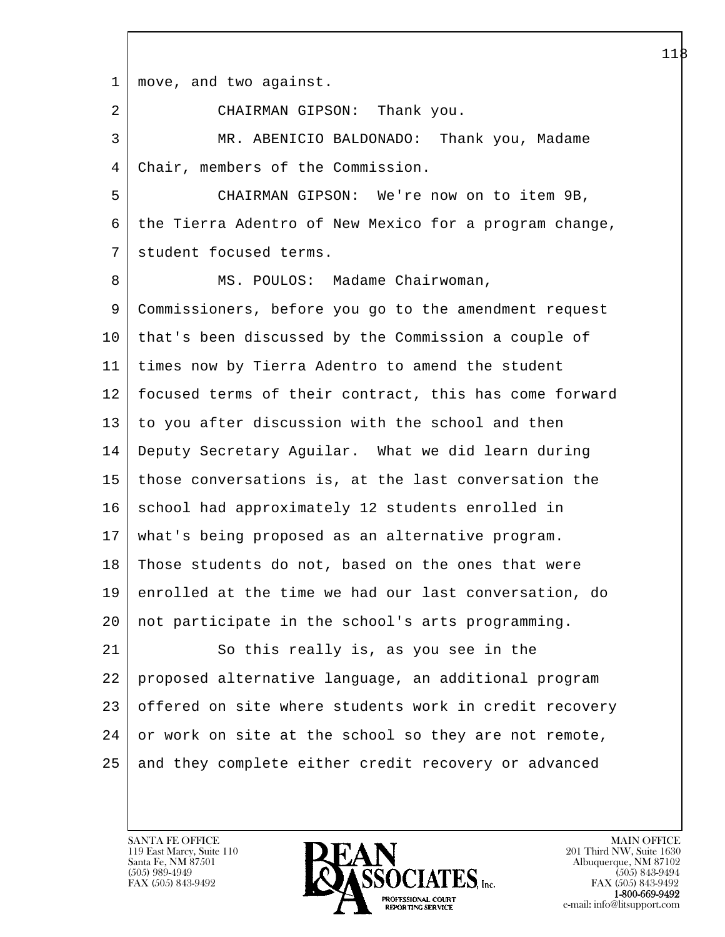l 1 move, and two against. 2 CHAIRMAN GIPSON: Thank you. 3 MR. ABENICIO BALDONADO: Thank you, Madame 4 Chair, members of the Commission. 5 CHAIRMAN GIPSON: We're now on to item 9B, 6 the Tierra Adentro of New Mexico for a program change, 7 student focused terms. 8 MS. POULOS: Madame Chairwoman, 9 Commissioners, before you go to the amendment request 10 that's been discussed by the Commission a couple of 11 times now by Tierra Adentro to amend the student 12 focused terms of their contract, this has come forward 13 to you after discussion with the school and then 14 Deputy Secretary Aguilar. What we did learn during 15 those conversations is, at the last conversation the 16 school had approximately 12 students enrolled in 17 what's being proposed as an alternative program. 18 Those students do not, based on the ones that were 19 enrolled at the time we had our last conversation, do 20 not participate in the school's arts programming. 21 So this really is, as you see in the 22 proposed alternative language, an additional program 23 offered on site where students work in credit recovery  $24$  or work on site at the school so they are not remote, 25 and they complete either credit recovery or advanced

119 East Marcy, Suite 110<br>Santa Fe, NM 87501

 $\overline{\phantom{a}}$ 

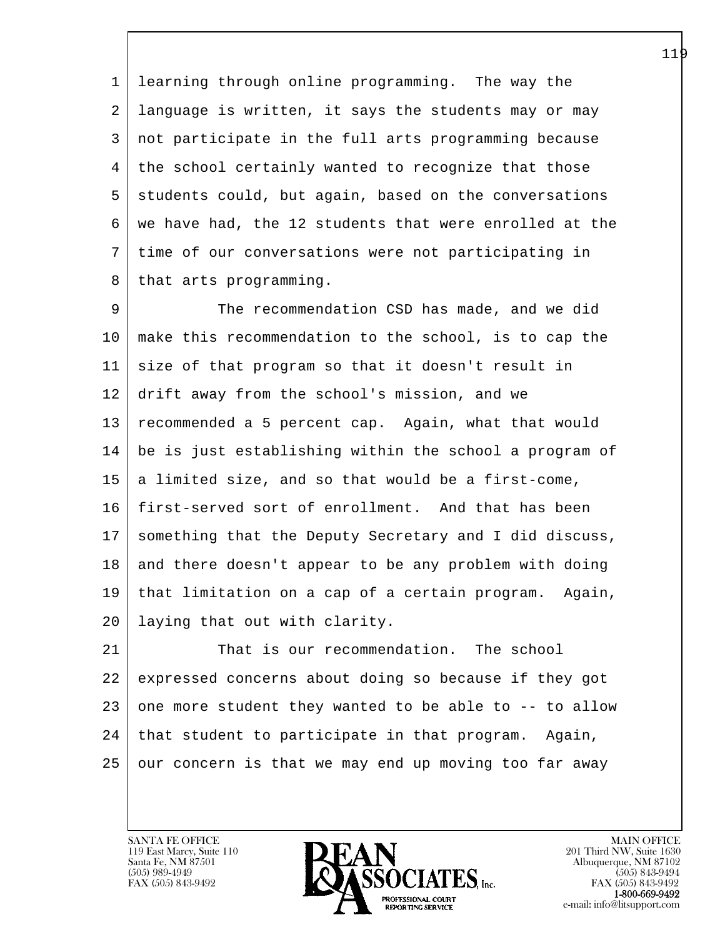1 learning through online programming. The way the 2 language is written, it says the students may or may 3 not participate in the full arts programming because 4 the school certainly wanted to recognize that those 5 students could, but again, based on the conversations 6 we have had, the 12 students that were enrolled at the 7 time of our conversations were not participating in 8 that arts programming.

 9 The recommendation CSD has made, and we did 10 make this recommendation to the school, is to cap the 11 size of that program so that it doesn't result in 12 drift away from the school's mission, and we 13 recommended a 5 percent cap. Again, what that would 14 be is just establishing within the school a program of  $15$  a limited size, and so that would be a first-come, 16 first-served sort of enrollment. And that has been 17 something that the Deputy Secretary and I did discuss, 18 and there doesn't appear to be any problem with doing 19 that limitation on a cap of a certain program. Again, 20 laying that out with clarity.

l 21 That is our recommendation. The school 22 expressed concerns about doing so because if they got  $23$  one more student they wanted to be able to  $-$ - to allow 24 that student to participate in that program. Again, 25 our concern is that we may end up moving too far away

119 East Marcy, Suite 110<br>Santa Fe, NM 87501

 $\overline{\phantom{a}}$ 

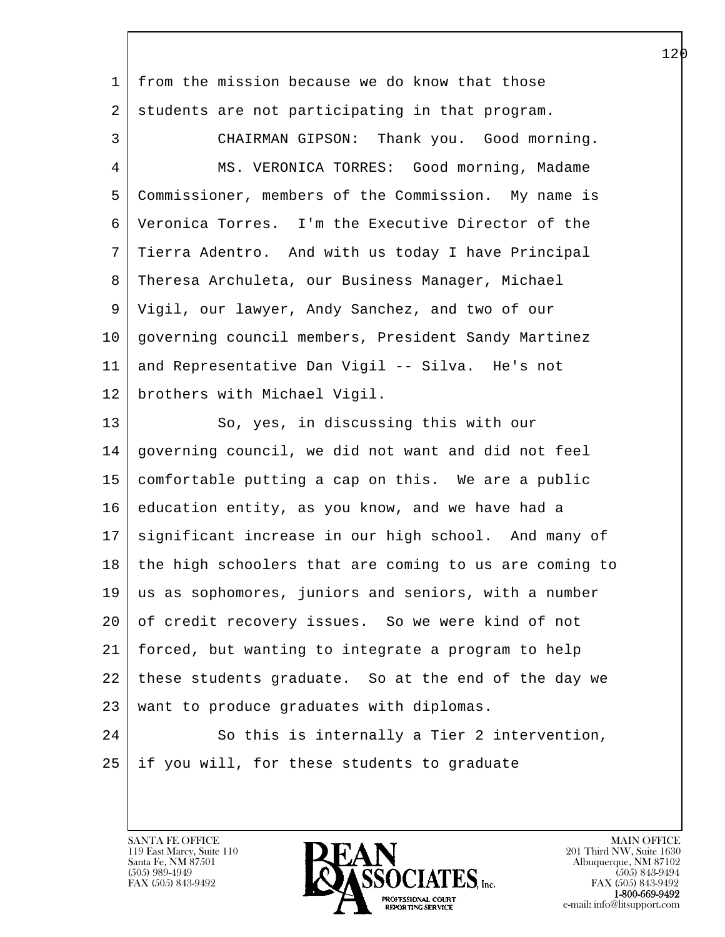l  $\overline{\phantom{a}}$  1 from the mission because we do know that those 2 students are not participating in that program. 3 CHAIRMAN GIPSON: Thank you. Good morning. 4 MS. VERONICA TORRES: Good morning, Madame 5 Commissioner, members of the Commission. My name is 6 Veronica Torres. I'm the Executive Director of the 7 Tierra Adentro. And with us today I have Principal 8 Theresa Archuleta, our Business Manager, Michael 9 Vigil, our lawyer, Andy Sanchez, and two of our 10 governing council members, President Sandy Martinez 11 and Representative Dan Vigil -- Silva. He's not 12 brothers with Michael Vigil. 13 So, yes, in discussing this with our 14 governing council, we did not want and did not feel 15 comfortable putting a cap on this. We are a public 16 education entity, as you know, and we have had a 17 significant increase in our high school. And many of 18 the high schoolers that are coming to us are coming to 19 us as sophomores, juniors and seniors, with a number 20 of credit recovery issues. So we were kind of not 21 forced, but wanting to integrate a program to help 22 these students graduate. So at the end of the day we 23 want to produce graduates with diplomas. 24 So this is internally a Tier 2 intervention, 25 if you will, for these students to graduate

119 East Marcy, Suite 110<br>Santa Fe, NM 87501

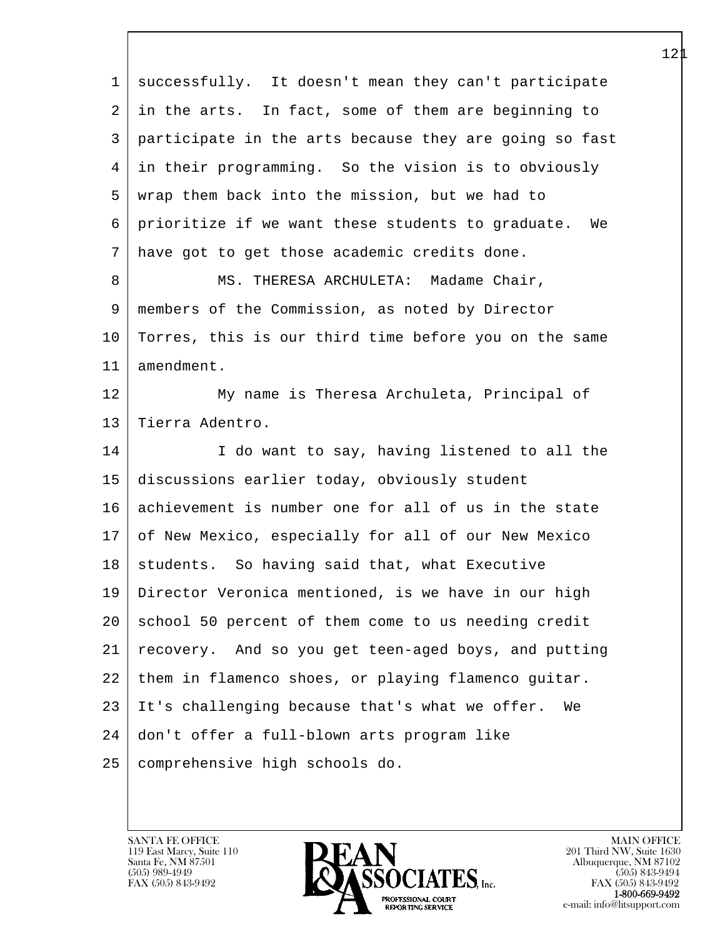| 1  | successfully. It doesn't mean they can't participate    |
|----|---------------------------------------------------------|
| 2  | in the arts. In fact, some of them are beginning to     |
| 3  | participate in the arts because they are going so fast  |
| 4  | in their programming. So the vision is to obviously     |
| 5  | wrap them back into the mission, but we had to          |
| 6  | prioritize if we want these students to graduate.<br>We |
| 7  | have got to get those academic credits done.            |
| 8  | MS. THERESA ARCHULETA: Madame Chair,                    |
| 9  | members of the Commission, as noted by Director         |
| 10 | Torres, this is our third time before you on the same   |
| 11 | amendment.                                              |
| 12 | My name is Theresa Archuleta, Principal of              |
| 13 | Tierra Adentro.                                         |
| 14 | I do want to say, having listened to all the            |
| 15 | discussions earlier today, obviously student            |
| 16 | achievement is number one for all of us in the state    |
| 17 | of New Mexico, especially for all of our New Mexico     |
| 18 | students. So having said that, what Executive           |
| 19 | Director Veronica mentioned, is we have in our high     |
| 20 | school 50 percent of them come to us needing credit     |
| 21 | recovery. And so you get teen-aged boys, and putting    |
| 22 | them in flamenco shoes, or playing flamenco quitar.     |
| 23 | It's challenging because that's what we offer.<br>We    |
| 24 | don't offer a full-blown arts program like              |
| 25 | comprehensive high schools do.                          |
|    |                                                         |

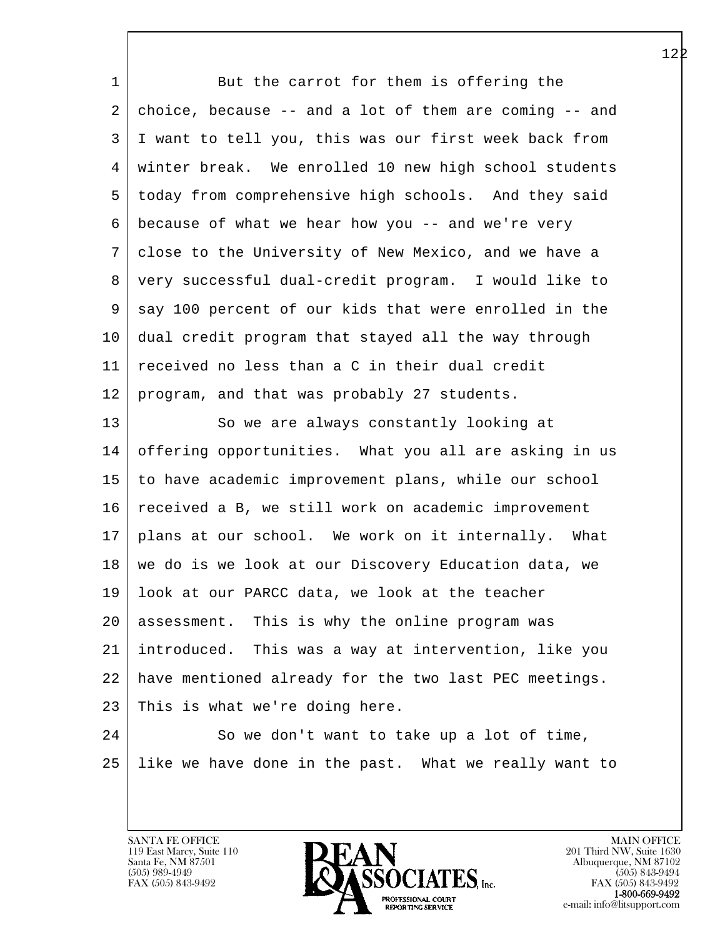| 1  | But the carrot for them is offering the                |
|----|--------------------------------------------------------|
| 2  | choice, because -- and a lot of them are coming -- and |
| 3  | I want to tell you, this was our first week back from  |
| 4  | winter break. We enrolled 10 new high school students  |
| 5  | today from comprehensive high schools. And they said   |
| 6  | because of what we hear how you -- and we're very      |
| 7  | close to the University of New Mexico, and we have a   |
| 8  | very successful dual-credit program. I would like to   |
| 9  | say 100 percent of our kids that were enrolled in the  |
| 10 | dual credit program that stayed all the way through    |
| 11 | received no less than a C in their dual credit         |
| 12 | program, and that was probably 27 students.            |
| 13 | So we are always constantly looking at                 |
| 14 | offering opportunities. What you all are asking in us  |
| 15 | to have academic improvement plans, while our school   |
| 16 | received a B, we still work on academic improvement    |
| 17 | plans at our school. We work on it internally. What    |
| 18 | we do is we look at our Discovery Education data, we   |
| 19 | look at our PARCC data, we look at the teacher         |
| 20 | assessment. This is why the online program was         |
| 21 | introduced. This was a way at intervention, like you   |
| 22 | have mentioned already for the two last PEC meetings.  |
| 23 | This is what we're doing here.                         |
| 24 | So we don't want to take up a lot of time,             |
| 25 | like we have done in the past. What we really want to  |
|    |                                                        |

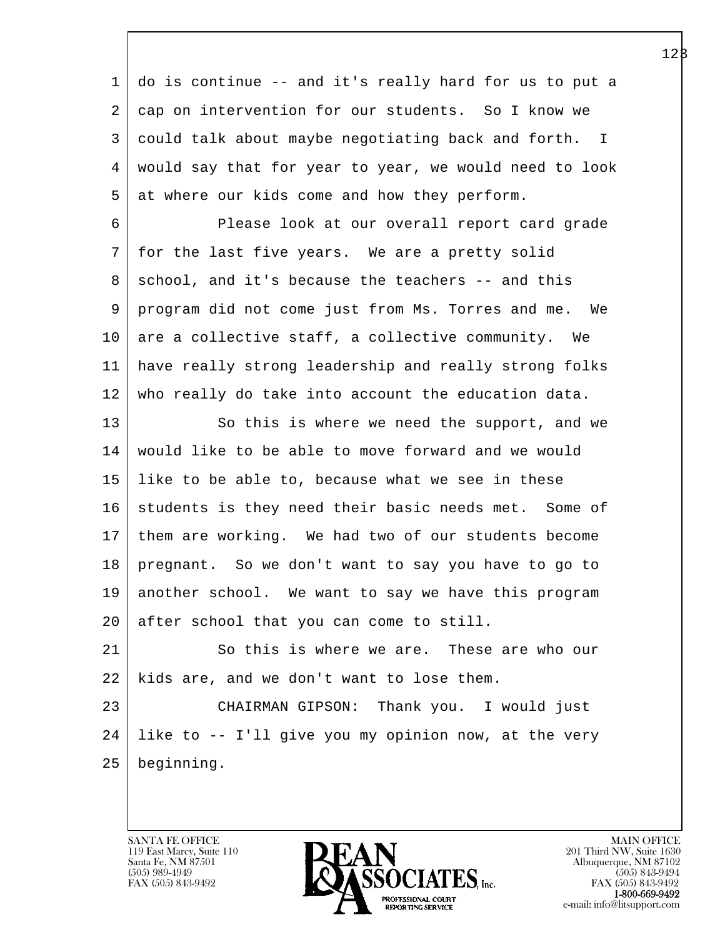l  $\overline{\phantom{a}}$  1 do is continue -- and it's really hard for us to put a 2 cap on intervention for our students. So I know we 3 could talk about maybe negotiating back and forth. I 4 would say that for year to year, we would need to look  $5 \mid$  at where our kids come and how they perform. 6 Please look at our overall report card grade 7 for the last five years. We are a pretty solid 8 school, and it's because the teachers -- and this 9 program did not come just from Ms. Torres and me. We 10 are a collective staff, a collective community. We 11 have really strong leadership and really strong folks 12 who really do take into account the education data. 13 So this is where we need the support, and we 14 would like to be able to move forward and we would 15 like to be able to, because what we see in these 16 students is they need their basic needs met. Some of 17 them are working. We had two of our students become 18 pregnant. So we don't want to say you have to go to 19 another school. We want to say we have this program 20 after school that you can come to still. 21 So this is where we are. These are who our 22 | kids are, and we don't want to lose them. 23 CHAIRMAN GIPSON: Thank you. I would just  $24$  like to  $-$  I'll give you my opinion now, at the very 25 beginning.

119 East Marcy, Suite 110<br>Santa Fe, NM 87501

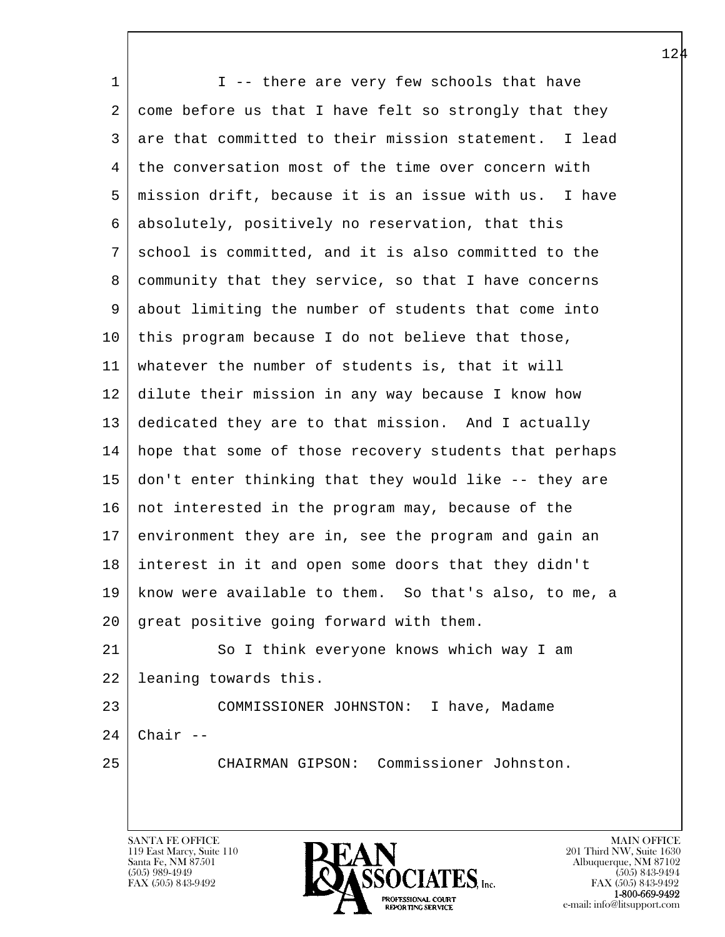l  $\overline{\phantom{a}}$ 1 I -- there are very few schools that have 2 come before us that I have felt so strongly that they 3 are that committed to their mission statement. I lead 4 the conversation most of the time over concern with 5 mission drift, because it is an issue with us. I have 6 absolutely, positively no reservation, that this 7 school is committed, and it is also committed to the 8 community that they service, so that I have concerns 9 about limiting the number of students that come into 10 this program because I do not believe that those, 11 whatever the number of students is, that it will 12 dilute their mission in any way because I know how 13 dedicated they are to that mission. And I actually 14 hope that some of those recovery students that perhaps 15 don't enter thinking that they would like -- they are 16 not interested in the program may, because of the 17 environment they are in, see the program and gain an 18 interest in it and open some doors that they didn't 19 know were available to them. So that's also, to me, a 20 great positive going forward with them. 21 So I think everyone knows which way I am 22 leaning towards this. 23 COMMISSIONER JOHNSTON: I have, Madame  $24$  Chair --25 CHAIRMAN GIPSON: Commissioner Johnston.

119 East Marcy, Suite 110<br>Santa Fe, NM 87501



FAX (505) 843-9492<br>**1-800-669-9492**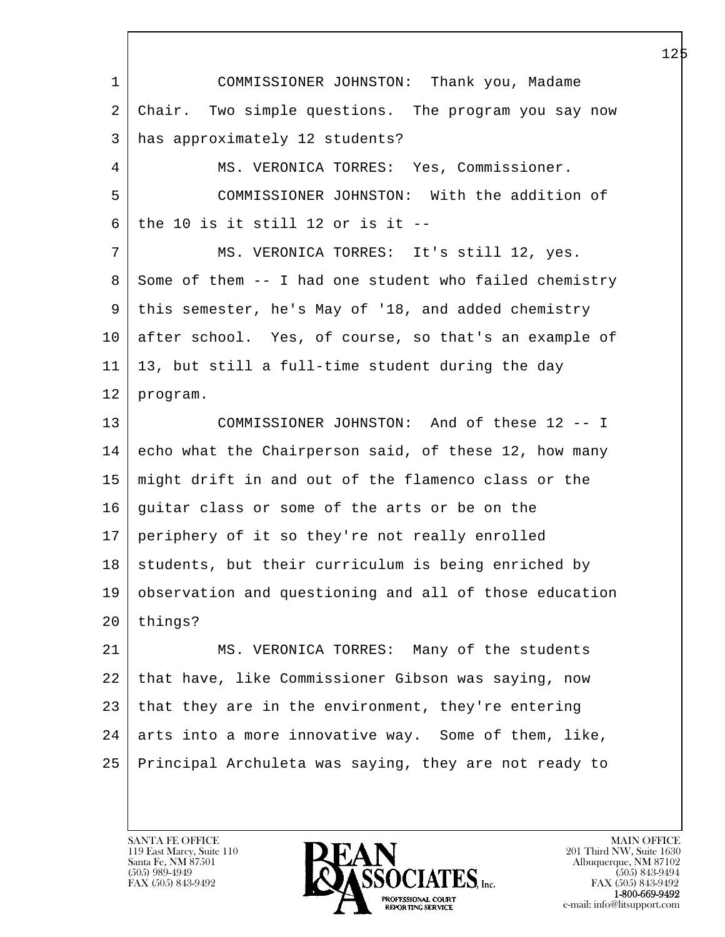l  $\overline{\phantom{a}}$  1 COMMISSIONER JOHNSTON: Thank you, Madame 2 Chair. Two simple questions. The program you say now 3 has approximately 12 students? 4 MS. VERONICA TORRES: Yes, Commissioner. 5 COMMISSIONER JOHNSTON: With the addition of  $6$ | the 10 is it still 12 or is it -- 7 MS. VERONICA TORRES: It's still 12, yes. 8 Some of them -- I had one student who failed chemistry 9 this semester, he's May of '18, and added chemistry 10 after school. Yes, of course, so that's an example of 11 13, but still a full-time student during the day 12 program. 13 COMMISSIONER JOHNSTON: And of these 12 -- I 14 echo what the Chairperson said, of these 12, how many 15 might drift in and out of the flamenco class or the 16 guitar class or some of the arts or be on the 17 periphery of it so they're not really enrolled 18 | students, but their curriculum is being enriched by 19 observation and questioning and all of those education 20 things? 21 MS. VERONICA TORRES: Many of the students 22 that have, like Commissioner Gibson was saying, now 23 | that they are in the environment, they're entering  $24$  arts into a more innovative way. Some of them, like, 25 Principal Archuleta was saying, they are not ready to

119 East Marcy, Suite 110<br>Santa Fe, NM 87501

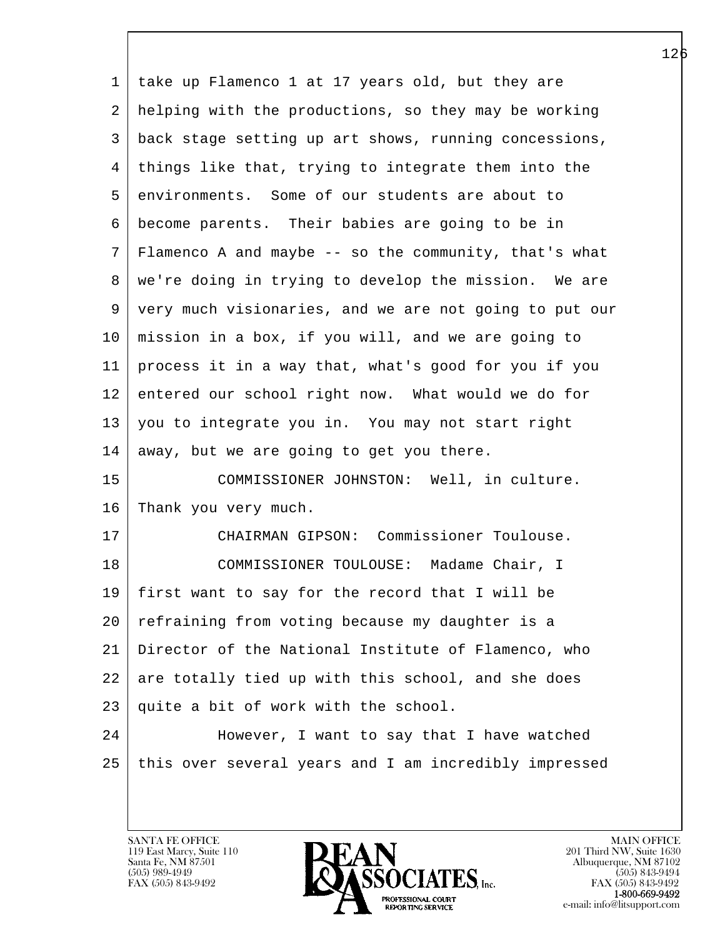| 1               | take up Flamenco 1 at 17 years old, but they are       |
|-----------------|--------------------------------------------------------|
| 2               | helping with the productions, so they may be working   |
| 3               | back stage setting up art shows, running concessions,  |
| 4               | things like that, trying to integrate them into the    |
| 5               | environments. Some of our students are about to        |
| 6               | become parents. Their babies are going to be in        |
| 7               | Flamenco A and maybe -- so the community, that's what  |
| 8               | we're doing in trying to develop the mission. We are   |
| 9               | very much visionaries, and we are not going to put our |
| 10 <sub>o</sub> | mission in a box, if you will, and we are going to     |
| 11              | process it in a way that, what's good for you if you   |
| 12              | entered our school right now. What would we do for     |
| 13              | you to integrate you in. You may not start right       |
| 14              | away, but we are going to get you there.               |
| 15              | COMMISSIONER JOHNSTON: Well, in culture.               |
| 16              | Thank you very much.                                   |
| 17              | CHAIRMAN GIPSON: Commissioner Toulouse.                |
| 18              | COMMISSIONER TOULOUSE: Madame Chair, I                 |
| 19              | first want to say for the record that I will be        |
| 20              | refraining from voting because my daughter is a        |
| 21              | Director of the National Institute of Flamenco, who    |
| 22              | are totally tied up with this school, and she does     |
| 23              | quite a bit of work with the school.                   |
| 24              | However, I want to say that I have watched             |
| 25              | this over several years and I am incredibly impressed  |
|                 |                                                        |

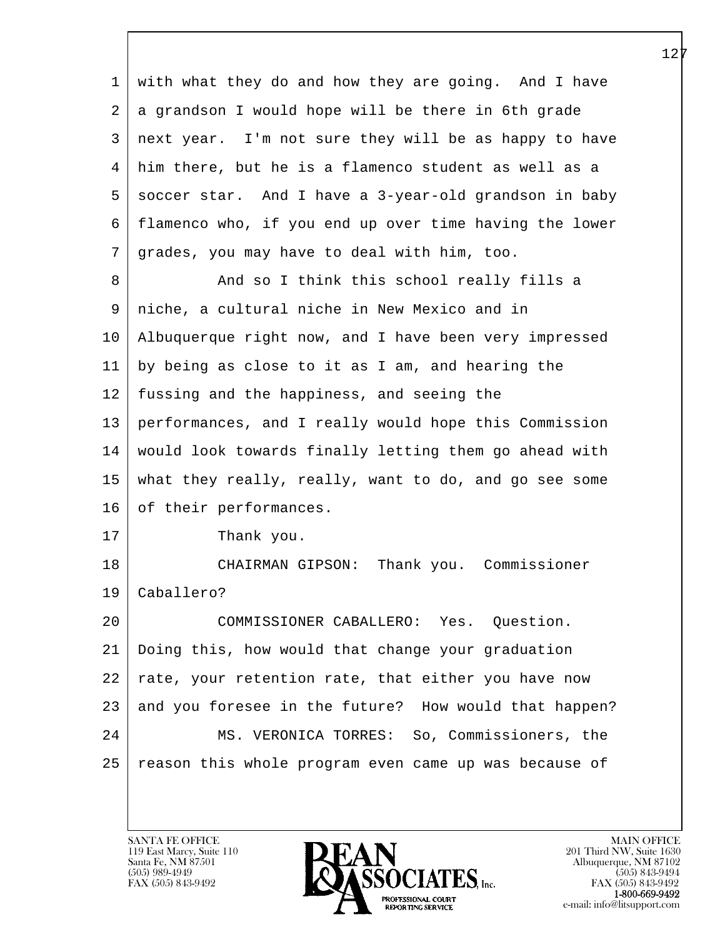l  $\overline{\phantom{a}}$  1 with what they do and how they are going. And I have  $2 | a$  grandson I would hope will be there in 6th grade 3 next year. I'm not sure they will be as happy to have 4 him there, but he is a flamenco student as well as a 5 soccer star. And I have a 3-year-old grandson in baby 6 flamenco who, if you end up over time having the lower 7 grades, you may have to deal with him, too. 8 And so I think this school really fills a 9 niche, a cultural niche in New Mexico and in 10 Albuquerque right now, and I have been very impressed 11 by being as close to it as I am, and hearing the 12 fussing and the happiness, and seeing the 13 performances, and I really would hope this Commission 14 would look towards finally letting them go ahead with 15 what they really, really, want to do, and go see some 16 of their performances. 17 Thank you. 18 | CHAIRMAN GIPSON: Thank you. Commissioner 19 Caballero? 20 COMMISSIONER CABALLERO: Yes. Question. 21 Doing this, how would that change your graduation 22 rate, your retention rate, that either you have now 23 and you foresee in the future? How would that happen? 24 | MS. VERONICA TORRES: So, Commissioners, the 25 | reason this whole program even came up was because of

119 East Marcy, Suite 110<br>Santa Fe, NM 87501

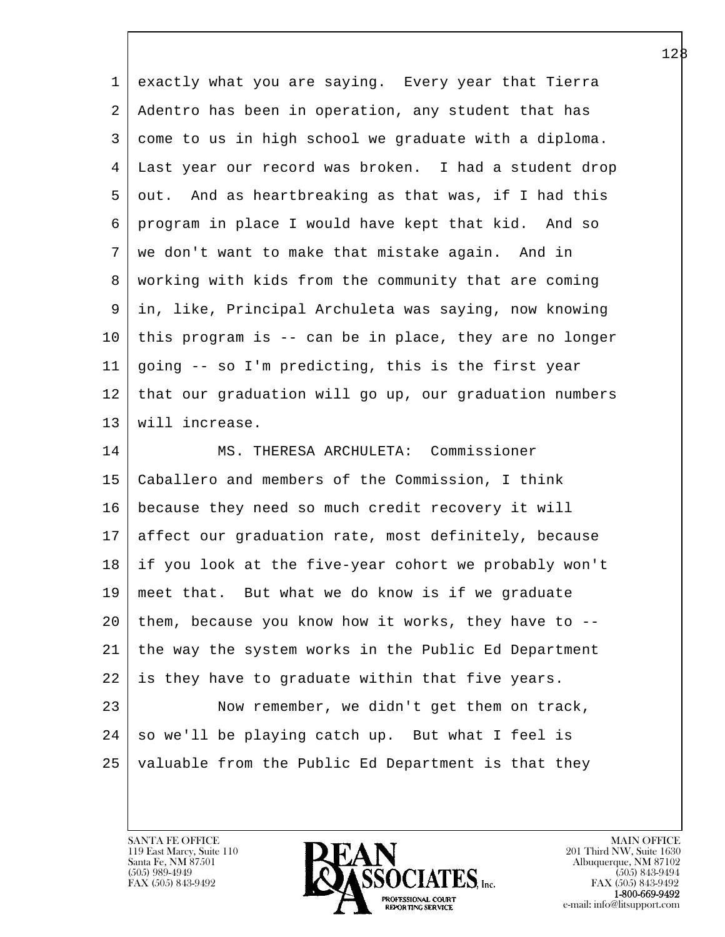| $\mathbf 1$ | exactly what you are saying. Every year that Tierra    |
|-------------|--------------------------------------------------------|
| 2           | Adentro has been in operation, any student that has    |
| 3           | come to us in high school we graduate with a diploma.  |
| 4           | Last year our record was broken. I had a student drop  |
| 5           | out. And as heartbreaking as that was, if I had this   |
| 6           | program in place I would have kept that kid. And so    |
| 7           | we don't want to make that mistake again. And in       |
| 8           | working with kids from the community that are coming   |
| 9           | in, like, Principal Archuleta was saying, now knowing  |
| 10          | this program is -- can be in place, they are no longer |
| 11          | going -- so I'm predicting, this is the first year     |
| 12          | that our graduation will go up, our graduation numbers |
| 13          | will increase.                                         |
| 14          | MS. THERESA ARCHULETA: Commissioner                    |
| 15          | Caballero and members of the Commission, I think       |
| 16          | because they need so much credit recovery it will      |
| 17          | affect our graduation rate, most definitely, because   |
| 18          | if you look at the five-year cohort we probably won't  |
| 19          | meet that. But what we do know is if we graduate       |
| 20          | them, because you know how it works, they have to --   |
| 21          | the way the system works in the Public Ed Department   |
| 22          | is they have to graduate within that five years.       |
| 23          | Now remember, we didn't get them on track,             |
| 24          | so we'll be playing catch up. But what I feel is       |
| 25          | valuable from the Public Ed Department is that they    |
|             |                                                        |

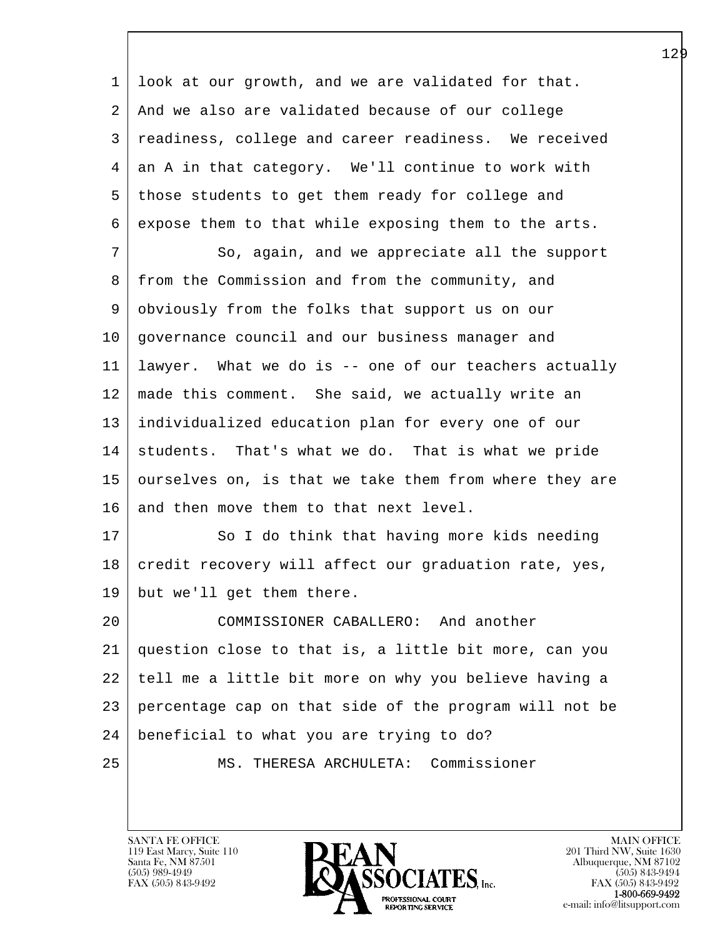l  $\overline{\phantom{a}}$  1 look at our growth, and we are validated for that. 2 And we also are validated because of our college 3 readiness, college and career readiness. We received  $4 \mid$  an A in that category. We'll continue to work with 5 those students to get them ready for college and 6 expose them to that while exposing them to the arts. 7 So, again, and we appreciate all the support 8 from the Commission and from the community, and 9 obviously from the folks that support us on our 10 governance council and our business manager and 11 lawyer. What we do is -- one of our teachers actually 12 made this comment. She said, we actually write an 13 individualized education plan for every one of our 14 students. That's what we do. That is what we pride 15 ourselves on, is that we take them from where they are 16 and then move them to that next level. 17 | So I do think that having more kids needing 18 credit recovery will affect our graduation rate, yes, 19 but we'll get them there. 20 COMMISSIONER CABALLERO: And another 21 question close to that is, a little bit more, can you 22 tell me a little bit more on why you believe having a 23 percentage cap on that side of the program will not be 24 beneficial to what you are trying to do? 25 MS. THERESA ARCHULETA: Commissioner

119 East Marcy, Suite 110<br>Santa Fe, NM 87501

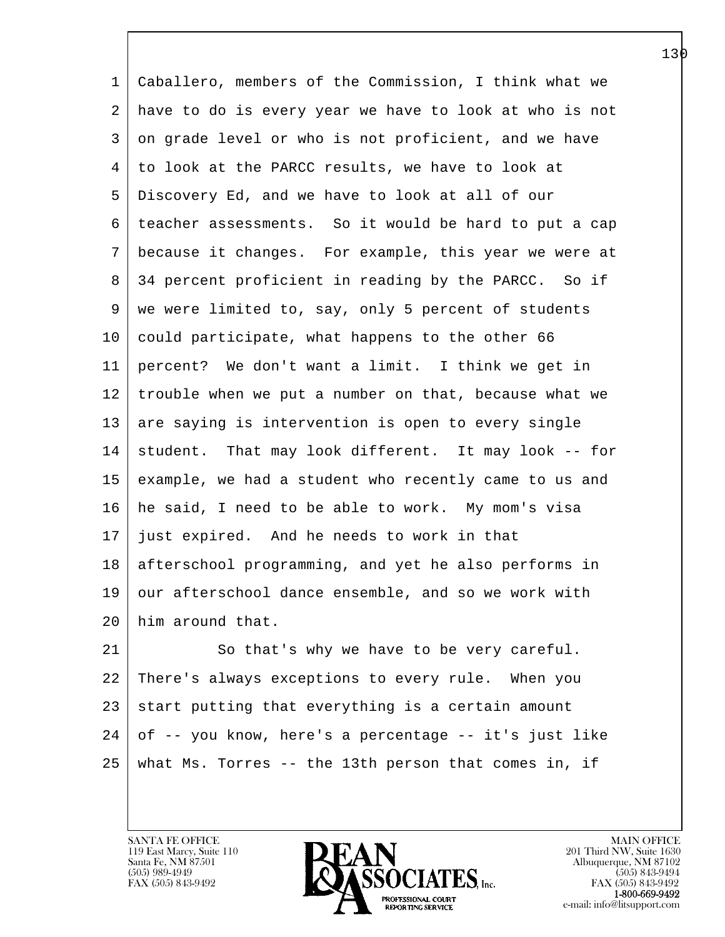1 Caballero, members of the Commission, I think what we 2 have to do is every year we have to look at who is not 3 on grade level or who is not proficient, and we have 4 to look at the PARCC results, we have to look at 5 Discovery Ed, and we have to look at all of our 6 teacher assessments. So it would be hard to put a cap 7 because it changes. For example, this year we were at 8 34 percent proficient in reading by the PARCC. So if 9 | we were limited to, say, only 5 percent of students 10 could participate, what happens to the other 66 11 percent? We don't want a limit. I think we get in 12 trouble when we put a number on that, because what we 13 are saying is intervention is open to every single 14 student. That may look different. It may look -- for 15 example, we had a student who recently came to us and 16 he said, I need to be able to work. My mom's visa 17 just expired. And he needs to work in that 18 afterschool programming, and yet he also performs in 19 our afterschool dance ensemble, and so we work with 20 him around that. 21 So that's why we have to be very careful.

l 22 There's always exceptions to every rule. When you  $23$  start putting that everything is a certain amount  $24$  of  $-$  you know, here's a percentage  $-$  it's just like 25 what Ms. Torres -- the 13th person that comes in, if

119 East Marcy, Suite 110<br>Santa Fe, NM 87501

 $\overline{\phantom{a}}$ 

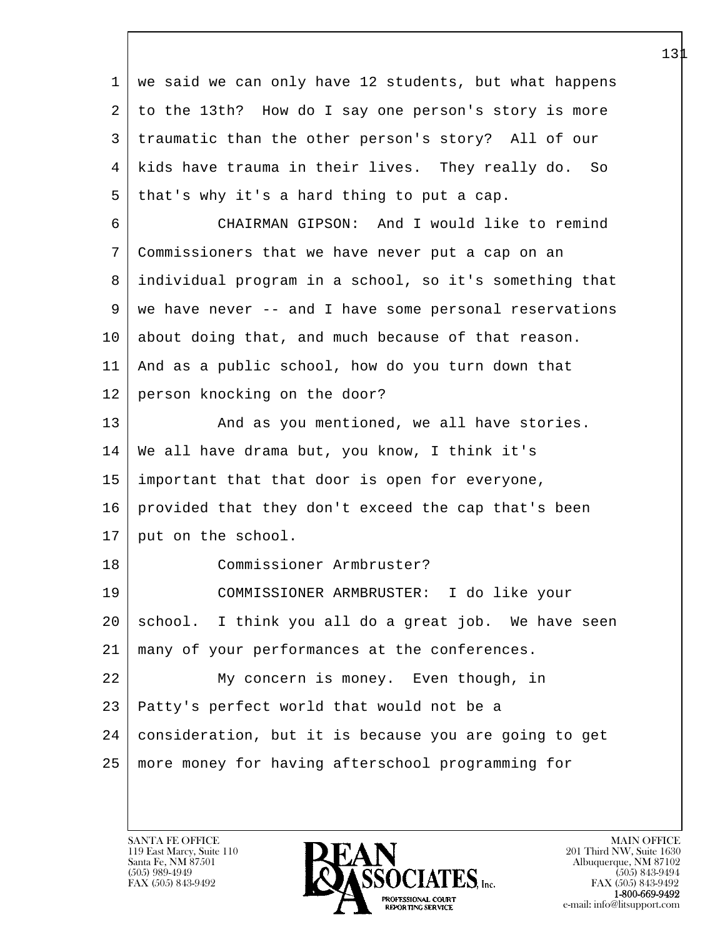| 1  | we said we can only have 12 students, but what happens |
|----|--------------------------------------------------------|
| 2  | to the 13th? How do I say one person's story is more   |
| 3  | traumatic than the other person's story? All of our    |
| 4  | kids have trauma in their lives. They really do. So    |
| 5  | that's why it's a hard thing to put a cap.             |
| 6  | CHAIRMAN GIPSON: And I would like to remind            |
| 7  | Commissioners that we have never put a cap on an       |
| 8  | individual program in a school, so it's something that |
| 9  | we have never -- and I have some personal reservations |
| 10 | about doing that, and much because of that reason.     |
| 11 | And as a public school, how do you turn down that      |
| 12 | person knocking on the door?                           |
| 13 | And as you mentioned, we all have stories.             |
| 14 | We all have drama but, you know, I think it's          |
| 15 | important that that door is open for everyone,         |
| 16 | provided that they don't exceed the cap that's been    |
| 17 | put on the school.                                     |
| 18 | Commissioner Armbruster?                               |
| 19 | COMMISSIONER ARMBRUSTER: I do like your                |
| 20 | school. I think you all do a great job. We have seen   |
| 21 | many of your performances at the conferences.          |
| 22 | My concern is money. Even though, in                   |
| 23 | Patty's perfect world that would not be a              |
| 24 | consideration, but it is because you are going to get  |
| 25 | more money for having afterschool programming for      |
|    |                                                        |

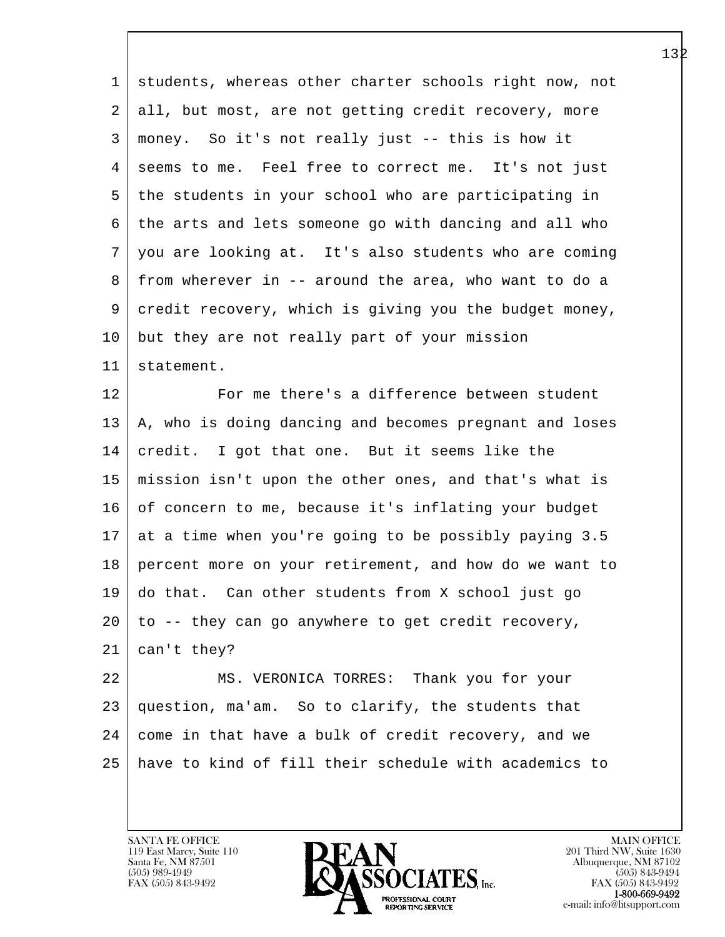1 students, whereas other charter schools right now, not 2 all, but most, are not getting credit recovery, more 3 money. So it's not really just -- this is how it 4 seems to me. Feel free to correct me. It's not just 5 the students in your school who are participating in 6 the arts and lets someone go with dancing and all who 7 you are looking at. It's also students who are coming 8 from wherever in -- around the area, who want to do a 9 credit recovery, which is giving you the budget money, 10 but they are not really part of your mission 11 statement.

12 For me there's a difference between student 13 | A, who is doing dancing and becomes pregnant and loses 14 credit. I got that one. But it seems like the 15 mission isn't upon the other ones, and that's what is 16 of concern to me, because it's inflating your budget 17 at a time when you're going to be possibly paying 3.5 18 percent more on your retirement, and how do we want to 19 do that. Can other students from X school just go 20 to -- they can go anywhere to get credit recovery, 21 can't they?

l 22 MS. VERONICA TORRES: Thank you for your 23 question, ma'am. So to clarify, the students that  $24$  come in that have a bulk of credit recovery, and we 25 have to kind of fill their schedule with academics to

119 East Marcy, Suite 110<br>Santa Fe, NM 87501

 $\overline{\phantom{a}}$ 

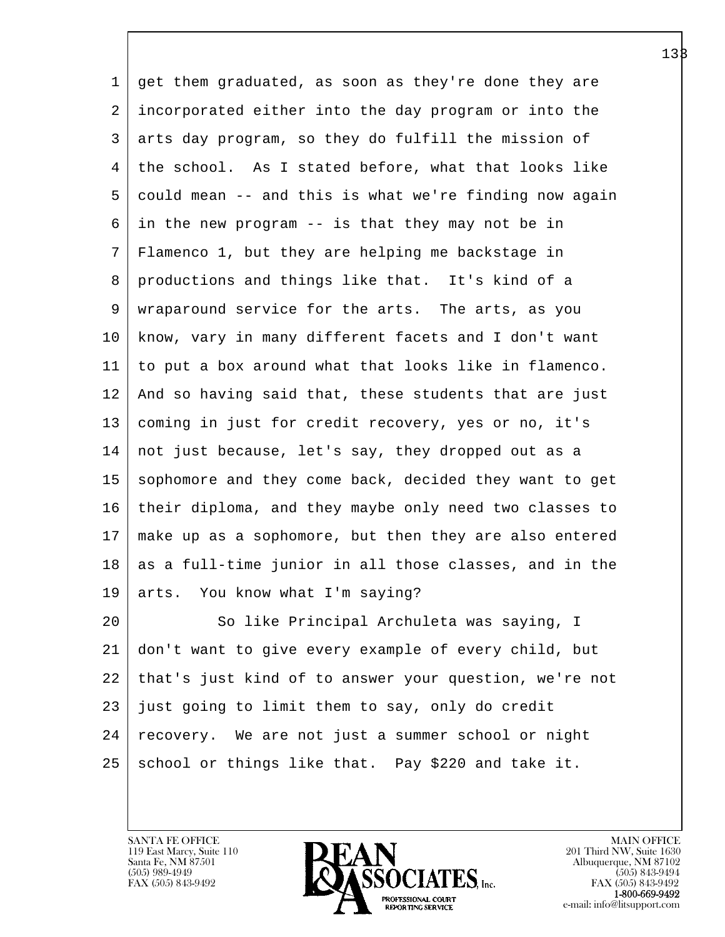1 get them graduated, as soon as they're done they are 2 incorporated either into the day program or into the 3 arts day program, so they do fulfill the mission of 4 | the school. As I stated before, what that looks like 5 could mean -- and this is what we're finding now again 6 in the new program -- is that they may not be in 7 Flamenco 1, but they are helping me backstage in 8 productions and things like that. It's kind of a 9 wraparound service for the arts. The arts, as you 10 know, vary in many different facets and I don't want 11 to put a box around what that looks like in flamenco. 12 And so having said that, these students that are just 13 coming in just for credit recovery, yes or no, it's 14 not just because, let's say, they dropped out as a 15 sophomore and they come back, decided they want to get 16 their diploma, and they maybe only need two classes to 17 make up as a sophomore, but then they are also entered 18 as a full-time junior in all those classes, and in the 19 arts. You know what I'm saying? 20 So like Principal Archuleta was saying, I 21 don't want to give every example of every child, but 22 that's just kind of to answer your question, we're not 23 just going to limit them to say, only do credit 24 | recovery. We are not just a summer school or night

 $25$  school or things like that. Pay \$220 and take it.

l  $\overline{\phantom{a}}$ 

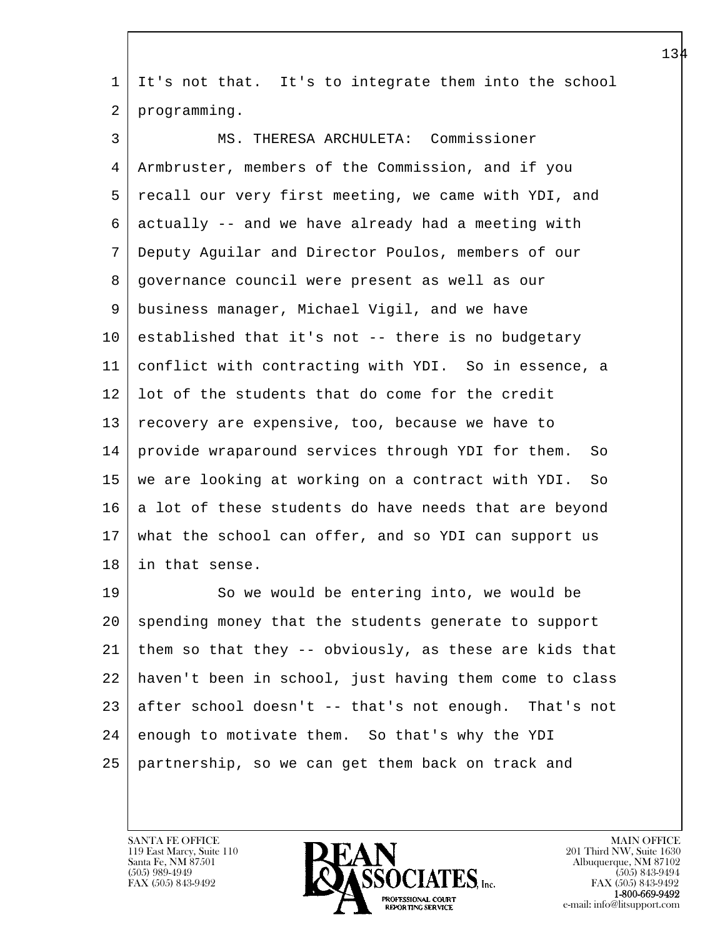| 1       | It's not that. It's to integrate them into the school   |
|---------|---------------------------------------------------------|
| 2       | programming.                                            |
| 3       | MS. THERESA ARCHULETA: Commissioner                     |
| 4       | Armbruster, members of the Commission, and if you       |
| 5       | recall our very first meeting, we came with YDI, and    |
| 6       | actually -- and we have already had a meeting with      |
| 7       | Deputy Aguilar and Director Poulos, members of our      |
| 8       | governance council were present as well as our          |
| 9       | business manager, Michael Vigil, and we have            |
| 10      | established that it's not -- there is no budgetary      |
| 11      | conflict with contracting with YDI. So in essence, a    |
| 12      | lot of the students that do come for the credit         |
| 13      | recovery are expensive, too, because we have to         |
| 14      | provide wraparound services through YDI for them.<br>So |
| 15      | we are looking at working on a contract with YDI.<br>So |
| 16      | a lot of these students do have needs that are beyond   |
| 17      | what the school can offer, and so YDI can support us    |
| 18      | in that sense.                                          |
| 19      | So we would be entering into, we would be               |
| $20 \,$ | spending money that the students generate to support    |
| 21      | them so that they -- obviously, as these are kids that  |
| 22      | haven't been in school, just having them come to class  |
| 23      | after school doesn't -- that's not enough. That's not   |
| 24      | enough to motivate them. So that's why the YDI          |
| 25      | partnership, so we can get them back on track and       |
|         |                                                         |

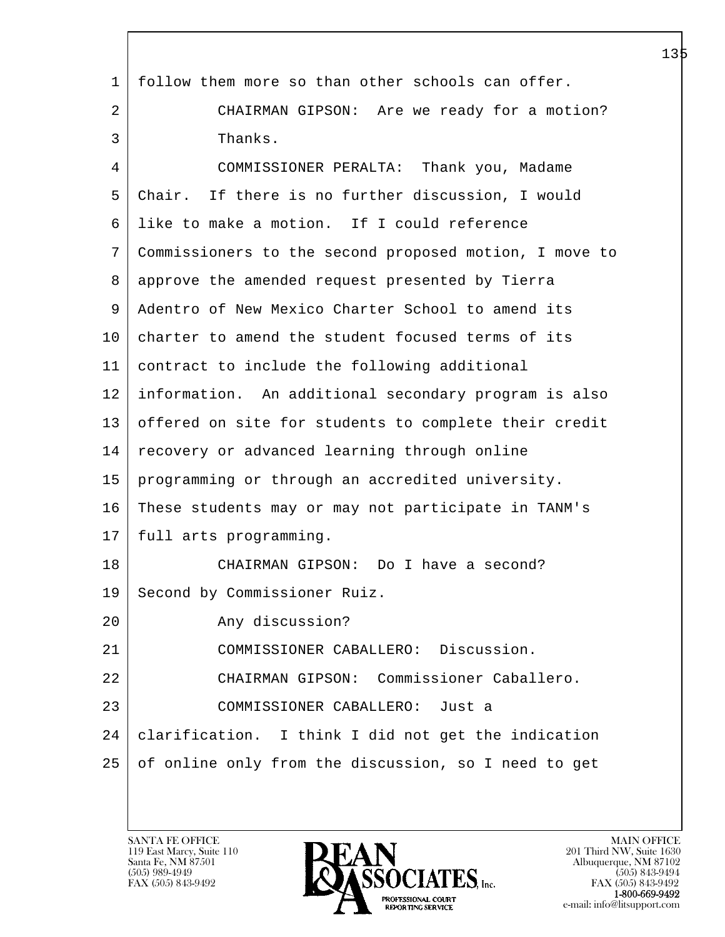| $\mathbf 1$ | follow them more so than other schools can offer.      |
|-------------|--------------------------------------------------------|
| 2           | CHAIRMAN GIPSON: Are we ready for a motion?            |
| 3           | Thanks.                                                |
| 4           | COMMISSIONER PERALTA: Thank you, Madame                |
| 5           | Chair. If there is no further discussion, I would      |
| 6           | like to make a motion. If I could reference            |
| 7           | Commissioners to the second proposed motion, I move to |
| 8           | approve the amended request presented by Tierra        |
| 9           | Adentro of New Mexico Charter School to amend its      |
| 10          | charter to amend the student focused terms of its      |
| 11          | contract to include the following additional           |
| 12          | information. An additional secondary program is also   |
| 13          | offered on site for students to complete their credit  |
| 14          | recovery or advanced learning through online           |
| 15          | programming or through an accredited university.       |
| 16          | These students may or may not participate in TANM's    |
| 17          | full arts programming.                                 |
| 18          | CHAIRMAN GIPSON: Do I have a second?                   |
| 19          | Second by Commissioner Ruiz.                           |
| 20          | Any discussion?                                        |
| 21          | COMMISSIONER CABALLERO: Discussion.                    |
| 22          | CHAIRMAN GIPSON: Commissioner Caballero.               |
| 23          | COMMISSIONER CABALLERO: Just a                         |
| 24          | clarification. I think I did not get the indication    |
| 25          | of online only from the discussion, so I need to get   |
|             |                                                        |
|             |                                                        |

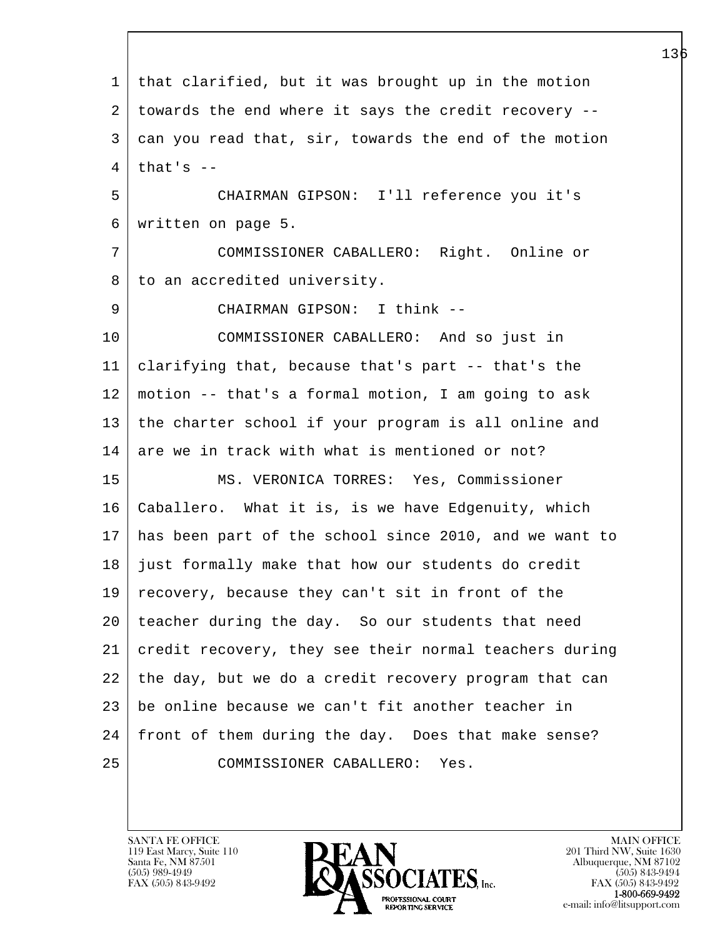l  $\overline{\phantom{a}}$  1 that clarified, but it was brought up in the motion 2 towards the end where it says the credit recovery -- 3 can you read that, sir, towards the end of the motion  $4$  that's  $-$  5 CHAIRMAN GIPSON: I'll reference you it's 6 written on page 5. 7 COMMISSIONER CABALLERO: Right. Online or 8 to an accredited university. 9 CHAIRMAN GIPSON: I think -- 10 COMMISSIONER CABALLERO: And so just in 11 clarifying that, because that's part -- that's the 12 motion -- that's a formal motion, I am going to ask 13 | the charter school if your program is all online and  $14$  are we in track with what is mentioned or not? 15 MS. VERONICA TORRES: Yes, Commissioner 16 Caballero. What it is, is we have Edgenuity, which 17 has been part of the school since 2010, and we want to 18 just formally make that how our students do credit 19 recovery, because they can't sit in front of the 20 teacher during the day. So our students that need 21 credit recovery, they see their normal teachers during 22 the day, but we do a credit recovery program that can 23 be online because we can't fit another teacher in 24 | front of them during the day. Does that make sense? 25 COMMISSIONER CABALLERO: Yes.

119 East Marcy, Suite 110<br>Santa Fe, NM 87501

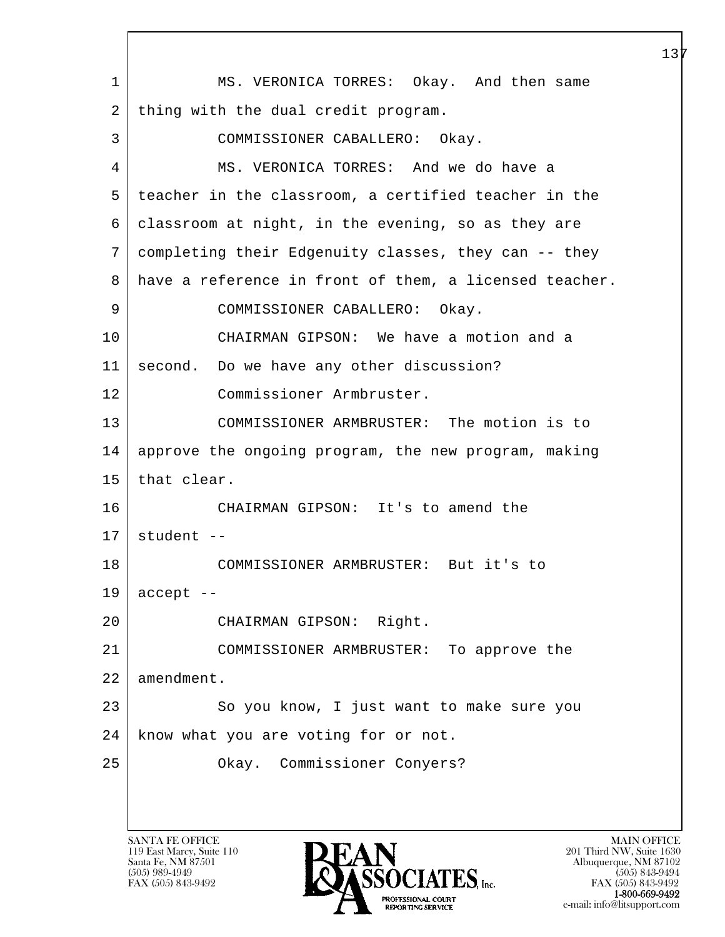l  $\overline{\phantom{a}}$  1 MS. VERONICA TORRES: Okay. And then same 2 | thing with the dual credit program. 3 COMMISSIONER CABALLERO: Okay. 4 MS. VERONICA TORRES: And we do have a 5 teacher in the classroom, a certified teacher in the 6 classroom at night, in the evening, so as they are 7 completing their Edgenuity classes, they can -- they 8 have a reference in front of them, a licensed teacher. 9 COMMISSIONER CABALLERO: Okay. 10 CHAIRMAN GIPSON: We have a motion and a 11 | second. Do we have any other discussion? 12 Commissioner Armbruster. 13 COMMISSIONER ARMBRUSTER: The motion is to 14 approve the ongoing program, the new program, making 15 | that clear. 16 CHAIRMAN GIPSON: It's to amend the  $17$  student --18 COMMISSIONER ARMBRUSTER: But it's to  $19$  accept  $-$ 20 CHAIRMAN GIPSON: Right. 21 COMMISSIONER ARMBRUSTER: To approve the 22 amendment. 23 So you know, I just want to make sure you 24 | know what you are voting for or not. 25 Okay. Commissioner Conyers?

119 East Marcy, Suite 110<br>Santa Fe, NM 87501



FAX (505) 843-9492<br>1-800-669-9492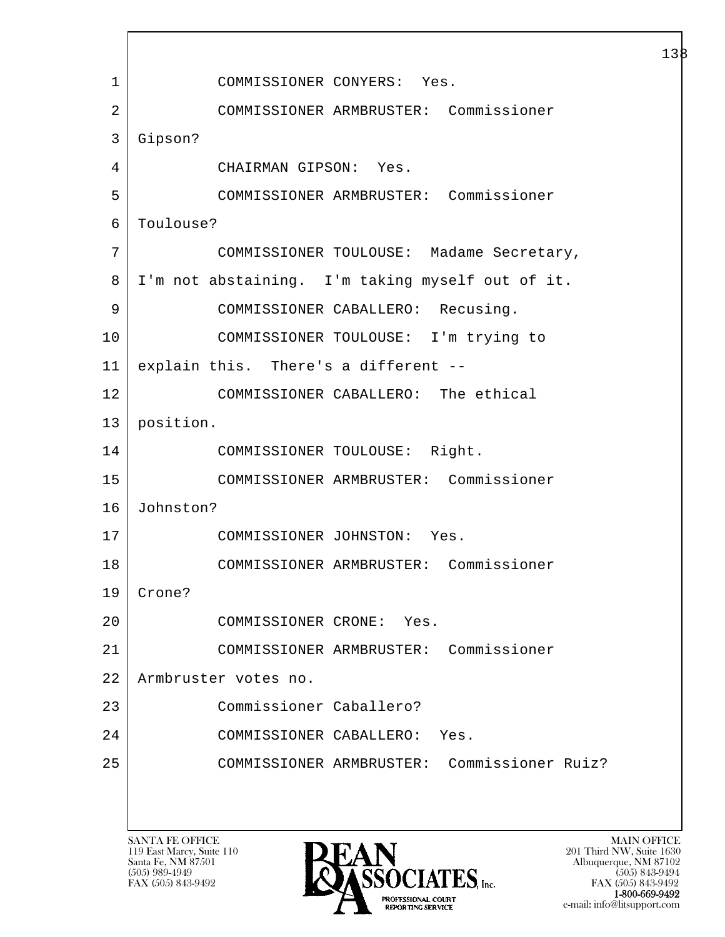l  $\overline{\phantom{a}}$  1 COMMISSIONER CONYERS: Yes. 2 COMMISSIONER ARMBRUSTER: Commissioner 3 Gipson? 4 CHAIRMAN GIPSON: Yes. 5 COMMISSIONER ARMBRUSTER: Commissioner 6 Toulouse? 7 COMMISSIONER TOULOUSE: Madame Secretary, 8 I'm not abstaining. I'm taking myself out of it. 9 | COMMISSIONER CABALLERO: Recusing. 10 COMMISSIONER TOULOUSE: I'm trying to 11 explain this. There's a different -- 12 COMMISSIONER CABALLERO: The ethical 13 position. 14 COMMISSIONER TOULOUSE: Right. 15 COMMISSIONER ARMBRUSTER: Commissioner 16 Johnston? 17 COMMISSIONER JOHNSTON: Yes. 18 COMMISSIONER ARMBRUSTER: Commissioner 19 Crone? 20 COMMISSIONER CRONE: Yes. 21 COMMISSIONER ARMBRUSTER: Commissioner 22 Armbruster votes no. 23 Commissioner Caballero? 24 COMMISSIONER CABALLERO: Yes. 25 COMMISSIONER ARMBRUSTER: Commissioner Ruiz?

119 East Marcy, Suite 110<br>Santa Fe, NM 87501



FAX (505) 843-9492 FAX (505) 843-9492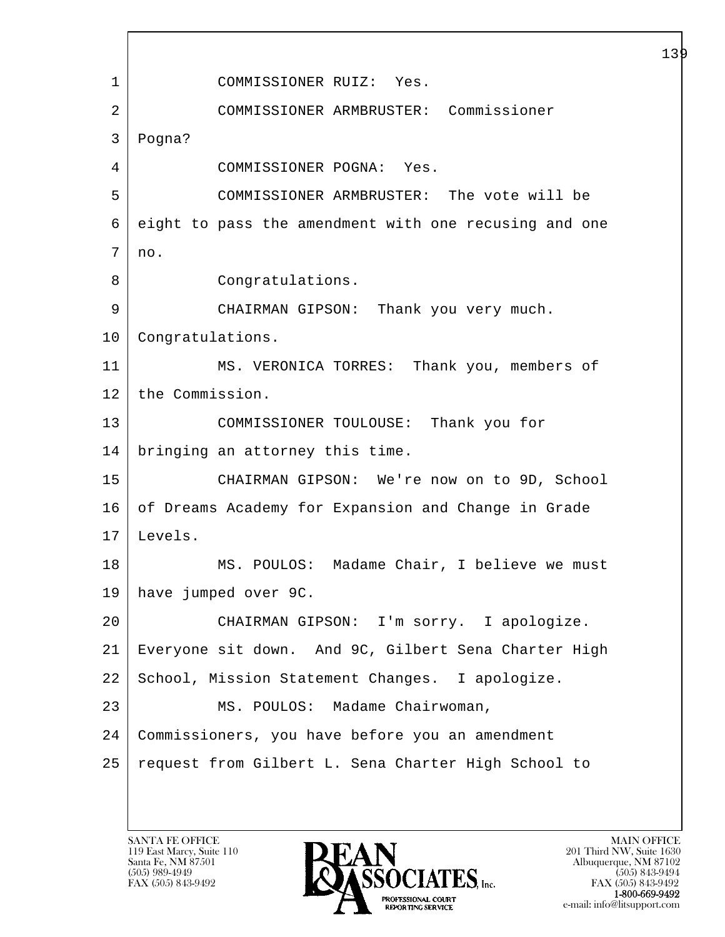l  $\overline{\phantom{a}}$  1 COMMISSIONER RUIZ: Yes. 2 COMMISSIONER ARMBRUSTER: Commissioner 3 Pogna? 4 COMMISSIONER POGNA: Yes. 5 COMMISSIONER ARMBRUSTER: The vote will be 6 eight to pass the amendment with one recusing and one  $7 \mid no.$ 8 Congratulations. 9 CHAIRMAN GIPSON: Thank you very much. 10 | Congratulations. 11 MS. VERONICA TORRES: Thank you, members of 12 the Commission. 13 COMMISSIONER TOULOUSE: Thank you for 14 bringing an attorney this time. 15 CHAIRMAN GIPSON: We're now on to 9D, School 16 of Dreams Academy for Expansion and Change in Grade 17 Levels. 18 | MS. POULOS: Madame Chair, I believe we must 19 have jumped over 9C. 20 CHAIRMAN GIPSON: I'm sorry. I apologize. 21 Everyone sit down. And 9C, Gilbert Sena Charter High 22 School, Mission Statement Changes. I apologize. 23 | MS. POULOS: Madame Chairwoman, 24 Commissioners, you have before you an amendment 25 request from Gilbert L. Sena Charter High School to

119 East Marcy, Suite 110<br>Santa Fe, NM 87501

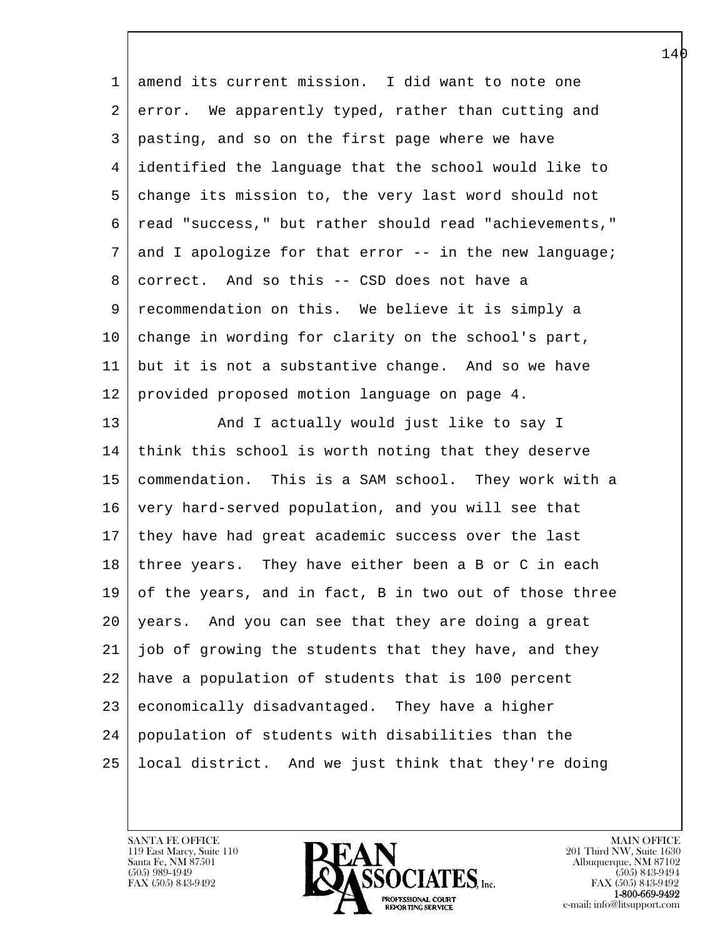| $\mathbf{1}$ | amend its current mission. I did want to note one           |
|--------------|-------------------------------------------------------------|
| 2            | error. We apparently typed, rather than cutting and         |
| 3            | pasting, and so on the first page where we have             |
| 4            | identified the language that the school would like to       |
| 5            | change its mission to, the very last word should not        |
| 6            | read "success," but rather should read "achievements,"      |
| 7            | and I apologize for that error -- in the new language;      |
| 8            | correct. And so this -- CSD does not have a                 |
| 9            | recommendation on this. We believe it is simply a           |
| 10           | change in wording for clarity on the school's part,         |
| 11           | but it is not a substantive change. And so we have          |
| 12           | provided proposed motion language on page 4.                |
| 13           | And I actually would just like to say I                     |
| 14           | think this school is worth noting that they deserve         |
| 15           | commendation. This is a SAM school. They work with a        |
| 16           | very hard-served population, and you will see that          |
| 17           | they have had great academic success over the last          |
| 18           | three years. They have either been a B or C in each         |
|              | $19$ of the years, and in fact, B in two out of those three |
| 20           | years. And you can see that they are doing a great          |
| 21           | job of growing the students that they have, and they        |
| 22           | have a population of students that is 100 percent           |
| 23           | economically disadvantaged. They have a higher              |
| 24           | population of students with disabilities than the           |
| 25           | local district. And we just think that they're doing        |
|              |                                                             |

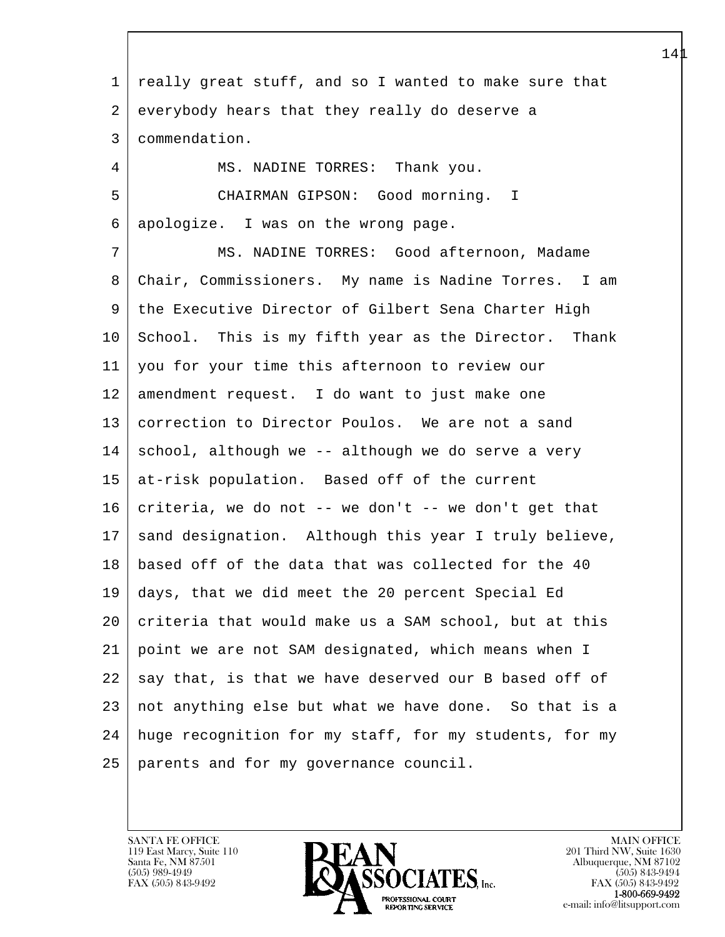l  $\overline{\phantom{a}}$  1 really great stuff, and so I wanted to make sure that 2 everybody hears that they really do deserve a 3 commendation. 4 | MS. NADINE TORRES: Thank you. 5 CHAIRMAN GIPSON: Good morning. I 6 apologize. I was on the wrong page. 7 MS. NADINE TORRES: Good afternoon, Madame 8 Chair, Commissioners. My name is Nadine Torres. I am 9 the Executive Director of Gilbert Sena Charter High 10 School. This is my fifth year as the Director. Thank 11 you for your time this afternoon to review our 12 amendment request. I do want to just make one 13 correction to Director Poulos. We are not a sand  $14$  school, although we -- although we do serve a very 15 at-risk population. Based off of the current 16 criteria, we do not  $-$ - we don't  $-$ - we don't get that 17 sand designation. Although this year I truly believe, 18 based off of the data that was collected for the 40 19 days, that we did meet the 20 percent Special Ed 20 criteria that would make us a SAM school, but at this 21 point we are not SAM designated, which means when I  $22$  say that, is that we have deserved our B based off of 23 not anything else but what we have done. So that is a 24 huge recognition for my staff, for my students, for my 25 parents and for my governance council.

119 East Marcy, Suite 110<br>Santa Fe, NM 87501

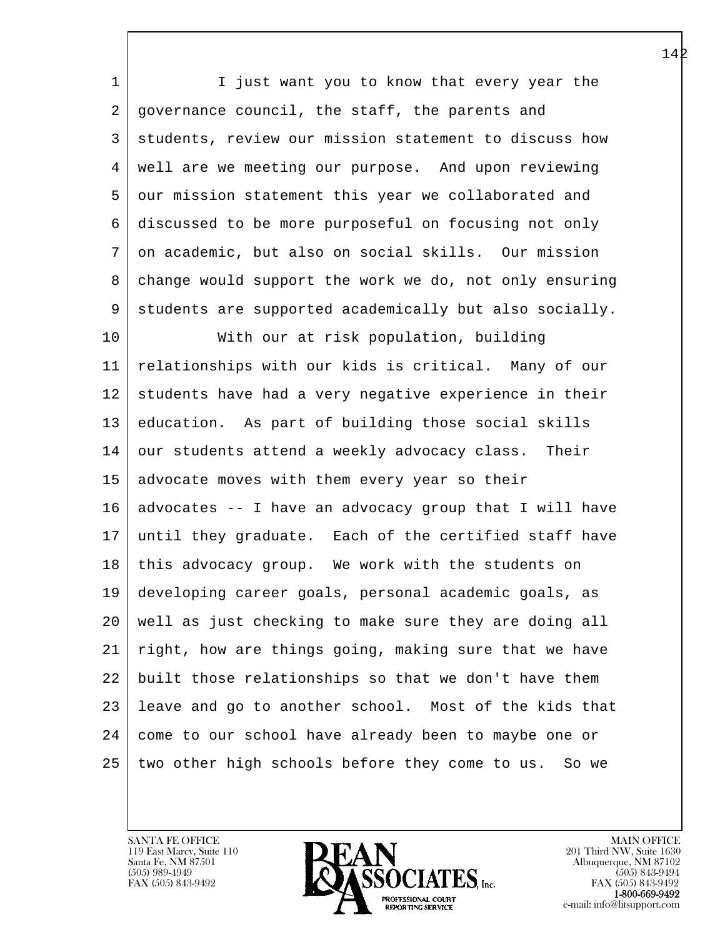1 I just want you to know that every year the 2 governance council, the staff, the parents and 3 students, review our mission statement to discuss how 4 well are we meeting our purpose. And upon reviewing 5 our mission statement this year we collaborated and 6 discussed to be more purposeful on focusing not only 7 on academic, but also on social skills. Our mission 8 change would support the work we do, not only ensuring 9 students are supported academically but also socially.

l 10 With our at risk population, building 11 relationships with our kids is critical. Many of our 12 students have had a very negative experience in their 13 education. As part of building those social skills 14 our students attend a weekly advocacy class. Their 15 advocate moves with them every year so their  $16$  advocates -- I have an advocacy group that I will have 17 until they graduate. Each of the certified staff have 18 | this advocacy group. We work with the students on 19 developing career goals, personal academic goals, as 20 well as just checking to make sure they are doing all 21 right, how are things going, making sure that we have 22 built those relationships so that we don't have them 23 leave and go to another school. Most of the kids that 24 come to our school have already been to maybe one or 25 two other high schools before they come to us. So we

119 East Marcy, Suite 110<br>Santa Fe, NM 87501

 $\overline{\phantom{a}}$ 

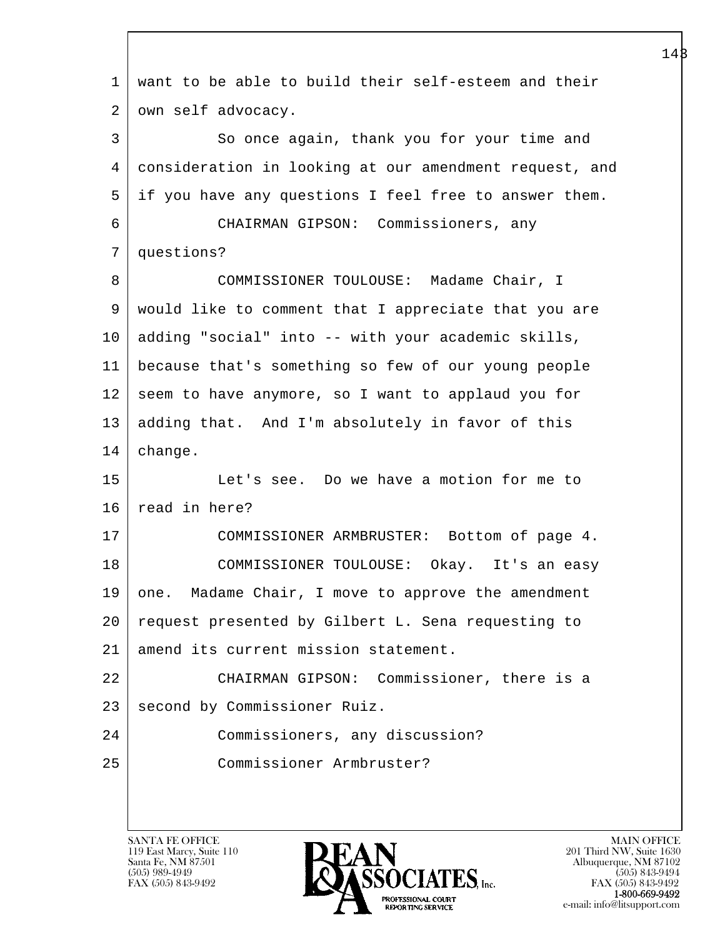| $\mathbf 1$    | want to be able to build their self-esteem and their   |
|----------------|--------------------------------------------------------|
| 2              | own self advocacy.                                     |
| 3              | So once again, thank you for your time and             |
| $\overline{4}$ | consideration in looking at our amendment request, and |
| 5              | if you have any questions I feel free to answer them.  |
| 6              | CHAIRMAN GIPSON: Commissioners, any                    |
| 7              | questions?                                             |
| 8              | COMMISSIONER TOULOUSE: Madame Chair, I                 |
| 9              | would like to comment that I appreciate that you are   |
| 10             | adding "social" into -- with your academic skills,     |
| 11             | because that's something so few of our young people    |
| 12             | seem to have anymore, so I want to applaud you for     |
| 13             | adding that. And I'm absolutely in favor of this       |
| 14             | change.                                                |
| 15             | Let's see. Do we have a motion for me to               |
| 16             | read in here?                                          |
| 17             | COMMISSIONER ARMBRUSTER: Bottom of page 4.             |
| 18             | COMMISSIONER TOULOUSE: Okay. It's an easy              |
| 19             | one. Madame Chair, I move to approve the amendment     |
| 20             | request presented by Gilbert L. Sena requesting to     |
| 21             | amend its current mission statement.                   |
| 22             | CHAIRMAN GIPSON: Commissioner, there is a              |
| 23             | second by Commissioner Ruiz.                           |
| 24             | Commissioners, any discussion?                         |
| 25             | Commissioner Armbruster?                               |
|                |                                                        |

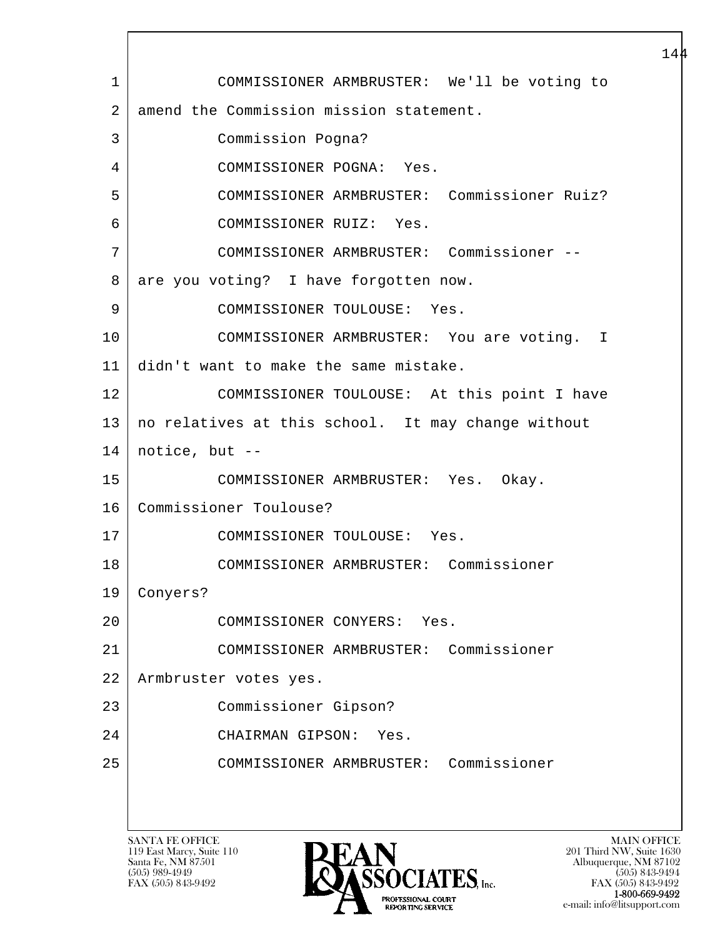l  $\overline{\phantom{a}}$  1 COMMISSIONER ARMBRUSTER: We'll be voting to 2 amend the Commission mission statement. 3 Commission Pogna? 4 COMMISSIONER POGNA: Yes. 5 COMMISSIONER ARMBRUSTER: Commissioner Ruiz? 6 COMMISSIONER RUIZ: Yes. 7 COMMISSIONER ARMBRUSTER: Commissioner -- 8 | are you voting? I have forgotten now. 9 COMMISSIONER TOULOUSE: Yes. 10 COMMISSIONER ARMBRUSTER: You are voting. I 11 didn't want to make the same mistake. 12 COMMISSIONER TOULOUSE: At this point I have 13 no relatives at this school. It may change without  $14$  | notice, but --15 COMMISSIONER ARMBRUSTER: Yes. Okay. 16 Commissioner Toulouse? 17 COMMISSIONER TOULOUSE: Yes. 18 COMMISSIONER ARMBRUSTER: Commissioner 19 Conyers? 20 COMMISSIONER CONYERS: Yes. 21 COMMISSIONER ARMBRUSTER: Commissioner 22 Armbruster votes yes. 23 Commissioner Gipson? 24 CHAIRMAN GIPSON: Yes. 25 COMMISSIONER ARMBRUSTER: Commissioner

119 East Marcy, Suite 110<br>Santa Fe, NM 87501



FAX (505) 843-9492<br>1-800-669-9492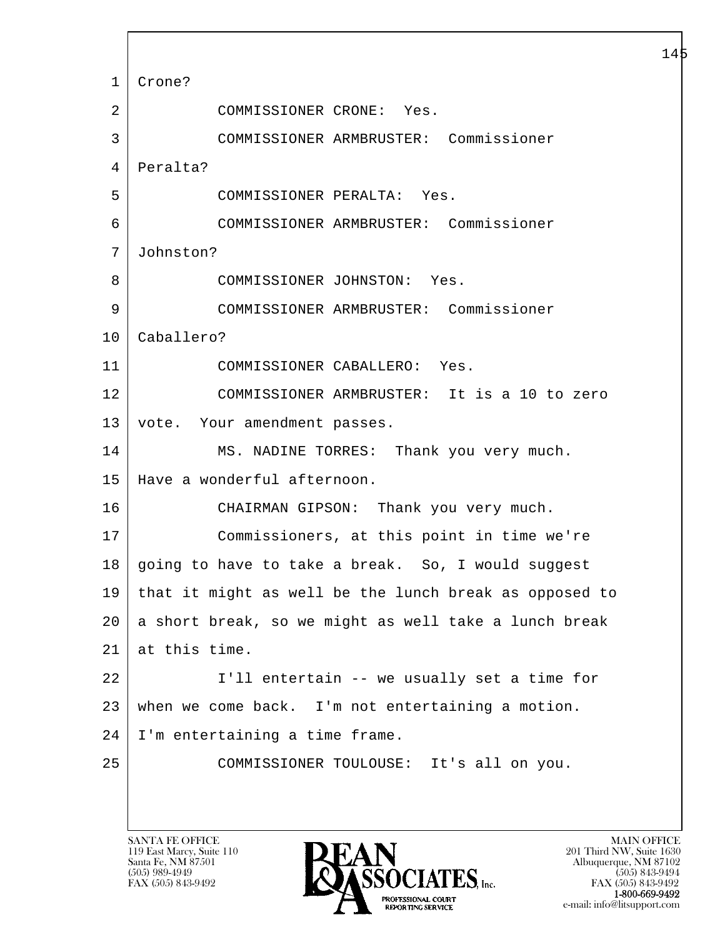l  $\overline{\phantom{a}}$  1 Crone? 2 COMMISSIONER CRONE: Yes. 3 COMMISSIONER ARMBRUSTER: Commissioner 4 Peralta? 5 COMMISSIONER PERALTA: Yes. 6 COMMISSIONER ARMBRUSTER: Commissioner 7 Johnston? 8 COMMISSIONER JOHNSTON: Yes. 9 COMMISSIONER ARMBRUSTER: Commissioner 10 Caballero? 11 COMMISSIONER CABALLERO: Yes. 12 COMMISSIONER ARMBRUSTER: It is a 10 to zero 13 | vote. Your amendment passes. 14 | MS. NADINE TORRES: Thank you very much. 15 Have a wonderful afternoon. 16 CHAIRMAN GIPSON: Thank you very much. 17 Commissioners, at this point in time we're 18 going to have to take a break. So, I would suggest 19 that it might as well be the lunch break as opposed to 20 a short break, so we might as well take a lunch break 21 at this time. 22 I'll entertain -- we usually set a time for 23 when we come back. I'm not entertaining a motion. 24 I'm entertaining a time frame. 25 COMMISSIONER TOULOUSE: It's all on you.

119 East Marcy, Suite 110<br>Santa Fe, NM 87501

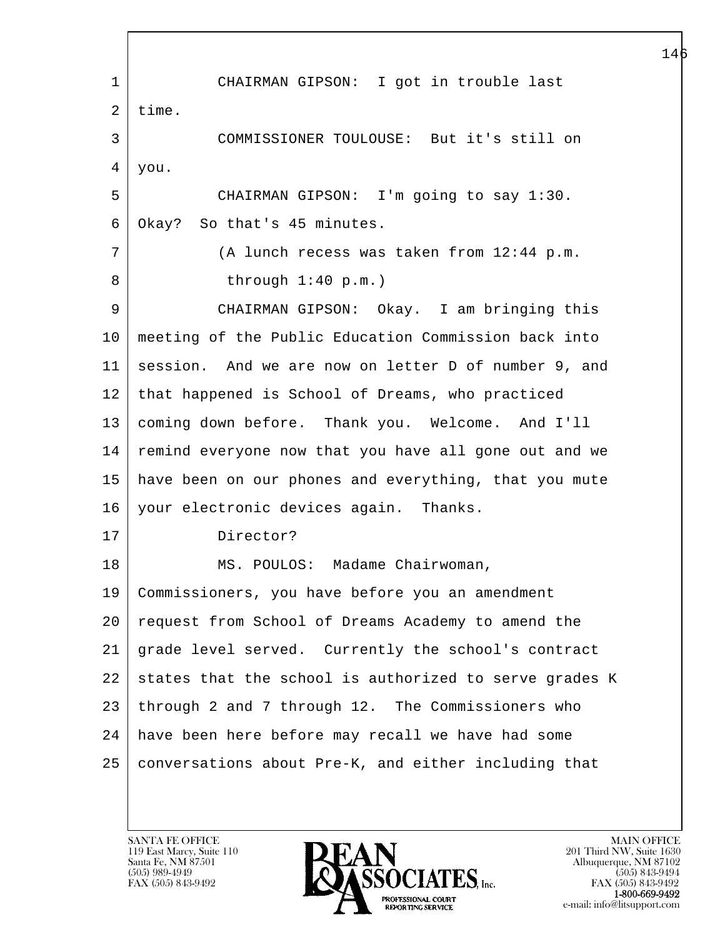l  $\overline{\phantom{a}}$  1 CHAIRMAN GIPSON: I got in trouble last  $2$  time. 3 COMMISSIONER TOULOUSE: But it's still on 4 you. 5 CHAIRMAN GIPSON: I'm going to say 1:30. 6 Okay? So that's 45 minutes. 7 (A lunch recess was taken from 12:44 p.m. 8 | through 1:40 p.m.) 9 CHAIRMAN GIPSON: Okay. I am bringing this 10 meeting of the Public Education Commission back into 11 session. And we are now on letter D of number 9, and 12 that happened is School of Dreams, who practiced 13 coming down before. Thank you. Welcome. And I'll 14 remind everyone now that you have all gone out and we 15 have been on our phones and everything, that you mute 16 your electronic devices again. Thanks. 17 Director? 18 | MS. POULOS: Madame Chairwoman, 19 Commissioners, you have before you an amendment 20 request from School of Dreams Academy to amend the 21 grade level served. Currently the school's contract  $22$  states that the school is authorized to serve grades K 23 through 2 and 7 through 12. The Commissioners who 24 have been here before may recall we have had some 25 conversations about Pre-K, and either including that

119 East Marcy, Suite 110<br>Santa Fe, NM 87501

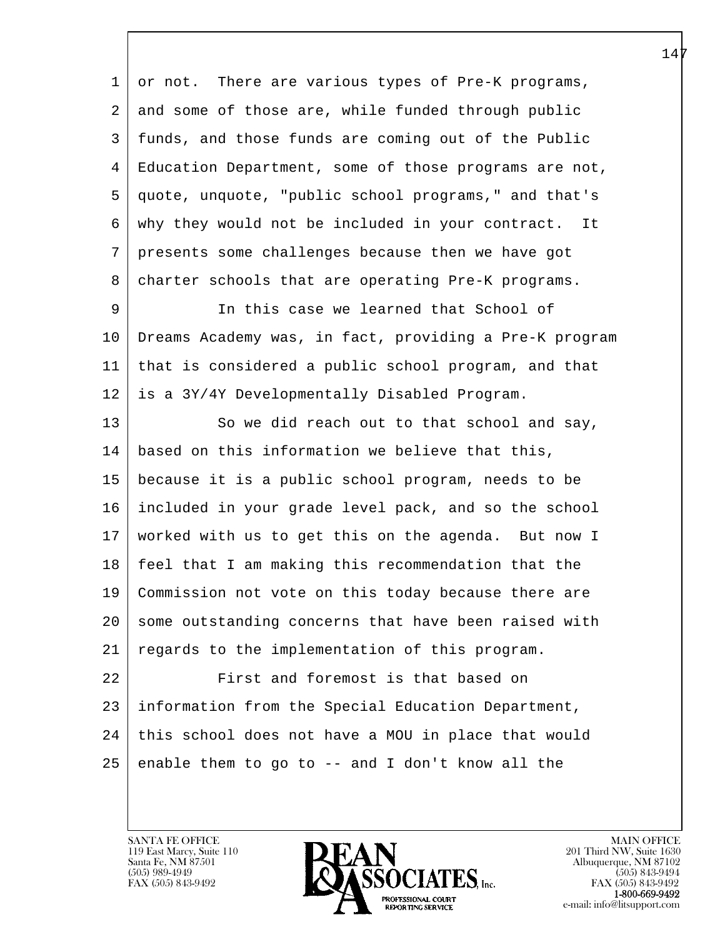l  $\overline{\phantom{a}}$  1 or not. There are various types of Pre-K programs, 2 and some of those are, while funded through public 3 funds, and those funds are coming out of the Public 4 Education Department, some of those programs are not, 5 quote, unquote, "public school programs," and that's 6 why they would not be included in your contract. It 7 presents some challenges because then we have got 8 charter schools that are operating Pre-K programs. 9 In this case we learned that School of 10 Dreams Academy was, in fact, providing a Pre-K program 11 that is considered a public school program, and that 12 is a 3Y/4Y Developmentally Disabled Program. 13 So we did reach out to that school and say, 14 based on this information we believe that this, 15 because it is a public school program, needs to be 16 included in your grade level pack, and so the school 17 worked with us to get this on the agenda. But now I 18 feel that I am making this recommendation that the 19 Commission not vote on this today because there are 20 | some outstanding concerns that have been raised with 21 | regards to the implementation of this program. 22 First and foremost is that based on 23 information from the Special Education Department, 24 | this school does not have a MOU in place that would  $25$  enable them to go to  $-$  and I don't know all the

119 East Marcy, Suite 110<br>Santa Fe, NM 87501

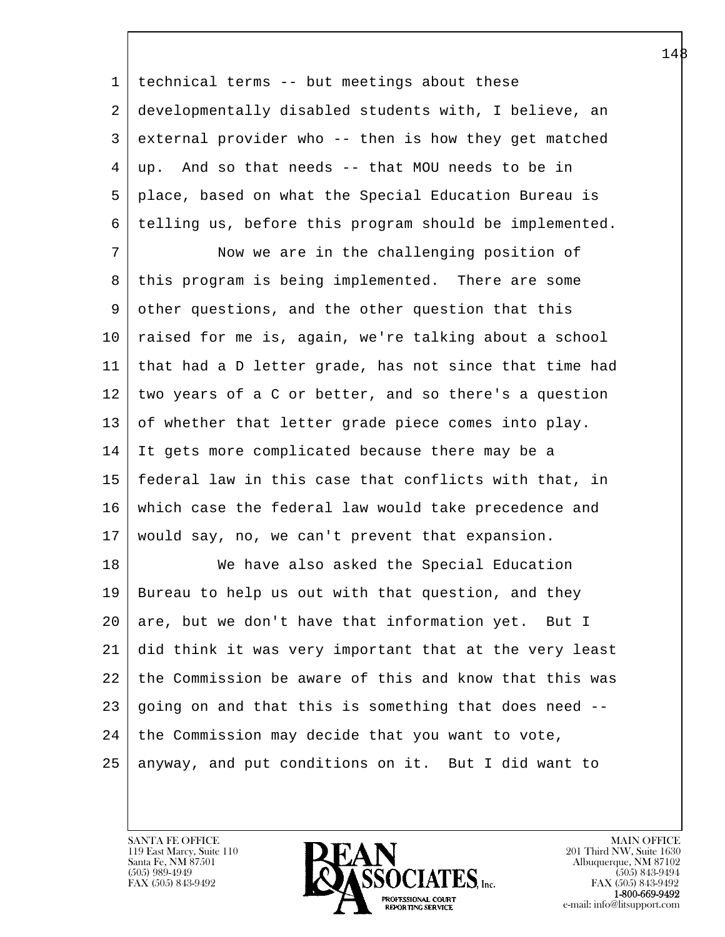1 technical terms -- but meetings about these 2 developmentally disabled students with, I believe, an 3 external provider who -- then is how they get matched 4 up. And so that needs -- that MOU needs to be in 5 place, based on what the Special Education Bureau is 6 telling us, before this program should be implemented.

7 Now we are in the challenging position of 8 this program is being implemented. There are some 9 other questions, and the other question that this 10 raised for me is, again, we're talking about a school 11 that had a D letter grade, has not since that time had 12 two years of a C or better, and so there's a question 13 of whether that letter grade piece comes into play. 14 It gets more complicated because there may be a 15 federal law in this case that conflicts with that, in 16 which case the federal law would take precedence and 17 would say, no, we can't prevent that expansion.

l 18 | We have also asked the Special Education 19 Bureau to help us out with that question, and they 20 are, but we don't have that information yet. But I 21 did think it was very important that at the very least 22 the Commission be aware of this and know that this was 23 going on and that this is something that does need --  $24$  the Commission may decide that you want to vote, 25 anyway, and put conditions on it. But I did want to

119 East Marcy, Suite 110<br>Santa Fe, NM 87501

 $\overline{\phantom{a}}$ 

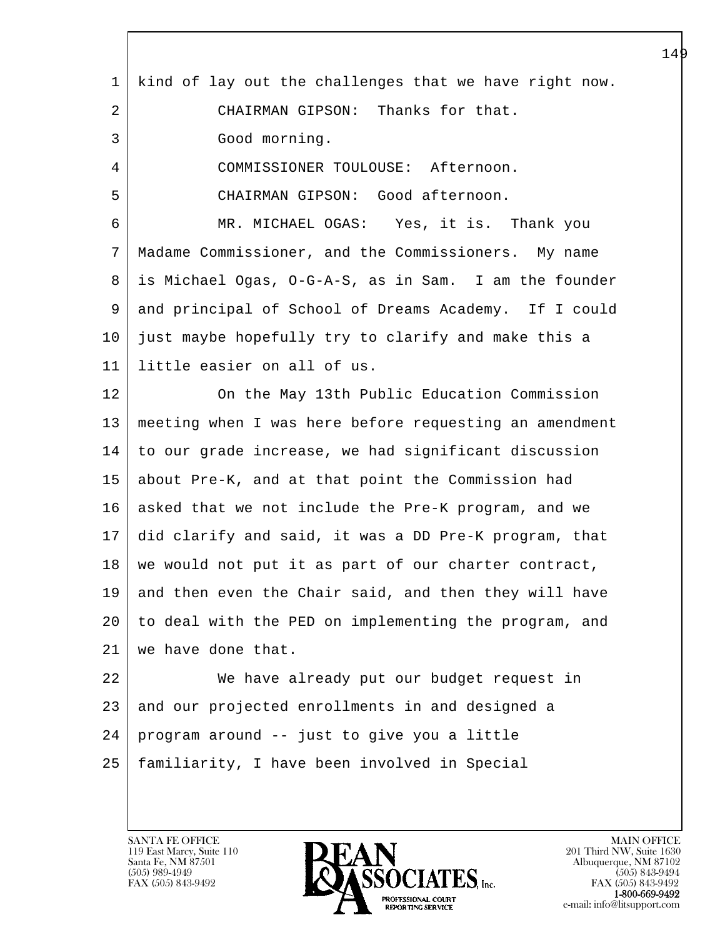| $\mathbf 1$ | kind of lay out the challenges that we have right now. |
|-------------|--------------------------------------------------------|
| 2           | CHAIRMAN GIPSON: Thanks for that.                      |
| 3           | Good morning.                                          |
| 4           | COMMISSIONER TOULOUSE: Afternoon.                      |
| 5           | CHAIRMAN GIPSON: Good afternoon.                       |
| 6           | MR. MICHAEL OGAS: Yes, it is. Thank you                |
| 7           | Madame Commissioner, and the Commissioners. My name    |
| 8           | is Michael Ogas, O-G-A-S, as in Sam. I am the founder  |
| 9           | and principal of School of Dreams Academy. If I could  |
| $10 \,$     | just maybe hopefully try to clarify and make this a    |
| 11          | little easier on all of us.                            |
| 12          | On the May 13th Public Education Commission            |
| 13          | meeting when I was here before requesting an amendment |
| 14          | to our grade increase, we had significant discussion   |
| 15          | about Pre-K, and at that point the Commission had      |
| 16          | asked that we not include the Pre-K program, and we    |
| 17          | did clarify and said, it was a DD Pre-K program, that  |
| 18          | we would not put it as part of our charter contract,   |
| 19          | and then even the Chair said, and then they will have  |
| 20          | to deal with the PED on implementing the program, and  |
| 21          | we have done that.                                     |
| 22          | We have already put our budget request in              |
| 23          | and our projected enrollments in and designed a        |
| 24          | program around -- just to give you a little            |
| 25          | familiarity, I have been involved in Special           |
|             |                                                        |

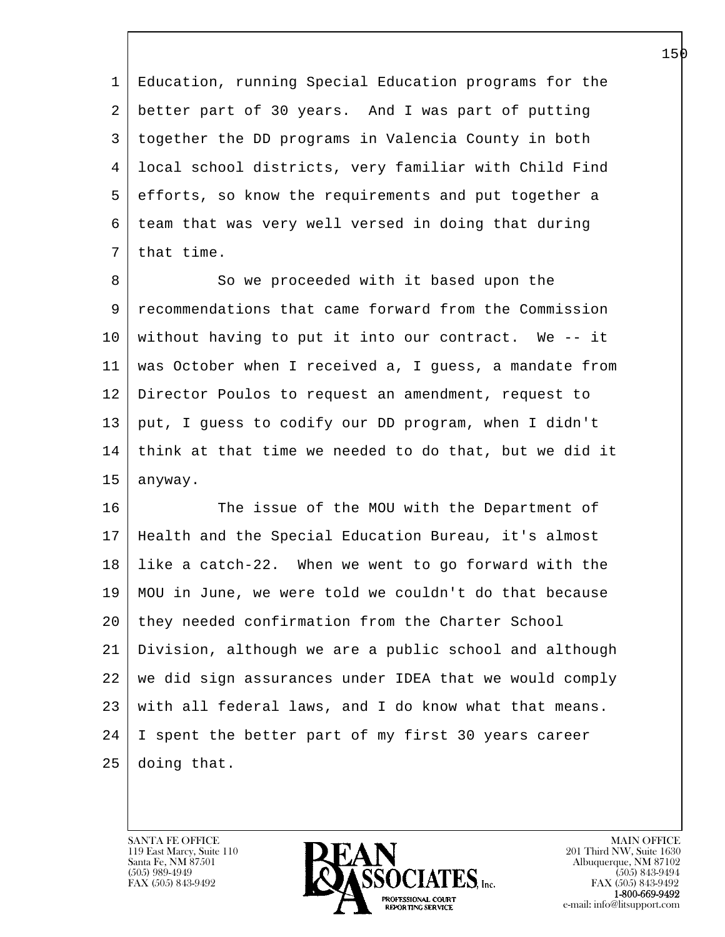1 Education, running Special Education programs for the 2 better part of 30 years. And I was part of putting 3 together the DD programs in Valencia County in both 4 local school districts, very familiar with Child Find 5 efforts, so know the requirements and put together a 6 team that was very well versed in doing that during 7 | that time.

8 So we proceeded with it based upon the 9 recommendations that came forward from the Commission 10 without having to put it into our contract. We -- it 11 was October when I received a, I guess, a mandate from 12 Director Poulos to request an amendment, request to 13 put, I guess to codify our DD program, when I didn't 14 think at that time we needed to do that, but we did it 15 anyway.

l 16 The issue of the MOU with the Department of 17 Health and the Special Education Bureau, it's almost 18 like a catch-22. When we went to go forward with the 19 MOU in June, we were told we couldn't do that because 20 they needed confirmation from the Charter School 21 Division, although we are a public school and although 22 we did sign assurances under IDEA that we would comply 23 with all federal laws, and I do know what that means. 24 I spent the better part of my first 30 years career 25 doing that.

119 East Marcy, Suite 110<br>Santa Fe, NM 87501

 $\overline{\phantom{a}}$ 

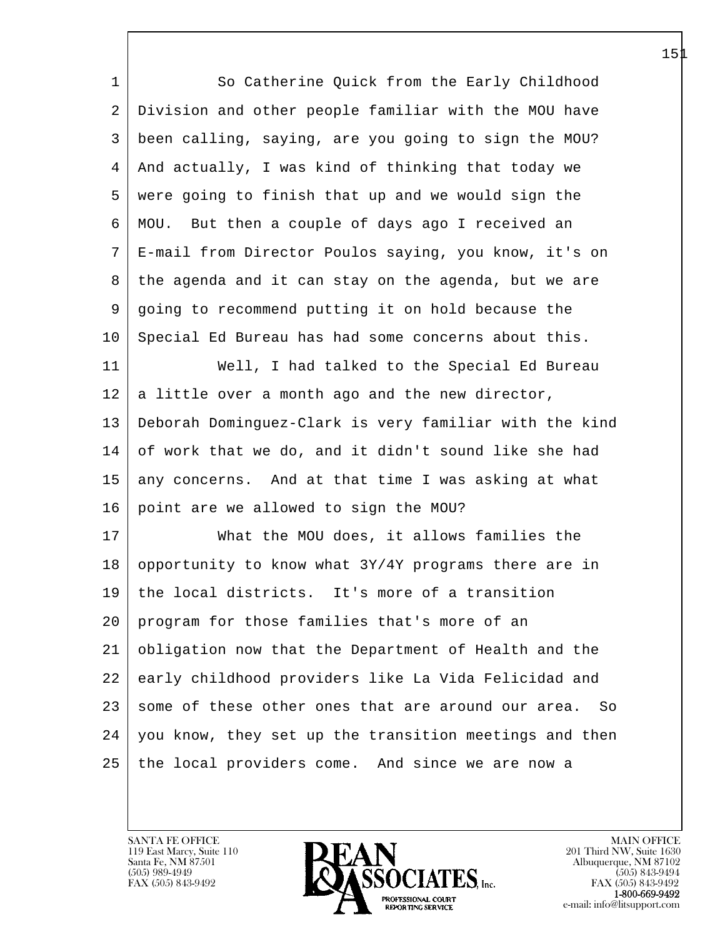| $\mathbf{1}$ | So Catherine Quick from the Early Childhood            |
|--------------|--------------------------------------------------------|
| 2            | Division and other people familiar with the MOU have   |
| 3            | been calling, saying, are you going to sign the MOU?   |
| 4            | And actually, I was kind of thinking that today we     |
| 5            | were going to finish that up and we would sign the     |
| 6            | MOU. But then a couple of days ago I received an       |
| 7            | E-mail from Director Poulos saying, you know, it's on  |
| 8            | the agenda and it can stay on the agenda, but we are   |
| 9            | going to recommend putting it on hold because the      |
| 10           | Special Ed Bureau has had some concerns about this.    |
| 11           | Well, I had talked to the Special Ed Bureau            |
| 12           | a little over a month ago and the new director,        |
| 13           | Deborah Dominguez-Clark is very familiar with the kind |
| 14           | of work that we do, and it didn't sound like she had   |
| 15           | any concerns. And at that time I was asking at what    |
| 16           | point are we allowed to sign the MOU?                  |
| 17           | What the MOU does, it allows families the              |
| 18           | opportunity to know what 3Y/4Y programs there are in   |
| 19           | the local districts. It's more of a transition         |
| 20           | program for those families that's more of an           |
| 21           | obligation now that the Department of Health and the   |
| 22           | early childhood providers like La Vida Felicidad and   |
| 23           | some of these other ones that are around our area. So  |
| 24           | you know, they set up the transition meetings and then |
| 25           | the local providers come. And since we are now a       |
|              |                                                        |

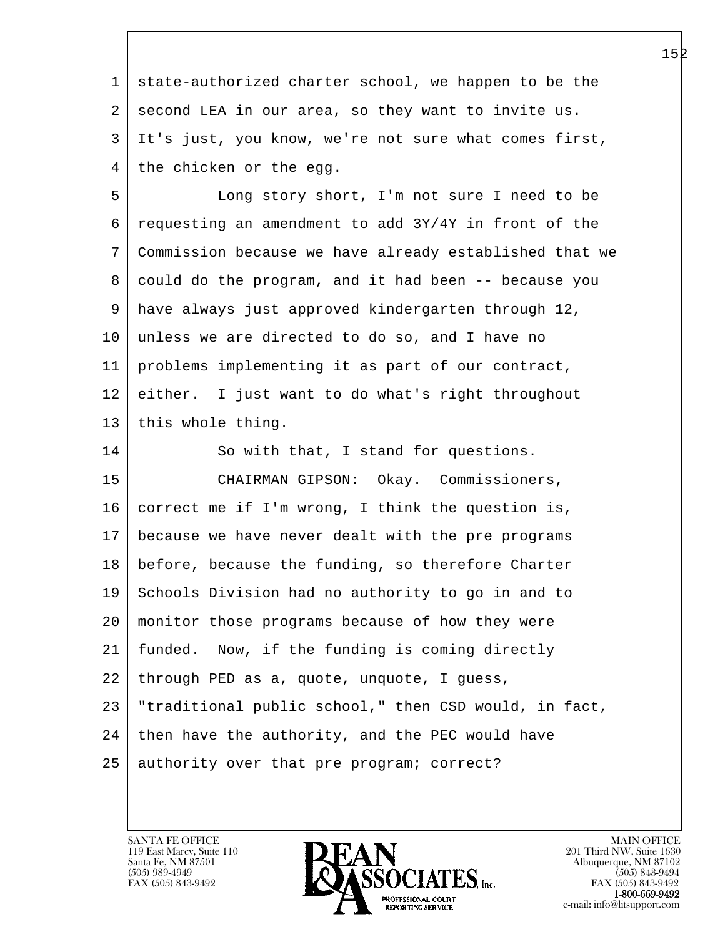1 state-authorized charter school, we happen to be the 2 second LEA in our area, so they want to invite us. 3 It's just, you know, we're not sure what comes first, 4 the chicken or the egg.

 5 Long story short, I'm not sure I need to be  $6 \mid$  requesting an amendment to add  $3Y/4Y$  in front of the 7 Commission because we have already established that we 8 could do the program, and it had been -- because you 9 have always just approved kindergarten through 12, 10 unless we are directed to do so, and I have no 11 problems implementing it as part of our contract, 12 either. I just want to do what's right throughout 13 | this whole thing.

l  $\overline{\phantom{a}}$ 14 So with that, I stand for questions. 15 CHAIRMAN GIPSON: Okay. Commissioners, 16 correct me if I'm wrong, I think the question is, 17 because we have never dealt with the pre programs 18 before, because the funding, so therefore Charter 19 Schools Division had no authority to go in and to 20 monitor those programs because of how they were 21 funded. Now, if the funding is coming directly 22 through PED as a, quote, unquote, I guess, 23 "traditional public school," then CSD would, in fact,  $24$  then have the authority, and the PEC would have 25 authority over that pre program; correct?

119 East Marcy, Suite 110<br>Santa Fe, NM 87501

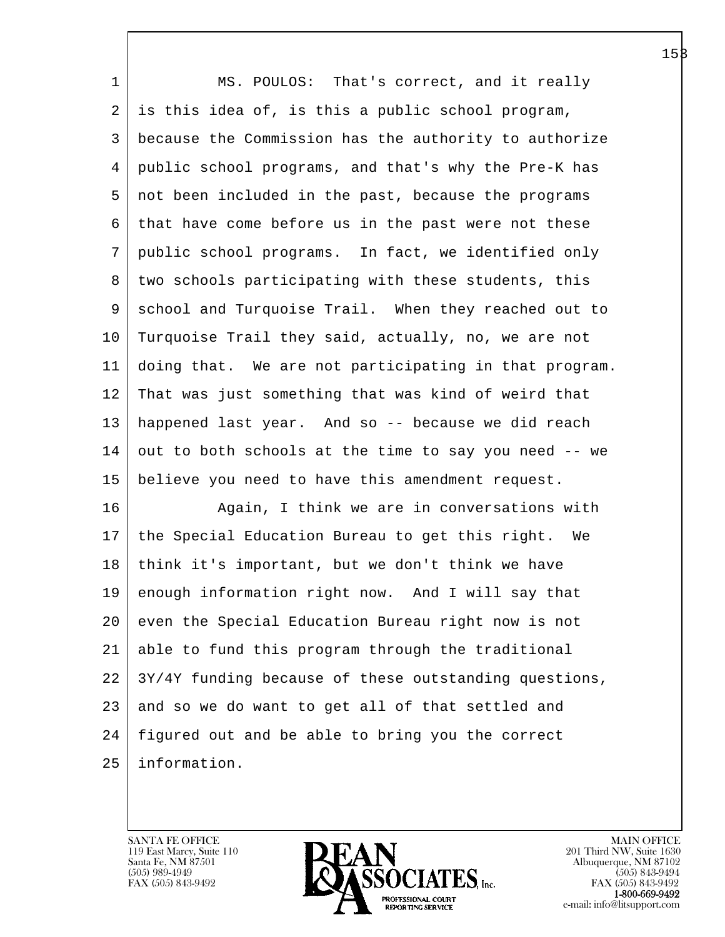| $\mathbf{1}$ | MS. POULOS: That's correct, and it really             |
|--------------|-------------------------------------------------------|
| 2            | is this idea of, is this a public school program,     |
| 3            | because the Commission has the authority to authorize |
| 4            | public school programs, and that's why the Pre-K has  |
| 5            | not been included in the past, because the programs   |
| 6            | that have come before us in the past were not these   |
| 7            | public school programs. In fact, we identified only   |
| 8            | two schools participating with these students, this   |
| 9            | school and Turquoise Trail. When they reached out to  |
| $10 \,$      | Turquoise Trail they said, actually, no, we are not   |
| 11           | doing that. We are not participating in that program. |
| 12           | That was just something that was kind of weird that   |
| 13           | happened last year. And so -- because we did reach    |
| 14           | out to both schools at the time to say you need -- we |
| 15           | believe you need to have this amendment request.      |
| 16           | Again, I think we are in conversations with           |
| 17           | the Special Education Bureau to get this right. We    |
| 18           | think it's important, but we don't think we have      |
| 19           | enough information right now. And I will say that     |
| 20           | even the Special Education Bureau right now is not    |
| 21           | able to fund this program through the traditional     |
| 22           | 3Y/4Y funding because of these outstanding questions, |
| 23           | and so we do want to get all of that settled and      |
| 24           | figured out and be able to bring you the correct      |
| 25           | information.                                          |
|              |                                                       |

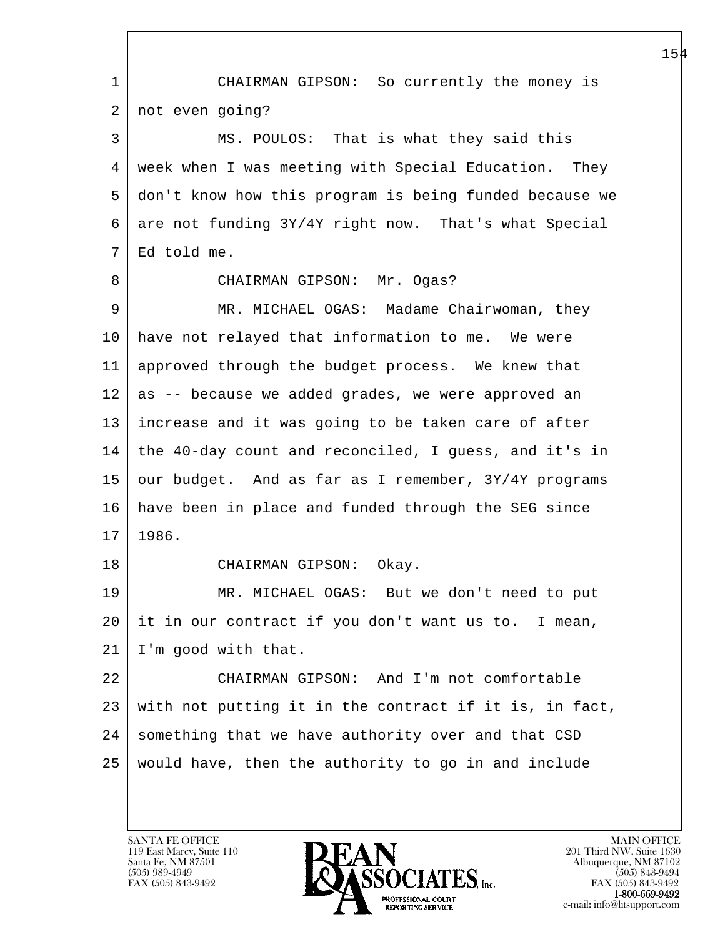l  $\overline{\phantom{a}}$  1 CHAIRMAN GIPSON: So currently the money is 2 | not even going? 3 MS. POULOS: That is what they said this 4 week when I was meeting with Special Education. They 5 don't know how this program is being funded because we  $6 \mid$  are not funding  $3Y/4Y$  right now. That's what Special 7 Ed told me. 8 | CHAIRMAN GIPSON: Mr. Ogas? 9 MR. MICHAEL OGAS: Madame Chairwoman, they 10 have not relayed that information to me. We were 11 approved through the budget process. We knew that 12 as -- because we added grades, we were approved an 13 increase and it was going to be taken care of after 14 the 40-day count and reconciled, I guess, and it's in 15 our budget. And as far as I remember, 3Y/4Y programs 16 have been in place and funded through the SEG since 17 1986. 18 CHAIRMAN GIPSON: Okay. 19 MR. MICHAEL OGAS: But we don't need to put 20 it in our contract if you don't want us to. I mean, 21 I'm good with that. 22 CHAIRMAN GIPSON: And I'm not comfortable 23 with not putting it in the contract if it is, in fact, 24 something that we have authority over and that CSD 25 would have, then the authority to go in and include

119 East Marcy, Suite 110<br>Santa Fe, NM 87501

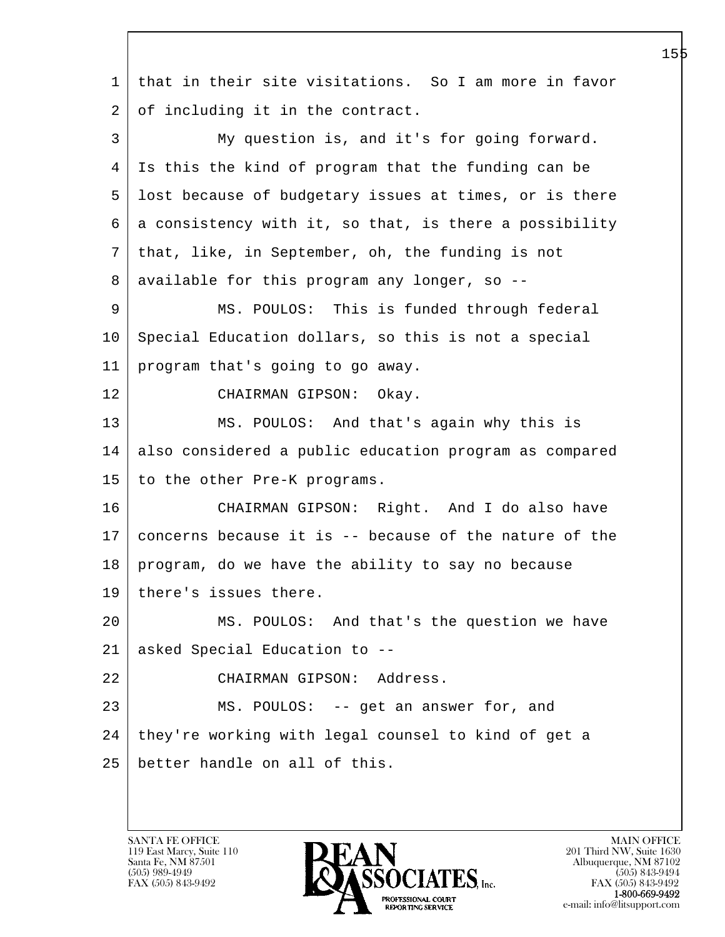l  $\overline{\phantom{a}}$  1 that in their site visitations. So I am more in favor 2 of including it in the contract. 3 My question is, and it's for going forward. 4 Is this the kind of program that the funding can be 5 lost because of budgetary issues at times, or is there 6 a consistency with it, so that, is there a possibility 7 that, like, in September, oh, the funding is not 8 | available for this program any longer, so --9 MS. POULOS: This is funded through federal 10 | Special Education dollars, so this is not a special 11 program that's going to go away. 12 CHAIRMAN GIPSON: Okay. 13 MS. POULOS: And that's again why this is 14 also considered a public education program as compared 15 to the other Pre-K programs. 16 CHAIRMAN GIPSON: Right. And I do also have 17 concerns because it is -- because of the nature of the 18 program, do we have the ability to say no because 19 | there's issues there. 20 MS. POULOS: And that's the question we have 21 asked Special Education to -- 22 CHAIRMAN GIPSON: Address. 23 MS. POULOS: -- get an answer for, and 24 they're working with legal counsel to kind of get a 25 better handle on all of this.

119 East Marcy, Suite 110<br>Santa Fe, NM 87501

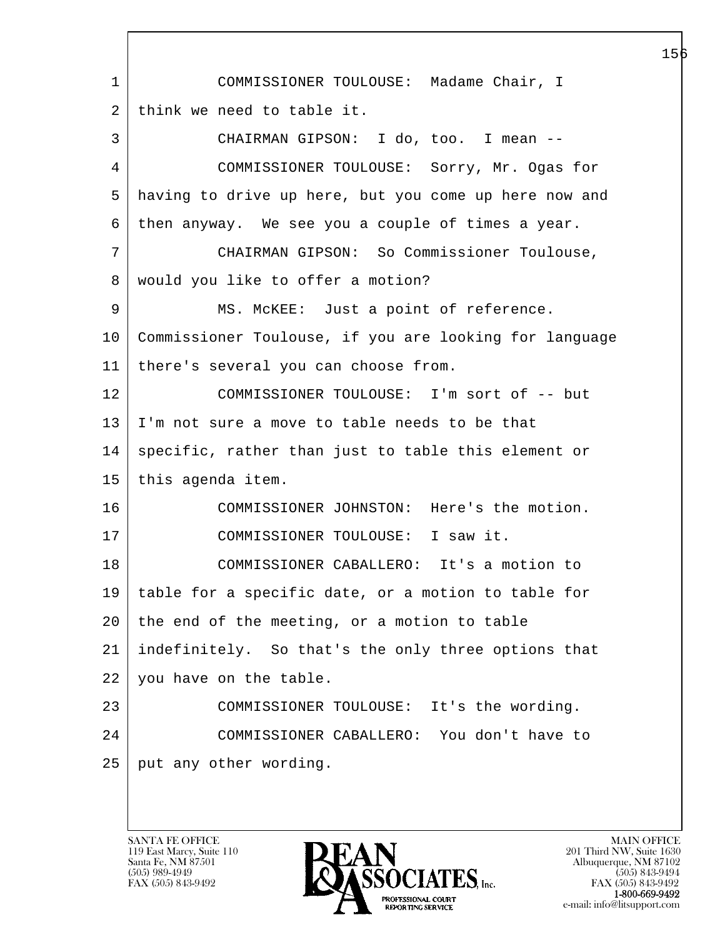l  $\overline{\phantom{a}}$  1 COMMISSIONER TOULOUSE: Madame Chair, I 2 think we need to table it. 3 CHAIRMAN GIPSON: I do, too. I mean -- 4 COMMISSIONER TOULOUSE: Sorry, Mr. Ogas for 5 having to drive up here, but you come up here now and 6 then anyway. We see you a couple of times a year. 7 CHAIRMAN GIPSON: So Commissioner Toulouse, 8 | would you like to offer a motion? 9 | MS. McKEE: Just a point of reference. 10 Commissioner Toulouse, if you are looking for language 11 there's several you can choose from. 12 COMMISSIONER TOULOUSE: I'm sort of -- but 13 I'm not sure a move to table needs to be that 14 specific, rather than just to table this element or 15 | this agenda item. 16 COMMISSIONER JOHNSTON: Here's the motion. 17 COMMISSIONER TOULOUSE: I saw it. 18 COMMISSIONER CABALLERO: It's a motion to 19 table for a specific date, or a motion to table for  $20$  the end of the meeting, or a motion to table 21 indefinitely. So that's the only three options that 22 you have on the table. 23 COMMISSIONER TOULOUSE: It's the wording. 24 COMMISSIONER CABALLERO: You don't have to 25 | put any other wording.

119 East Marcy, Suite 110<br>Santa Fe, NM 87501

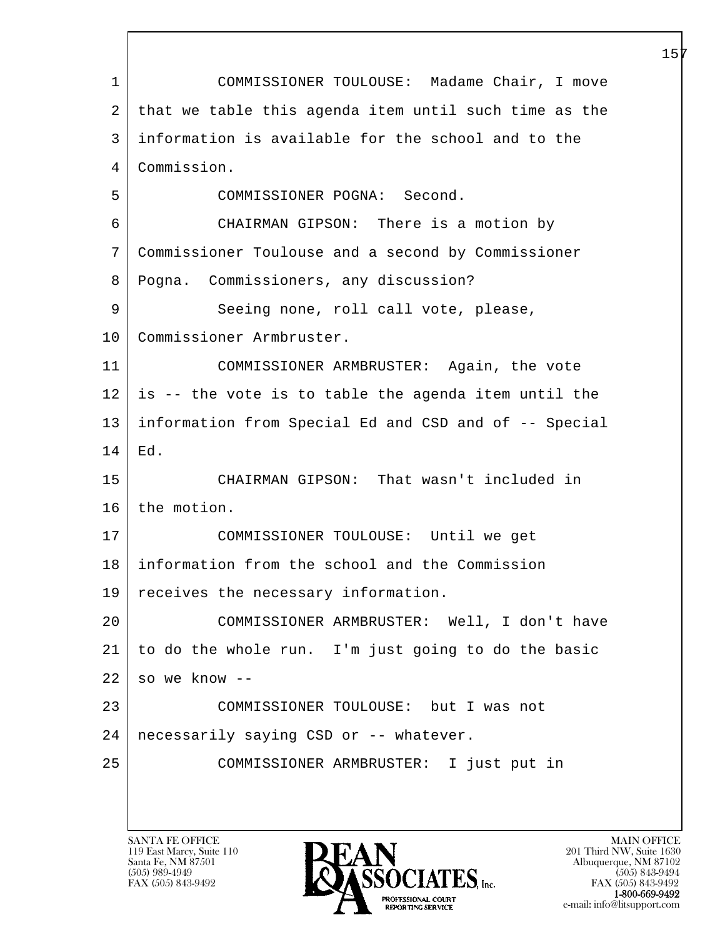l  $\overline{\phantom{a}}$  1 COMMISSIONER TOULOUSE: Madame Chair, I move 2 that we table this agenda item until such time as the 3 information is available for the school and to the 4 Commission. 5 COMMISSIONER POGNA: Second. 6 CHAIRMAN GIPSON: There is a motion by 7 Commissioner Toulouse and a second by Commissioner 8 Pogna. Commissioners, any discussion? 9 Seeing none, roll call vote, please, 10 | Commissioner Armbruster. 11 COMMISSIONER ARMBRUSTER: Again, the vote 12 is -- the vote is to table the agenda item until the 13 information from Special Ed and CSD and of -- Special 14 Ed. 15 CHAIRMAN GIPSON: That wasn't included in 16 the motion. 17 COMMISSIONER TOULOUSE: Until we get 18 information from the school and the Commission 19 receives the necessary information. 20 COMMISSIONER ARMBRUSTER: Well, I don't have 21 to do the whole run. I'm just going to do the basic  $22$  so we know  $-$ 23 COMMISSIONER TOULOUSE: but I was not 24 necessarily saying CSD or -- whatever. 25 COMMISSIONER ARMBRUSTER: I just put in

119 East Marcy, Suite 110<br>Santa Fe, NM 87501

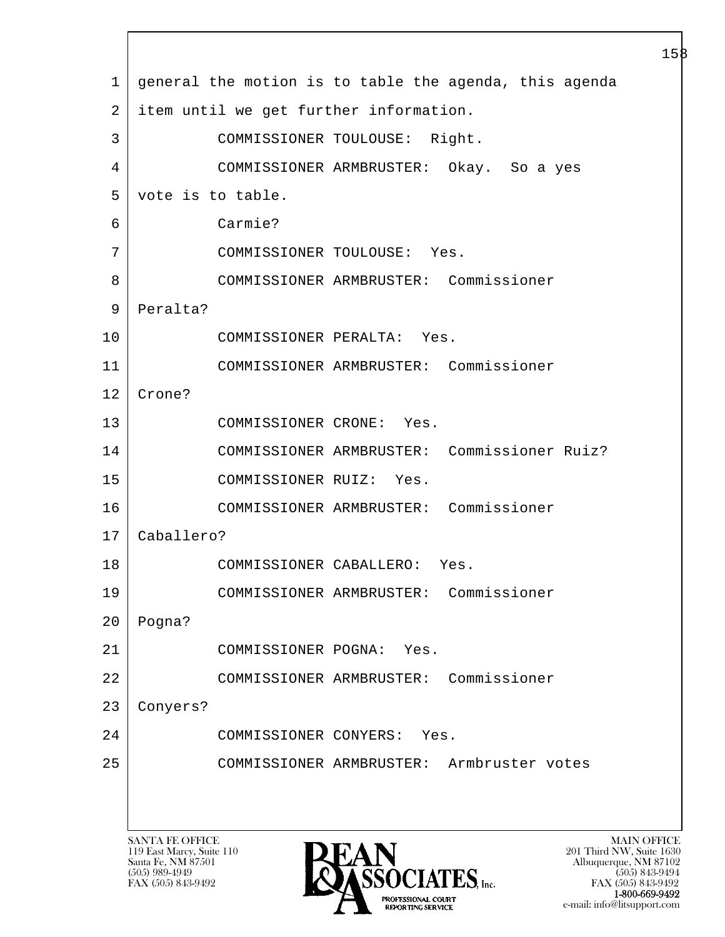|    | ⊥⊃≀                                                                                                           |
|----|---------------------------------------------------------------------------------------------------------------|
| 1  | general the motion is to table the agenda, this agenda                                                        |
| 2  | item until we get further information.                                                                        |
| 3  | COMMISSIONER TOULOUSE: Right.                                                                                 |
| 4  | COMMISSIONER ARMBRUSTER: Okay. So a yes                                                                       |
| 5  | vote is to table.                                                                                             |
| 6  | Carmie?                                                                                                       |
| 7  | COMMISSIONER TOULOUSE: Yes.                                                                                   |
| 8  | COMMISSIONER ARMBRUSTER: Commissioner                                                                         |
| 9  | Peralta?                                                                                                      |
| 10 | COMMISSIONER PERALTA: Yes.                                                                                    |
| 11 | COMMISSIONER ARMBRUSTER: Commissioner                                                                         |
| 12 | Crone?                                                                                                        |
| 13 | COMMISSIONER CRONE: Yes.                                                                                      |
| 14 | COMMISSIONER ARMBRUSTER: Commissioner Ruiz?                                                                   |
| 15 | COMMISSIONER RUIZ: Yes.                                                                                       |
| 16 | COMMISSIONER ARMBRUSTER: Commissioner                                                                         |
| 17 | Caballero?                                                                                                    |
| 18 | COMMISSIONER CABALLERO: Yes.                                                                                  |
| 19 | Commissioner<br>COMMISSIONER ARMBRUSTER:                                                                      |
| 20 | Pogna?                                                                                                        |
| 21 | COMMISSIONER POGNA:<br>Yes.                                                                                   |
| 22 | Commissioner<br>COMMISSIONER ARMBRUSTER:                                                                      |
| 23 | Conyers?                                                                                                      |
| 24 | COMMISSIONER CONYERS:<br>Yes.                                                                                 |
| 25 | Armbruster votes<br>COMMISSIONER ARMBRUSTER:                                                                  |
|    |                                                                                                               |
|    |                                                                                                               |
|    | <b>SANTA FE OFFICE</b><br><b>MAIN OFFICE</b><br>DEAN<br>119 East Marcy, Suite 110<br>201 Third NW, Suite 1630 |

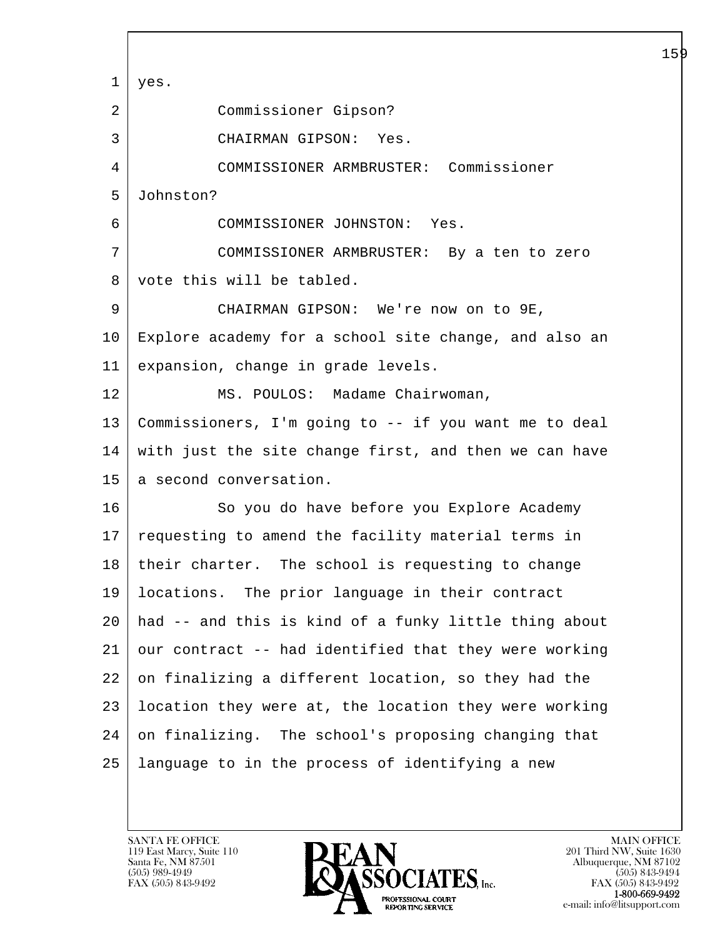l  $\overline{\phantom{a}}$  1 yes. 2 Commissioner Gipson? 3 CHAIRMAN GIPSON: Yes. 4 COMMISSIONER ARMBRUSTER: Commissioner 5 Johnston? 6 COMMISSIONER JOHNSTON: Yes. 7 COMMISSIONER ARMBRUSTER: By a ten to zero 8 vote this will be tabled. 9 CHAIRMAN GIPSON: We're now on to 9E, 10 Explore academy for a school site change, and also an 11 expansion, change in grade levels. 12 MS. POULOS: Madame Chairwoman, 13 Commissioners, I'm going to -- if you want me to deal 14 with just the site change first, and then we can have 15 | a second conversation. 16 So you do have before you Explore Academy 17 requesting to amend the facility material terms in 18 their charter. The school is requesting to change 19 locations. The prior language in their contract 20 had -- and this is kind of a funky little thing about 21 our contract -- had identified that they were working 22 on finalizing a different location, so they had the 23 location they were at, the location they were working 24 on finalizing. The school's proposing changing that 25 language to in the process of identifying a new

119 East Marcy, Suite 110<br>Santa Fe, NM 87501

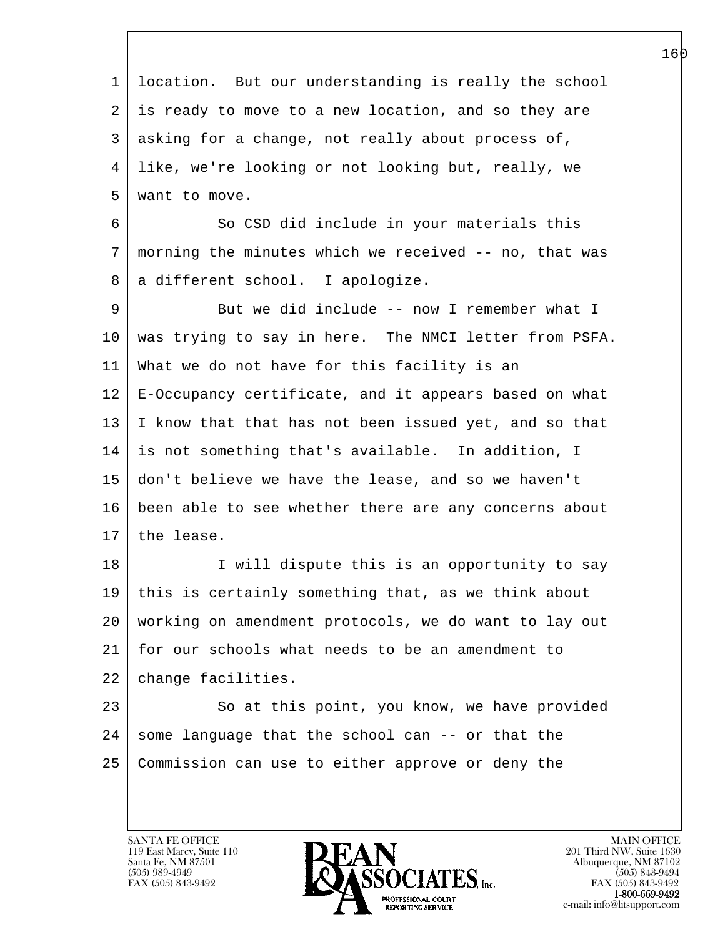l  $\overline{\phantom{a}}$  1 location. But our understanding is really the school 2 is ready to move to a new location, and so they are 3 asking for a change, not really about process of, 4 like, we're looking or not looking but, really, we 5 want to move. 6 So CSD did include in your materials this 7 morning the minutes which we received -- no, that was 8 | a different school. I apologize. 9 But we did include -- now I remember what I 10 was trying to say in here. The NMCI letter from PSFA. 11 What we do not have for this facility is an 12 E-Occupancy certificate, and it appears based on what 13 I know that that has not been issued yet, and so that 14 is not something that's available. In addition, I 15 don't believe we have the lease, and so we haven't 16 been able to see whether there are any concerns about 17 the lease. 18 I will dispute this is an opportunity to say 19 this is certainly something that, as we think about 20 working on amendment protocols, we do want to lay out 21 for our schools what needs to be an amendment to 22 | change facilities. 23 So at this point, you know, we have provided  $24$  some language that the school can  $-$  or that the 25 Commission can use to either approve or deny the

119 East Marcy, Suite 110<br>Santa Fe, NM 87501

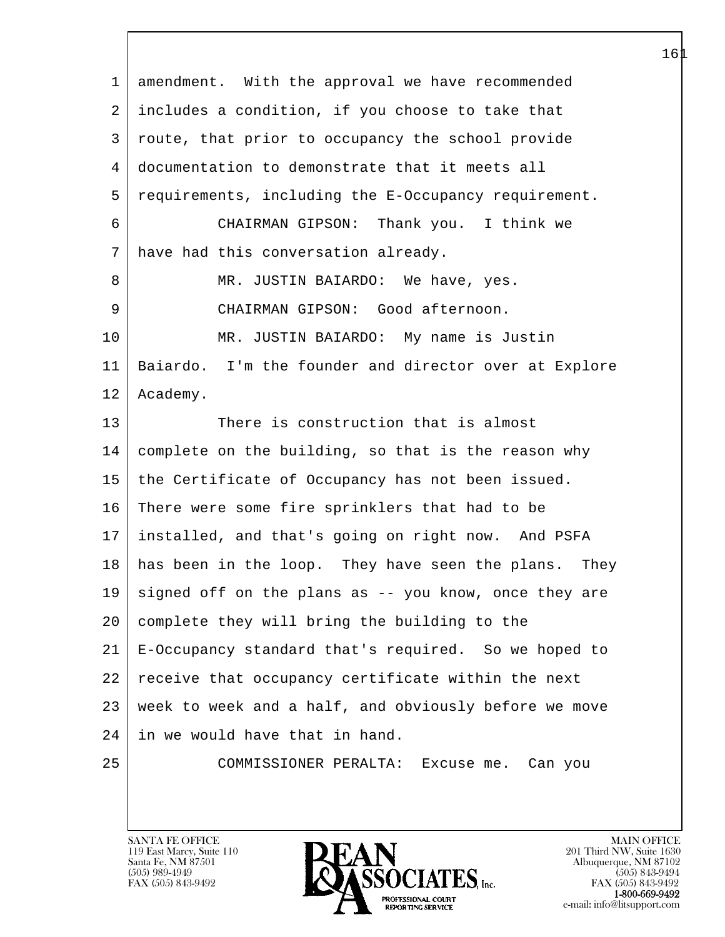| $\mathbf 1$ | amendment. With the approval we have recommended        |
|-------------|---------------------------------------------------------|
| 2           | includes a condition, if you choose to take that        |
| 3           | route, that prior to occupancy the school provide       |
| 4           | documentation to demonstrate that it meets all          |
| 5           | requirements, including the E-Occupancy requirement.    |
| 6           | CHAIRMAN GIPSON: Thank you. I think we                  |
| 7           | have had this conversation already.                     |
| 8           | MR. JUSTIN BAIARDO: We have, yes.                       |
| 9           | CHAIRMAN GIPSON: Good afternoon.                        |
| 10          | MR. JUSTIN BAIARDO: My name is Justin                   |
| 11          | Baiardo. I'm the founder and director over at Explore   |
| 12          | Academy.                                                |
| 13          | There is construction that is almost                    |
| 14          | complete on the building, so that is the reason why     |
| 15          | the Certificate of Occupancy has not been issued.       |
| 16          | There were some fire sprinklers that had to be          |
| 17          | installed, and that's going on right now. And PSFA      |
| 18          | has been in the loop. They have seen the plans.<br>They |
| 19          | signed off on the plans as -- you know, once they are   |
| 20          | complete they will bring the building to the            |
| 21          | E-Occupancy standard that's required. So we hoped to    |
| 22          | receive that occupancy certificate within the next      |
| 23          | week to week and a half, and obviously before we move   |
| 24          | in we would have that in hand.                          |
| 25          | COMMISSIONER PERALTA: Excuse me. Can you                |
|             |                                                         |

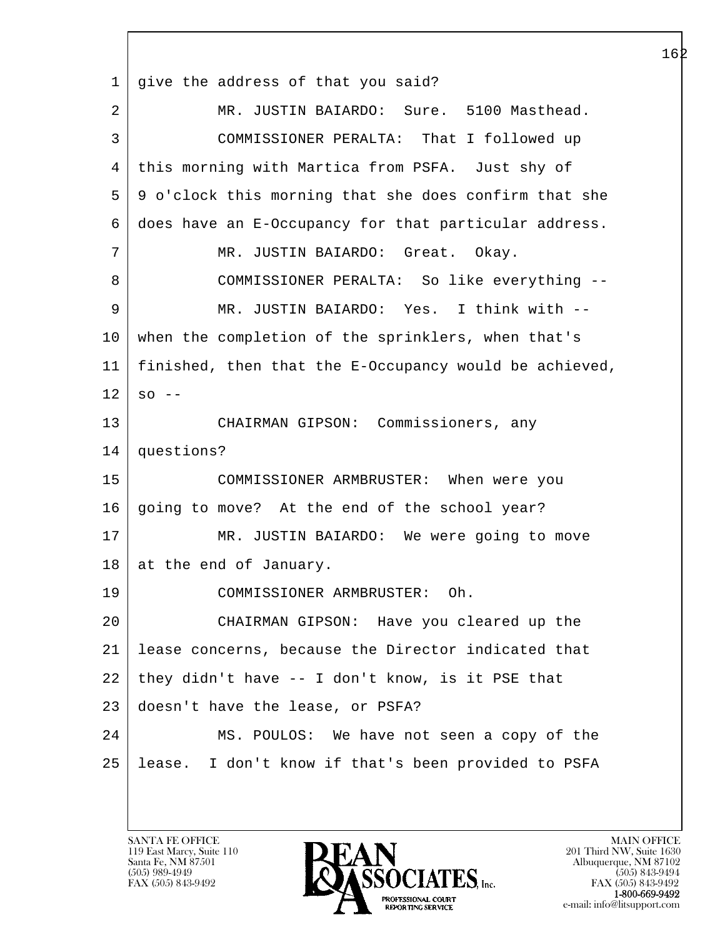l  $\overline{\phantom{a}}$  1 give the address of that you said? 2 MR. JUSTIN BAIARDO: Sure. 5100 Masthead. 3 COMMISSIONER PERALTA: That I followed up 4 this morning with Martica from PSFA. Just shy of 5 9 o'clock this morning that she does confirm that she 6 does have an E-Occupancy for that particular address. 7 | MR. JUSTIN BAIARDO: Great. Okay. 8 COMMISSIONER PERALTA: So like everything -- 9 MR. JUSTIN BAIARDO: Yes. I think with -- 10 when the completion of the sprinklers, when that's 11 finished, then that the E-Occupancy would be achieved,  $12$  so  $-$ 13 CHAIRMAN GIPSON: Commissioners, any 14 questions? 15 COMMISSIONER ARMBRUSTER: When were you 16 going to move? At the end of the school year? 17 | MR. JUSTIN BAIARDO: We were going to move 18 at the end of January. 19 COMMISSIONER ARMBRUSTER: Oh. 20 CHAIRMAN GIPSON: Have you cleared up the 21 lease concerns, because the Director indicated that 22 they didn't have -- I don't know, is it PSE that 23 doesn't have the lease, or PSFA? 24 MS. POULOS: We have not seen a copy of the 25 lease. I don't know if that's been provided to PSFA

119 East Marcy, Suite 110<br>Santa Fe, NM 87501

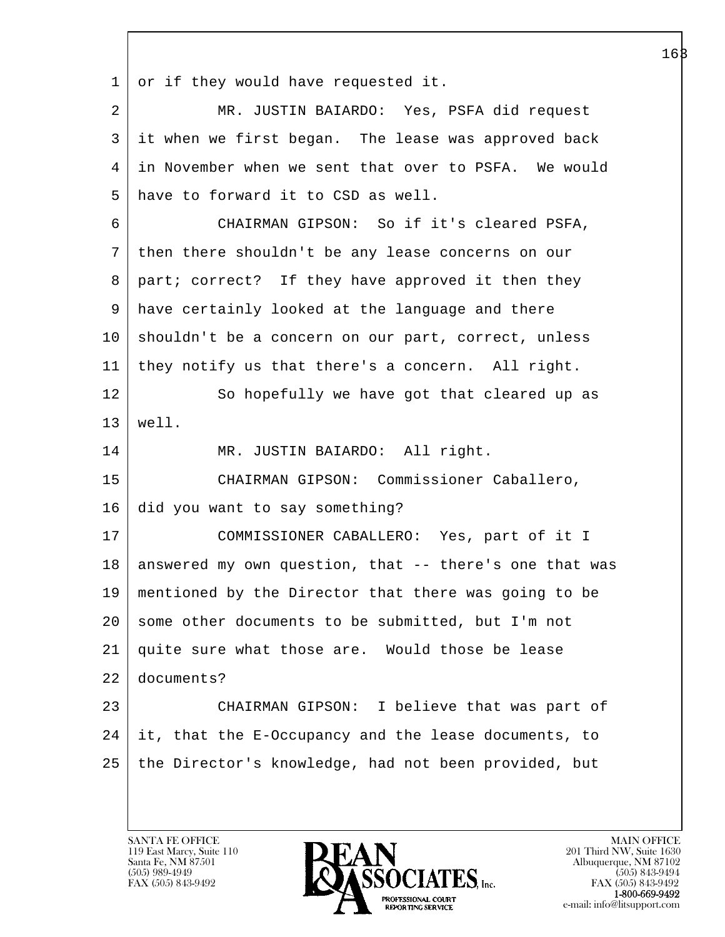$1$  or if they would have requested it.

| 2               | MR. JUSTIN BAIARDO: Yes, PSFA did request              |
|-----------------|--------------------------------------------------------|
| 3               | it when we first began. The lease was approved back    |
| 4               | in November when we sent that over to PSFA. We would   |
| 5               | have to forward it to CSD as well.                     |
| 6               | CHAIRMAN GIPSON: So if it's cleared PSFA,              |
| 7               | then there shouldn't be any lease concerns on our      |
| 8               | part; correct? If they have approved it then they      |
| 9               | have certainly looked at the language and there        |
| 10              | shouldn't be a concern on our part, correct, unless    |
| 11              | they notify us that there's a concern. All right.      |
| 12              | So hopefully we have got that cleared up as            |
| 13              | well.                                                  |
| 14              | MR. JUSTIN BAIARDO: All right.                         |
| 15              | CHAIRMAN GIPSON: Commissioner Caballero,               |
| 16              | did you want to say something?                         |
| 17              | COMMISSIONER CABALLERO: Yes, part of it I              |
| 18              | answered my own question, that -- there's one that was |
| 19              | mentioned by the Director that there was going to be   |
| 20 <sup>1</sup> | some other documents to be submitted, but I'm not      |
| 21              | quite sure what those are. Would those be lease        |
| 22              | documents?                                             |
| 23              | CHAIRMAN GIPSON: I believe that was part of            |
| 24              | it, that the E-Occupancy and the lease documents, to   |
| 25              | the Director's knowledge, had not been provided, but   |

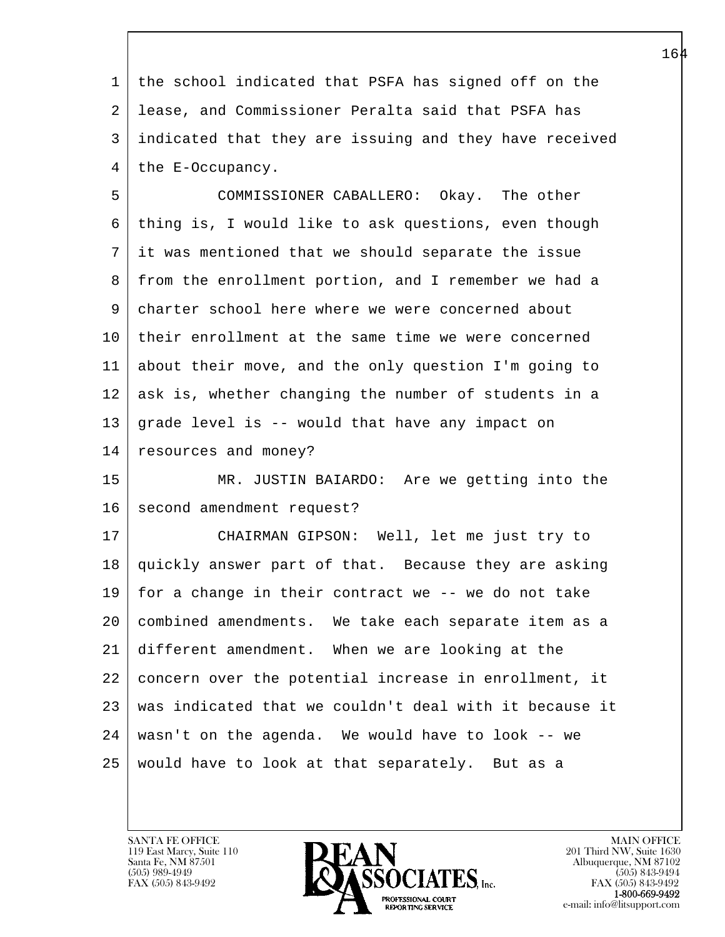1 the school indicated that PSFA has signed off on the 2 lease, and Commissioner Peralta said that PSFA has 3 indicated that they are issuing and they have received 4 the E-Occupancy.

 5 COMMISSIONER CABALLERO: Okay. The other 6 thing is, I would like to ask questions, even though 7 it was mentioned that we should separate the issue 8 from the enrollment portion, and I remember we had a 9 charter school here where we were concerned about 10 their enrollment at the same time we were concerned 11 about their move, and the only question I'm going to 12 ask is, whether changing the number of students in a 13 grade level is -- would that have any impact on 14 resources and money?

15 MR. JUSTIN BAIARDO: Are we getting into the 16 second amendment request?

l 17 CHAIRMAN GIPSON: Well, let me just try to 18 quickly answer part of that. Because they are asking 19 | for a change in their contract we  $-$  we do not take 20 combined amendments. We take each separate item as a 21 different amendment. When we are looking at the 22 concern over the potential increase in enrollment, it 23 was indicated that we couldn't deal with it because it 24 wasn't on the agenda. We would have to look -- we 25 would have to look at that separately. But as a

119 East Marcy, Suite 110<br>Santa Fe, NM 87501

 $\overline{\phantom{a}}$ 

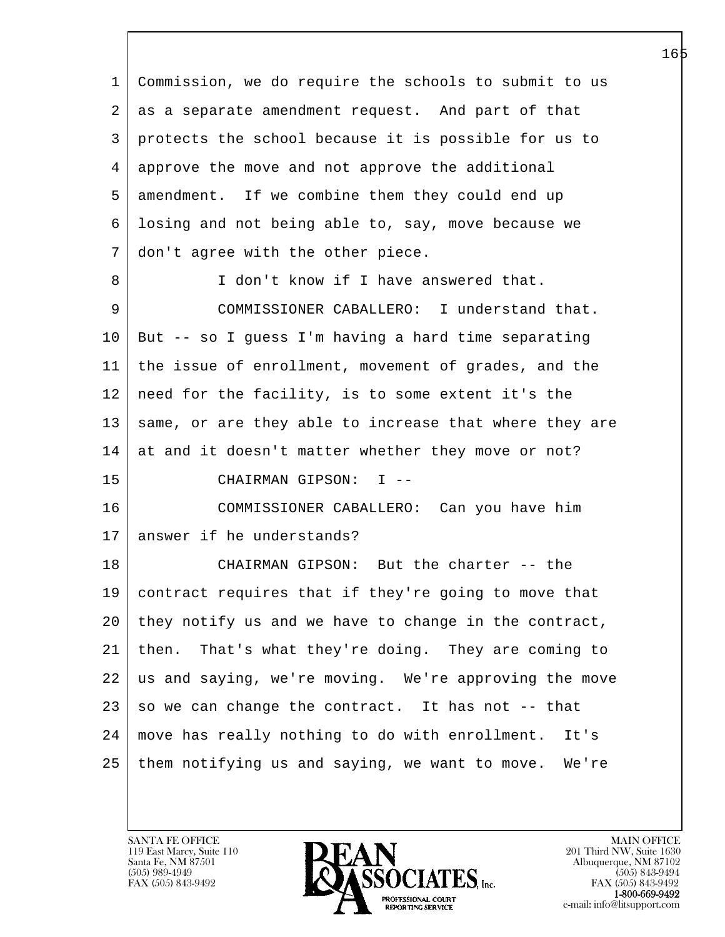l  $\overline{\phantom{a}}$  1 Commission, we do require the schools to submit to us 2 as a separate amendment request. And part of that 3 protects the school because it is possible for us to 4 approve the move and not approve the additional 5 amendment. If we combine them they could end up 6 losing and not being able to, say, move because we 7 don't agree with the other piece. 8 I don't know if I have answered that. 9 COMMISSIONER CABALLERO: I understand that. 10 But -- so I guess I'm having a hard time separating 11 the issue of enrollment, movement of grades, and the 12 need for the facility, is to some extent it's the  $13$  same, or are they able to increase that where they are  $14$  at and it doesn't matter whether they move or not? 15 CHAIRMAN GIPSON: I -- 16 COMMISSIONER CABALLERO: Can you have him 17 answer if he understands? 18 CHAIRMAN GIPSON: But the charter -- the 19 contract requires that if they're going to move that 20 they notify us and we have to change in the contract, 21 then. That's what they're doing. They are coming to 22 us and saying, we're moving. We're approving the move  $23$  so we can change the contract. It has not  $-$ - that 24 move has really nothing to do with enrollment. It's 25 them notifying us and saying, we want to move. We're

119 East Marcy, Suite 110<br>Santa Fe, NM 87501

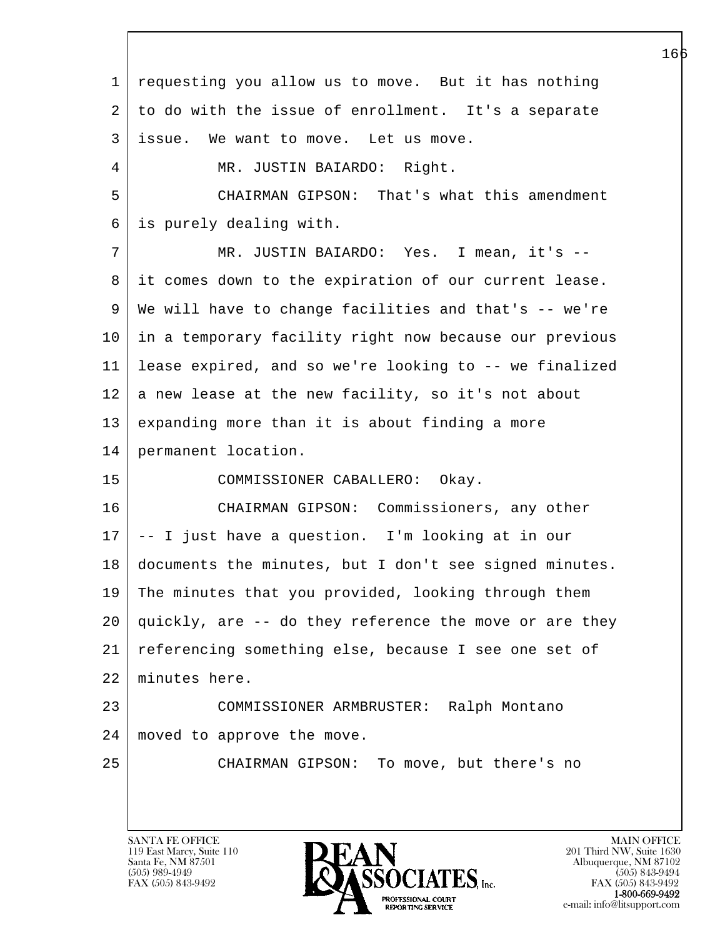l  $\overline{\phantom{a}}$  1 requesting you allow us to move. But it has nothing 2 to do with the issue of enrollment. It's a separate 3 issue. We want to move. Let us move. 4 | MR. JUSTIN BAIARDO: Right. 5 CHAIRMAN GIPSON: That's what this amendment 6 is purely dealing with. 7 MR. JUSTIN BAIARDO: Yes. I mean, it's -- 8 it comes down to the expiration of our current lease. 9 We will have to change facilities and that's -- we're 10 in a temporary facility right now because our previous 11 lease expired, and so we're looking to -- we finalized  $12$  a new lease at the new facility, so it's not about 13 expanding more than it is about finding a more 14 permanent location. 15 COMMISSIONER CABALLERO: Okay. 16 CHAIRMAN GIPSON: Commissioners, any other 17 -- I just have a question. I'm looking at in our 18 documents the minutes, but I don't see signed minutes. 19 The minutes that you provided, looking through them 20 quickly, are -- do they reference the move or are they 21 referencing something else, because I see one set of 22 minutes here. 23 COMMISSIONER ARMBRUSTER: Ralph Montano 24 moved to approve the move. 25 CHAIRMAN GIPSON: To move, but there's no

119 East Marcy, Suite 110<br>Santa Fe, NM 87501

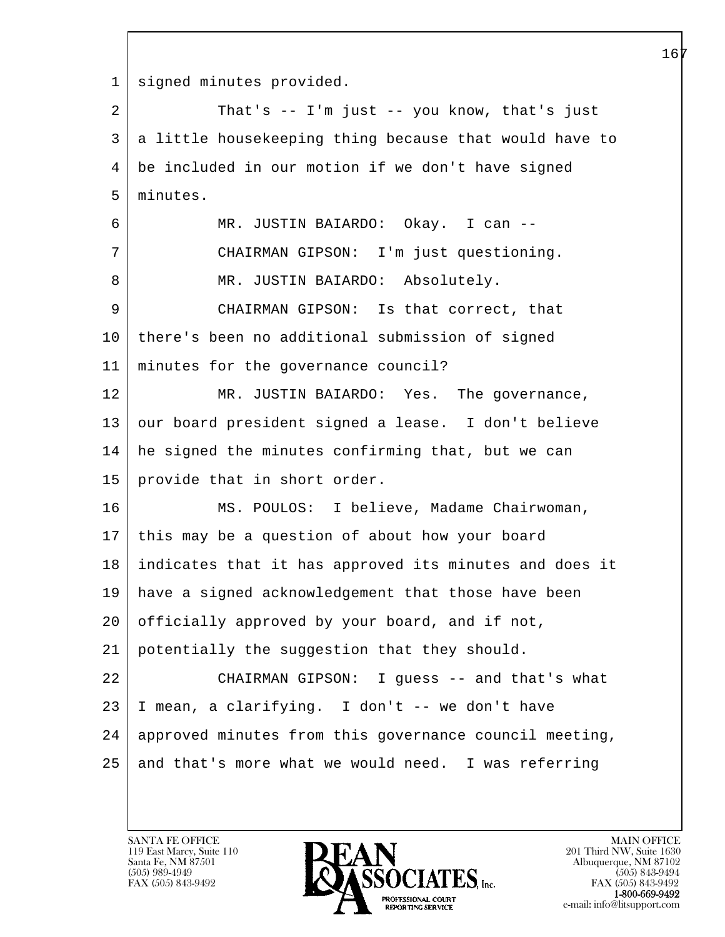l  $\overline{\phantom{a}}$ 1 | signed minutes provided. 2 That's -- I'm just -- you know, that's just 3 a little housekeeping thing because that would have to 4 be included in our motion if we don't have signed 5 minutes. 6 MR. JUSTIN BAIARDO: Okay. I can -- 7 CHAIRMAN GIPSON: I'm just questioning. 8 | MR. JUSTIN BAIARDO: Absolutely. 9 CHAIRMAN GIPSON: Is that correct, that 10 there's been no additional submission of signed 11 minutes for the governance council? 12 MR. JUSTIN BAIARDO: Yes. The governance, 13 our board president signed a lease. I don't believe 14 he signed the minutes confirming that, but we can 15 provide that in short order. 16 | MS. POULOS: I believe, Madame Chairwoman, 17 this may be a question of about how your board 18 indicates that it has approved its minutes and does it 19 have a signed acknowledgement that those have been 20 | officially approved by your board, and if not, 21 potentially the suggestion that they should. 22 CHAIRMAN GIPSON: I guess -- and that's what 23 I mean, a clarifying. I don't -- we don't have 24 | approved minutes from this governance council meeting,  $25$  and that's more what we would need. I was referring

119 East Marcy, Suite 110<br>Santa Fe, NM 87501

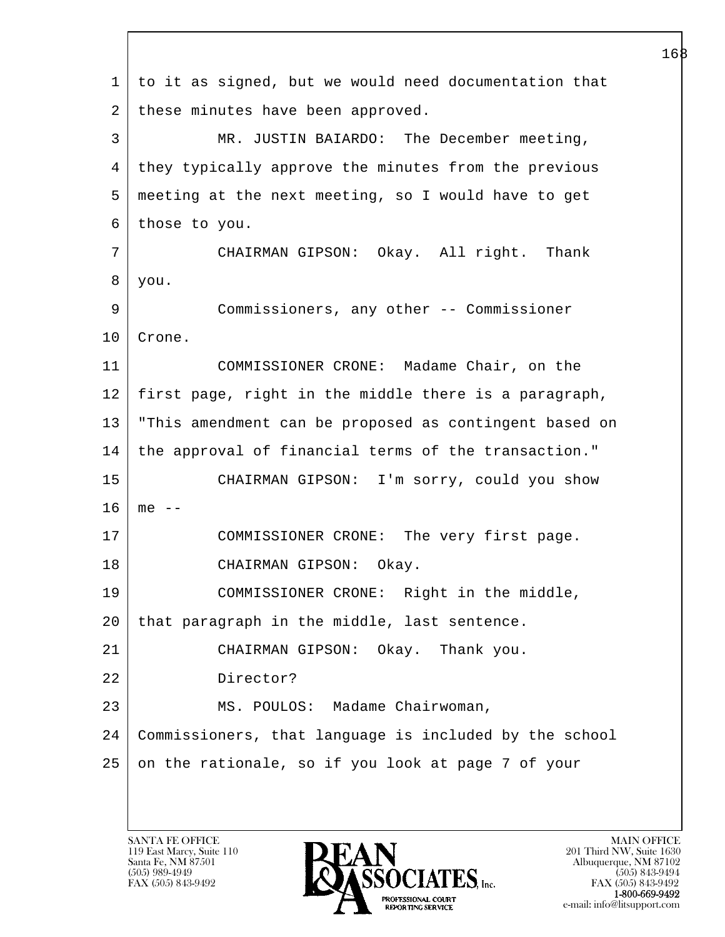l  $\overline{\phantom{a}}$  1 to it as signed, but we would need documentation that 2 | these minutes have been approved. 3 MR. JUSTIN BAIARDO: The December meeting, 4 they typically approve the minutes from the previous 5 meeting at the next meeting, so I would have to get 6 those to you. 7 CHAIRMAN GIPSON: Okay. All right. Thank 8 you. 9 Commissioners, any other -- Commissioner 10 Crone. 11 COMMISSIONER CRONE: Madame Chair, on the 12 first page, right in the middle there is a paragraph, 13 "This amendment can be proposed as contingent based on 14 the approval of financial terms of the transaction." 15 CHAIRMAN GIPSON: I'm sorry, could you show  $16 \mid me --$ 17 | COMMISSIONER CRONE: The very first page. 18 CHAIRMAN GIPSON: Okay. 19 COMMISSIONER CRONE: Right in the middle, 20 that paragraph in the middle, last sentence. 21 CHAIRMAN GIPSON: Okay. Thank you. 22 Director? 23 | MS. POULOS: Madame Chairwoman, 24 Commissioners, that language is included by the school 25 on the rationale, so if you look at page 7 of your

119 East Marcy, Suite 110<br>Santa Fe, NM 87501

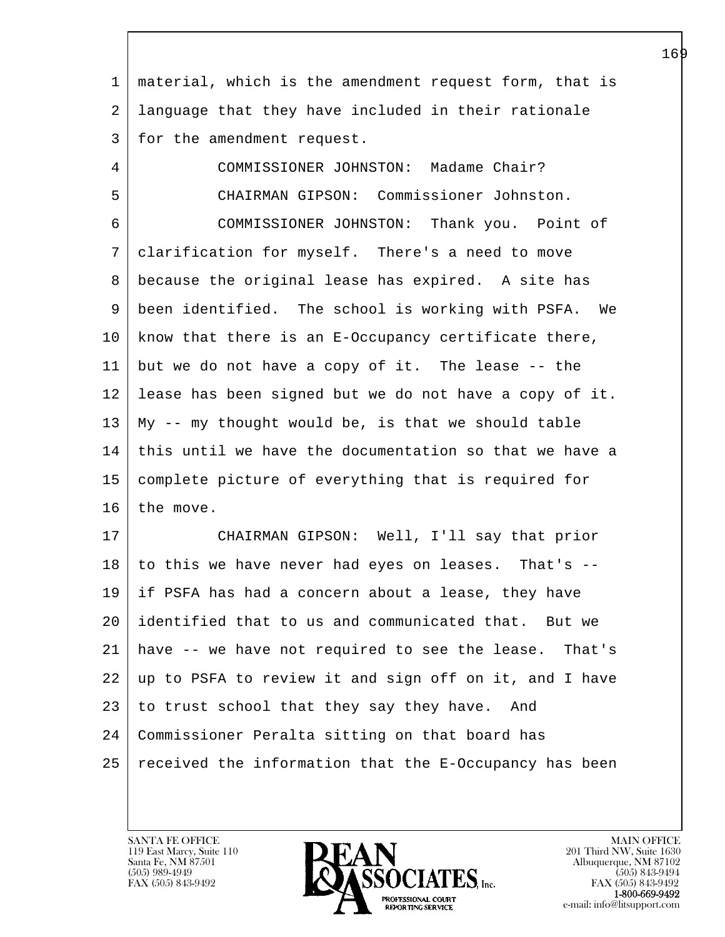| $\mathbf 1$ | material, which is the amendment request form, that is |
|-------------|--------------------------------------------------------|
| 2           | language that they have included in their rationale    |
| 3           | for the amendment request.                             |
| 4           | COMMISSIONER JOHNSTON: Madame Chair?                   |
| 5           | CHAIRMAN GIPSON: Commissioner Johnston.                |
| 6           | COMMISSIONER JOHNSTON: Thank you. Point of             |
| 7           | clarification for myself. There's a need to move       |
| 8           | because the original lease has expired. A site has     |
| 9           | been identified. The school is working with PSFA. We   |
| 10          | know that there is an E-Occupancy certificate there,   |
| 11          | but we do not have a copy of it. The lease -- the      |
| 12          | lease has been signed but we do not have a copy of it. |
| 13          | My -- my thought would be, is that we should table     |
| 14          | this until we have the documentation so that we have a |
| 15          | complete picture of everything that is required for    |
| 16          | the move.                                              |
| 17          | CHAIRMAN GIPSON: Well, I'll say that prior             |
| 18          | to this we have never had eyes on leases. That's --    |
| 19          | if PSFA has had a concern about a lease, they have     |
| 20          | identified that to us and communicated that. But we    |
| 21          | have -- we have not required to see the lease. That's  |
| 22          | up to PSFA to review it and sign off on it, and I have |
| 23          | to trust school that they say they have. And           |
| 24          | Commissioner Peralta sitting on that board has         |
| 25          | received the information that the E-Occupancy has been |
|             |                                                        |

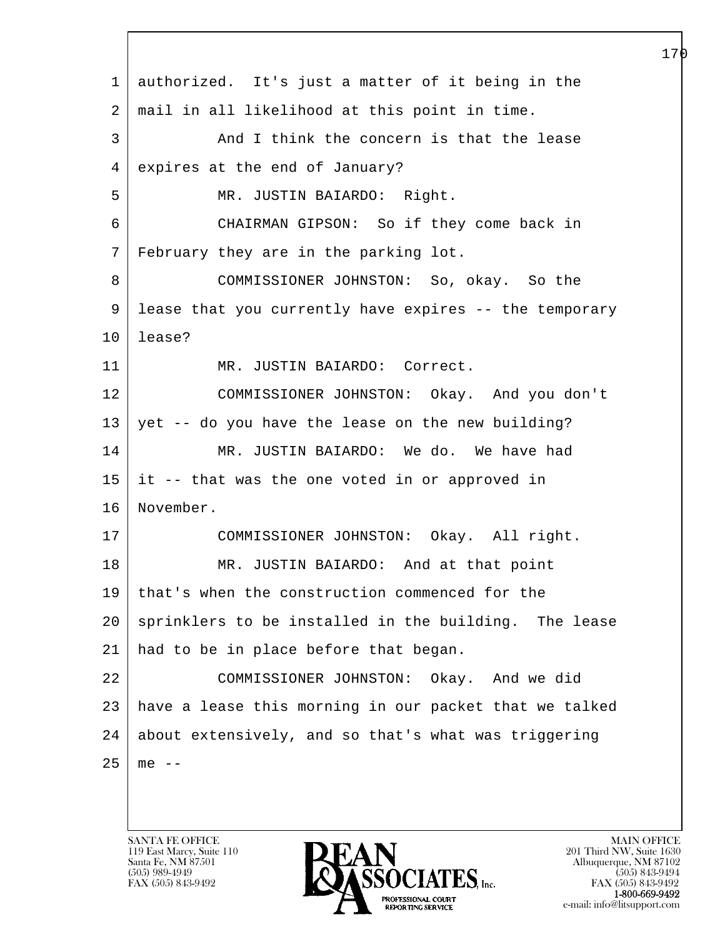l  $\overline{\phantom{a}}$  1 authorized. It's just a matter of it being in the 2 mail in all likelihood at this point in time. 3 And I think the concern is that the lease 4 expires at the end of January? 5 MR. JUSTIN BAIARDO: Right. 6 CHAIRMAN GIPSON: So if they come back in 7 February they are in the parking lot. 8 COMMISSIONER JOHNSTON: So, okay. So the 9 lease that you currently have expires -- the temporary 10 lease? 11 | MR. JUSTIN BAIARDO: Correct. 12 COMMISSIONER JOHNSTON: Okay. And you don't  $13$  yet -- do you have the lease on the new building? 14 MR. JUSTIN BAIARDO: We do. We have had 15 it -- that was the one voted in or approved in 16 November. 17 COMMISSIONER JOHNSTON: Okay. All right. 18 | MR. JUSTIN BAIARDO: And at that point 19 that's when the construction commenced for the 20 sprinklers to be installed in the building. The lease 21 had to be in place before that began. 22 COMMISSIONER JOHNSTON: Okay. And we did 23 have a lease this morning in our packet that we talked 24 about extensively, and so that's what was triggering  $25 \mid me --$ 

119 East Marcy, Suite 110<br>Santa Fe, NM 87501

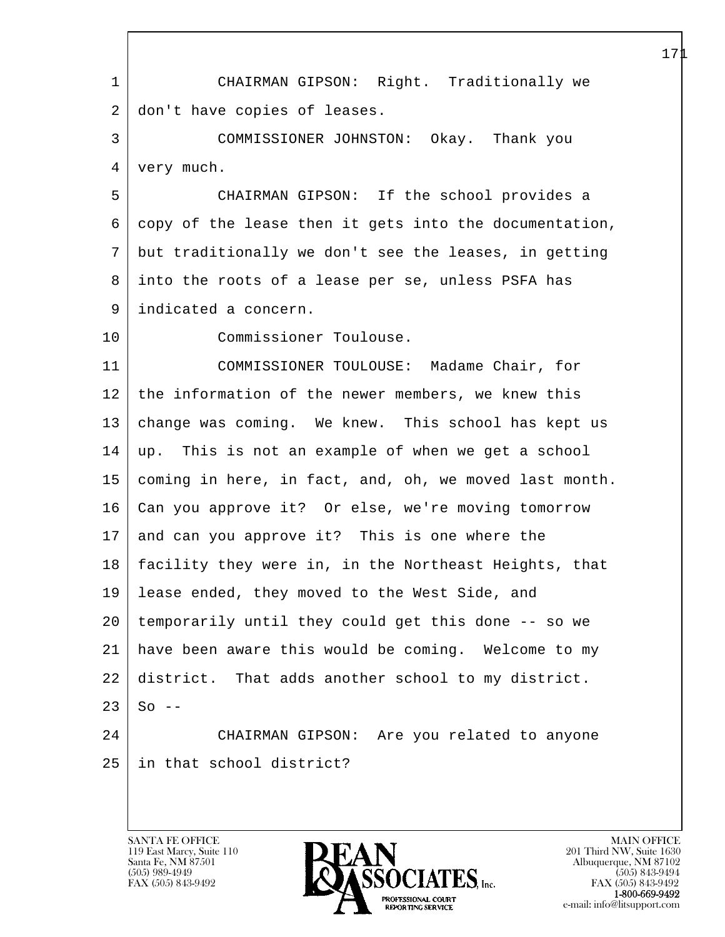l  $\overline{\phantom{a}}$  1 CHAIRMAN GIPSON: Right. Traditionally we 2 don't have copies of leases. 3 COMMISSIONER JOHNSTON: Okay. Thank you 4 | very much. 5 CHAIRMAN GIPSON: If the school provides a 6 copy of the lease then it gets into the documentation, 7 but traditionally we don't see the leases, in getting 8 into the roots of a lease per se, unless PSFA has 9 indicated a concern. 10 Commissioner Toulouse. 11 COMMISSIONER TOULOUSE: Madame Chair, for 12 the information of the newer members, we knew this 13 change was coming. We knew. This school has kept us 14 up. This is not an example of when we get a school 15 coming in here, in fact, and, oh, we moved last month. 16 Can you approve it? Or else, we're moving tomorrow 17 and can you approve it? This is one where the 18 facility they were in, in the Northeast Heights, that 19 lease ended, they moved to the West Side, and 20 temporarily until they could get this done -- so we 21 have been aware this would be coming. Welcome to my 22 district. That adds another school to my district.  $23$  So  $-$ 24 CHAIRMAN GIPSON: Are you related to anyone 25 in that school district?

119 East Marcy, Suite 110<br>Santa Fe, NM 87501



FAX (505) 843-9492 FAX (505) 843-9492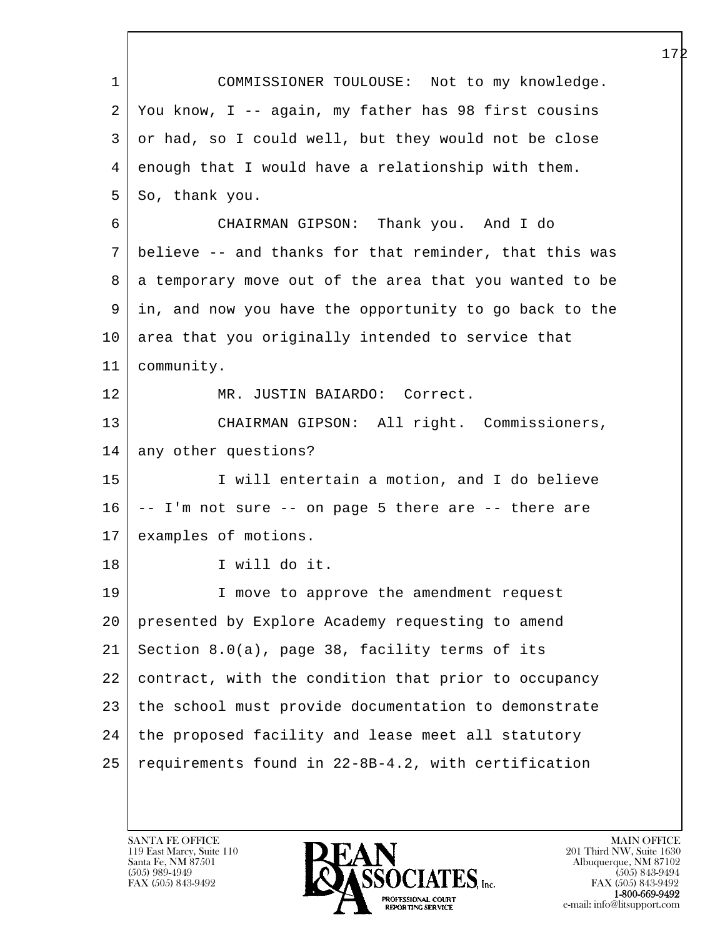l  $\overline{\phantom{a}}$  1 COMMISSIONER TOULOUSE: Not to my knowledge. 2 You know, I -- again, my father has 98 first cousins 3 or had, so I could well, but they would not be close 4 enough that I would have a relationship with them.  $5$  So, thank you. 6 CHAIRMAN GIPSON: Thank you. And I do 7 believe -- and thanks for that reminder, that this was 8 a temporary move out of the area that you wanted to be 9 in, and now you have the opportunity to go back to the 10 area that you originally intended to service that 11 community. 12 MR. JUSTIN BAIARDO: Correct. 13 CHAIRMAN GIPSON: All right. Commissioners, 14 | any other questions? 15 I will entertain a motion, and I do believe  $16$  -- I'm not sure -- on page 5 there are -- there are 17 examples of motions. 18 I will do it. 19 | I move to approve the amendment request 20 presented by Explore Academy requesting to amend 21 Section 8.0(a), page 38, facility terms of its 22 contract, with the condition that prior to occupancy 23 the school must provide documentation to demonstrate 24 the proposed facility and lease meet all statutory 25 requirements found in 22-8B-4.2, with certification

119 East Marcy, Suite 110<br>Santa Fe, NM 87501

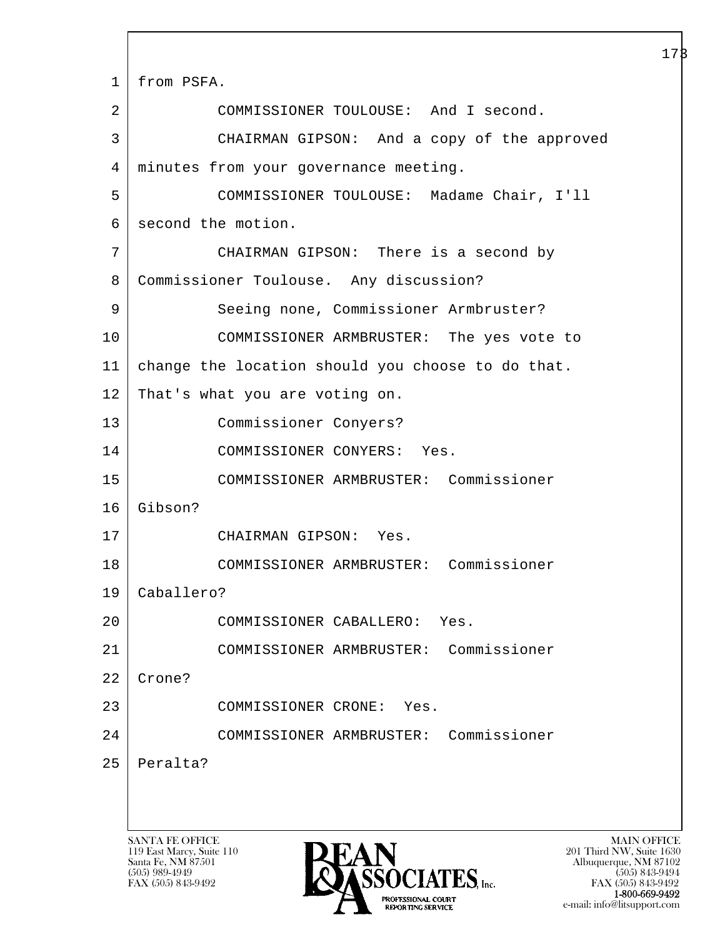l  $\overline{\phantom{a}}$ SANTA FE OFFICE MAIN OFFICE MAIN OFFICE MAIN OFFICE MAIN OFFICE 119 East Marcy, Suite 110<br>Santa Fe, NM 87501 Santa Fe, NM 87501 Albuquerque, NM 87102 173 1 from PSFA. 2 COMMISSIONER TOULOUSE: And I second. 3 CHAIRMAN GIPSON: And a copy of the approved 4 minutes from your governance meeting. 5 COMMISSIONER TOULOUSE: Madame Chair, I'll 6 second the motion. 7 CHAIRMAN GIPSON: There is a second by 8 Commissioner Toulouse. Any discussion? 9 Seeing none, Commissioner Armbruster? 10 COMMISSIONER ARMBRUSTER: The yes vote to 11 change the location should you choose to do that. 12 That's what you are voting on. 13 Commissioner Conyers? 14 COMMISSIONER CONYERS: Yes. 15 COMMISSIONER ARMBRUSTER: Commissioner 16 Gibson? 17 CHAIRMAN GIPSON: Yes. 18 COMMISSIONER ARMBRUSTER: Commissioner 19 Caballero? 20 COMMISSIONER CABALLERO: Yes. 21 COMMISSIONER ARMBRUSTER: Commissioner 22 | Crone? 23 COMMISSIONER CRONE: Yes. 24 COMMISSIONER ARMBRUSTER: Commissioner 25 Peralta?



FAX (505) 843-9492 FAX (505) 843-9492 1-800-669-9492<br>PROFESSIONAL COURT **EXECUTE EXECUTE:**<br>REPORTING SERVICE e-mail: info@litsupport.com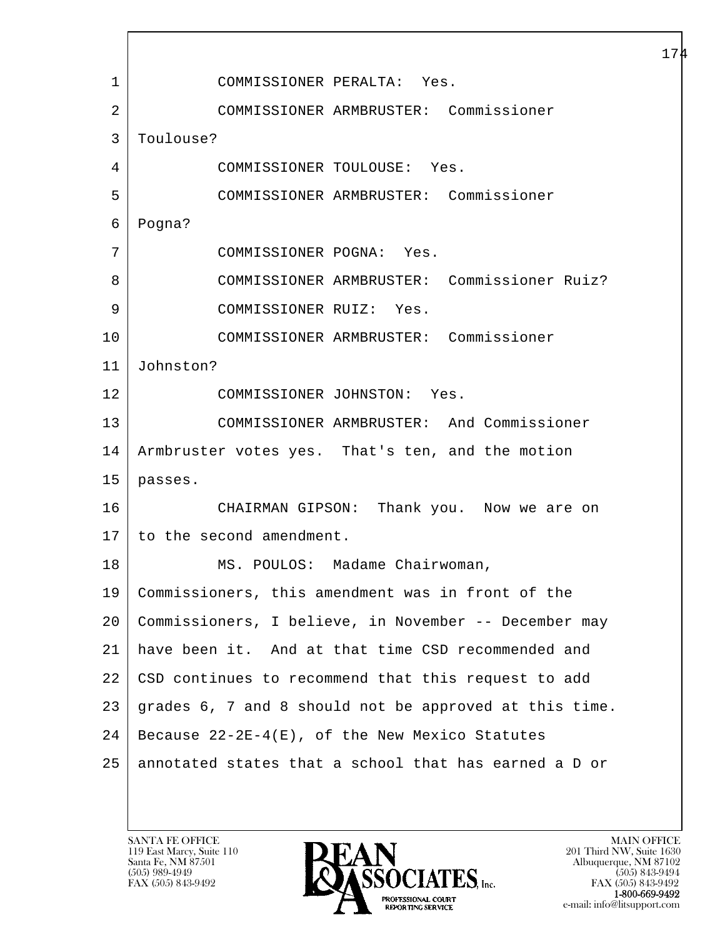l  $\overline{\phantom{a}}$  1 COMMISSIONER PERALTA: Yes. 2 COMMISSIONER ARMBRUSTER: Commissioner 3 Toulouse? 4 COMMISSIONER TOULOUSE: Yes. 5 COMMISSIONER ARMBRUSTER: Commissioner 6 Pogna? 7 COMMISSIONER POGNA: Yes. 8 COMMISSIONER ARMBRUSTER: Commissioner Ruiz? 9 COMMISSIONER RUIZ: Yes. 10 COMMISSIONER ARMBRUSTER: Commissioner 11 Johnston? 12 COMMISSIONER JOHNSTON: Yes. 13 COMMISSIONER ARMBRUSTER: And Commissioner 14 Armbruster votes yes. That's ten, and the motion 15 passes. 16 CHAIRMAN GIPSON: Thank you. Now we are on 17 to the second amendment. 18 | MS. POULOS: Madame Chairwoman, 19 Commissioners, this amendment was in front of the 20 Commissioners, I believe, in November -- December may 21 have been it. And at that time CSD recommended and 22 CSD continues to recommend that this request to add 23 grades 6, 7 and 8 should not be approved at this time.  $24$  Because  $22 - 2E - 4(E)$ , of the New Mexico Statutes 25 annotated states that a school that has earned a D or

119 East Marcy, Suite 110<br>Santa Fe, NM 87501

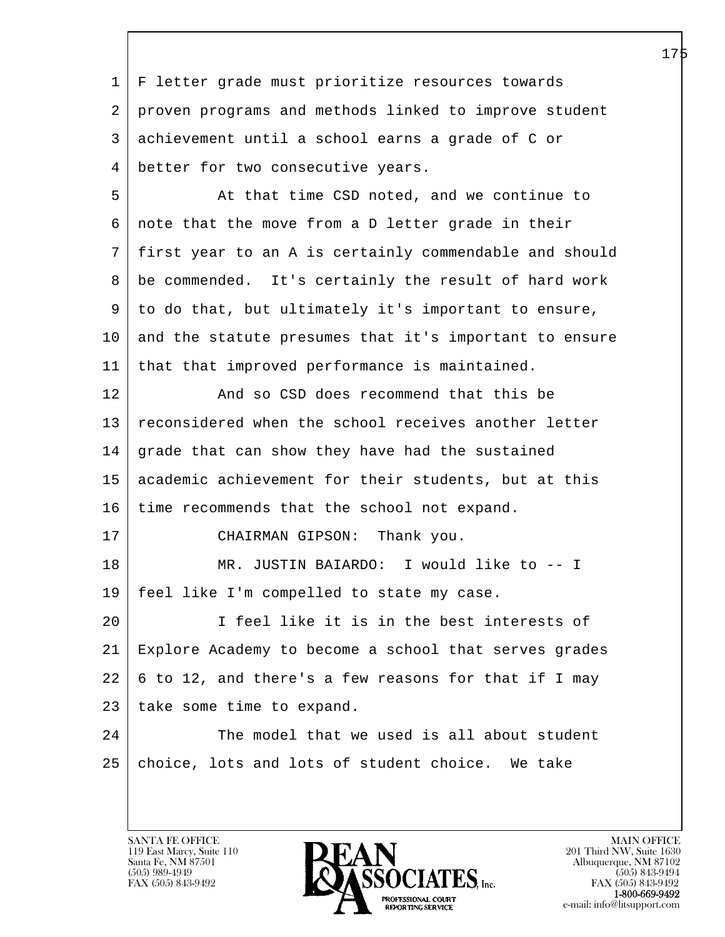l  $\overline{\phantom{a}}$  1 F letter grade must prioritize resources towards 2 proven programs and methods linked to improve student 3 achievement until a school earns a grade of C or 4 better for two consecutive years. 5 At that time CSD noted, and we continue to 6 note that the move from a D letter grade in their 7 first year to an A is certainly commendable and should 8 be commended. It's certainly the result of hard work 9 to do that, but ultimately it's important to ensure, 10 and the statute presumes that it's important to ensure 11 that that improved performance is maintained. 12 And so CSD does recommend that this be 13 reconsidered when the school receives another letter 14 grade that can show they have had the sustained 15 academic achievement for their students, but at this 16 time recommends that the school not expand. 17 CHAIRMAN GIPSON: Thank you. 18 | MR. JUSTIN BAIARDO: I would like to -- I 19 feel like I'm compelled to state my case. 20 I feel like it is in the best interests of 21 Explore Academy to become a school that serves grades 22 6 to 12, and there's a few reasons for that if I may 23 | take some time to expand. 24 The model that we used is all about student 25 | choice, lots and lots of student choice. We take

119 East Marcy, Suite 110<br>Santa Fe, NM 87501

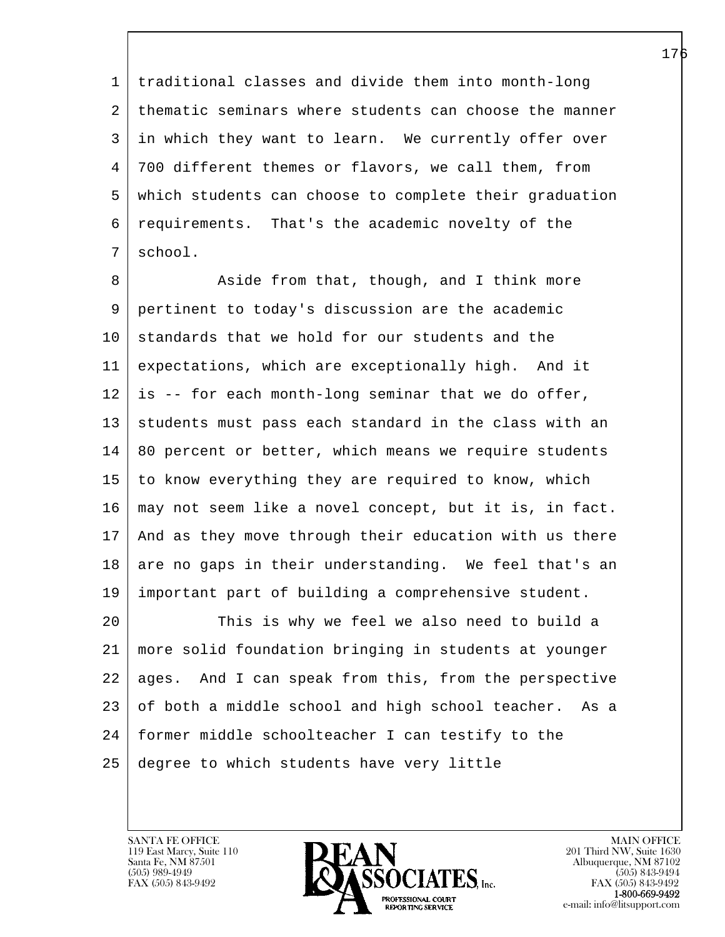1 traditional classes and divide them into month-long 2 | thematic seminars where students can choose the manner 3 in which they want to learn. We currently offer over 4 700 different themes or flavors, we call them, from 5 which students can choose to complete their graduation 6 requirements. That's the academic novelty of the 7 school.

8 Aside from that, though, and I think more 9 pertinent to today's discussion are the academic 10 standards that we hold for our students and the 11 expectations, which are exceptionally high. And it 12 is -- for each month-long seminar that we do offer, 13 students must pass each standard in the class with an 14 80 percent or better, which means we require students 15 to know everything they are required to know, which 16 may not seem like a novel concept, but it is, in fact. 17 And as they move through their education with us there 18 are no gaps in their understanding. We feel that's an 19 important part of building a comprehensive student.

l 20 This is why we feel we also need to build a 21 more solid foundation bringing in students at younger 22 ages. And I can speak from this, from the perspective 23 of both a middle school and high school teacher. As a 24 former middle schoolteacher I can testify to the 25 degree to which students have very little

119 East Marcy, Suite 110<br>Santa Fe, NM 87501

 $\overline{\phantom{a}}$ 



FAX (505) 843-9492<br>1-800-669-9492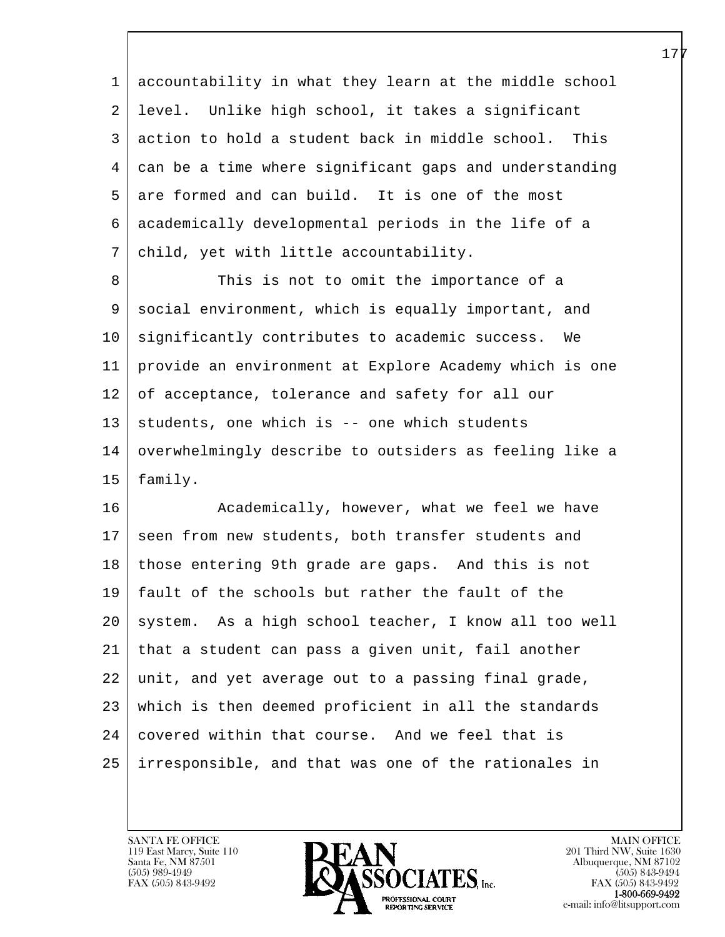1 accountability in what they learn at the middle school 2 level. Unlike high school, it takes a significant 3 action to hold a student back in middle school. This 4 can be a time where significant gaps and understanding 5 are formed and can build. It is one of the most 6 academically developmental periods in the life of a 7 child, yet with little accountability.

8 This is not to omit the importance of a 9 social environment, which is equally important, and 10 significantly contributes to academic success. We 11 provide an environment at Explore Academy which is one 12 of acceptance, tolerance and safety for all our  $13$  students, one which is -- one which students 14 overwhelmingly describe to outsiders as feeling like a 15 family.

l 16 Academically, however, what we feel we have 17 seen from new students, both transfer students and 18 | those entering 9th grade are gaps. And this is not 19 fault of the schools but rather the fault of the 20 | system. As a high school teacher, I know all too well 21 that a student can pass a given unit, fail another 22 unit, and yet average out to a passing final grade, 23 which is then deemed proficient in all the standards 24 covered within that course. And we feel that is 25 irresponsible, and that was one of the rationales in

119 East Marcy, Suite 110<br>Santa Fe, NM 87501

 $\overline{\phantom{a}}$ 

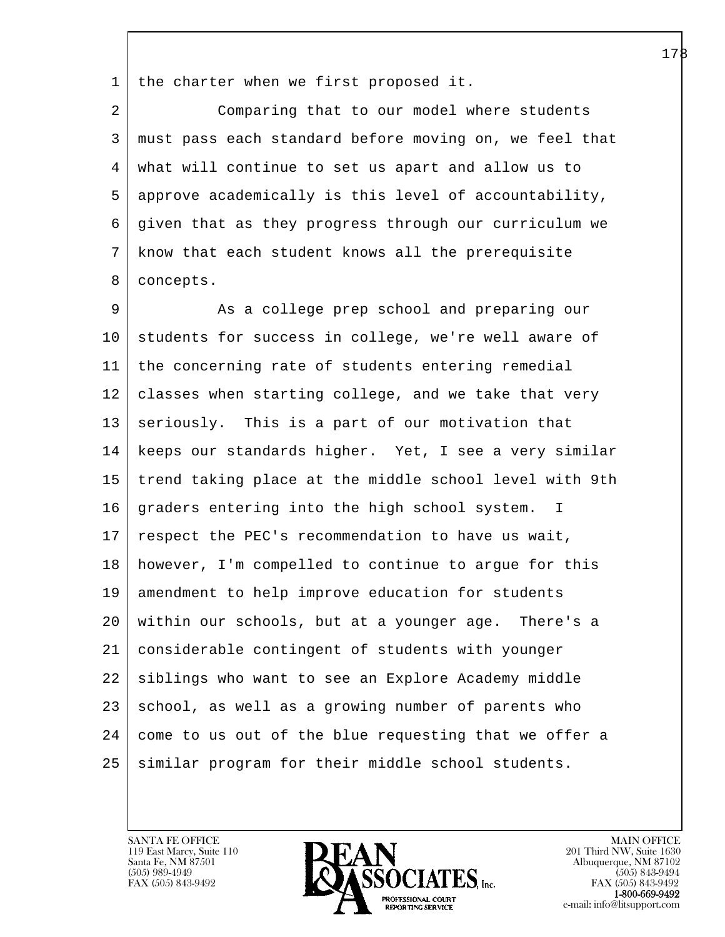1 the charter when we first proposed it.

2 Comparing that to our model where students 3 must pass each standard before moving on, we feel that 4 what will continue to set us apart and allow us to 5 approve academically is this level of accountability, 6 given that as they progress through our curriculum we 7 know that each student knows all the prerequisite 8 | concepts.

l 9 As a college prep school and preparing our 10 students for success in college, we're well aware of 11 the concerning rate of students entering remedial 12 | classes when starting college, and we take that very 13 | seriously. This is a part of our motivation that 14 keeps our standards higher. Yet, I see a very similar 15 trend taking place at the middle school level with 9th 16 | graders entering into the high school system. I 17 | respect the PEC's recommendation to have us wait, 18 however, I'm compelled to continue to argue for this 19 amendment to help improve education for students 20 within our schools, but at a younger age. There's a 21 considerable contingent of students with younger 22 siblings who want to see an Explore Academy middle 23 | school, as well as a growing number of parents who  $24$  come to us out of the blue requesting that we offer a 25 similar program for their middle school students.

119 East Marcy, Suite 110<br>Santa Fe, NM 87501

 $\overline{\phantom{a}}$ 

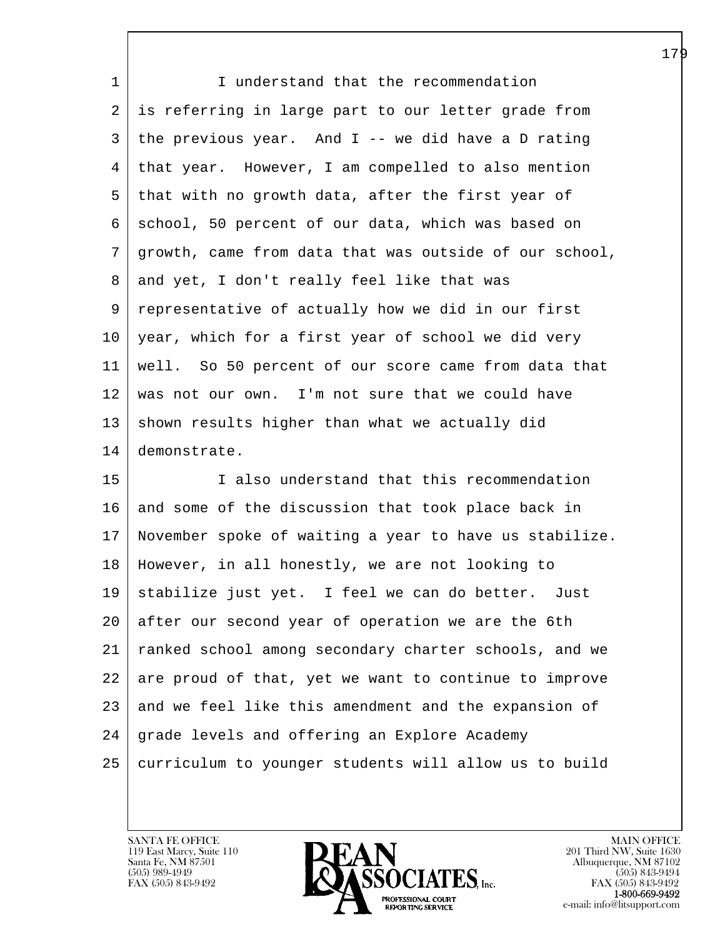| 1  | I understand that the recommendation                   |
|----|--------------------------------------------------------|
| 2  | is referring in large part to our letter grade from    |
| 3  | the previous year. And $I$ -- we did have a D rating   |
| 4  | that year. However, I am compelled to also mention     |
| 5  | that with no growth data, after the first year of      |
| 6  | school, 50 percent of our data, which was based on     |
| 7  | growth, came from data that was outside of our school, |
| 8  | and yet, I don't really feel like that was             |
| 9  | representative of actually how we did in our first     |
| 10 | year, which for a first year of school we did very     |
| 11 | well. So 50 percent of our score came from data that   |
| 12 | was not our own. I'm not sure that we could have       |
| 13 | shown results higher than what we actually did         |
| 14 | demonstrate.                                           |
| 15 | I also understand that this recommendation             |
| 16 | and some of the discussion that took place back in     |
| 17 | November spoke of waiting a year to have us stabilize. |
| 18 | However, in all honestly, we are not looking to        |
|    | 19   stabilize just yet. I feel we can do better. Just |
| 20 | after our second year of operation we are the 6th      |
| 21 | ranked school among secondary charter schools, and we  |
| 22 | are proud of that, yet we want to continue to improve  |
| 23 | and we feel like this amendment and the expansion of   |
| 24 | grade levels and offering an Explore Academy           |

25 curriculum to younger students will allow us to build

l  $\overline{\phantom{a}}$ 

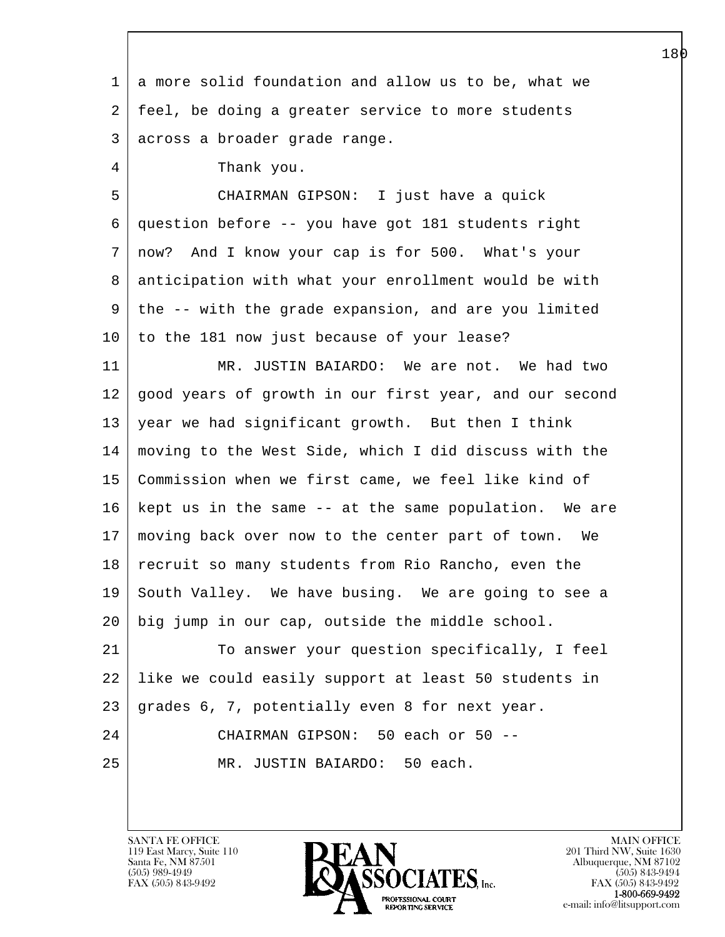| 1  | a more solid foundation and allow us to be, what we    |
|----|--------------------------------------------------------|
| 2  | feel, be doing a greater service to more students      |
| 3  | across a broader grade range.                          |
| 4  | Thank you.                                             |
| 5  | CHAIRMAN GIPSON: I just have a quick                   |
| 6  | question before -- you have got 181 students right     |
| 7  | now? And I know your cap is for 500. What's your       |
| 8  | anticipation with what your enrollment would be with   |
| 9  | the -- with the grade expansion, and are you limited   |
| 10 | to the 181 now just because of your lease?             |
| 11 | MR. JUSTIN BAIARDO: We are not. We had two             |
| 12 | good years of growth in our first year, and our second |
| 13 | year we had significant growth. But then I think       |
| 14 | moving to the West Side, which I did discuss with the  |
| 15 | Commission when we first came, we feel like kind of    |
| 16 | kept us in the same -- at the same population. We are  |
| 17 | moving back over now to the center part of town. We    |
| 18 | recruit so many students from Rio Rancho, even the     |
| 19 | South Valley. We have busing. We are going to see a    |
| 20 | big jump in our cap, outside the middle school.        |
| 21 | To answer your question specifically, I feel           |
| 22 | like we could easily support at least 50 students in   |
| 23 | grades 6, 7, potentially even 8 for next year.         |
| 24 | CHAIRMAN GIPSON: 50 each or 50 --                      |
| 25 | MR. JUSTIN BAIARDO: 50 each.                           |
|    |                                                        |

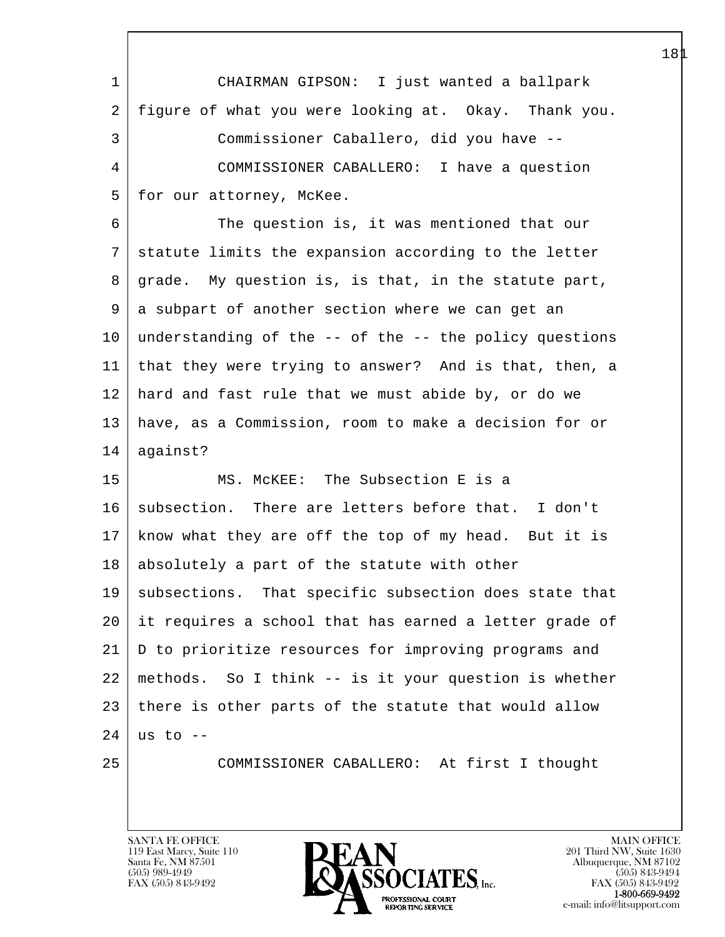| 1  | CHAIRMAN GIPSON: I just wanted a ballpark              |
|----|--------------------------------------------------------|
| 2  | figure of what you were looking at. Okay. Thank you.   |
| 3  | Commissioner Caballero, did you have --                |
| 4  | COMMISSIONER CABALLERO: I have a question              |
| 5  | for our attorney, McKee.                               |
| 6  | The question is, it was mentioned that our             |
| 7  | statute limits the expansion according to the letter   |
| 8  | grade. My question is, is that, in the statute part,   |
| 9  | a subpart of another section where we can get an       |
| 10 | understanding of the -- of the -- the policy questions |
| 11 | that they were trying to answer? And is that, then, a  |
| 12 | hard and fast rule that we must abide by, or do we     |
| 13 | have, as a Commission, room to make a decision for or  |
| 14 | against?                                               |
| 15 | MCKEE: The Subsection E is a<br>MS.                    |
| 16 | subsection. There are letters before that. I don't     |
| 17 | know what they are off the top of my head. But it is   |
| 18 | absolutely a part of the statute with other            |
| 19 | subsections. That specific subsection does state that  |
| 20 | it requires a school that has earned a letter grade of |
| 21 | D to prioritize resources for improving programs and   |
| 22 | methods. So I think -- is it your question is whether  |
| 23 | there is other parts of the statute that would allow   |
| 24 | us to $-$                                              |
| 25 | COMMISSIONER CABALLERO: At first I thought             |
|    |                                                        |

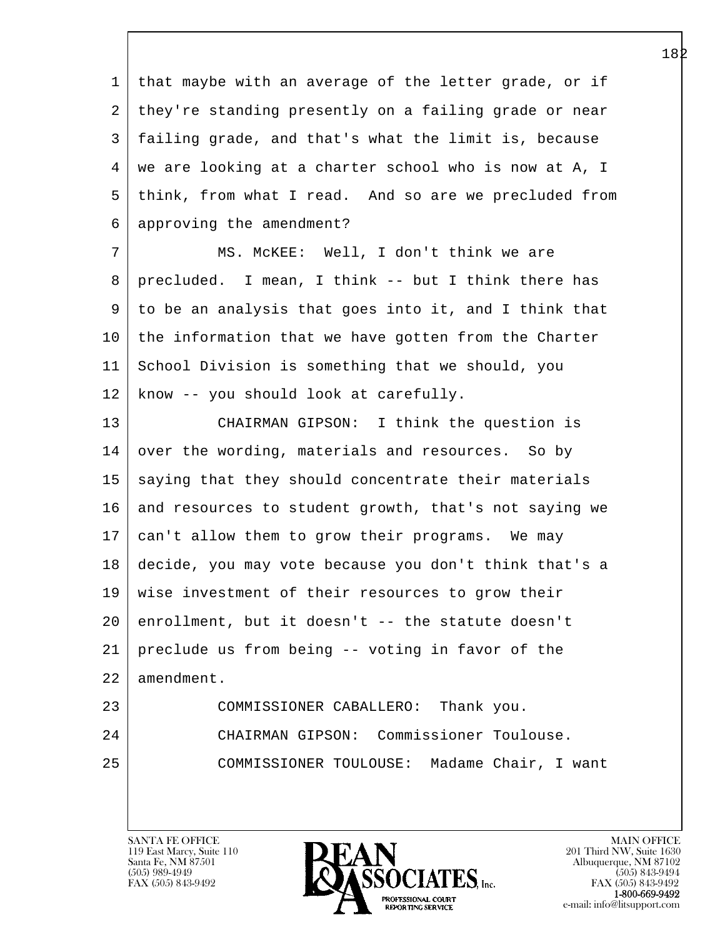1 that maybe with an average of the letter grade, or if 2 they're standing presently on a failing grade or near 3 failing grade, and that's what the limit is, because 4 we are looking at a charter school who is now at A, I 5 think, from what I read. And so are we precluded from 6 approving the amendment?

 7 MS. McKEE: Well, I don't think we are 8 precluded. I mean, I think -- but I think there has 9 to be an analysis that goes into it, and I think that 10 the information that we have gotten from the Charter 11 School Division is something that we should, you 12 know -- you should look at carefully.

13 CHAIRMAN GIPSON: I think the question is 14 over the wording, materials and resources. So by 15 saying that they should concentrate their materials 16 and resources to student growth, that's not saying we 17 can't allow them to grow their programs. We may 18 decide, you may vote because you don't think that's a 19 wise investment of their resources to grow their 20 enrollment, but it doesn't -- the statute doesn't 21 preclude us from being -- voting in favor of the 22 amendment. 23 COMMISSIONER CABALLERO: Thank you.

24 CHAIRMAN GIPSON: Commissioner Toulouse. 25 COMMISSIONER TOULOUSE: Madame Chair, I want

119 East Marcy, Suite 110<br>Santa Fe, NM 87501

l  $\overline{\phantom{a}}$ 

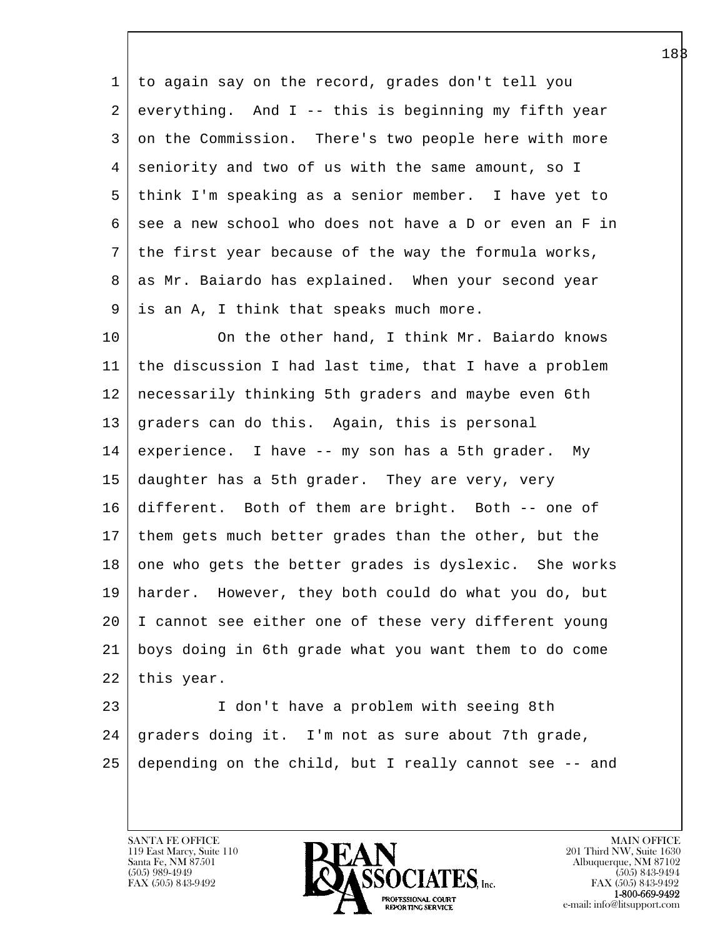1 to again say on the record, grades don't tell you  $2$  everything. And I -- this is beginning my fifth year 3 on the Commission. There's two people here with more 4 seniority and two of us with the same amount, so I 5 think I'm speaking as a senior member. I have yet to 6 see a new school who does not have a D or even an F in 7 the first year because of the way the formula works, 8 as Mr. Baiardo has explained. When your second year 9 is an A, I think that speaks much more.

10 On the other hand, I think Mr. Baiardo knows 11 the discussion I had last time, that I have a problem 12 necessarily thinking 5th graders and maybe even 6th 13 graders can do this. Again, this is personal 14 experience. I have -- my son has a 5th grader. My 15 daughter has a 5th grader. They are very, very 16 different. Both of them are bright. Both -- one of 17 them gets much better grades than the other, but the 18 one who gets the better grades is dyslexic. She works 19 harder. However, they both could do what you do, but 20 I cannot see either one of these very different young 21 boys doing in 6th grade what you want them to do come 22 | this year.

l 23 I don't have a problem with seeing 8th 24 graders doing it. I'm not as sure about 7th grade, 25 depending on the child, but I really cannot see -- and

119 East Marcy, Suite 110<br>Santa Fe, NM 87501

 $\overline{\phantom{a}}$ 

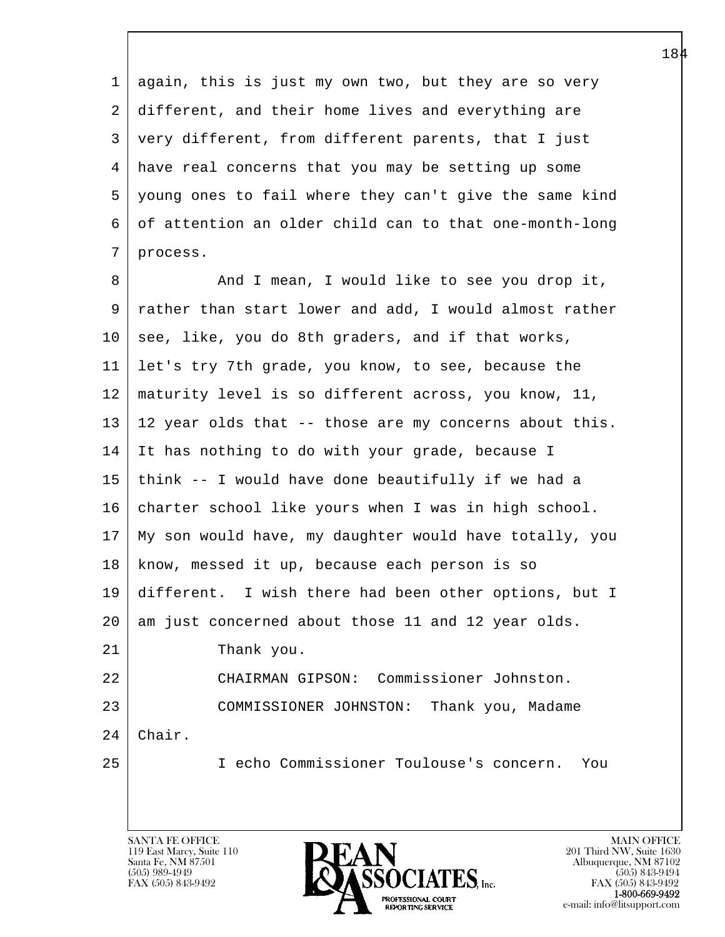1 again, this is just my own two, but they are so very 2 different, and their home lives and everything are 3 very different, from different parents, that I just 4 have real concerns that you may be setting up some 5 young ones to fail where they can't give the same kind 6 of attention an older child can to that one-month-long 7 process.

l  $\overline{\phantom{a}}$ 8 And I mean, I would like to see you drop it, 9 rather than start lower and add, I would almost rather 10 see, like, you do 8th graders, and if that works, 11 let's try 7th grade, you know, to see, because the 12 maturity level is so different across, you know, 11, 13 12 year olds that -- those are my concerns about this. 14 It has nothing to do with your grade, because I 15 think -- I would have done beautifully if we had a 16 charter school like yours when I was in high school. 17 My son would have, my daughter would have totally, you 18 | know, messed it up, because each person is so 19 different. I wish there had been other options, but I 20 am just concerned about those 11 and 12 year olds. 21 Thank you. 22 CHAIRMAN GIPSON: Commissioner Johnston. 23 COMMISSIONER JOHNSTON: Thank you, Madame 24 Chair. 25 I echo Commissioner Toulouse's concern. You

119 East Marcy, Suite 110<br>Santa Fe, NM 87501

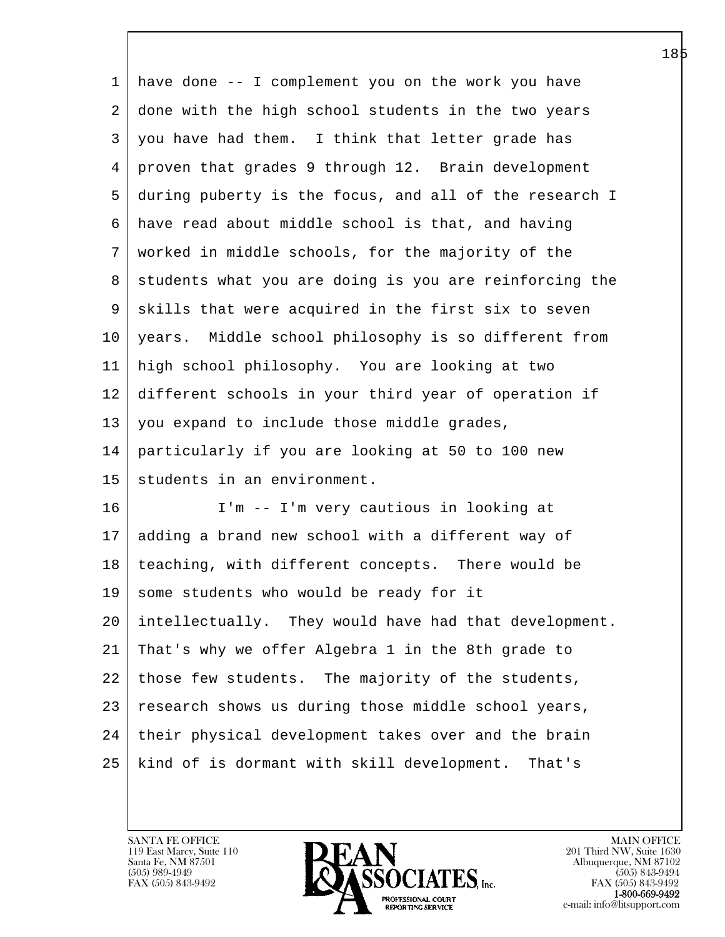| 1       | have done -- I complement you on the work you have     |
|---------|--------------------------------------------------------|
| 2       | done with the high school students in the two years    |
| 3       | you have had them. I think that letter grade has       |
| 4       | proven that grades 9 through 12. Brain development     |
| 5       | during puberty is the focus, and all of the research I |
| 6       | have read about middle school is that, and having      |
| 7       | worked in middle schools, for the majority of the      |
| 8       | students what you are doing is you are reinforcing the |
| 9       | skills that were acquired in the first six to seven    |
| $10 \,$ | years. Middle school philosophy is so different from   |
| 11      | high school philosophy. You are looking at two         |
| 12      | different schools in your third year of operation if   |
| 13      | you expand to include those middle grades,             |
| 14      | particularly if you are looking at 50 to 100 new       |
| 15      | students in an environment.                            |
| 16      | I'm -- I'm very cautious in looking at                 |
| 17      | adding a brand new school with a different way of      |
| 18      | teaching, with different concepts. There would be      |
|         | 19 some students who would be ready for it             |
| 20      | intellectually. They would have had that development.  |
| 21      | That's why we offer Algebra 1 in the 8th grade to      |
| 22      | those few students. The majority of the students,      |
| 23      | research shows us during those middle school years,    |
| 24      | their physical development takes over and the brain    |
| 25      | kind of is dormant with skill development.<br>That's   |

 $\overline{\phantom{a}}$ 

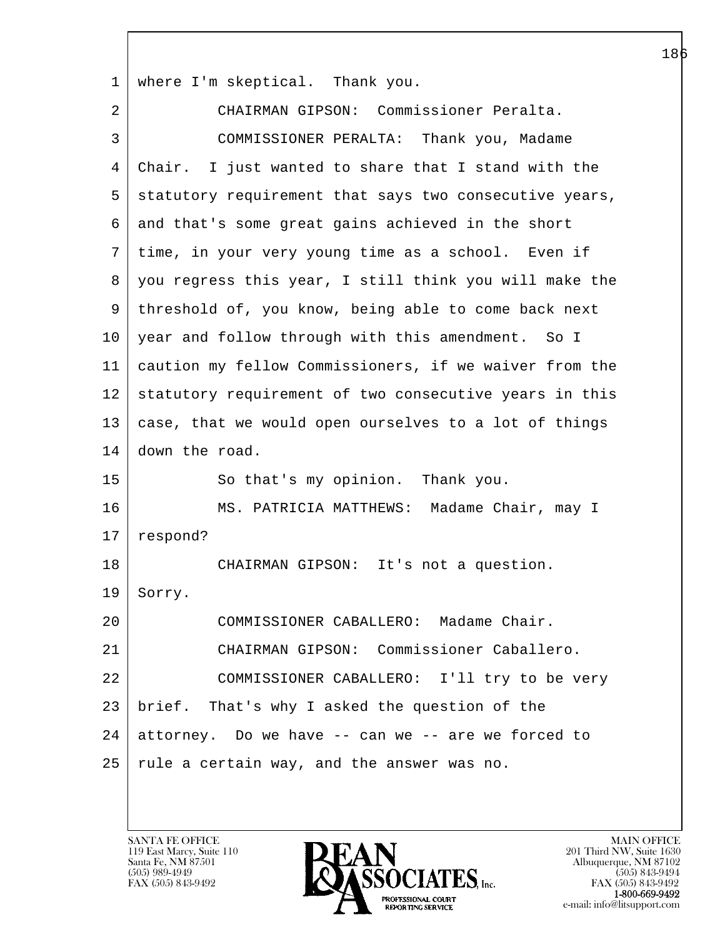1 where I'm skeptical. Thank you.

l  $\overline{\phantom{a}}$  2 CHAIRMAN GIPSON: Commissioner Peralta. 3 COMMISSIONER PERALTA: Thank you, Madame 4 Chair. I just wanted to share that I stand with the 5 statutory requirement that says two consecutive years, 6 and that's some great gains achieved in the short 7 time, in your very young time as a school. Even if 8 you regress this year, I still think you will make the 9 threshold of, you know, being able to come back next 10 year and follow through with this amendment. So I 11 caution my fellow Commissioners, if we waiver from the 12 statutory requirement of two consecutive years in this 13 case, that we would open ourselves to a lot of things 14 down the road. 15 | So that's my opinion. Thank you. 16 | MS. PATRICIA MATTHEWS: Madame Chair, may I 17 respond? 18 | CHAIRMAN GIPSON: It's not a question. 19 Sorry. 20 COMMISSIONER CABALLERO: Madame Chair. 21 CHAIRMAN GIPSON: Commissioner Caballero. 22 COMMISSIONER CABALLERO: I'll try to be very 23 brief. That's why I asked the question of the  $24$  attorney. Do we have  $-$ - can we  $-$  are we forced to  $25$  rule a certain way, and the answer was no.

119 East Marcy, Suite 110<br>Santa Fe, NM 87501

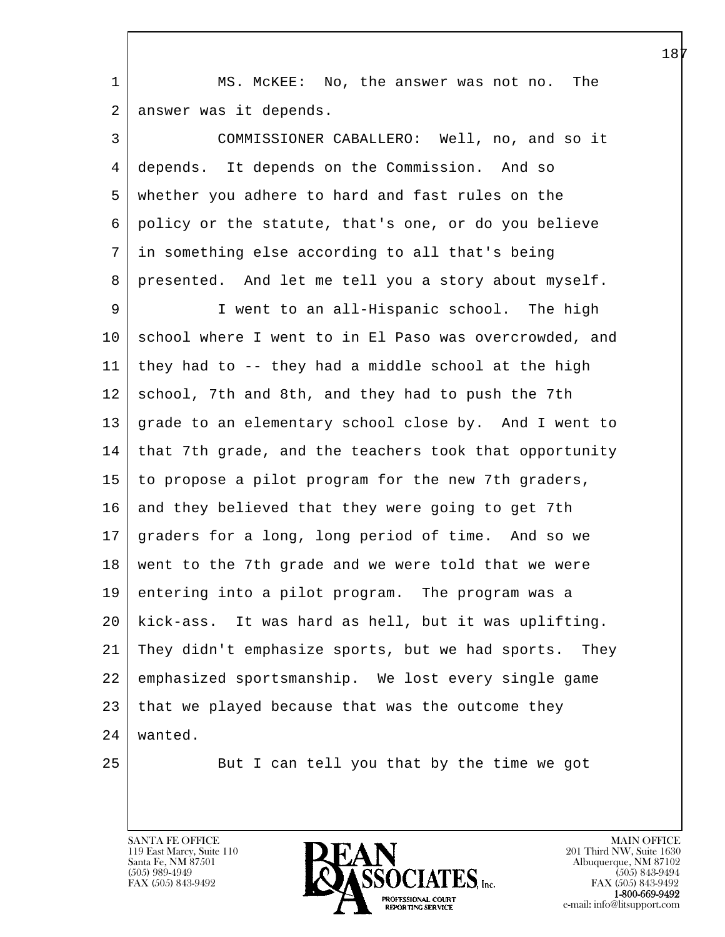1 | MS. McKEE: No, the answer was not no. The 2 answer was it depends.

l 3 COMMISSIONER CABALLERO: Well, no, and so it 4 depends. It depends on the Commission. And so 5 whether you adhere to hard and fast rules on the 6 policy or the statute, that's one, or do you believe 7 in something else according to all that's being 8 presented. And let me tell you a story about myself. 9 I went to an all-Hispanic school. The high 10 school where I went to in El Paso was overcrowded, and  $11$  | they had to  $-$  they had a middle school at the high 12 school, 7th and 8th, and they had to push the 7th 13 grade to an elementary school close by. And I went to 14 that 7th grade, and the teachers took that opportunity 15 to propose a pilot program for the new 7th graders, 16 and they believed that they were going to get 7th 17 graders for a long, long period of time. And so we 18 went to the 7th grade and we were told that we were 19 entering into a pilot program. The program was a 20 kick-ass. It was hard as hell, but it was uplifting. 21 They didn't emphasize sports, but we had sports. They 22 emphasized sportsmanship. We lost every single game 23 that we played because that was the outcome they 24 wanted. 25 | But I can tell you that by the time we got

119 East Marcy, Suite 110<br>Santa Fe, NM 87501

 $\overline{\phantom{a}}$ 



FAX (505) 843-9492<br>**1-800-669-9492**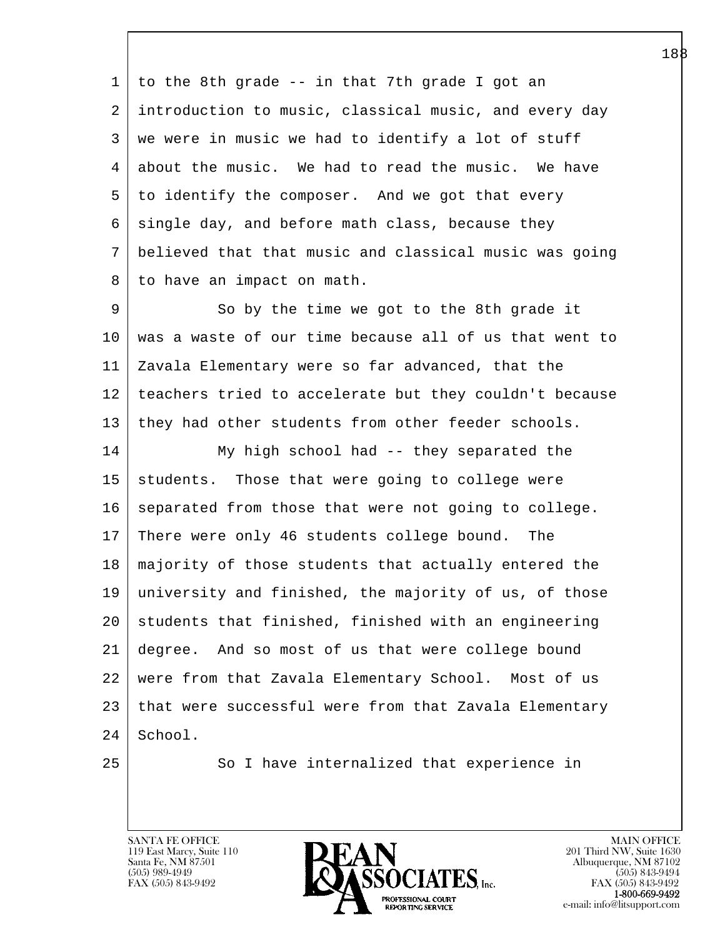1 to the 8th grade -- in that 7th grade I got an 2 introduction to music, classical music, and every day 3 we were in music we had to identify a lot of stuff 4 about the music. We had to read the music. We have 5 to identify the composer. And we got that every  $6$  single day, and before math class, because they 7 believed that that music and classical music was going 8 to have an impact on math.

9 So by the time we got to the 8th grade it 10 was a waste of our time because all of us that went to 11 Zavala Elementary were so far advanced, that the 12 teachers tried to accelerate but they couldn't because 13 they had other students from other feeder schools.

14 My high school had -- they separated the 15 | students. Those that were going to college were 16 separated from those that were not going to college. 17 There were only 46 students college bound. The 18 majority of those students that actually entered the 19 university and finished, the majority of us, of those 20 students that finished, finished with an engineering 21 degree. And so most of us that were college bound 22 were from that Zavala Elementary School. Most of us 23 that were successful were from that Zavala Elementary 24 School.

l  $\overline{\phantom{a}}$ 

25 | So I have internalized that experience in

119 East Marcy, Suite 110<br>Santa Fe, NM 87501

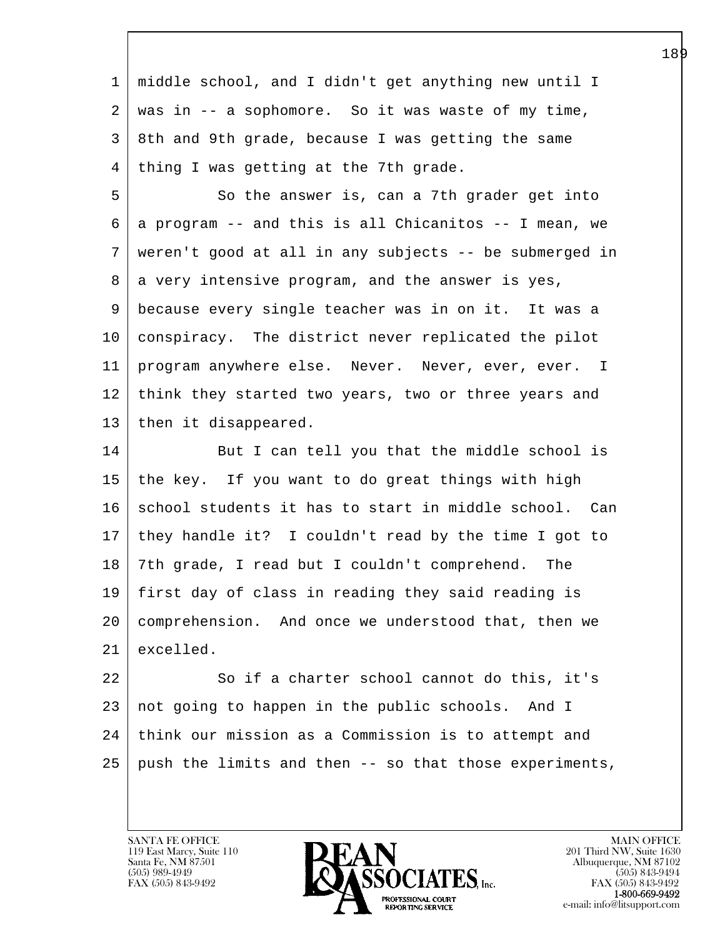l 1 middle school, and I didn't get anything new until I  $2 \mid$  was in -- a sophomore. So it was waste of my time, 3 8th and 9th grade, because I was getting the same 4 | thing I was getting at the 7th grade. 5 So the answer is, can a 7th grader get into  $6 \mid a$  program -- and this is all Chicanitos -- I mean, we 7 weren't good at all in any subjects -- be submerged in 8 a very intensive program, and the answer is yes, 9 because every single teacher was in on it. It was a 10 conspiracy. The district never replicated the pilot 11 program anywhere else. Never. Never, ever, ever. I 12 think they started two years, two or three years and 13 | then it disappeared. 14 But I can tell you that the middle school is 15 the key. If you want to do great things with high 16 school students it has to start in middle school. Can 17 they handle it? I couldn't read by the time I got to 18 7th grade, I read but I couldn't comprehend. The 19 first day of class in reading they said reading is 20 comprehension. And once we understood that, then we 21 excelled. 22 So if a charter school cannot do this, it's 23 not going to happen in the public schools. And I 24 | think our mission as a Commission is to attempt and 25 push the limits and then -- so that those experiments,

119 East Marcy, Suite 110<br>Santa Fe, NM 87501

 $\overline{\phantom{a}}$ 

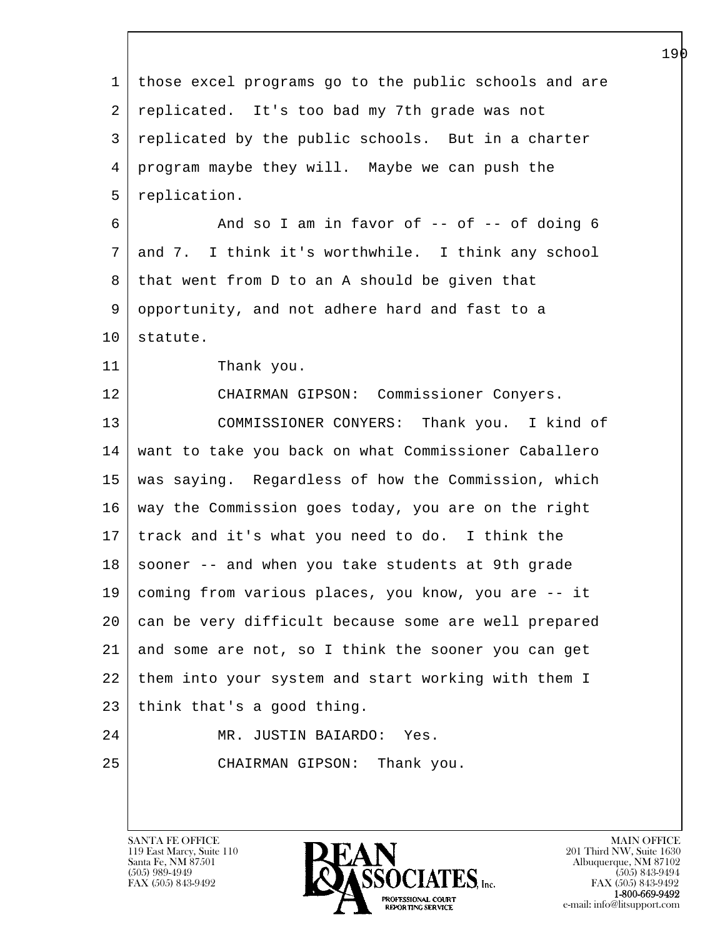| $\mathbf{1}$ | those excel programs go to the public schools and are |
|--------------|-------------------------------------------------------|
| 2            | replicated. It's too bad my 7th grade was not         |
| 3            | replicated by the public schools. But in a charter    |
| 4            | program maybe they will. Maybe we can push the        |
| 5            | replication.                                          |
| 6            | And so I am in favor of $-$ of $-$ of doing 6         |
| 7            | and 7. I think it's worthwhile. I think any school    |
| 8            | that went from D to an A should be given that         |
| 9            | opportunity, and not adhere hard and fast to a        |
| 10           | statute.                                              |
| 11           | Thank you.                                            |
| 12           | CHAIRMAN GIPSON: Commissioner Conyers.                |
| 13           | COMMISSIONER CONYERS: Thank you. I kind of            |
| 14           | want to take you back on what Commissioner Caballero  |
| 15           | was saying. Regardless of how the Commission, which   |
| 16           | way the Commission goes today, you are on the right   |
| 17           | track and it's what you need to do. I think the       |
| 18           | sooner -- and when you take students at 9th grade     |
| 19           | coming from various places, you know, you are -- it   |
| 20           | can be very difficult because some are well prepared  |
| 21           | and some are not, so I think the sooner you can get   |
| 22           | them into your system and start working with them I   |
| 23           | think that's a good thing.                            |
| 24           | JUSTIN BAIARDO: Yes.<br>MR.                           |
| 25           | CHAIRMAN GIPSON: Thank you.                           |
|              |                                                       |

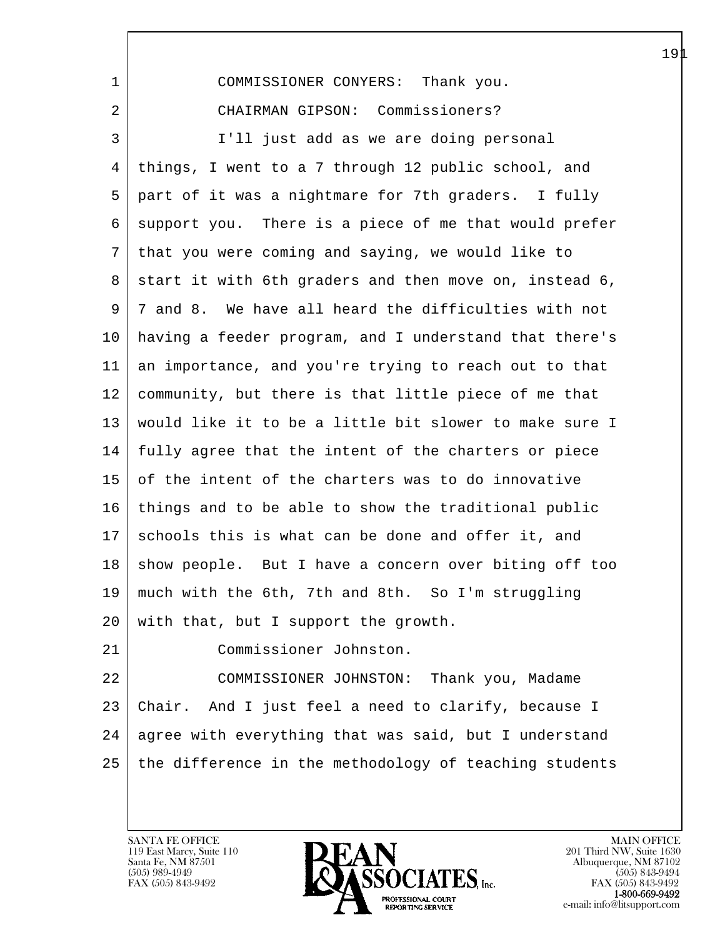| $\mathbf{1}$ | COMMISSIONER CONYERS: Thank you.                       |
|--------------|--------------------------------------------------------|
| 2            | CHAIRMAN GIPSON: Commissioners?                        |
| 3            | I'll just add as we are doing personal                 |
| 4            | things, I went to a 7 through 12 public school, and    |
| 5            | part of it was a nightmare for 7th graders. I fully    |
| 6            | support you. There is a piece of me that would prefer  |
| 7            | that you were coming and saying, we would like to      |
| 8            | start it with 6th graders and then move on, instead 6, |
| 9            | 7 and 8. We have all heard the difficulties with not   |
| $10 \,$      | having a feeder program, and I understand that there's |
| 11           | an importance, and you're trying to reach out to that  |
| 12           | community, but there is that little piece of me that   |
| 13           | would like it to be a little bit slower to make sure I |
| 14           | fully agree that the intent of the charters or piece   |
| 15           | of the intent of the charters was to do innovative     |
| 16           | things and to be able to show the traditional public   |
| 17           | schools this is what can be done and offer it, and     |
| 18           | show people. But I have a concern over biting off too  |
| 19           | much with the 6th, 7th and 8th. So I'm struggling      |
| 20           | with that, but I support the growth.                   |
| 21           | Commissioner Johnston.                                 |
| 22           | COMMISSIONER JOHNSTON: Thank you, Madame               |
| 23           | Chair. And I just feel a need to clarify, because I    |
| 24           | agree with everything that was said, but I understand  |
| 25           | the difference in the methodology of teaching students |
|              |                                                        |

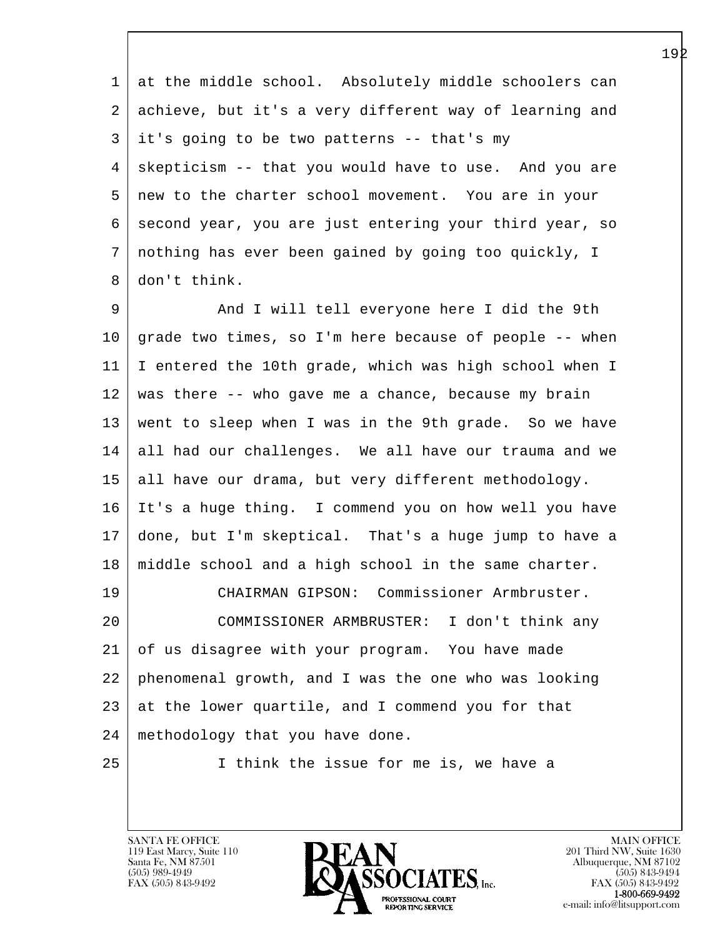1 at the middle school. Absolutely middle schoolers can 2 achieve, but it's a very different way of learning and  $3$  it's going to be two patterns -- that's my 4 skepticism -- that you would have to use. And you are 5 new to the charter school movement. You are in your 6 second year, you are just entering your third year, so 7 nothing has ever been gained by going too quickly, I 8 don't think.

l 9 And I will tell everyone here I did the 9th 10 grade two times, so I'm here because of people -- when 11 I entered the 10th grade, which was high school when I 12 was there -- who gave me a chance, because my brain 13 went to sleep when I was in the 9th grade. So we have 14 all had our challenges. We all have our trauma and we 15 all have our drama, but very different methodology. 16 It's a huge thing. I commend you on how well you have 17 done, but I'm skeptical. That's a huge jump to have a 18 middle school and a high school in the same charter. 19 CHAIRMAN GIPSON: Commissioner Armbruster. 20 COMMISSIONER ARMBRUSTER: I don't think any 21 of us disagree with your program. You have made 22 phenomenal growth, and I was the one who was looking 23 at the lower quartile, and I commend you for that 24 methodology that you have done. 25 I think the issue for me is, we have a

119 East Marcy, Suite 110<br>Santa Fe, NM 87501

 $\overline{\phantom{a}}$ 

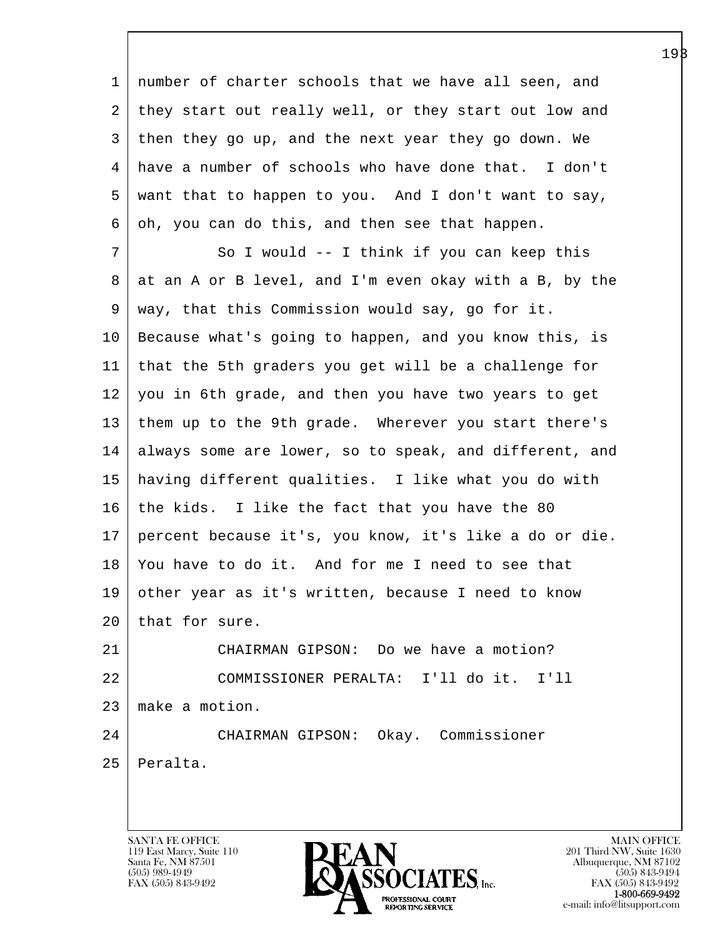l  $\overline{\phantom{a}}$  1 number of charter schools that we have all seen, and 2 they start out really well, or they start out low and 3 then they go up, and the next year they go down. We 4 have a number of schools who have done that. I don't 5 want that to happen to you. And I don't want to say,  $6 | oh, you can do this, and then see that happen.$ 7 So I would -- I think if you can keep this 8 at an A or B level, and I'm even okay with a B, by the 9 way, that this Commission would say, go for it. 10 Because what's going to happen, and you know this, is 11 that the 5th graders you get will be a challenge for 12 you in 6th grade, and then you have two years to get 13 them up to the 9th grade. Wherever you start there's 14 always some are lower, so to speak, and different, and 15 having different qualities. I like what you do with 16 the kids. I like the fact that you have the 80 17 percent because it's, you know, it's like a do or die. 18 You have to do it. And for me I need to see that 19 other year as it's written, because I need to know 20 that for sure. 21 CHAIRMAN GIPSON: Do we have a motion? 22 COMMISSIONER PERALTA: I'll do it. I'll 23 make a motion. 24 CHAIRMAN GIPSON: Okay. Commissioner 25 Peralta.

119 East Marcy, Suite 110<br>Santa Fe, NM 87501



FAX (505) 843-9492<br>**1-800-669-9492**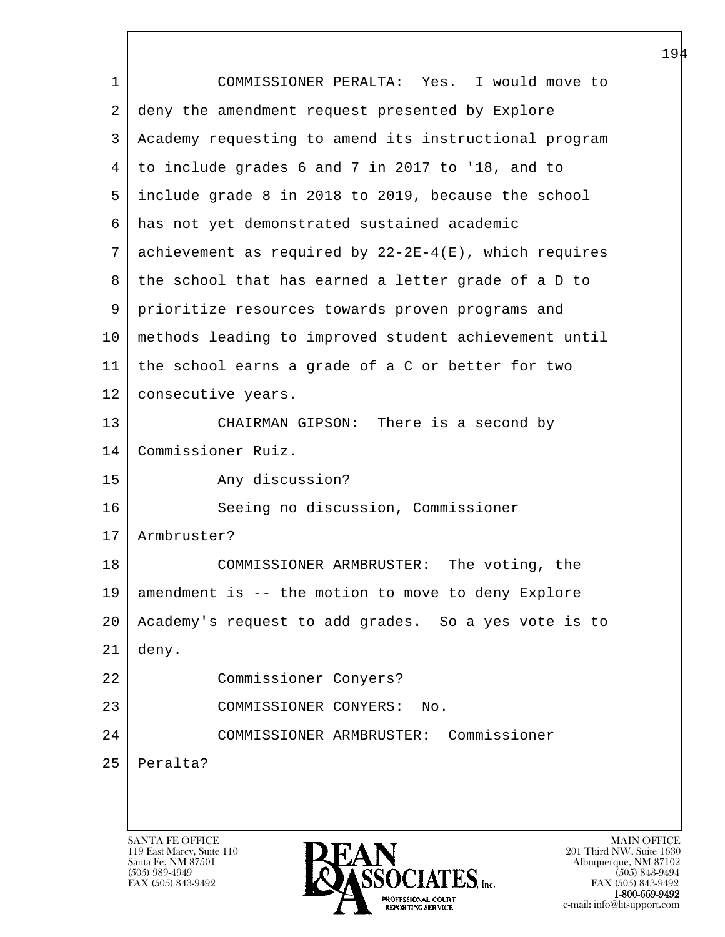|             |                                                          | ᅩ |
|-------------|----------------------------------------------------------|---|
| $\mathbf 1$ | COMMISSIONER PERALTA: Yes. I would move to               |   |
| 2           | deny the amendment request presented by Explore          |   |
| 3           | Academy requesting to amend its instructional program    |   |
| 4           | to include grades 6 and 7 in 2017 to '18, and to         |   |
| 5           | include grade 8 in 2018 to 2019, because the school      |   |
| 6           | has not yet demonstrated sustained academic              |   |
| 7           | achievement as required by $22-2E-4(E)$ , which requires |   |
| 8           | the school that has earned a letter grade of a D to      |   |
| 9           | prioritize resources towards proven programs and         |   |
| 10          | methods leading to improved student achievement until    |   |
| 11          | the school earns a grade of a C or better for two        |   |
| 12          | consecutive years.                                       |   |
| 13          | CHAIRMAN GIPSON: There is a second by                    |   |
| 14          | Commissioner Ruiz.                                       |   |
| 15          | Any discussion?                                          |   |
| 16          | Seeing no discussion, Commissioner                       |   |
| 17          | Armbruster?                                              |   |
| 18          | COMMISSIONER ARMBRUSTER: The voting, the                 |   |
| 19          | amendment is -- the motion to move to deny Explore       |   |
| 20          | Academy's request to add grades. So a yes vote is to     |   |
| 21          | deny.                                                    |   |
| 22          | Commissioner Conyers?                                    |   |
| 23          | COMMISSIONER CONYERS:<br>No.                             |   |
| 24          | COMMISSIONER ARMBRUSTER: Commissioner                    |   |
| 25          | Peralta?                                                 |   |
|             |                                                          |   |
|             |                                                          |   |
|             | <b>SANTA FE OFFICE</b><br><b>MAIN OFFICE</b>             |   |

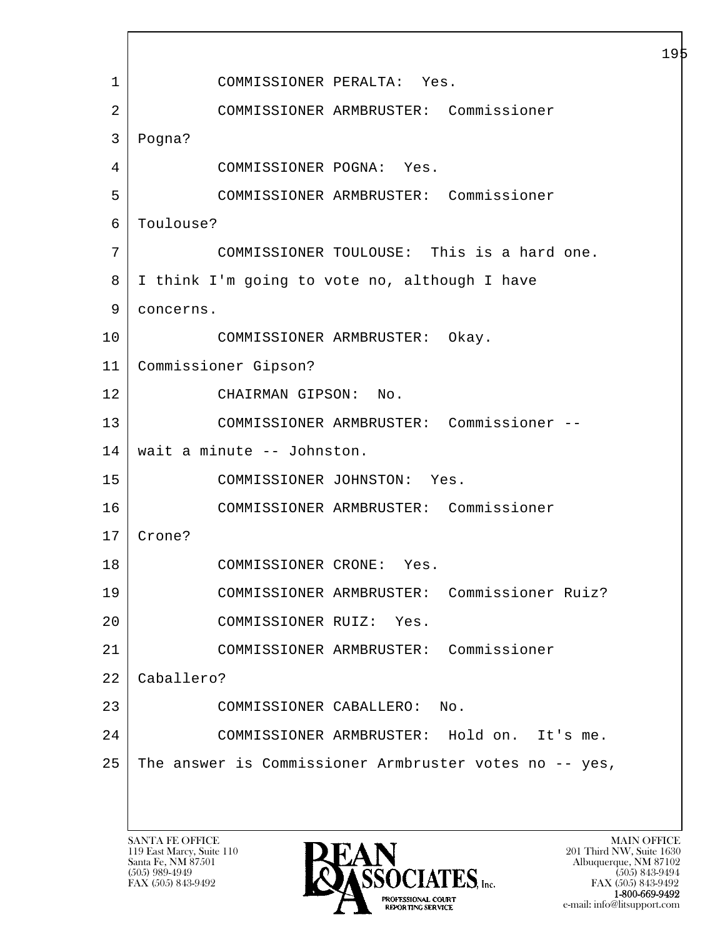l  $\overline{\phantom{a}}$  1 COMMISSIONER PERALTA: Yes. 2 COMMISSIONER ARMBRUSTER: Commissioner 3 Pogna? 4 COMMISSIONER POGNA: Yes. 5 COMMISSIONER ARMBRUSTER: Commissioner 6 Toulouse? 7 COMMISSIONER TOULOUSE: This is a hard one. 8 I think I'm going to vote no, although I have 9 | concerns. 10 COMMISSIONER ARMBRUSTER: Okay. 11 Commissioner Gipson? 12 CHAIRMAN GIPSON: No. 13 COMMISSIONER ARMBRUSTER: Commissioner -- 14 wait a minute -- Johnston. 15 COMMISSIONER JOHNSTON: Yes. 16 COMMISSIONER ARMBRUSTER: Commissioner 17 Crone? 18 COMMISSIONER CRONE: Yes. 19 COMMISSIONER ARMBRUSTER: Commissioner Ruiz? 20 COMMISSIONER RUIZ: Yes. 21 COMMISSIONER ARMBRUSTER: Commissioner 22 Caballero? 23 COMMISSIONER CABALLERO: No. 24 COMMISSIONER ARMBRUSTER: Hold on. It's me. 25 The answer is Commissioner Armbruster votes no -- yes,

119 East Marcy, Suite 110<br>Santa Fe, NM 87501

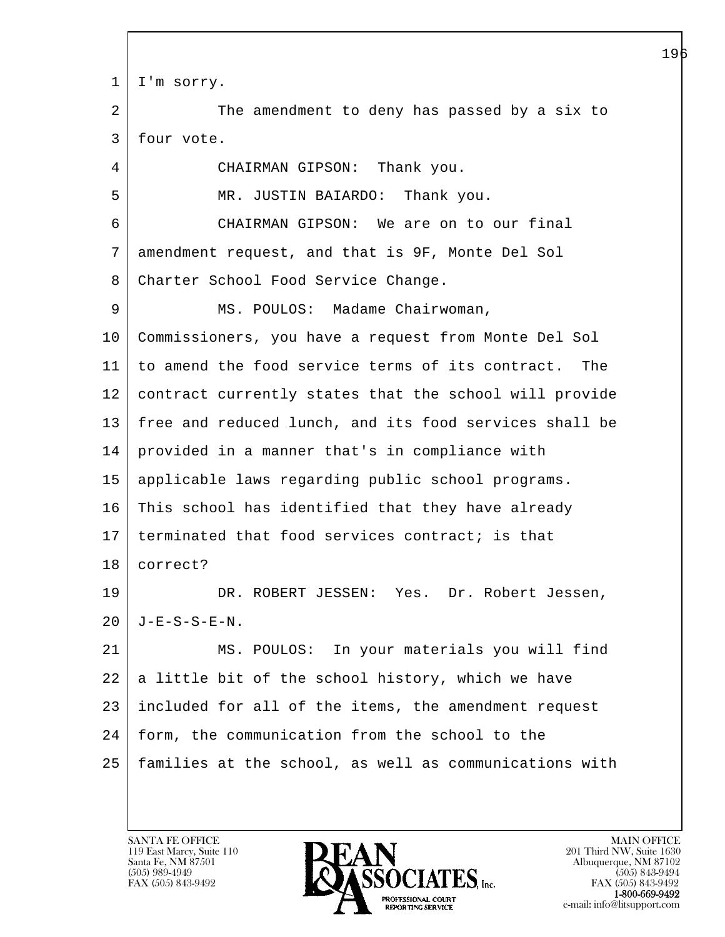l  $\overline{\phantom{a}}$ 1 | I'm sorry. 2 The amendment to deny has passed by a six to 3 four vote. 4 CHAIRMAN GIPSON: Thank you. 5 | MR. JUSTIN BAIARDO: Thank you. 6 CHAIRMAN GIPSON: We are on to our final 7 amendment request, and that is 9F, Monte Del Sol 8 Charter School Food Service Change. 9 | MS. POULOS: Madame Chairwoman, 10 Commissioners, you have a request from Monte Del Sol 11 to amend the food service terms of its contract. The 12 contract currently states that the school will provide 13 free and reduced lunch, and its food services shall be 14 provided in a manner that's in compliance with 15 applicable laws regarding public school programs. 16 This school has identified that they have already  $17$  | terminated that food services contract; is that 18 correct? 19 DR. ROBERT JESSEN: Yes. Dr. Robert Jessen,  $20$  | J-E-S-S-E-N. 21 MS. POULOS: In your materials you will find  $22$  a little bit of the school history, which we have 23 included for all of the items, the amendment request 24 | form, the communication from the school to the 25 families at the school, as well as communications with

119 East Marcy, Suite 110<br>Santa Fe, NM 87501

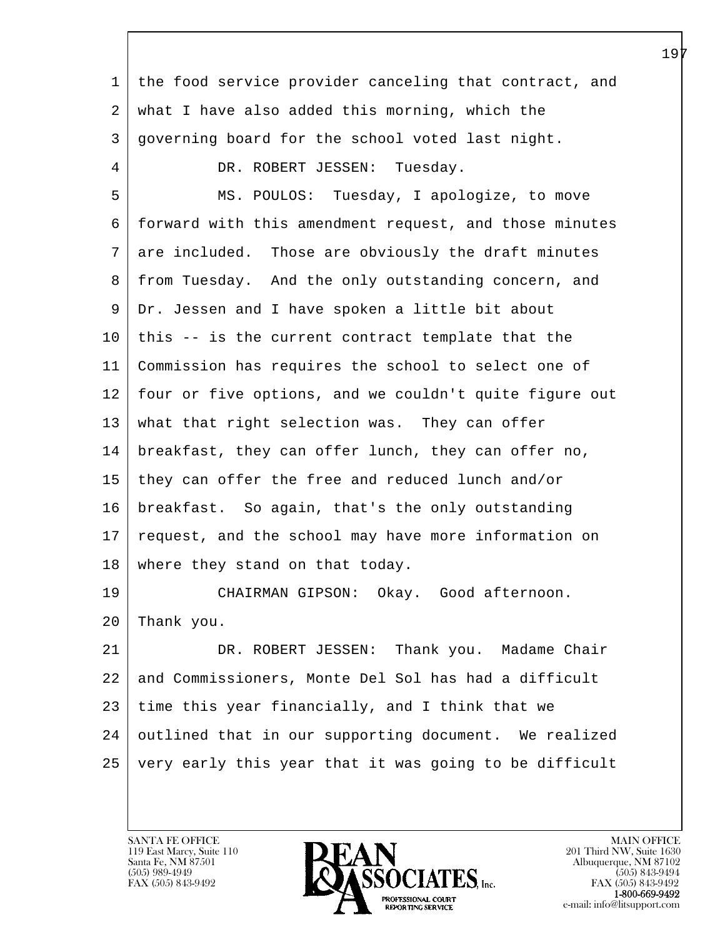| 1  | the food service provider canceling that contract, and |
|----|--------------------------------------------------------|
| 2  | what I have also added this morning, which the         |
| 3  | governing board for the school voted last night.       |
| 4  | DR. ROBERT JESSEN: Tuesday.                            |
| 5  | MS. POULOS: Tuesday, I apologize, to move              |
| 6  | forward with this amendment request, and those minutes |
| 7  | are included. Those are obviously the draft minutes    |
| 8  | from Tuesday. And the only outstanding concern, and    |
| 9  | Dr. Jessen and I have spoken a little bit about        |
| 10 | this -- is the current contract template that the      |
| 11 | Commission has requires the school to select one of    |
| 12 | four or five options, and we couldn't quite figure out |
| 13 | what that right selection was. They can offer          |
| 14 | breakfast, they can offer lunch, they can offer no,    |
| 15 | they can offer the free and reduced lunch and/or       |
| 16 | breakfast. So again, that's the only outstanding       |
| 17 | request, and the school may have more information on   |
| 18 | where they stand on that today.                        |
| 19 | CHAIRMAN GIPSON: Okay. Good afternoon.                 |
| 20 | Thank you.                                             |
| 21 | DR. ROBERT JESSEN: Thank you. Madame Chair             |
| 22 | and Commissioners, Monte Del Sol has had a difficult   |
| 23 | time this year financially, and I think that we        |
| 24 | outlined that in our supporting document. We realized  |
| 25 | very early this year that it was going to be difficult |
|    |                                                        |

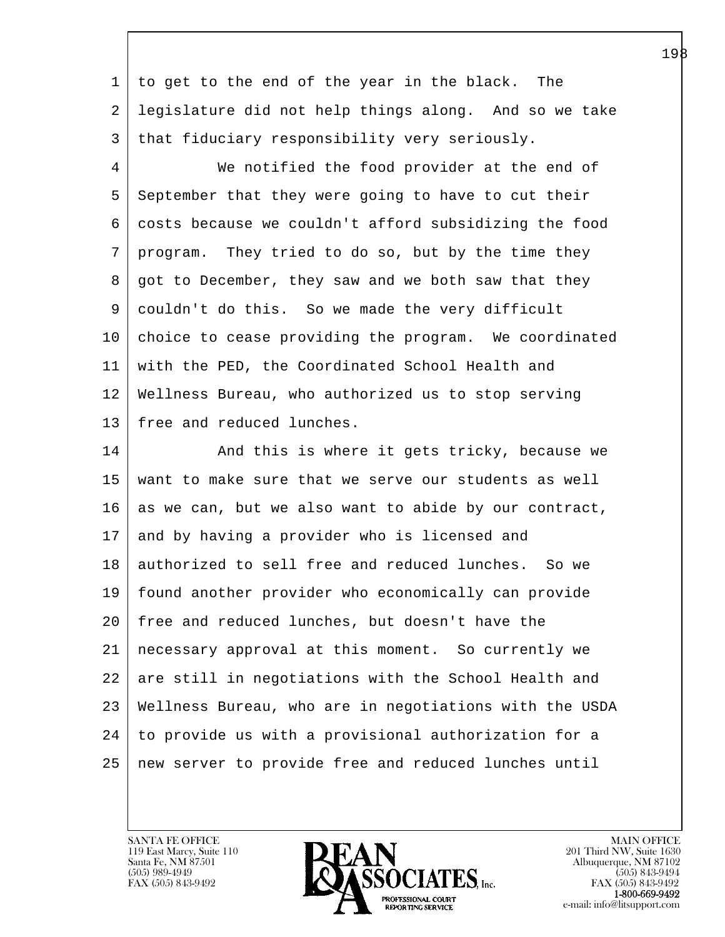1 to get to the end of the year in the black. The 2 legislature did not help things along. And so we take 3 that fiduciary responsibility very seriously.

 4 We notified the food provider at the end of 5 September that they were going to have to cut their 6 costs because we couldn't afford subsidizing the food 7 program. They tried to do so, but by the time they 8 | got to December, they saw and we both saw that they 9 couldn't do this. So we made the very difficult 10 choice to cease providing the program. We coordinated 11 with the PED, the Coordinated School Health and 12 Wellness Bureau, who authorized us to stop serving 13 | free and reduced lunches.

l 14 And this is where it gets tricky, because we 15 want to make sure that we serve our students as well 16 as we can, but we also want to abide by our contract, 17 and by having a provider who is licensed and 18 | authorized to sell free and reduced lunches. So we 19 found another provider who economically can provide 20 free and reduced lunches, but doesn't have the 21 necessary approval at this moment. So currently we 22 are still in negotiations with the School Health and 23 Wellness Bureau, who are in negotiations with the USDA 24 to provide us with a provisional authorization for a 25 new server to provide free and reduced lunches until

119 East Marcy, Suite 110<br>Santa Fe, NM 87501

 $\overline{\phantom{a}}$ 

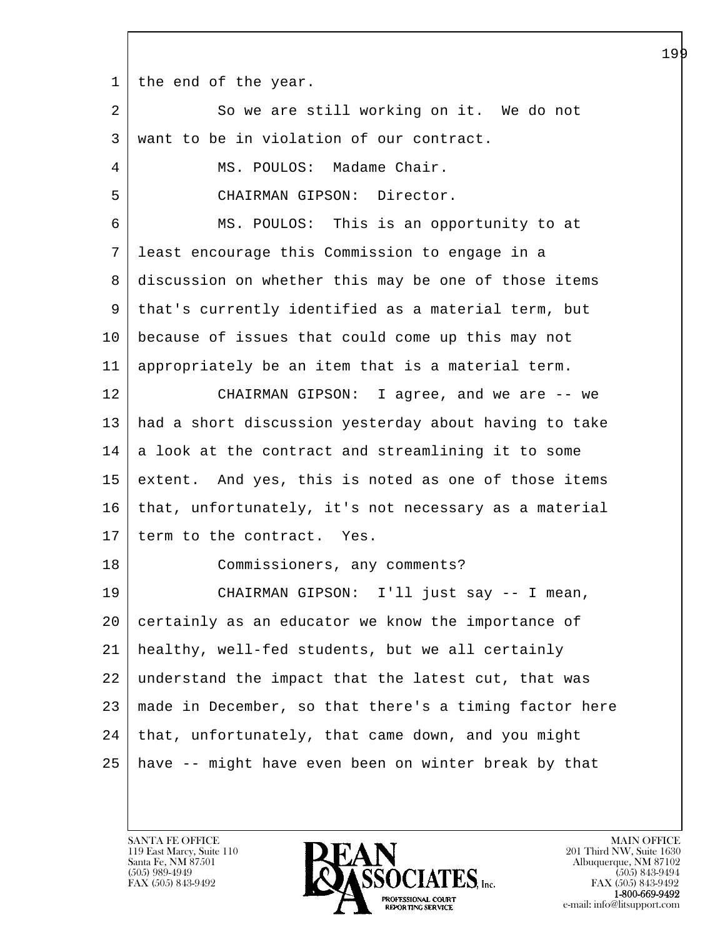1 the end of the year.

| $\overline{a}$ | So we are still working on it. We do not               |
|----------------|--------------------------------------------------------|
| 3              | want to be in violation of our contract.               |
| 4              | MS. POULOS: Madame Chair.                              |
| 5              | CHAIRMAN GIPSON: Director.                             |
| 6              | MS. POULOS: This is an opportunity to at               |
| 7              | least encourage this Commission to engage in a         |
| 8              | discussion on whether this may be one of those items   |
| 9              | that's currently identified as a material term, but    |
| 10             | because of issues that could come up this may not      |
| 11             | appropriately be an item that is a material term.      |
| 12             | CHAIRMAN GIPSON: I agree, and we are -- we             |
| 13             | had a short discussion yesterday about having to take  |
| 14             | a look at the contract and streamlining it to some     |
| 15             | extent. And yes, this is noted as one of those items   |
| 16             | that, unfortunately, it's not necessary as a material  |
| 17             | term to the contract. Yes.                             |
| 18             | Commissioners, any comments?                           |
| 19             | CHAIRMAN GIPSON: I'll just say -- I mean,              |
| 20             | certainly as an educator we know the importance of     |
| 21             | healthy, well-fed students, but we all certainly       |
| 22             | understand the impact that the latest cut, that was    |
| 23             | made in December, so that there's a timing factor here |
| 24             | that, unfortunately, that came down, and you might     |
| 25             | have -- might have even been on winter break by that   |

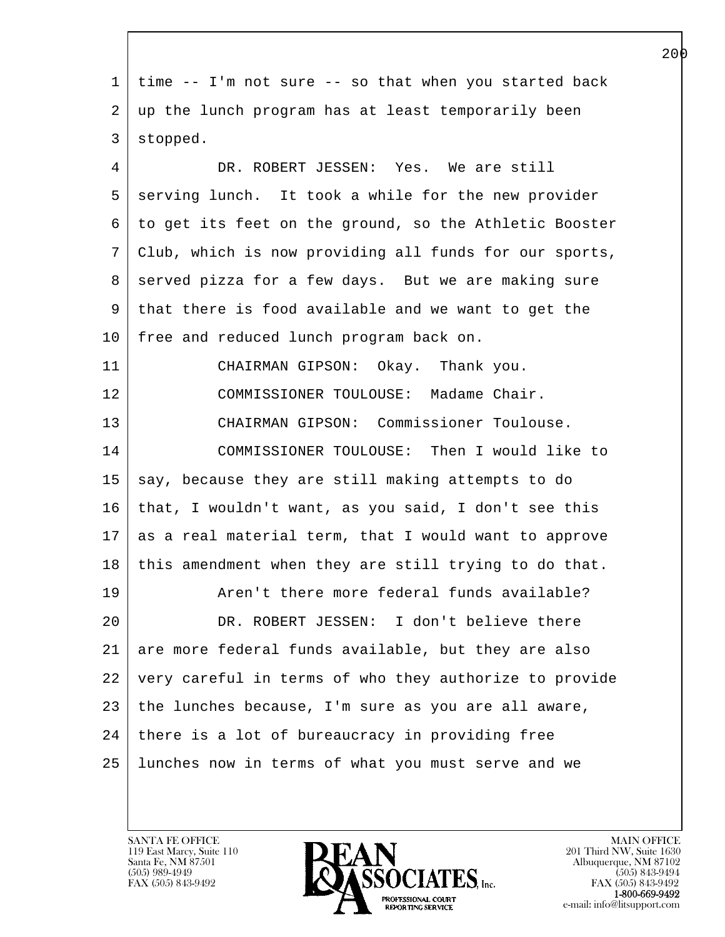l  $\overline{\phantom{a}}$  1 time -- I'm not sure -- so that when you started back 2 up the lunch program has at least temporarily been 3 stopped. 4 DR. ROBERT JESSEN: Yes. We are still 5 serving lunch. It took a while for the new provider 6 to get its feet on the ground, so the Athletic Booster 7 Club, which is now providing all funds for our sports, 8 served pizza for a few days. But we are making sure 9 that there is food available and we want to get the 10 | free and reduced lunch program back on. 11 CHAIRMAN GIPSON: Okay. Thank you. 12 COMMISSIONER TOULOUSE: Madame Chair. 13 CHAIRMAN GIPSON: Commissioner Toulouse. 14 COMMISSIONER TOULOUSE: Then I would like to  $15$  say, because they are still making attempts to do 16 that, I wouldn't want, as you said, I don't see this  $17$  as a real material term, that I would want to approve 18 | this amendment when they are still trying to do that. 19 | The Aren't there more federal funds available? 20 DR. ROBERT JESSEN: I don't believe there 21 are more federal funds available, but they are also 22 very careful in terms of who they authorize to provide 23 the lunches because, I'm sure as you are all aware,  $24$  there is a lot of bureaucracy in providing free 25 lunches now in terms of what you must serve and we

119 East Marcy, Suite 110<br>Santa Fe, NM 87501

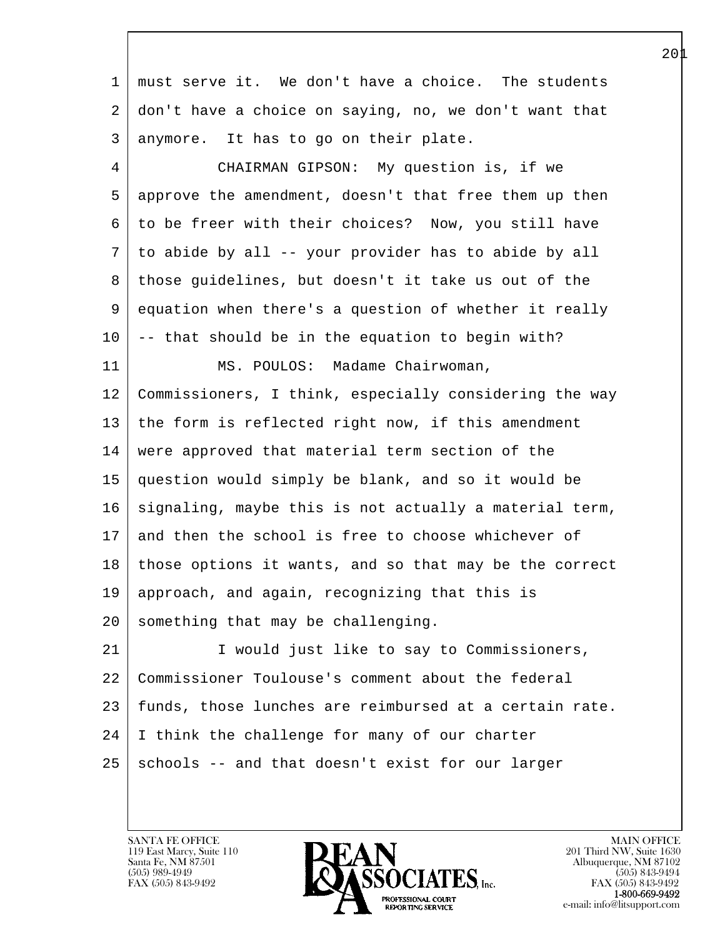| $\mathbf{1}$   | must serve it. We don't have a choice. The students    |
|----------------|--------------------------------------------------------|
| 2              | don't have a choice on saying, no, we don't want that  |
| 3              | anymore. It has to go on their plate.                  |
| $\overline{4}$ | CHAIRMAN GIPSON: My question is, if we                 |
| 5              | approve the amendment, doesn't that free them up then  |
| 6              | to be freer with their choices? Now, you still have    |
| 7              | to abide by all -- your provider has to abide by all   |
| 8              | those guidelines, but doesn't it take us out of the    |
| 9              | equation when there's a question of whether it really  |
| 10             | -- that should be in the equation to begin with?       |
| 11             | MS. POULOS: Madame Chairwoman,                         |
| 12             | Commissioners, I think, especially considering the way |
| 13             | the form is reflected right now, if this amendment     |
| 14             | were approved that material term section of the        |
| 15             | question would simply be blank, and so it would be     |
| 16             | signaling, maybe this is not actually a material term, |
| 17             | and then the school is free to choose whichever of     |
| 18             | those options it wants, and so that may be the correct |
| 19             | approach, and again, recognizing that this is          |
| 20             | something that may be challenging.                     |
| 21             | I would just like to say to Commissioners,             |
| 22             | Commissioner Toulouse's comment about the federal      |
| 23             | funds, those lunches are reimbursed at a certain rate. |
| 24             | I think the challenge for many of our charter          |
| 25             | schools -- and that doesn't exist for our larger       |
|                |                                                        |

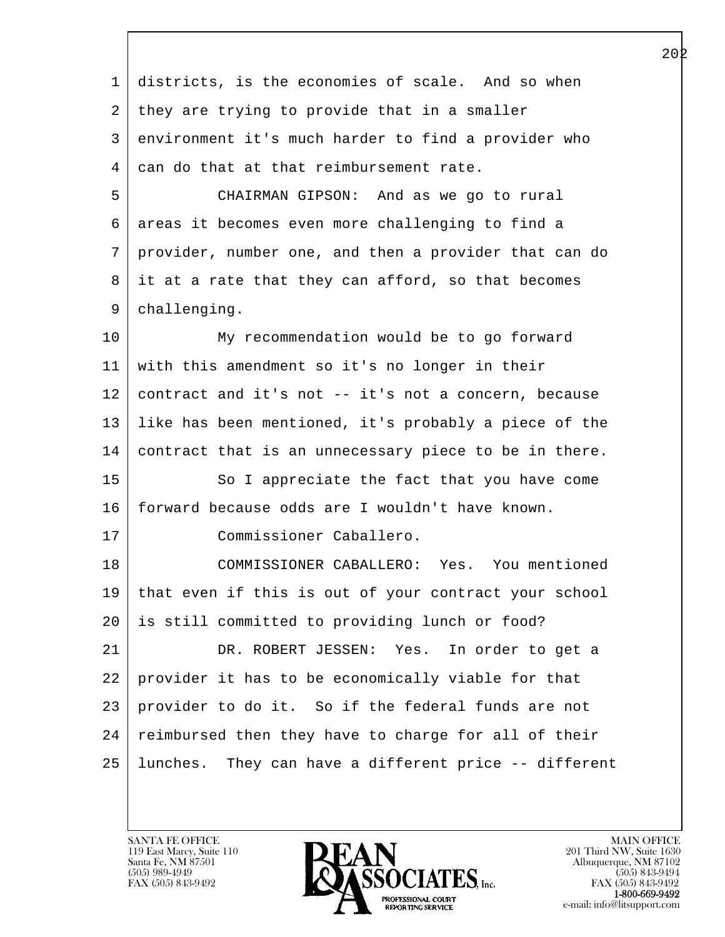| $\mathbf 1$ | districts, is the economies of scale. And so when     |
|-------------|-------------------------------------------------------|
| 2           | they are trying to provide that in a smaller          |
| 3           | environment it's much harder to find a provider who   |
| 4           | can do that at that reimbursement rate.               |
| 5           | CHAIRMAN GIPSON: And as we go to rural                |
| 6           | areas it becomes even more challenging to find a      |
| 7           | provider, number one, and then a provider that can do |
| 8           | it at a rate that they can afford, so that becomes    |
| 9           | challenging.                                          |
| $10 \,$     | My recommendation would be to go forward              |
| 11          | with this amendment so it's no longer in their        |
| 12          | contract and it's not -- it's not a concern, because  |
| 13          | like has been mentioned, it's probably a piece of the |
| 14          | contract that is an unnecessary piece to be in there. |
| 15          | So I appreciate the fact that you have come           |
| 16          | forward because odds are I wouldn't have known.       |
| 17          | Commissioner Caballero.                               |
| 18          | COMMISSIONER CABALLERO: Yes. You mentioned            |
| 19          | that even if this is out of your contract your school |
| $20 \,$     | is still committed to providing lunch or food?        |
| 21          | DR. ROBERT JESSEN: Yes.<br>In order to get a          |
| 22          | provider it has to be economically viable for that    |
| 23          | provider to do it. So if the federal funds are not    |
| 24          | reimbursed then they have to charge for all of their  |
| 25          | lunches. They can have a different price -- different |
|             |                                                       |

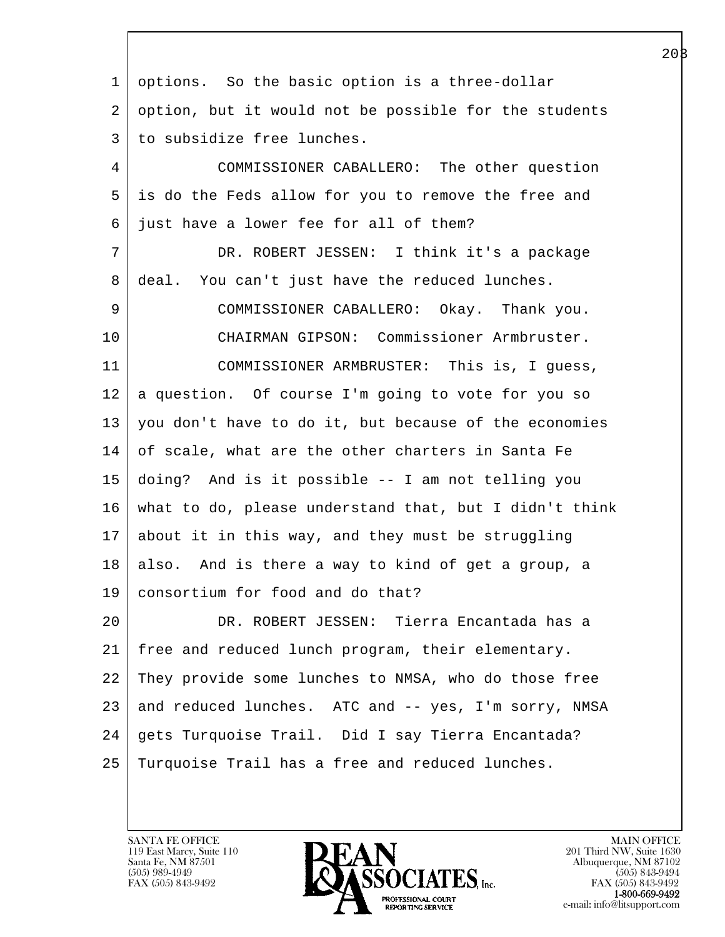| 1  | options. So the basic option is a three-dollar         |
|----|--------------------------------------------------------|
| 2  | option, but it would not be possible for the students  |
| 3  | to subsidize free lunches.                             |
| 4  | COMMISSIONER CABALLERO: The other question             |
| 5  | is do the Feds allow for you to remove the free and    |
| 6  | just have a lower fee for all of them?                 |
| 7  | DR. ROBERT JESSEN: I think it's a package              |
| 8  | deal. You can't just have the reduced lunches.         |
| 9  | COMMISSIONER CABALLERO: Okay. Thank you.               |
| 10 | CHAIRMAN GIPSON: Commissioner Armbruster.              |
| 11 | COMMISSIONER ARMBRUSTER: This is, I guess,             |
| 12 | a question. Of course I'm going to vote for you so     |
| 13 | you don't have to do it, but because of the economies  |
| 14 | of scale, what are the other charters in Santa Fe      |
| 15 | doing? And is it possible -- I am not telling you      |
| 16 | what to do, please understand that, but I didn't think |
| 17 | about it in this way, and they must be struggling      |
| 18 | also. And is there a way to kind of get a group, a     |
| 19 | consortium for food and do that?                       |
| 20 | DR. ROBERT JESSEN: Tierra Encantada has a              |
| 21 | free and reduced lunch program, their elementary.      |
| 22 | They provide some lunches to NMSA, who do those free   |
| 23 | and reduced lunches. ATC and -- yes, I'm sorry, NMSA   |
| 24 | gets Turquoise Trail. Did I say Tierra Encantada?      |
| 25 | Turquoise Trail has a free and reduced lunches.        |
|    |                                                        |

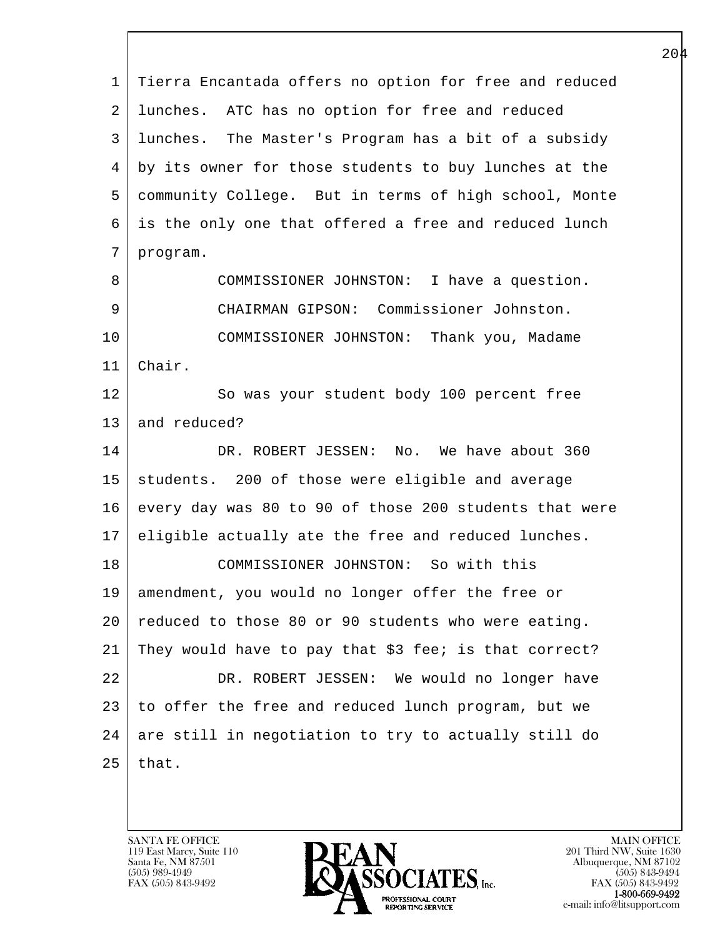l  $\overline{\phantom{a}}$  1 Tierra Encantada offers no option for free and reduced 2 lunches. ATC has no option for free and reduced 3 lunches. The Master's Program has a bit of a subsidy 4 by its owner for those students to buy lunches at the 5 community College. But in terms of high school, Monte 6 is the only one that offered a free and reduced lunch 7 program. 8 COMMISSIONER JOHNSTON: I have a question. 9 CHAIRMAN GIPSON: Commissioner Johnston. 10 COMMISSIONER JOHNSTON: Thank you, Madame 11 Chair. 12 So was your student body 100 percent free 13 and reduced? 14 DR. ROBERT JESSEN: No. We have about 360 15 | students. 200 of those were eligible and average 16 every day was 80 to 90 of those 200 students that were 17 eligible actually ate the free and reduced lunches. 18 COMMISSIONER JOHNSTON: So with this 19 amendment, you would no longer offer the free or 20 reduced to those 80 or 90 students who were eating. 21 They would have to pay that \$3 fee; is that correct? 22 DR. ROBERT JESSEN: We would no longer have 23 to offer the free and reduced lunch program, but we  $24$  are still in negotiation to try to actually still do  $25$  that.

119 East Marcy, Suite 110<br>Santa Fe, NM 87501

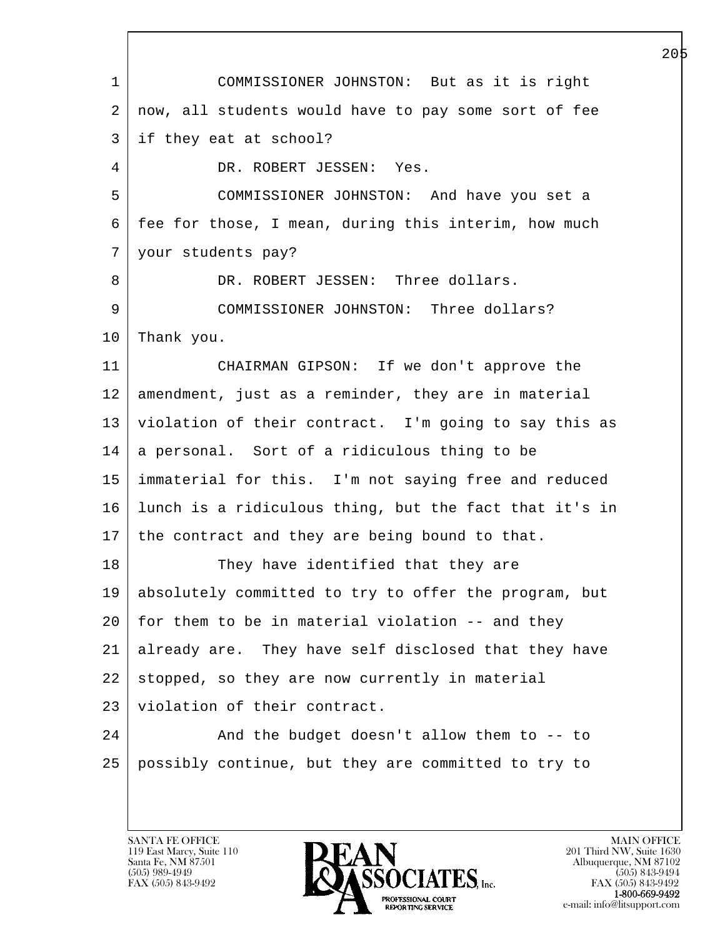l  $\overline{\phantom{a}}$  1 COMMISSIONER JOHNSTON: But as it is right 2 | now, all students would have to pay some sort of fee 3 if they eat at school? 4 DR. ROBERT JESSEN: Yes. 5 COMMISSIONER JOHNSTON: And have you set a 6 fee for those, I mean, during this interim, how much 7 your students pay? 8 DR. ROBERT JESSEN: Three dollars. 9 | COMMISSIONER JOHNSTON: Three dollars? 10 Thank you. 11 CHAIRMAN GIPSON: If we don't approve the 12 amendment, just as a reminder, they are in material 13 violation of their contract. I'm going to say this as 14 a personal. Sort of a ridiculous thing to be 15 immaterial for this. I'm not saying free and reduced 16 lunch is a ridiculous thing, but the fact that it's in 17 | the contract and they are being bound to that. 18 They have identified that they are 19 absolutely committed to try to offer the program, but  $20$  for them to be in material violation  $-$ - and they 21 already are. They have self disclosed that they have 22 stopped, so they are now currently in material 23 | violation of their contract. 24 | And the budget doesn't allow them to -- to 25 possibly continue, but they are committed to try to

119 East Marcy, Suite 110<br>Santa Fe, NM 87501

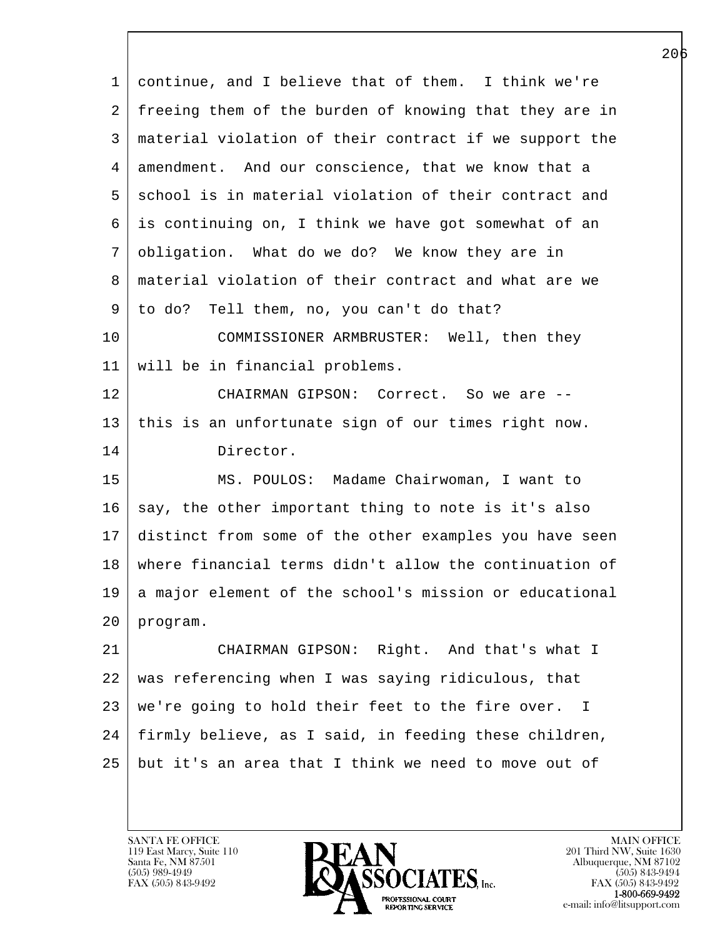l  $\overline{\phantom{a}}$  1 continue, and I believe that of them. I think we're 2 | freeing them of the burden of knowing that they are in 3 material violation of their contract if we support the 4 amendment. And our conscience, that we know that a 5 school is in material violation of their contract and 6 is continuing on, I think we have got somewhat of an 7 obligation. What do we do? We know they are in 8 material violation of their contract and what are we 9 to do? Tell them, no, you can't do that? 10 COMMISSIONER ARMBRUSTER: Well, then they 11 will be in financial problems. 12 CHAIRMAN GIPSON: Correct. So we are --13 this is an unfortunate sign of our times right now. 14 Director. 15 | MS. POULOS: Madame Chairwoman, I want to  $16$  say, the other important thing to note is it's also 17 distinct from some of the other examples you have seen 18 where financial terms didn't allow the continuation of 19 a major element of the school's mission or educational 20 program. 21 CHAIRMAN GIPSON: Right. And that's what I 22 was referencing when I was saying ridiculous, that 23 we're going to hold their feet to the fire over. I 24 firmly believe, as I said, in feeding these children, 25 but it's an area that I think we need to move out of

119 East Marcy, Suite 110<br>Santa Fe, NM 87501

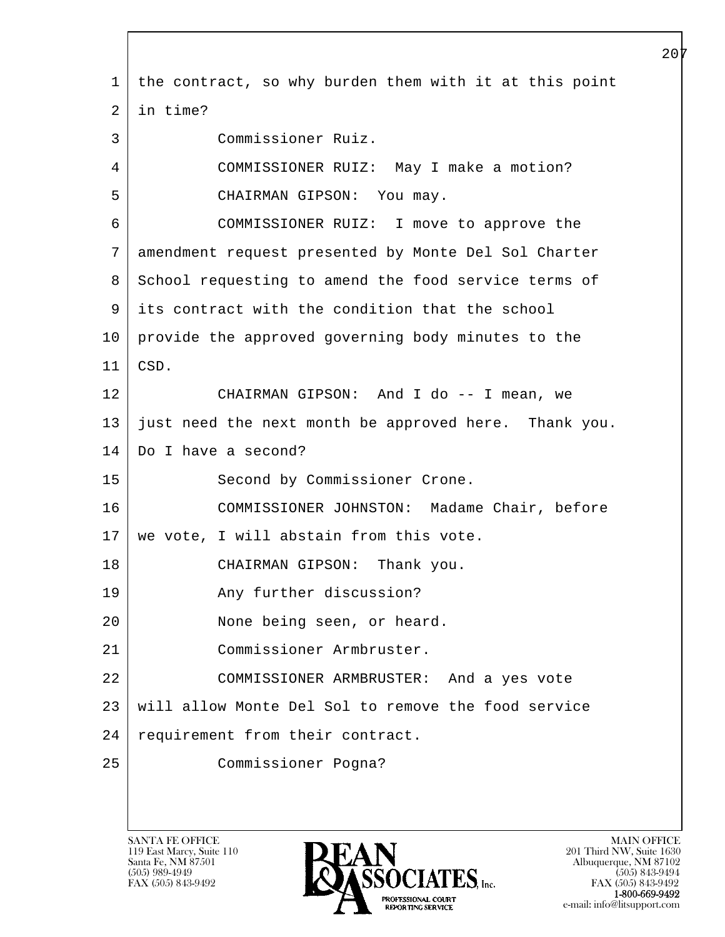l  $\overline{\phantom{a}}$  1 the contract, so why burden them with it at this point 2 in time? 3 Commissioner Ruiz. 4 COMMISSIONER RUIZ: May I make a motion? 5 CHAIRMAN GIPSON: You may. 6 COMMISSIONER RUIZ: I move to approve the 7 amendment request presented by Monte Del Sol Charter 8 School requesting to amend the food service terms of 9 its contract with the condition that the school 10 provide the approved governing body minutes to the 11 CSD. 12 CHAIRMAN GIPSON: And I do -- I mean, we 13 just need the next month be approved here. Thank you. 14 Do I have a second? 15 | Second by Commissioner Crone. 16 COMMISSIONER JOHNSTON: Madame Chair, before 17 | we vote, I will abstain from this vote. 18 CHAIRMAN GIPSON: Thank you. 19 | The Any further discussion? 20 None being seen, or heard. 21 Commissioner Armbruster. 22 COMMISSIONER ARMBRUSTER: And a yes vote 23 will allow Monte Del Sol to remove the food service 24 requirement from their contract. 25 Commissioner Pogna?

119 East Marcy, Suite 110<br>Santa Fe, NM 87501

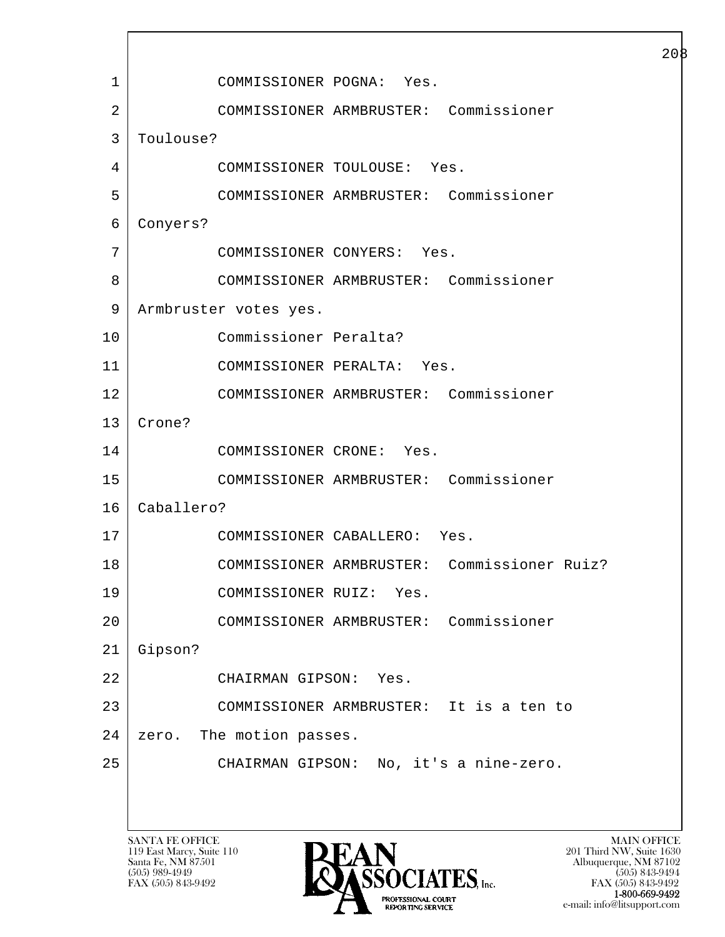l  $\overline{\phantom{a}}$  1 COMMISSIONER POGNA: Yes. 2 COMMISSIONER ARMBRUSTER: Commissioner 3 Toulouse? 4 COMMISSIONER TOULOUSE: Yes. 5 COMMISSIONER ARMBRUSTER: Commissioner 6 Conyers? 7 COMMISSIONER CONYERS: Yes. 8 COMMISSIONER ARMBRUSTER: Commissioner 9 | Armbruster votes yes. 10 Commissioner Peralta? 11 COMMISSIONER PERALTA: Yes. 12 COMMISSIONER ARMBRUSTER: Commissioner 13 Crone? 14 COMMISSIONER CRONE: Yes. 15 COMMISSIONER ARMBRUSTER: Commissioner 16 Caballero? 17 COMMISSIONER CABALLERO: Yes. 18 COMMISSIONER ARMBRUSTER: Commissioner Ruiz? 19 COMMISSIONER RUIZ: Yes. 20 COMMISSIONER ARMBRUSTER: Commissioner 21 Gipson? 22 CHAIRMAN GIPSON: Yes. 23 COMMISSIONER ARMBRUSTER: It is a ten to 24 | zero. The motion passes. 25 CHAIRMAN GIPSON: No, it's a nine-zero.

119 East Marcy, Suite 110<br>Santa Fe, NM 87501



FAX (505) 843-9492<br>**1-800-669-9492** e-mail: info@litsupport.com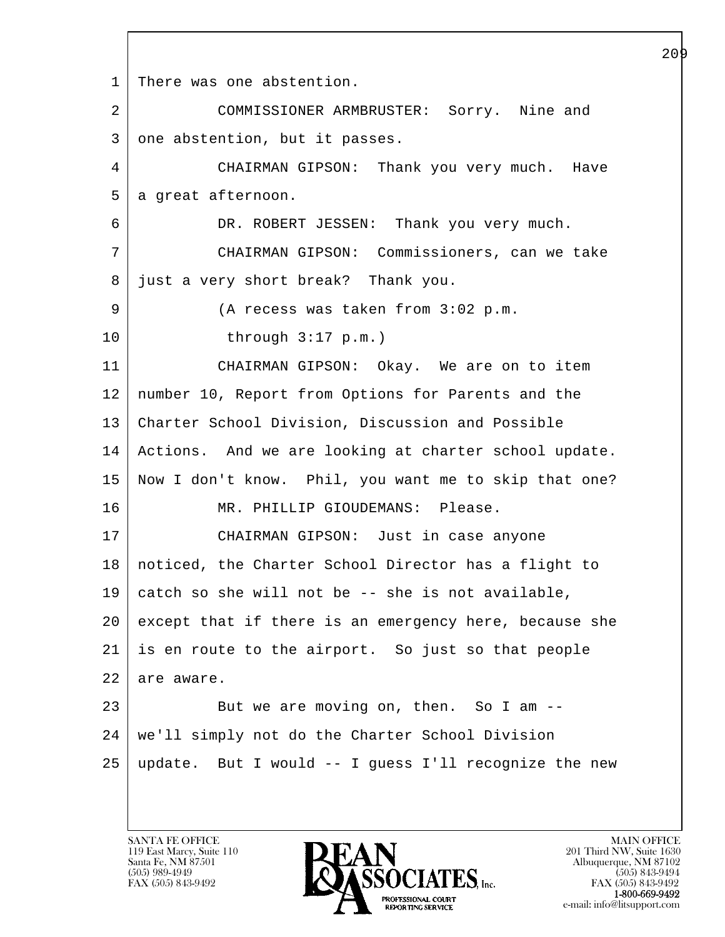l  $\overline{\phantom{a}}$ 1 | There was one abstention. 2 COMMISSIONER ARMBRUSTER: Sorry. Nine and 3 one abstention, but it passes. 4 CHAIRMAN GIPSON: Thank you very much. Have 5 a great afternoon. 6 DR. ROBERT JESSEN: Thank you very much. 7 CHAIRMAN GIPSON: Commissioners, can we take 8 just a very short break? Thank you. 9 (A recess was taken from 3:02 p.m. 10 through 3:17 p.m.) 11 CHAIRMAN GIPSON: Okay. We are on to item 12 number 10, Report from Options for Parents and the 13 | Charter School Division, Discussion and Possible 14 Actions. And we are looking at charter school update. 15 Now I don't know. Phil, you want me to skip that one? 16 | MR. PHILLIP GIOUDEMANS: Please. 17 CHAIRMAN GIPSON: Just in case anyone 18 noticed, the Charter School Director has a flight to  $19$  catch so she will not be -- she is not available, 20 except that if there is an emergency here, because she 21 is en route to the airport. So just so that people 22 are aware. 23 But we are moving on, then. So I am --24 we'll simply not do the Charter School Division 25 update. But I would -- I guess I'll recognize the new

119 East Marcy, Suite 110<br>Santa Fe, NM 87501

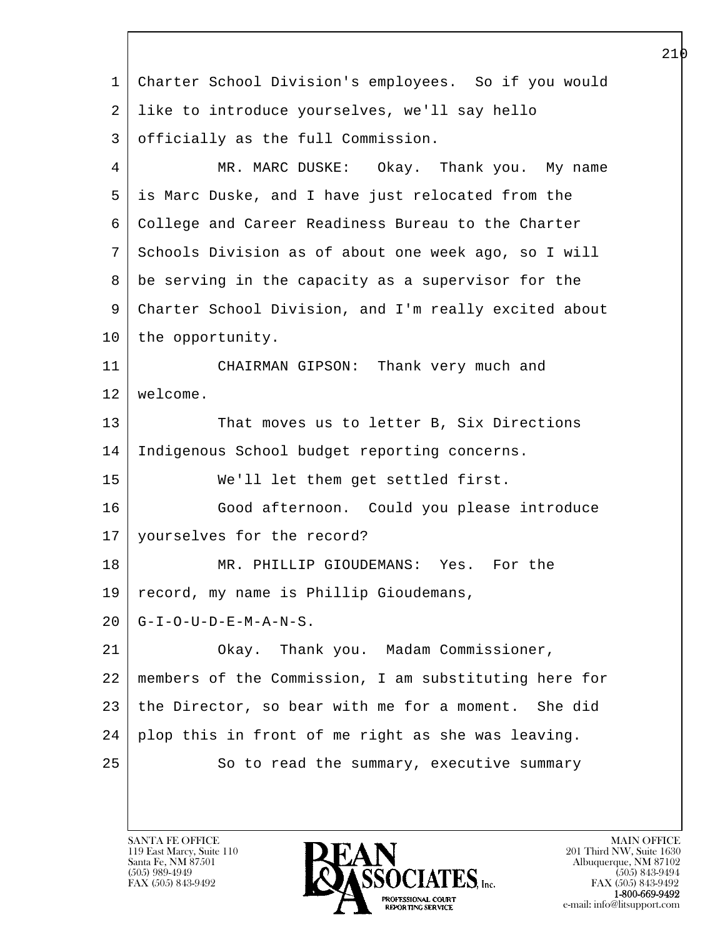l  $\overline{\phantom{a}}$  1 Charter School Division's employees. So if you would 2 like to introduce yourselves, we'll say hello 3 officially as the full Commission. 4 MR. MARC DUSKE: Okay. Thank you. My name 5 is Marc Duske, and I have just relocated from the 6 College and Career Readiness Bureau to the Charter 7 Schools Division as of about one week ago, so I will 8 be serving in the capacity as a supervisor for the 9 Charter School Division, and I'm really excited about 10 | the opportunity. 11 CHAIRMAN GIPSON: Thank very much and 12 welcome. 13 That moves us to letter B, Six Directions 14 Indigenous School budget reporting concerns. 15 We'll let them get settled first. 16 Good afternoon. Could you please introduce 17 yourselves for the record? 18 MR. PHILLIP GIOUDEMANS: Yes. For the 19 record, my name is Phillip Gioudemans,  $20$  | G-I-O-U-D-E-M-A-N-S. 21 Okay. Thank you. Madam Commissioner, 22 members of the Commission, I am substituting here for 23 the Director, so bear with me for a moment. She did 24 plop this in front of me right as she was leaving. 25 | So to read the summary, executive summary

119 East Marcy, Suite 110<br>Santa Fe, NM 87501

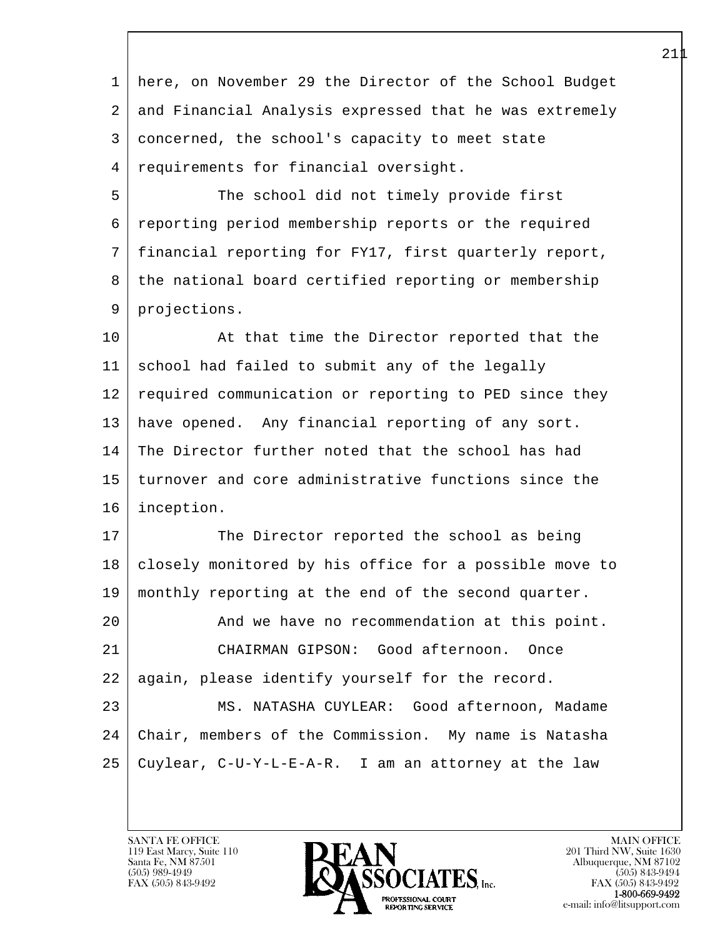l  $\overline{\phantom{a}}$  1 here, on November 29 the Director of the School Budget 2 and Financial Analysis expressed that he was extremely 3 concerned, the school's capacity to meet state 4 requirements for financial oversight. 5 The school did not timely provide first 6 reporting period membership reports or the required 7 financial reporting for FY17, first quarterly report, 8 the national board certified reporting or membership 9 projections. 10 | At that time the Director reported that the 11 school had failed to submit any of the legally 12 | required communication or reporting to PED since they 13 | have opened. Any financial reporting of any sort. 14 The Director further noted that the school has had 15 turnover and core administrative functions since the 16 inception. 17 The Director reported the school as being 18 closely monitored by his office for a possible move to 19 monthly reporting at the end of the second quarter. 20 And we have no recommendation at this point. 21 CHAIRMAN GIPSON: Good afternoon. Once 22 | again, please identify yourself for the record. 23 MS. NATASHA CUYLEAR: Good afternoon, Madame 24 Chair, members of the Commission. My name is Natasha 25 Cuylear, C-U-Y-L-E-A-R. I am an attorney at the law

119 East Marcy, Suite 110<br>Santa Fe, NM 87501

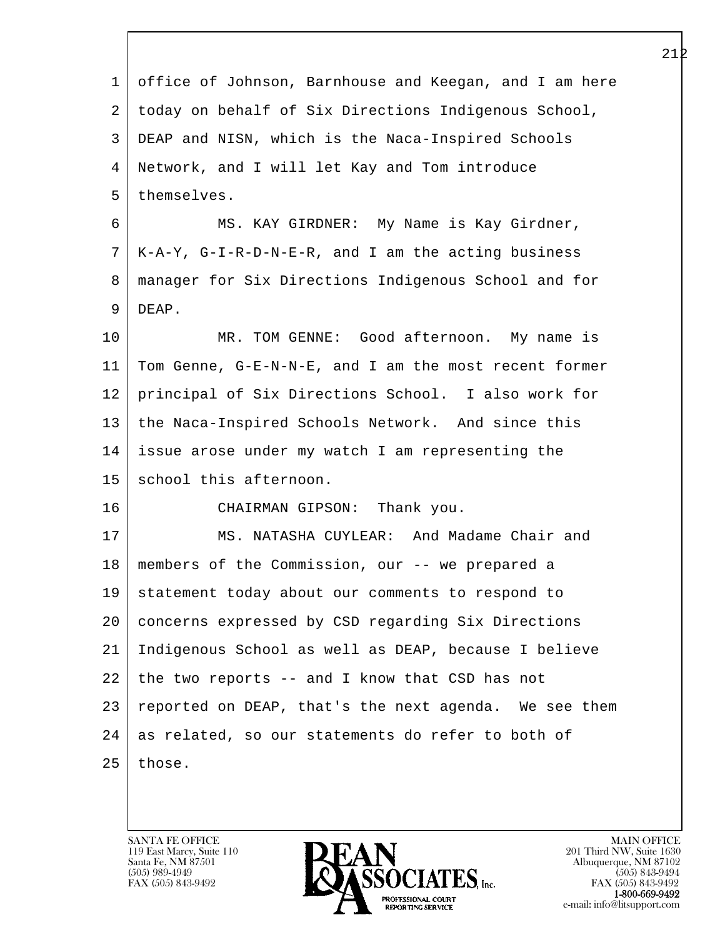| $\mathbf{1}$ | office of Johnson, Barnhouse and Keegan, and I am here |
|--------------|--------------------------------------------------------|
| 2            | today on behalf of Six Directions Indigenous School,   |
| 3            | DEAP and NISN, which is the Naca-Inspired Schools      |
| 4            | Network, and I will let Kay and Tom introduce          |
| 5            | themselves.                                            |
| 6            | MS. KAY GIRDNER: My Name is Kay Girdner,               |
| 7            | K-A-Y, G-I-R-D-N-E-R, and I am the acting business     |
| 8            | manager for Six Directions Indigenous School and for   |
| 9            | DEAP.                                                  |
| 10           | MR. TOM GENNE: Good afternoon. My name is              |
| 11           | Tom Genne, G-E-N-N-E, and I am the most recent former  |
| 12           | principal of Six Directions School. I also work for    |
| 13           | the Naca-Inspired Schools Network. And since this      |
| 14           | issue arose under my watch I am representing the       |
| 15           | school this afternoon.                                 |
| 16           | CHAIRMAN GIPSON: Thank you.                            |
| 17           | MS. NATASHA CUYLEAR: And Madame Chair and              |
| 18           | members of the Commission, our -- we prepared a        |
| 19           | statement today about our comments to respond to       |
| 20           | concerns expressed by CSD regarding Six Directions     |
| 21           | Indigenous School as well as DEAP, because I believe   |
| 22           | the two reports -- and I know that CSD has not         |
| 23           | reported on DEAP, that's the next agenda. We see them  |
| 24           | as related, so our statements do refer to both of      |
| 25           | those.                                                 |
|              |                                                        |

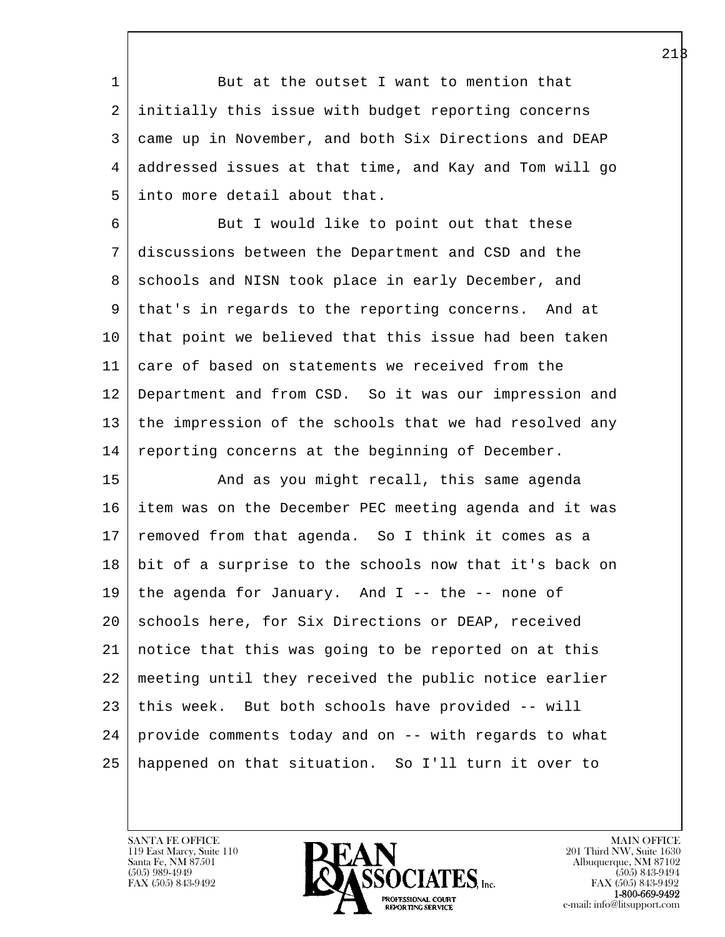1 But at the outset I want to mention that 2 initially this issue with budget reporting concerns 3 came up in November, and both Six Directions and DEAP 4 addressed issues at that time, and Kay and Tom will go 5 into more detail about that.

6 But I would like to point out that these 7 discussions between the Department and CSD and the 8 | schools and NISN took place in early December, and 9 that's in regards to the reporting concerns. And at 10 | that point we believed that this issue had been taken 11 care of based on statements we received from the 12 Department and from CSD. So it was our impression and 13 the impression of the schools that we had resolved any 14 | reporting concerns at the beginning of December.

l 15 | The and as you might recall, this same agenda 16 item was on the December PEC meeting agenda and it was 17 removed from that agenda. So I think it comes as a 18 bit of a surprise to the schools now that it's back on 19 | the agenda for January. And I -- the -- none of 20 | schools here, for Six Directions or DEAP, received 21 notice that this was going to be reported on at this 22 meeting until they received the public notice earlier 23 this week. But both schools have provided -- will 24 provide comments today and on -- with regards to what 25 happened on that situation. So I'll turn it over to

119 East Marcy, Suite 110<br>Santa Fe, NM 87501

 $\overline{\phantom{a}}$ 

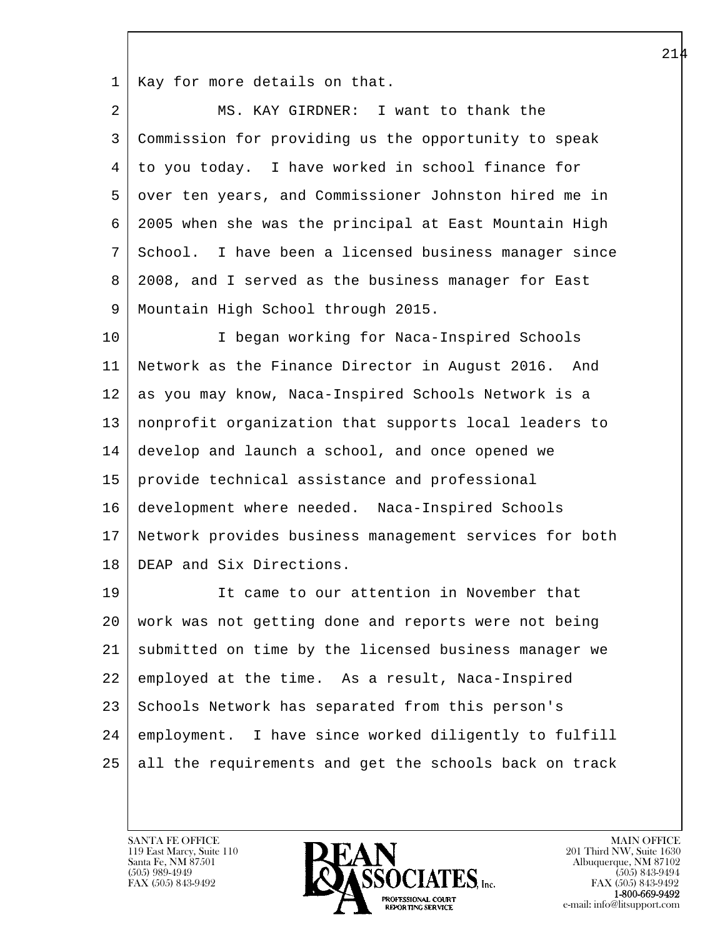1 | Kay for more details on that.

| 2  | MS. KAY GIRDNER: I want to thank the                   |
|----|--------------------------------------------------------|
| 3  | Commission for providing us the opportunity to speak   |
| 4  | to you today. I have worked in school finance for      |
| 5  | over ten years, and Commissioner Johnston hired me in  |
| 6  | 2005 when she was the principal at East Mountain High  |
| 7  | School. I have been a licensed business manager since  |
| 8  | 2008, and I served as the business manager for East    |
| 9  | Mountain High School through 2015.                     |
| 10 | I began working for Naca-Inspired Schools              |
| 11 | Network as the Finance Director in August 2016. And    |
| 12 | as you may know, Naca-Inspired Schools Network is a    |
| 13 | nonprofit organization that supports local leaders to  |
| 14 | develop and launch a school, and once opened we        |
| 15 | provide technical assistance and professional          |
| 16 | development where needed. Naca-Inspired Schools        |
| 17 | Network provides business management services for both |
| 18 | DEAP and Six Directions.                               |
| 19 | It came to our attention in November that              |
| 20 | work was not getting done and reports were not being   |
| 21 | submitted on time by the licensed business manager we  |
| 22 | employed at the time. As a result, Naca-Inspired       |
| 23 | Schools Network has separated from this person's       |
| 24 | employment. I have since worked diligently to fulfill  |
| 25 | all the requirements and get the schools back on track |
|    |                                                        |

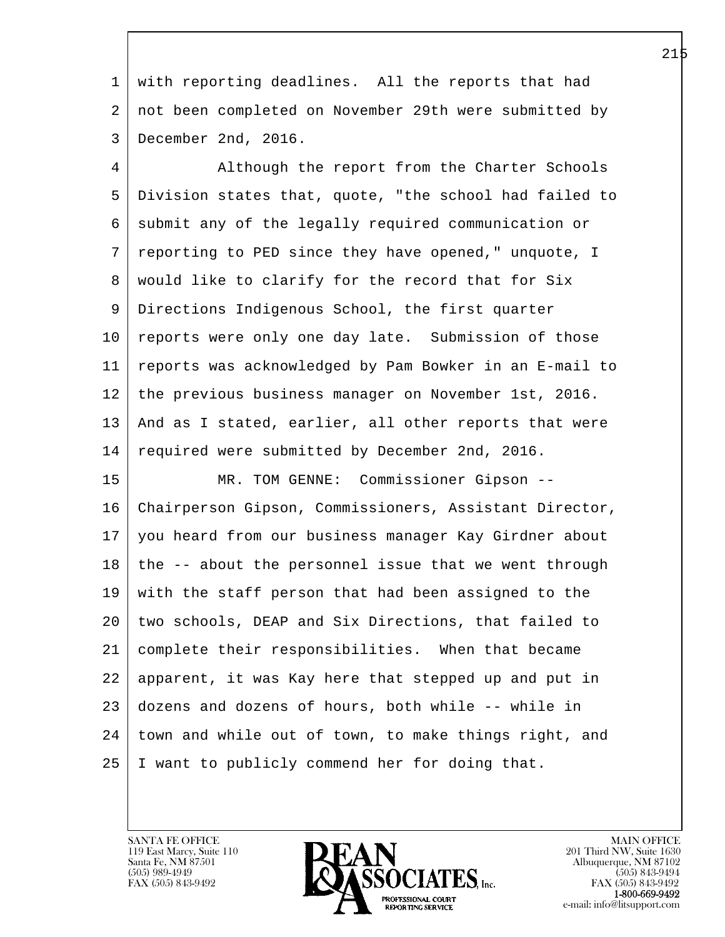1 with reporting deadlines. All the reports that had 2 not been completed on November 29th were submitted by 3 December 2nd, 2016.

 4 Although the report from the Charter Schools 5 Division states that, quote, "the school had failed to 6 submit any of the legally required communication or 7 reporting to PED since they have opened," unquote, I 8 | would like to clarify for the record that for Six 9 Directions Indigenous School, the first quarter 10 | reports were only one day late. Submission of those 11 reports was acknowledged by Pam Bowker in an E-mail to 12 the previous business manager on November 1st, 2016. 13 | And as I stated, earlier, all other reports that were 14 | required were submitted by December 2nd, 2016.

l 15 MR. TOM GENNE: Commissioner Gipson -- 16 Chairperson Gipson, Commissioners, Assistant Director, 17 you heard from our business manager Kay Girdner about  $18$  the  $-$ - about the personnel issue that we went through 19 with the staff person that had been assigned to the 20 two schools, DEAP and Six Directions, that failed to 21 complete their responsibilities. When that became 22 apparent, it was Kay here that stepped up and put in 23 dozens and dozens of hours, both while -- while in 24 town and while out of town, to make things right, and 25 I want to publicly commend her for doing that.

119 East Marcy, Suite 110<br>Santa Fe, NM 87501

 $\overline{\phantom{a}}$ 

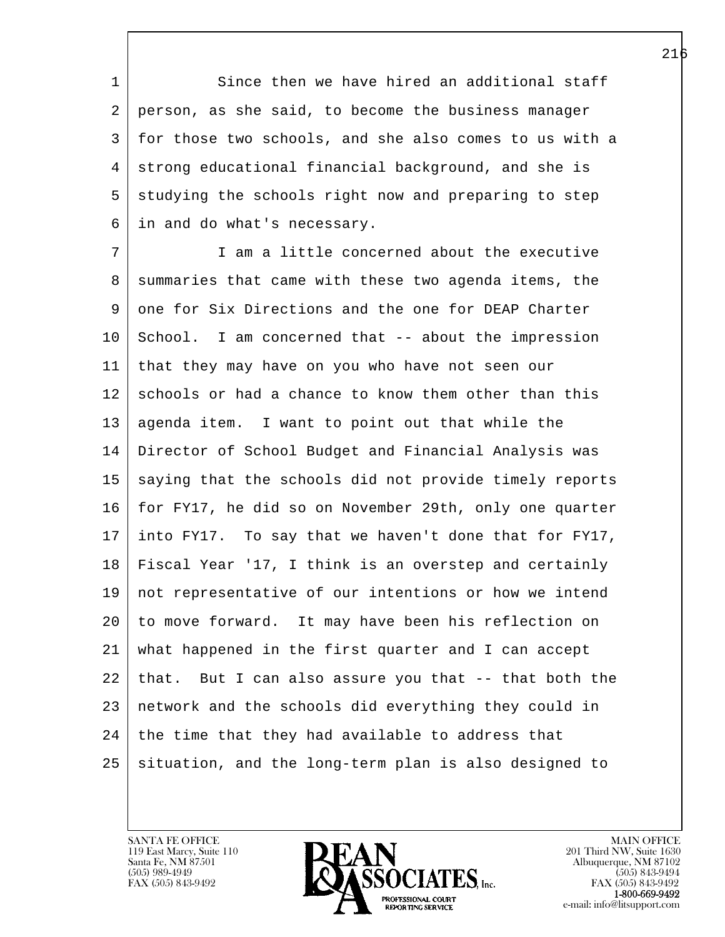1 Since then we have hired an additional staff 2 person, as she said, to become the business manager 3 for those two schools, and she also comes to us with a 4 strong educational financial background, and she is 5 studying the schools right now and preparing to step 6 in and do what's necessary.

l 7 I am a little concerned about the executive 8 summaries that came with these two agenda items, the 9 one for Six Directions and the one for DEAP Charter 10 School. I am concerned that -- about the impression 11 that they may have on you who have not seen our 12 schools or had a chance to know them other than this 13 | agenda item. I want to point out that while the 14 Director of School Budget and Financial Analysis was 15 | saying that the schools did not provide timely reports 16 for FY17, he did so on November 29th, only one quarter 17 into FY17. To say that we haven't done that for FY17, 18 Fiscal Year '17, I think is an overstep and certainly 19 not representative of our intentions or how we intend 20 to move forward. It may have been his reflection on 21 what happened in the first quarter and I can accept 22 that. But I can also assure you that -- that both the 23 network and the schools did everything they could in  $24$  the time that they had available to address that 25 situation, and the long-term plan is also designed to

119 East Marcy, Suite 110<br>Santa Fe, NM 87501

 $\overline{\phantom{a}}$ 

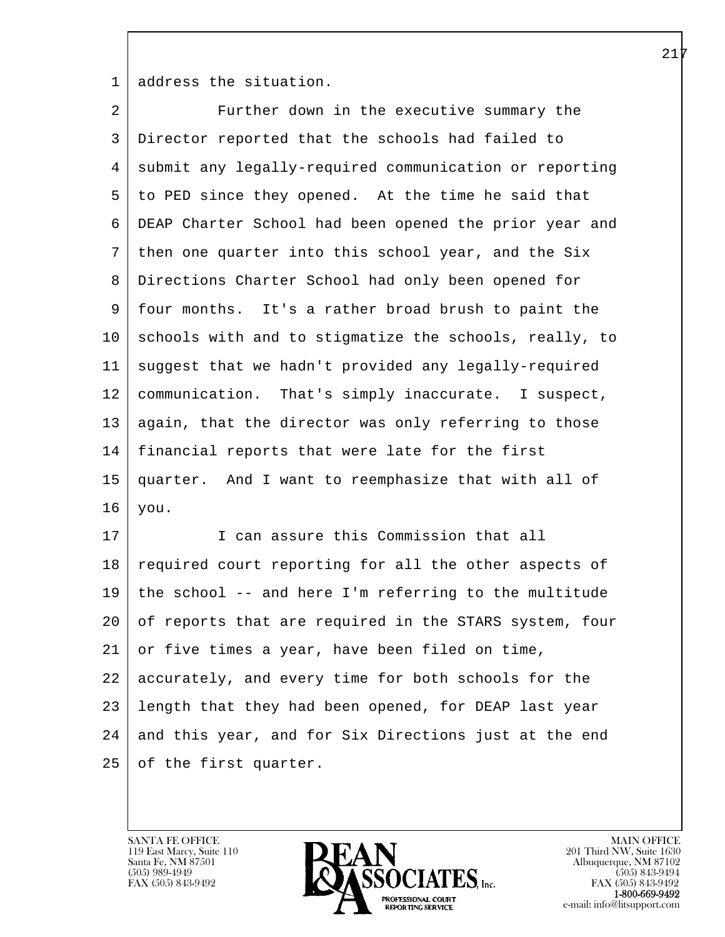1 address the situation.

| 2  | Further down in the executive summary the              |
|----|--------------------------------------------------------|
| 3  | Director reported that the schools had failed to       |
| 4  | submit any legally-required communication or reporting |
| 5  | to PED since they opened. At the time he said that     |
| 6  | DEAP Charter School had been opened the prior year and |
| 7  | then one quarter into this school year, and the Six    |
| 8  | Directions Charter School had only been opened for     |
| 9  | four months. It's a rather broad brush to paint the    |
| 10 | schools with and to stigmatize the schools, really, to |
| 11 | suggest that we hadn't provided any legally-required   |
| 12 | communication. That's simply inaccurate. I suspect,    |
| 13 | again, that the director was only referring to those   |
| 14 | financial reports that were late for the first         |
| 15 | quarter. And I want to reemphasize that with all of    |
| 16 | you.                                                   |
| 17 | I can assure this Commission that all                  |
| 18 | required court reporting for all the other aspects of  |
| 19 | the school -- and here I'm referring to the multitude  |
| 20 | of reports that are required in the STARS system, four |
| 21 | or five times a year, have been filed on time,         |
| 22 | accurately, and every time for both schools for the    |
| 23 | length that they had been opened, for DEAP last year   |
| 24 | and this year, and for Six Directions just at the end  |
| 25 | of the first quarter.                                  |
|    |                                                        |

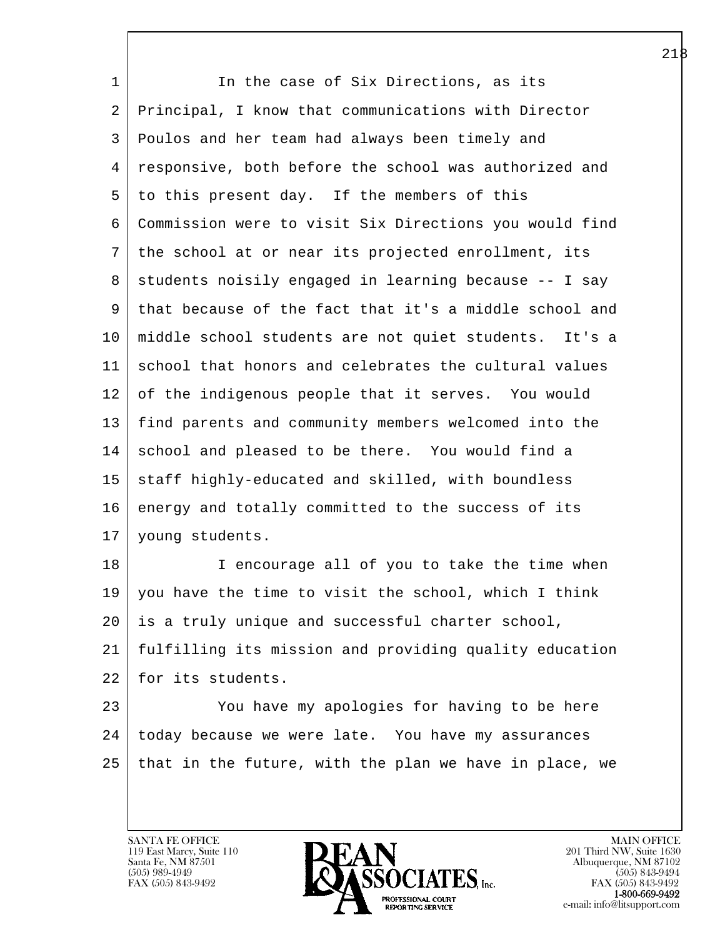1 In the case of Six Directions, as its 2 Principal, I know that communications with Director 3 Poulos and her team had always been timely and 4 responsive, both before the school was authorized and 5 to this present day. If the members of this 6 Commission were to visit Six Directions you would find 7 the school at or near its projected enrollment, its  $8$  students noisily engaged in learning because  $-$ - I say 9 that because of the fact that it's a middle school and 10 middle school students are not quiet students. It's a 11 school that honors and celebrates the cultural values 12 of the indigenous people that it serves. You would 13 find parents and community members welcomed into the 14 school and pleased to be there. You would find a 15 staff highly-educated and skilled, with boundless 16 energy and totally committed to the success of its 17 young students. 18 I encourage all of you to take the time when

19 you have the time to visit the school, which I think 20 is a truly unique and successful charter school, 21 fulfilling its mission and providing quality education 22 for its students.

l 23 You have my apologies for having to be here 24 today because we were late. You have my assurances 25 that in the future, with the plan we have in place, we

119 East Marcy, Suite 110<br>Santa Fe, NM 87501

 $\overline{\phantom{a}}$ 

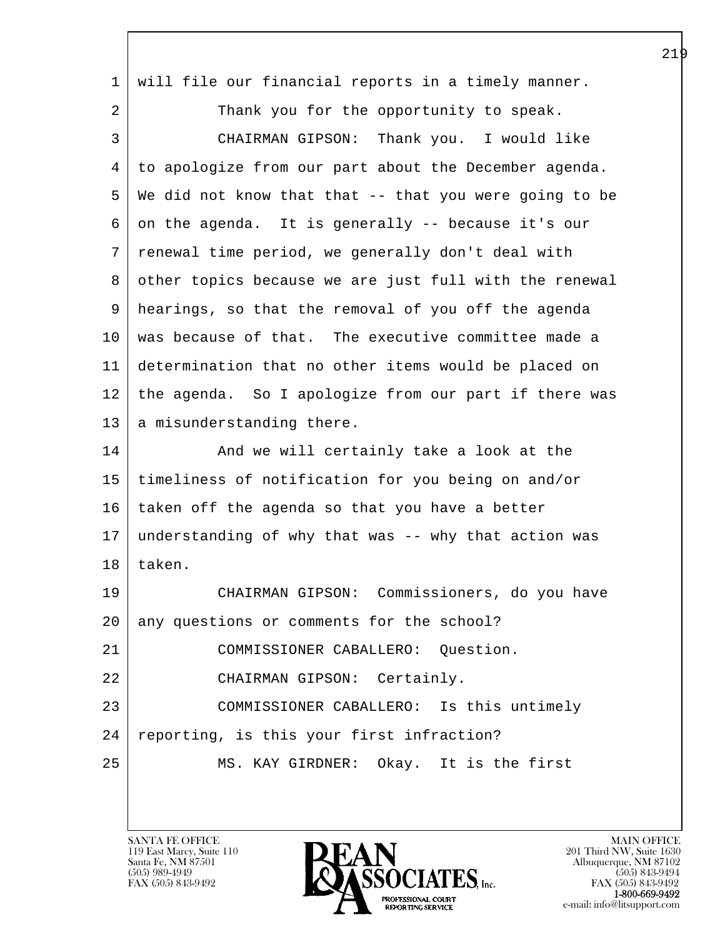| $\mathbf 1$ | will file our financial reports in a timely manner.    |
|-------------|--------------------------------------------------------|
| 2           | Thank you for the opportunity to speak.                |
| 3           | CHAIRMAN GIPSON: Thank you. I would like               |
| 4           | to apologize from our part about the December agenda.  |
| 5           | We did not know that that -- that you were going to be |
| 6           | on the agenda. It is generally -- because it's our     |
| 7           | renewal time period, we generally don't deal with      |
| 8           | other topics because we are just full with the renewal |
| 9           | hearings, so that the removal of you off the agenda    |
| 10          | was because of that. The executive committee made a    |
| 11          | determination that no other items would be placed on   |
| 12          | the agenda. So I apologize from our part if there was  |
| 13          | a misunderstanding there.                              |
| 14          | And we will certainly take a look at the               |
| 15          | timeliness of notification for you being on and/or     |
| 16          | taken off the agenda so that you have a better         |
| 17          | understanding of why that was -- why that action was   |
| 18          | taken.                                                 |
| 19          | CHAIRMAN GIPSON: Commissioners, do you have            |
| 20          | any questions or comments for the school?              |
| 21          | COMMISSIONER CABALLERO: Question.                      |
| 22          | CHAIRMAN GIPSON: Certainly.                            |
| 23          | COMMISSIONER CABALLERO: Is this untimely               |
| 24          | reporting, is this your first infraction?              |
| 25          | MS. KAY GIRDNER: Okay. It is the first                 |
|             |                                                        |

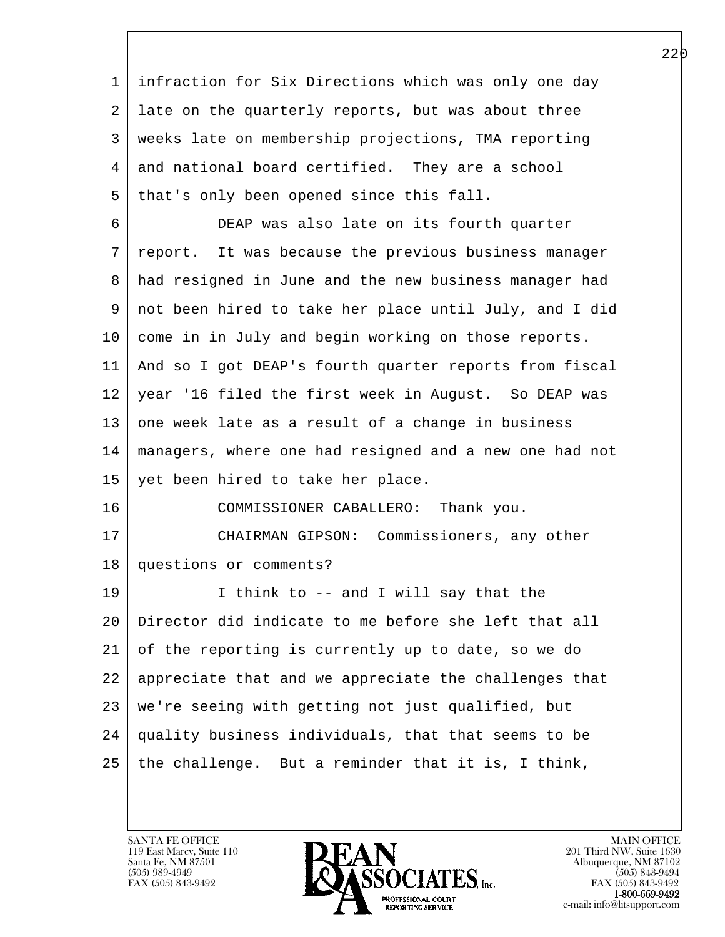l  $\overline{\phantom{a}}$  1 infraction for Six Directions which was only one day 2 late on the quarterly reports, but was about three 3 weeks late on membership projections, TMA reporting 4 and national board certified. They are a school 5 | that's only been opened since this fall. 6 DEAP was also late on its fourth quarter 7 report. It was because the previous business manager 8 had resigned in June and the new business manager had 9 not been hired to take her place until July, and I did 10 come in in July and begin working on those reports. 11 And so I got DEAP's fourth quarter reports from fiscal 12 year '16 filed the first week in August. So DEAP was  $13$  one week late as a result of a change in business 14 managers, where one had resigned and a new one had not 15 yet been hired to take her place. 16 COMMISSIONER CABALLERO: Thank you. 17 CHAIRMAN GIPSON: Commissioners, any other 18 questions or comments? 19 I think to -- and I will say that the 20 Director did indicate to me before she left that all 21 of the reporting is currently up to date, so we do 22 appreciate that and we appreciate the challenges that 23 we're seeing with getting not just qualified, but 24 quality business individuals, that that seems to be 25 the challenge. But a reminder that it is, I think,

119 East Marcy, Suite 110<br>Santa Fe, NM 87501

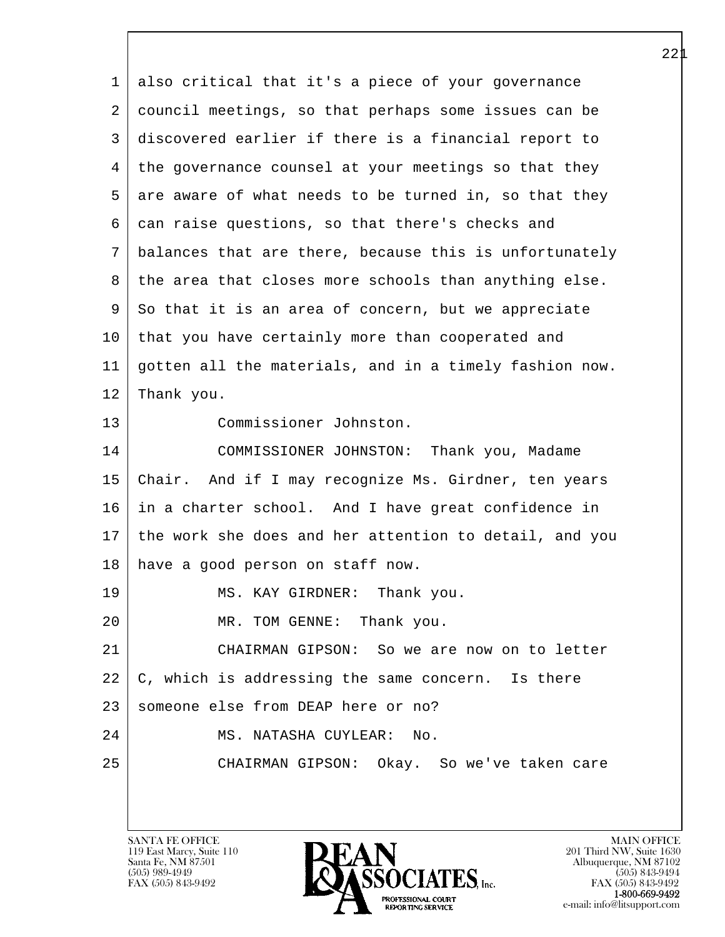l  $\overline{\phantom{a}}$  1 also critical that it's a piece of your governance 2 council meetings, so that perhaps some issues can be 3 discovered earlier if there is a financial report to 4 the governance counsel at your meetings so that they 5 are aware of what needs to be turned in, so that they 6 can raise questions, so that there's checks and 7 balances that are there, because this is unfortunately 8 the area that closes more schools than anything else. 9 So that it is an area of concern, but we appreciate 10 | that you have certainly more than cooperated and 11 gotten all the materials, and in a timely fashion now. 12 Thank you. 13 Commissioner Johnston. 14 COMMISSIONER JOHNSTON: Thank you, Madame 15 Chair. And if I may recognize Ms. Girdner, ten years 16 in a charter school. And I have great confidence in 17 the work she does and her attention to detail, and you 18 have a good person on staff now. 19 MS. KAY GIRDNER: Thank you. 20 MR. TOM GENNE: Thank you. 21 CHAIRMAN GIPSON: So we are now on to letter  $22 \mid C$ , which is addressing the same concern. Is there 23 someone else from DEAP here or no? 24 MS. NATASHA CUYLEAR: No. 25 CHAIRMAN GIPSON: Okay. So we've taken care

119 East Marcy, Suite 110<br>Santa Fe, NM 87501

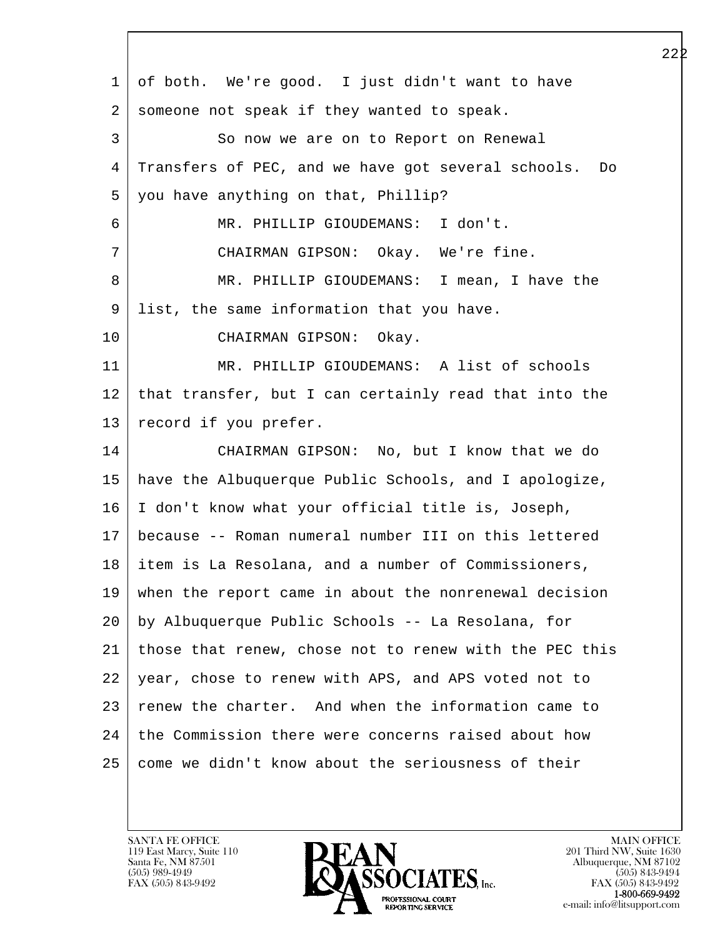| $\mathbf 1$ | of both. We're good. I just didn't want to have        |
|-------------|--------------------------------------------------------|
| 2           | someone not speak if they wanted to speak.             |
| 3           | So now we are on to Report on Renewal                  |
| 4           | Transfers of PEC, and we have got several schools. Do  |
| 5           | you have anything on that, Phillip?                    |
| 6           | MR. PHILLIP GIOUDEMANS: I don't.                       |
| 7           | CHAIRMAN GIPSON: Okay. We're fine.                     |
| 8           | MR. PHILLIP GIOUDEMANS: I mean, I have the             |
| 9           | list, the same information that you have.              |
| 10          | CHAIRMAN GIPSON: Okay.                                 |
| 11          | MR. PHILLIP GIOUDEMANS: A list of schools              |
| 12          | that transfer, but I can certainly read that into the  |
| 13          | record if you prefer.                                  |
| 14          | CHAIRMAN GIPSON: No, but I know that we do             |
| 15          | have the Albuquerque Public Schools, and I apologize,  |
| 16          | I don't know what your official title is, Joseph,      |
| 17          | because -- Roman numeral number III on this lettered   |
| 18          | item is La Resolana, and a number of Commissioners,    |
| 19          | when the report came in about the nonrenewal decision  |
| 20          | by Albuquerque Public Schools -- La Resolana, for      |
| 21          | those that renew, chose not to renew with the PEC this |
| 22          | year, chose to renew with APS, and APS voted not to    |
| 23          | renew the charter. And when the information came to    |
| 24          | the Commission there were concerns raised about how    |
| 25          | come we didn't know about the seriousness of their     |
|             |                                                        |

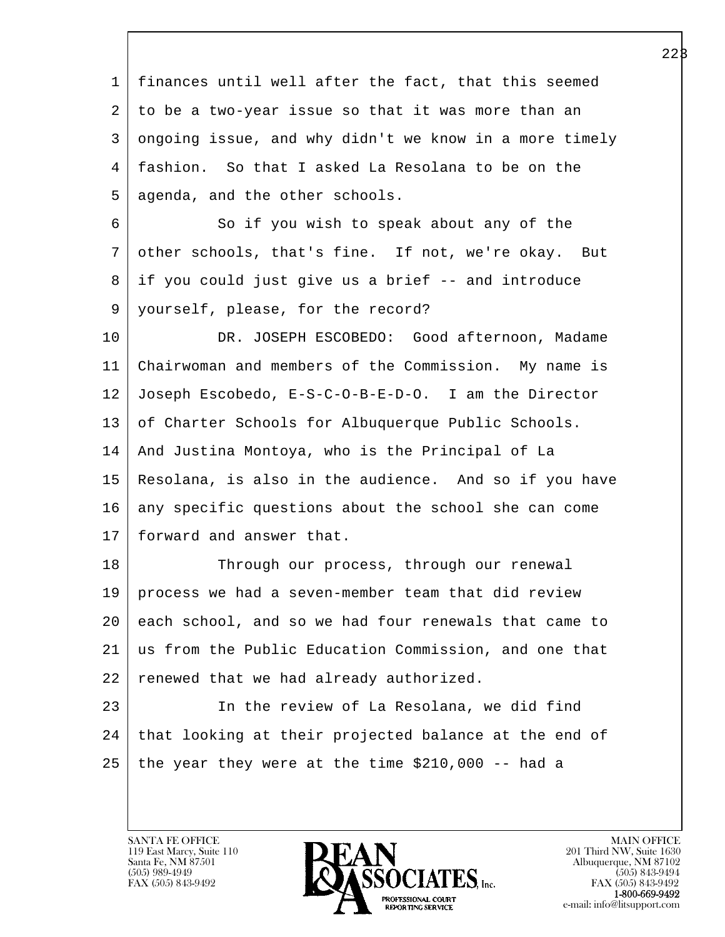l  $\overline{\phantom{a}}$  1 finances until well after the fact, that this seemed 2 to be a two-year issue so that it was more than an 3 ongoing issue, and why didn't we know in a more timely 4 fashion. So that I asked La Resolana to be on the 5 | agenda, and the other schools. 6 So if you wish to speak about any of the 7 other schools, that's fine. If not, we're okay. But 8 if you could just give us a brief -- and introduce 9 yourself, please, for the record? 10 DR. JOSEPH ESCOBEDO: Good afternoon, Madame 11 Chairwoman and members of the Commission. My name is 12 Joseph Escobedo, E-S-C-O-B-E-D-O. I am the Director 13 of Charter Schools for Albuquerque Public Schools. 14 And Justina Montoya, who is the Principal of La 15 Resolana, is also in the audience. And so if you have 16 any specific questions about the school she can come 17 forward and answer that. 18 Through our process, through our renewal 19 process we had a seven-member team that did review 20 each school, and so we had four renewals that came to 21 us from the Public Education Commission, and one that 22 renewed that we had already authorized. 23 In the review of La Resolana, we did find 24 | that looking at their projected balance at the end of  $25$  the year they were at the time \$210,000 -- had a

119 East Marcy, Suite 110<br>Santa Fe, NM 87501

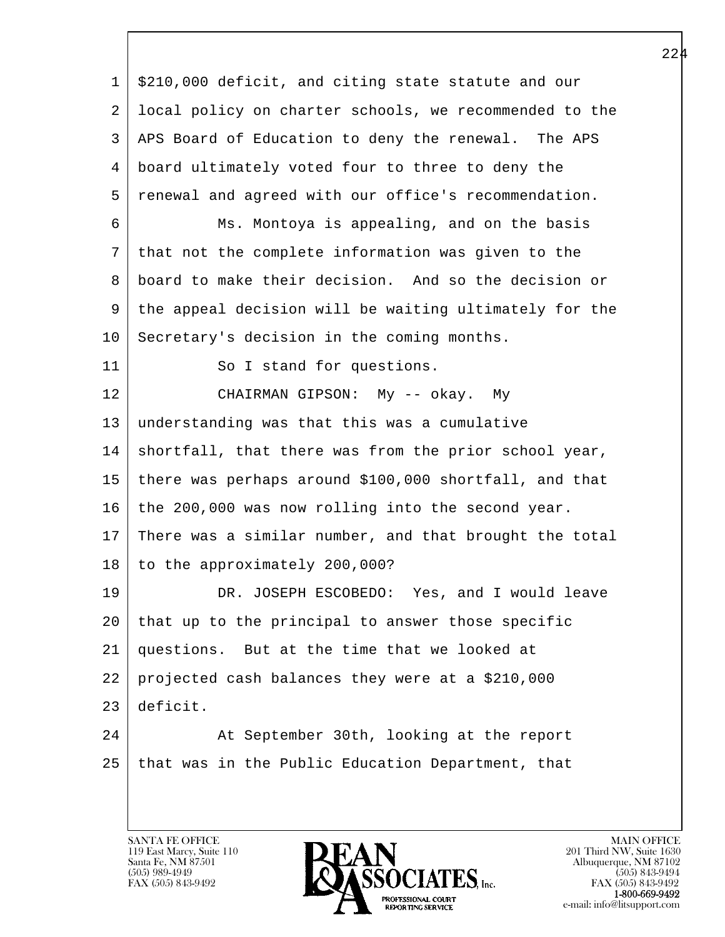l  $\overline{\phantom{a}}$  1 \$210,000 deficit, and citing state statute and our 2 local policy on charter schools, we recommended to the 3 APS Board of Education to deny the renewal. The APS 4 board ultimately voted four to three to deny the 5 renewal and agreed with our office's recommendation. 6 Ms. Montoya is appealing, and on the basis 7 that not the complete information was given to the 8 board to make their decision. And so the decision or 9 the appeal decision will be waiting ultimately for the 10 Secretary's decision in the coming months. 11 So I stand for questions. 12 CHAIRMAN GIPSON: My -- okay. My 13 understanding was that this was a cumulative 14 | shortfall, that there was from the prior school year, 15 there was perhaps around \$100,000 shortfall, and that 16 the 200,000 was now rolling into the second year. 17 There was a similar number, and that brought the total 18 to the approximately 200,000? 19 DR. JOSEPH ESCOBEDO: Yes, and I would leave 20 that up to the principal to answer those specific 21 questions. But at the time that we looked at 22 projected cash balances they were at a \$210,000 23 deficit. 24 | At September 30th, looking at the report 25 that was in the Public Education Department, that

119 East Marcy, Suite 110<br>Santa Fe, NM 87501

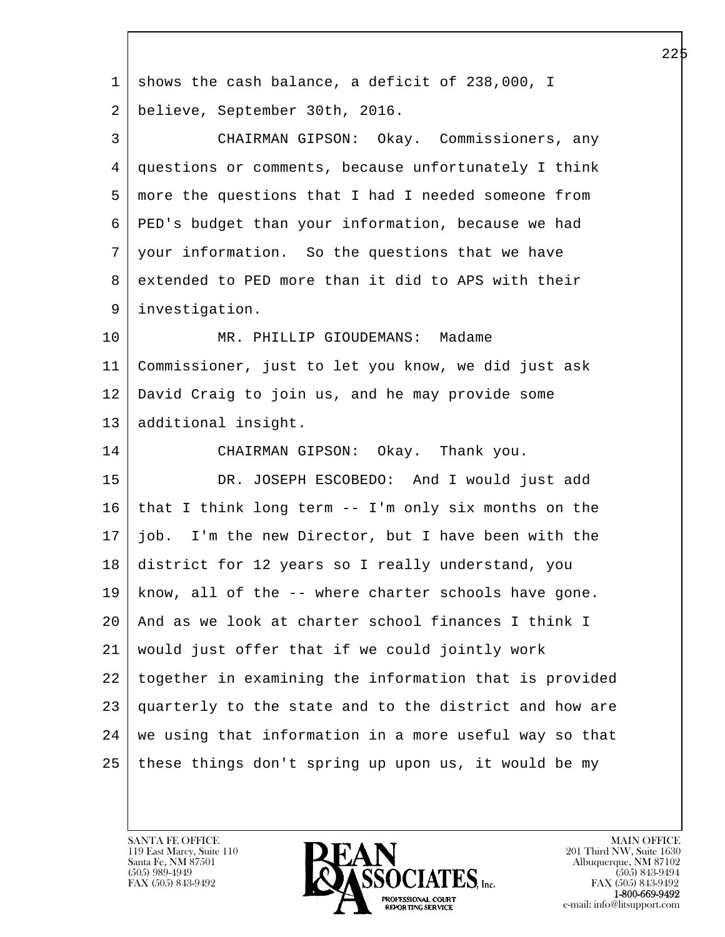| $\mathbf 1$    | shows the cash balance, a deficit of 238,000, I        |
|----------------|--------------------------------------------------------|
| 2              | believe, September 30th, 2016.                         |
| 3              | CHAIRMAN GIPSON: Okay. Commissioners, any              |
| $\overline{4}$ | questions or comments, because unfortunately I think   |
| 5              | more the questions that I had I needed someone from    |
| 6              | PED's budget than your information, because we had     |
| 7              | your information. So the questions that we have        |
| 8              | extended to PED more than it did to APS with their     |
| 9              | investigation.                                         |
| 10             | MR. PHILLIP GIOUDEMANS: Madame                         |
| 11             | Commissioner, just to let you know, we did just ask    |
| 12             | David Craig to join us, and he may provide some        |
| 13             | additional insight.                                    |
| 14             | CHAIRMAN GIPSON: Okay. Thank you.                      |
| 15             | DR. JOSEPH ESCOBEDO: And I would just add              |
| 16             | that I think long term -- I'm only six months on the   |
| 17             | job. I'm the new Director, but I have been with the    |
| 18             | district for 12 years so I really understand, you      |
| 19             | know, all of the -- where charter schools have gone.   |
| 20             | And as we look at charter school finances I think I    |
| 21             | would just offer that if we could jointly work         |
| 22             | together in examining the information that is provided |
| 23             | quarterly to the state and to the district and how are |
| 24             | we using that information in a more useful way so that |
| 25             | these things don't spring up upon us, it would be my   |
|                |                                                        |

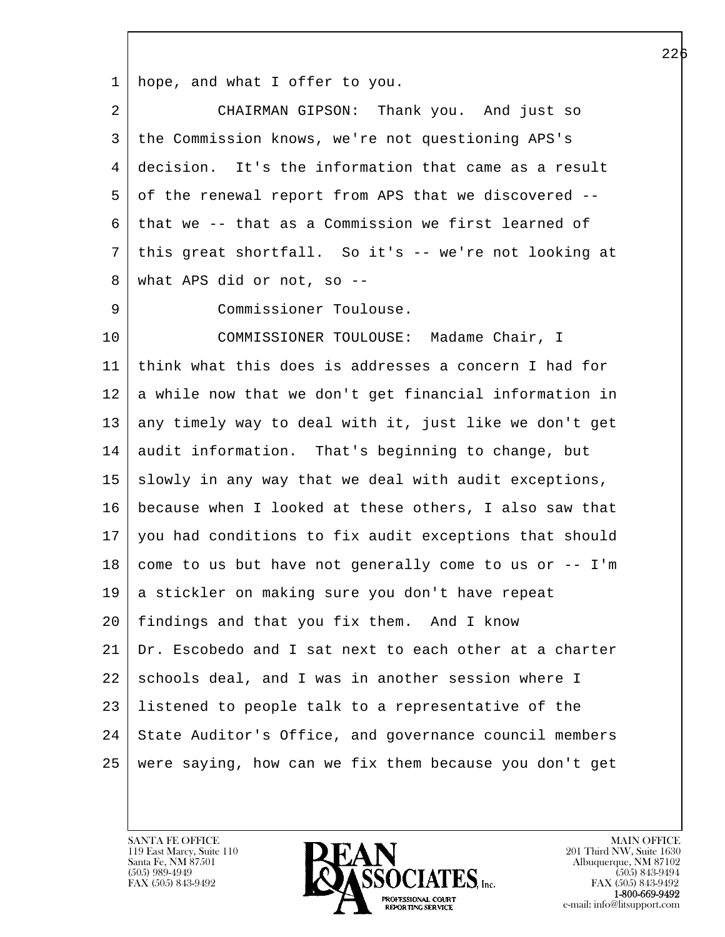1 hope, and what I offer to you.

| $\overline{2}$ | CHAIRMAN GIPSON: Thank you. And just so                |
|----------------|--------------------------------------------------------|
| 3              | the Commission knows, we're not questioning APS's      |
| 4              | decision. It's the information that came as a result   |
| 5              | of the renewal report from APS that we discovered --   |
| 6              | that we -- that as a Commission we first learned of    |
| 7              | this great shortfall. So it's -- we're not looking at  |
| 8              | what APS did or not, so $-$ -                          |
| 9              | Commissioner Toulouse.                                 |
| 10             | COMMISSIONER TOULOUSE: Madame Chair, I                 |
| 11             | think what this does is addresses a concern I had for  |
| 12             | a while now that we don't get financial information in |
| 13             | any timely way to deal with it, just like we don't get |
| 14             | audit information. That's beginning to change, but     |
| 15             | slowly in any way that we deal with audit exceptions,  |
| 16             | because when I looked at these others, I also saw that |
| 17             | you had conditions to fix audit exceptions that should |
| 18             | come to us but have not generally come to us or -- I'm |
| 19             | a stickler on making sure you don't have repeat        |
| 20             | findings and that you fix them. And I know             |
| 21             | Dr. Escobedo and I sat next to each other at a charter |
| 22             | schools deal, and I was in another session where I     |
| 23             | listened to people talk to a representative of the     |
| 24             | State Auditor's Office, and governance council members |
| 25             | were saying, how can we fix them because you don't get |

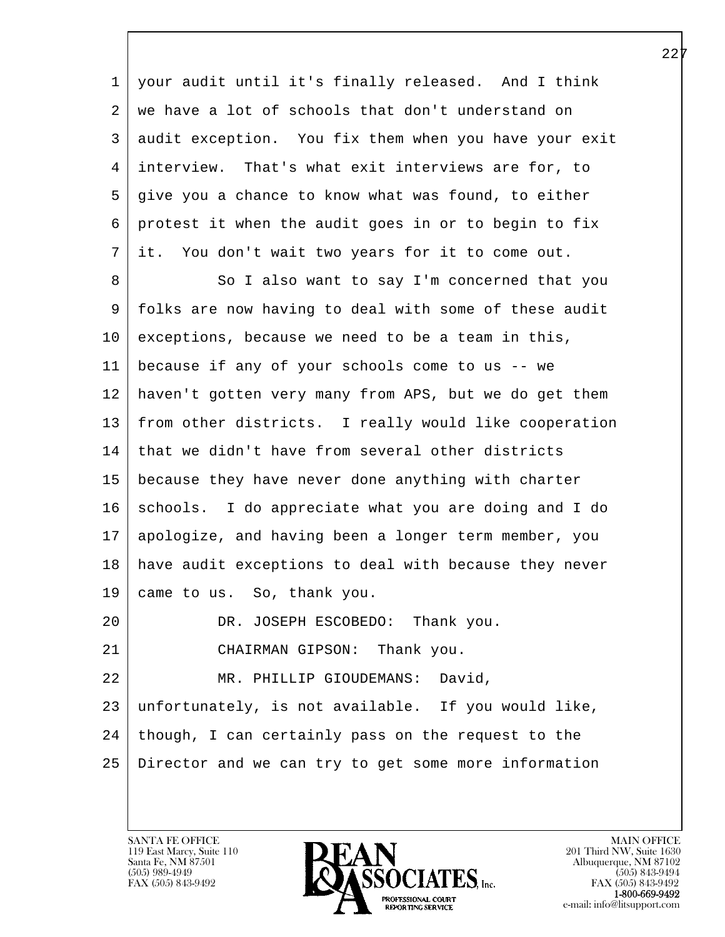1 your audit until it's finally released. And I think 2 | we have a lot of schools that don't understand on 3 audit exception. You fix them when you have your exit 4 interview. That's what exit interviews are for, to 5 give you a chance to know what was found, to either 6 protest it when the audit goes in or to begin to fix 7 it. You don't wait two years for it to come out.

l 8 So I also want to say I'm concerned that you 9 | folks are now having to deal with some of these audit 10 exceptions, because we need to be a team in this, 11 because if any of your schools come to us -- we 12 haven't gotten very many from APS, but we do get them 13 from other districts. I really would like cooperation 14 that we didn't have from several other districts 15 because they have never done anything with charter 16 schools. I do appreciate what you are doing and I do 17 apologize, and having been a longer term member, you 18 have audit exceptions to deal with because they never 19 came to us. So, thank you. 20 DR. JOSEPH ESCOBEDO: Thank you. 21 CHAIRMAN GIPSON: Thank you. 22 MR. PHILLIP GIOUDEMANS: David, 23 unfortunately, is not available. If you would like,  $24$  though, I can certainly pass on the request to the 25 Director and we can try to get some more information

119 East Marcy, Suite 110<br>Santa Fe, NM 87501

 $\overline{\phantom{a}}$ 

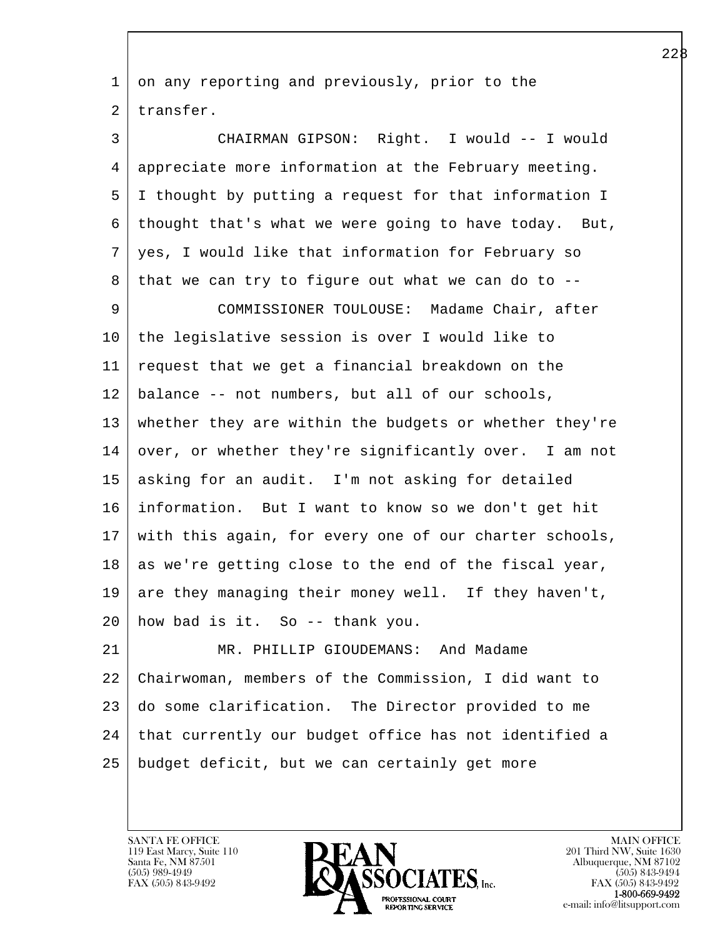l 1 on any reporting and previously, prior to the 2 transfer. 3 CHAIRMAN GIPSON: Right. I would -- I would 4 appreciate more information at the February meeting. 5 I thought by putting a request for that information I  $6 \mid$  thought that's what we were going to have today. But, 7 yes, I would like that information for February so  $8$  that we can try to figure out what we can do to  $-$ - 9 COMMISSIONER TOULOUSE: Madame Chair, after 10 the legislative session is over I would like to 11 request that we get a financial breakdown on the 12 balance -- not numbers, but all of our schools, 13 whether they are within the budgets or whether they're 14 over, or whether they're significantly over. I am not 15 asking for an audit. I'm not asking for detailed 16 information. But I want to know so we don't get hit 17 with this again, for every one of our charter schools,  $18$  as we're getting close to the end of the fiscal year, 19 are they managing their money well. If they haven't, 20 how bad is it. So -- thank you. 21 MR. PHILLIP GIOUDEMANS: And Madame 22 Chairwoman, members of the Commission, I did want to 23 do some clarification. The Director provided to me 24 that currently our budget office has not identified a 25 budget deficit, but we can certainly get more

119 East Marcy, Suite 110<br>Santa Fe, NM 87501

 $\overline{\phantom{a}}$ 

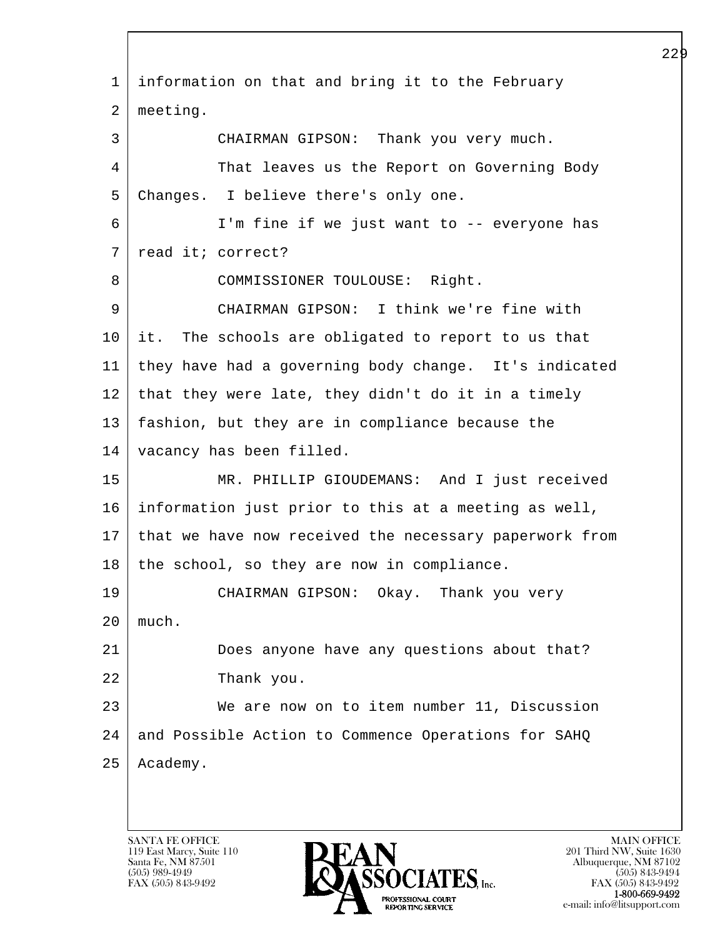l  $\overline{\phantom{a}}$  1 information on that and bring it to the February 2 meeting. 3 CHAIRMAN GIPSON: Thank you very much. 4 That leaves us the Report on Governing Body 5 Changes. I believe there's only one. 6 I'm fine if we just want to -- everyone has 7 read it; correct? 8 | COMMISSIONER TOULOUSE: Right. 9 CHAIRMAN GIPSON: I think we're fine with 10 it. The schools are obligated to report to us that 11 they have had a governing body change. It's indicated 12 that they were late, they didn't do it in a timely 13 fashion, but they are in compliance because the 14 vacancy has been filled. 15 MR. PHILLIP GIOUDEMANS: And I just received 16 information just prior to this at a meeting as well, 17 that we have now received the necessary paperwork from  $18$  | the school, so they are now in compliance. 19 CHAIRMAN GIPSON: Okay. Thank you very 20 much. 21 Does anyone have any questions about that? 22 Thank you. 23 We are now on to item number 11, Discussion 24 | and Possible Action to Commence Operations for SAHQ 25 | Academy.

119 East Marcy, Suite 110<br>Santa Fe, NM 87501

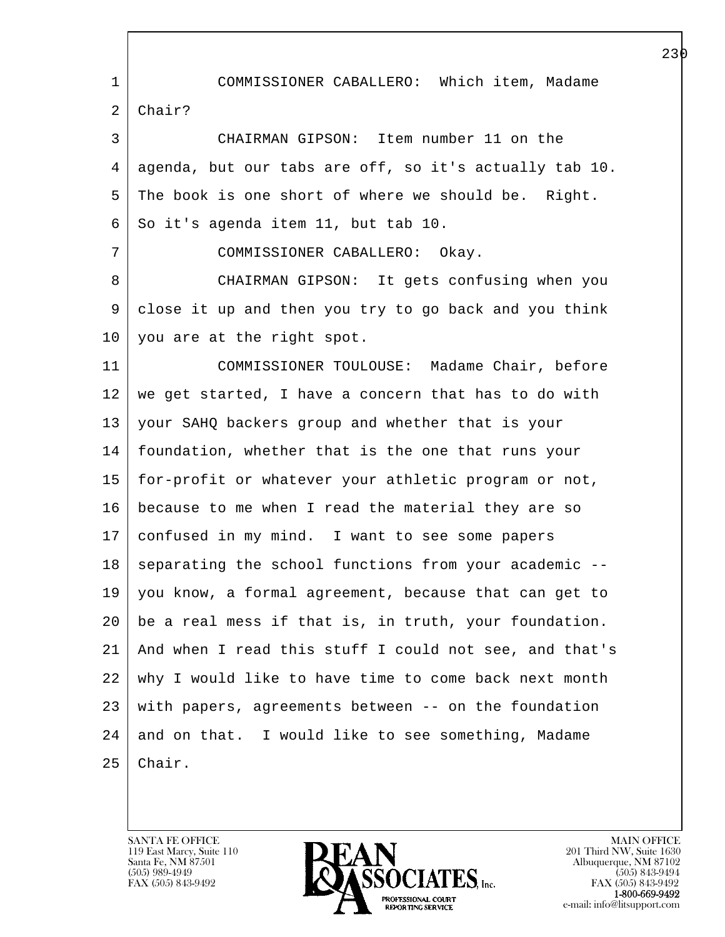l  $\overline{\phantom{a}}$  1 COMMISSIONER CABALLERO: Which item, Madame 2 Chair? 3 CHAIRMAN GIPSON: Item number 11 on the 4 agenda, but our tabs are off, so it's actually tab 10. 5 The book is one short of where we should be. Right.  $6$  So it's agenda item 11, but tab 10. 7 COMMISSIONER CABALLERO: Okay. 8 CHAIRMAN GIPSON: It gets confusing when you 9 close it up and then you try to go back and you think 10 you are at the right spot. 11 COMMISSIONER TOULOUSE: Madame Chair, before 12 we get started, I have a concern that has to do with 13 your SAHQ backers group and whether that is your 14 foundation, whether that is the one that runs your 15 for-profit or whatever your athletic program or not, 16 because to me when I read the material they are so 17 confused in my mind. I want to see some papers 18 | separating the school functions from your academic --19 you know, a formal agreement, because that can get to 20 be a real mess if that is, in truth, your foundation. 21 And when I read this stuff I could not see, and that's 22 why I would like to have time to come back next month 23 with papers, agreements between -- on the foundation  $24$  and on that. I would like to see something, Madame  $25$  Chair.

119 East Marcy, Suite 110<br>Santa Fe, NM 87501



FAX (505) 843-9492<br>**1-800-669-9492**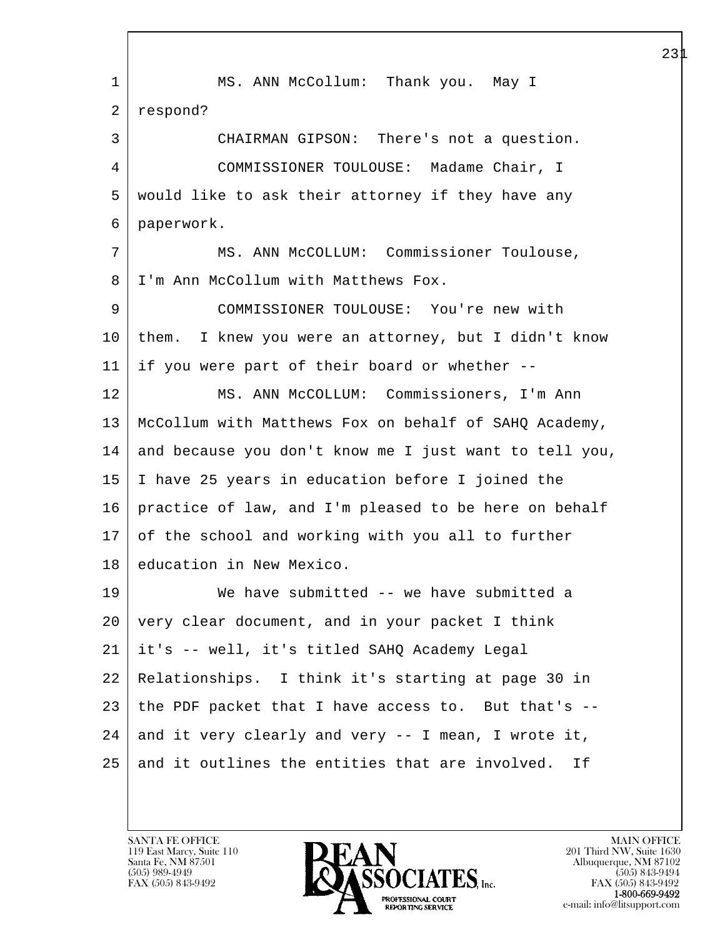l  $\overline{\phantom{a}}$  1 MS. ANN McCollum: Thank you. May I 2 respond? 3 CHAIRMAN GIPSON: There's not a question. 4 COMMISSIONER TOULOUSE: Madame Chair, I 5 would like to ask their attorney if they have any 6 paperwork. 7 MS. ANN McCOLLUM: Commissioner Toulouse, 8 | I'm Ann McCollum with Matthews Fox. 9 COMMISSIONER TOULOUSE: You're new with 10 them. I knew you were an attorney, but I didn't know 11 if you were part of their board or whether -- 12 | MS. ANN McCOLLUM: Commissioners, I'm Ann 13 McCollum with Matthews Fox on behalf of SAHQ Academy, 14 and because you don't know me I just want to tell you, 15 I have 25 years in education before I joined the 16 practice of law, and I'm pleased to be here on behalf 17 of the school and working with you all to further 18 education in New Mexico. 19 We have submitted -- we have submitted a 20 very clear document, and in your packet I think 21 it's -- well, it's titled SAHQ Academy Legal 22 Relationships. I think it's starting at page 30 in 23 the PDF packet that I have access to. But that's --  $24$  and it very clearly and very  $-$  I mean, I wrote it,  $25$  and it outlines the entities that are involved. If

119 East Marcy, Suite 110<br>Santa Fe, NM 87501

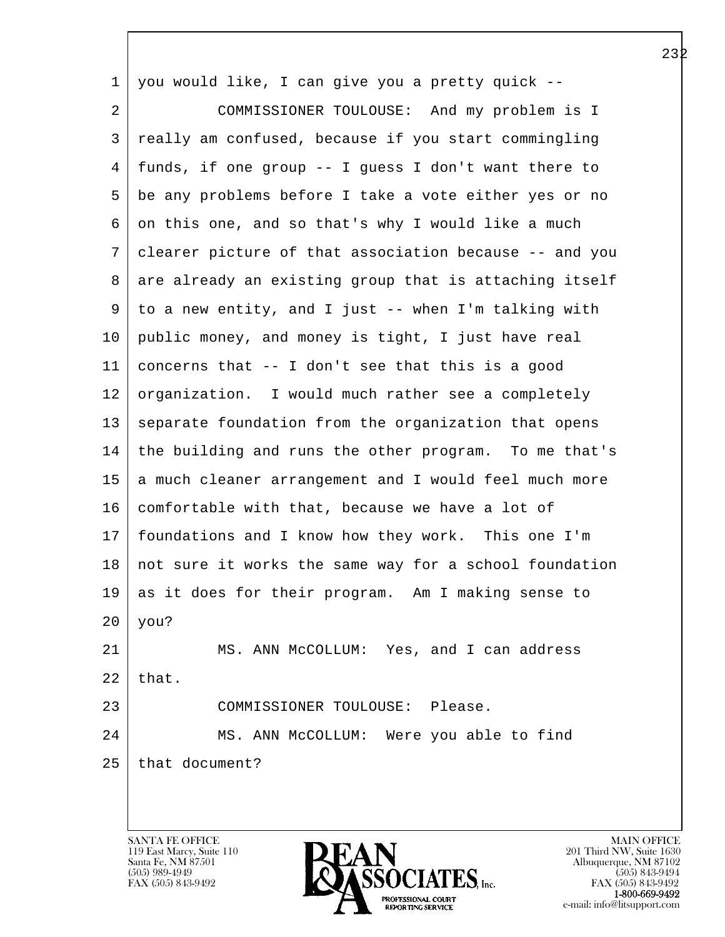| $\mathbf 1$ | you would like, I can give you a pretty quick --       |
|-------------|--------------------------------------------------------|
| 2           | COMMISSIONER TOULOUSE: And my problem is I             |
| 3           | really am confused, because if you start commingling   |
| 4           | funds, if one group -- I guess I don't want there to   |
| 5           | be any problems before I take a vote either yes or no  |
| 6           | on this one, and so that's why I would like a much     |
| 7           | clearer picture of that association because -- and you |
| 8           | are already an existing group that is attaching itself |
| 9           | to a new entity, and I just -- when I'm talking with   |
| 10          | public money, and money is tight, I just have real     |
| 11          | concerns that -- I don't see that this is a good       |
| 12          | organization. I would much rather see a completely     |
| 13          | separate foundation from the organization that opens   |
| 14          | the building and runs the other program. To me that's  |
| 15          | a much cleaner arrangement and I would feel much more  |
| 16          | comfortable with that, because we have a lot of        |
| 17          | foundations and I know how they work. This one I'm     |
| 18          | not sure it works the same way for a school foundation |
| 19          | as it does for their program. Am I making sense to     |
| 20          | you?                                                   |
| 21          | MS. ANN McCOLLUM: Yes, and I can address               |
| 22          | that.                                                  |
| 23          | COMMISSIONER TOULOUSE: Please.                         |
| 24          | MS. ANN McCOLLUM: Were you able to find                |
| 25          | that document?                                         |
|             |                                                        |

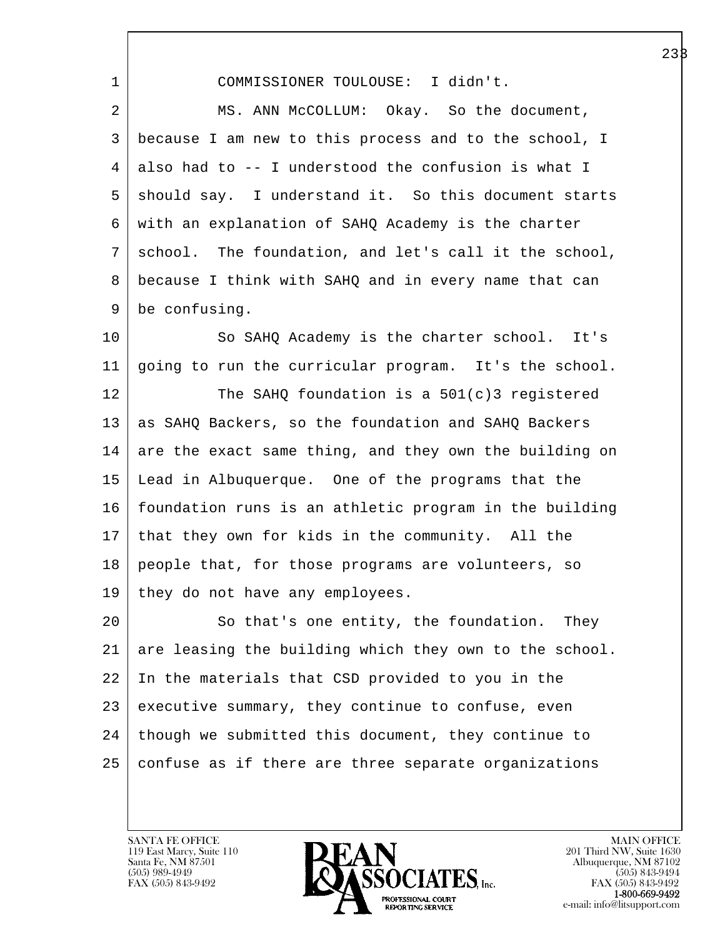1 COMMISSIONER TOULOUSE: I didn't.

2 MS. ANN McCOLLUM: Okay. So the document, 3 because I am new to this process and to the school, I 4 also had to -- I understood the confusion is what I 5 | should say. I understand it. So this document starts 6 with an explanation of SAHQ Academy is the charter 7 school. The foundation, and let's call it the school, 8 because I think with SAHQ and in every name that can 9 be confusing.

10 So SAHQ Academy is the charter school. It's 11 going to run the curricular program. It's the school.

 $12$  The SAHQ foundation is a 501(c)3 registered 13 as SAHQ Backers, so the foundation and SAHQ Backers 14 are the exact same thing, and they own the building on 15 Lead in Albuquerque. One of the programs that the 16 foundation runs is an athletic program in the building 17 that they own for kids in the community. All the 18 people that, for those programs are volunteers, so 19 they do not have any employees.

l 20 So that's one entity, the foundation. They 21 are leasing the building which they own to the school. 22 In the materials that CSD provided to you in the 23 executive summary, they continue to confuse, even  $24$  though we submitted this document, they continue to 25 confuse as if there are three separate organizations

119 East Marcy, Suite 110<br>Santa Fe, NM 87501

 $\overline{\phantom{a}}$ 

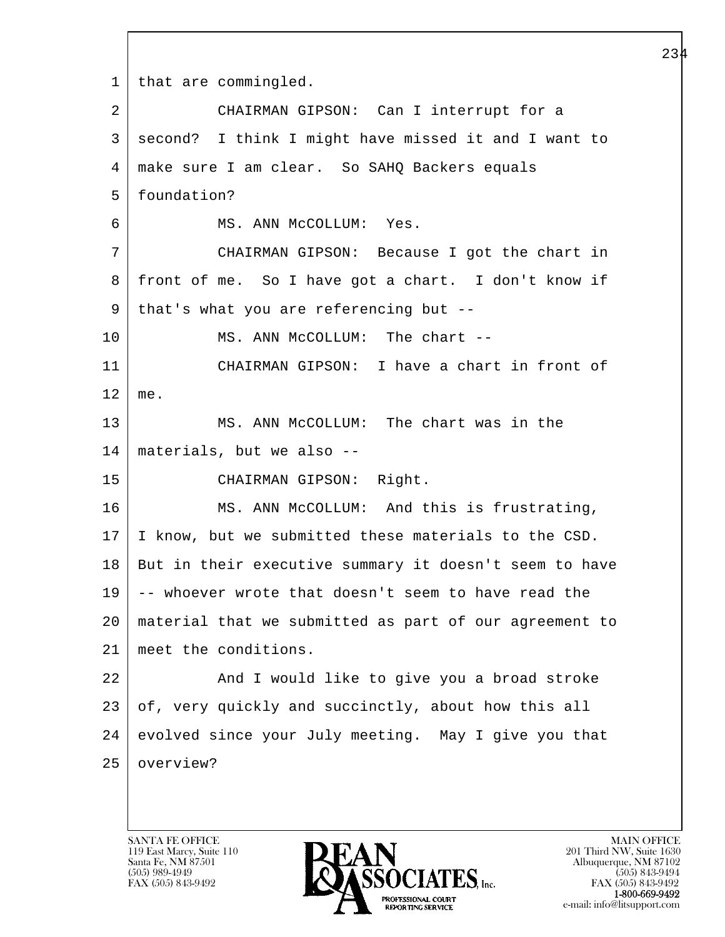l  $\overline{\phantom{a}}$ 1 | that are commingled. 2 CHAIRMAN GIPSON: Can I interrupt for a 3 second? I think I might have missed it and I want to 4 make sure I am clear. So SAHQ Backers equals 5 foundation? 6 MS. ANN McCOLLUM: Yes. 7 CHAIRMAN GIPSON: Because I got the chart in 8 front of me. So I have got a chart. I don't know if 9 | that's what you are referencing but --10 MS. ANN McCOLLUM: The chart --11 CHAIRMAN GIPSON: I have a chart in front of 12 me. 13 MS. ANN McCOLLUM: The chart was in the 14 materials, but we also -- 15 CHAIRMAN GIPSON: Right. 16 MS. ANN McCOLLUM: And this is frustrating, 17 I know, but we submitted these materials to the CSD. 18 But in their executive summary it doesn't seem to have 19 -- whoever wrote that doesn't seem to have read the 20 material that we submitted as part of our agreement to 21 meet the conditions. 22 And I would like to give you a broad stroke 23 of, very quickly and succinctly, about how this all 24 evolved since your July meeting. May I give you that 25 overview?

119 East Marcy, Suite 110<br>Santa Fe, NM 87501

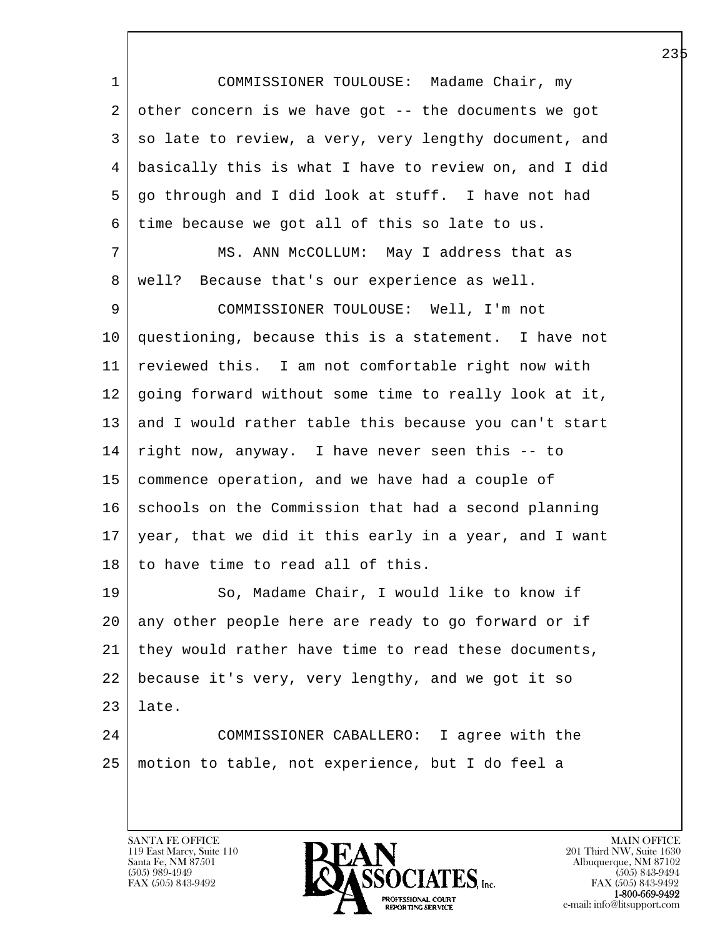l  $\overline{\phantom{a}}$  1 COMMISSIONER TOULOUSE: Madame Chair, my  $2$  other concern is we have got -- the documents we got 3 | so late to review, a very, very lengthy document, and 4 basically this is what I have to review on, and I did 5 go through and I did look at stuff. I have not had 6 time because we got all of this so late to us. 7 MS. ANN McCOLLUM: May I address that as 8 | well? Because that's our experience as well. 9 COMMISSIONER TOULOUSE: Well, I'm not 10 questioning, because this is a statement. I have not 11 reviewed this. I am not comfortable right now with 12 going forward without some time to really look at it, 13 and I would rather table this because you can't start 14 right now, anyway. I have never seen this -- to 15 commence operation, and we have had a couple of 16 schools on the Commission that had a second planning 17 year, that we did it this early in a year, and I want 18 to have time to read all of this. 19 So, Madame Chair, I would like to know if 20 any other people here are ready to go forward or if 21 they would rather have time to read these documents, 22 because it's very, very lengthy, and we got it so 23 late. 24 COMMISSIONER CABALLERO: I agree with the 25 motion to table, not experience, but I do feel a

119 East Marcy, Suite 110<br>Santa Fe, NM 87501

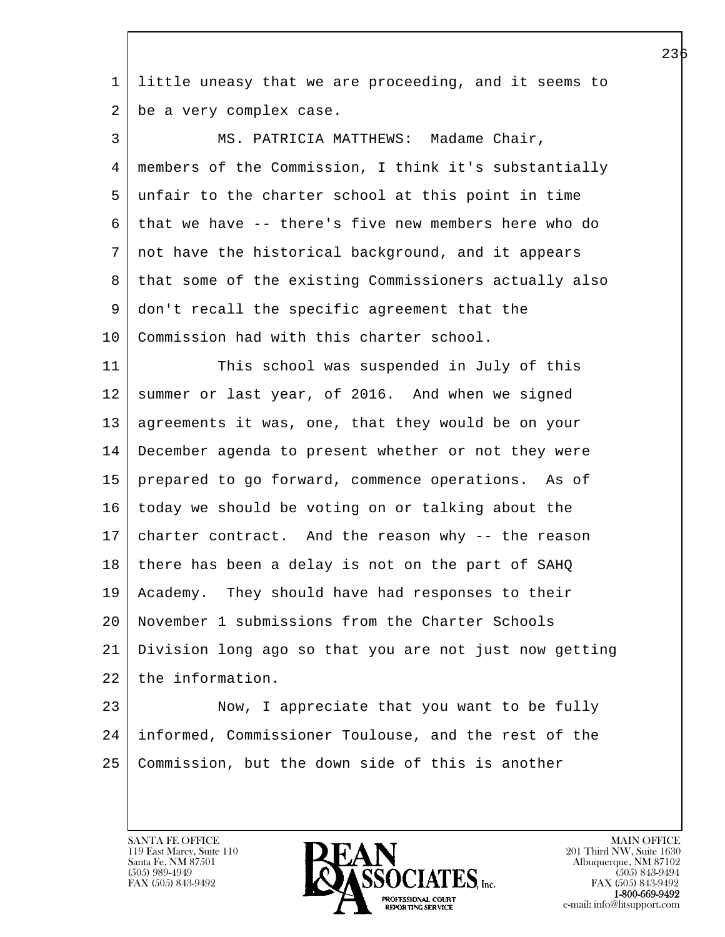1 little uneasy that we are proceeding, and it seems to 2 be a very complex case.

 3 MS. PATRICIA MATTHEWS: Madame Chair, 4 members of the Commission, I think it's substantially 5 unfair to the charter school at this point in time 6 that we have -- there's five new members here who do 7 not have the historical background, and it appears 8 that some of the existing Commissioners actually also 9 don't recall the specific agreement that the 10 | Commission had with this charter school.

11 This school was suspended in July of this 12 summer or last year, of 2016. And when we signed 13 | agreements it was, one, that they would be on your 14 December agenda to present whether or not they were 15 prepared to go forward, commence operations. As of 16 today we should be voting on or talking about the 17 charter contract. And the reason why -- the reason 18 there has been a delay is not on the part of SAHQ 19 Academy. They should have had responses to their 20 November 1 submissions from the Charter Schools 21 Division long ago so that you are not just now getting 22 the information.

l 23 Now, I appreciate that you want to be fully 24 informed, Commissioner Toulouse, and the rest of the 25 Commission, but the down side of this is another

119 East Marcy, Suite 110<br>Santa Fe, NM 87501

 $\overline{\phantom{a}}$ 

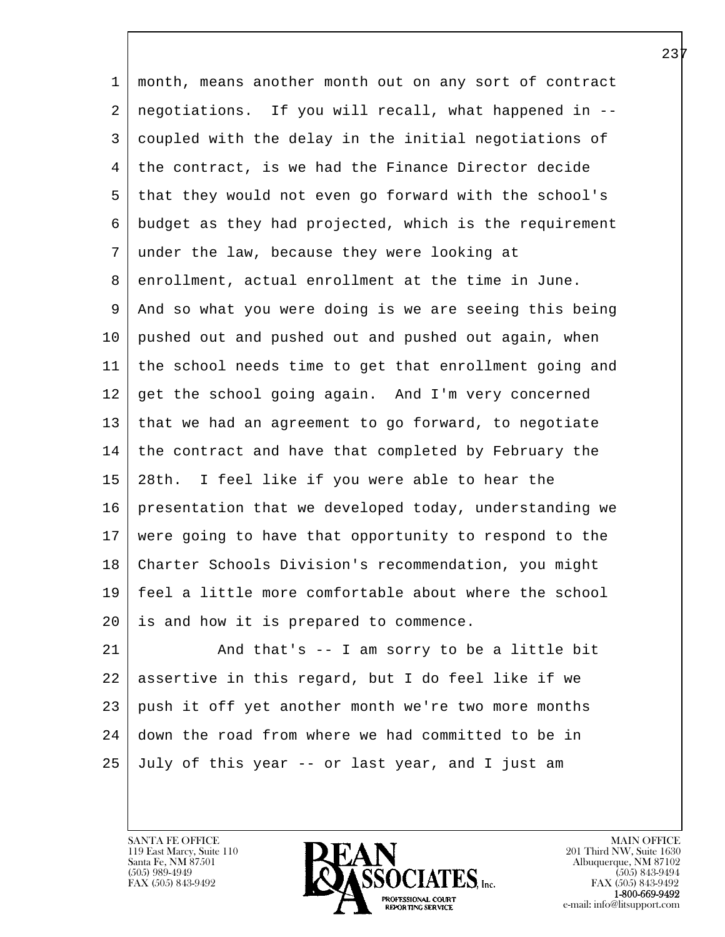1 month, means another month out on any sort of contract 2 negotiations. If you will recall, what happened in -- 3 coupled with the delay in the initial negotiations of 4 the contract, is we had the Finance Director decide 5 that they would not even go forward with the school's 6 budget as they had projected, which is the requirement 7 under the law, because they were looking at 8 enrollment, actual enrollment at the time in June. 9 And so what you were doing is we are seeing this being 10 pushed out and pushed out and pushed out again, when 11 the school needs time to get that enrollment going and 12 get the school going again. And I'm very concerned 13 that we had an agreement to go forward, to negotiate 14 the contract and have that completed by February the 15 28th. I feel like if you were able to hear the 16 presentation that we developed today, understanding we 17 were going to have that opportunity to respond to the 18 Charter Schools Division's recommendation, you might 19 feel a little more comfortable about where the school 20 is and how it is prepared to commence. 21 And that's -- I am sorry to be a little bit

l 22 assertive in this regard, but I do feel like if we 23 push it off yet another month we're two more months 24 down the road from where we had committed to be in 25 July of this year -- or last year, and I just am

119 East Marcy, Suite 110<br>Santa Fe, NM 87501

 $\overline{\phantom{a}}$ 

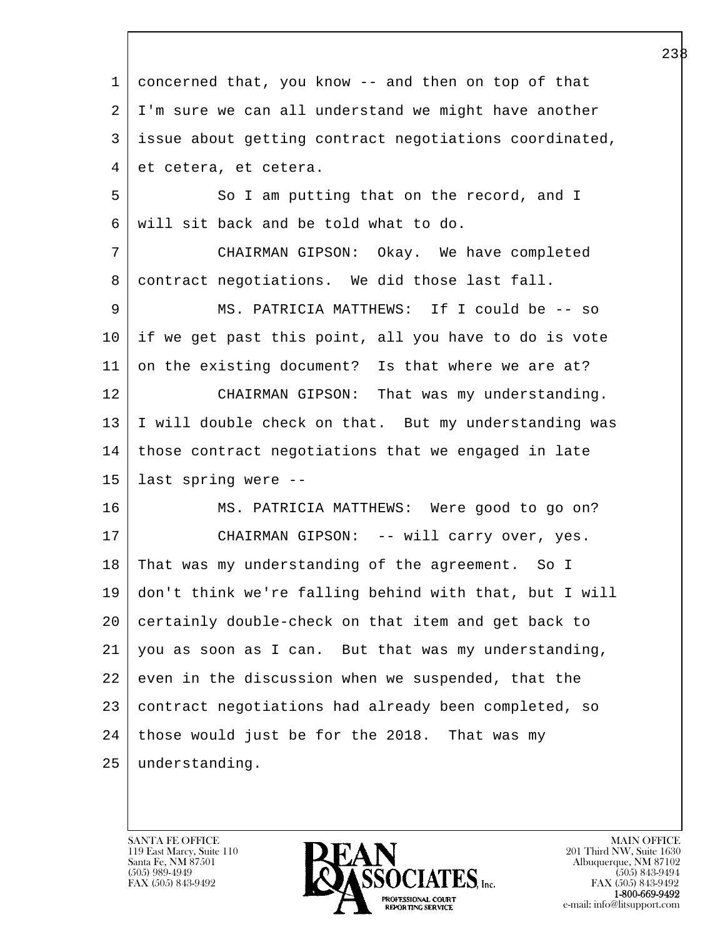l  $\overline{\phantom{a}}$  1 concerned that, you know -- and then on top of that 2 | I'm sure we can all understand we might have another 3 issue about getting contract negotiations coordinated, 4 et cetera, et cetera. 5 So I am putting that on the record, and I 6 will sit back and be told what to do. 7 CHAIRMAN GIPSON: Okay. We have completed 8 contract negotiations. We did those last fall. 9 MS. PATRICIA MATTHEWS: If I could be -- so 10 if we get past this point, all you have to do is vote 11 on the existing document? Is that where we are at? 12 CHAIRMAN GIPSON: That was my understanding. 13 I will double check on that. But my understanding was 14 those contract negotiations that we engaged in late 15 last spring were -- 16 MS. PATRICIA MATTHEWS: Were good to go on? 17 | CHAIRMAN GIPSON: -- will carry over, yes. 18 | That was my understanding of the agreement. So I 19 don't think we're falling behind with that, but I will 20 certainly double-check on that item and get back to 21 you as soon as I can. But that was my understanding, 22 even in the discussion when we suspended, that the 23 contract negotiations had already been completed, so  $24$  those would just be for the 2018. That was my 25 understanding.

119 East Marcy, Suite 110<br>Santa Fe, NM 87501

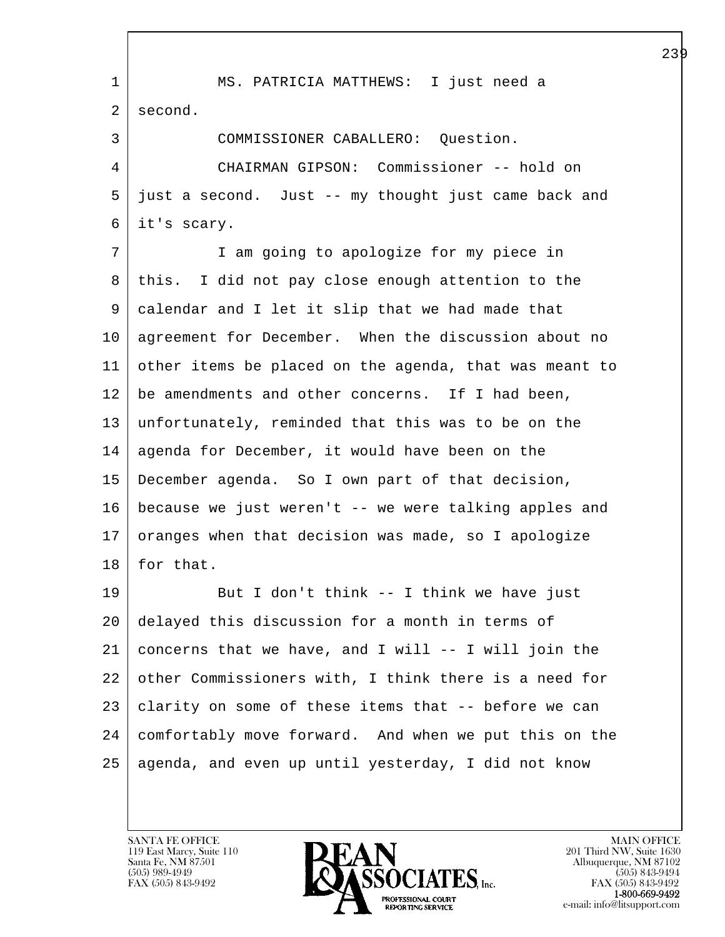l  $\overline{\phantom{a}}$  1 MS. PATRICIA MATTHEWS: I just need a 2 second. 3 COMMISSIONER CABALLERO: Question. 4 CHAIRMAN GIPSON: Commissioner -- hold on 5 just a second. Just -- my thought just came back and 6 it's scary. 7 I am going to apologize for my piece in 8 this. I did not pay close enough attention to the 9 calendar and I let it slip that we had made that 10 agreement for December. When the discussion about no 11 other items be placed on the agenda, that was meant to 12 be amendments and other concerns. If I had been, 13 unfortunately, reminded that this was to be on the 14 agenda for December, it would have been on the 15 December agenda. So I own part of that decision, 16 because we just weren't -- we were talking apples and 17 oranges when that decision was made, so I apologize 18 | for that. 19 But I don't think -- I think we have just 20 delayed this discussion for a month in terms of  $21$  concerns that we have, and I will  $--$  I will join the 22 other Commissioners with, I think there is a need for 23 clarity on some of these items that -- before we can 24 comfortably move forward. And when we put this on the 25 agenda, and even up until yesterday, I did not know

119 East Marcy, Suite 110<br>Santa Fe, NM 87501

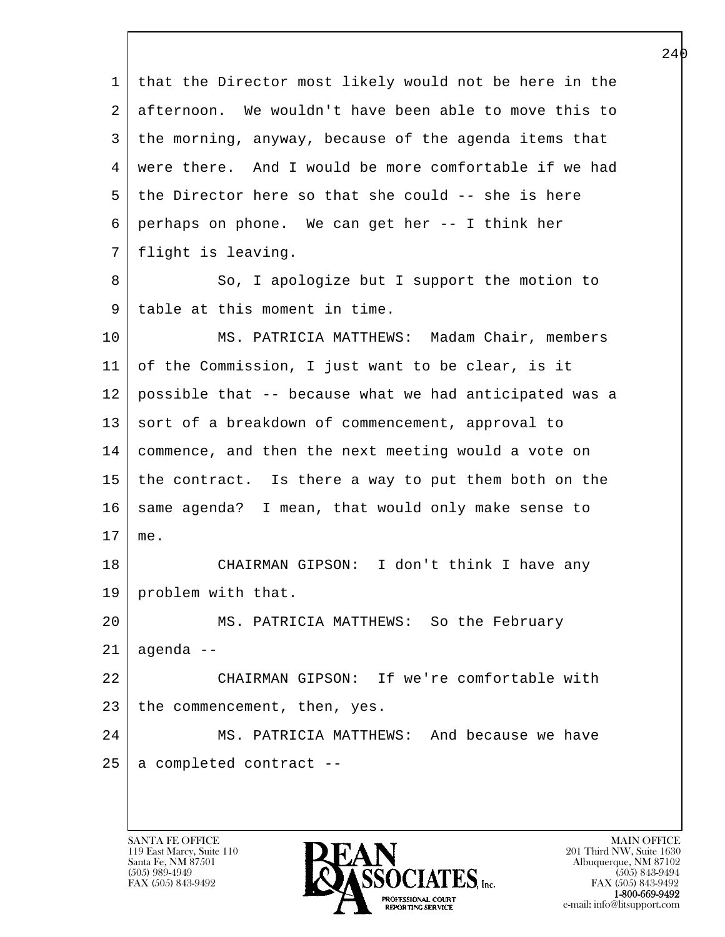l  $\overline{\phantom{a}}$  1 that the Director most likely would not be here in the 2 afternoon. We wouldn't have been able to move this to 3 the morning, anyway, because of the agenda items that 4 were there. And I would be more comfortable if we had 5 the Director here so that she could -- she is here 6 perhaps on phone. We can get her -- I think her 7 flight is leaving. 8 So, I apologize but I support the motion to 9 table at this moment in time. 10 MS. PATRICIA MATTHEWS: Madam Chair, members 11 of the Commission, I just want to be clear, is it 12 possible that -- because what we had anticipated was a 13 sort of a breakdown of commencement, approval to 14 commence, and then the next meeting would a vote on 15 the contract. Is there a way to put them both on the 16 | same agenda? I mean, that would only make sense to 17 me. 18 CHAIRMAN GIPSON: I don't think I have any 19 problem with that. 20 MS. PATRICIA MATTHEWS: So the February 21 agenda -- 22 CHAIRMAN GIPSON: If we're comfortable with 23 the commencement, then, yes. 24 MS. PATRICIA MATTHEWS: And because we have  $25$  a completed contract --

119 East Marcy, Suite 110<br>Santa Fe, NM 87501

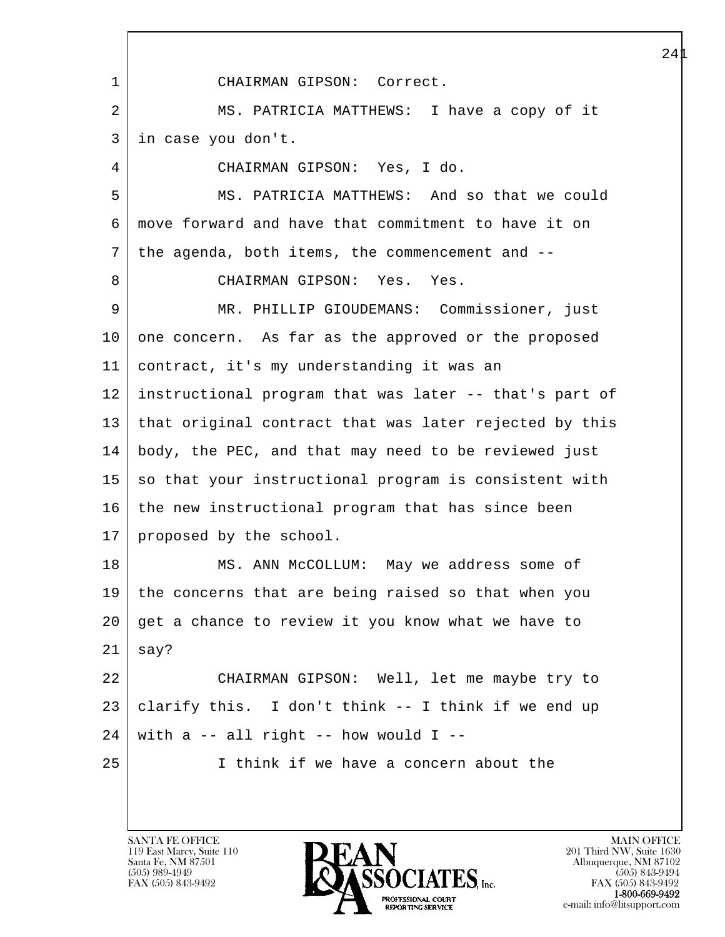l  $\overline{\phantom{a}}$  1 CHAIRMAN GIPSON: Correct. 2 | MS. PATRICIA MATTHEWS: I have a copy of it 3 in case you don't. 4 CHAIRMAN GIPSON: Yes, I do. 5 MS. PATRICIA MATTHEWS: And so that we could 6 move forward and have that commitment to have it on 7 the agenda, both items, the commencement and -- 8 CHAIRMAN GIPSON: Yes. Yes. 9 MR. PHILLIP GIOUDEMANS: Commissioner, just 10 one concern. As far as the approved or the proposed 11 contract, it's my understanding it was an 12 instructional program that was later -- that's part of 13 that original contract that was later rejected by this 14 body, the PEC, and that may need to be reviewed just 15 | so that your instructional program is consistent with 16 the new instructional program that has since been 17 | proposed by the school. 18 | MS. ANN McCOLLUM: May we address some of 19 the concerns that are being raised so that when you 20 get a chance to review it you know what we have to  $21$  say? 22 CHAIRMAN GIPSON: Well, let me maybe try to 23 clarify this. I don't think -- I think if we end up  $24$  with a -- all right -- how would I --25 I think if we have a concern about the

119 East Marcy, Suite 110<br>Santa Fe, NM 87501

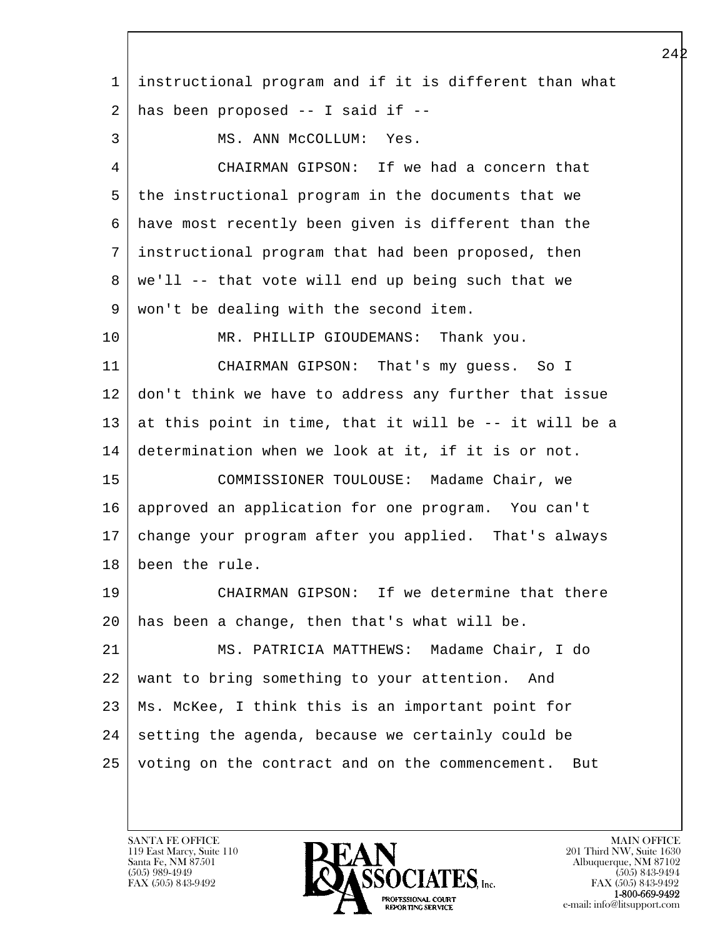l  $\overline{\phantom{a}}$  1 instructional program and if it is different than what  $2$  has been proposed  $-$  I said if  $-$ 3 | MS. ANN McCOLLUM: Yes. 4 CHAIRMAN GIPSON: If we had a concern that 5 the instructional program in the documents that we 6 have most recently been given is different than the 7 instructional program that had been proposed, then  $8 \mid$  we'll -- that vote will end up being such that we 9 won't be dealing with the second item. 10 MR. PHILLIP GIOUDEMANS: Thank you. 11 CHAIRMAN GIPSON: That's my guess. So I 12 don't think we have to address any further that issue 13 at this point in time, that it will be  $-$ - it will be a 14 determination when we look at it, if it is or not. 15 COMMISSIONER TOULOUSE: Madame Chair, we 16 approved an application for one program. You can't 17 change your program after you applied. That's always 18 been the rule. 19 CHAIRMAN GIPSON: If we determine that there 20 has been a change, then that's what will be. 21 MS. PATRICIA MATTHEWS: Madame Chair, I do 22 want to bring something to your attention. And 23 Ms. McKee, I think this is an important point for  $24$  setting the agenda, because we certainly could be 25 voting on the contract and on the commencement. But

119 East Marcy, Suite 110<br>Santa Fe, NM 87501

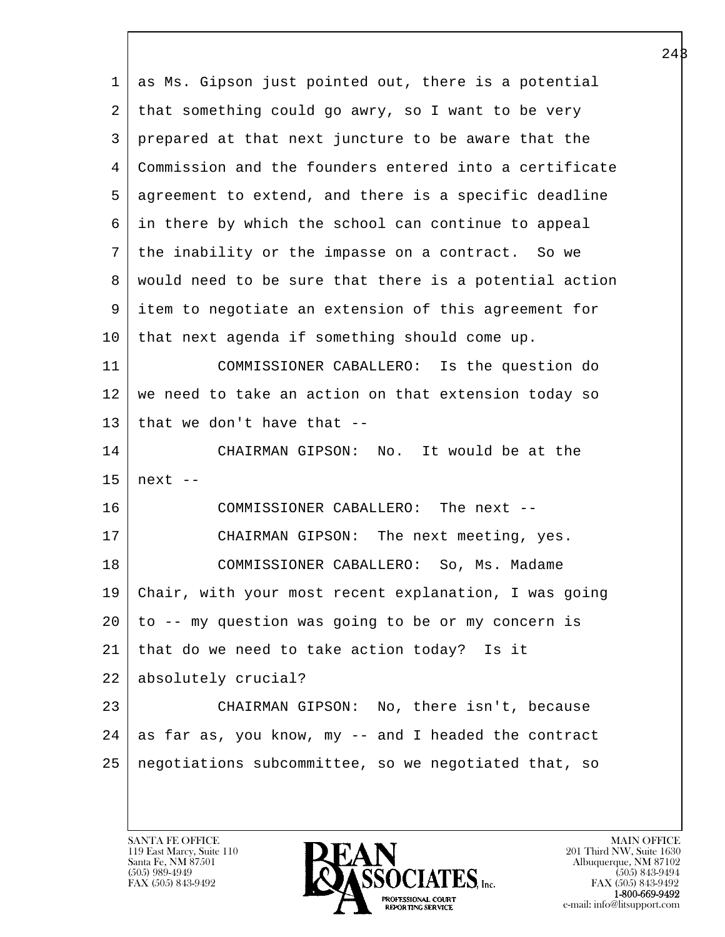l  $\overline{\phantom{a}}$  1 as Ms. Gipson just pointed out, there is a potential 2 that something could go awry, so I want to be very 3 prepared at that next juncture to be aware that the 4 Commission and the founders entered into a certificate 5 agreement to extend, and there is a specific deadline 6 in there by which the school can continue to appeal 7 the inability or the impasse on a contract. So we 8 would need to be sure that there is a potential action 9 item to negotiate an extension of this agreement for 10 that next agenda if something should come up. 11 COMMISSIONER CABALLERO: Is the question do 12 we need to take an action on that extension today so 13 that we don't have that  $-$ 14 CHAIRMAN GIPSON: No. It would be at the  $15$  next  $-$ 16 COMMISSIONER CABALLERO: The next -- 17 CHAIRMAN GIPSON: The next meeting, yes. 18 COMMISSIONER CABALLERO: So, Ms. Madame 19 Chair, with your most recent explanation, I was going 20 to -- my question was going to be or my concern is 21 that do we need to take action today? Is it 22 absolutely crucial? 23 CHAIRMAN GIPSON: No, there isn't, because  $24$  as far as, you know, my -- and I headed the contract 25 negotiations subcommittee, so we negotiated that, so

119 East Marcy, Suite 110<br>Santa Fe, NM 87501

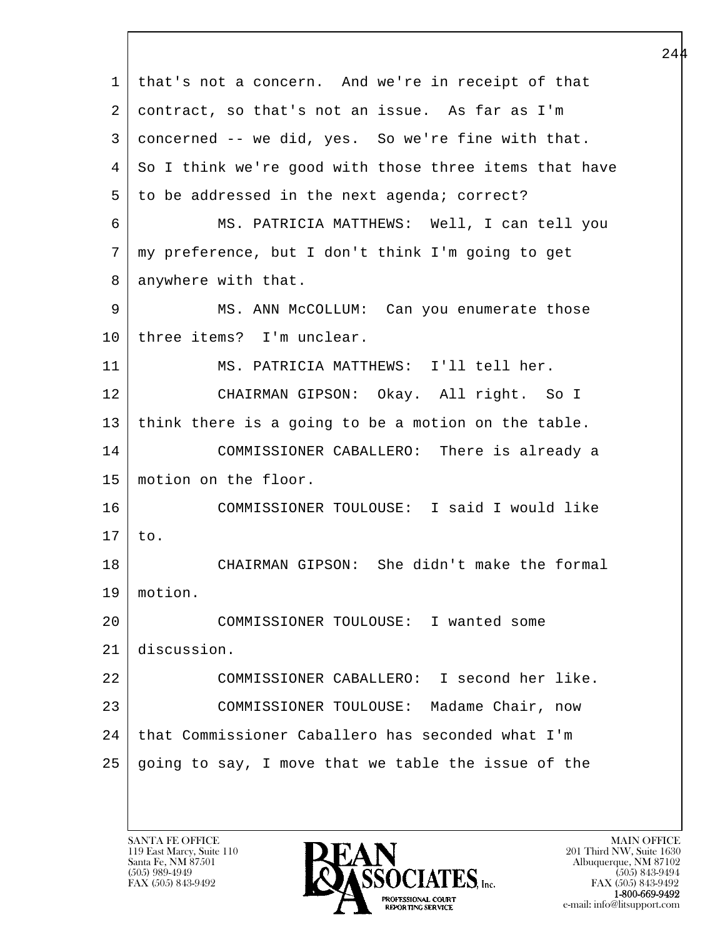l  $\overline{\phantom{a}}$  1 that's not a concern. And we're in receipt of that 2 | contract, so that's not an issue. As far as I'm 3 concerned -- we did, yes. So we're fine with that. 4 So I think we're good with those three items that have 5 to be addressed in the next agenda; correct? 6 MS. PATRICIA MATTHEWS: Well, I can tell you 7 my preference, but I don't think I'm going to get 8 anywhere with that. 9 MS. ANN McCOLLUM: Can you enumerate those 10 | three items? I'm unclear. 11 MS. PATRICIA MATTHEWS: I'll tell her. 12 CHAIRMAN GIPSON: Okay. All right. So I 13 think there is a going to be a motion on the table. 14 COMMISSIONER CABALLERO: There is already a 15 motion on the floor. 16 COMMISSIONER TOULOUSE: I said I would like 17 to. 18 CHAIRMAN GIPSON: She didn't make the formal 19 motion. 20 COMMISSIONER TOULOUSE: I wanted some 21 discussion. 22 COMMISSIONER CABALLERO: I second her like. 23 COMMISSIONER TOULOUSE: Madame Chair, now 24 | that Commissioner Caballero has seconded what I'm  $25$  going to say, I move that we table the issue of the

119 East Marcy, Suite 110<br>Santa Fe, NM 87501

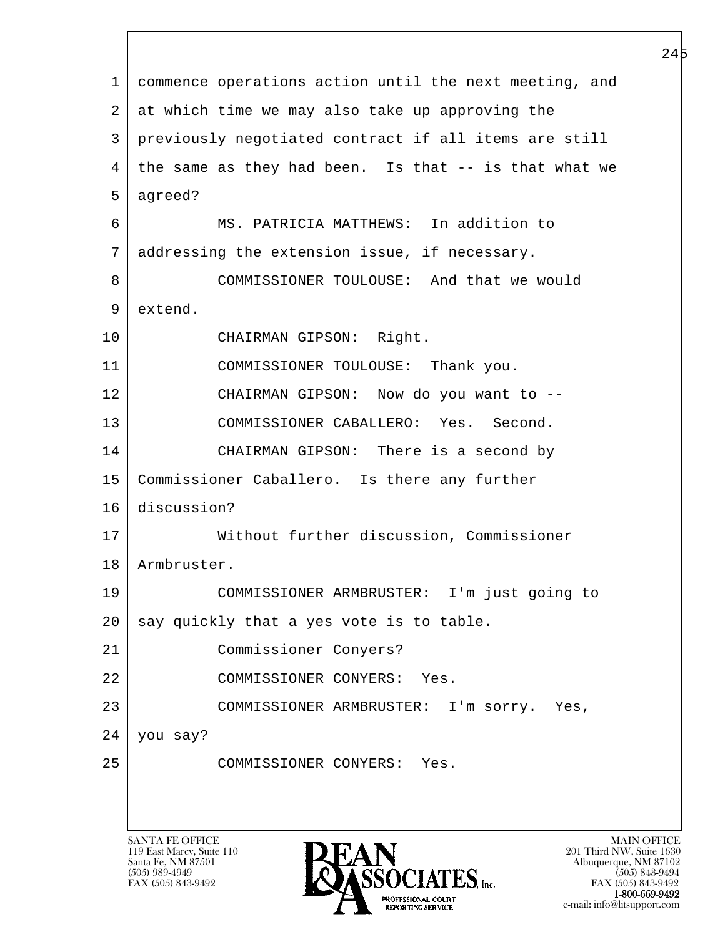|    |                                                                                                               | 44 I |
|----|---------------------------------------------------------------------------------------------------------------|------|
| 1  | commence operations action until the next meeting, and                                                        |      |
| 2  | at which time we may also take up approving the                                                               |      |
| 3  | previously negotiated contract if all items are still                                                         |      |
| 4  | the same as they had been. Is that -- is that what we                                                         |      |
| 5  | agreed?                                                                                                       |      |
| 6  | MS. PATRICIA MATTHEWS: In addition to                                                                         |      |
| 7  | addressing the extension issue, if necessary.                                                                 |      |
| 8  | COMMISSIONER TOULOUSE: And that we would                                                                      |      |
| 9  | extend.                                                                                                       |      |
| 10 | CHAIRMAN GIPSON: Right.                                                                                       |      |
| 11 | COMMISSIONER TOULOUSE: Thank you.                                                                             |      |
| 12 | CHAIRMAN GIPSON: Now do you want to --                                                                        |      |
| 13 | COMMISSIONER CABALLERO: Yes. Second.                                                                          |      |
| 14 | CHAIRMAN GIPSON: There is a second by                                                                         |      |
| 15 | Commissioner Caballero. Is there any further                                                                  |      |
| 16 | discussion?                                                                                                   |      |
| 17 | Without further discussion, Commissioner                                                                      |      |
| 18 | Armbruster.                                                                                                   |      |
| 19 | COMMISSIONER ARMBRUSTER: I'm just going to                                                                    |      |
| 20 | say quickly that a yes vote is to table.                                                                      |      |
| 21 | Commissioner Conyers?                                                                                         |      |
| 22 | COMMISSIONER CONYERS:<br>Yes.                                                                                 |      |
| 23 | COMMISSIONER ARMBRUSTER: I'm sorry. Yes,                                                                      |      |
| 24 | you say?                                                                                                      |      |
| 25 | COMMISSIONER CONYERS: Yes.                                                                                    |      |
|    |                                                                                                               |      |
|    |                                                                                                               |      |
|    | <b>SANTA FE OFFICE</b><br><b>MAIN OFFICE</b><br>DEAN<br>119 East Marcy, Suite 110<br>201 Third NW, Suite 1630 |      |

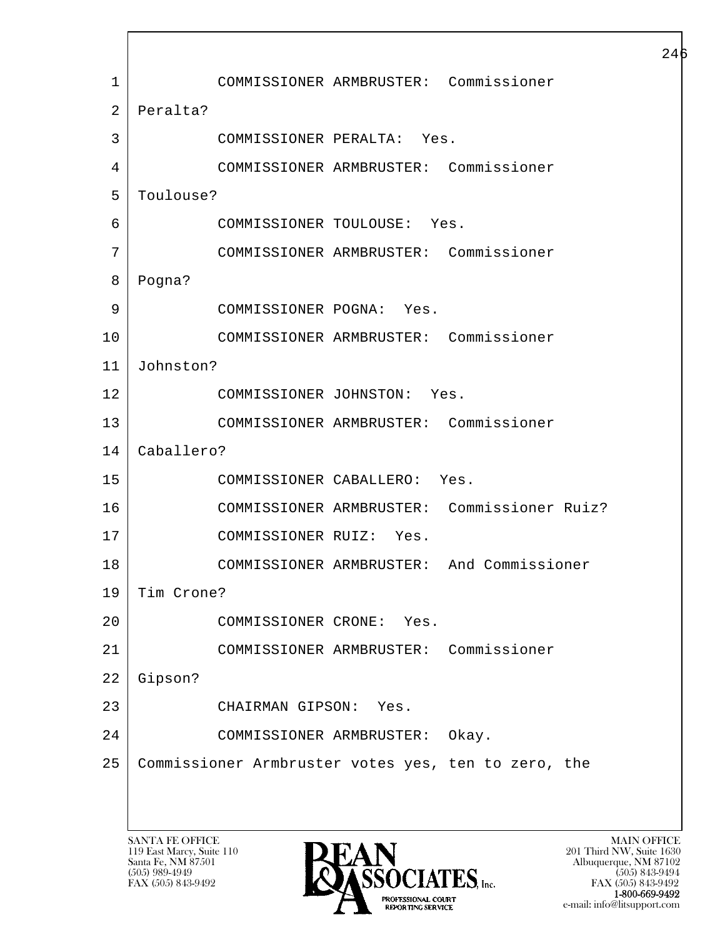l  $\overline{\phantom{a}}$  1 COMMISSIONER ARMBRUSTER: Commissioner 2 Peralta? 3 COMMISSIONER PERALTA: Yes. 4 COMMISSIONER ARMBRUSTER: Commissioner 5 Toulouse? 6 COMMISSIONER TOULOUSE: Yes. 7 COMMISSIONER ARMBRUSTER: Commissioner 8 Pogna? 9 COMMISSIONER POGNA: Yes. 10 COMMISSIONER ARMBRUSTER: Commissioner 11 Johnston? 12 COMMISSIONER JOHNSTON: Yes. 13 COMMISSIONER ARMBRUSTER: Commissioner 14 Caballero? 15 COMMISSIONER CABALLERO: Yes. 16 COMMISSIONER ARMBRUSTER: Commissioner Ruiz? 17 COMMISSIONER RUIZ: Yes. 18 COMMISSIONER ARMBRUSTER: And Commissioner 19 Tim Crone? 20 COMMISSIONER CRONE: Yes. 21 COMMISSIONER ARMBRUSTER: Commissioner 22 Gipson? 23 CHAIRMAN GIPSON: Yes. 24 COMMISSIONER ARMBRUSTER: Okay. 25 Commissioner Armbruster votes yes, ten to zero, the

119 East Marcy, Suite 110<br>Santa Fe, NM 87501



FAX (505) 843-9492 FAX (505) 843-9492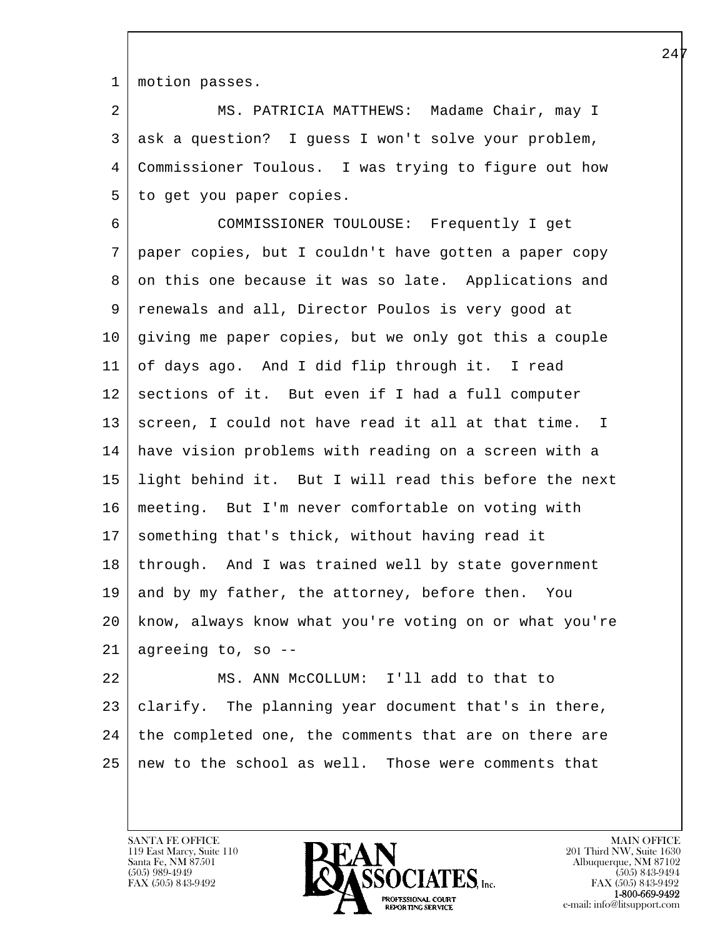1 motion passes.

2 | MS. PATRICIA MATTHEWS: Madame Chair, may I 3 ask a question? I guess I won't solve your problem, 4 Commissioner Toulous. I was trying to figure out how 5 to get you paper copies.

 6 COMMISSIONER TOULOUSE: Frequently I get 7 paper copies, but I couldn't have gotten a paper copy 8 on this one because it was so late. Applications and 9 renewals and all, Director Poulos is very good at 10 giving me paper copies, but we only got this a couple 11 of days ago. And I did flip through it. I read 12 sections of it. But even if I had a full computer 13 screen, I could not have read it all at that time. I 14 have vision problems with reading on a screen with a 15 light behind it. But I will read this before the next 16 meeting. But I'm never comfortable on voting with 17 | something that's thick, without having read it 18 through. And I was trained well by state government 19 and by my father, the attorney, before then. You 20 know, always know what you're voting on or what you're  $21$  agreeing to, so  $-$ 

l 22 MS. ANN McCOLLUM: I'll add to that to 23 | clarify. The planning year document that's in there,  $24$  the completed one, the comments that are on there are  $25$  new to the school as well. Those were comments that

119 East Marcy, Suite 110<br>Santa Fe, NM 87501

 $\overline{\phantom{a}}$ 

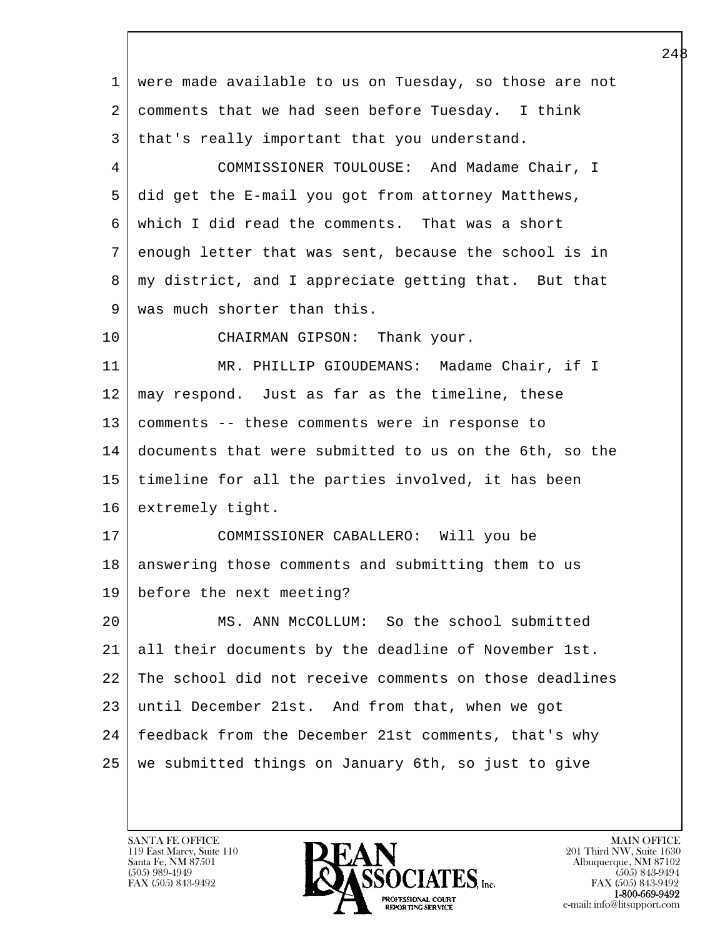l  $\overline{\phantom{a}}$  1 were made available to us on Tuesday, so those are not 2 comments that we had seen before Tuesday. I think 3 | that's really important that you understand. 4 COMMISSIONER TOULOUSE: And Madame Chair, I 5 did get the E-mail you got from attorney Matthews, 6 which I did read the comments. That was a short 7 enough letter that was sent, because the school is in 8 | my district, and I appreciate getting that. But that 9 | was much shorter than this. 10 CHAIRMAN GIPSON: Thank your. 11 | MR. PHILLIP GIOUDEMANS: Madame Chair, if I 12 may respond. Just as far as the timeline, these 13 comments -- these comments were in response to 14 documents that were submitted to us on the 6th, so the 15 timeline for all the parties involved, it has been 16 extremely tight. 17 COMMISSIONER CABALLERO: Will you be 18 | answering those comments and submitting them to us 19 before the next meeting? 20 MS. ANN McCOLLUM: So the school submitted 21 all their documents by the deadline of November 1st. 22 The school did not receive comments on those deadlines 23 until December 21st. And from that, when we got 24 | feedback from the December 21st comments, that's why 25 we submitted things on January 6th, so just to give

119 East Marcy, Suite 110<br>Santa Fe, NM 87501

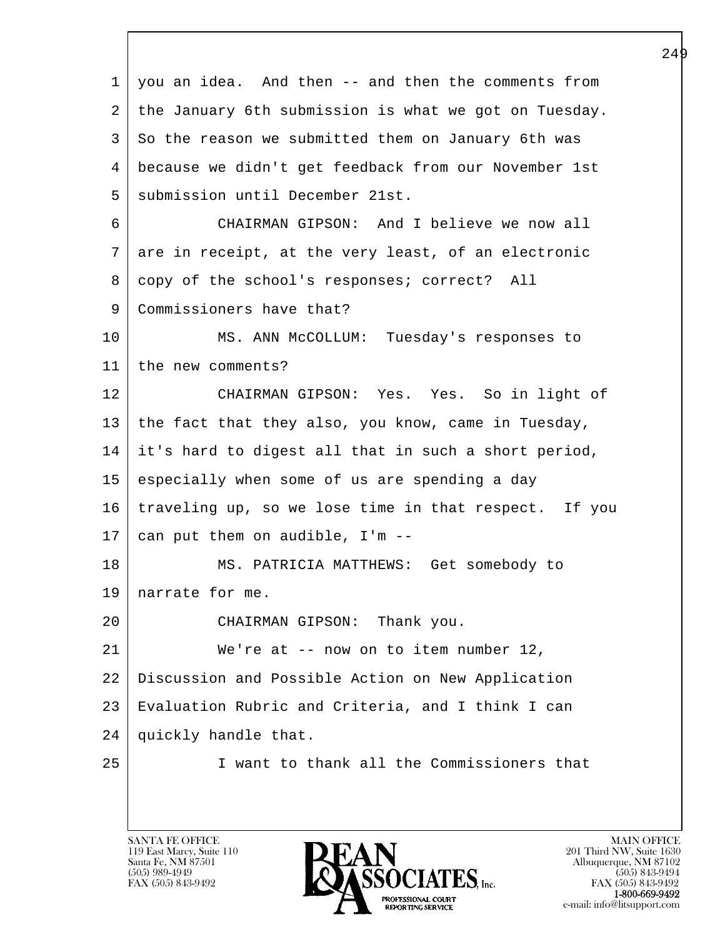| $\mathbf{1}$ | you an idea. And then -- and then the comments from   |
|--------------|-------------------------------------------------------|
| 2            | the January 6th submission is what we got on Tuesday. |
| 3            | So the reason we submitted them on January 6th was    |
| 4            | because we didn't get feedback from our November 1st  |
| 5            | submission until December 21st.                       |
| 6            | CHAIRMAN GIPSON: And I believe we now all             |
| 7            | are in receipt, at the very least, of an electronic   |
| 8            | copy of the school's responses; correct? All          |
| 9            | Commissioners have that?                              |
| 10           | MS. ANN McCOLLUM: Tuesday's responses to              |
| 11           | the new comments?                                     |
| 12           | CHAIRMAN GIPSON: Yes. Yes. So in light of             |
| 13           | the fact that they also, you know, came in Tuesday,   |
| 14           | it's hard to digest all that in such a short period,  |
| 15           | especially when some of us are spending a day         |
| 16           | traveling up, so we lose time in that respect. If you |
| 17           | can put them on audible, I'm --                       |
| 18           | MS. PATRICIA MATTHEWS: Get somebody to                |
| 19           | narrate for me.                                       |
| 20           | CHAIRMAN GIPSON: Thank you.                           |
| 21           | We're at -- now on to item number 12,                 |
| 22           | Discussion and Possible Action on New Application     |
| 23           | Evaluation Rubric and Criteria, and I think I can     |
| 24           | quickly handle that.                                  |
| 25           | I want to thank all the Commissioners that            |
|              |                                                       |

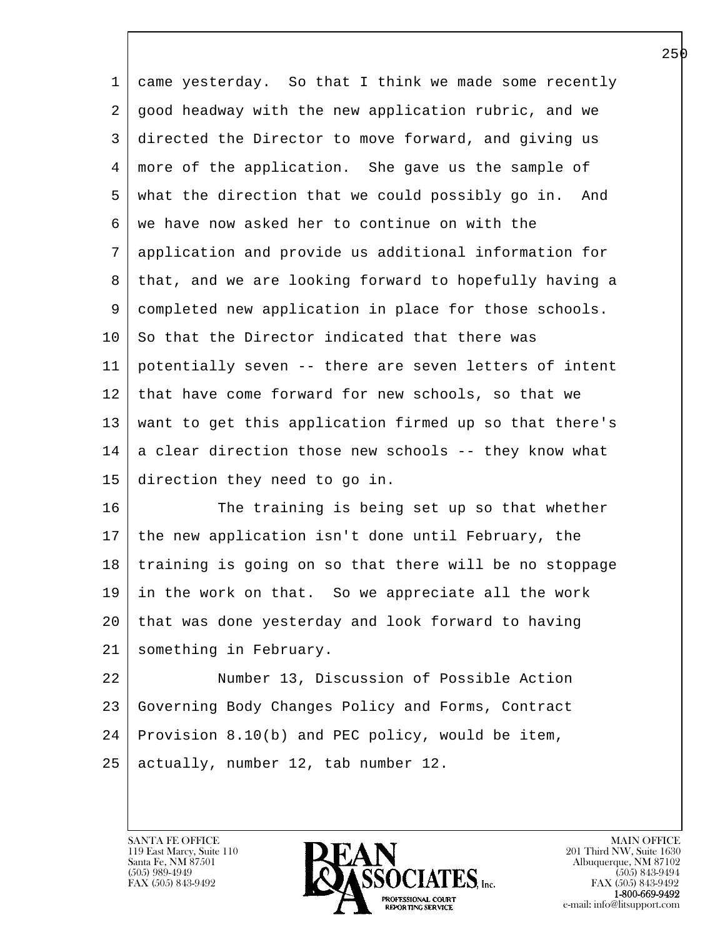| 1  | came yesterday. So that I think we made some recently   |
|----|---------------------------------------------------------|
| 2  | good headway with the new application rubric, and we    |
| 3  | directed the Director to move forward, and giving us    |
| 4  | more of the application. She gave us the sample of      |
| 5  | what the direction that we could possibly go in. And    |
| 6  | we have now asked her to continue on with the           |
| 7  | application and provide us additional information for   |
| 8  | that, and we are looking forward to hopefully having a  |
| 9  | completed new application in place for those schools.   |
| 10 | So that the Director indicated that there was           |
| 11 | potentially seven -- there are seven letters of intent  |
| 12 | that have come forward for new schools, so that we      |
| 13 | want to get this application firmed up so that there's  |
| 14 | a clear direction those new schools -- they know what   |
| 15 | direction they need to go in.                           |
| 16 | The training is being set up so that whether            |
| 17 | the new application isn't done until February, the      |
| 18 | training is going on so that there will be no stoppage  |
|    | 19   in the work on that. So we appreciate all the work |
| 20 | that was done yesterday and look forward to having      |
| 21 | something in February.                                  |
| 22 | Number 13, Discussion of Possible Action                |
| 23 | Governing Body Changes Policy and Forms, Contract       |
| 24 | Provision 8.10(b) and PEC policy, would be item,        |

l 25 actually, number 12, tab number 12.

 $\overline{\phantom{a}}$ 

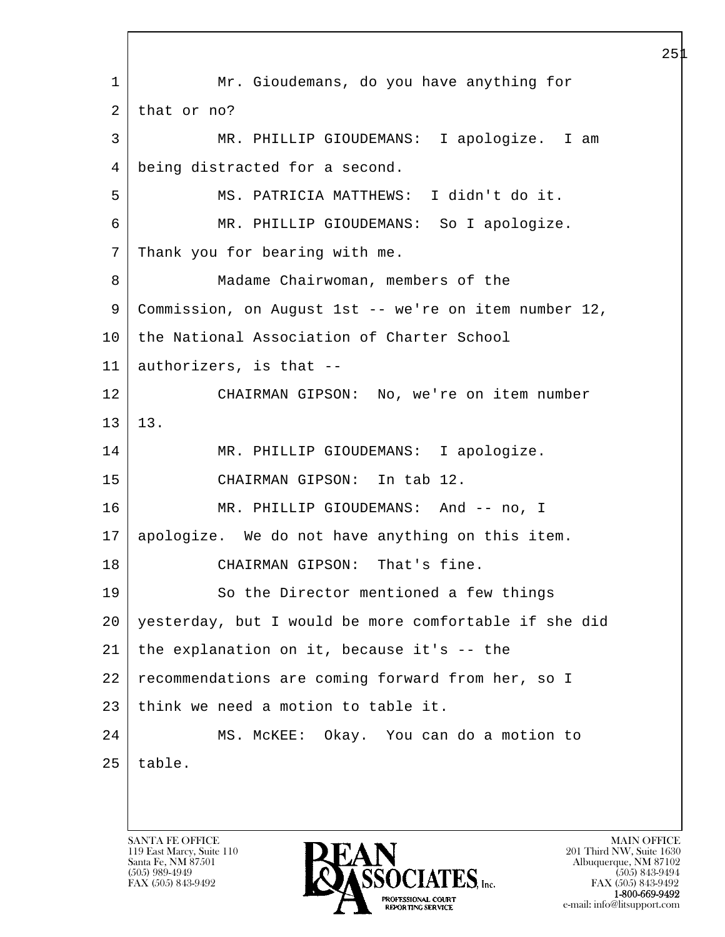l  $\overline{\phantom{a}}$  1 Mr. Gioudemans, do you have anything for 2 that or no? 3 MR. PHILLIP GIOUDEMANS: I apologize. I am 4 being distracted for a second. 5 MS. PATRICIA MATTHEWS: I didn't do it. 6 MR. PHILLIP GIOUDEMANS: So I apologize. 7 Thank you for bearing with me. 8 Madame Chairwoman, members of the 9 Commission, on August 1st -- we're on item number 12, 10 the National Association of Charter School 11 authorizers, is that -- 12 CHAIRMAN GIPSON: No, we're on item number 13 13. 14 MR. PHILLIP GIOUDEMANS: I apologize. 15 CHAIRMAN GIPSON: In tab 12. 16 MR. PHILLIP GIOUDEMANS: And -- no, I 17 apologize. We do not have anything on this item. 18 CHAIRMAN GIPSON: That's fine. 19 So the Director mentioned a few things 20 yesterday, but I would be more comfortable if she did  $21$  the explanation on it, because it's  $-$  the 22 recommendations are coming forward from her, so I 23 think we need a motion to table it. 24 | MS. McKEE: Okay. You can do a motion to  $25$  table.

119 East Marcy, Suite 110<br>Santa Fe, NM 87501

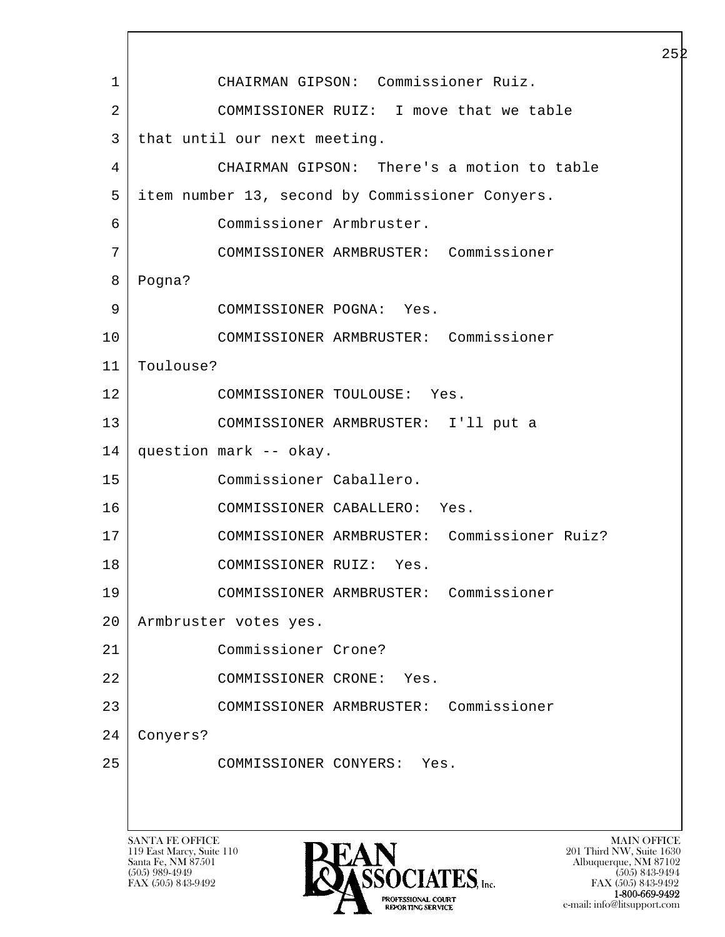l  $\overline{\phantom{a}}$ SANTA FE OFFICE MAIN OFFICE MAIN OFFICE MAIN OFFICE MAIN OFFICE 1 CHAIRMAN GIPSON: Commissioner Ruiz. 2 COMMISSIONER RUIZ: I move that we table 3 | that until our next meeting. 4 CHAIRMAN GIPSON: There's a motion to table 5 item number 13, second by Commissioner Conyers. 6 Commissioner Armbruster. 7 COMMISSIONER ARMBRUSTER: Commissioner 8 Pogna? 9 COMMISSIONER POGNA: Yes. 10 COMMISSIONER ARMBRUSTER: Commissioner 11 Toulouse? 12 COMMISSIONER TOULOUSE: Yes. 13 COMMISSIONER ARMBRUSTER: I'll put a 14 question mark -- okay. 15 Commissioner Caballero. 16 COMMISSIONER CABALLERO: Yes. 17 COMMISSIONER ARMBRUSTER: Commissioner Ruiz? 18 COMMISSIONER RUIZ: Yes. 19 COMMISSIONER ARMBRUSTER: Commissioner 20 Armbruster votes yes. 21 Commissioner Crone? 22 COMMISSIONER CRONE: Yes. 23 COMMISSIONER ARMBRUSTER: Commissioner 24 Conyers? 25 COMMISSIONER CONYERS: Yes.

119 East Marcy, Suite 110<br>Santa Fe, NM 87501



 $FAX (505) 843-9492$ <br>1-800-669-9492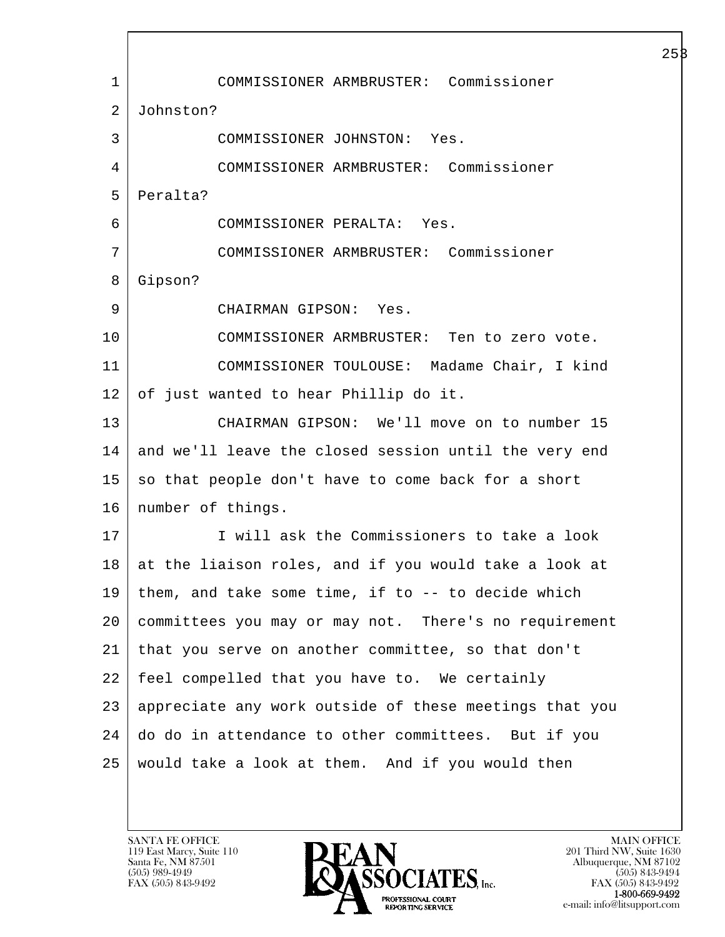l  $\overline{\phantom{a}}$  1 COMMISSIONER ARMBRUSTER: Commissioner 2 Johnston? 3 COMMISSIONER JOHNSTON: Yes. 4 COMMISSIONER ARMBRUSTER: Commissioner 5 Peralta? 6 COMMISSIONER PERALTA: Yes. 7 COMMISSIONER ARMBRUSTER: Commissioner 8 Gipson? 9 CHAIRMAN GIPSON: Yes. 10 COMMISSIONER ARMBRUSTER: Ten to zero vote. 11 COMMISSIONER TOULOUSE: Madame Chair, I kind 12 of just wanted to hear Phillip do it. 13 CHAIRMAN GIPSON: We'll move on to number 15 14 and we'll leave the closed session until the very end  $15$  so that people don't have to come back for a short 16 | number of things. 17 I will ask the Commissioners to take a look 18 at the liaison roles, and if you would take a look at  $19$  them, and take some time, if to  $-$ - to decide which 20 committees you may or may not. There's no requirement 21 that you serve on another committee, so that don't 22 feel compelled that you have to. We certainly 23 appreciate any work outside of these meetings that you 24 do do in attendance to other committees. But if you 25 would take a look at them. And if you would then

119 East Marcy, Suite 110<br>Santa Fe, NM 87501

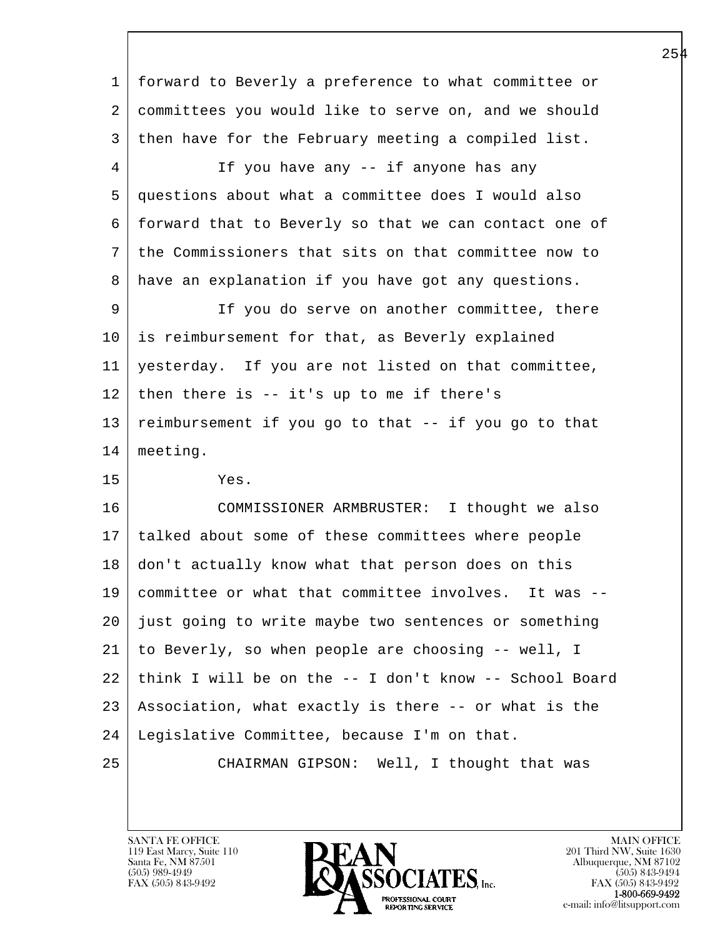| $\mathbf 1$ | forward to Beverly a preference to what committee or   |
|-------------|--------------------------------------------------------|
| 2           | committees you would like to serve on, and we should   |
| 3           | then have for the February meeting a compiled list.    |
| 4           | If you have any -- if anyone has any                   |
| 5           | questions about what a committee does I would also     |
| 6           | forward that to Beverly so that we can contact one of  |
| 7           | the Commissioners that sits on that committee now to   |
| 8           | have an explanation if you have got any questions.     |
| 9           | If you do serve on another committee, there            |
| 10          | is reimbursement for that, as Beverly explained        |
| 11          | yesterday. If you are not listed on that committee,    |
| 12          | then there is $-$ it's up to me if there's             |
| 13          | reimbursement if you go to that -- if you go to that   |
| 14          | meeting.                                               |
| 15          | Yes.                                                   |
| 16          | COMMISSIONER ARMBRUSTER: I thought we also             |
| 17          | talked about some of these committees where people     |
| 18          | don't actually know what that person does on this      |
| 19          | committee or what that committee involves. It was --   |
| 20          | just going to write maybe two sentences or something   |
| 21          | to Beverly, so when people are choosing -- well, I     |
| 22          | think I will be on the -- I don't know -- School Board |
| 23          | Association, what exactly is there -- or what is the   |
| 24          | Legislative Committee, because I'm on that.            |
| 25          | CHAIRMAN GIPSON: Well, I thought that was              |
|             |                                                        |

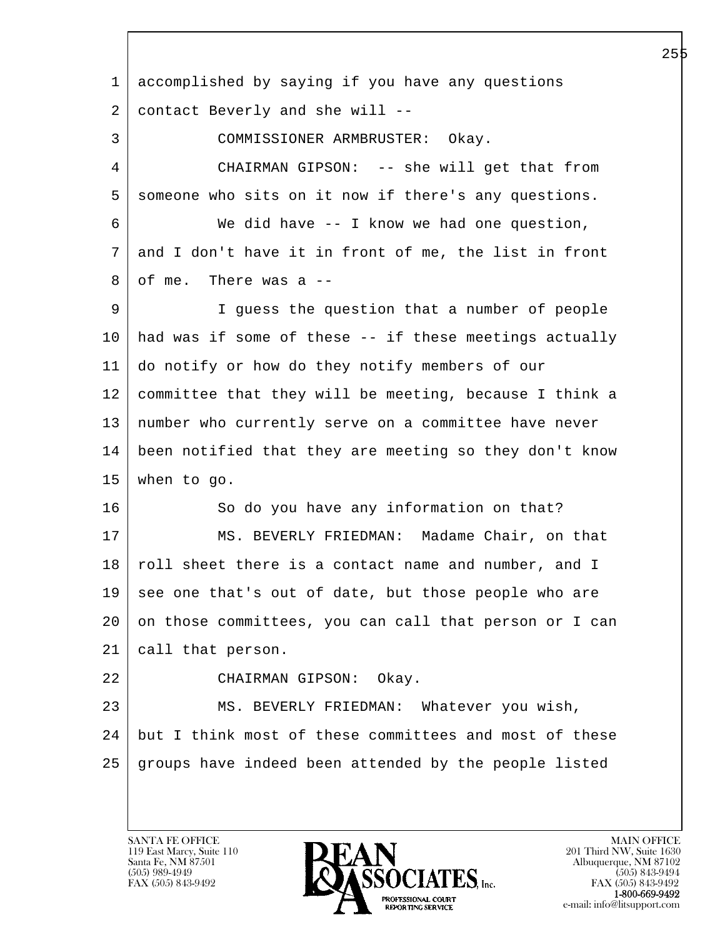l  $\overline{\phantom{a}}$  1 accomplished by saying if you have any questions 2 contact Beverly and she will -- 3 COMMISSIONER ARMBRUSTER: Okay. 4 CHAIRMAN GIPSON: -- she will get that from 5 someone who sits on it now if there's any questions. 6 We did have -- I know we had one question, 7 and I don't have it in front of me, the list in front  $8 \mid$  of me. There was a  $-$  9 I guess the question that a number of people 10 had was if some of these -- if these meetings actually 11 do notify or how do they notify members of our 12 committee that they will be meeting, because I think a 13 number who currently serve on a committee have never 14 been notified that they are meeting so they don't know 15 when to go. 16 | So do you have any information on that? 17 | MS. BEVERLY FRIEDMAN: Madame Chair, on that 18 | roll sheet there is a contact name and number, and I 19 see one that's out of date, but those people who are 20 on those committees, you can call that person or I can 21 call that person. 22 CHAIRMAN GIPSON: Okay. 23 | MS. BEVERLY FRIEDMAN: Whatever you wish, 24 but I think most of these committees and most of these 25 groups have indeed been attended by the people listed

119 East Marcy, Suite 110<br>Santa Fe, NM 87501

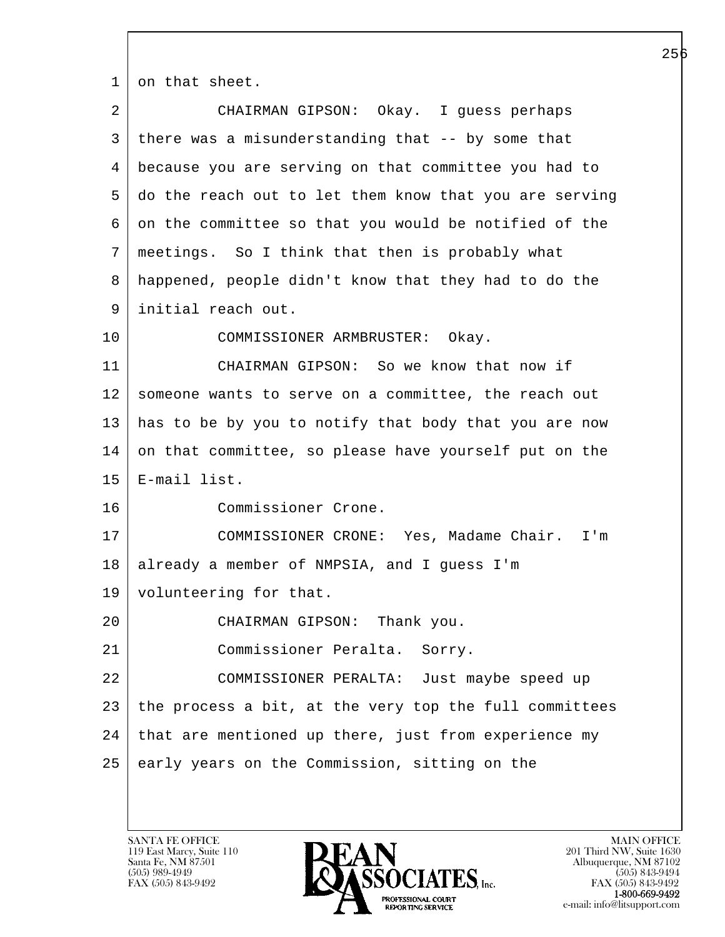1 on that sheet.

| 2  | CHAIRMAN GIPSON: Okay. I guess perhaps                 |
|----|--------------------------------------------------------|
| 3  | there was a misunderstanding that -- by some that      |
| 4  | because you are serving on that committee you had to   |
| 5  | do the reach out to let them know that you are serving |
| 6  | on the committee so that you would be notified of the  |
| 7  | meetings. So I think that then is probably what        |
| 8  | happened, people didn't know that they had to do the   |
| 9  | initial reach out.                                     |
| 10 | COMMISSIONER ARMBRUSTER: Okay.                         |
| 11 | CHAIRMAN GIPSON: So we know that now if                |
| 12 | someone wants to serve on a committee, the reach out   |
| 13 | has to be by you to notify that body that you are now  |
| 14 | on that committee, so please have yourself put on the  |
| 15 | E-mail list.                                           |
| 16 | Commissioner Crone.                                    |
| 17 | COMMISSIONER CRONE: Yes, Madame Chair. I'm             |
| 18 | already a member of NMPSIA, and I guess I'm            |
| 19 | volunteering for that.                                 |
| 20 | CHAIRMAN GIPSON: Thank you.                            |
| 21 | Commissioner Peralta. Sorry.                           |
| 22 | COMMISSIONER PERALTA: Just maybe speed up              |
| 23 | the process a bit, at the very top the full committees |
| 24 | that are mentioned up there, just from experience my   |
| 25 | early years on the Commission, sitting on the          |
|    |                                                        |

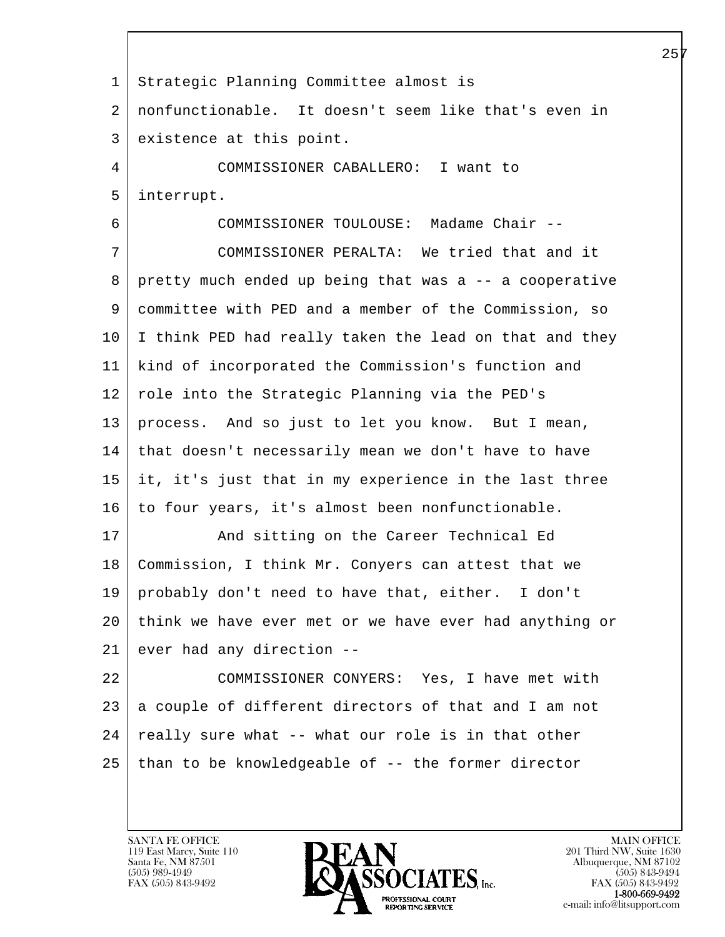l  $\overline{\phantom{a}}$  1 Strategic Planning Committee almost is 2 nonfunctionable. It doesn't seem like that's even in 3 existence at this point. 4 COMMISSIONER CABALLERO: I want to 5 interrupt. 6 COMMISSIONER TOULOUSE: Madame Chair -- 7 COMMISSIONER PERALTA: We tried that and it 8 pretty much ended up being that was a -- a cooperative 9 committee with PED and a member of the Commission, so 10 | I think PED had really taken the lead on that and they 11 kind of incorporated the Commission's function and 12 | role into the Strategic Planning via the PED's 13 process. And so just to let you know. But I mean, 14 that doesn't necessarily mean we don't have to have 15 it, it's just that in my experience in the last three 16 to four years, it's almost been nonfunctionable. 17 | The Sand sitting on the Career Technical Ed 18 Commission, I think Mr. Conyers can attest that we 19 probably don't need to have that, either. I don't 20 think we have ever met or we have ever had anything or 21 ever had any direction -- 22 COMMISSIONER CONYERS: Yes, I have met with 23 a couple of different directors of that and I am not  $24$  really sure what -- what our role is in that other  $25$  than to be knowledgeable of  $-$ - the former director

119 East Marcy, Suite 110<br>Santa Fe, NM 87501

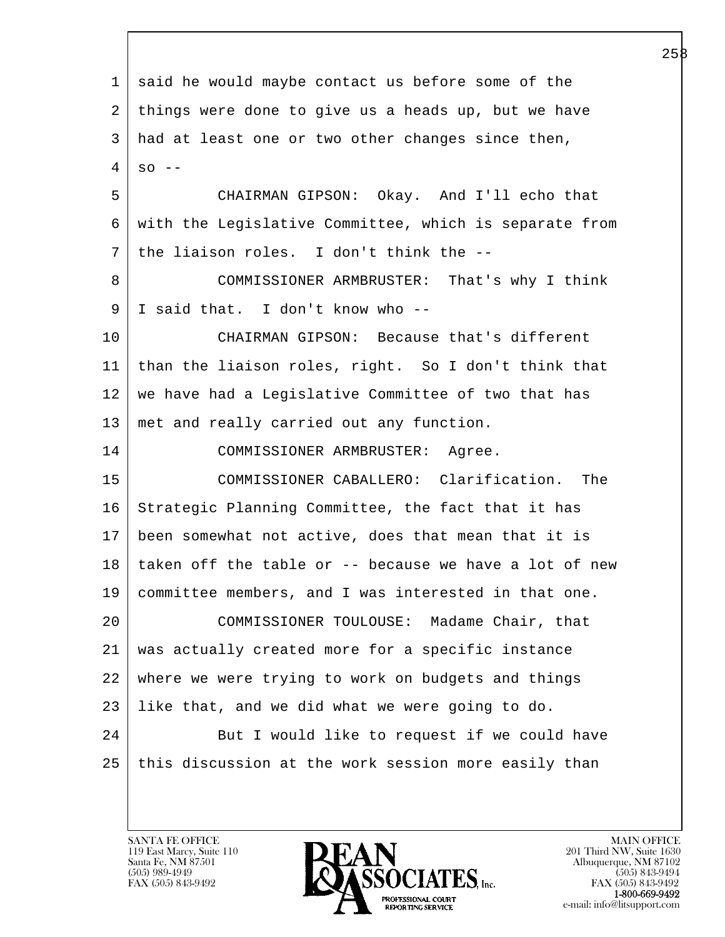l  $\overline{\phantom{a}}$  1 said he would maybe contact us before some of the 2 things were done to give us a heads up, but we have 3 had at least one or two other changes since then,  $4 \overline{\phantom{a}}$  so -- 5 CHAIRMAN GIPSON: Okay. And I'll echo that 6 with the Legislative Committee, which is separate from 7 the liaison roles. I don't think the -- 8 COMMISSIONER ARMBRUSTER: That's why I think 9 I said that. I don't know who -- 10 CHAIRMAN GIPSON: Because that's different 11 than the liaison roles, right. So I don't think that 12 we have had a Legislative Committee of two that has 13 met and really carried out any function. 14 COMMISSIONER ARMBRUSTER: Agree. 15 COMMISSIONER CABALLERO: Clarification. The 16 Strategic Planning Committee, the fact that it has 17 been somewhat not active, does that mean that it is  $18$  taken off the table or  $-$  because we have a lot of new 19 committee members, and I was interested in that one. 20 COMMISSIONER TOULOUSE: Madame Chair, that 21 was actually created more for a specific instance 22 where we were trying to work on budgets and things 23 like that, and we did what we were going to do. 24 But I would like to request if we could have 25 this discussion at the work session more easily than

119 East Marcy, Suite 110<br>Santa Fe, NM 87501

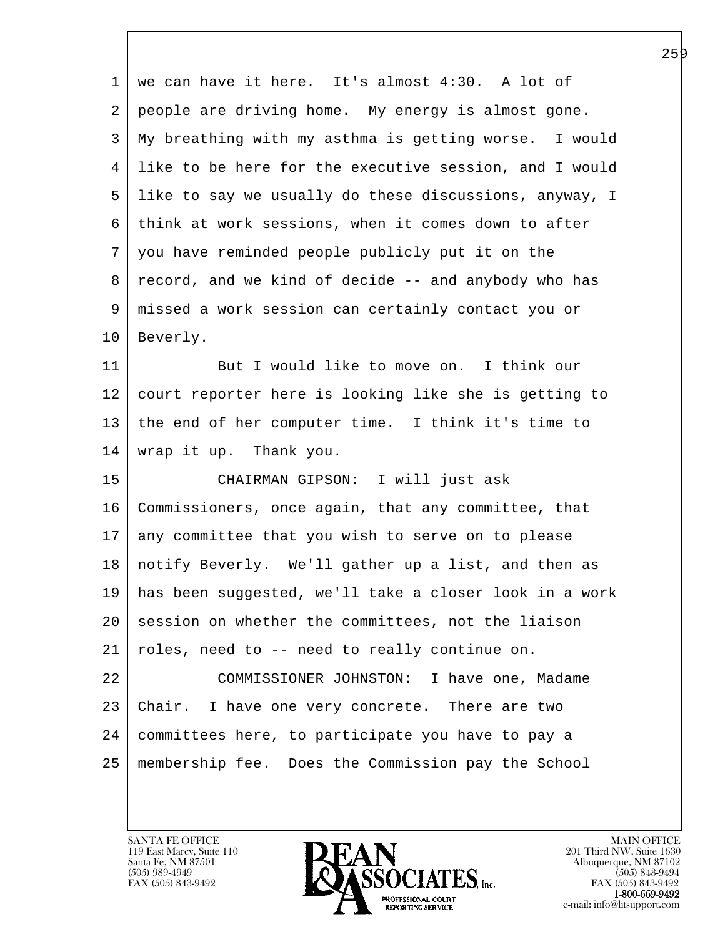1 we can have it here. It's almost 4:30. A lot of 2 people are driving home. My energy is almost gone. 3 My breathing with my asthma is getting worse. I would 4 like to be here for the executive session, and I would 5 like to say we usually do these discussions, anyway, I 6 think at work sessions, when it comes down to after 7 you have reminded people publicly put it on the 8 record, and we kind of decide -- and anybody who has 9 missed a work session can certainly contact you or 10 Beverly. 11 But I would like to move on. I think our 12 court reporter here is looking like she is getting to 13 the end of her computer time. I think it's time to 14 wrap it up. Thank you. 15 CHAIRMAN GIPSON: I will just ask

l 16 Commissioners, once again, that any committee, that 17 any committee that you wish to serve on to please 18 notify Beverly. We'll gather up a list, and then as 19 has been suggested, we'll take a closer look in a work 20 session on whether the committees, not the liaison 21 roles, need to -- need to really continue on. 22 COMMISSIONER JOHNSTON: I have one, Madame 23 Chair. I have one very concrete. There are two 24 committees here, to participate you have to pay a 25 membership fee. Does the Commission pay the School

 $\overline{\phantom{a}}$ 

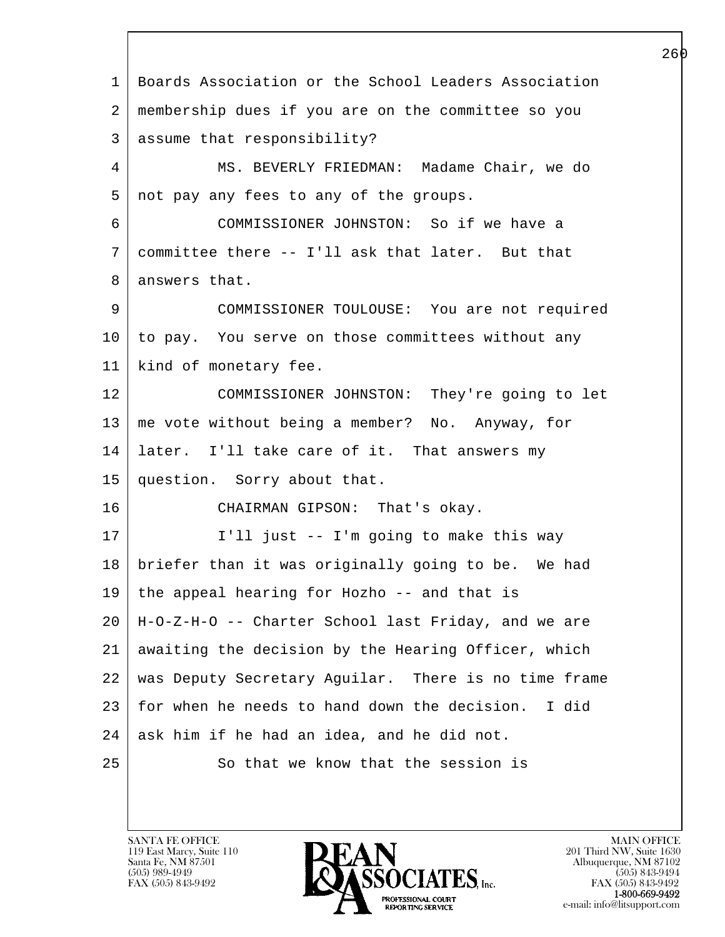l  $\overline{\phantom{a}}$  1 Boards Association or the School Leaders Association 2 membership dues if you are on the committee so you 3 assume that responsibility? 4 MS. BEVERLY FRIEDMAN: Madame Chair, we do  $5 \mid$  not pay any fees to any of the groups. 6 COMMISSIONER JOHNSTON: So if we have a 7 committee there -- I'll ask that later. But that 8 answers that. 9 COMMISSIONER TOULOUSE: You are not required 10 to pay. You serve on those committees without any 11 | kind of monetary fee. 12 COMMISSIONER JOHNSTON: They're going to let 13 me vote without being a member? No. Anyway, for 14 later. I'll take care of it. That answers my 15 question. Sorry about that. 16 CHAIRMAN GIPSON: That's okay. 17 I'll just -- I'm going to make this way 18 briefer than it was originally going to be. We had  $19$  the appeal hearing for Hozho -- and that is 20 H-O-Z-H-O -- Charter School last Friday, and we are 21 awaiting the decision by the Hearing Officer, which 22 was Deputy Secretary Aguilar. There is no time frame 23 for when he needs to hand down the decision. I did  $24$  ask him if he had an idea, and he did not. 25 So that we know that the session is

119 East Marcy, Suite 110<br>Santa Fe, NM 87501

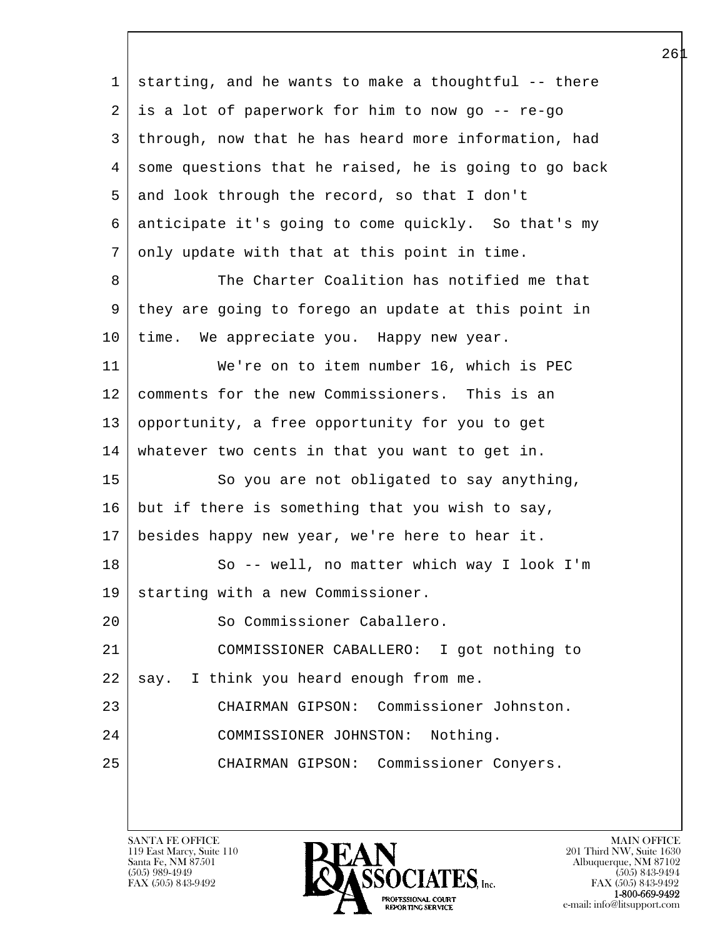l  $\overline{\phantom{a}}$  1 starting, and he wants to make a thoughtful -- there 2 is a lot of paperwork for him to now go -- re-go 3 through, now that he has heard more information, had 4 some questions that he raised, he is going to go back 5 and look through the record, so that I don't 6 anticipate it's going to come quickly. So that's my 7 only update with that at this point in time. 8 The Charter Coalition has notified me that 9 they are going to forego an update at this point in 10 | time. We appreciate you. Happy new year. 11 We're on to item number 16, which is PEC 12 comments for the new Commissioners. This is an 13 opportunity, a free opportunity for you to get 14 whatever two cents in that you want to get in. 15 | So you are not obligated to say anything, 16 but if there is something that you wish to say, 17 besides happy new year, we're here to hear it. 18 | So -- well, no matter which way I look I'm 19 | starting with a new Commissioner. 20 So Commissioner Caballero. 21 COMMISSIONER CABALLERO: I got nothing to  $22$  say. I think you heard enough from me. 23 CHAIRMAN GIPSON: Commissioner Johnston. 24 COMMISSIONER JOHNSTON: Nothing. 25 CHAIRMAN GIPSON: Commissioner Conyers.

119 East Marcy, Suite 110<br>Santa Fe, NM 87501



FAX (505) 843-9492<br>**1-800-669-9492**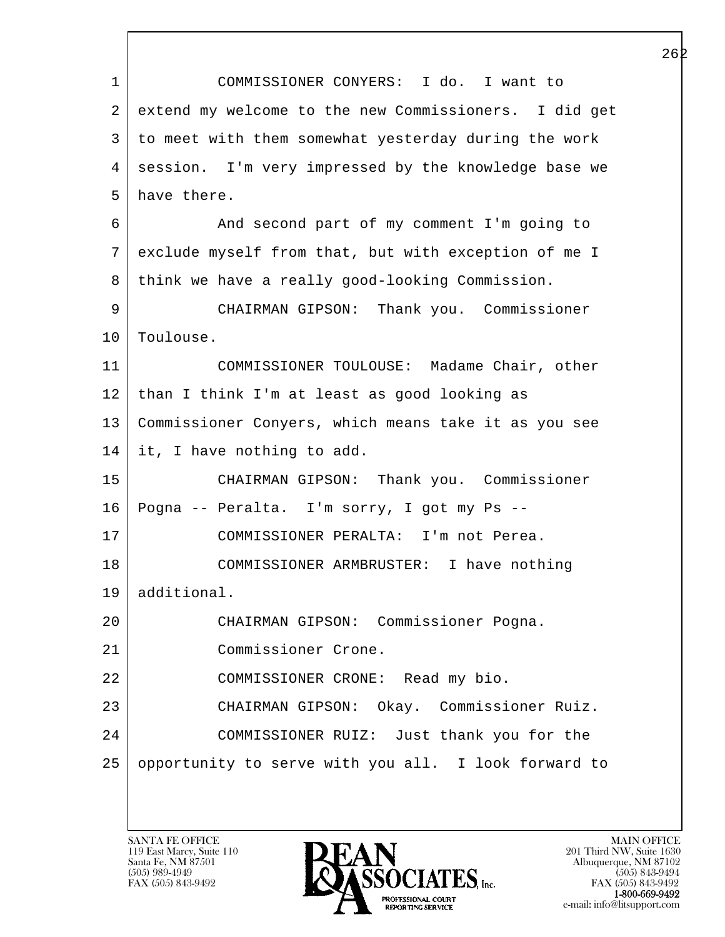l  $\overline{\phantom{a}}$  1 COMMISSIONER CONYERS: I do. I want to 2 extend my welcome to the new Commissioners. I did get 3 to meet with them somewhat yesterday during the work 4 session. I'm very impressed by the knowledge base we 5 have there. 6 And second part of my comment I'm going to 7 exclude myself from that, but with exception of me I 8 | think we have a really good-looking Commission. 9 CHAIRMAN GIPSON: Thank you. Commissioner 10 | Toulouse. 11 COMMISSIONER TOULOUSE: Madame Chair, other 12 | than I think I'm at least as good looking as 13 Commissioner Conyers, which means take it as you see 14 it, I have nothing to add. 15 CHAIRMAN GIPSON: Thank you. Commissioner 16 Pogna -- Peralta. I'm sorry, I got my Ps -- 17 COMMISSIONER PERALTA: I'm not Perea. 18 COMMISSIONER ARMBRUSTER: I have nothing 19 additional. 20 CHAIRMAN GIPSON: Commissioner Pogna. 21 Commissioner Crone. 22 COMMISSIONER CRONE: Read my bio. 23 CHAIRMAN GIPSON: Okay. Commissioner Ruiz. 24 COMMISSIONER RUIZ: Just thank you for the 25 opportunity to serve with you all. I look forward to

119 East Marcy, Suite 110<br>Santa Fe, NM 87501

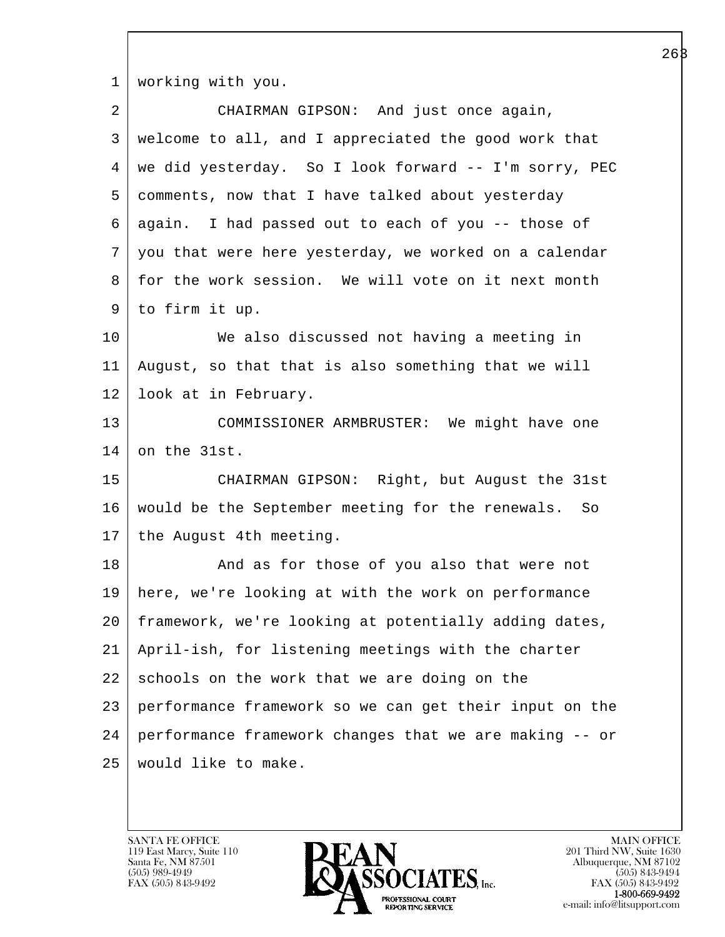1 | working with you.

| 2  | CHAIRMAN GIPSON: And just once again,                  |
|----|--------------------------------------------------------|
| 3  | welcome to all, and I appreciated the good work that   |
| 4  | we did yesterday. So I look forward -- I'm sorry, PEC  |
| 5  | comments, now that I have talked about yesterday       |
| 6  | again. I had passed out to each of you -- those of     |
| 7  | you that were here yesterday, we worked on a calendar  |
| 8  | for the work session. We will vote on it next month    |
| 9  | to firm it up.                                         |
| 10 | We also discussed not having a meeting in              |
| 11 | August, so that that is also something that we will    |
| 12 | look at in February.                                   |
| 13 | COMMISSIONER ARMBRUSTER: We might have one             |
| 14 | on the 31st.                                           |
| 15 | CHAIRMAN GIPSON: Right, but August the 31st            |
| 16 | would be the September meeting for the renewals. So    |
| 17 | the August 4th meeting.                                |
| 18 | And as for those of you also that were not             |
| 19 | here, we're looking at with the work on performance    |
| 20 | framework, we're looking at potentially adding dates,  |
| 21 | April-ish, for listening meetings with the charter     |
| 22 | schools on the work that we are doing on the           |
| 23 | performance framework so we can get their input on the |
| 24 | performance framework changes that we are making -- or |
| 25 | would like to make.                                    |
|    |                                                        |

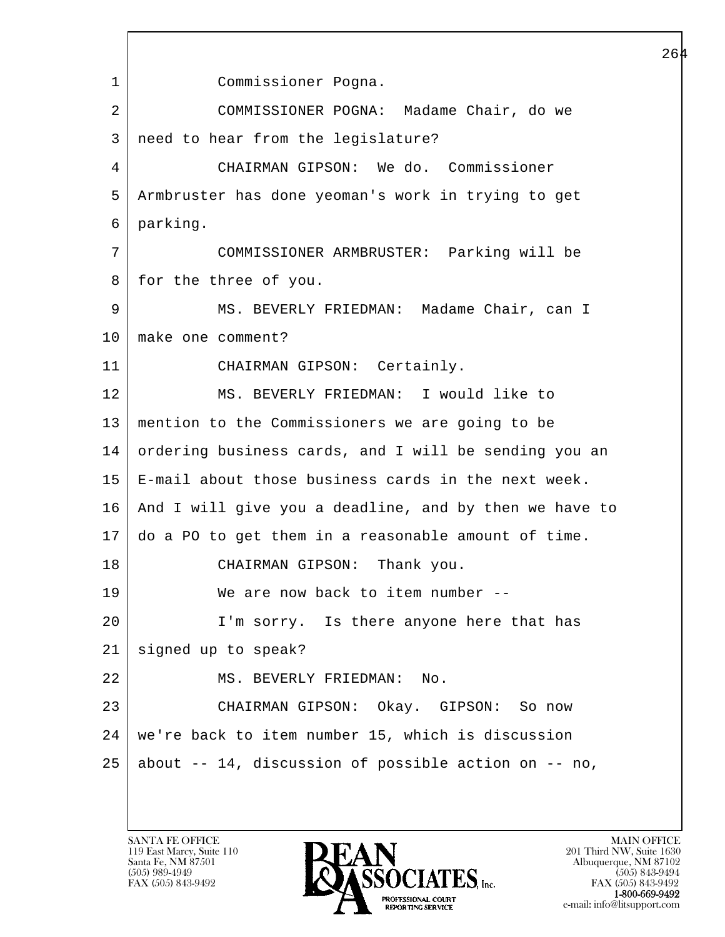l  $\overline{\phantom{a}}$  1 Commissioner Pogna. 2 COMMISSIONER POGNA: Madame Chair, do we 3 need to hear from the legislature? 4 CHAIRMAN GIPSON: We do. Commissioner 5 Armbruster has done yeoman's work in trying to get 6 parking. 7 COMMISSIONER ARMBRUSTER: Parking will be 8 for the three of you. 9 | MS. BEVERLY FRIEDMAN: Madame Chair, can I 10 make one comment? 11 CHAIRMAN GIPSON: Certainly. 12 MS. BEVERLY FRIEDMAN: I would like to 13 mention to the Commissioners we are going to be 14 ordering business cards, and I will be sending you an 15 E-mail about those business cards in the next week. 16 And I will give you a deadline, and by then we have to 17 do a PO to get them in a reasonable amount of time. 18 CHAIRMAN GIPSON: Thank you. 19 We are now back to item number -- 20 | I'm sorry. Is there anyone here that has 21 signed up to speak? 22 | MS. BEVERLY FRIEDMAN: No. 23 CHAIRMAN GIPSON: Okay. GIPSON: So now 24 we're back to item number 15, which is discussion 25 about -- 14, discussion of possible action on -- no,

119 East Marcy, Suite 110<br>Santa Fe, NM 87501



FAX (505) 843-9492 FAX (505) 843-9492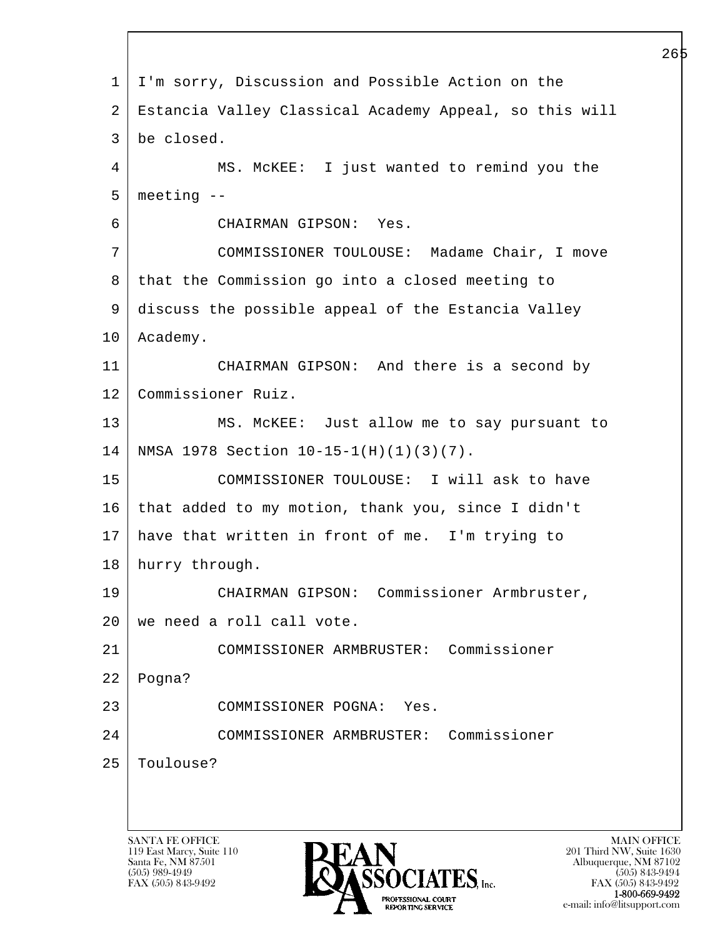l  $\overline{\phantom{a}}$  1 I'm sorry, Discussion and Possible Action on the 2 Estancia Valley Classical Academy Appeal, so this will 3 be closed. 4 MS. McKEE: I just wanted to remind you the  $5$  meeting  $-$  6 CHAIRMAN GIPSON: Yes. 7 COMMISSIONER TOULOUSE: Madame Chair, I move 8 | that the Commission go into a closed meeting to 9 discuss the possible appeal of the Estancia Valley 10 Academy. 11 CHAIRMAN GIPSON: And there is a second by 12 Commissioner Ruiz. 13 MS. McKEE: Just allow me to say pursuant to 14 NMSA 1978 Section 10-15-1(H)(1)(3)(7). 15 COMMISSIONER TOULOUSE: I will ask to have 16 that added to my motion, thank you, since I didn't 17 have that written in front of me. I'm trying to 18 hurry through. 19 CHAIRMAN GIPSON: Commissioner Armbruster, 20 we need a roll call vote. 21 COMMISSIONER ARMBRUSTER: Commissioner  $22$  Pogna? 23 COMMISSIONER POGNA: Yes. 24 COMMISSIONER ARMBRUSTER: Commissioner 25 Toulouse?

119 East Marcy, Suite 110<br>Santa Fe, NM 87501



FAX (505) 843-9492 FAX (505) 843-9492 **EXECUTE EXECUTE:**<br>REPORTING SERVICE e-mail: info@litsupport.com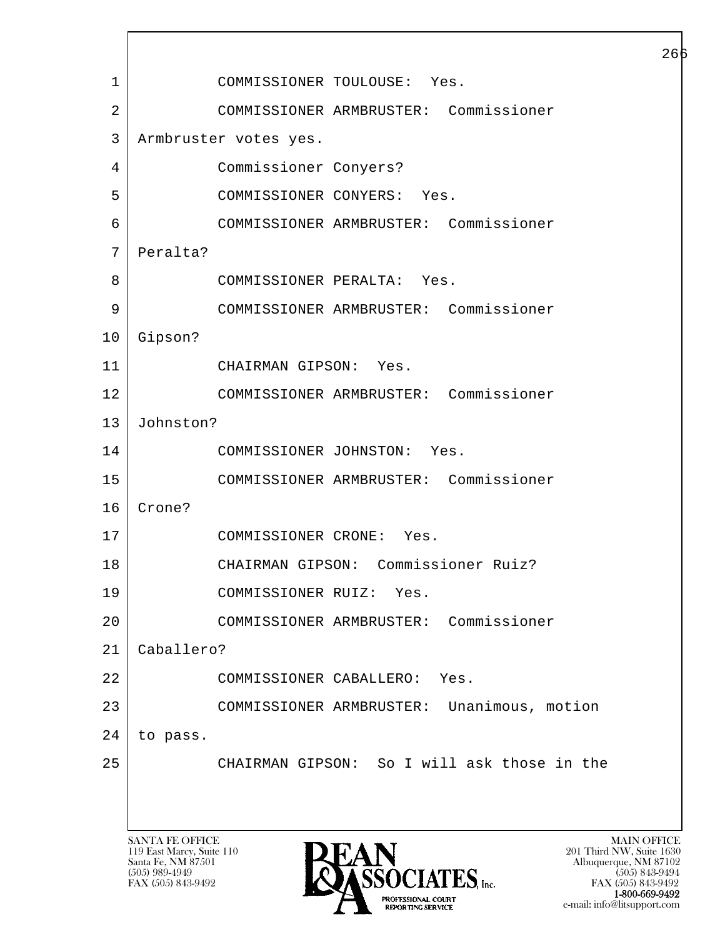l  $\overline{\phantom{a}}$ SANTA FE OFFICE MAIN OFFICE MAIN OFFICE MAIN OFFICE MAIN OFFICE 1 COMMISSIONER TOULOUSE: Yes. 2 COMMISSIONER ARMBRUSTER: Commissioner 3 Armbruster votes yes. 4 Commissioner Conyers? 5 COMMISSIONER CONYERS: Yes. 6 COMMISSIONER ARMBRUSTER: Commissioner 7 | Peralta? 8 COMMISSIONER PERALTA: Yes. 9 COMMISSIONER ARMBRUSTER: Commissioner 10 Gipson? 11 CHAIRMAN GIPSON: Yes. 12 COMMISSIONER ARMBRUSTER: Commissioner 13 Johnston? 14 COMMISSIONER JOHNSTON: Yes. 15 COMMISSIONER ARMBRUSTER: Commissioner 16 Crone? 17 | COMMISSIONER CRONE: Yes. 18 CHAIRMAN GIPSON: Commissioner Ruiz? 19 COMMISSIONER RUIZ: Yes. 20 COMMISSIONER ARMBRUSTER: Commissioner 21 Caballero? 22 COMMISSIONER CABALLERO: Yes. 23 COMMISSIONER ARMBRUSTER: Unanimous, motion 24 to pass. 25 CHAIRMAN GIPSON: So I will ask those in the

119 East Marcy, Suite 110<br>Santa Fe, NM 87501

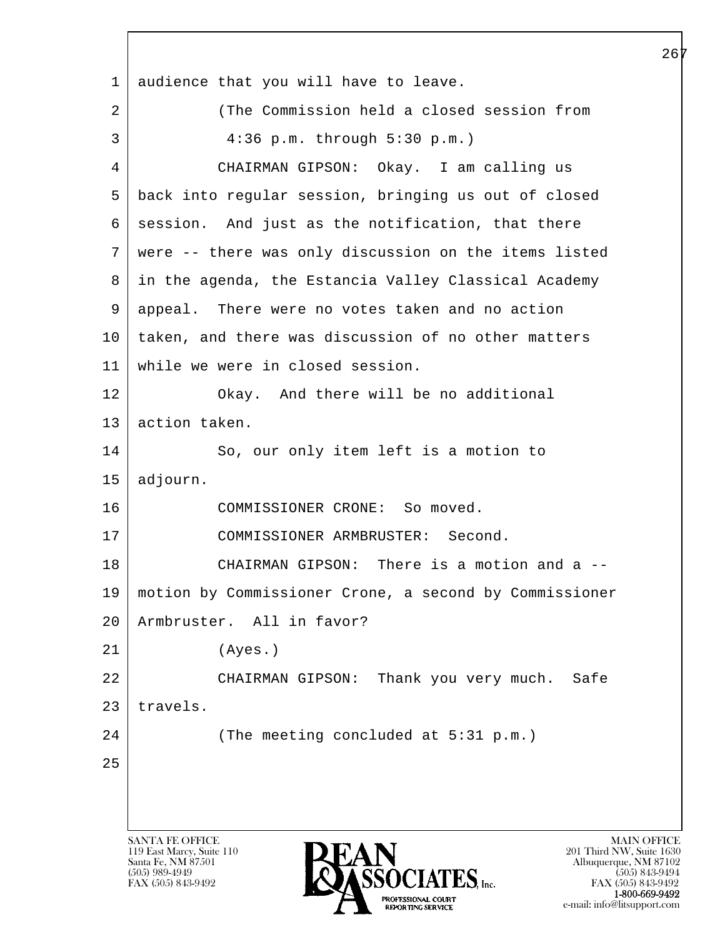l  $\overline{\phantom{a}}$ SANTA FE OFFICE MAIN OFFICE MAIN OFFICE MAIN OFFICE MAIN OFFICE 1 audience that you will have to leave. 2 (The Commission held a closed session from 3 4:36 p.m. through 5:30 p.m.) 4 CHAIRMAN GIPSON: Okay. I am calling us 5 back into regular session, bringing us out of closed  $6 \mid$  session. And just as the notification, that there 7 were -- there was only discussion on the items listed 8 in the agenda, the Estancia Valley Classical Academy 9 appeal. There were no votes taken and no action 10 taken, and there was discussion of no other matters 11 while we were in closed session. 12 Okay. And there will be no additional 13 action taken. 14 So, our only item left is a motion to 15 adjourn. 16 COMMISSIONER CRONE: So moved. 17 COMMISSIONER ARMBRUSTER: Second. 18 CHAIRMAN GIPSON: There is a motion and a --19 motion by Commissioner Crone, a second by Commissioner 20 Armbruster. All in favor? 21 (Ayes.) 22 CHAIRMAN GIPSON: Thank you very much. Safe  $23$  travels. 24 (The meeting concluded at 5:31 p.m.) 25

119 East Marcy, Suite 110<br>Santa Fe, NM 87501